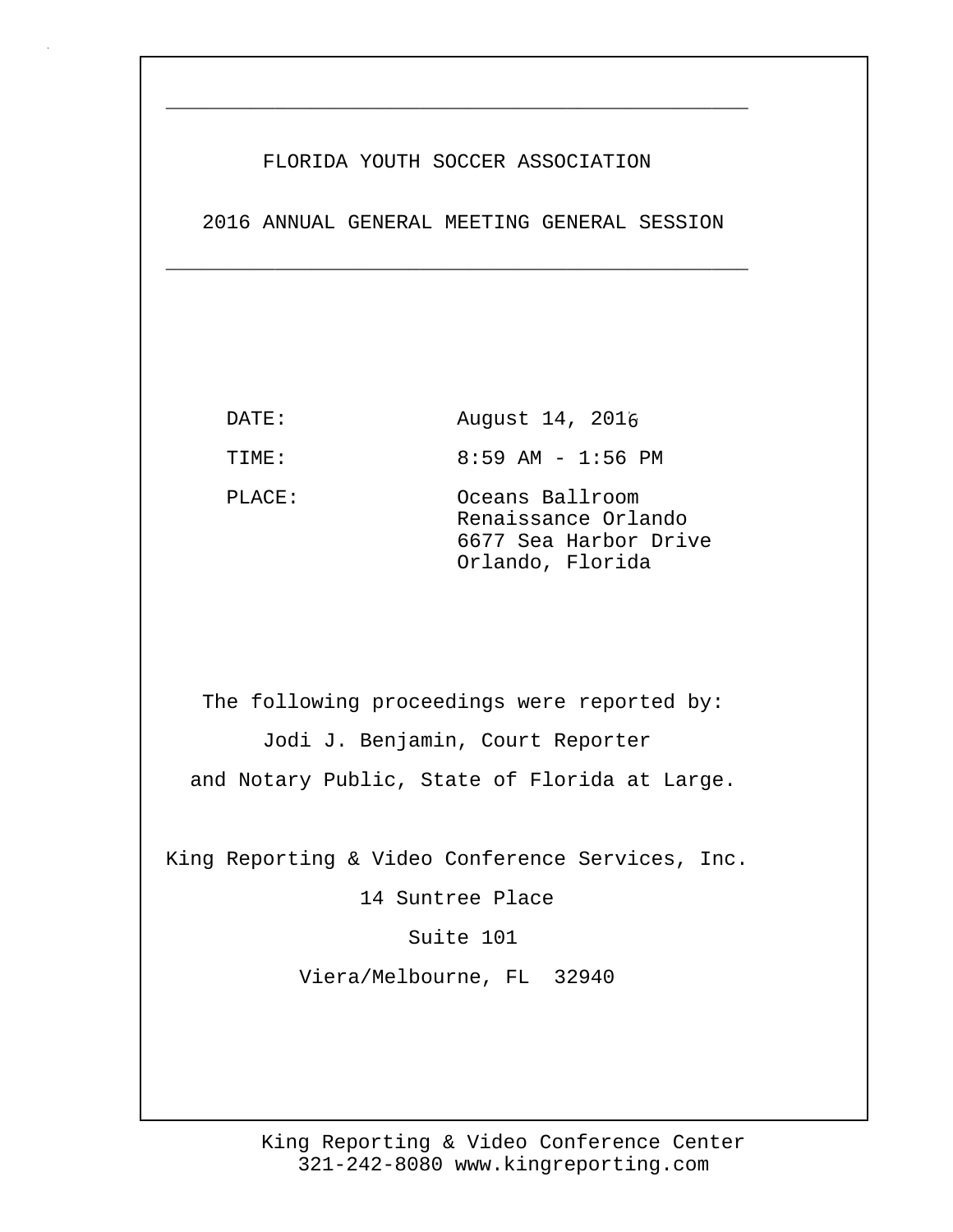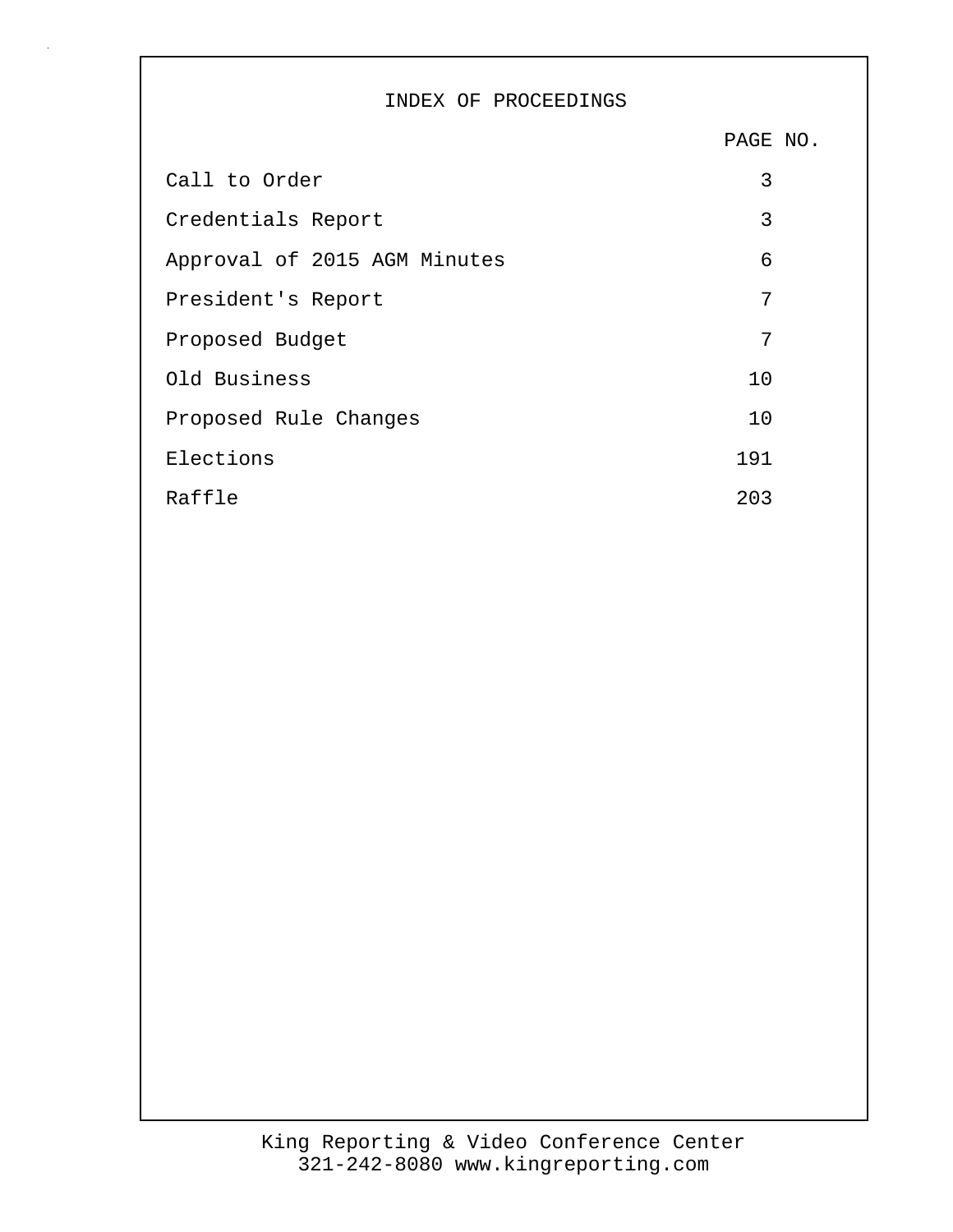## INDEX OF PROCEEDINGS

PAGE NO.

| Call to Order                | 3   |
|------------------------------|-----|
| Credentials Report           | 3   |
| Approval of 2015 AGM Minutes | 6   |
| President's Report           | 7   |
| Proposed Budget              | 7   |
| Old Business                 | 10  |
| Proposed Rule Changes        | 10  |
| Elections                    | 191 |
| Raffle                       | 203 |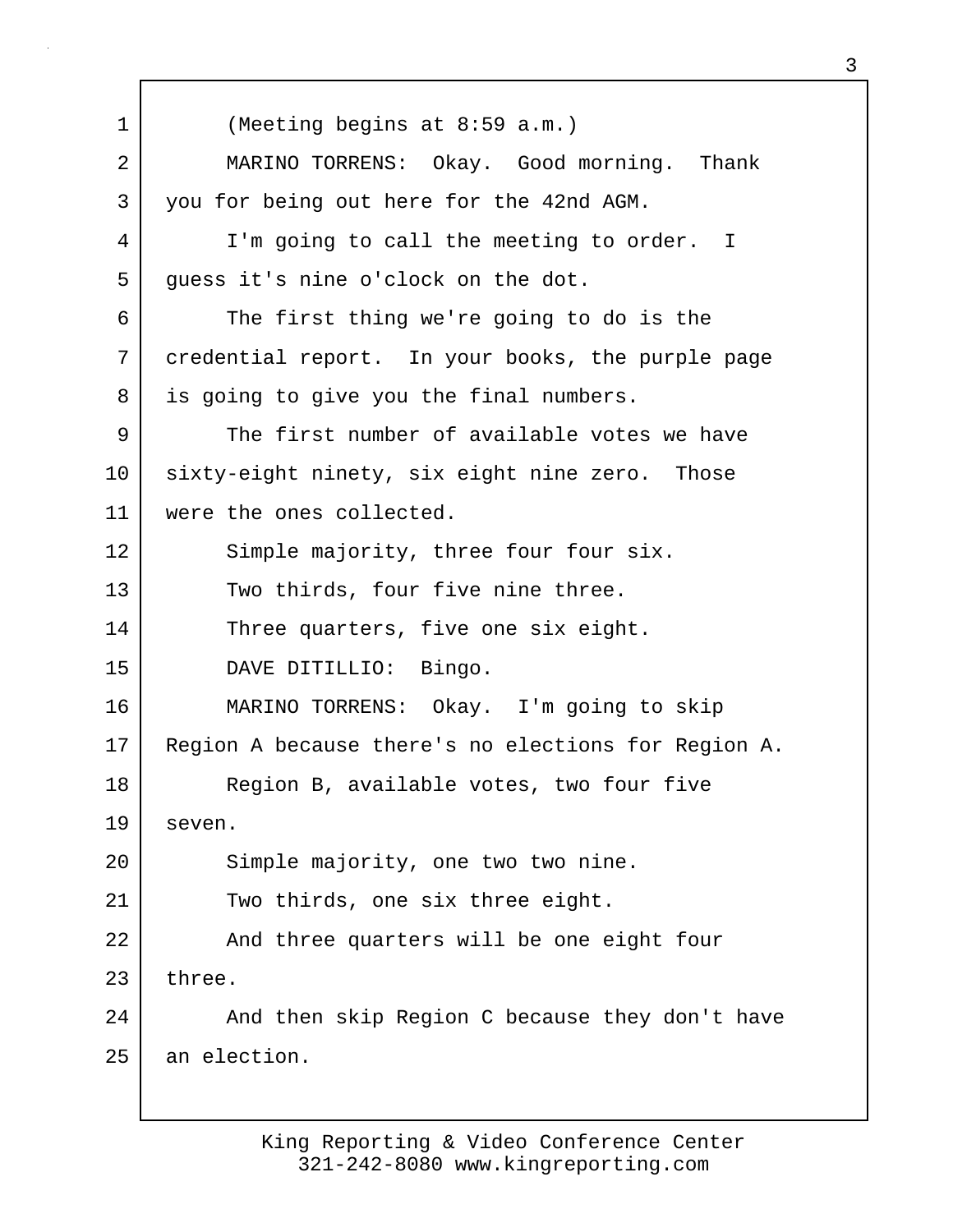1 (Meeting begins at 8:59 a.m.) 2 MARINO TORRENS: Okay. Good morning. Thank 3 you for being out here for the 42nd AGM. 4 I'm going to call the meeting to order. I 5 guess it's nine o'clock on the dot. 6 The first thing we're going to do is the 7 credential report. In your books, the purple page 8 is going to give you the final numbers. 9 The first number of available votes we have 10 sixty-eight ninety, six eight nine zero. Those 11 were the ones collected. 12 Simple majority, three four four six. 13 Two thirds, four five nine three. 14 Three quarters, five one six eight. 15 DAVE DITILLIO: Bingo. 16 MARINO TORRENS: Okay. I'm going to skip 17 Region A because there's no elections for Region A. 18 Region B, available votes, two four five 19 seven. 20 Simple majority, one two two nine. 21 Two thirds, one six three eight. 22 | And three quarters will be one eight four  $23$  three. 24 And then skip Region C because they don't have 25 an election.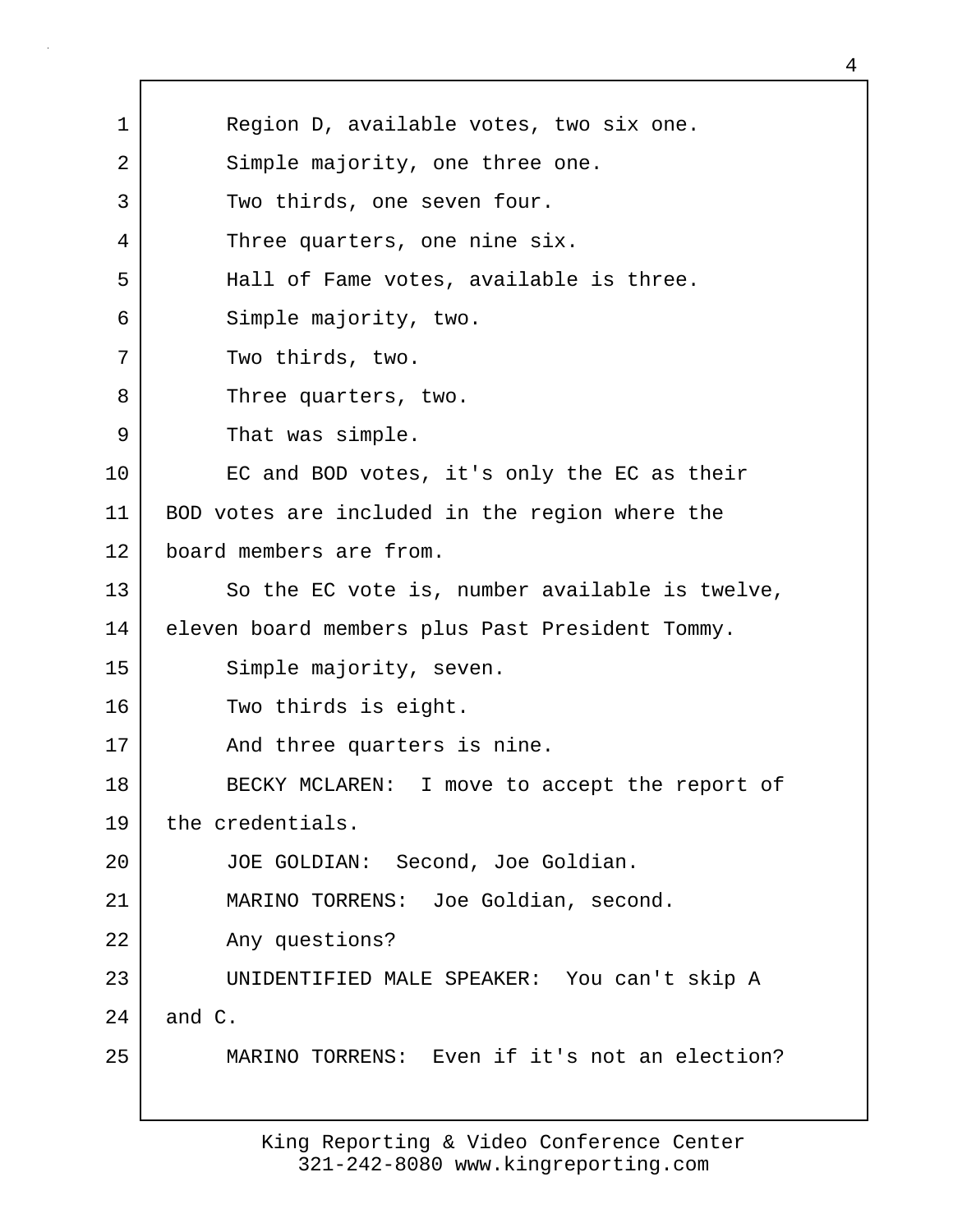| $\mathbf 1$ | Region D, available votes, two six one.         |
|-------------|-------------------------------------------------|
| 2           | Simple majority, one three one.                 |
| 3           | Two thirds, one seven four.                     |
| 4           | Three quarters, one nine six.                   |
| 5           | Hall of Fame votes, available is three.         |
| 6           | Simple majority, two.                           |
| 7           | Two thirds, two.                                |
| 8           | Three quarters, two.                            |
| 9           | That was simple.                                |
| 10          | EC and BOD votes, it's only the EC as their     |
| 11          | BOD votes are included in the region where the  |
| 12          | board members are from.                         |
| 13          | So the EC vote is, number available is twelve,  |
| 14          | eleven board members plus Past President Tommy. |
| 15          | Simple majority, seven.                         |
| 16          | Two thirds is eight.                            |
| 17          | And three quarters is nine.                     |
| $18\,$      | BECKY MCLAREN: I move to accept the report of   |
| 19          | the credentials.                                |
| 20          | JOE GOLDIAN: Second, Joe Goldian.               |
| 21          | MARINO TORRENS: Joe Goldian, second.            |
| 22          | Any questions?                                  |
| 23          | UNIDENTIFIED MALE SPEAKER: You can't skip A     |
| 24          | and C.                                          |
| 25          | MARINO TORRENS: Even if it's not an election?   |
|             |                                                 |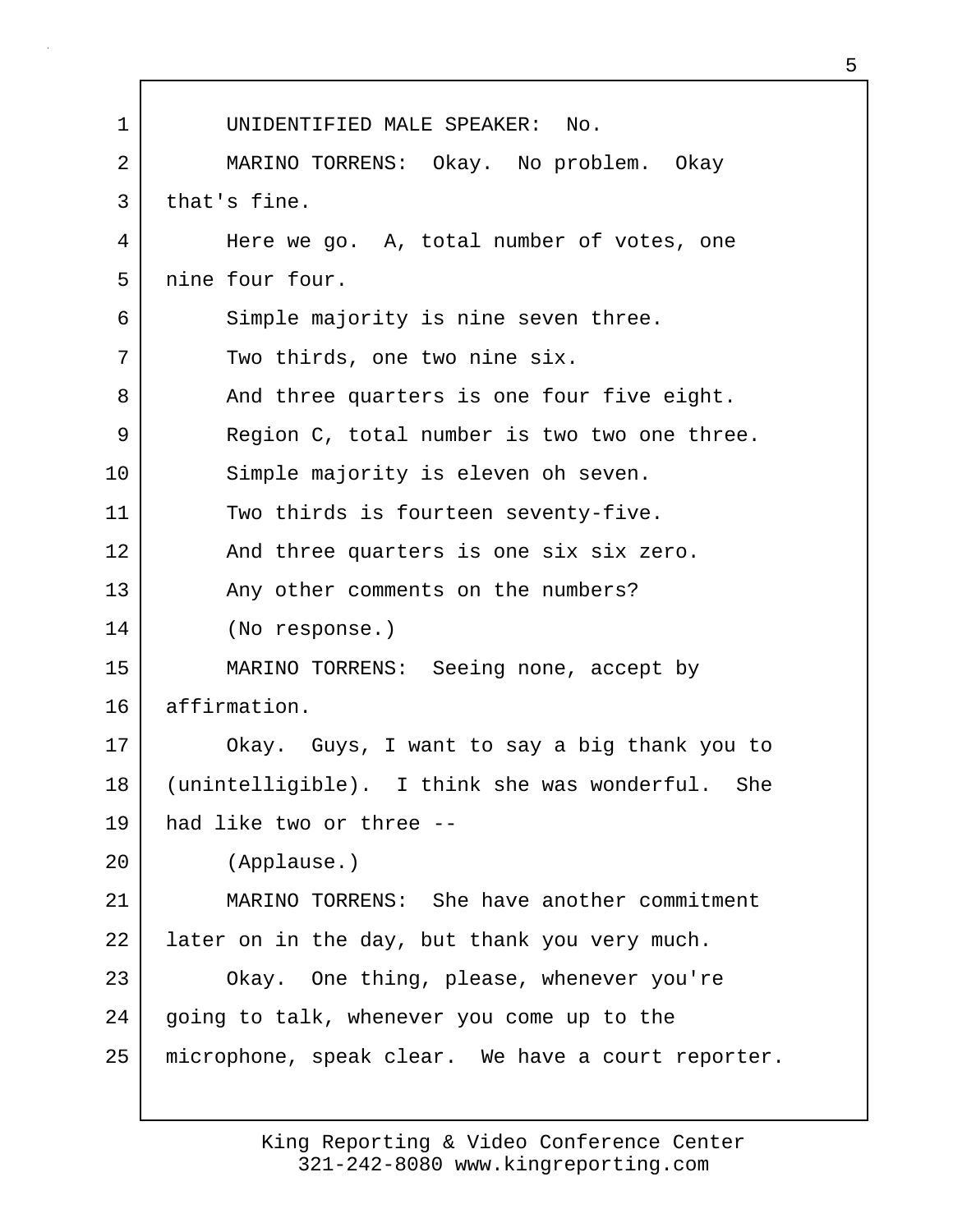| $\mathbf 1$ | UNIDENTIFIED MALE SPEAKER: No.                     |
|-------------|----------------------------------------------------|
| 2           | MARINO TORRENS: Okay. No problem. Okay             |
| 3           | that's fine.                                       |
| 4           | Here we go. A, total number of votes, one          |
| 5           | nine four four.                                    |
| 6           | Simple majority is nine seven three.               |
| 7           | Two thirds, one two nine six.                      |
| 8           | And three quarters is one four five eight.         |
| 9           | Region C, total number is two two one three.       |
| 10          | Simple majority is eleven oh seven.                |
| 11          | Two thirds is fourteen seventy-five.               |
| 12          | And three quarters is one six six zero.            |
| 13          | Any other comments on the numbers?                 |
| 14          | (No response.)                                     |
| 15          | MARINO TORRENS: Seeing none, accept by             |
| 16          | affirmation.                                       |
| 17          | Okay. Guys, I want to say a big thank you to       |
| 18          | (unintelligible). I think she was wonderful. She   |
| 19          | had like two or three --                           |
| 20          | (Applause.)                                        |
| 21          | MARINO TORRENS: She have another commitment        |
| 22          | later on in the day, but thank you very much.      |
| 23          | Okay. One thing, please, whenever you're           |
| 24          | going to talk, whenever you come up to the         |
| 25          | microphone, speak clear. We have a court reporter. |
|             |                                                    |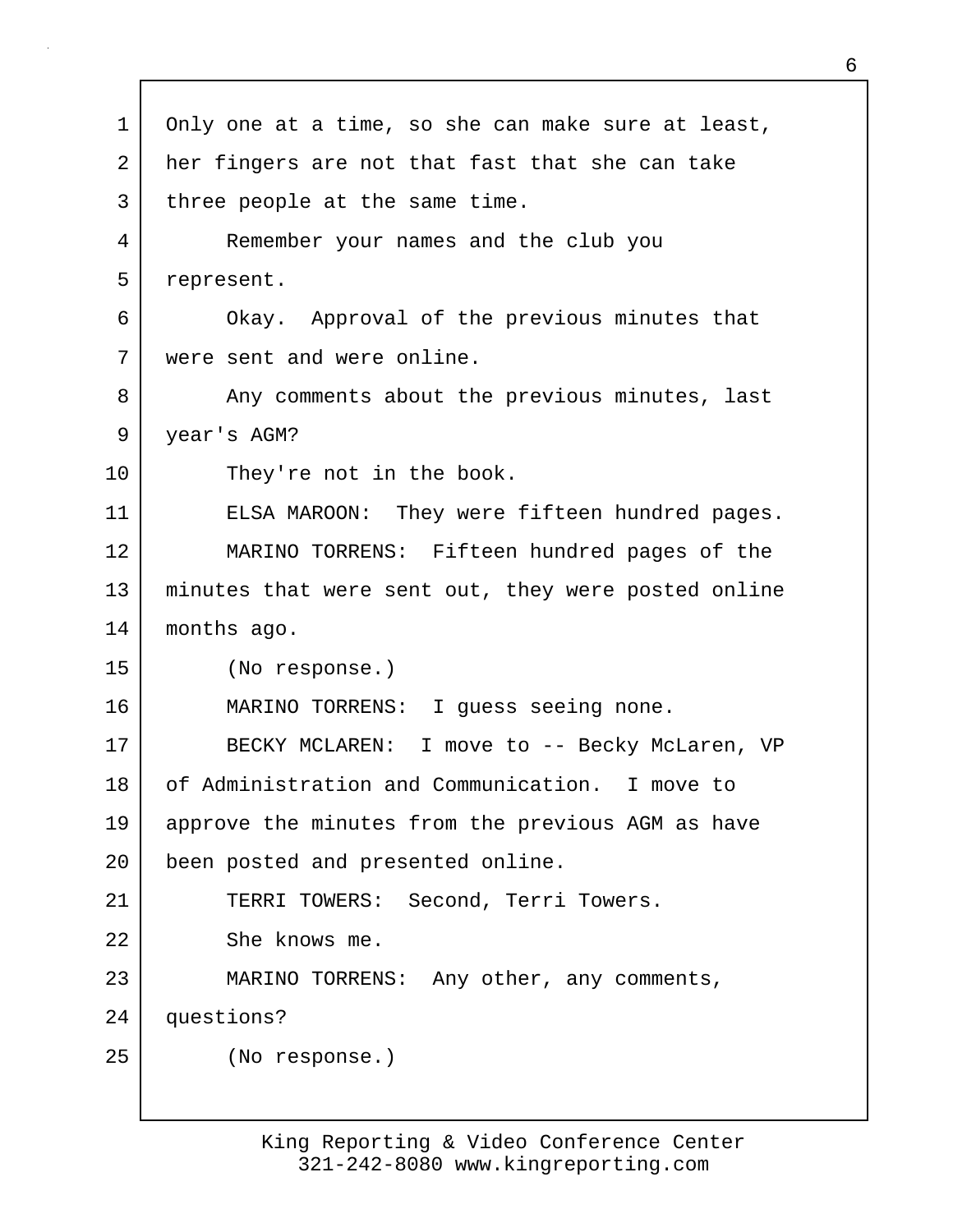| $\mathbf 1$ | Only one at a time, so she can make sure at least,  |
|-------------|-----------------------------------------------------|
| 2           | her fingers are not that fast that she can take     |
| 3           | three people at the same time.                      |
| 4           | Remember your names and the club you                |
| 5           | represent.                                          |
| 6           | Okay. Approval of the previous minutes that         |
| 7           | were sent and were online.                          |
| 8           | Any comments about the previous minutes, last       |
| 9           | year's AGM?                                         |
| 10          | They're not in the book.                            |
| 11          | ELSA MAROON: They were fifteen hundred pages.       |
| 12          | MARINO TORRENS: Fifteen hundred pages of the        |
| 13          | minutes that were sent out, they were posted online |
| 14          | months ago.                                         |
| 15          | (No response.)                                      |
| 16          | MARINO TORRENS: I guess seeing none.                |
| 17          | BECKY MCLAREN: I move to -- Becky McLaren, VP       |
| 18          | of Administration and Communication. I move to      |
| 19          | approve the minutes from the previous AGM as have   |
| 20          | been posted and presented online.                   |
| 21          | TERRI TOWERS: Second, Terri Towers.                 |
| 22          | She knows me.                                       |
| 23          | MARINO TORRENS: Any other, any comments,            |
| 24          | questions?                                          |
| 25          | (No response.)                                      |
|             |                                                     |

г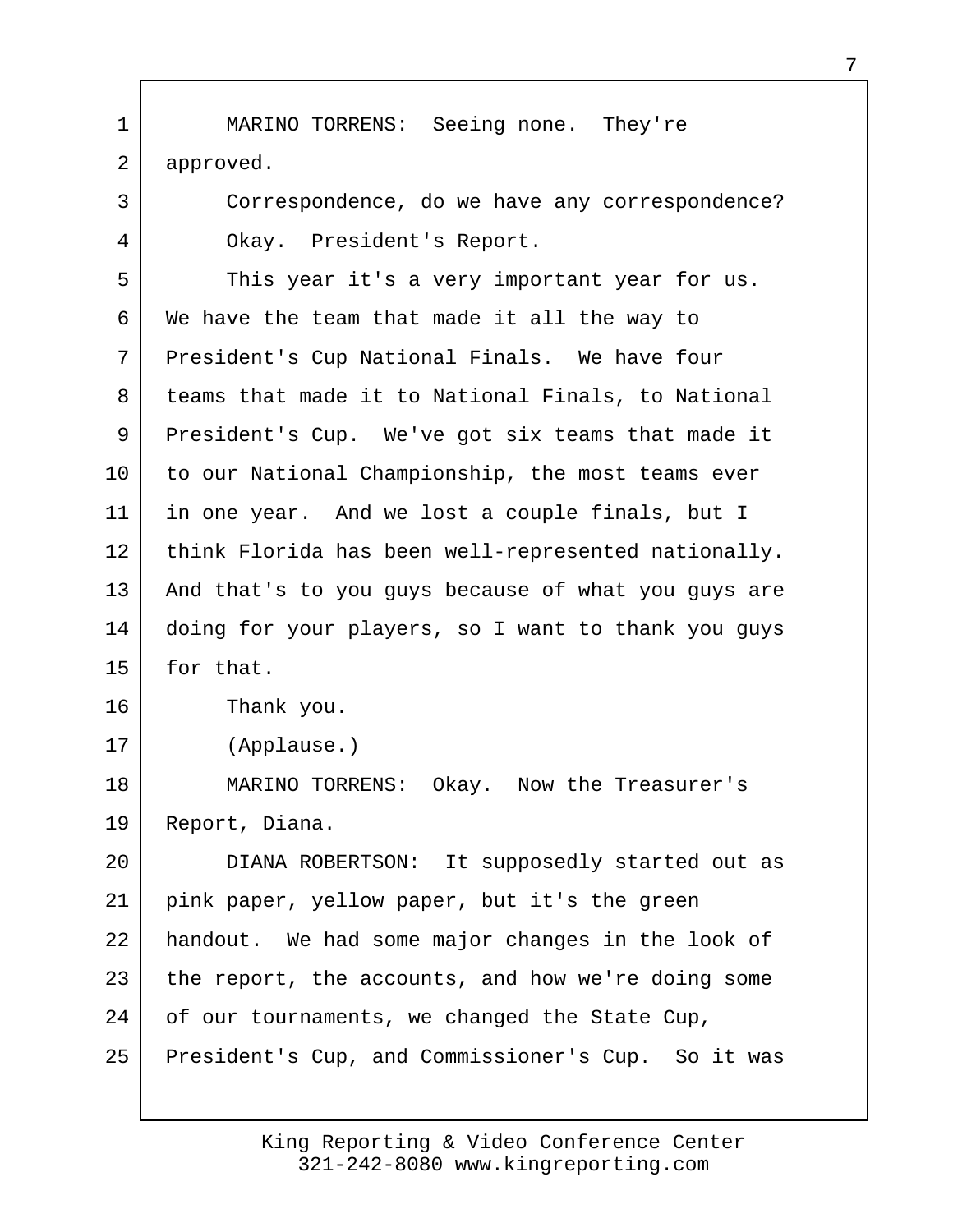1 MARINO TORRENS: Seeing none. They're 2 approved. 3 Correspondence, do we have any correspondence? 4 Okay. President's Report. 5 This year it's a very important year for us. 6 We have the team that made it all the way to 7 President's Cup National Finals. We have four 8 teams that made it to National Finals, to National 9 President's Cup. We've got six teams that made it 10 to our National Championship, the most teams ever 11 in one year. And we lost a couple finals, but I 12 think Florida has been well-represented nationally. 13 | And that's to you guys because of what you guys are 14 doing for your players, so I want to thank you guys 15 for that. 16 Thank you. 17 (Applause.) 18 MARINO TORRENS: Okay. Now the Treasurer's 19 Report, Diana. 20 DIANA ROBERTSON: It supposedly started out as 21 pink paper, yellow paper, but it's the green 22 handout. We had some major changes in the look of 23 the report, the accounts, and how we're doing some 24 of our tournaments, we changed the State Cup, 25 President's Cup, and Commissioner's Cup. So it was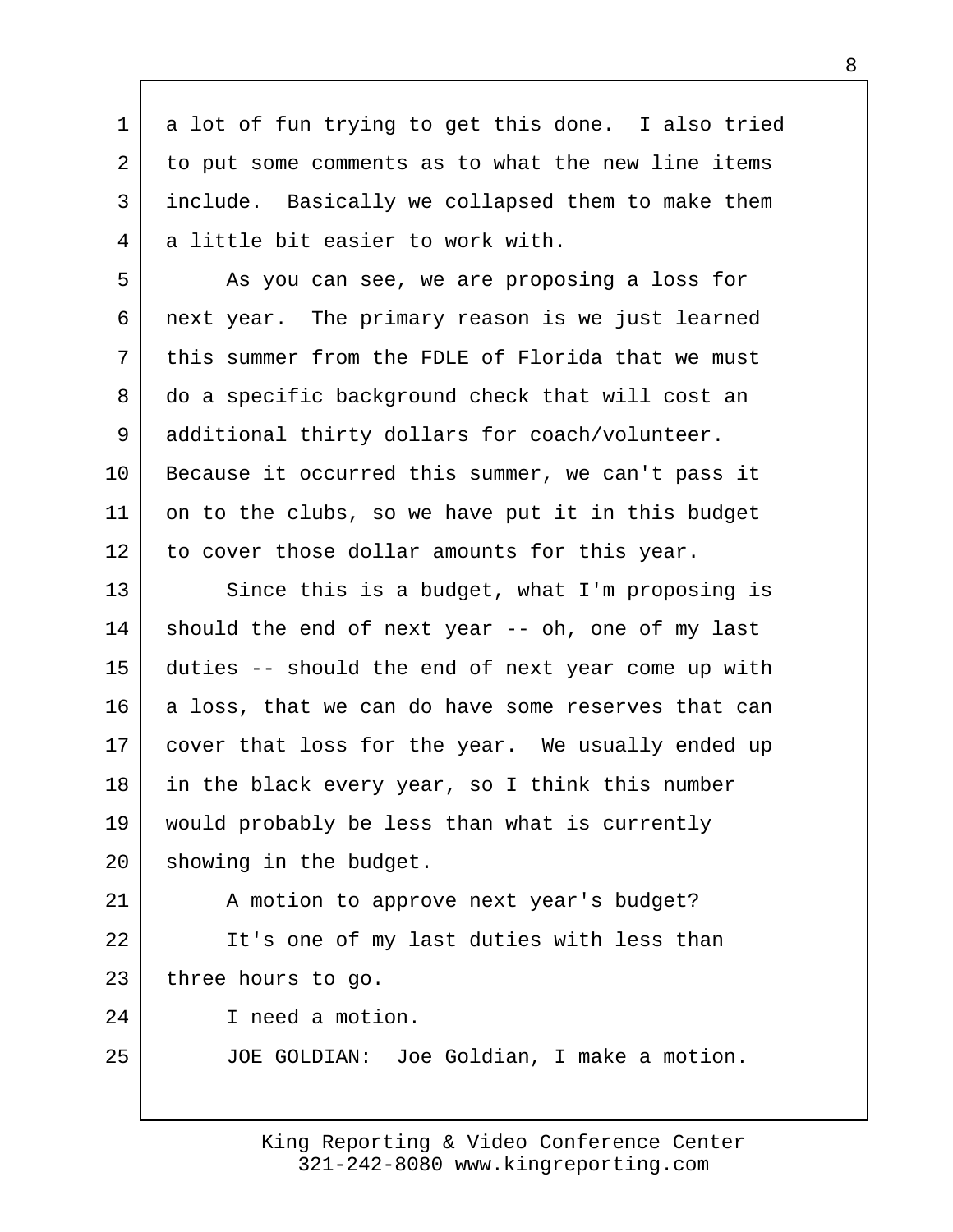1 a lot of fun trying to get this done. I also tried 2 to put some comments as to what the new line items 3 include. Basically we collapsed them to make them 4 a little bit easier to work with.

5 As you can see, we are proposing a loss for 6 next year. The primary reason is we just learned 7 this summer from the FDLE of Florida that we must 8 do a specific background check that will cost an 9 | additional thirty dollars for coach/volunteer. 10 Because it occurred this summer, we can't pass it 11 on to the clubs, so we have put it in this budget 12 to cover those dollar amounts for this year.

13 Since this is a budget, what I'm proposing is 14 should the end of next year -- oh, one of my last 15 duties -- should the end of next year come up with 16 a loss, that we can do have some reserves that can 17 cover that loss for the year. We usually ended up 18 in the black every year, so I think this number 19 would probably be less than what is currently 20 | showing in the budget.

21 | A motion to approve next year's budget? 22 | It's one of my last duties with less than 23 three hours to go.

24 I need a motion.

25 JOE GOLDIAN: Joe Goldian, I make a motion.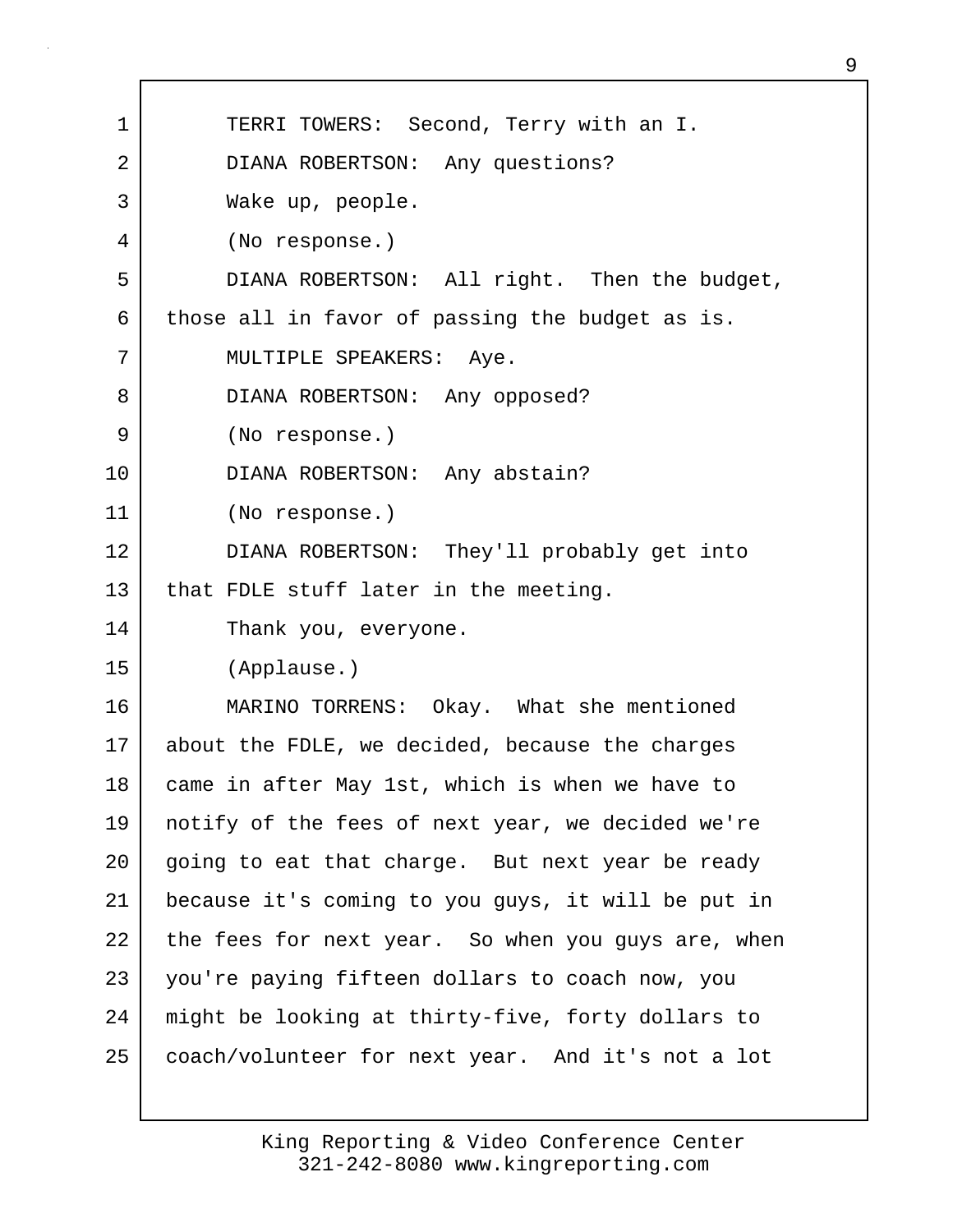| 1  | TERRI TOWERS: Second, Terry with an I.             |
|----|----------------------------------------------------|
| 2  | DIANA ROBERTSON: Any questions?                    |
| 3  | Wake up, people.                                   |
| 4  | (No response.)                                     |
| 5  | DIANA ROBERTSON: All right. Then the budget,       |
| 6  | those all in favor of passing the budget as is.    |
| 7  | MULTIPLE SPEAKERS: Aye.                            |
| 8  | DIANA ROBERTSON: Any opposed?                      |
| 9  | (No response.)                                     |
| 10 | DIANA ROBERTSON: Any abstain?                      |
| 11 | (No response.)                                     |
| 12 | DIANA ROBERTSON: They'll probably get into         |
| 13 | that FDLE stuff later in the meeting.              |
| 14 | Thank you, everyone.                               |
| 15 | (Applause.)                                        |
| 16 | MARINO TORRENS: Okay. What she mentioned           |
| 17 | about the FDLE, we decided, because the charges    |
| 18 | came in after May 1st, which is when we have to    |
| 19 | notify of the fees of next year, we decided we're  |
| 20 | going to eat that charge. But next year be ready   |
| 21 | because it's coming to you guys, it will be put in |
| 22 | the fees for next year. So when you guys are, when |
| 23 | you're paying fifteen dollars to coach now, you    |
| 24 | might be looking at thirty-five, forty dollars to  |
| 25 | coach/volunteer for next year. And it's not a lot  |
|    |                                                    |

Г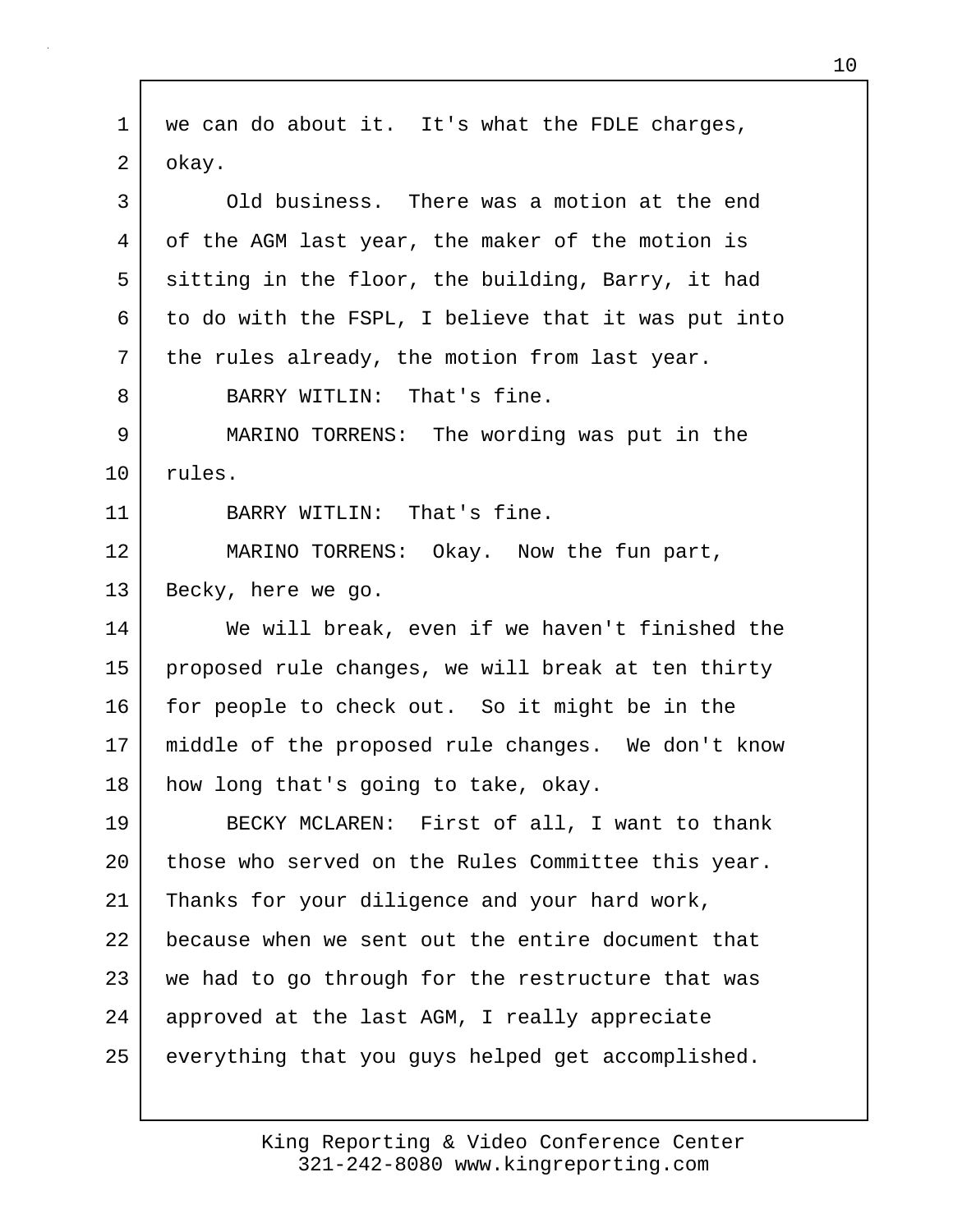1 | we can do about it. It's what the FDLE charges, 2 okay. 3 Old business. There was a motion at the end 4 of the AGM last year, the maker of the motion is 5 sitting in the floor, the building, Barry, it had  $6$  to do with the FSPL, I believe that it was put into 7 | the rules already, the motion from last year. 8 BARRY WITLIN: That's fine. 9 MARINO TORRENS: The wording was put in the 10 rules. 11 BARRY WITLIN: That's fine. 12 MARINO TORRENS: Okay. Now the fun part, 13 Becky, here we go. 14 We will break, even if we haven't finished the 15 proposed rule changes, we will break at ten thirty 16 for people to check out. So it might be in the 17 middle of the proposed rule changes. We don't know 18 | how long that's going to take, okay. 19 BECKY MCLAREN: First of all, I want to thank 20 those who served on the Rules Committee this year. 21 Thanks for your diligence and your hard work, 22 because when we sent out the entire document that 23 we had to go through for the restructure that was 24 approved at the last AGM, I really appreciate 25 everything that you guys helped get accomplished.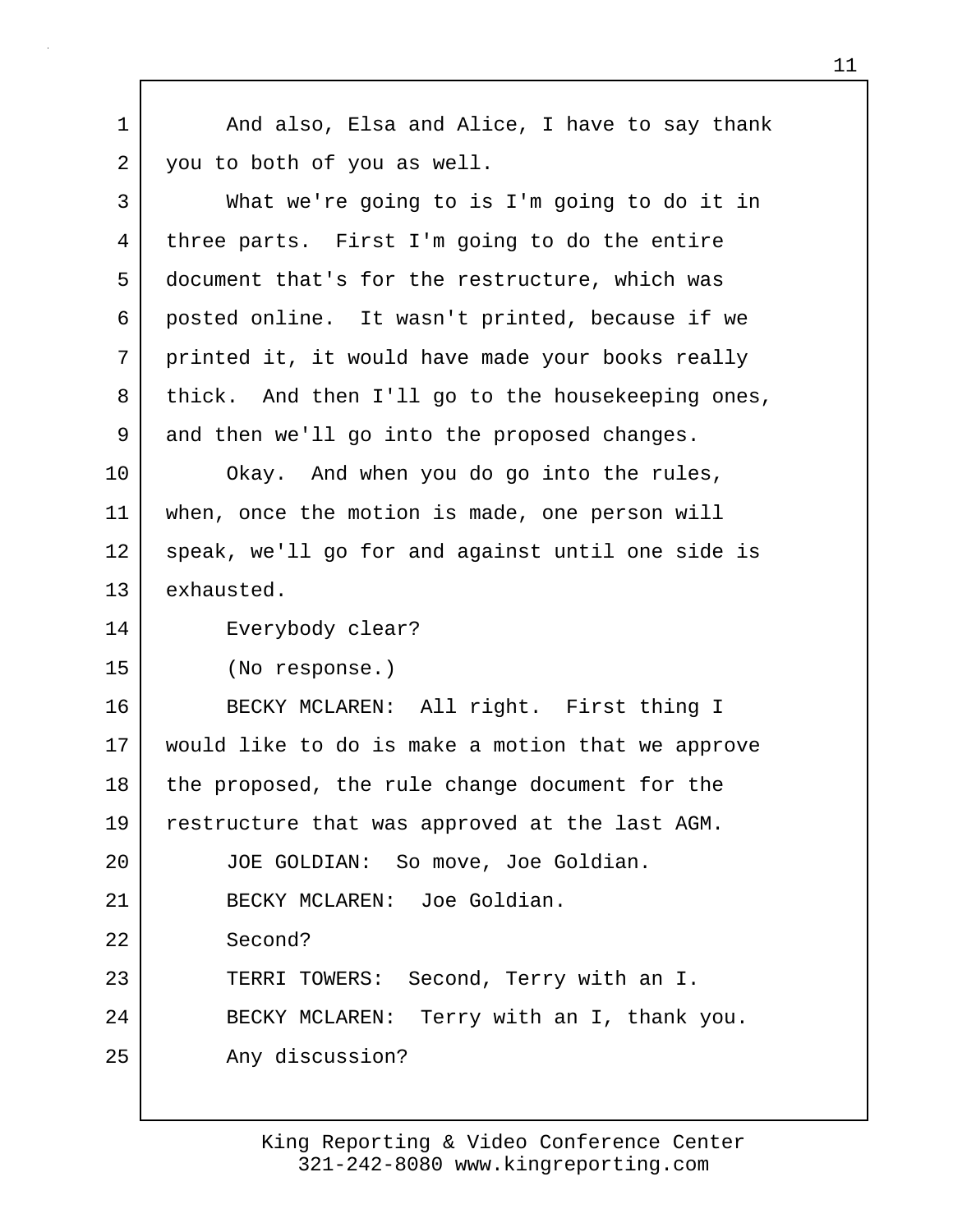1 And also, Elsa and Alice, I have to say thank 2 you to both of you as well. 3 What we're going to is I'm going to do it in 4 three parts. First I'm going to do the entire 5 document that's for the restructure, which was 6 posted online. It wasn't printed, because if we 7 printed it, it would have made your books really 8 thick. And then I'll go to the housekeeping ones, 9 and then we'll go into the proposed changes. 10 Okay. And when you do go into the rules, 11 when, once the motion is made, one person will 12 speak, we'll go for and against until one side is 13 exhausted. 14 Everybody clear? 15 (No response.) 16 BECKY MCLAREN: All right. First thing I 17 would like to do is make a motion that we approve 18 the proposed, the rule change document for the 19 restructure that was approved at the last AGM. 20 | JOE GOLDIAN: So move, Joe Goldian. 21 BECKY MCLAREN: Joe Goldian. 22 Second? 23 TERRI TOWERS: Second, Terry with an I. 24 BECKY MCLAREN: Terry with an I, thank you. 25 Any discussion?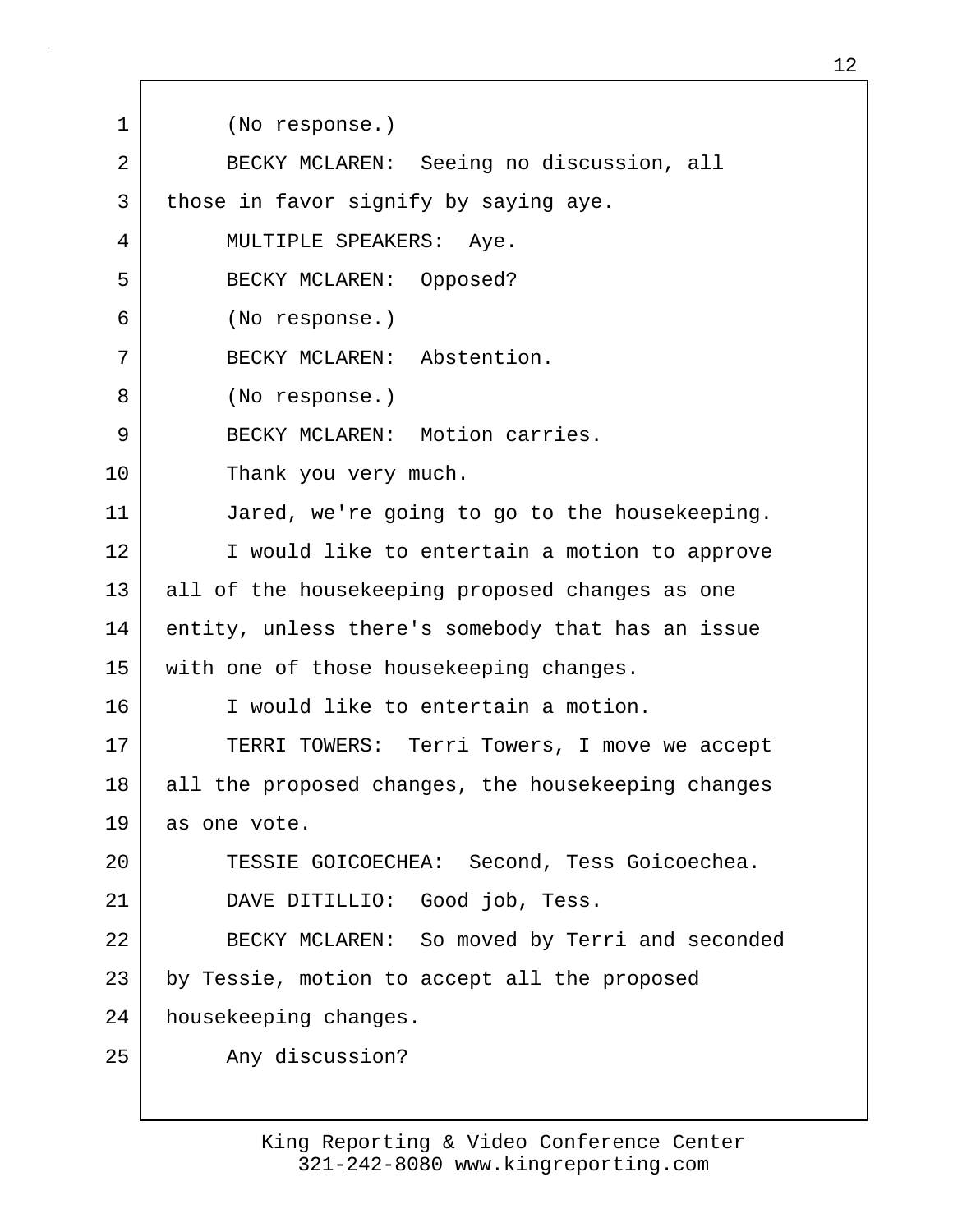1 (No response.) 2 BECKY MCLAREN: Seeing no discussion, all 3 those in favor signify by saying aye. 4 MULTIPLE SPEAKERS: Aye. 5 BECKY MCLAREN: Opposed? 6 (No response.) 7 BECKY MCLAREN: Abstention. 8 (No response.) 9 BECKY MCLAREN: Motion carries. 10 Thank you very much. 11 Jared, we're going to go to the housekeeping. 12 I would like to entertain a motion to approve 13 all of the housekeeping proposed changes as one 14 entity, unless there's somebody that has an issue 15 | with one of those housekeeping changes. 16 I would like to entertain a motion. 17 TERRI TOWERS: Terri Towers, I move we accept 18 all the proposed changes, the housekeeping changes 19 as one vote. 20 TESSIE GOICOECHEA: Second, Tess Goicoechea. 21 DAVE DITILLIO: Good job, Tess. 22 BECKY MCLAREN: So moved by Terri and seconded 23 by Tessie, motion to accept all the proposed 24 housekeeping changes. 25 Any discussion?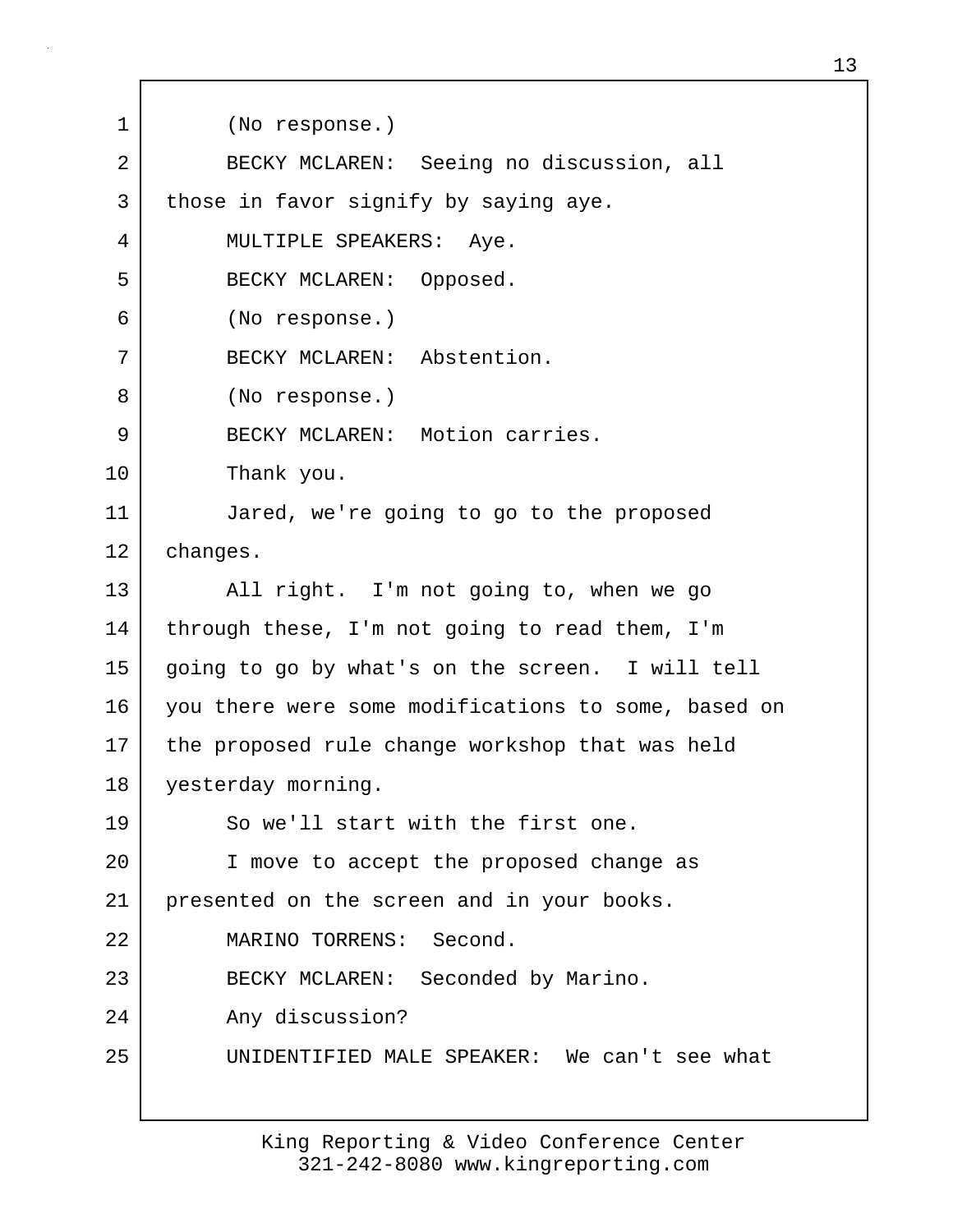1 (No response.) 2 BECKY MCLAREN: Seeing no discussion, all 3 those in favor signify by saying aye. 4 MULTIPLE SPEAKERS: Aye. 5 BECKY MCLAREN: Opposed. 6 (No response.) 7 BECKY MCLAREN: Abstention. 8 (No response.) 9 BECKY MCLAREN: Motion carries. 10 Thank you. 11 Jared, we're going to go to the proposed 12 changes. 13 All right. I'm not going to, when we go 14 | through these, I'm not going to read them, I'm 15 going to go by what's on the screen. I will tell 16 you there were some modifications to some, based on 17 the proposed rule change workshop that was held 18 yesterday morning. 19 So we'll start with the first one. 20 I move to accept the proposed change as 21 presented on the screen and in your books. 22 MARINO TORRENS: Second. 23 BECKY MCLAREN: Seconded by Marino. 24 Any discussion? 25 UNIDENTIFIED MALE SPEAKER: We can't see what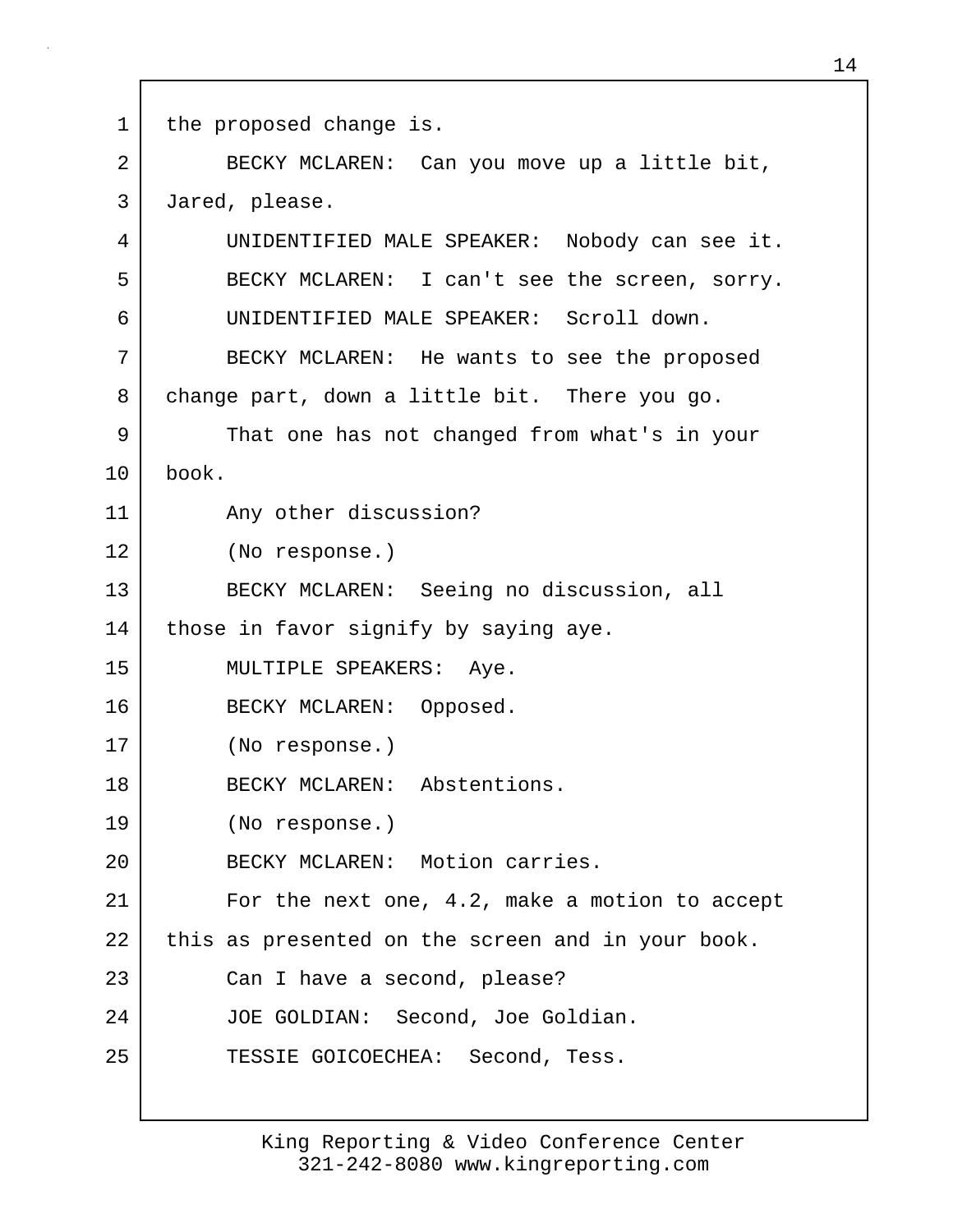1 | the proposed change is. 2 BECKY MCLAREN: Can you move up a little bit, 3 Jared, please. 4 UNIDENTIFIED MALE SPEAKER: Nobody can see it. 5 BECKY MCLAREN: I can't see the screen, sorry. 6 UNIDENTIFIED MALE SPEAKER: Scroll down. 7 BECKY MCLAREN: He wants to see the proposed 8 change part, down a little bit. There you go. 9 That one has not changed from what's in your 10 book. 11 Any other discussion? 12 (No response.) 13 BECKY MCLAREN: Seeing no discussion, all 14 | those in favor signify by saying aye. 15 MULTIPLE SPEAKERS: Aye. 16 BECKY MCLAREN: Opposed. 17 (No response.) 18 BECKY MCLAREN: Abstentions. 19 (No response.) 20 BECKY MCLAREN: Motion carries. 21 For the next one, 4.2, make a motion to accept 22 this as presented on the screen and in your book. 23 Can I have a second, please? 24 JOE GOLDIAN: Second, Joe Goldian. 25 TESSIE GOICOECHEA: Second, Tess.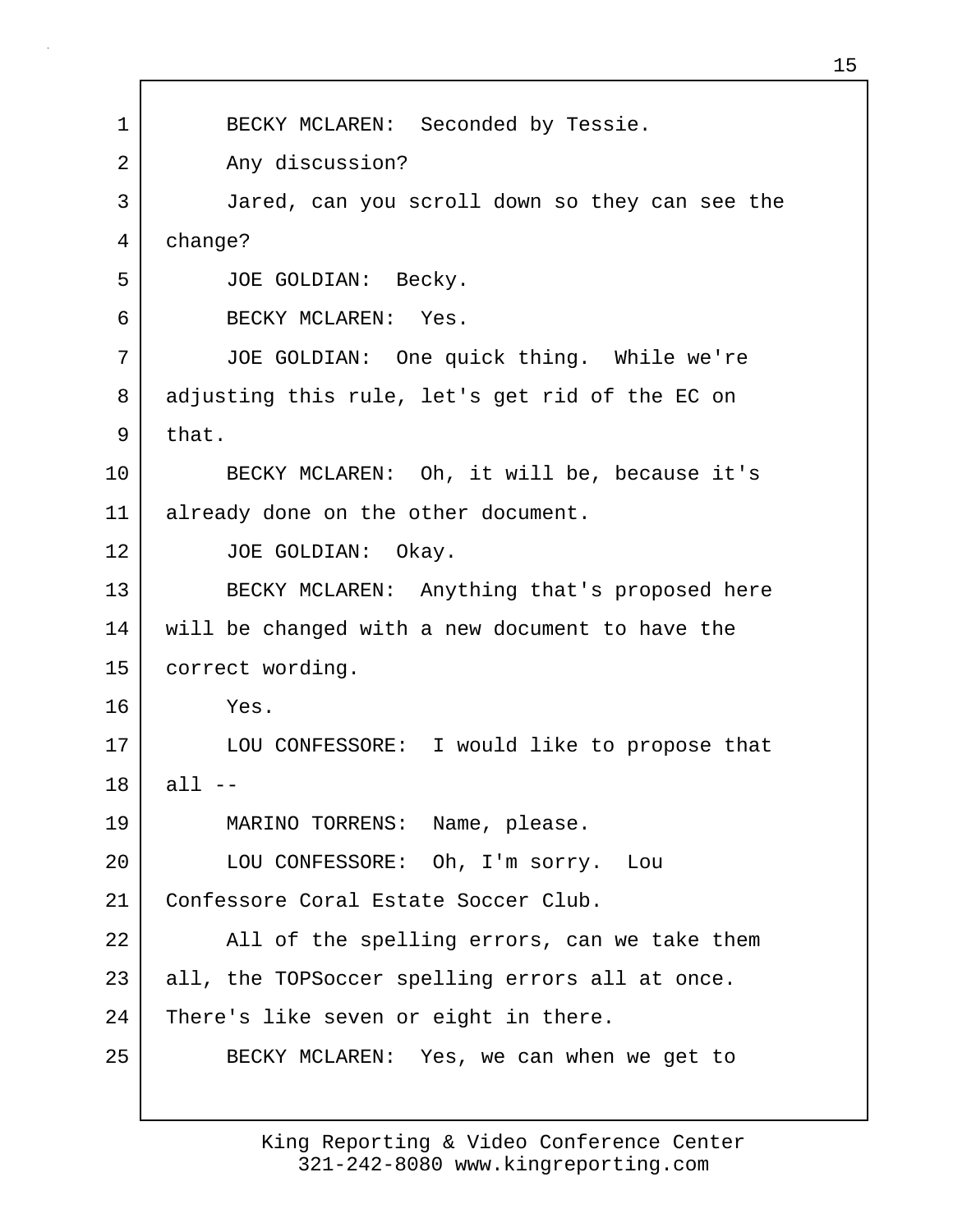1 BECKY MCLAREN: Seconded by Tessie. 2 Any discussion? 3 Jared, can you scroll down so they can see the 4 change? 5 JOE GOLDIAN: Becky. 6 BECKY MCLAREN: Yes. 7 JOE GOLDIAN: One quick thing. While we're 8 adjusting this rule, let's get rid of the EC on  $9$  that. 10 BECKY MCLAREN: Oh, it will be, because it's 11 already done on the other document. 12 JOE GOLDIAN: Okay. 13 BECKY MCLAREN: Anything that's proposed here 14 will be changed with a new document to have the 15 | correct wording. 16 Yes. 17 LOU CONFESSORE: I would like to propose that  $18$  all  $-$ 19 MARINO TORRENS: Name, please. 20 LOU CONFESSORE: Oh, I'm sorry. Lou 21 Confessore Coral Estate Soccer Club. 22 | All of the spelling errors, can we take them 23 all, the TOPSoccer spelling errors all at once. 24 There's like seven or eight in there. 25 BECKY MCLAREN: Yes, we can when we get to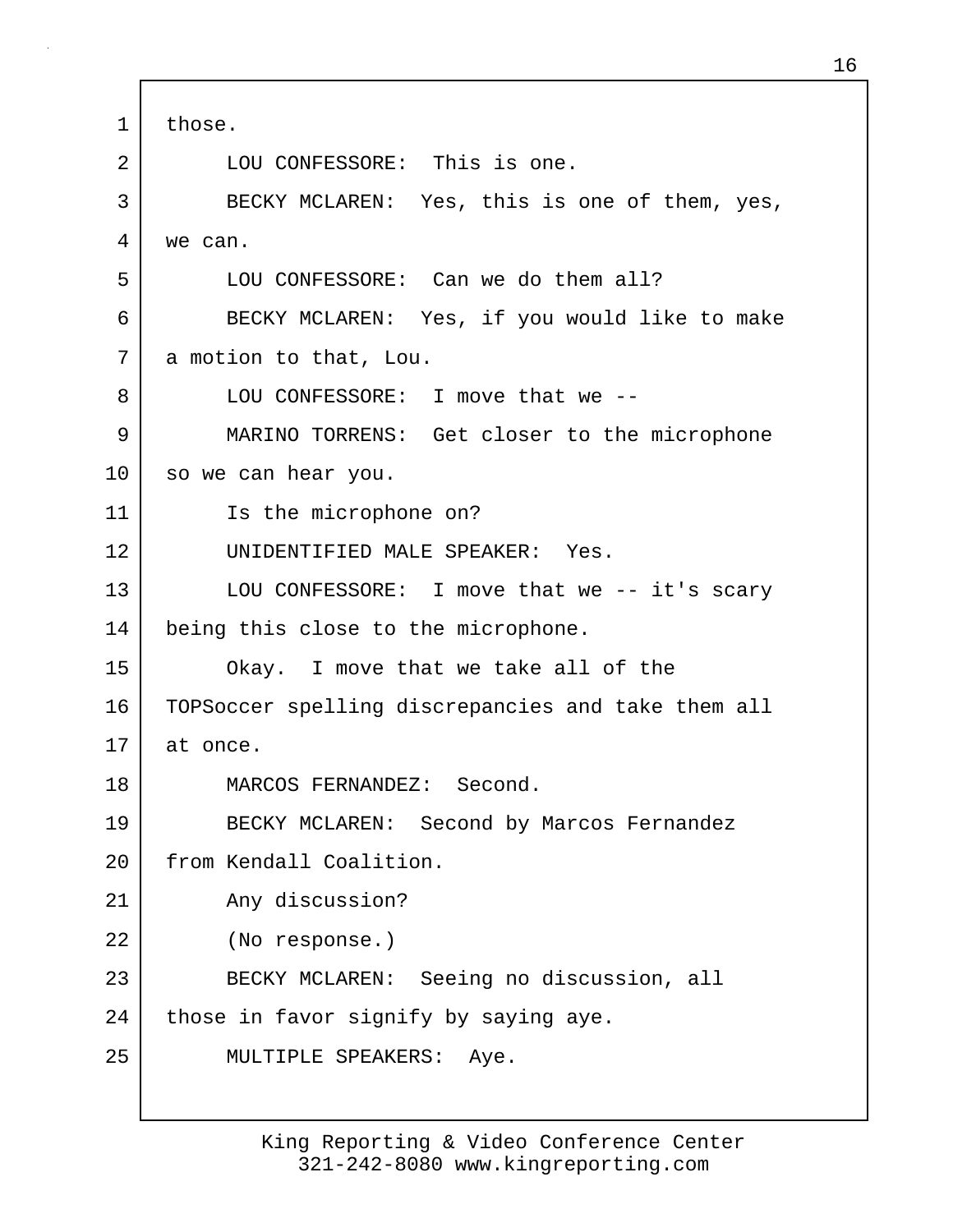1 those. 2 LOU CONFESSORE: This is one. 3 BECKY MCLAREN: Yes, this is one of them, yes, 4 we can. 5 LOU CONFESSORE: Can we do them all? 6 BECKY MCLAREN: Yes, if you would like to make 7 a motion to that, Lou. 8 LOU CONFESSORE: I move that we --9 MARINO TORRENS: Get closer to the microphone 10 so we can hear you. 11 Is the microphone on? 12 UNIDENTIFIED MALE SPEAKER: Yes. 13 LOU CONFESSORE: I move that we -- it's scary 14 being this close to the microphone. 15 Okay. I move that we take all of the 16 TOPSoccer spelling discrepancies and take them all 17 at once. 18 MARCOS FERNANDEZ: Second. 19 BECKY MCLAREN: Second by Marcos Fernandez 20 From Kendall Coalition. 21 | Any discussion? 22 (No response.) 23 BECKY MCLAREN: Seeing no discussion, all 24 | those in favor signify by saying aye. 25 MULTIPLE SPEAKERS: Aye.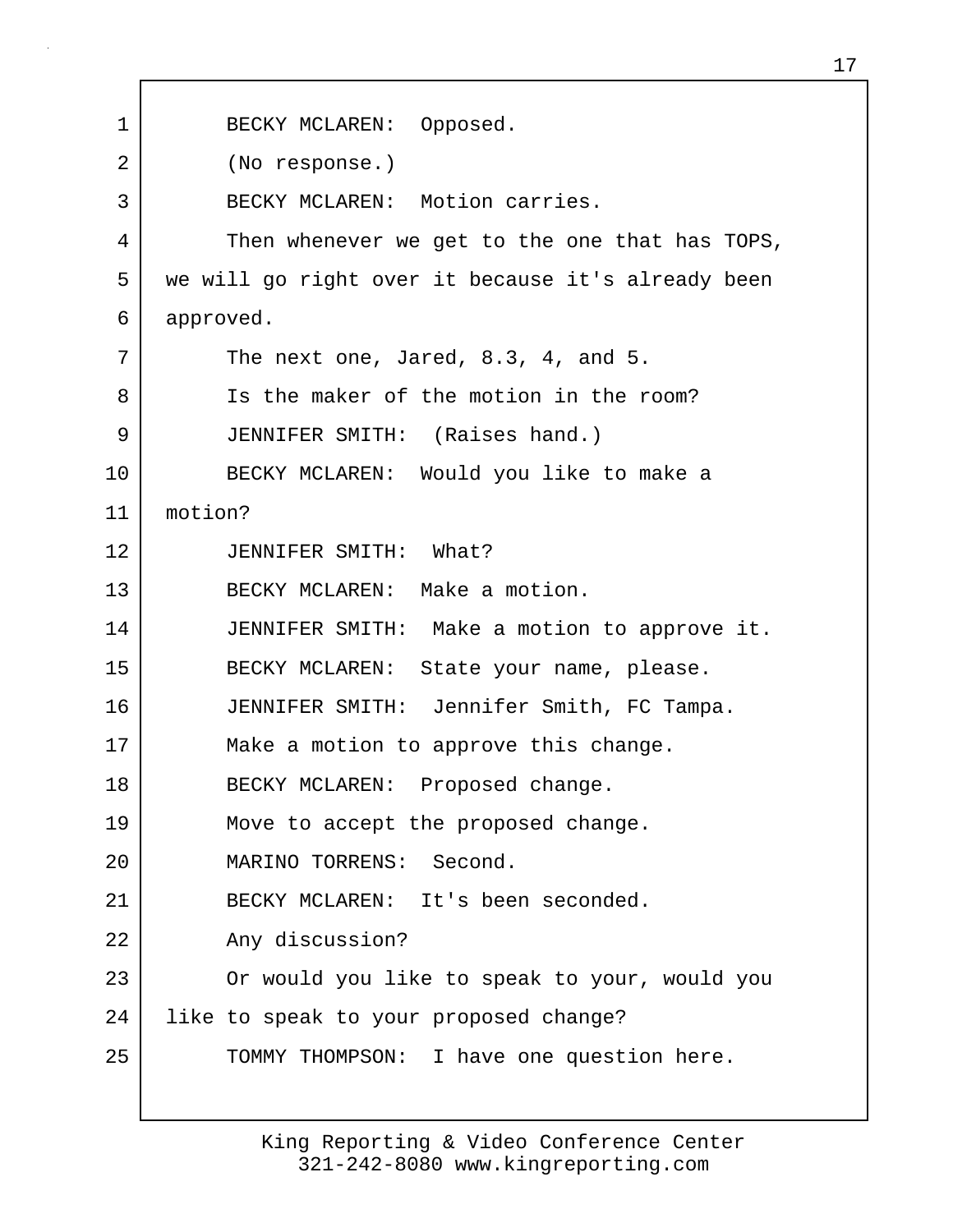1 BECKY MCLAREN: Opposed. 2 (No response.) 3 BECKY MCLAREN: Motion carries. 4 Then whenever we get to the one that has TOPS, 5 we will go right over it because it's already been 6 approved.  $7$  The next one, Jared, 8.3, 4, and 5. 8 Is the maker of the motion in the room? 9 JENNIFER SMITH: (Raises hand.) 10 BECKY MCLAREN: Would you like to make a 11 motion? 12 JENNIFER SMITH: What? 13 BECKY MCLAREN: Make a motion. 14 JENNIFER SMITH: Make a motion to approve it. 15 BECKY MCLAREN: State your name, please. 16 JENNIFER SMITH: Jennifer Smith, FC Tampa. 17 Make a motion to approve this change. 18 BECKY MCLAREN: Proposed change. 19 Move to accept the proposed change. 20 MARINO TORRENS: Second. 21 BECKY MCLAREN: It's been seconded. 22 Any discussion? 23 Or would you like to speak to your, would you 24 like to speak to your proposed change? 25 | TOMMY THOMPSON: I have one question here.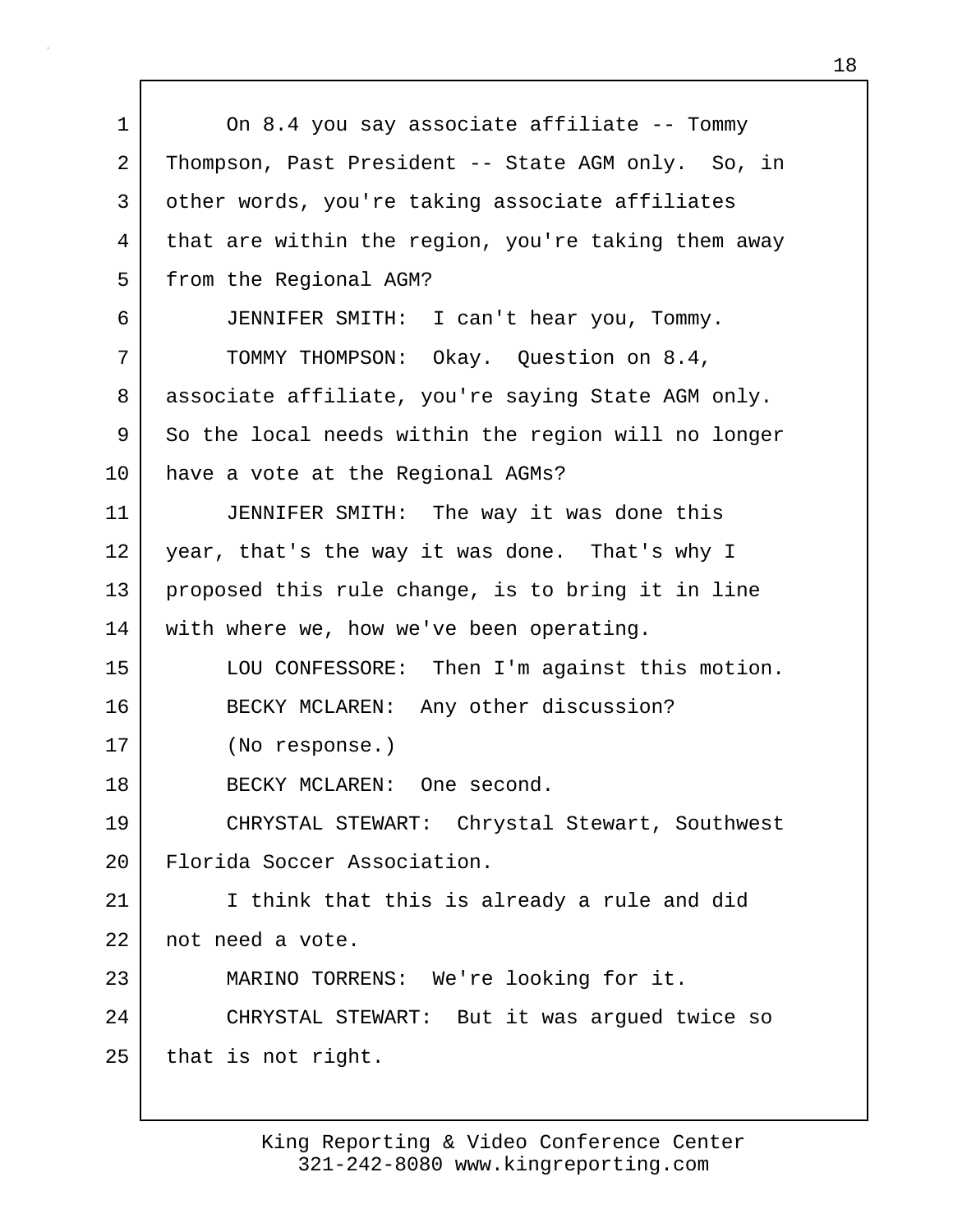1 On 8.4 you say associate affiliate -- Tommy 2 Thompson, Past President -- State AGM only. So, in 3 other words, you're taking associate affiliates 4 that are within the region, you're taking them away 5 | from the Regional AGM? 6 JENNIFER SMITH: I can't hear you, Tommy. 7 TOMMY THOMPSON: Okay. Question on 8.4, 8 | associate affiliate, you're saying State AGM only. 9 So the local needs within the region will no longer 10 have a vote at the Regional AGMs? 11 JENNIFER SMITH: The way it was done this 12 year, that's the way it was done. That's why I 13 proposed this rule change, is to bring it in line 14 with where we, how we've been operating. 15 LOU CONFESSORE: Then I'm against this motion. 16 BECKY MCLAREN: Any other discussion? 17 (No response.) 18 BECKY MCLAREN: One second. 19 CHRYSTAL STEWART: Chrystal Stewart, Southwest 20 | Florida Soccer Association. 21 I think that this is already a rule and did 22 not need a vote. 23 MARINO TORRENS: We're looking for it. 24 CHRYSTAL STEWART: But it was argued twice so  $25$  that is not right.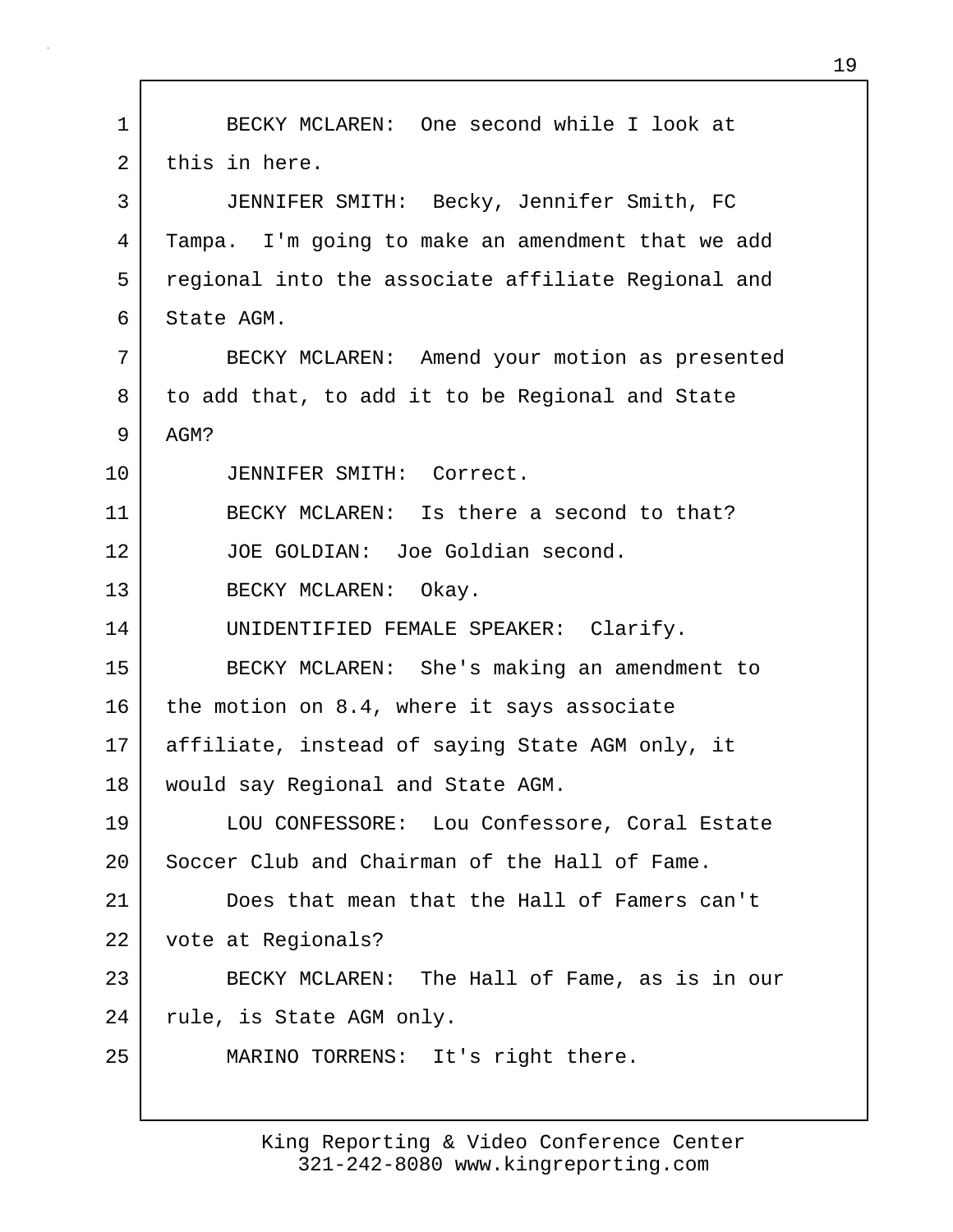1 BECKY MCLAREN: One second while I look at 2 this in here. 3 JENNIFER SMITH: Becky, Jennifer Smith, FC 4 Tampa. I'm going to make an amendment that we add 5 regional into the associate affiliate Regional and 6 State AGM. 7 BECKY MCLAREN: Amend your motion as presented 8 to add that, to add it to be Regional and State 9 AGM? 10 JENNIFER SMITH: Correct. 11 BECKY MCLAREN: Is there a second to that? 12 JOE GOLDIAN: Joe Goldian second. 13 BECKY MCLAREN: Okay. 14 UNIDENTIFIED FEMALE SPEAKER: Clarify. 15 BECKY MCLAREN: She's making an amendment to 16 the motion on 8.4, where it says associate 17 affiliate, instead of saying State AGM only, it 18 would say Regional and State AGM. 19 LOU CONFESSORE: Lou Confessore, Coral Estate 20 Soccer Club and Chairman of the Hall of Fame. 21 Does that mean that the Hall of Famers can't 22 vote at Regionals? 23 BECKY MCLAREN: The Hall of Fame, as is in our 24 | rule, is State AGM only. 25 MARINO TORRENS: It's right there.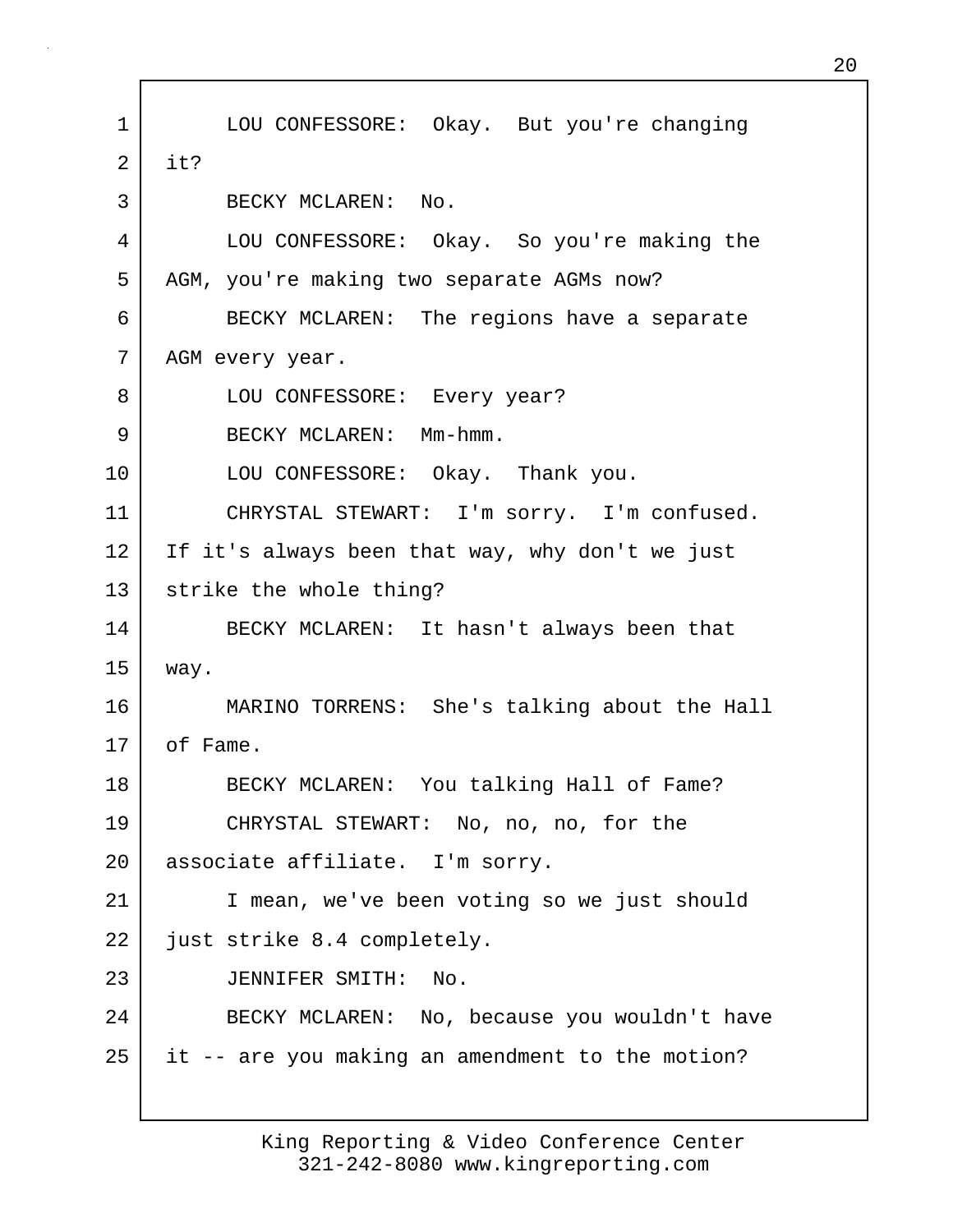1 LOU CONFESSORE: Okay. But you're changing  $2$  it? 3 BECKY MCLAREN: No. 4 LOU CONFESSORE: Okay. So you're making the 5 | AGM, you're making two separate AGMs now? 6 BECKY MCLAREN: The regions have a separate 7 | AGM every year. 8 LOU CONFESSORE: Every year? 9 BECKY MCLAREN: Mm-hmm. 10 LOU CONFESSORE: Okay. Thank you. 11 CHRYSTAL STEWART: I'm sorry. I'm confused. 12 If it's always been that way, why don't we just 13 strike the whole thing? 14 BECKY MCLAREN: It hasn't always been that 15 way. 16 MARINO TORRENS: She's talking about the Hall 17 of Fame. 18 BECKY MCLAREN: You talking Hall of Fame? 19 CHRYSTAL STEWART: No, no, no, for the 20 associate affiliate. I'm sorry. 21 I mean, we've been voting so we just should 22 just strike 8.4 completely. 23 JENNIFER SMITH: No. 24 BECKY MCLAREN: No, because you wouldn't have 25 it -- are you making an amendment to the motion?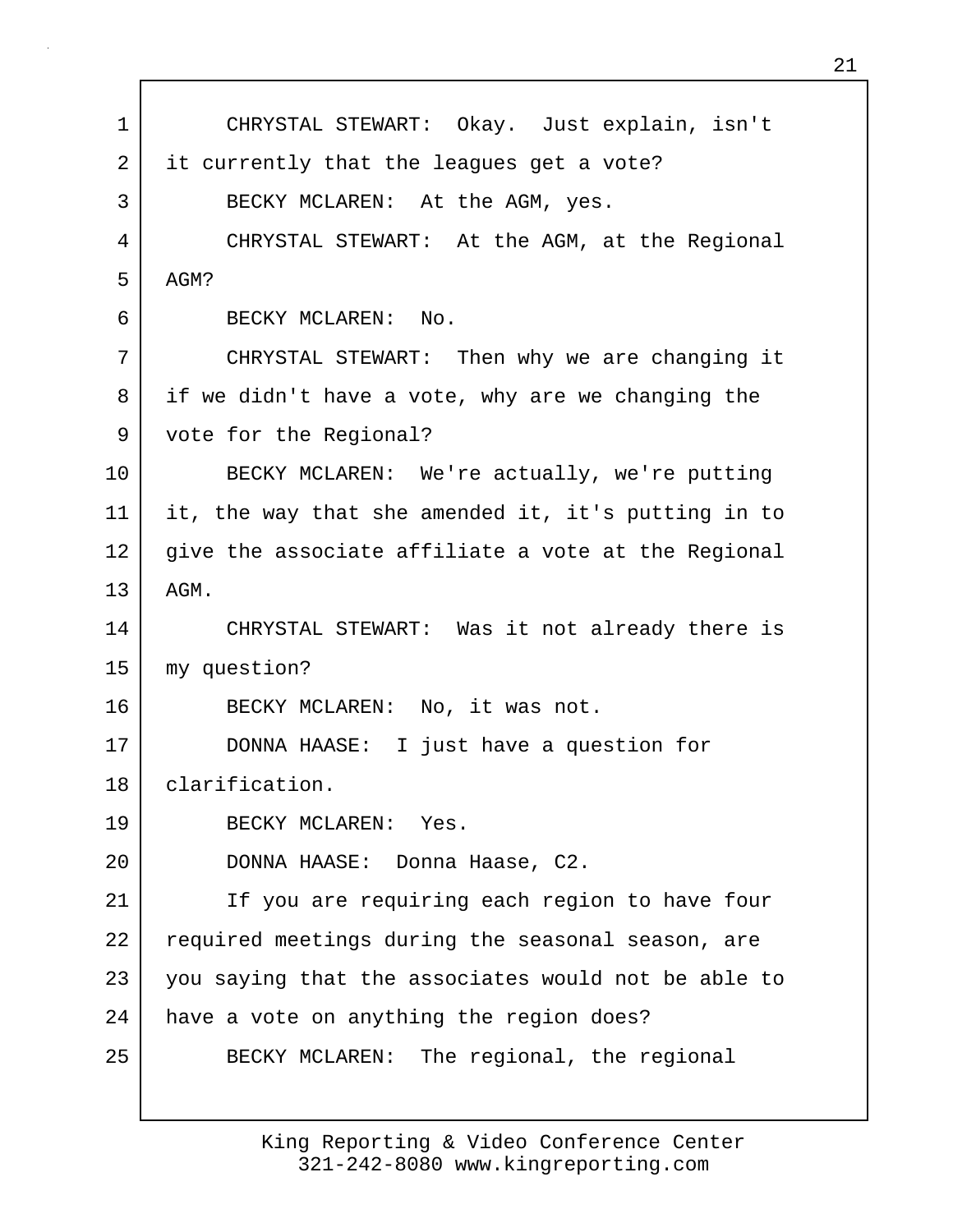1 CHRYSTAL STEWART: Okay. Just explain, isn't 2 it currently that the leagues get a vote? 3 BECKY MCLAREN: At the AGM, yes. 4 CHRYSTAL STEWART: At the AGM, at the Regional  $5$  AGM? 6 BECKY MCLAREN: No. 7 CHRYSTAL STEWART: Then why we are changing it 8 if we didn't have a vote, why are we changing the 9 vote for the Regional? 10 BECKY MCLAREN: We're actually, we're putting 11 it, the way that she amended it, it's putting in to 12 give the associate affiliate a vote at the Regional 13 AGM. 14 CHRYSTAL STEWART: Was it not already there is 15 my question? 16 BECKY MCLAREN: No, it was not. 17 DONNA HAASE: I just have a question for 18 clarification. 19 BECKY MCLAREN: Yes. 20 DONNA HAASE: Donna Haase, C2. 21 | If you are requiring each region to have four 22 required meetings during the seasonal season, are 23 you saying that the associates would not be able to 24 | have a vote on anything the region does? 25 BECKY MCLAREN: The regional, the regional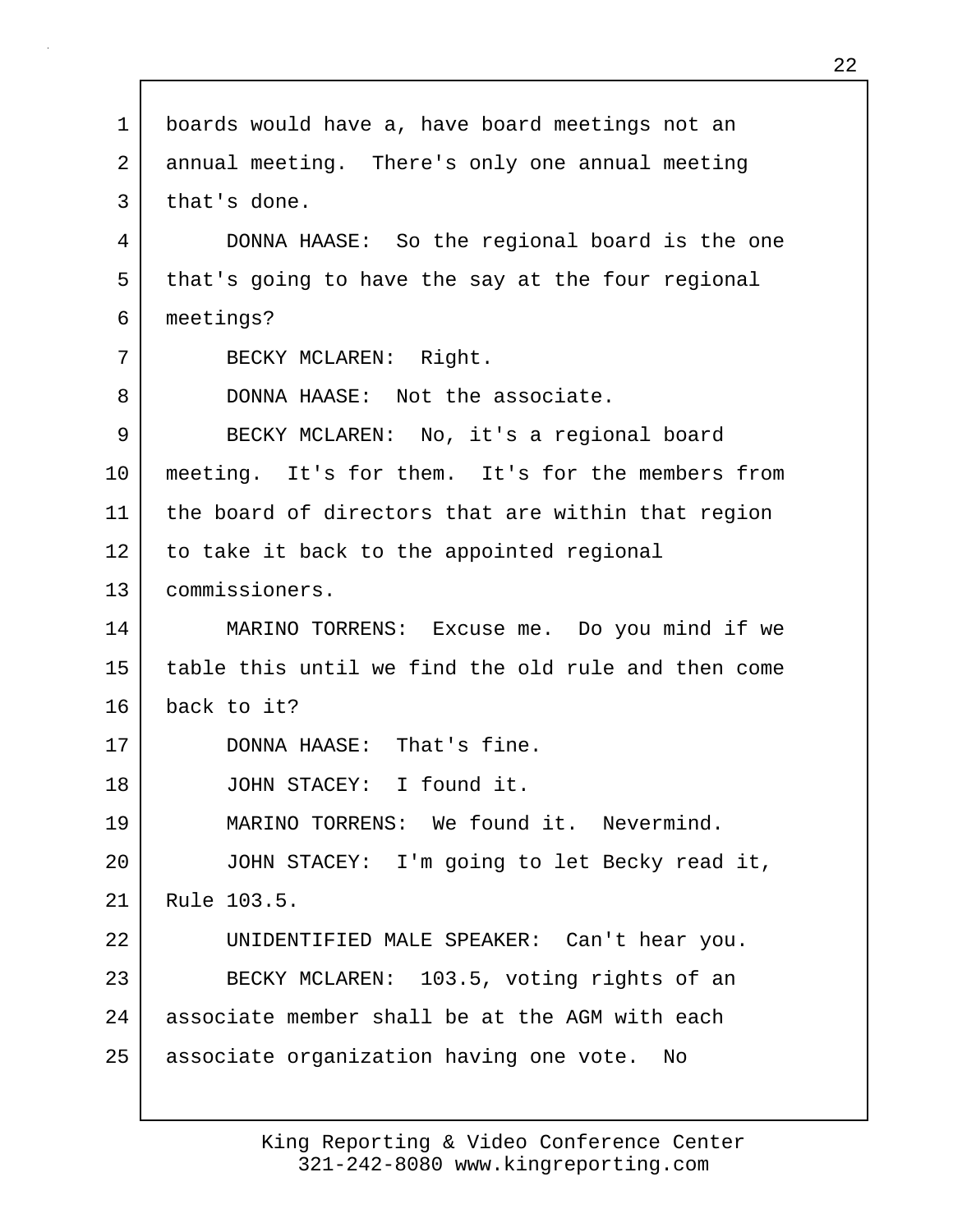| 1  | boards would have a, have board meetings not an     |
|----|-----------------------------------------------------|
| 2  | annual meeting. There's only one annual meeting     |
| 3  | that's done.                                        |
| 4  | DONNA HAASE: So the regional board is the one       |
| 5  | that's going to have the say at the four regional   |
| 6  | meetings?                                           |
| 7  | BECKY MCLAREN: Right.                               |
| 8  | DONNA HAASE: Not the associate.                     |
| 9  | BECKY MCLAREN: No, it's a regional board            |
| 10 | meeting. It's for them. It's for the members from   |
| 11 | the board of directors that are within that region  |
| 12 | to take it back to the appointed regional           |
| 13 | commissioners.                                      |
| 14 | MARINO TORRENS: Excuse me. Do you mind if we        |
| 15 | table this until we find the old rule and then come |
| 16 | back to it?                                         |
| 17 | DONNA HAASE: That's fine.                           |
| 18 | JOHN STACEY: I found it.                            |
| 19 | MARINO TORRENS: We found it. Nevermind.             |
| 20 | JOHN STACEY: I'm going to let Becky read it,        |
| 21 | Rule 103.5.                                         |
| 22 | UNIDENTIFIED MALE SPEAKER: Can't hear you.          |
| 23 | BECKY MCLAREN: 103.5, voting rights of an           |
| 24 | associate member shall be at the AGM with each      |
| 25 | associate organization having one vote.<br>No       |
|    |                                                     |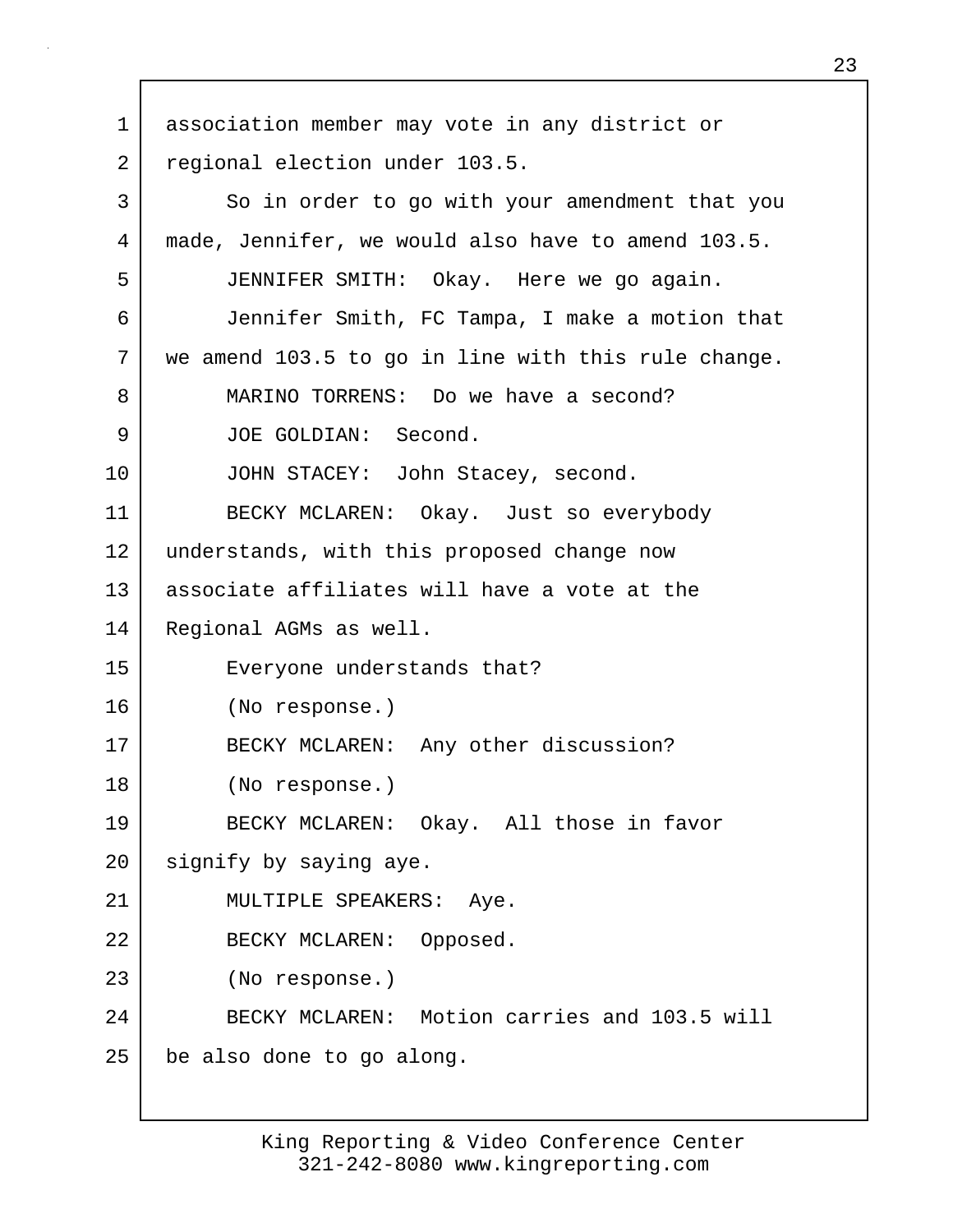1 association member may vote in any district or 2 regional election under 103.5. 3 So in order to go with your amendment that you 4 made, Jennifer, we would also have to amend 103.5. 5 JENNIFER SMITH: Okay. Here we go again. 6 Jennifer Smith, FC Tampa, I make a motion that 7 we amend 103.5 to go in line with this rule change. 8 MARINO TORRENS: Do we have a second? 9 JOE GOLDIAN: Second. 10 JOHN STACEY: John Stacey, second. 11 BECKY MCLAREN: Okay. Just so everybody 12 understands, with this proposed change now 13 associate affiliates will have a vote at the 14 Regional AGMs as well. 15 Everyone understands that? 16 (No response.) 17 BECKY MCLAREN: Any other discussion? 18 (No response.) 19 BECKY MCLAREN: Okay. All those in favor 20 | signify by saying aye. 21 | MULTIPLE SPEAKERS: Aye. 22 BECKY MCLAREN: Opposed. 23 (No response.) 24 BECKY MCLAREN: Motion carries and 103.5 will 25 be also done to go along.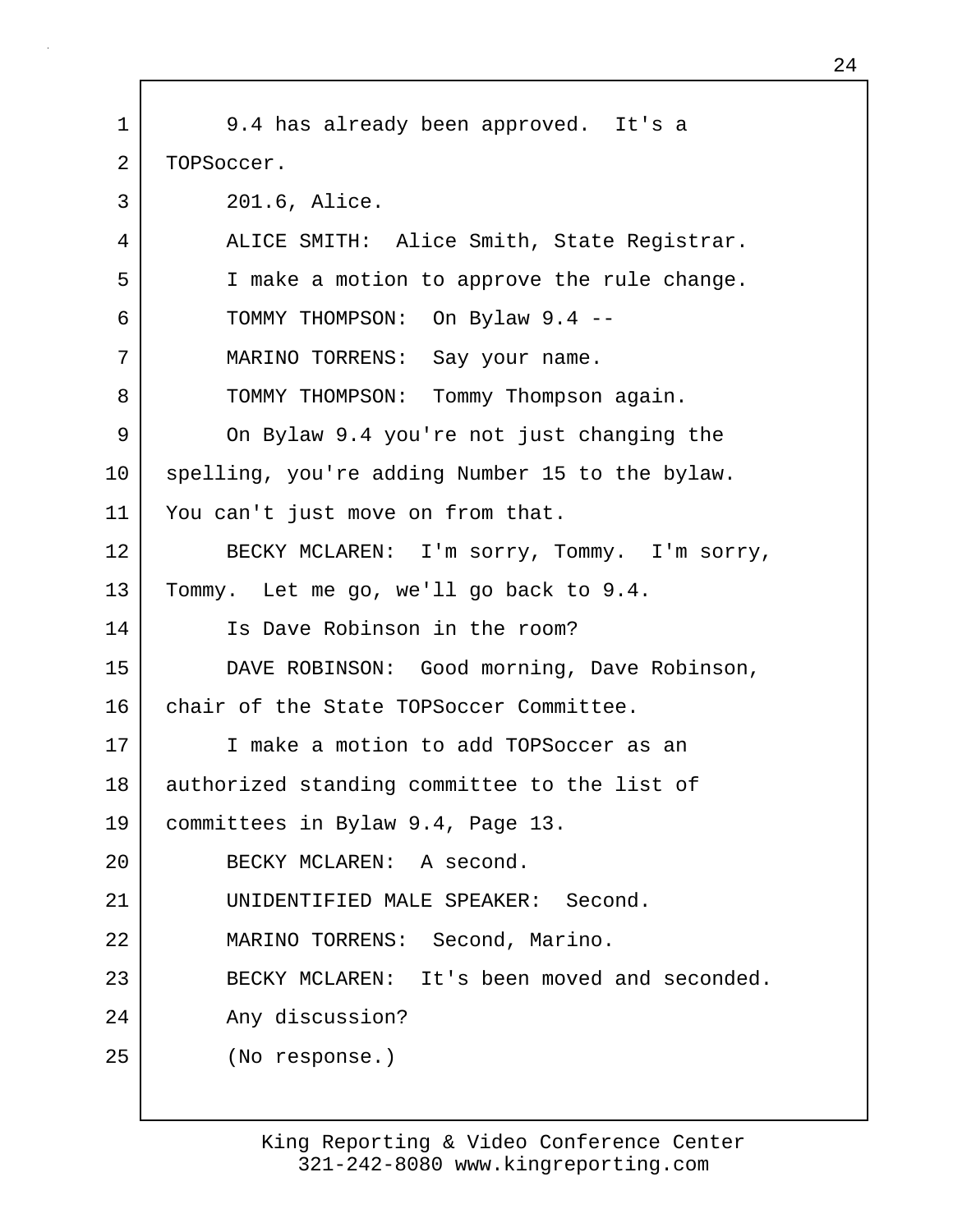1 9.4 has already been approved. It's a 2 | TOPSoccer. 3 201.6, Alice. 4 | ALICE SMITH: Alice Smith, State Registrar. 5 I make a motion to approve the rule change. 6 TOMMY THOMPSON: On Bylaw 9.4 -- 7 | MARINO TORRENS: Say your name. 8 | TOMMY THOMPSON: Tommy Thompson again. 9 On Bylaw 9.4 you're not just changing the 10 | spelling, you're adding Number 15 to the bylaw. 11 | You can't just move on from that. 12 BECKY MCLAREN: I'm sorry, Tommy. I'm sorry, 13 Tommy. Let me go, we'll go back to 9.4. 14 Is Dave Robinson in the room? 15 DAVE ROBINSON: Good morning, Dave Robinson, 16 chair of the State TOPSoccer Committee. 17 I make a motion to add TOPSoccer as an 18 | authorized standing committee to the list of 19 committees in Bylaw 9.4, Page 13. 20 BECKY MCLAREN: A second. 21 UNIDENTIFIED MALE SPEAKER: Second. 22 MARINO TORRENS: Second, Marino. 23 BECKY MCLAREN: It's been moved and seconded. 24 Any discussion? 25 (No response.)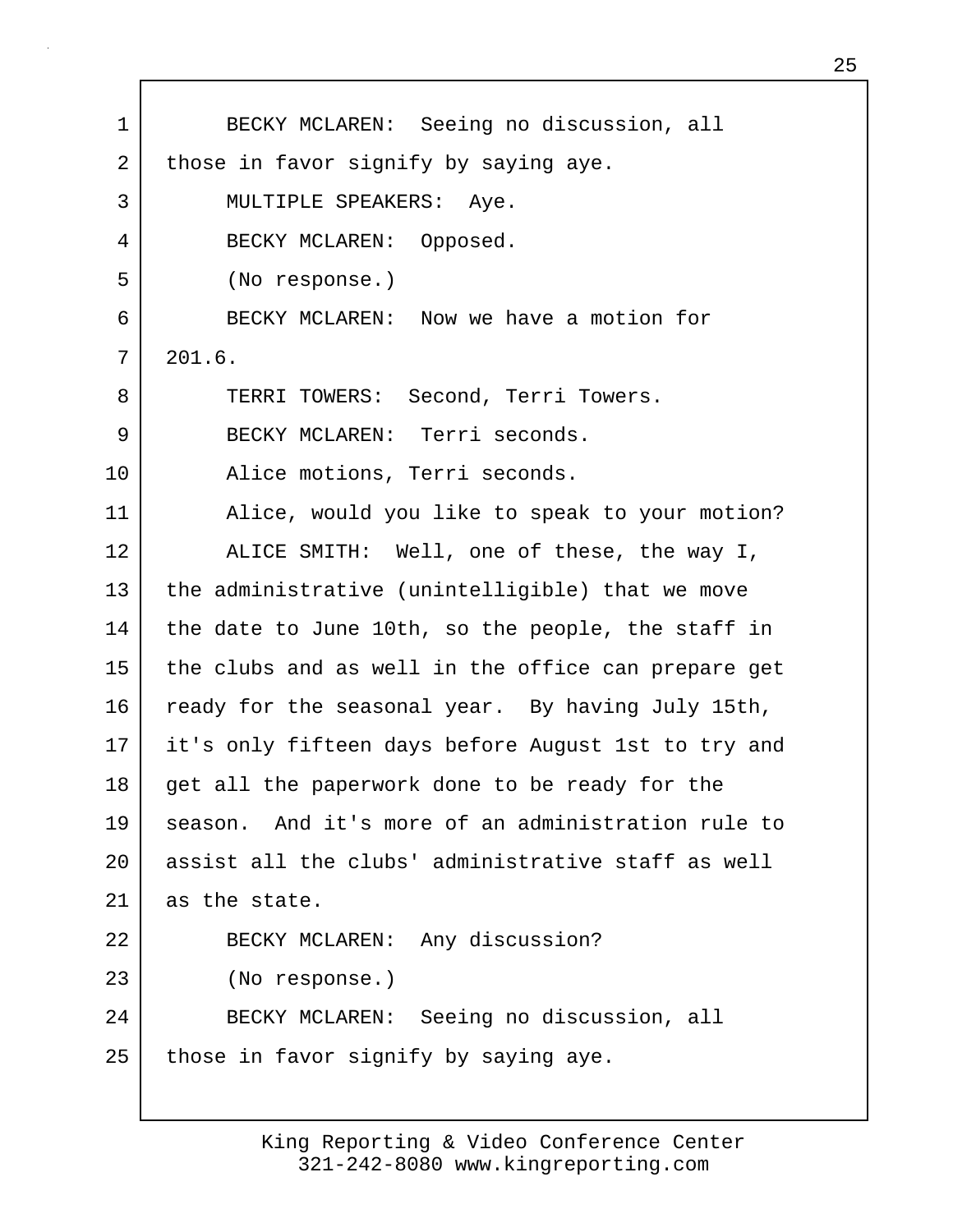1 BECKY MCLAREN: Seeing no discussion, all 2 those in favor signify by saying aye. 3 MULTIPLE SPEAKERS: Aye. 4 BECKY MCLAREN: Opposed. 5 (No response.) 6 BECKY MCLAREN: Now we have a motion for  $7 \mid 201.6$ . 8 TERRI TOWERS: Second, Terri Towers. 9 BECKY MCLAREN: Terri seconds. 10 Alice motions, Terri seconds. 11 Alice, would you like to speak to your motion? 12 ALICE SMITH: Well, one of these, the way I, 13 the administrative (unintelligible) that we move 14 the date to June 10th, so the people, the staff in 15 the clubs and as well in the office can prepare get 16 ready for the seasonal year. By having July 15th, 17 it's only fifteen days before August 1st to try and 18 get all the paperwork done to be ready for the 19 season. And it's more of an administration rule to 20 assist all the clubs' administrative staff as well 21 as the state. 22 BECKY MCLAREN: Any discussion? 23 (No response.) 24 BECKY MCLAREN: Seeing no discussion, all  $25$  those in favor signify by saying aye.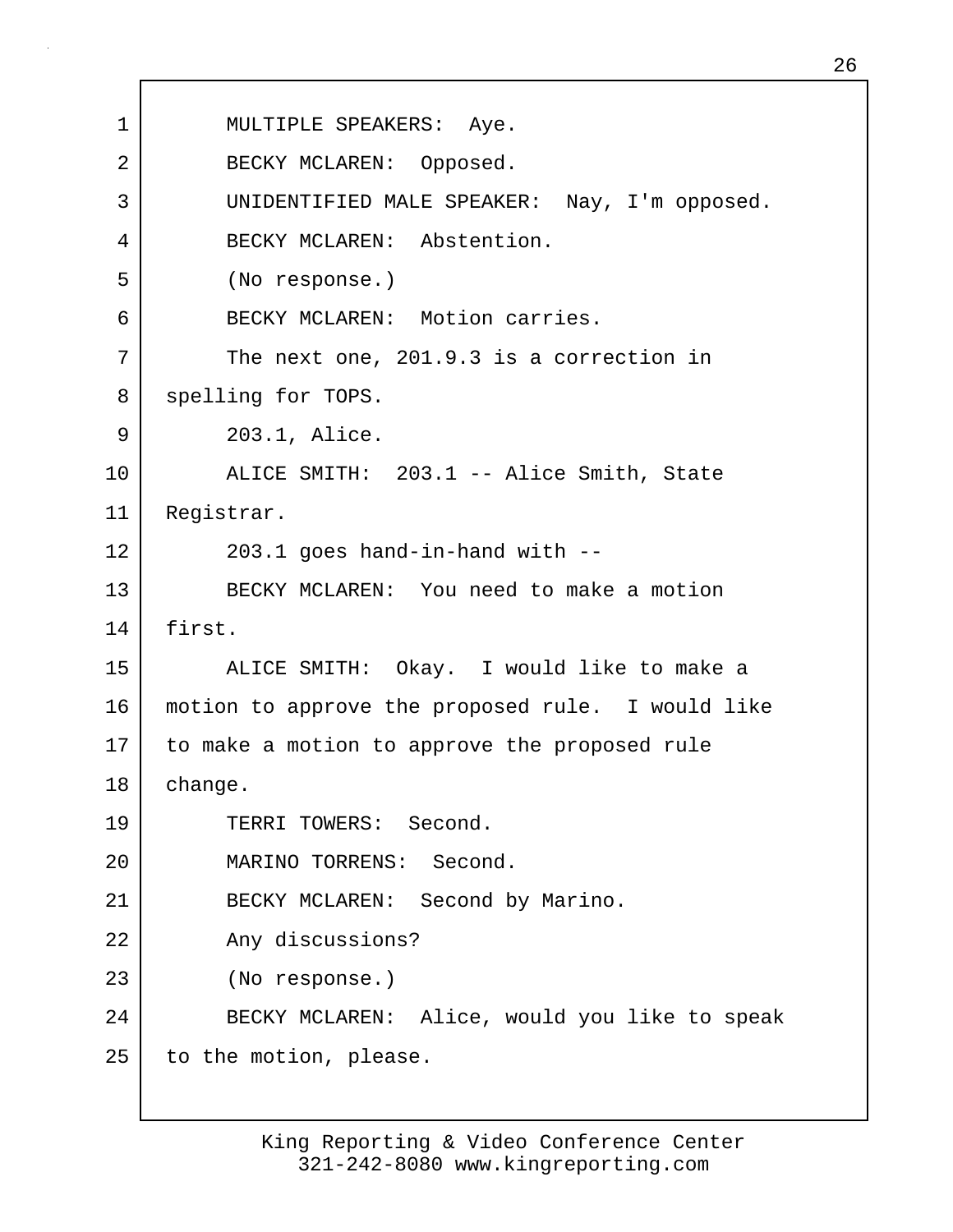1 | MULTIPLE SPEAKERS: Aye. 2 BECKY MCLAREN: Opposed. 3 UNIDENTIFIED MALE SPEAKER: Nay, I'm opposed. 4 BECKY MCLAREN: Abstention. 5 (No response.) 6 BECKY MCLAREN: Motion carries. 7 The next one, 201.9.3 is a correction in 8 spelling for TOPS. 9 203.1, Alice. 10 ALICE SMITH: 203.1 -- Alice Smith, State 11 Registrar.  $12$   $203.1$  goes hand-in-hand with  $-$ 13 BECKY MCLAREN: You need to make a motion 14 first. 15 ALICE SMITH: Okay. I would like to make a 16 motion to approve the proposed rule. I would like 17 to make a motion to approve the proposed rule 18 change. 19 TERRI TOWERS: Second. 20 MARINO TORRENS: Second. 21 | BECKY MCLAREN: Second by Marino. 22 Any discussions? 23 (No response.) 24 BECKY MCLAREN: Alice, would you like to speak 25 to the motion, please.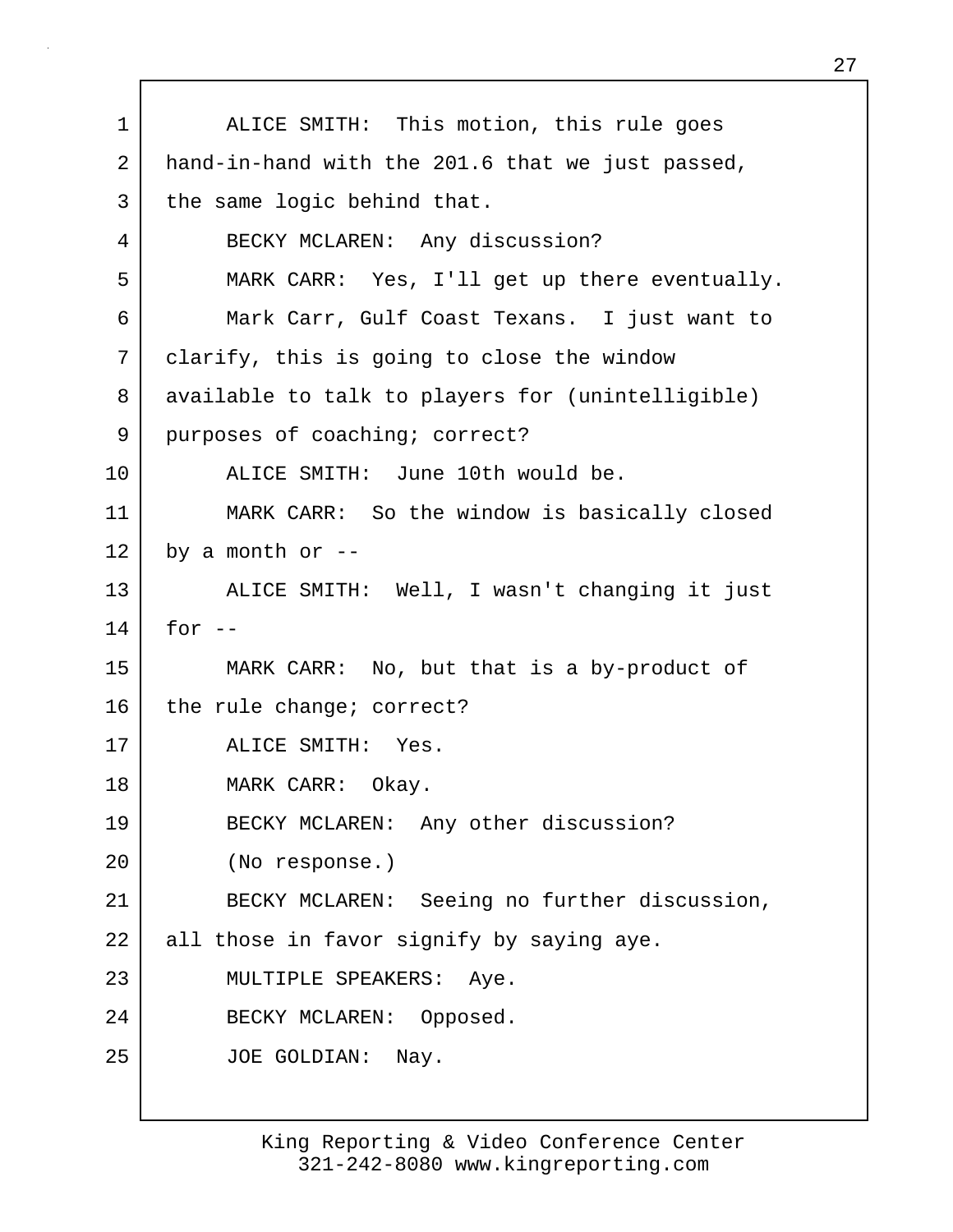1 ALICE SMITH: This motion, this rule goes 2 hand-in-hand with the 201.6 that we just passed, 3 the same logic behind that. 4 BECKY MCLAREN: Any discussion? 5 MARK CARR: Yes, I'll get up there eventually. 6 Mark Carr, Gulf Coast Texans. I just want to 7 clarify, this is going to close the window 8 available to talk to players for (unintelligible) 9 purposes of coaching; correct? 10 ALICE SMITH: June 10th would be. 11 MARK CARR: So the window is basically closed  $12$  by a month or  $-$ 13 ALICE SMITH: Well, I wasn't changing it just  $14$  for  $-$ 15 MARK CARR: No, but that is a by-product of 16 the rule change; correct? 17 ALICE SMITH: Yes. 18 MARK CARR: Okay. 19 BECKY MCLAREN: Any other discussion? 20 (No response.) 21 BECKY MCLAREN: Seeing no further discussion, 22 all those in favor signify by saying aye. 23 MULTIPLE SPEAKERS: Aye. 24 BECKY MCLAREN: Opposed. 25 JOE GOLDIAN: Nay.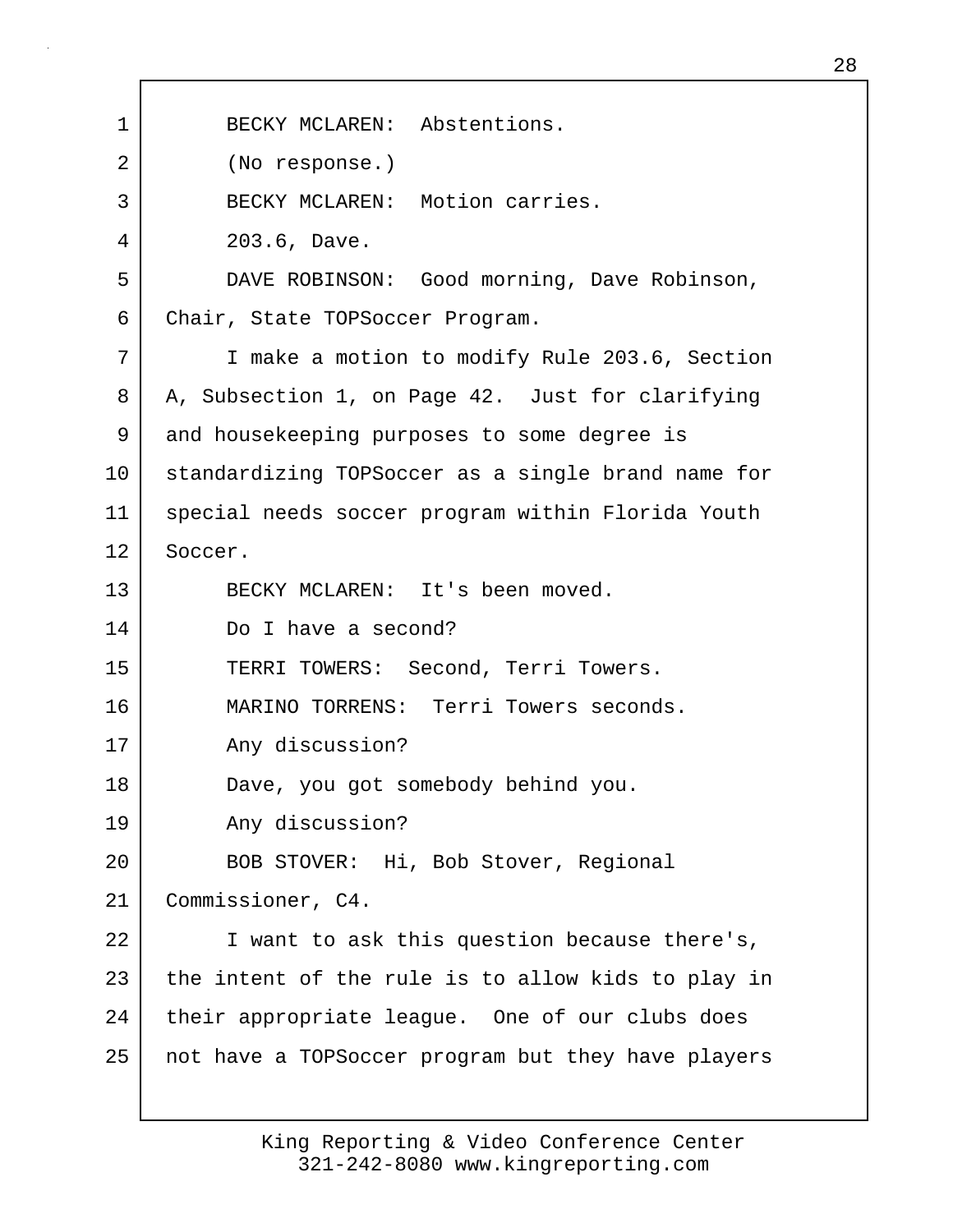| 1  | BECKY MCLAREN: Abstentions.                        |
|----|----------------------------------------------------|
| 2  | (No response.)                                     |
| 3  | BECKY MCLAREN: Motion carries.                     |
| 4  | 203.6, Dave.                                       |
| 5  | DAVE ROBINSON: Good morning, Dave Robinson,        |
| 6  | Chair, State TOPSoccer Program.                    |
| 7  | I make a motion to modify Rule 203.6, Section      |
| 8  | A, Subsection 1, on Page 42. Just for clarifying   |
| 9  | and housekeeping purposes to some degree is        |
| 10 | standardizing TOPSoccer as a single brand name for |
| 11 | special needs soccer program within Florida Youth  |
| 12 | Soccer.                                            |
| 13 | BECKY MCLAREN: It's been moved.                    |
| 14 | Do I have a second?                                |
| 15 | TERRI TOWERS: Second, Terri Towers.                |
| 16 | MARINO TORRENS: Terri Towers seconds.              |
| 17 | Any discussion?                                    |
| 18 | Dave, you got somebody behind you.                 |
| 19 | Any discussion?                                    |
| 20 | BOB STOVER: Hi, Bob Stover, Regional               |
| 21 | Commissioner, C4.                                  |
| 22 | I want to ask this question because there's,       |
| 23 | the intent of the rule is to allow kids to play in |
| 24 | their appropriate league. One of our clubs does    |
| 25 | not have a TOPSoccer program but they have players |
|    |                                                    |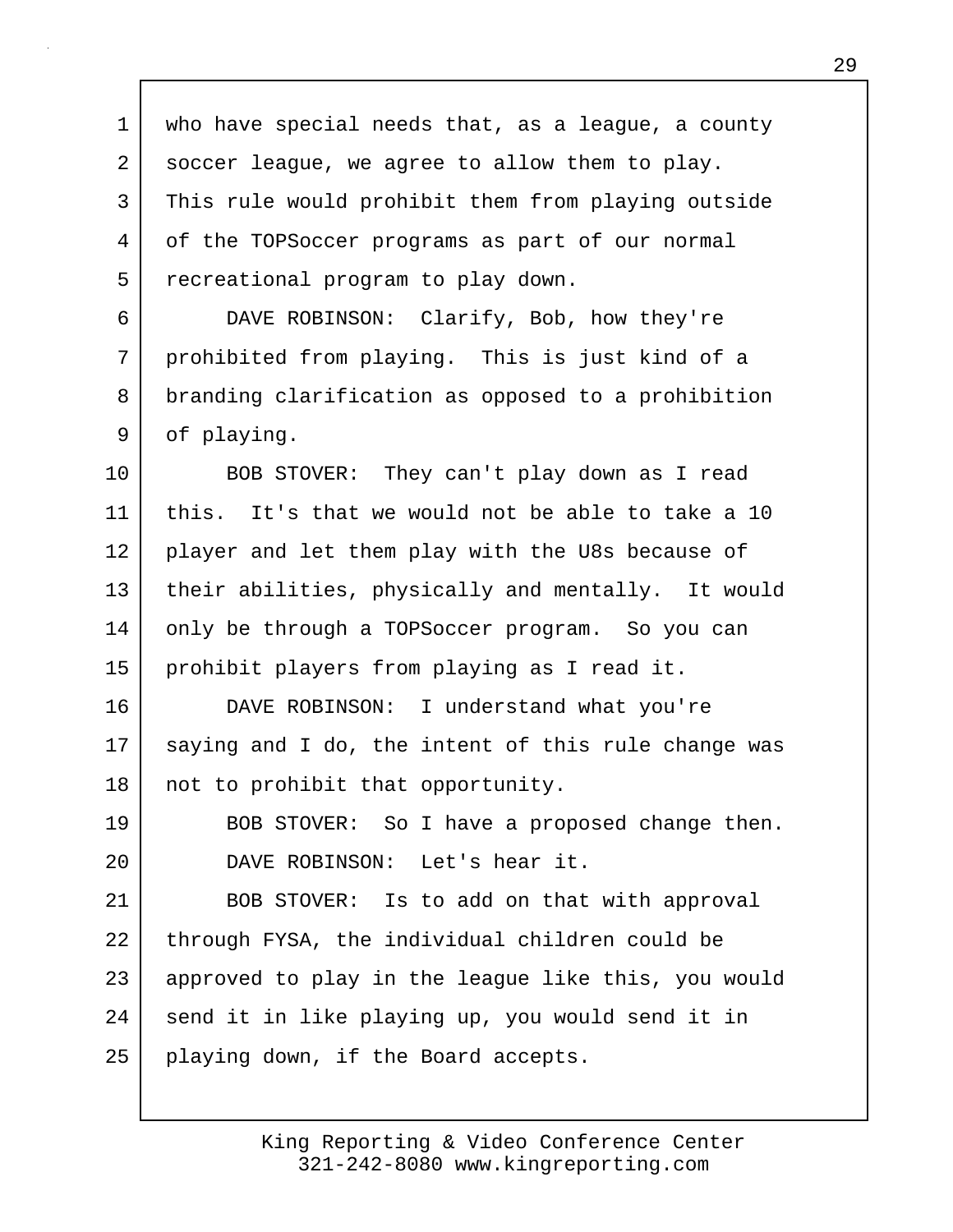1 who have special needs that, as a league, a county 2 soccer league, we agree to allow them to play. 3 This rule would prohibit them from playing outside 4 of the TOPSoccer programs as part of our normal 5 recreational program to play down. 6 DAVE ROBINSON: Clarify, Bob, how they're 7 prohibited from playing. This is just kind of a 8 | branding clarification as opposed to a prohibition 9 of playing. 10 BOB STOVER: They can't play down as I read 11 this. It's that we would not be able to take a 10 12 player and let them play with the U8s because of 13 their abilities, physically and mentally. It would 14 only be through a TOPSoccer program. So you can 15 prohibit players from playing as I read it. 16 DAVE ROBINSON: I understand what you're 17 saying and I do, the intent of this rule change was 18 | not to prohibit that opportunity. 19 BOB STOVER: So I have a proposed change then. 20 DAVE ROBINSON: Let's hear it. 21 BOB STOVER: Is to add on that with approval 22 through FYSA, the individual children could be 23 approved to play in the league like this, you would 24 send it in like playing up, you would send it in 25 playing down, if the Board accepts.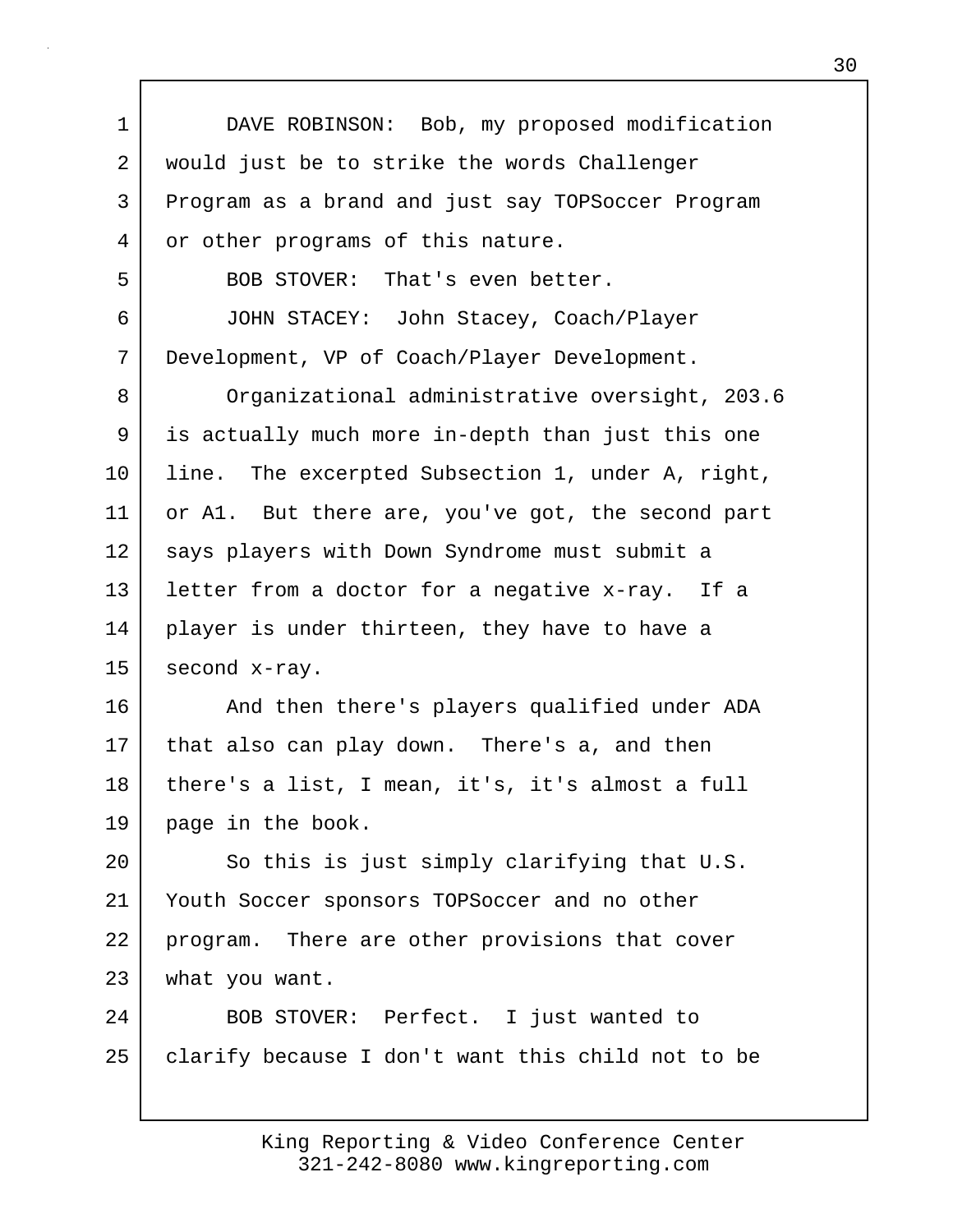1 DAVE ROBINSON: Bob, my proposed modification 2 would just be to strike the words Challenger 3 Program as a brand and just say TOPSoccer Program 4 or other programs of this nature. 5 BOB STOVER: That's even better. 6 JOHN STACEY: John Stacey, Coach/Player 7 Development, VP of Coach/Player Development. 8 Organizational administrative oversight, 203.6 9 is actually much more in-depth than just this one 10 line. The excerpted Subsection 1, under A, right, 11 or A1. But there are, you've got, the second part 12 | says players with Down Syndrome must submit a 13 letter from a doctor for a negative x-ray. If a 14 player is under thirteen, they have to have a 15 second x-ray. 16 | And then there's players qualified under ADA 17 that also can play down. There's a, and then 18 | there's a list, I mean, it's, it's almost a full 19 page in the book. 20 So this is just simply clarifying that U.S. 21 Youth Soccer sponsors TOPSoccer and no other 22 | program. There are other provisions that cover 23 what you want. 24 BOB STOVER: Perfect. I just wanted to 25 | clarify because I don't want this child not to be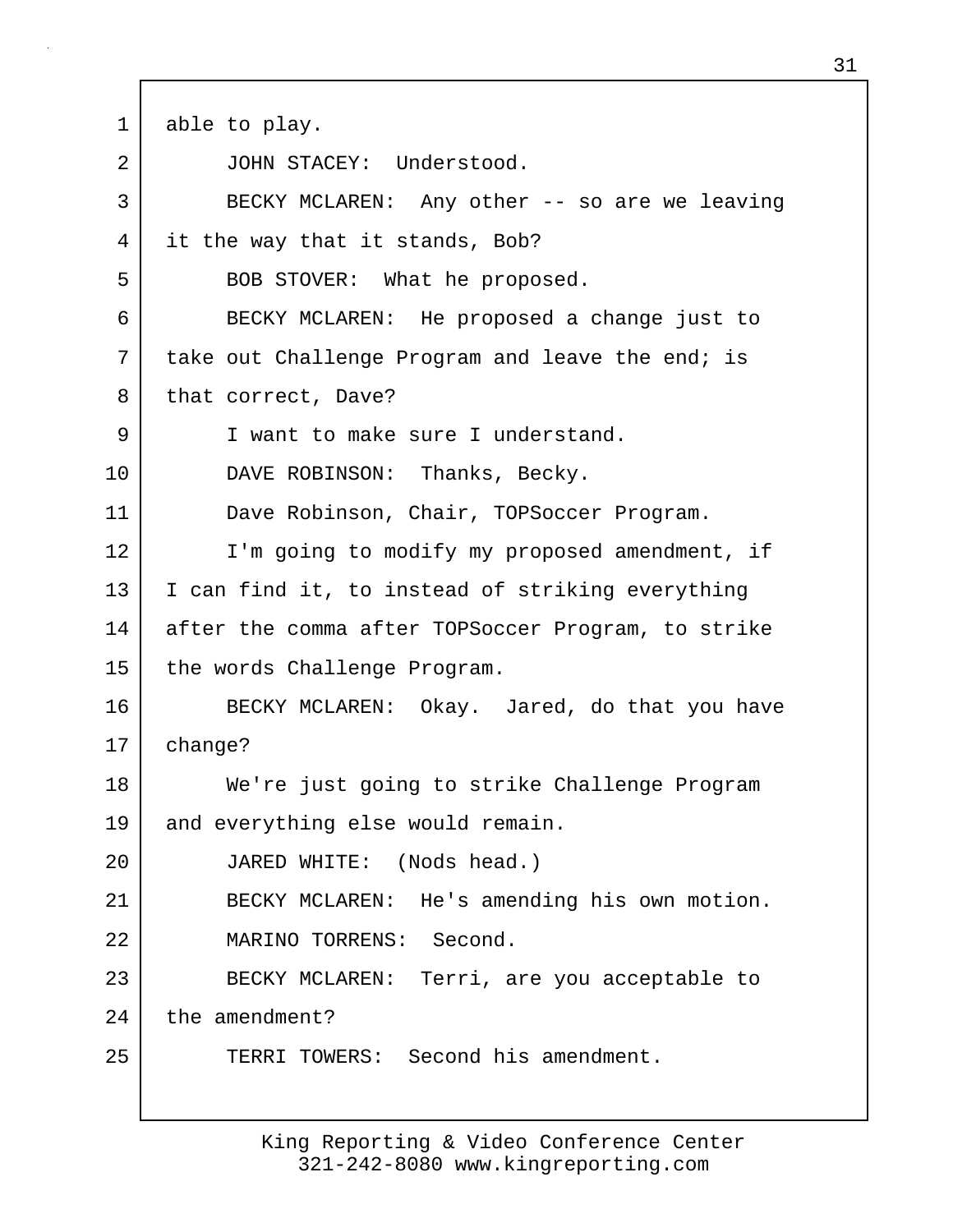1 able to play. 2 JOHN STACEY: Understood. 3 BECKY MCLAREN: Any other -- so are we leaving 4 it the way that it stands, Bob? 5 BOB STOVER: What he proposed. 6 BECKY MCLAREN: He proposed a change just to 7 | take out Challenge Program and leave the end; is 8 that correct, Dave? 9 I vant to make sure I understand. 10 DAVE ROBINSON: Thanks, Becky. 11 Dave Robinson, Chair, TOPSoccer Program. 12 I'm going to modify my proposed amendment, if 13 I can find it, to instead of striking everything 14 after the comma after TOPSoccer Program, to strike 15 the words Challenge Program. 16 BECKY MCLAREN: Okay. Jared, do that you have 17 change? 18 We're just going to strike Challenge Program 19 and everything else would remain. 20 JARED WHITE: (Nods head.) 21 BECKY MCLAREN: He's amending his own motion. 22 MARINO TORRENS: Second. 23 BECKY MCLAREN: Terri, are you acceptable to 24 the amendment? 25 TERRI TOWERS: Second his amendment.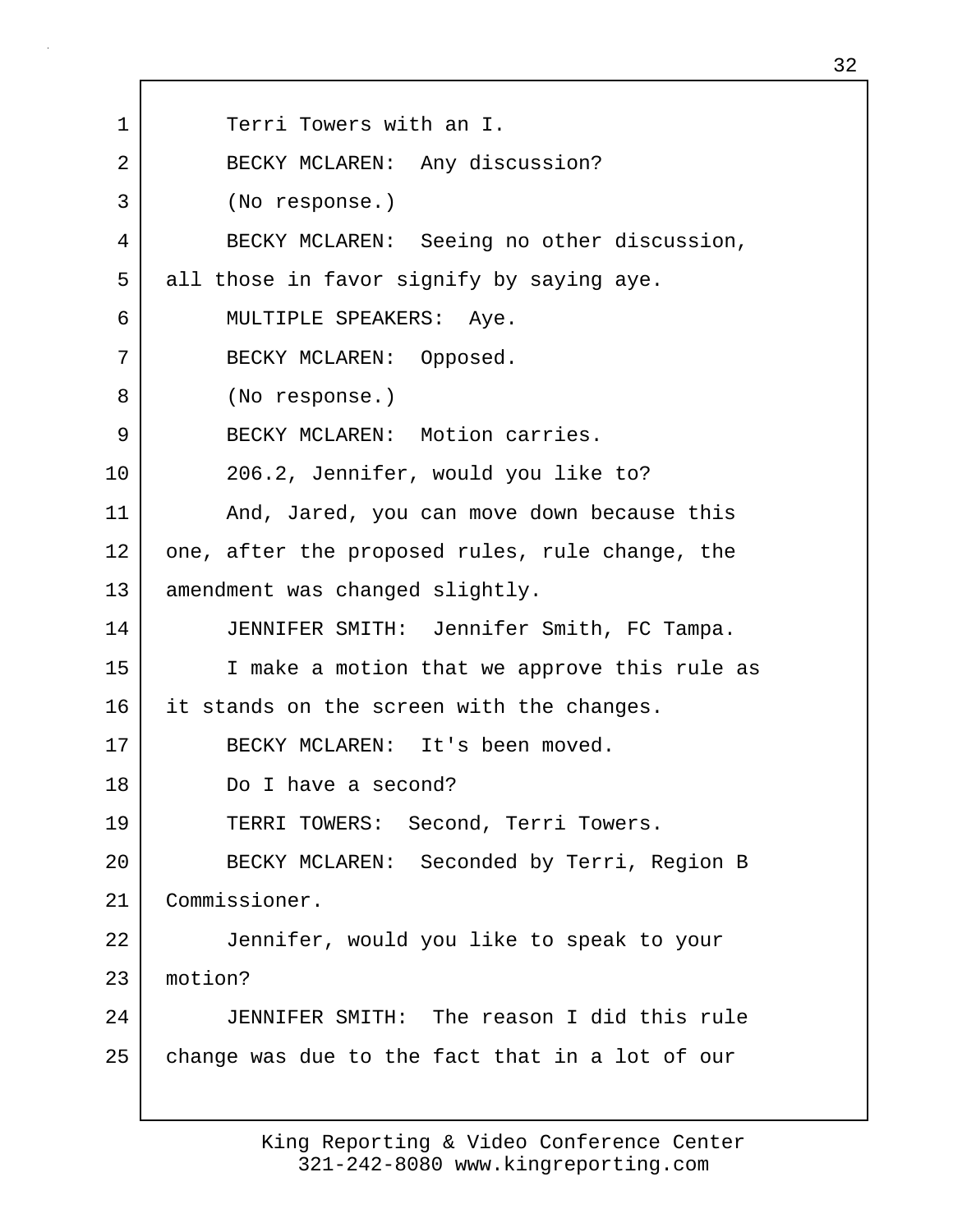1 Terri Towers with an I. 2 BECKY MCLAREN: Any discussion? 3 (No response.) 4 BECKY MCLAREN: Seeing no other discussion, 5 all those in favor signify by saying aye. 6 MULTIPLE SPEAKERS: Aye. 7 BECKY MCLAREN: Opposed. 8 (No response.) 9 BECKY MCLAREN: Motion carries. 10 206.2, Jennifer, would you like to? 11 | And, Jared, you can move down because this 12 one, after the proposed rules, rule change, the 13 amendment was changed slightly. 14 JENNIFER SMITH: Jennifer Smith, FC Tampa. 15 I make a motion that we approve this rule as 16 it stands on the screen with the changes. 17 BECKY MCLAREN: It's been moved. 18 Do I have a second? 19 TERRI TOWERS: Second, Terri Towers. 20 BECKY MCLAREN: Seconded by Terri, Region B 21 Commissioner. 22 Jennifer, would you like to speak to your 23 motion? 24 JENNIFER SMITH: The reason I did this rule 25 change was due to the fact that in a lot of our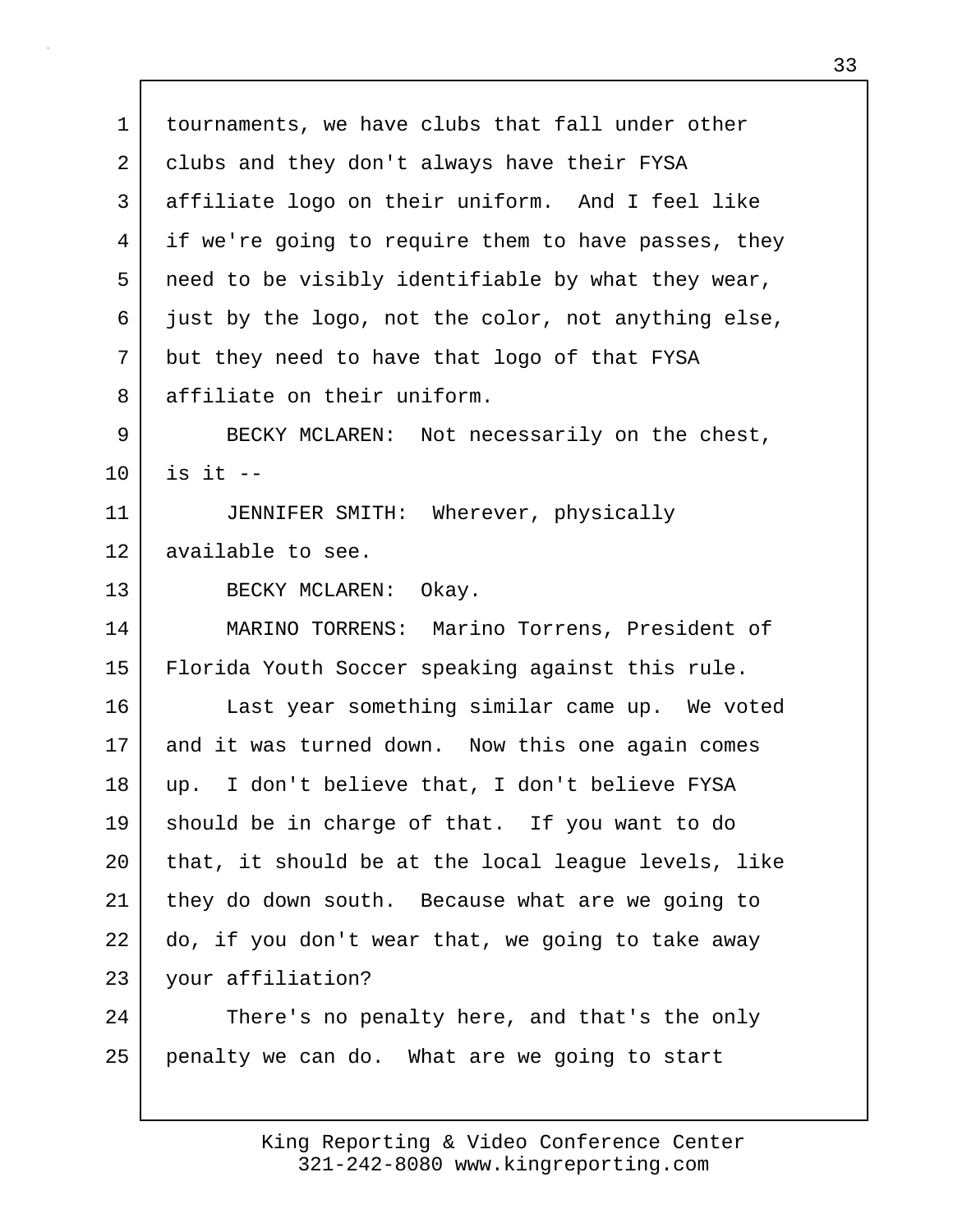1 tournaments, we have clubs that fall under other 2 clubs and they don't always have their FYSA 3 affiliate logo on their uniform. And I feel like 4 if we're going to require them to have passes, they 5 need to be visibly identifiable by what they wear, 6 just by the logo, not the color, not anything else, 7 but they need to have that logo of that FYSA 8 affiliate on their uniform. 9 BECKY MCLAREN: Not necessarily on the chest, 10 is it -- 11 JENNIFER SMITH: Wherever, physically 12 available to see. 13 BECKY MCLAREN: Okay. 14 MARINO TORRENS: Marino Torrens, President of 15 Florida Youth Soccer speaking against this rule. 16 Last year something similar came up. We voted 17 and it was turned down. Now this one again comes 18 up. I don't believe that, I don't believe FYSA 19 should be in charge of that. If you want to do 20 | that, it should be at the local league levels, like 21 they do down south. Because what are we going to 22 do, if you don't wear that, we going to take away 23 your affiliation? 24 There's no penalty here, and that's the only 25 penalty we can do. What are we going to start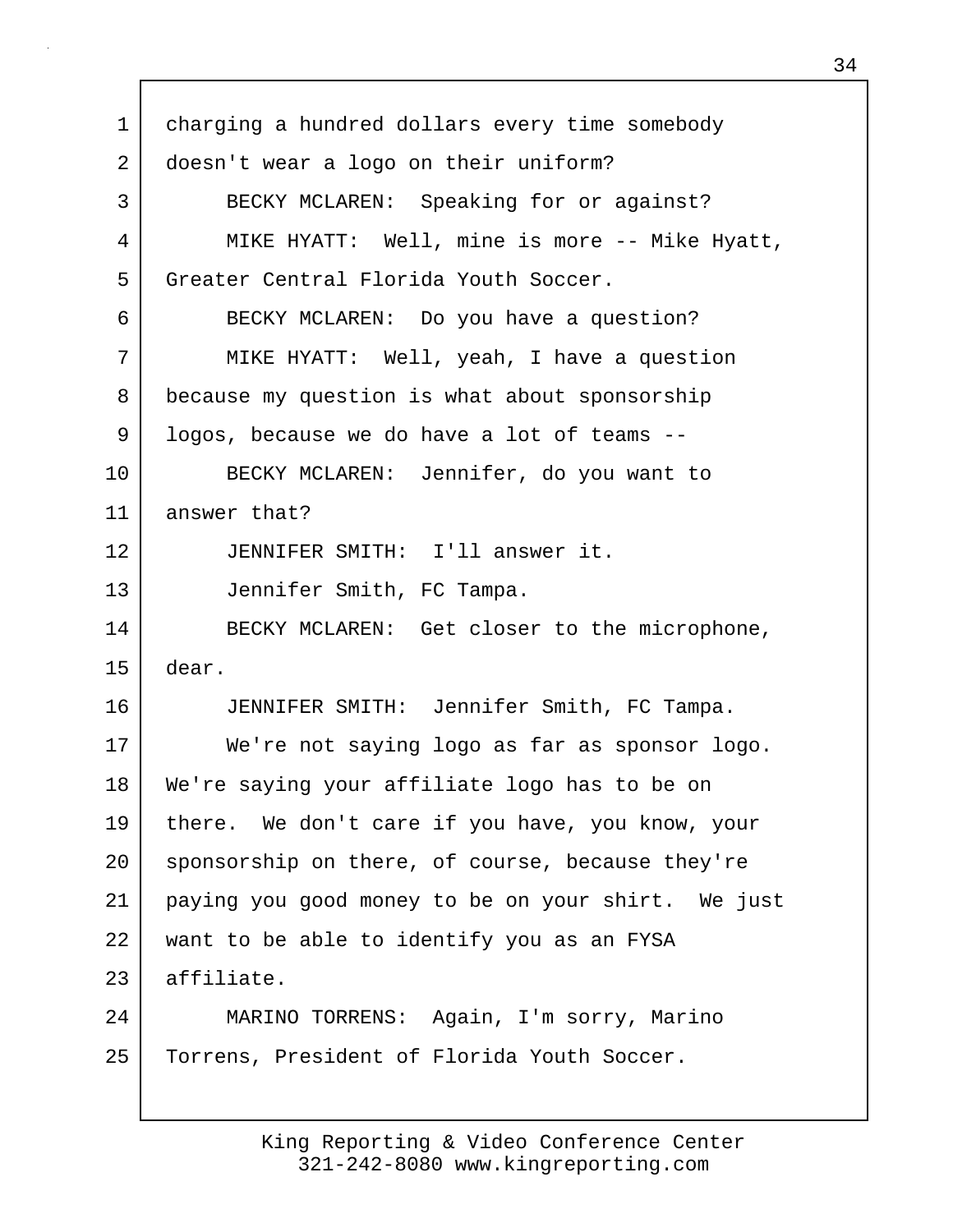1 | charging a hundred dollars every time somebody 2 doesn't wear a logo on their uniform? 3 BECKY MCLAREN: Speaking for or against? 4 | MIKE HYATT: Well, mine is more -- Mike Hyatt, 5 Greater Central Florida Youth Soccer. 6 BECKY MCLAREN: Do you have a question? 7 MIKE HYATT: Well, yeah, I have a question 8 because my question is what about sponsorship 9 | logos, because we do have a lot of teams --10 BECKY MCLAREN: Jennifer, do you want to 11 answer that? 12 JENNIFER SMITH: I'll answer it. 13 Jennifer Smith, FC Tampa. 14 BECKY MCLAREN: Get closer to the microphone, 15 dear. 16 JENNIFER SMITH: Jennifer Smith, FC Tampa. 17 | We're not saying logo as far as sponsor logo. 18 We're saying your affiliate logo has to be on 19 there. We don't care if you have, you know, your 20 sponsorship on there, of course, because they're 21 paying you good money to be on your shirt. We just 22 want to be able to identify you as an FYSA 23 affiliate. 24 MARINO TORRENS: Again, I'm sorry, Marino 25 | Torrens, President of Florida Youth Soccer.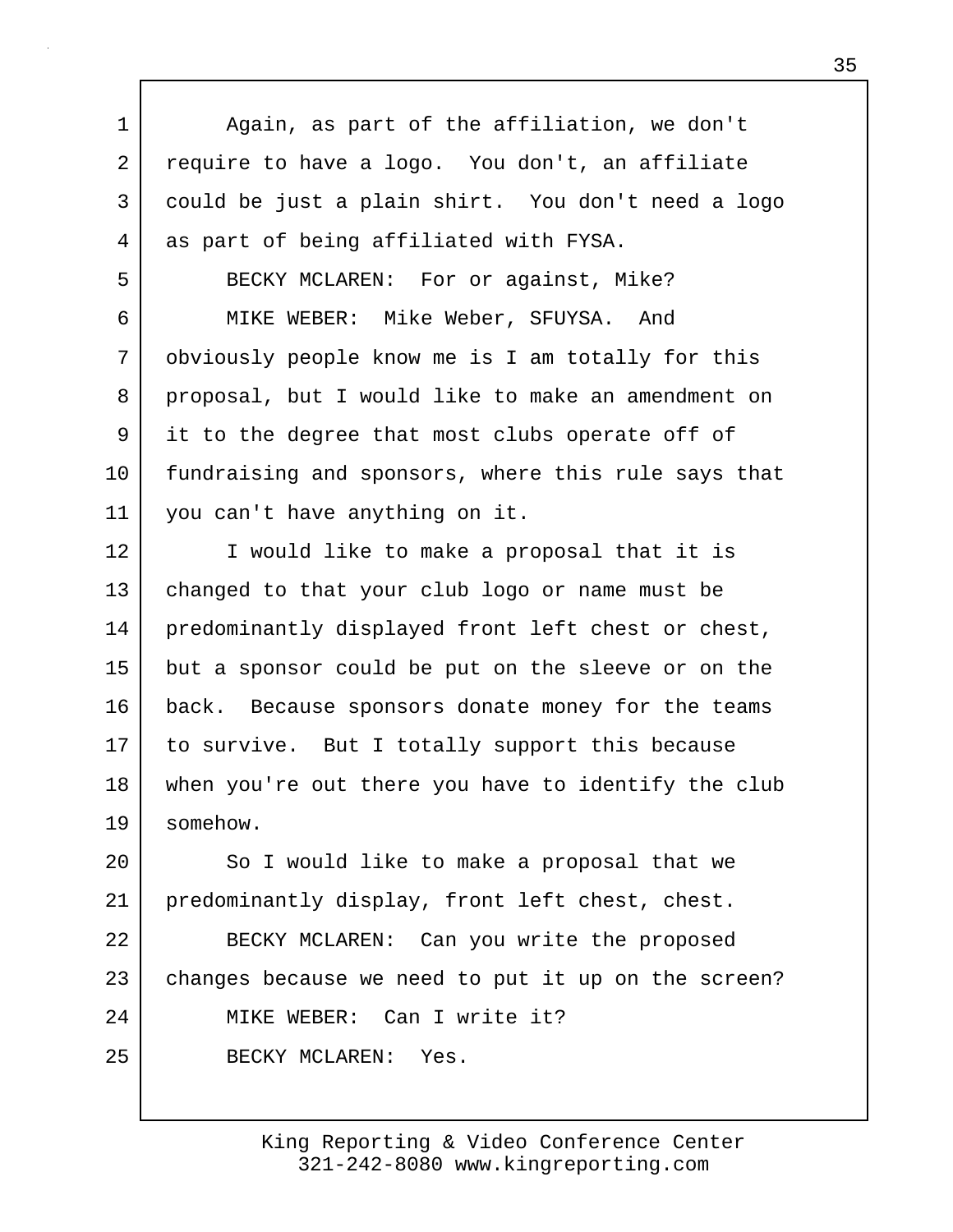1 | Again, as part of the affiliation, we don't 2 require to have a logo. You don't, an affiliate 3 could be just a plain shirt. You don't need a logo 4 as part of being affiliated with FYSA. 5 BECKY MCLAREN: For or against, Mike? 6 MIKE WEBER: Mike Weber, SFUYSA. And 7 obviously people know me is I am totally for this 8 proposal, but I would like to make an amendment on 9 it to the degree that most clubs operate off of 10 fundraising and sponsors, where this rule says that 11 you can't have anything on it. 12 I would like to make a proposal that it is 13 changed to that your club logo or name must be 14 | predominantly displayed front left chest or chest, 15 but a sponsor could be put on the sleeve or on the 16 back. Because sponsors donate money for the teams 17 to survive. But I totally support this because 18 when you're out there you have to identify the club 19 somehow. 20 So I would like to make a proposal that we 21 predominantly display, front left chest, chest. 22 BECKY MCLAREN: Can you write the proposed 23 changes because we need to put it up on the screen? 24 MIKE WEBER: Can I write it? 25 BECKY MCLAREN: Yes.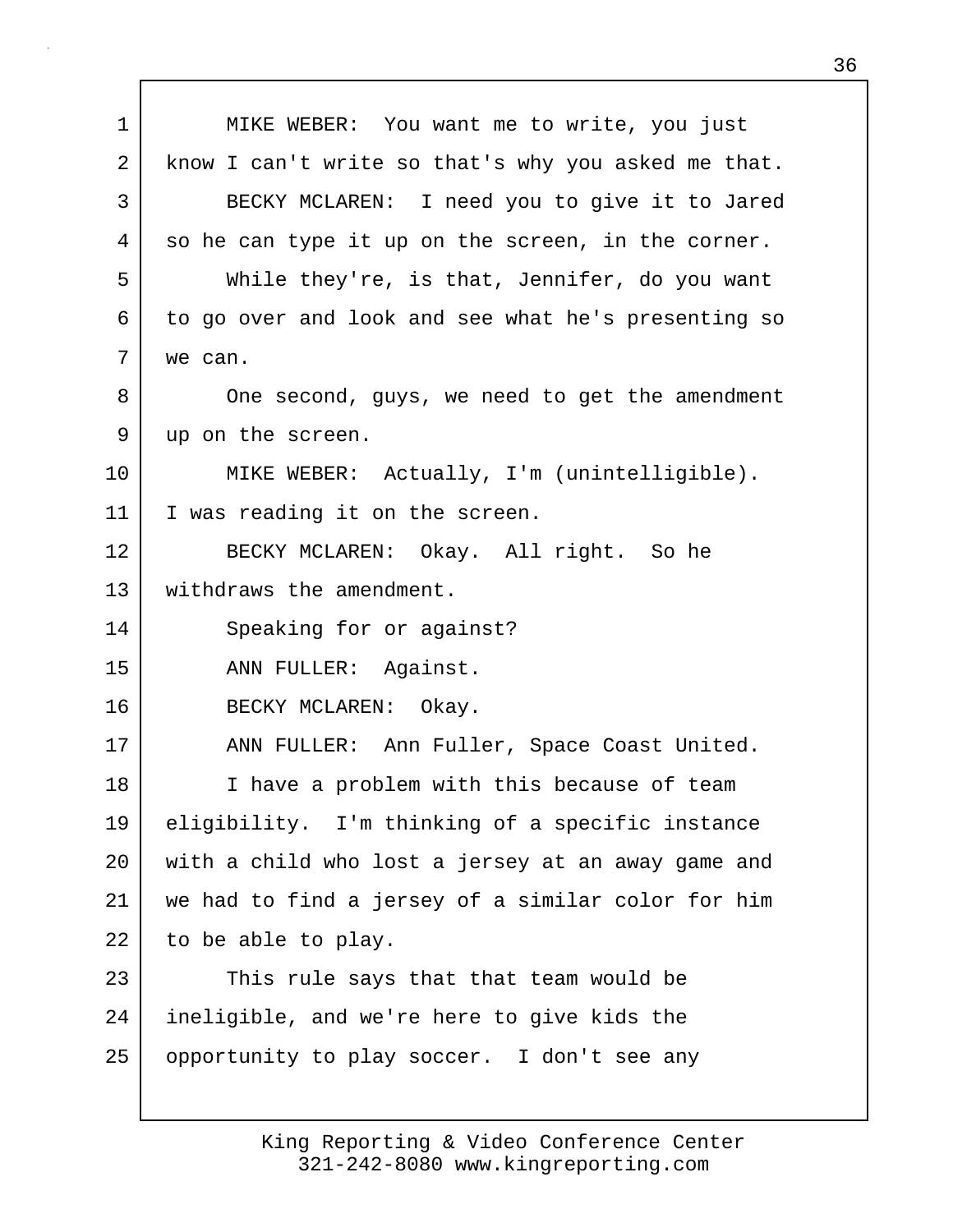| 1  | MIKE WEBER: You want me to write, you just          |
|----|-----------------------------------------------------|
| 2  | know I can't write so that's why you asked me that. |
| 3  | BECKY MCLAREN: I need you to give it to Jared       |
| 4  | so he can type it up on the screen, in the corner.  |
| 5  | While they're, is that, Jennifer, do you want       |
| 6  | to go over and look and see what he's presenting so |
| 7  | we can.                                             |
| 8  | One second, guys, we need to get the amendment      |
| 9  | up on the screen.                                   |
| 10 | MIKE WEBER: Actually, I'm (unintelligible).         |
| 11 | I was reading it on the screen.                     |
| 12 | BECKY MCLAREN: Okay. All right. So he               |
| 13 | withdraws the amendment.                            |
| 14 | Speaking for or against?                            |
| 15 | ANN FULLER: Against.                                |
| 16 | BECKY MCLAREN: Okay.                                |
| 17 | ANN FULLER: Ann Fuller, Space Coast United.         |
| 18 | I have a problem with this because of team          |
| 19 | eligibility. I'm thinking of a specific instance    |
| 20 | with a child who lost a jersey at an away game and  |
| 21 | we had to find a jersey of a similar color for him  |
| 22 | to be able to play.                                 |
| 23 | This rule says that that team would be              |
| 24 | ineligible, and we're here to give kids the         |
| 25 | opportunity to play soccer. I don't see any         |
|    |                                                     |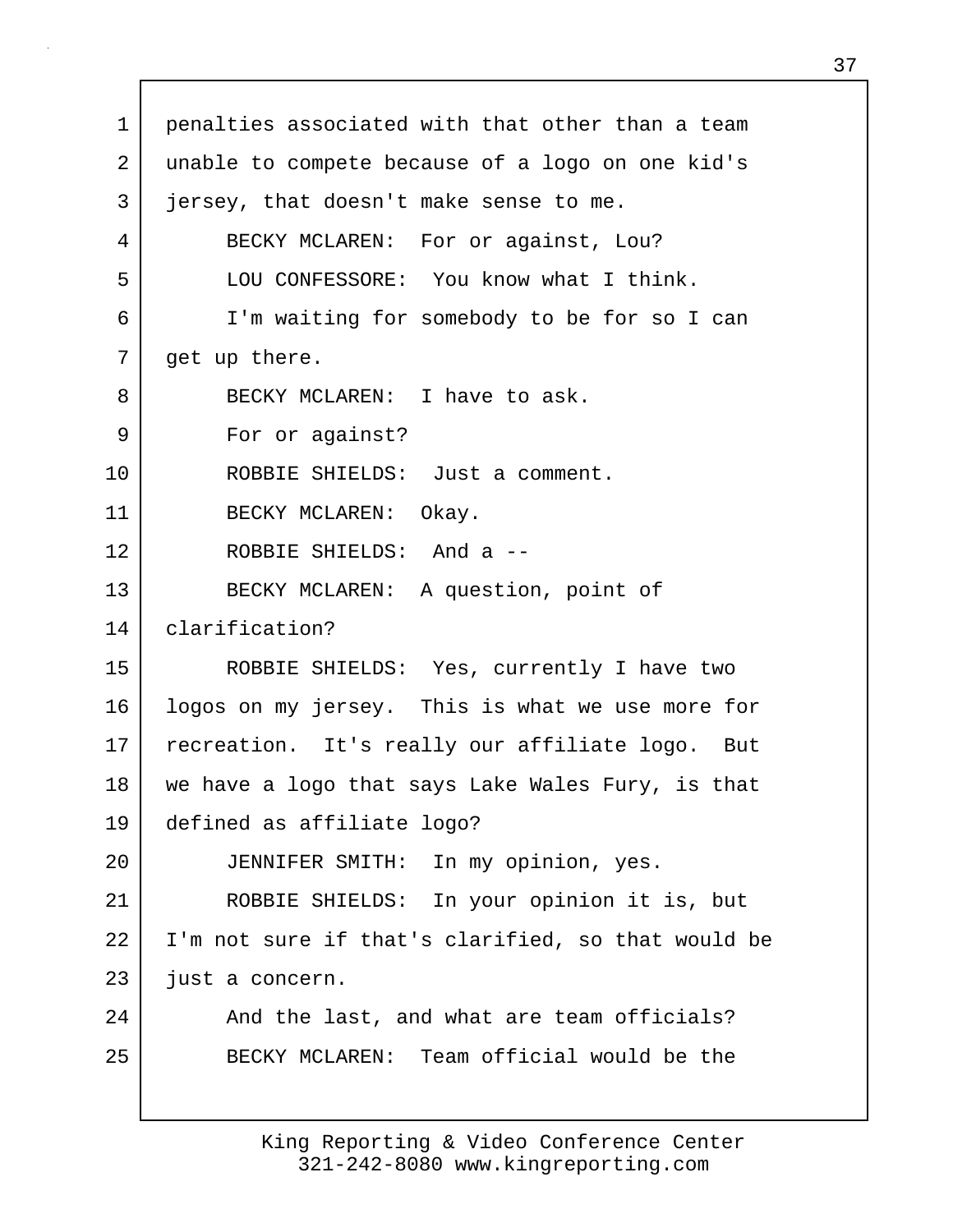1 penalties associated with that other than a team 2 unable to compete because of a logo on one kid's 3 jersey, that doesn't make sense to me. 4 BECKY MCLAREN: For or against, Lou? 5 LOU CONFESSORE: You know what I think. 6 I'm waiting for somebody to be for so I can 7 get up there. 8 BECKY MCLAREN: I have to ask. 9 For or against? 10 ROBBIE SHIELDS: Just a comment. 11 BECKY MCLAREN: Okay. 12 ROBBIE SHIELDS: And a -- 13 BECKY MCLAREN: A question, point of 14 clarification? 15 ROBBIE SHIELDS: Yes, currently I have two 16 logos on my jersey. This is what we use more for 17 recreation. It's really our affiliate logo. But 18 we have a logo that says Lake Wales Fury, is that 19 defined as affiliate logo? 20 JENNIFER SMITH: In my opinion, yes. 21 ROBBIE SHIELDS: In your opinion it is, but 22 I'm not sure if that's clarified, so that would be 23 just a concern. 24 | And the last, and what are team officials? 25 BECKY MCLAREN: Team official would be the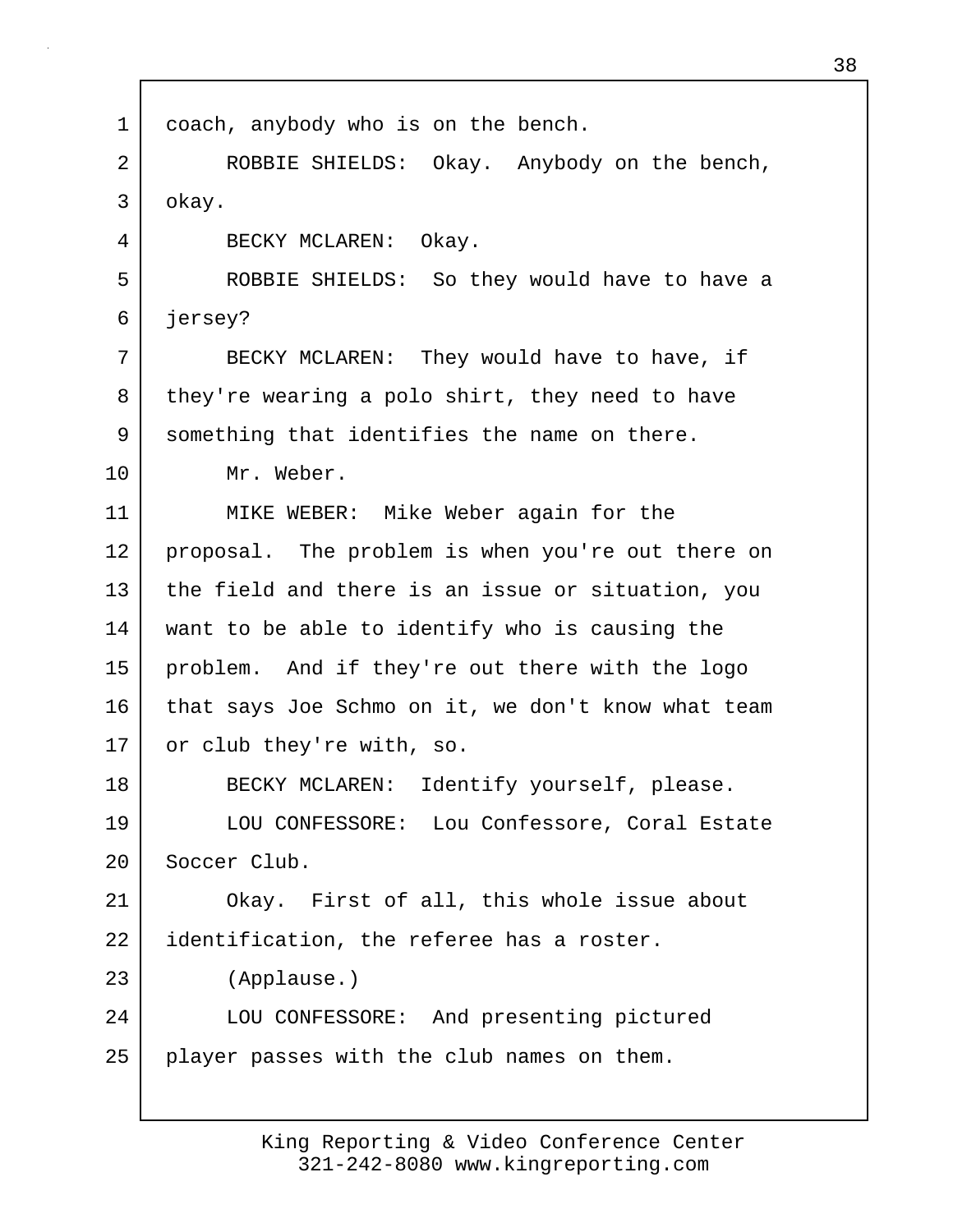| $\mathbf 1$ | coach, anybody who is on the bench.                |
|-------------|----------------------------------------------------|
| 2           | ROBBIE SHIELDS: Okay. Anybody on the bench,        |
| 3           | okay.                                              |
| 4           | BECKY MCLAREN: Okay.                               |
| 5           | ROBBIE SHIELDS: So they would have to have a       |
| 6           | jersey?                                            |
| 7           | BECKY MCLAREN: They would have to have, if         |
| 8           | they're wearing a polo shirt, they need to have    |
| 9           | something that identifies the name on there.       |
| 10          | Mr. Weber.                                         |
| 11          | MIKE WEBER: Mike Weber again for the               |
| 12          | proposal. The problem is when you're out there on  |
| 13          | the field and there is an issue or situation, you  |
| 14          | want to be able to identify who is causing the     |
| 15          | problem. And if they're out there with the logo    |
| 16          | that says Joe Schmo on it, we don't know what team |
| 17          | or club they're with, so.                          |
| 18          | BECKY MCLAREN: Identify yourself, please.          |
| 19          | LOU CONFESSORE: Lou Confessore, Coral Estate       |
| 20          | Soccer Club.                                       |
| 21          | Okay. First of all, this whole issue about         |
| 22          | identification, the referee has a roster.          |
| 23          | (Applause.)                                        |
| 24          | LOU CONFESSORE: And presenting pictured            |
| 25          | player passes with the club names on them.         |
|             |                                                    |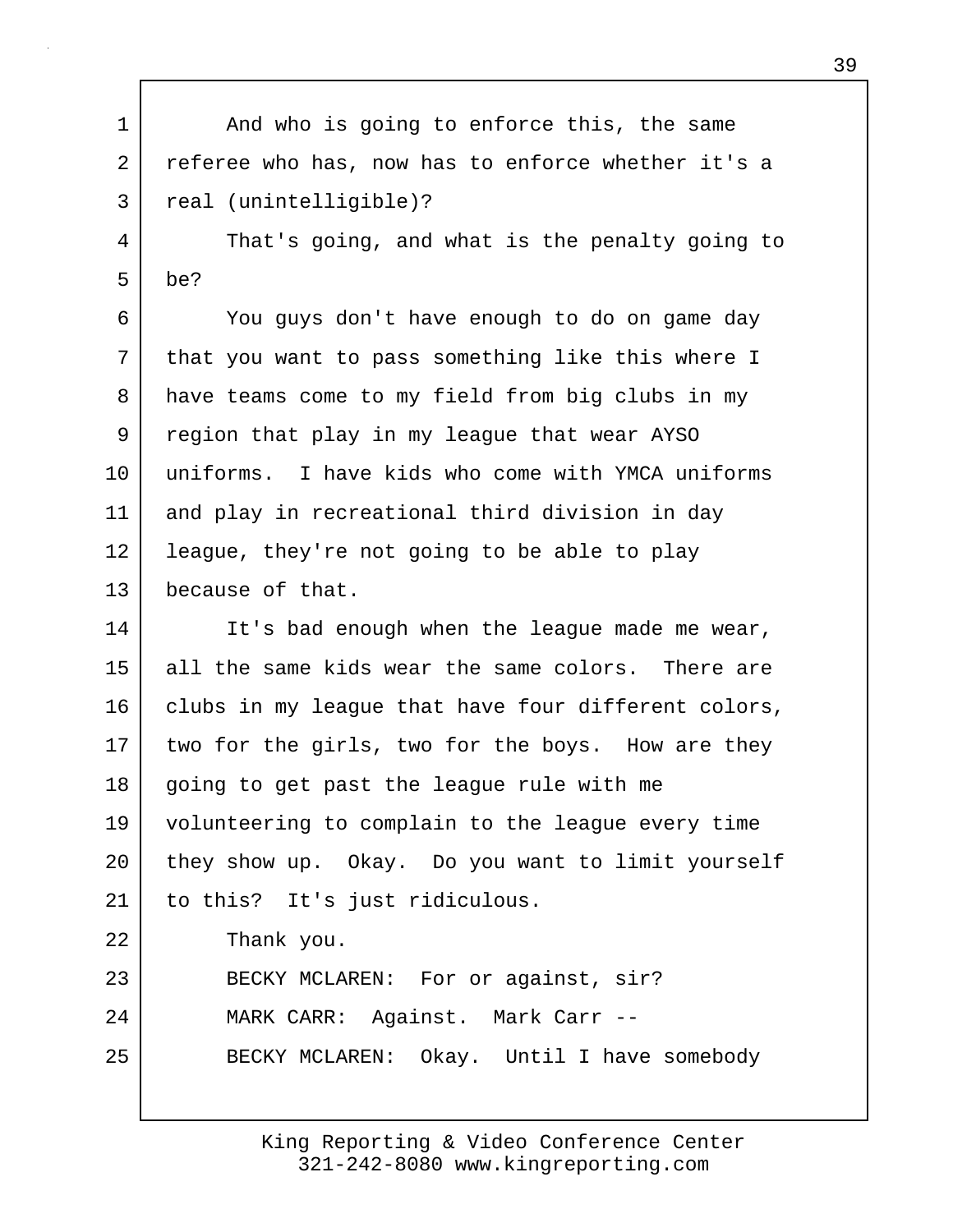1 and who is going to enforce this, the same 2 referee who has, now has to enforce whether it's a 3 real (unintelligible)?

4 That's going, and what is the penalty going to  $5 \mid$  be?

6 You guys don't have enough to do on game day 7 | that you want to pass something like this where I 8 have teams come to my field from big clubs in my 9 region that play in my league that wear AYSO 10 uniforms. I have kids who come with YMCA uniforms 11 and play in recreational third division in day 12 | league, they're not going to be able to play 13 because of that.

14 It's bad enough when the league made me wear, 15 all the same kids wear the same colors. There are 16 clubs in my league that have four different colors, 17 two for the girls, two for the boys. How are they 18 going to get past the league rule with me 19 volunteering to complain to the league every time 20 they show up. Okay. Do you want to limit yourself 21 to this? It's just ridiculous. 22 Thank you. 23 BECKY MCLAREN: For or against, sir? 24 MARK CARR: Against. Mark Carr -- 25 BECKY MCLAREN: Okay. Until I have somebody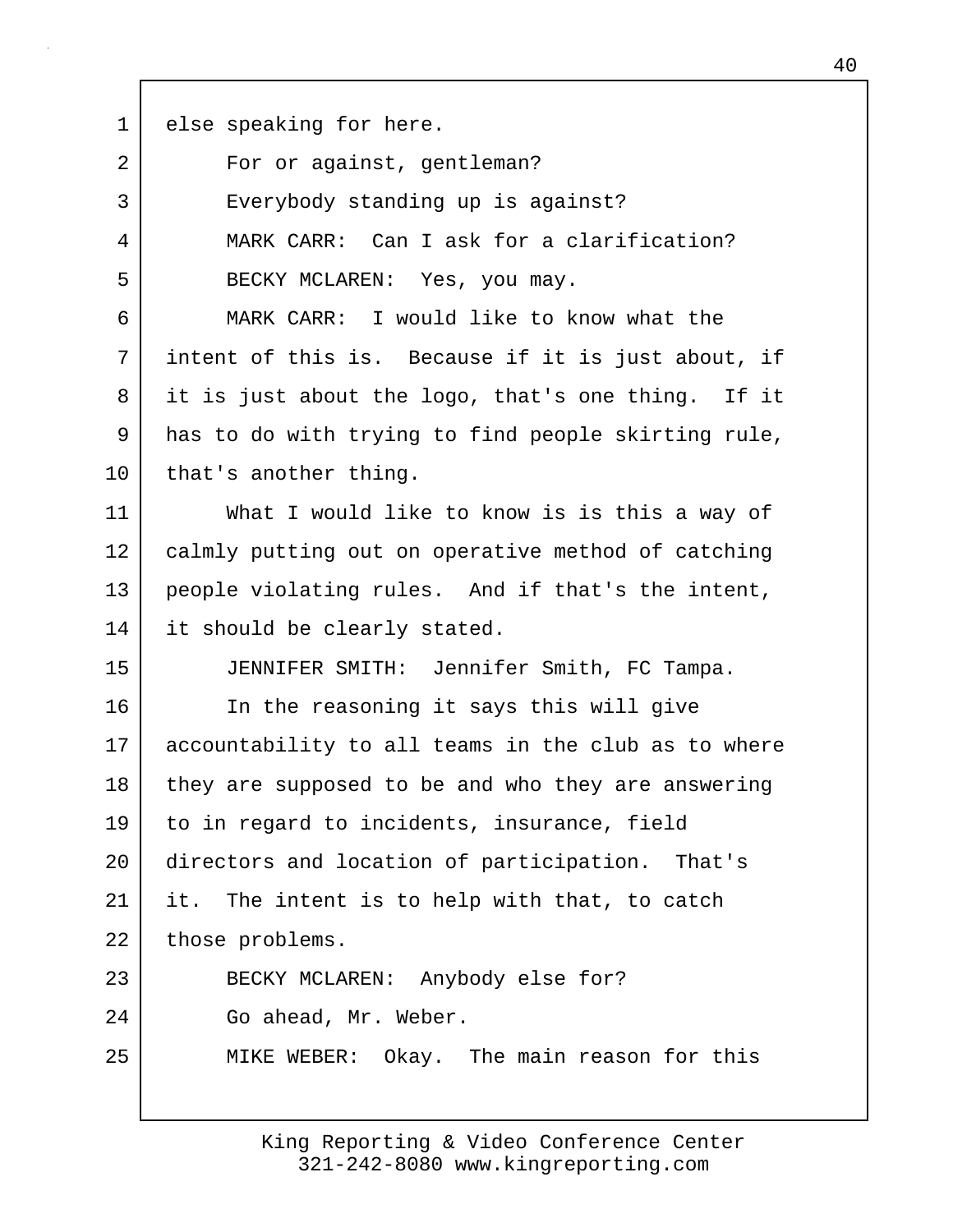1 else speaking for here.

| 2  | For or against, gentleman?                          |
|----|-----------------------------------------------------|
| 3  | Everybody standing up is against?                   |
| 4  | MARK CARR: Can I ask for a clarification?           |
| 5  | BECKY MCLAREN: Yes, you may.                        |
| 6  | MARK CARR: I would like to know what the            |
| 7  | intent of this is. Because if it is just about, if  |
| 8  | it is just about the logo, that's one thing. If it  |
| 9  | has to do with trying to find people skirting rule, |
| 10 | that's another thing.                               |
| 11 | What I would like to know is is this a way of       |
| 12 | calmly putting out on operative method of catching  |
| 13 | people violating rules. And if that's the intent,   |
| 14 | it should be clearly stated.                        |
| 15 | JENNIFER SMITH: Jennifer Smith, FC Tampa.           |
| 16 | In the reasoning it says this will give             |
| 17 | accountability to all teams in the club as to where |
| 18 | they are supposed to be and who they are answering  |
| 19 | to in regard to incidents, insurance, field         |
| 20 | directors and location of participation. That's     |
| 21 | The intent is to help with that, to catch<br>it.    |
| 22 | those problems.                                     |
| 23 | BECKY MCLAREN: Anybody else for?                    |
| 24 | Go ahead, Mr. Weber.                                |
| 25 | MIKE WEBER: Okay. The main reason for this          |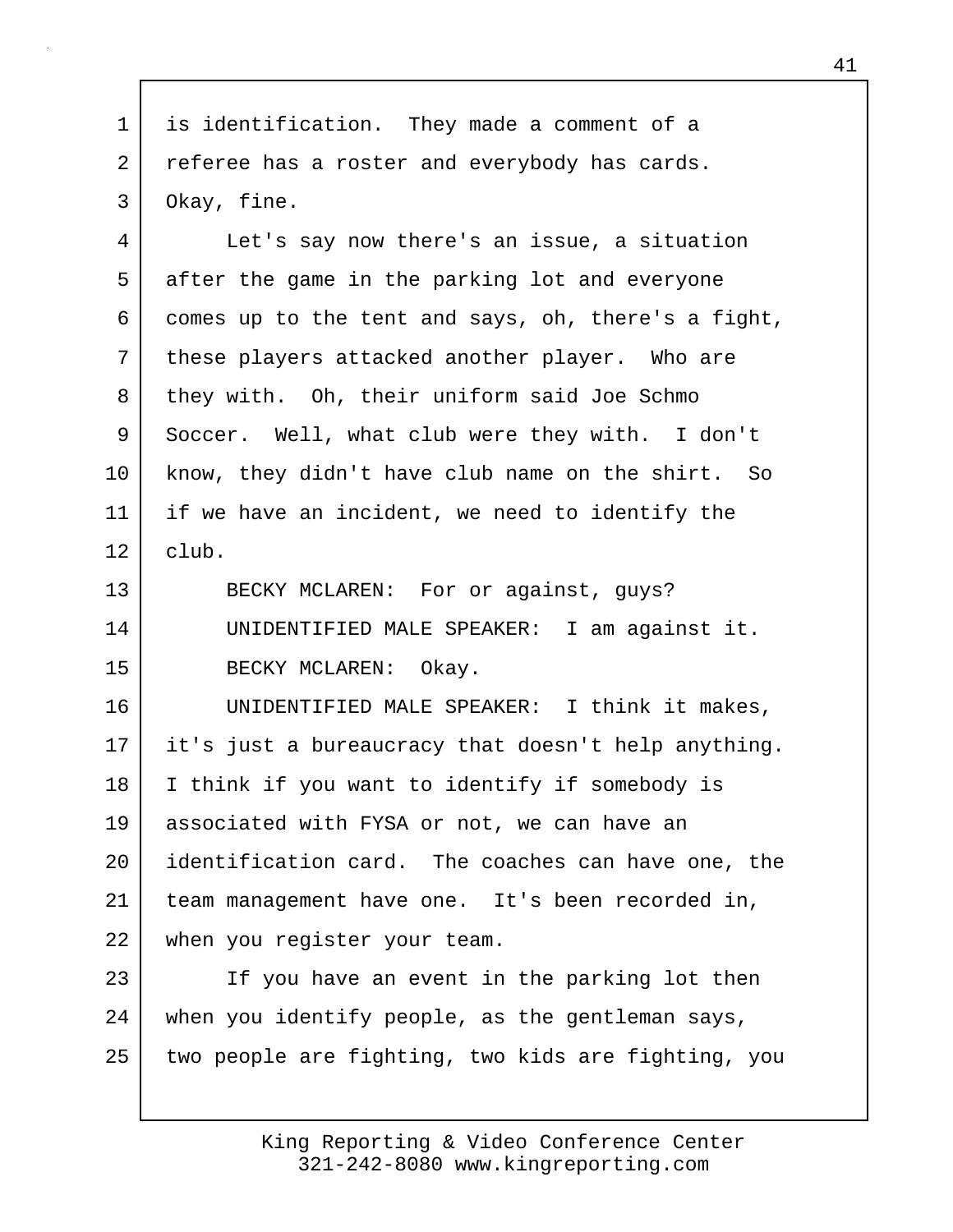1 is identification. They made a comment of a 2 referee has a roster and everybody has cards. 3 Okay, fine.

4 Let's say now there's an issue, a situation 5 after the game in the parking lot and everyone 6 comes up to the tent and says, oh, there's a fight, 7 | these players attacked another player. Who are 8 they with. Oh, their uniform said Joe Schmo 9 Soccer. Well, what club were they with. I don't 10 know, they didn't have club name on the shirt. So 11 if we have an incident, we need to identify the  $12$  club. 13 BECKY MCLAREN: For or against, guys? 14 UNIDENTIFIED MALE SPEAKER: I am against it. 15 BECKY MCLAREN: Okay. 16 UNIDENTIFIED MALE SPEAKER: I think it makes, 17 it's just a bureaucracy that doesn't help anything. 18 I think if you want to identify if somebody is 19 associated with FYSA or not, we can have an 20 *identification card.* The coaches can have one, the 21 team management have one. It's been recorded in, 22 when you register your team.

23 If you have an event in the parking lot then 24 when you identify people, as the gentleman says, 25 two people are fighting, two kids are fighting, you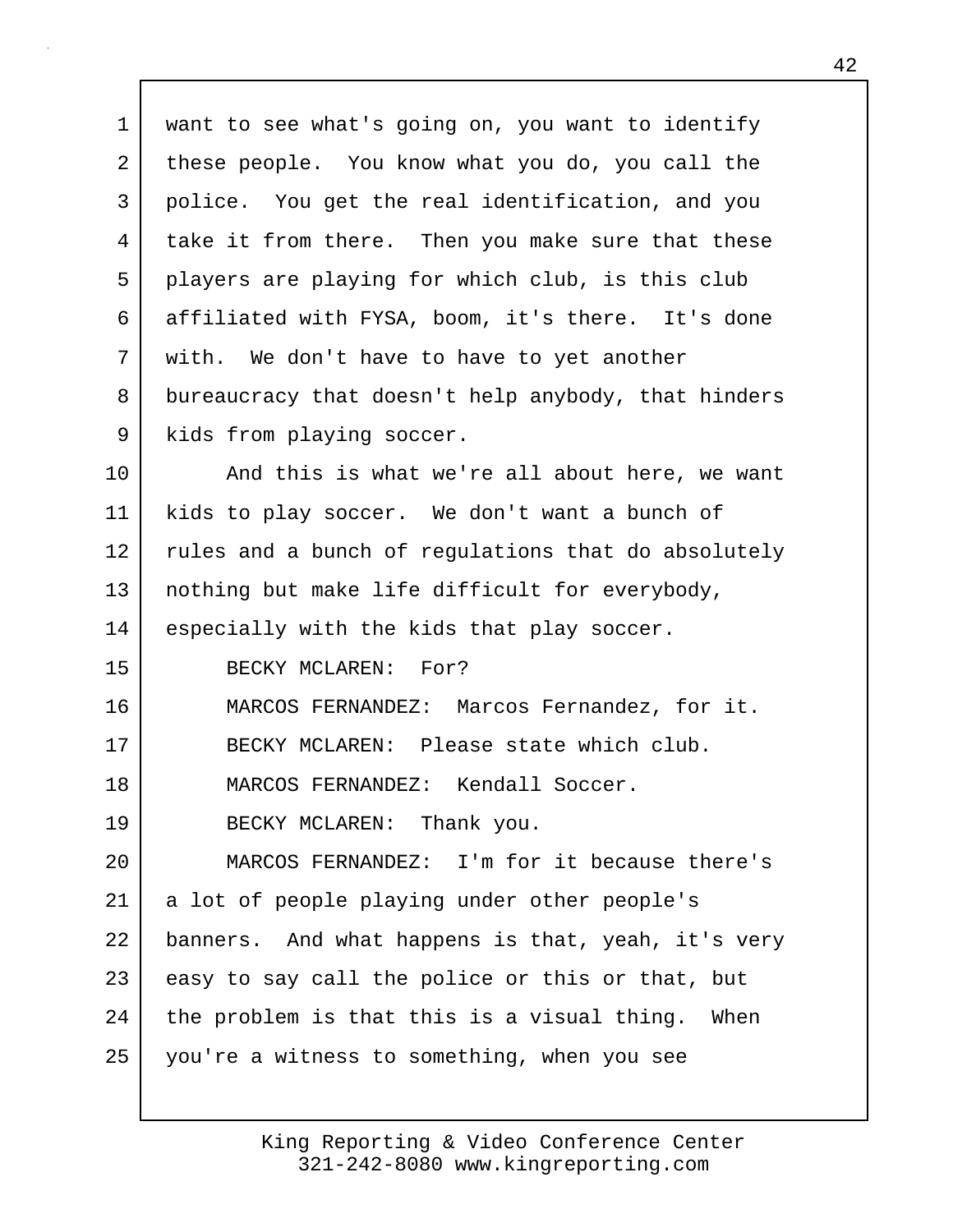1 want to see what's going on, you want to identify 2 these people. You know what you do, you call the 3 police. You get the real identification, and you 4 take it from there. Then you make sure that these 5 players are playing for which club, is this club 6 affiliated with FYSA, boom, it's there. It's done 7 | with. We don't have to have to yet another 8 bureaucracy that doesn't help anybody, that hinders 9 | kids from playing soccer. 10 | And this is what we're all about here, we want 11 kids to play soccer. We don't want a bunch of 12 rules and a bunch of regulations that do absolutely 13 nothing but make life difficult for everybody, 14 especially with the kids that play soccer. 15 BECKY MCLAREN: For? 16 MARCOS FERNANDEZ: Marcos Fernandez, for it. 17 BECKY MCLAREN: Please state which club. 18 MARCOS FERNANDEZ: Kendall Soccer. 19 BECKY MCLAREN: Thank you. 20 MARCOS FERNANDEZ: I'm for it because there's 21 | a lot of people playing under other people's 22 banners. And what happens is that, yeah, it's very 23 easy to say call the police or this or that, but 24 the problem is that this is a visual thing. When 25 you're a witness to something, when you see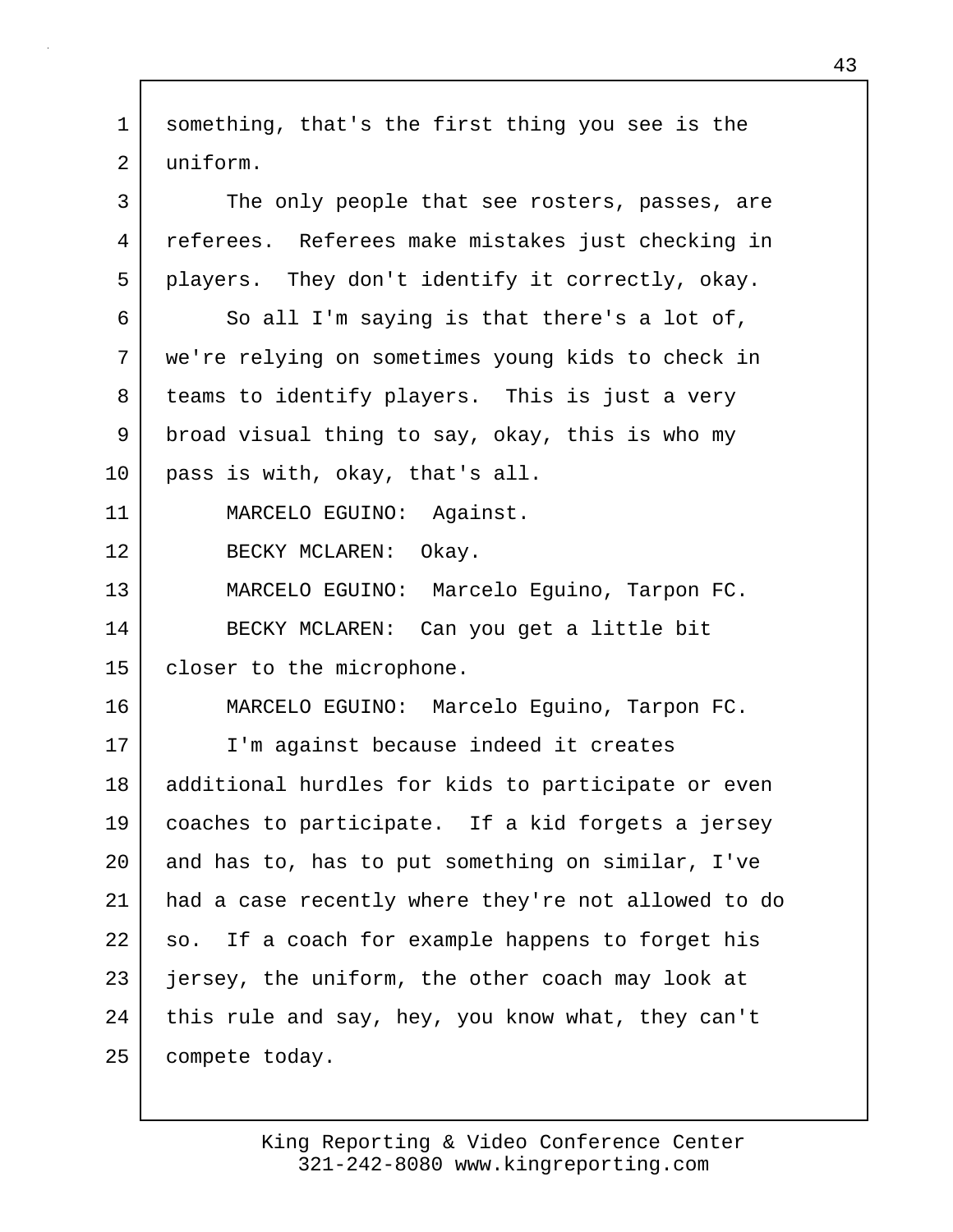| $\mathbf{1}$   | something, that's the first thing you see is the    |
|----------------|-----------------------------------------------------|
| $\overline{2}$ | uniform.                                            |
| 3              | The only people that see rosters, passes, are       |
| 4              | referees. Referees make mistakes just checking in   |
| 5              | players. They don't identify it correctly, okay.    |
| 6              | So all I'm saying is that there's a lot of,         |
| 7              | we're relying on sometimes young kids to check in   |
| 8              | teams to identify players. This is just a very      |
| 9              | broad visual thing to say, okay, this is who my     |
| 10             | pass is with, okay, that's all.                     |
| 11             | MARCELO EGUINO: Against.                            |
| 12             | BECKY MCLAREN:<br>Okay.                             |
| 13             | MARCELO EGUINO: Marcelo Eguino, Tarpon FC.          |
| 14             | BECKY MCLAREN: Can you get a little bit             |
| 15             | closer to the microphone.                           |
| 16             | MARCELO EGUINO: Marcelo Eguino, Tarpon FC.          |
| 17             | I'm against because indeed it creates               |
| 18             | additional hurdles for kids to participate or even  |
| 19             | coaches to participate. If a kid forgets a jersey   |
| 20             | and has to, has to put something on similar, I've   |
| 21             | had a case recently where they're not allowed to do |
| 22             | so. If a coach for example happens to forget his    |
| 23             | jersey, the uniform, the other coach may look at    |
| 24             | this rule and say, hey, you know what, they can't   |
| 25             | compete today.                                      |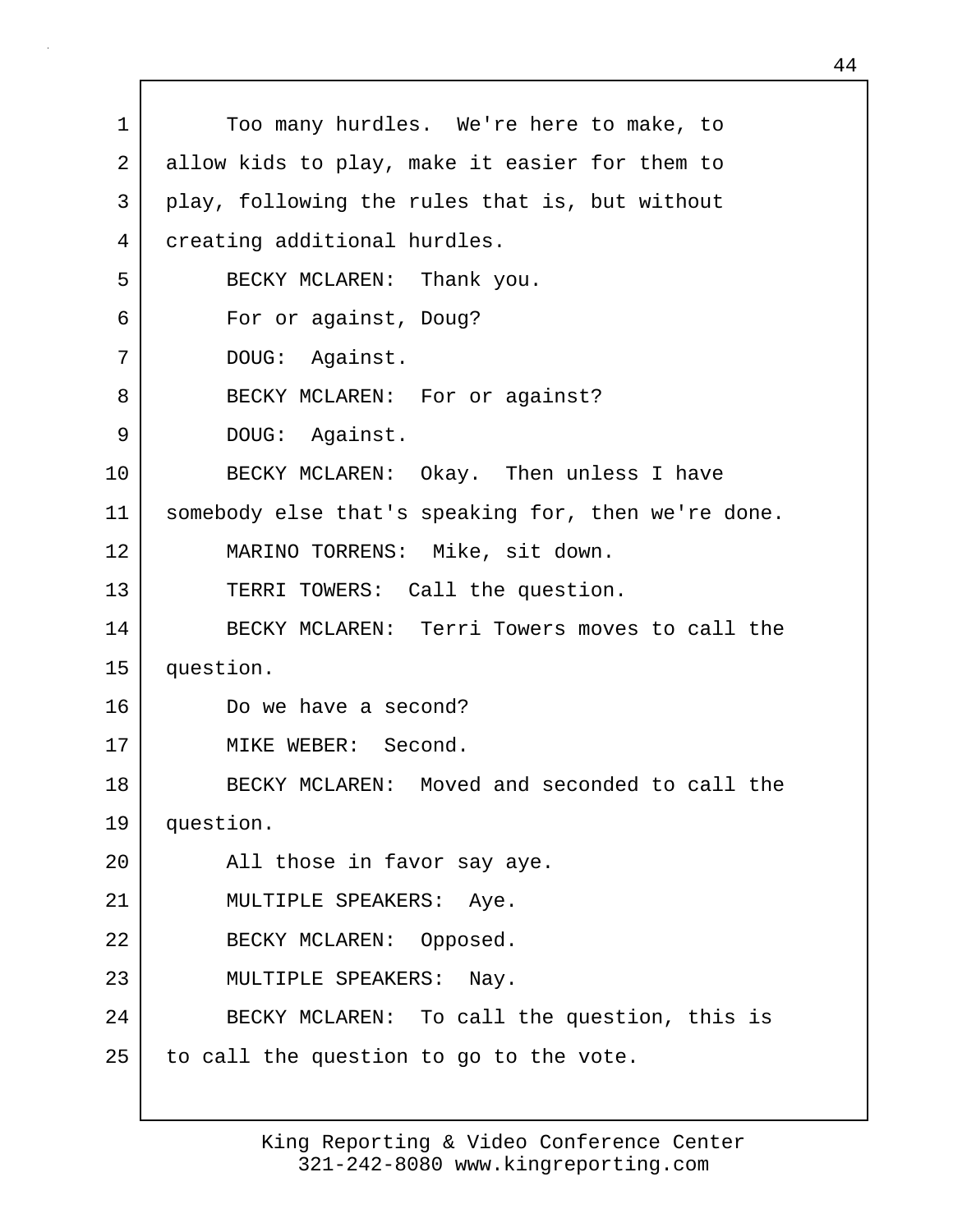1 Too many hurdles. We're here to make, to 2 allow kids to play, make it easier for them to 3 play, following the rules that is, but without 4 creating additional hurdles. 5 BECKY MCLAREN: Thank you. 6 For or against, Doug? 7 DOUG: Against. 8 BECKY MCLAREN: For or against? 9 DOUG: Against. 10 BECKY MCLAREN: Okay. Then unless I have 11 somebody else that's speaking for, then we're done. 12 MARINO TORRENS: Mike, sit down. 13 TERRI TOWERS: Call the question. 14 BECKY MCLAREN: Terri Towers moves to call the 15 question. 16 Do we have a second? 17 MIKE WEBER: Second. 18 BECKY MCLAREN: Moved and seconded to call the 19 question. 20 | All those in favor say aye. 21 | MULTIPLE SPEAKERS: Aye. 22 BECKY MCLAREN: Opposed. 23 MULTIPLE SPEAKERS: Nay. 24 BECKY MCLAREN: To call the question, this is  $25$  to call the question to go to the vote.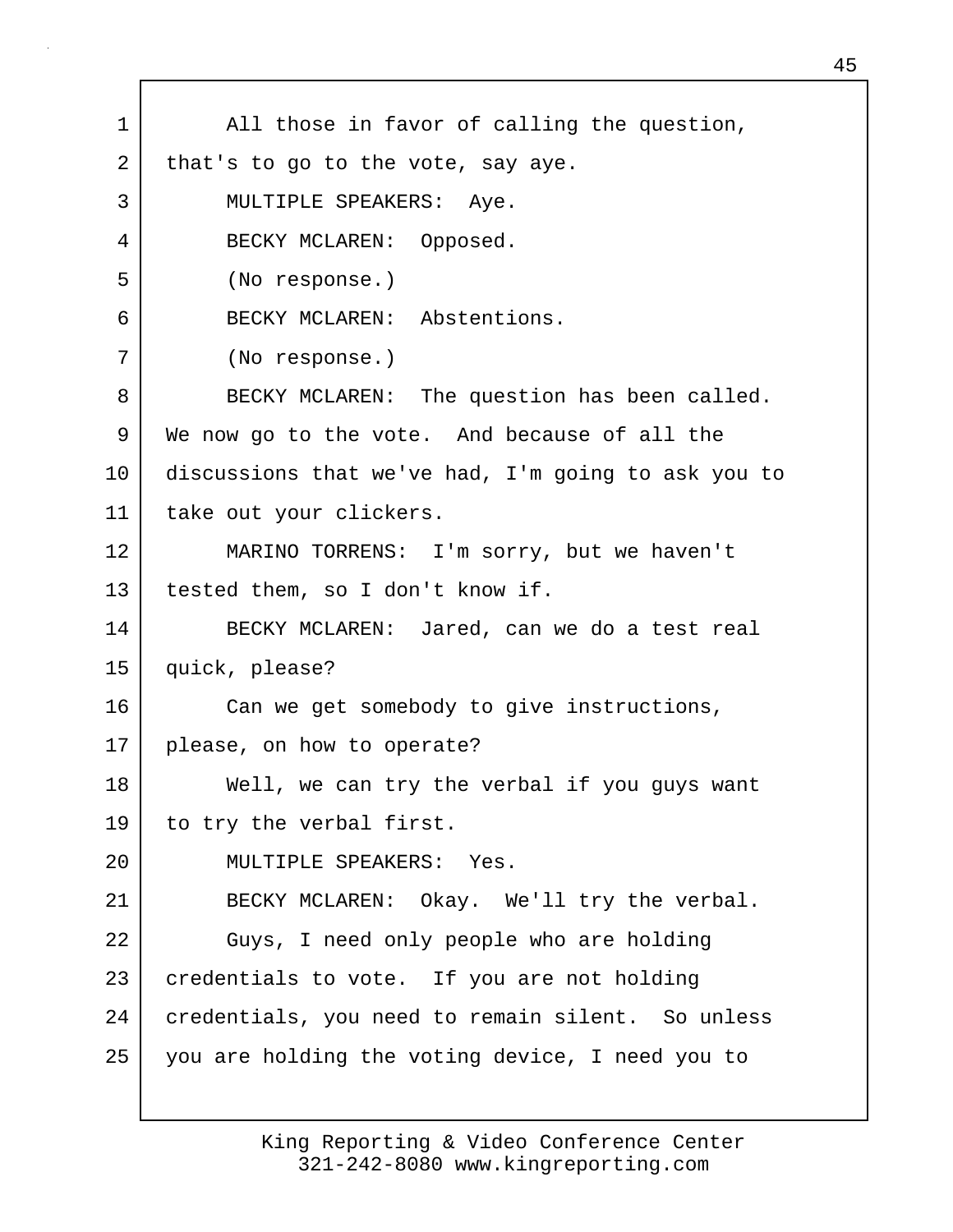| 1  | All those in favor of calling the question,         |
|----|-----------------------------------------------------|
| 2  | that's to go to the vote, say aye.                  |
| 3  | MULTIPLE SPEAKERS: Aye.                             |
| 4  | BECKY MCLAREN: Opposed.                             |
| 5  | (No response.)                                      |
| 6  | BECKY MCLAREN: Abstentions.                         |
| 7  | (No response.)                                      |
| 8  | BECKY MCLAREN: The question has been called.        |
| 9  | We now go to the vote. And because of all the       |
| 10 | discussions that we've had, I'm going to ask you to |
| 11 | take out your clickers.                             |
| 12 | MARINO TORRENS: I'm sorry, but we haven't           |
| 13 | tested them, so I don't know if.                    |
| 14 | BECKY MCLAREN: Jared, can we do a test real         |
| 15 | quick, please?                                      |
| 16 | Can we get somebody to give instructions,           |
| 17 | please, on how to operate?                          |
| 18 | Well, we can try the verbal if you guys want        |
| 19 | to try the verbal first.                            |
| 20 | MULTIPLE SPEAKERS: Yes.                             |
| 21 | BECKY MCLAREN: Okay. We'll try the verbal.          |
| 22 | Guys, I need only people who are holding            |
| 23 | credentials to vote. If you are not holding         |
| 24 | credentials, you need to remain silent. So unless   |
| 25 | you are holding the voting device, I need you to    |
|    |                                                     |

г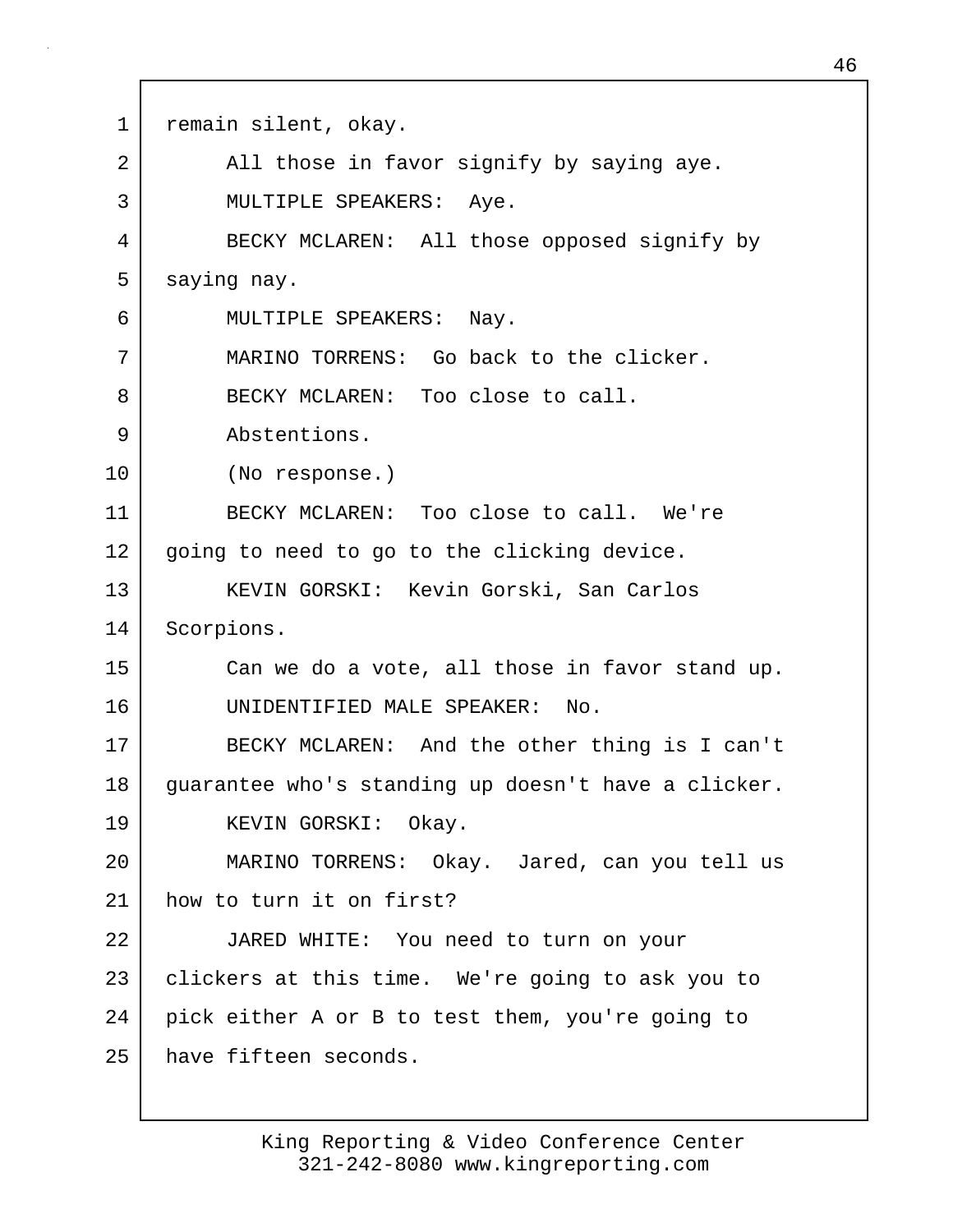1 | remain silent, okay. 2 All those in favor signify by saying aye. 3 | MULTIPLE SPEAKERS: Aye. 4 BECKY MCLAREN: All those opposed signify by 5 saying nay. 6 MULTIPLE SPEAKERS: Nay. 7 MARINO TORRENS: Go back to the clicker. 8 BECKY MCLAREN: Too close to call. 9 Abstentions. 10 (No response.) 11 BECKY MCLAREN: Too close to call. We're 12 going to need to go to the clicking device. 13 | KEVIN GORSKI: Kevin Gorski, San Carlos 14 Scorpions. 15 Can we do a vote, all those in favor stand up. 16 UNIDENTIFIED MALE SPEAKER: No. 17 BECKY MCLAREN: And the other thing is I can't 18 guarantee who's standing up doesn't have a clicker. 19 KEVIN GORSKI: Okay. 20 MARINO TORRENS: Okay. Jared, can you tell us 21 how to turn it on first? 22 JARED WHITE: You need to turn on your 23 clickers at this time. We're going to ask you to 24 pick either A or B to test them, you're going to 25 have fifteen seconds.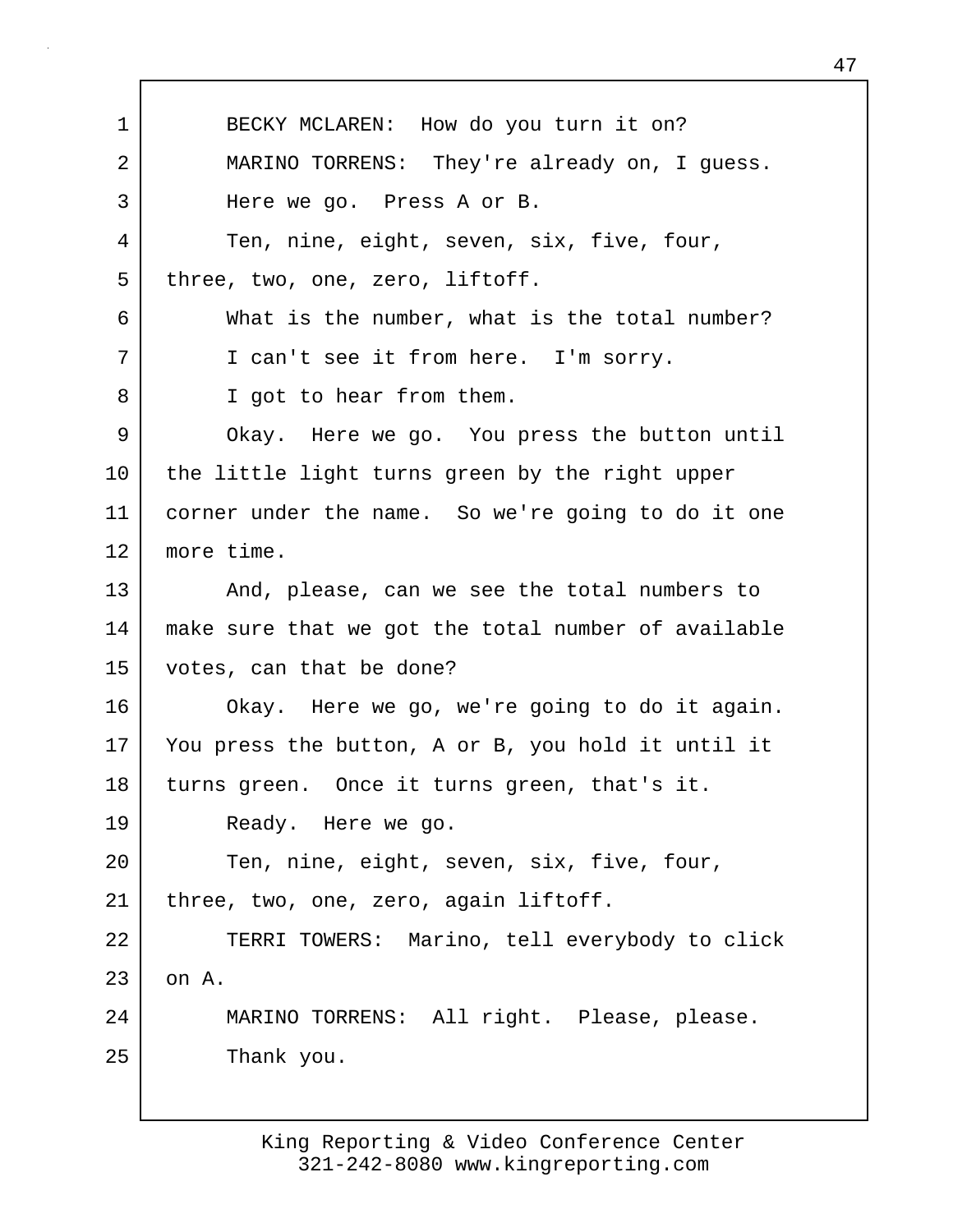1 BECKY MCLAREN: How do you turn it on? 2 MARINO TORRENS: They're already on, I guess. 3 Here we go. Press A or B. 4 Ten, nine, eight, seven, six, five, four, 5 three, two, one, zero, liftoff. 6 What is the number, what is the total number? 7 I can't see it from here. I'm sorry. 8 | I got to hear from them. 9 Okay. Here we go. You press the button until 10 the little light turns green by the right upper 11 corner under the name. So we're going to do it one 12 more time. 13 And, please, can we see the total numbers to 14 make sure that we got the total number of available 15 votes, can that be done? 16 Okay. Here we go, we're going to do it again. 17 You press the button, A or B, you hold it until it 18 turns green. Once it turns green, that's it. 19 Ready. Here we go. 20 Ten, nine, eight, seven, six, five, four, 21 | three, two, one, zero, again liftoff. 22 TERRI TOWERS: Marino, tell everybody to click  $23$  on A. 24 MARINO TORRENS: All right. Please, please. 25 Thank you.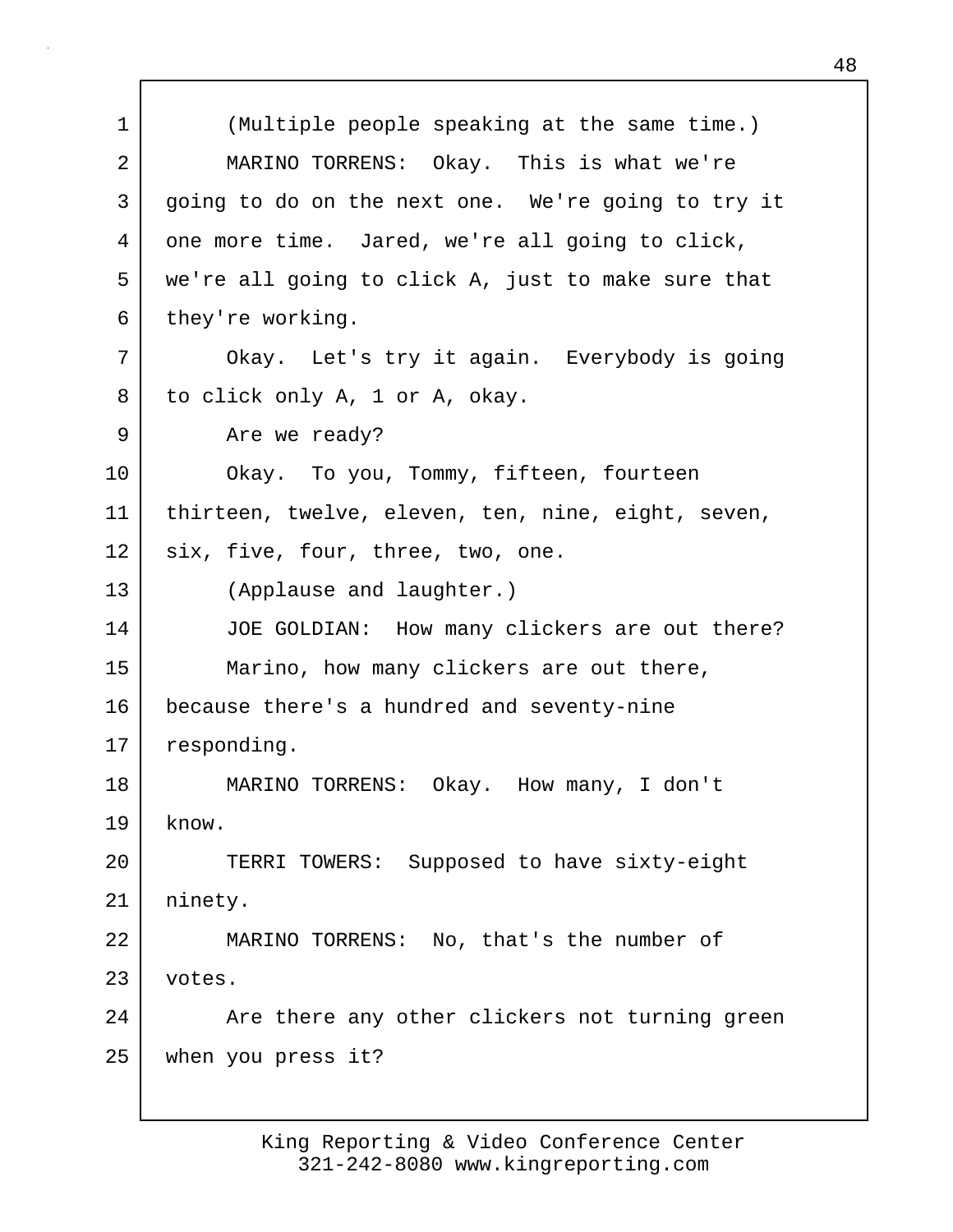1 (Multiple people speaking at the same time.) 2 MARINO TORRENS: Okay. This is what we're 3 going to do on the next one. We're going to try it 4 one more time. Jared, we're all going to click, 5 we're all going to click A, just to make sure that 6 they're working. 7 Okay. Let's try it again. Everybody is going 8 to click only A, 1 or A, okay. 9 Are we ready? 10 Okay. To you, Tommy, fifteen, fourteen 11 thirteen, twelve, eleven, ten, nine, eight, seven, 12 six, five, four, three, two, one. 13 (Applause and laughter.) 14 JOE GOLDIAN: How many clickers are out there? 15 Marino, how many clickers are out there, 16 because there's a hundred and seventy-nine 17 responding. 18 MARINO TORRENS: Okay. How many, I don't  $19$  know. 20 TERRI TOWERS: Supposed to have sixty-eight 21 | ninety. 22 MARINO TORRENS: No, that's the number of 23 votes. 24 Are there any other clickers not turning green 25 when you press it?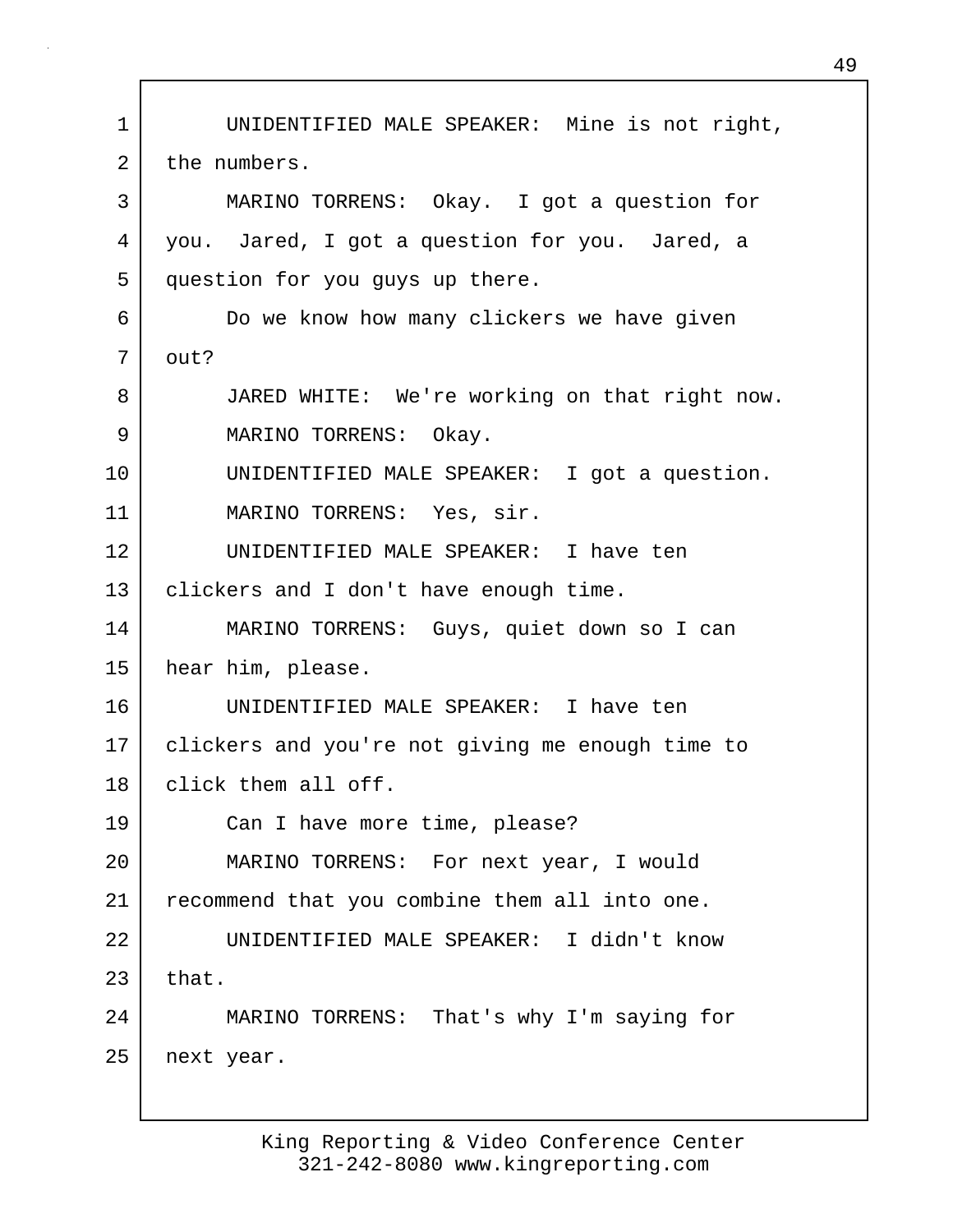1 UNIDENTIFIED MALE SPEAKER: Mine is not right, 2 the numbers. 3 MARINO TORRENS: Okay. I got a question for 4 you. Jared, I got a question for you. Jared, a 5 question for you guys up there. 6 Do we know how many clickers we have given 7 out? 8 JARED WHITE: We're working on that right now. 9 MARINO TORRENS: Okay. 10 UNIDENTIFIED MALE SPEAKER: I got a question. 11 MARINO TORRENS: Yes, sir. 12 UNIDENTIFIED MALE SPEAKER: I have ten 13 | clickers and I don't have enough time. 14 MARINO TORRENS: Guys, quiet down so I can 15 hear him, please. 16 UNIDENTIFIED MALE SPEAKER: I have ten 17 clickers and you're not giving me enough time to 18 click them all off. 19 Can I have more time, please? 20 MARINO TORRENS: For next year, I would 21 recommend that you combine them all into one. 22 UNIDENTIFIED MALE SPEAKER: I didn't know  $23$  that. 24 MARINO TORRENS: That's why I'm saying for 25 next year.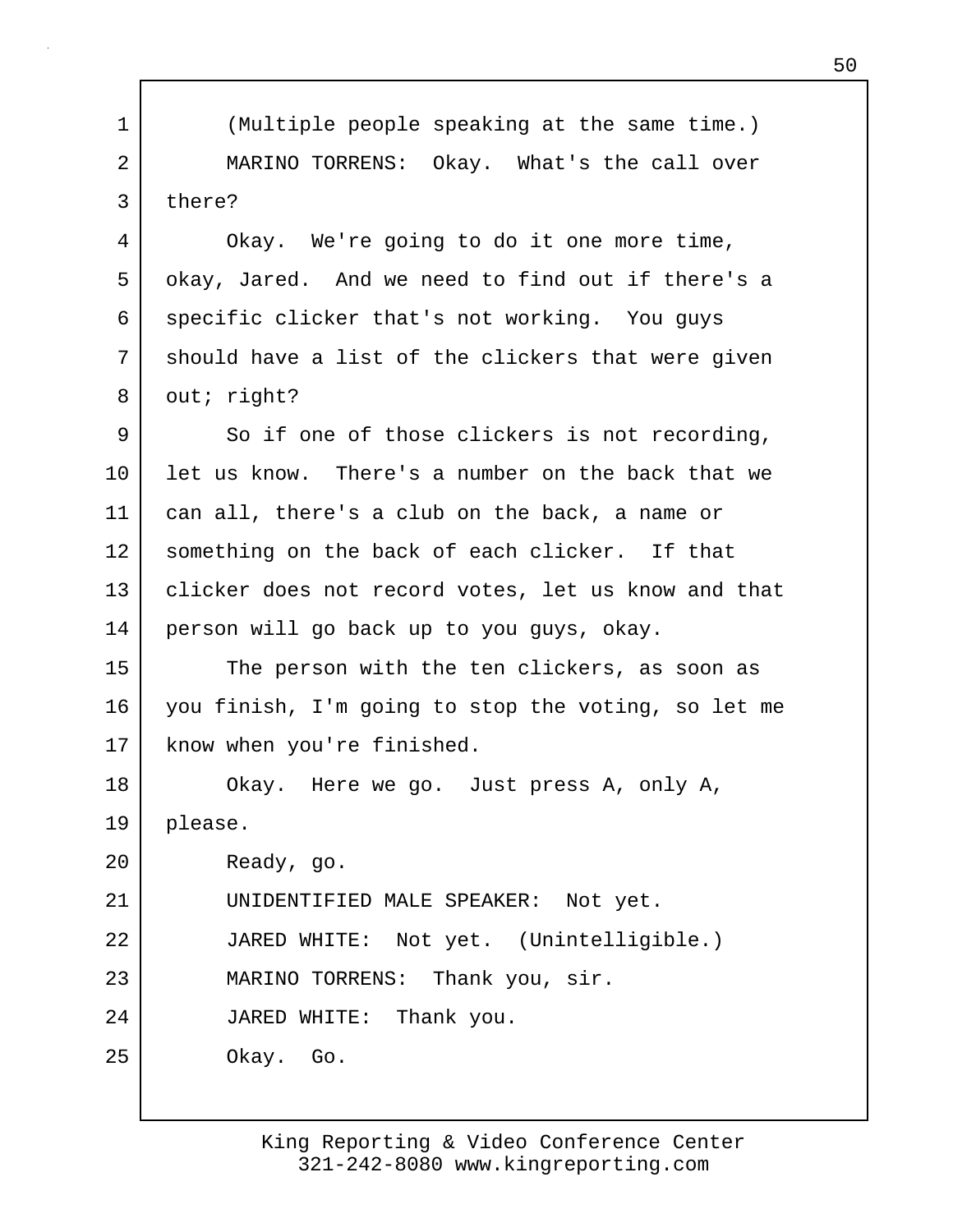1 (Multiple people speaking at the same time.) 2 MARINO TORRENS: Okay. What's the call over 3 there?

4 | Okay. We're going to do it one more time, 5 | okay, Jared. And we need to find out if there's a 6 specific clicker that's not working. You guys 7 | should have a list of the clickers that were given 8 out; right?

9 So if one of those clickers is not recording, 10 let us know. There's a number on the back that we 11 can all, there's a club on the back, a name or 12 something on the back of each clicker. If that 13 clicker does not record votes, let us know and that 14 person will go back up to you guys, okay.

15 The person with the ten clickers, as soon as 16 you finish, I'm going to stop the voting, so let me 17 | know when you're finished.

18 Okay. Here we go. Just press A, only A, 19 please.

20 Ready, go.

21 UNIDENTIFIED MALE SPEAKER: Not yet.

22 JARED WHITE: Not yet. (Unintelligible.)

23 MARINO TORRENS: Thank you, sir.

24 JARED WHITE: Thank you.

25 Okay. Go.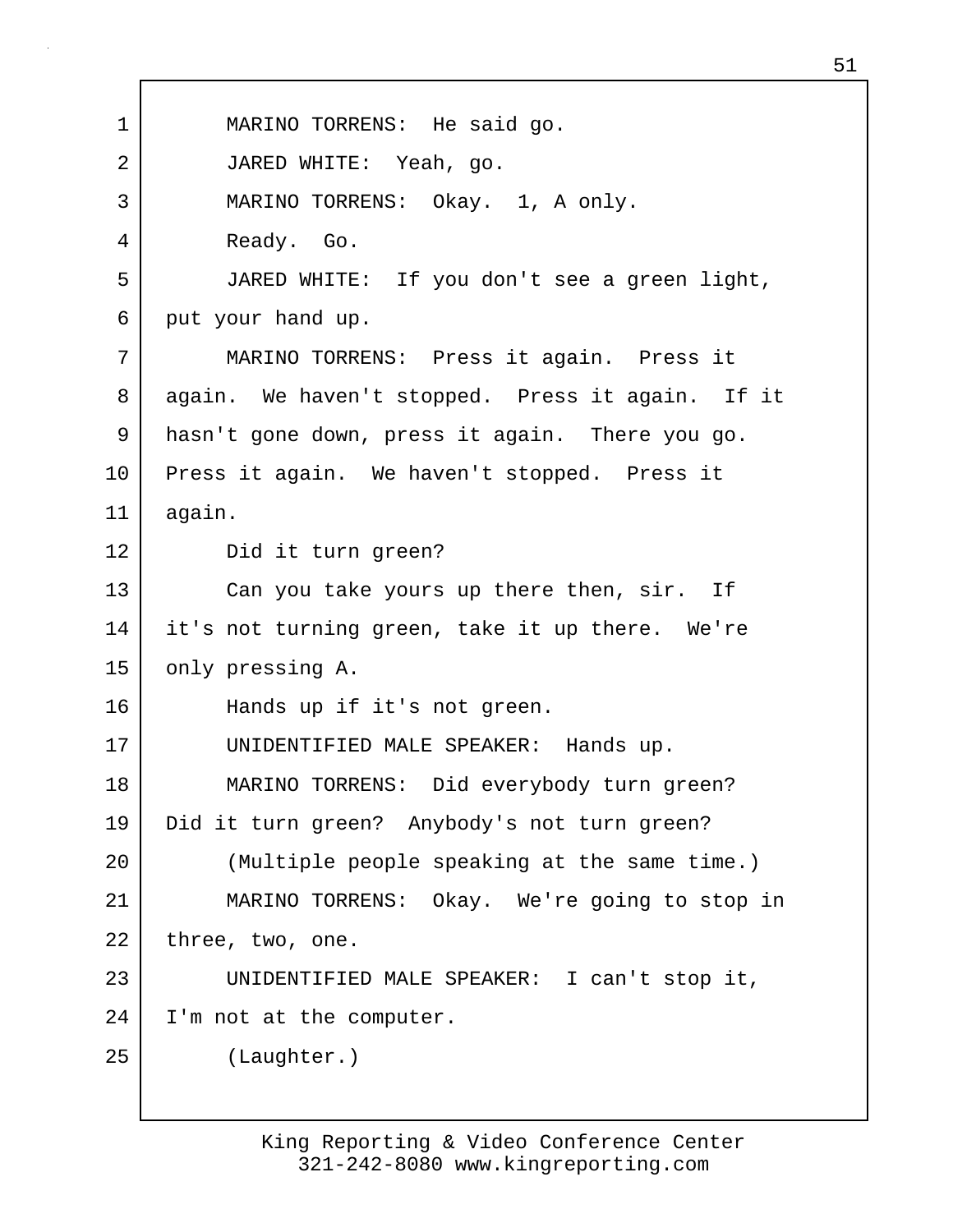1 | MARINO TORRENS: He said go. 2 JARED WHITE: Yeah, go. 3 MARINO TORRENS: Okay. 1, A only. 4 Ready. Go. 5 JARED WHITE: If you don't see a green light, 6 put your hand up. 7 MARINO TORRENS: Press it again. Press it 8 again. We haven't stopped. Press it again. If it 9 hasn't gone down, press it again. There you go. 10 Press it again. We haven't stopped. Press it 11 again. 12 Did it turn green? 13 Can you take yours up there then, sir. If 14 it's not turning green, take it up there. We're 15 only pressing A. 16 | Hands up if it's not green. 17 UNIDENTIFIED MALE SPEAKER: Hands up. 18 MARINO TORRENS: Did everybody turn green? 19 Did it turn green? Anybody's not turn green? 20 (Multiple people speaking at the same time.) 21 MARINO TORRENS: Okay. We're going to stop in  $22$  three, two, one. 23 UNIDENTIFIED MALE SPEAKER: I can't stop it, 24 I'm not at the computer. 25 (Laughter.)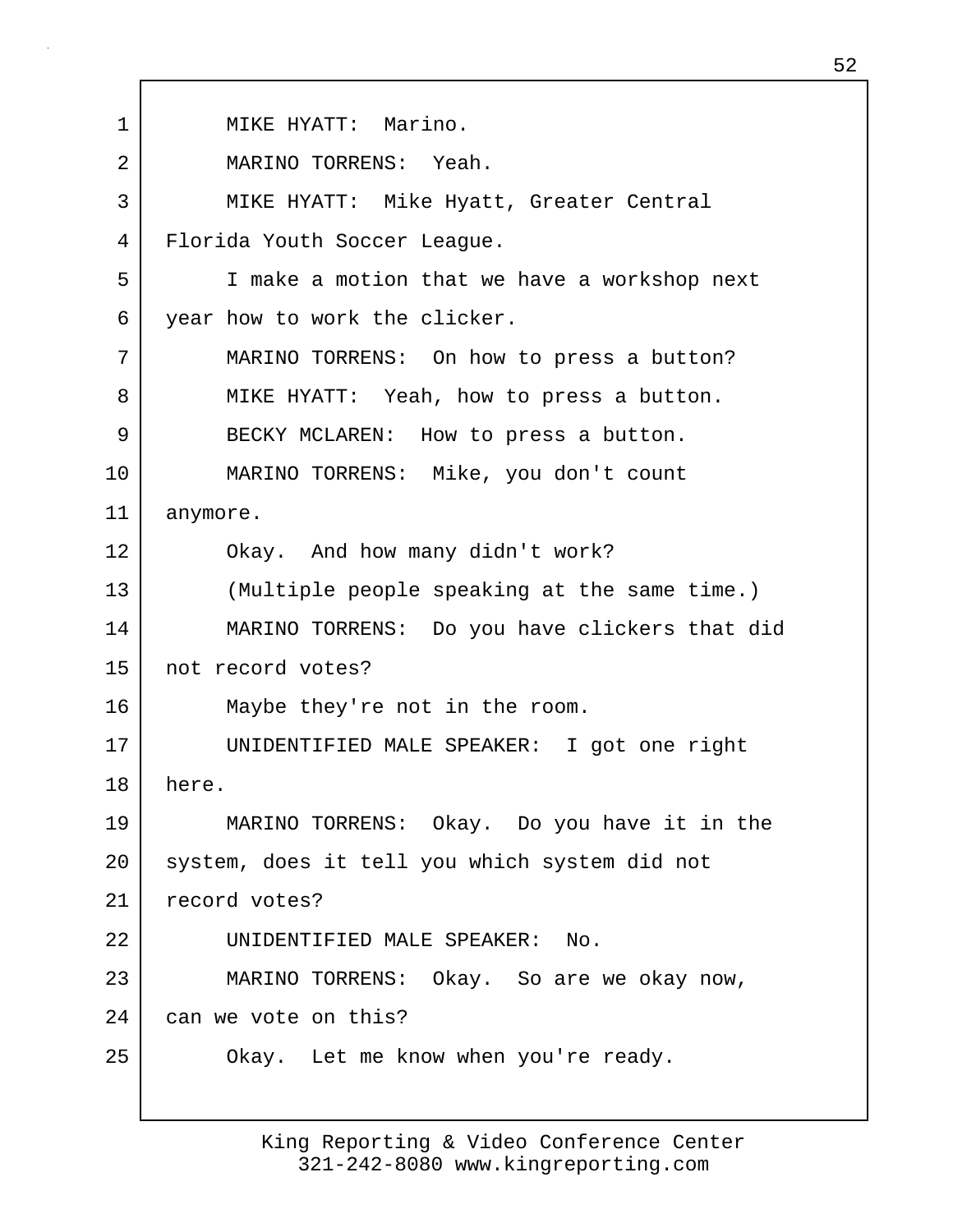1 | MIKE HYATT: Marino. 2 MARINO TORRENS: Yeah. 3 MIKE HYATT: Mike Hyatt, Greater Central 4 Florida Youth Soccer League. 5 I make a motion that we have a workshop next 6 year how to work the clicker. 7 MARINO TORRENS: On how to press a button? 8 MIKE HYATT: Yeah, how to press a button. 9 BECKY MCLAREN: How to press a button. 10 MARINO TORRENS: Mike, you don't count 11 anymore. 12 Okay. And how many didn't work? 13 (Multiple people speaking at the same time.) 14 MARINO TORRENS: Do you have clickers that did 15 not record votes? 16 Maybe they're not in the room. 17 UNIDENTIFIED MALE SPEAKER: I got one right 18 here. 19 MARINO TORRENS: Okay. Do you have it in the 20 system, does it tell you which system did not 21 record votes? 22 UNIDENTIFIED MALE SPEAKER: No. 23 MARINO TORRENS: Okay. So are we okay now, 24 can we vote on this? 25 | Okay. Let me know when you're ready.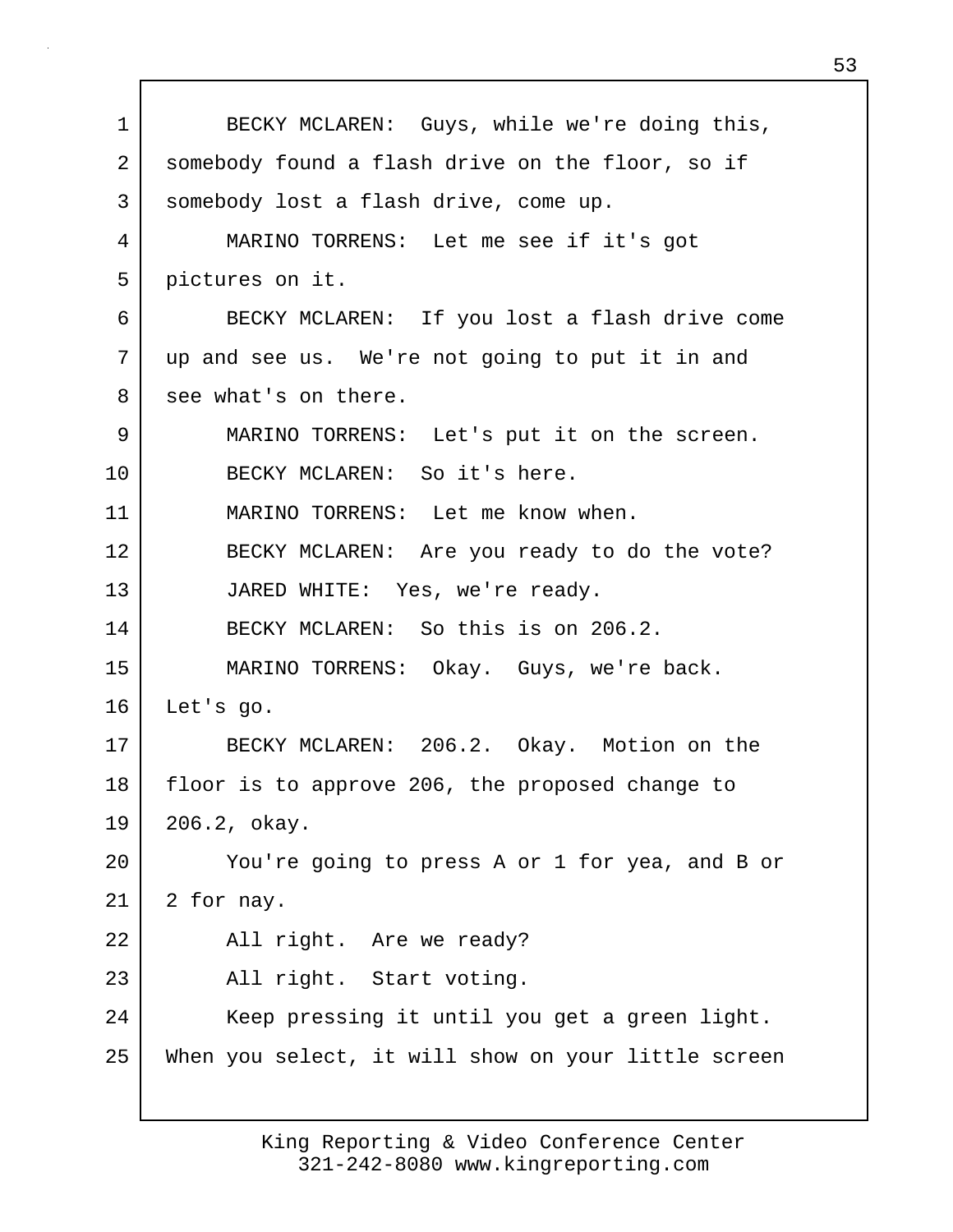1 BECKY MCLAREN: Guys, while we're doing this, 2 somebody found a flash drive on the floor, so if 3 somebody lost a flash drive, come up. 4 MARINO TORRENS: Let me see if it's got 5 pictures on it. 6 BECKY MCLAREN: If you lost a flash drive come 7 up and see us. We're not going to put it in and 8 see what's on there. 9 MARINO TORRENS: Let's put it on the screen. 10 BECKY MCLAREN: So it's here. 11 MARINO TORRENS: Let me know when. 12 BECKY MCLAREN: Are you ready to do the vote? 13 JARED WHITE: Yes, we're ready. 14 BECKY MCLAREN: So this is on 206.2. 15 MARINO TORRENS: Okay. Guys, we're back. 16 Let's go. 17 BECKY MCLAREN: 206.2. Okay. Motion on the 18 floor is to approve 206, the proposed change to 19 206.2, okay. 20 You're going to press A or 1 for yea, and B or  $21$  2 for nay. 22 All right. Are we ready? 23 All right. Start voting. 24 | Keep pressing it until you get a green light. 25 When you select, it will show on your little screen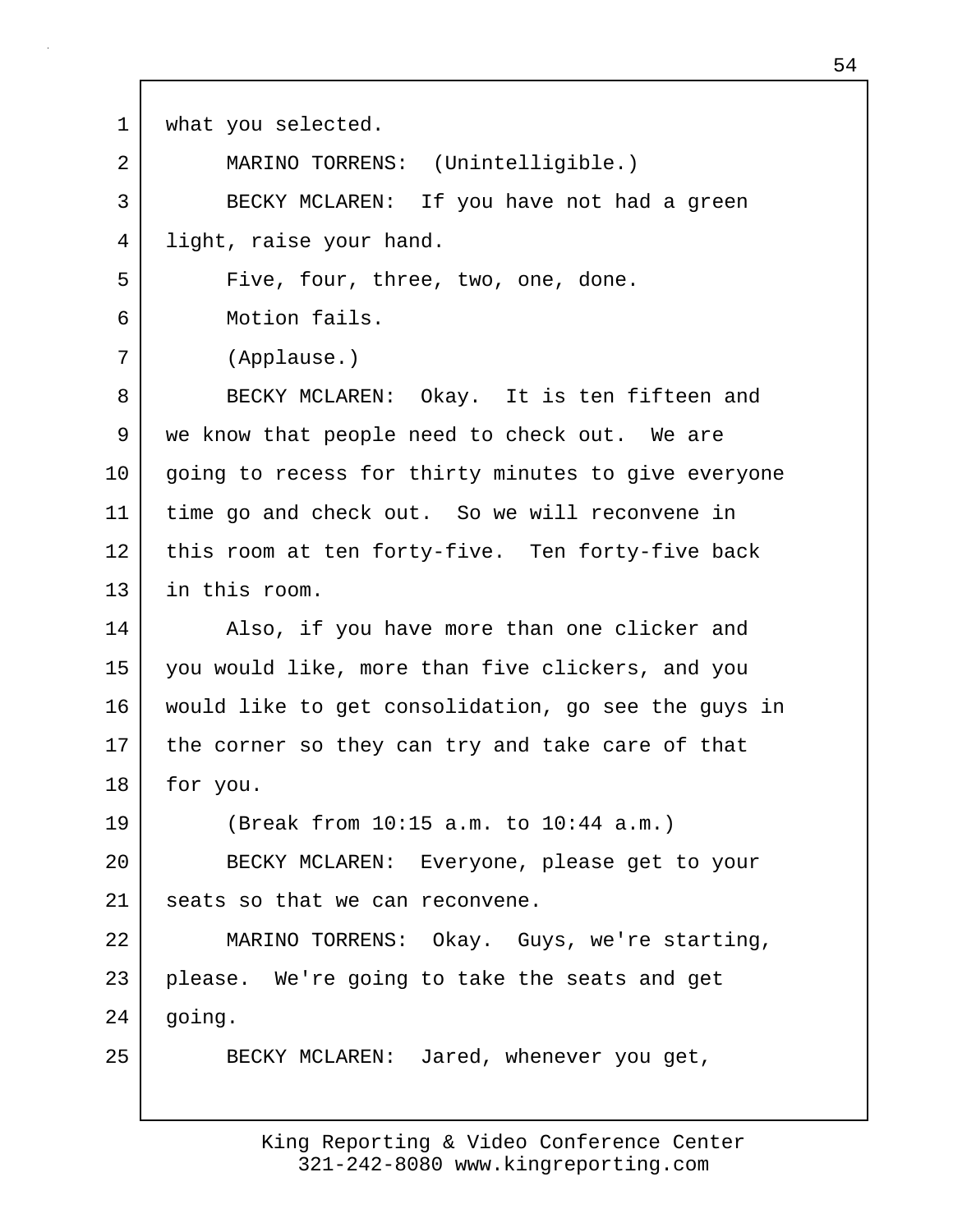1 | what you selected. 2 MARINO TORRENS: (Unintelligible.) 3 BECKY MCLAREN: If you have not had a green 4 light, raise your hand. 5 Five, four, three, two, one, done. 6 Motion fails. 7 (Applause.) 8 BECKY MCLAREN: Okay. It is ten fifteen and 9 | we know that people need to check out. We are 10 | going to recess for thirty minutes to give everyone 11 time go and check out. So we will reconvene in 12 this room at ten forty-five. Ten forty-five back 13 in this room. 14 Also, if you have more than one clicker and 15 you would like, more than five clickers, and you 16 would like to get consolidation, go see the guys in 17 the corner so they can try and take care of that 18 | for you. 19 (Break from 10:15 a.m. to 10:44 a.m.) 20 BECKY MCLAREN: Everyone, please get to your 21 seats so that we can reconvene. 22 MARINO TORRENS: Okay. Guys, we're starting, 23 please. We're going to take the seats and get 24 | going. 25 BECKY MCLAREN: Jared, whenever you get,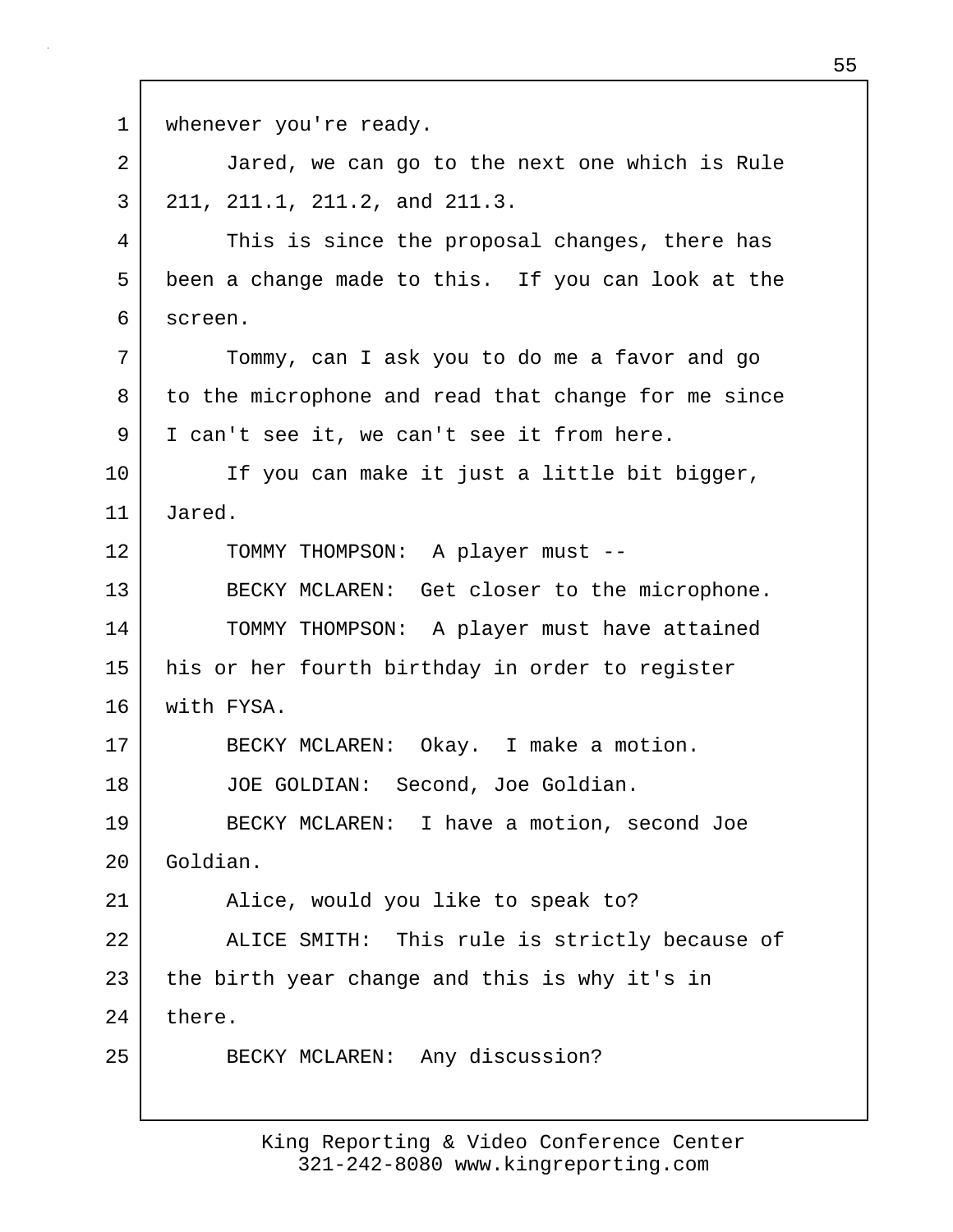1 | whenever you're ready. 2 Jared, we can go to the next one which is Rule 3 211, 211.1, 211.2, and 211.3. 4 This is since the proposal changes, there has 5 been a change made to this. If you can look at the 6 screen. 7 Tommy, can I ask you to do me a favor and go 8 to the microphone and read that change for me since 9 | I can't see it, we can't see it from here. 10 | If you can make it just a little bit bigger, 11 Jared. 12 | TOMMY THOMPSON: A player must --13 BECKY MCLAREN: Get closer to the microphone. 14 TOMMY THOMPSON: A player must have attained 15 his or her fourth birthday in order to register 16 with FYSA. 17 | BECKY MCLAREN: Okay. I make a motion. 18 | JOE GOLDIAN: Second, Joe Goldian. 19 BECKY MCLAREN: I have a motion, second Joe 20 Goldian. 21 Alice, would you like to speak to? 22 | ALICE SMITH: This rule is strictly because of  $23$  the birth year change and this is why it's in 24 there. 25 BECKY MCLAREN: Any discussion?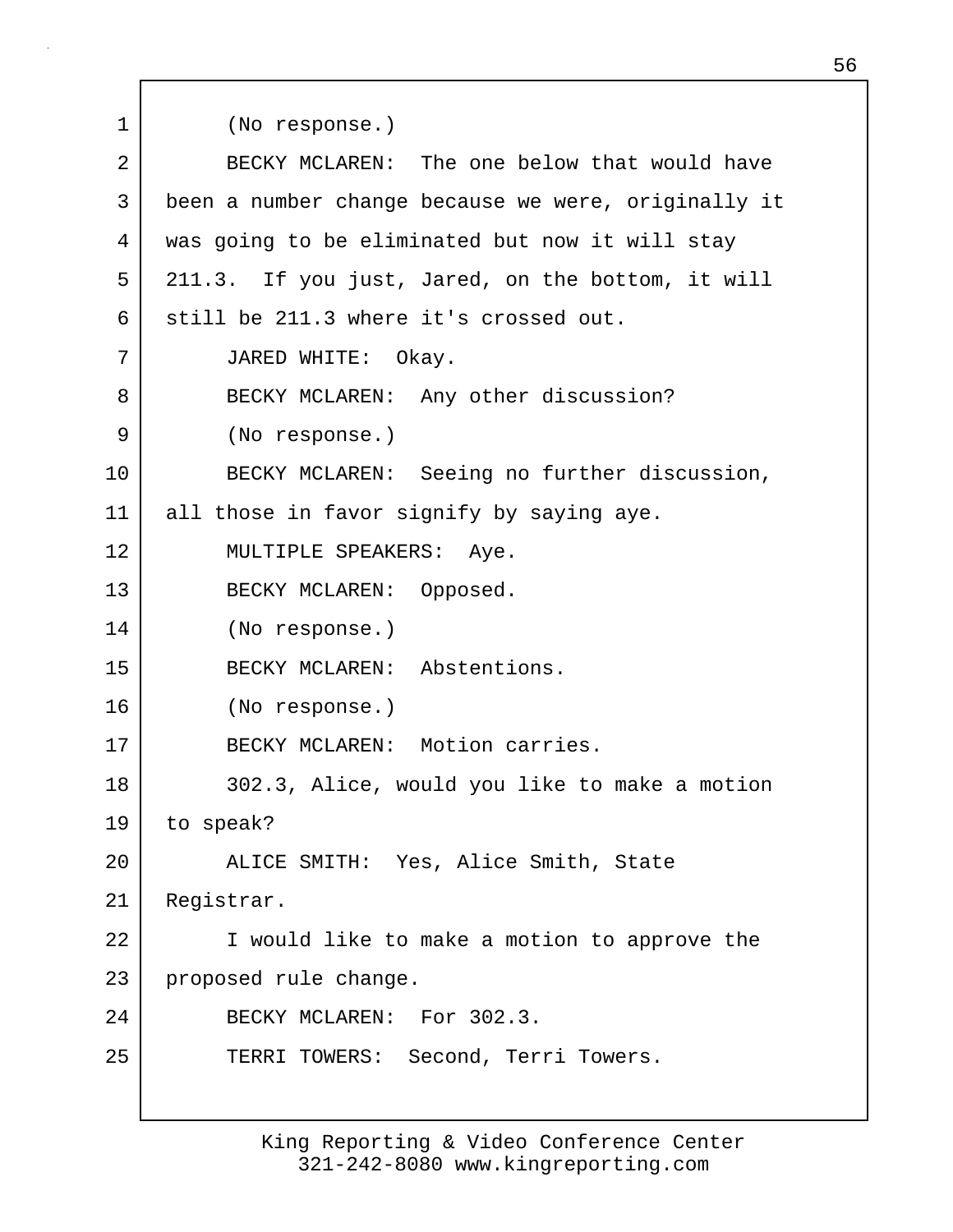1 (No response.) 2 BECKY MCLAREN: The one below that would have 3 been a number change because we were, originally it 4 was going to be eliminated but now it will stay 5 211.3. If you just, Jared, on the bottom, it will 6 still be 211.3 where it's crossed out. 7 JARED WHITE: Okay. 8 BECKY MCLAREN: Any other discussion? 9 (No response.) 10 BECKY MCLAREN: Seeing no further discussion, 11 all those in favor signify by saying aye. 12 MULTIPLE SPEAKERS: Aye. 13 BECKY MCLAREN: Opposed. 14 (No response.) 15 BECKY MCLAREN: Abstentions. 16 (No response.) 17 BECKY MCLAREN: Motion carries. 18 302.3, Alice, would you like to make a motion 19 to speak? 20 ALICE SMITH: Yes, Alice Smith, State 21 | Registrar. 22 | I would like to make a motion to approve the 23 proposed rule change. 24 BECKY MCLAREN: For 302.3. 25 TERRI TOWERS: Second, Terri Towers.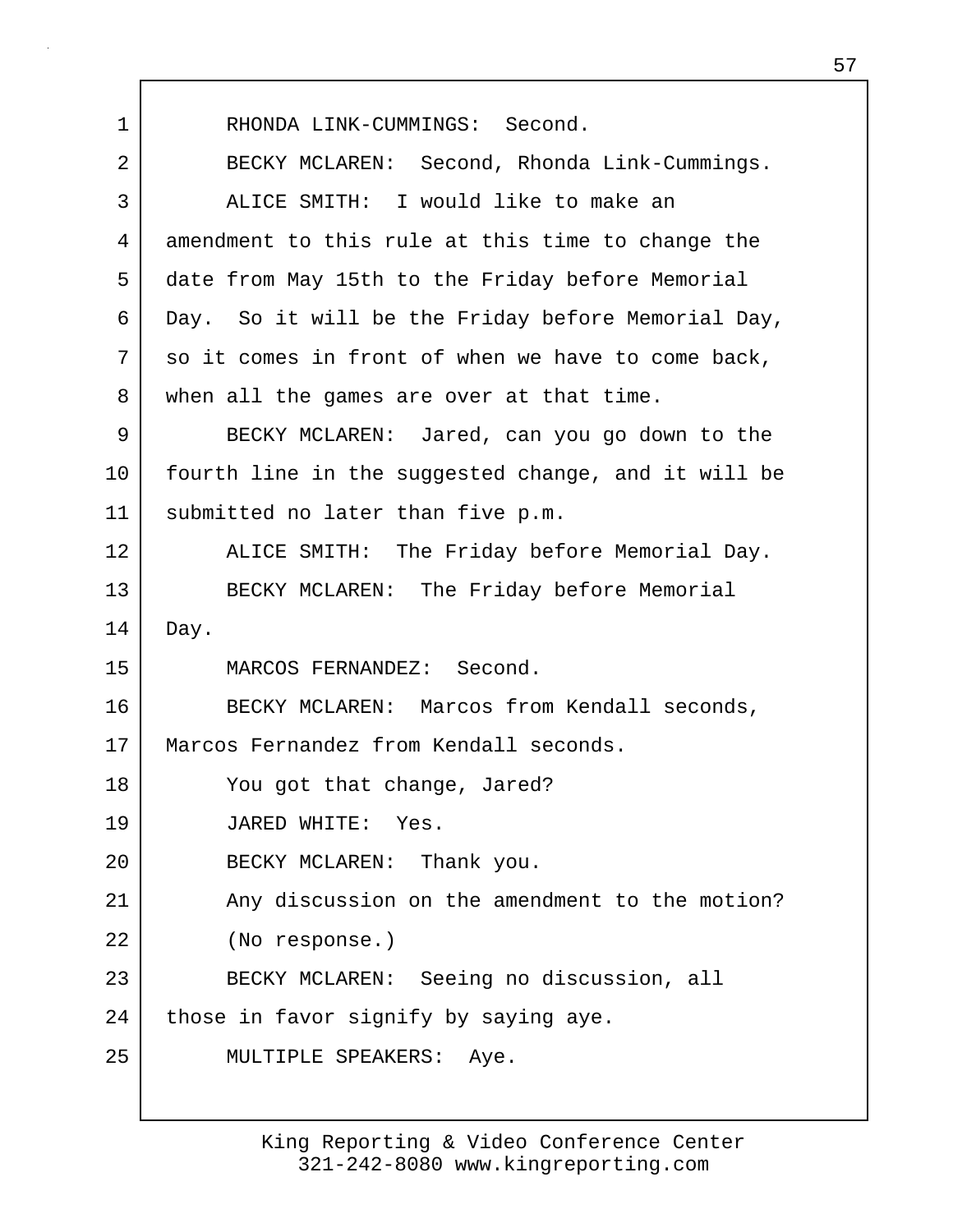1 RHONDA LINK-CUMMINGS: Second. 2 BECKY MCLAREN: Second, Rhonda Link-Cummings. 3 ALICE SMITH: I would like to make an 4 amendment to this rule at this time to change the 5 date from May 15th to the Friday before Memorial 6 Day. So it will be the Friday before Memorial Day,  $7$  so it comes in front of when we have to come back, 8 | when all the games are over at that time. 9 BECKY MCLAREN: Jared, can you go down to the 10 fourth line in the suggested change, and it will be 11 | submitted no later than five p.m. 12 ALICE SMITH: The Friday before Memorial Day. 13 BECKY MCLAREN: The Friday before Memorial 14 Day. 15 MARCOS FERNANDEZ: Second. 16 BECKY MCLAREN: Marcos from Kendall seconds, 17 | Marcos Fernandez from Kendall seconds. 18 You got that change, Jared? 19 JARED WHITE: Yes. 20 BECKY MCLAREN: Thank you. 21 Any discussion on the amendment to the motion? 22 (No response.) 23 BECKY MCLAREN: Seeing no discussion, all 24 | those in favor signify by saying aye. 25 MULTIPLE SPEAKERS: Aye.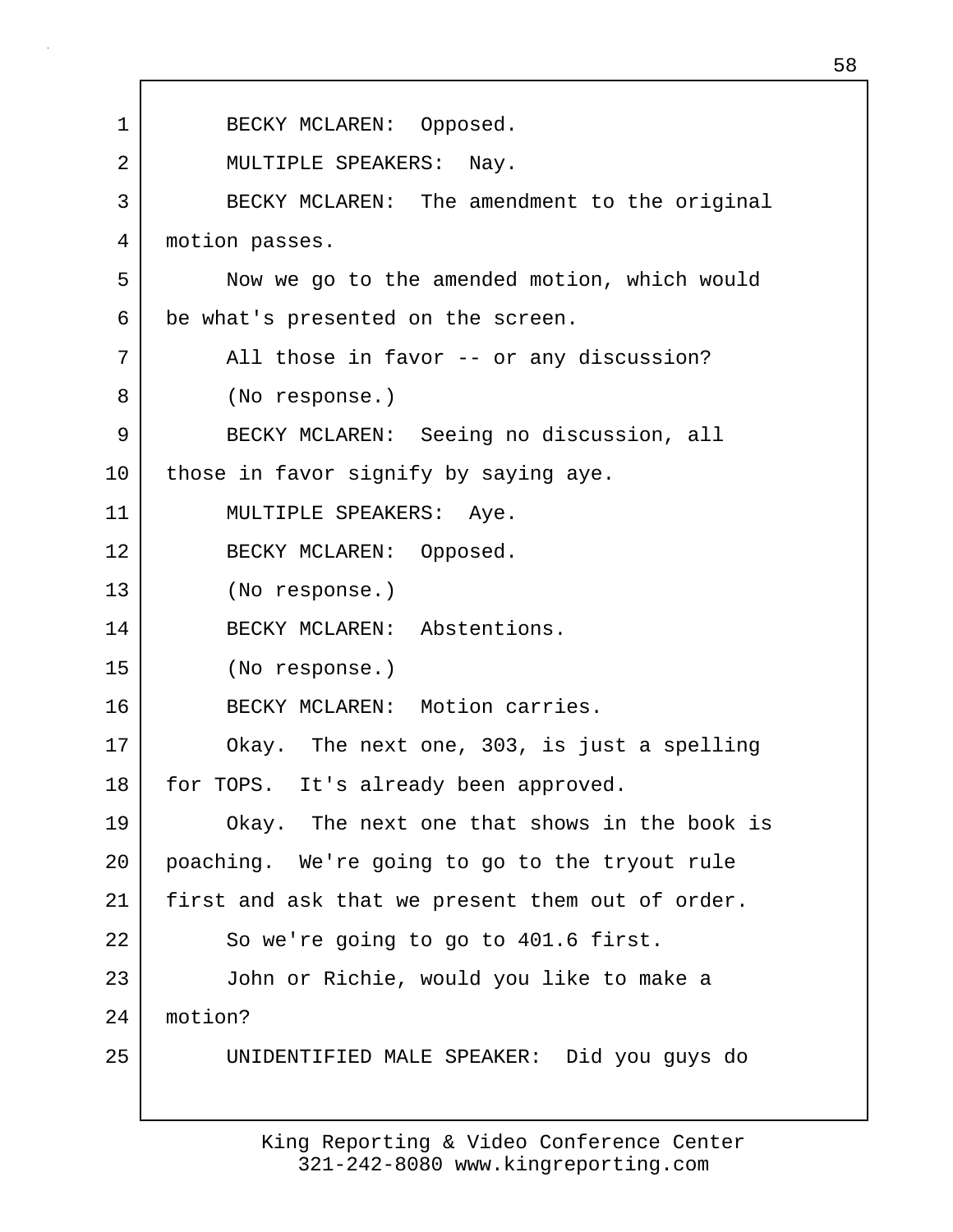| 1  | BECKY MCLAREN: Opposed.                          |
|----|--------------------------------------------------|
| 2  | MULTIPLE SPEAKERS: Nay.                          |
| 3  | BECKY MCLAREN: The amendment to the original     |
| 4  | motion passes.                                   |
| 5  | Now we go to the amended motion, which would     |
| 6  | be what's presented on the screen.               |
| 7  | All those in favor -- or any discussion?         |
| 8  | (No response.)                                   |
| 9  | BECKY MCLAREN: Seeing no discussion, all         |
| 10 | those in favor signify by saying aye.            |
| 11 | MULTIPLE SPEAKERS: Aye.                          |
| 12 | BECKY MCLAREN: Opposed.                          |
| 13 | (No response.)                                   |
| 14 | BECKY MCLAREN: Abstentions.                      |
| 15 | (No response.)                                   |
| 16 | BECKY MCLAREN: Motion carries.                   |
| 17 | Okay. The next one, 303, is just a spelling      |
| 18 | for TOPS. It's already been approved.            |
| 19 | Okay. The next one that shows in the book is     |
| 20 | poaching. We're going to go to the tryout rule   |
| 21 | first and ask that we present them out of order. |
| 22 | So we're going to go to 401.6 first.             |
| 23 | John or Richie, would you like to make a         |
| 24 | motion?                                          |
| 25 | UNIDENTIFIED MALE SPEAKER: Did you guys do       |
|    |                                                  |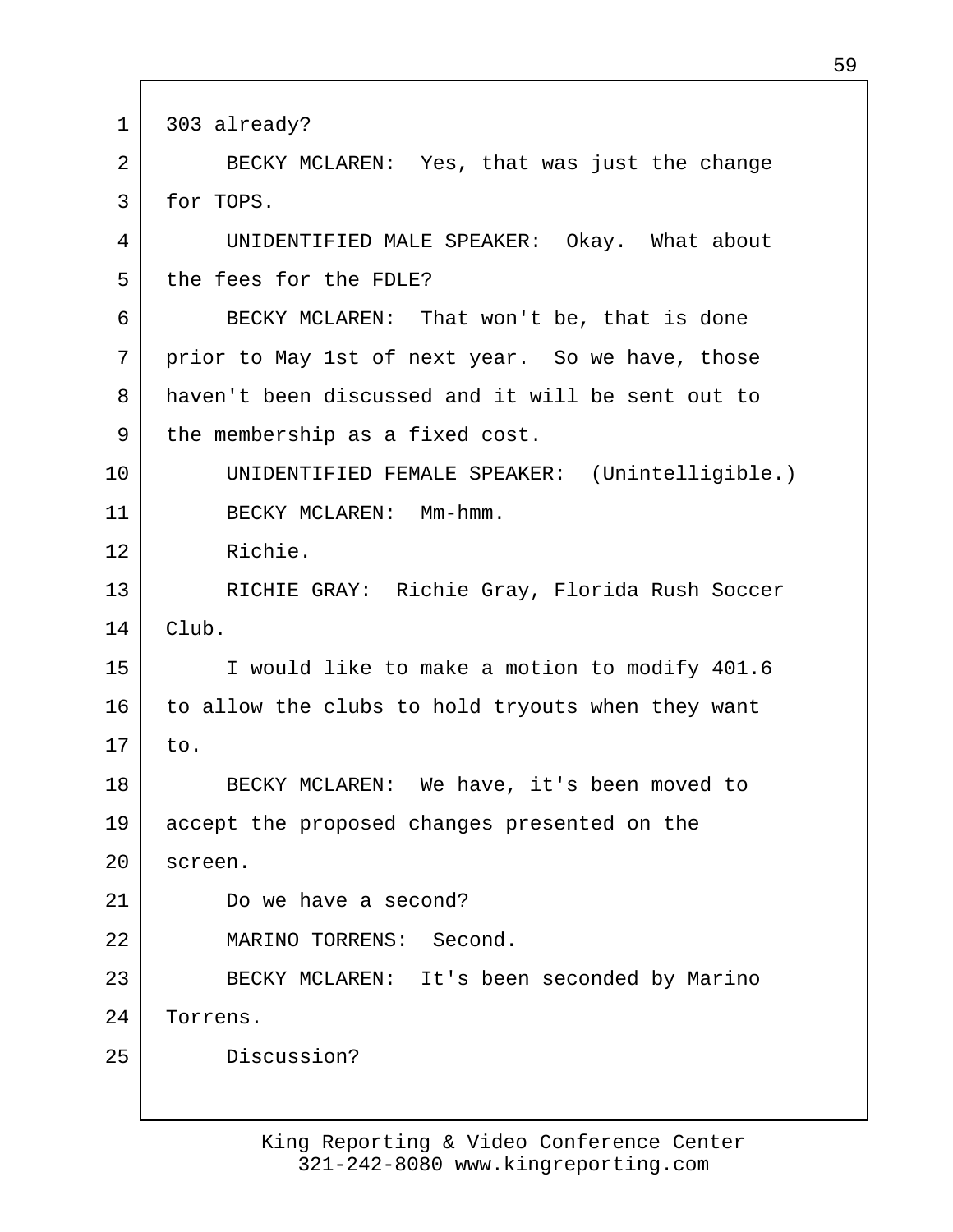1 303 already? 2 BECKY MCLAREN: Yes, that was just the change 3 for TOPS. 4 UNIDENTIFIED MALE SPEAKER: Okay. What about 5 the fees for the FDLE? 6 BECKY MCLAREN: That won't be, that is done 7 prior to May 1st of next year. So we have, those 8 haven't been discussed and it will be sent out to 9 the membership as a fixed cost. 10 UNIDENTIFIED FEMALE SPEAKER: (Unintelligible.) 11 BECKY MCLAREN: Mm-hmm. 12 Richie. 13 RICHIE GRAY: Richie Gray, Florida Rush Soccer  $14$  Club. 15 I would like to make a motion to modify 401.6 16 to allow the clubs to hold tryouts when they want  $17$  to. 18 BECKY MCLAREN: We have, it's been moved to 19 accept the proposed changes presented on the 20 screen. 21 Do we have a second? 22 MARINO TORRENS: Second. 23 BECKY MCLAREN: It's been seconded by Marino 24 Torrens. 25 Discussion?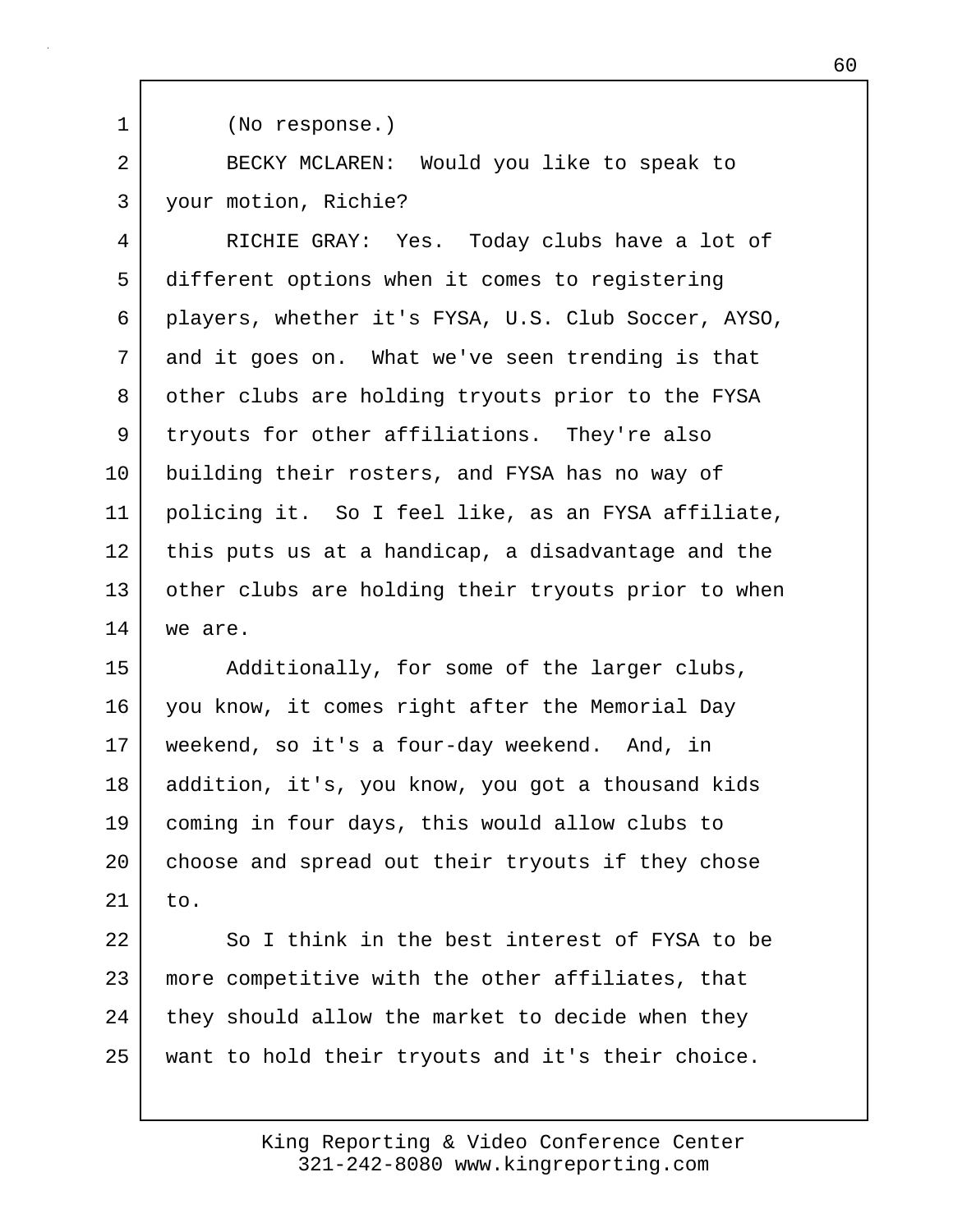1 (No response.)

2 BECKY MCLAREN: Would you like to speak to 3 your motion, Richie?

4 RICHIE GRAY: Yes. Today clubs have a lot of 5 different options when it comes to registering 6 players, whether it's FYSA, U.S. Club Soccer, AYSO, 7 and it goes on. What we've seen trending is that 8 | other clubs are holding tryouts prior to the FYSA 9 tryouts for other affiliations. They're also 10 building their rosters, and FYSA has no way of 11 policing it. So I feel like, as an FYSA affiliate, 12 this puts us at a handicap, a disadvantage and the 13 other clubs are holding their tryouts prior to when 14 we are.

15 Additionally, for some of the larger clubs, 16 you know, it comes right after the Memorial Day 17 weekend, so it's a four-day weekend. And, in 18 addition, it's, you know, you got a thousand kids 19 coming in four days, this would allow clubs to 20 choose and spread out their tryouts if they chose  $21$  to.

22 So I think in the best interest of FYSA to be 23 more competitive with the other affiliates, that 24 they should allow the market to decide when they 25 want to hold their tryouts and it's their choice.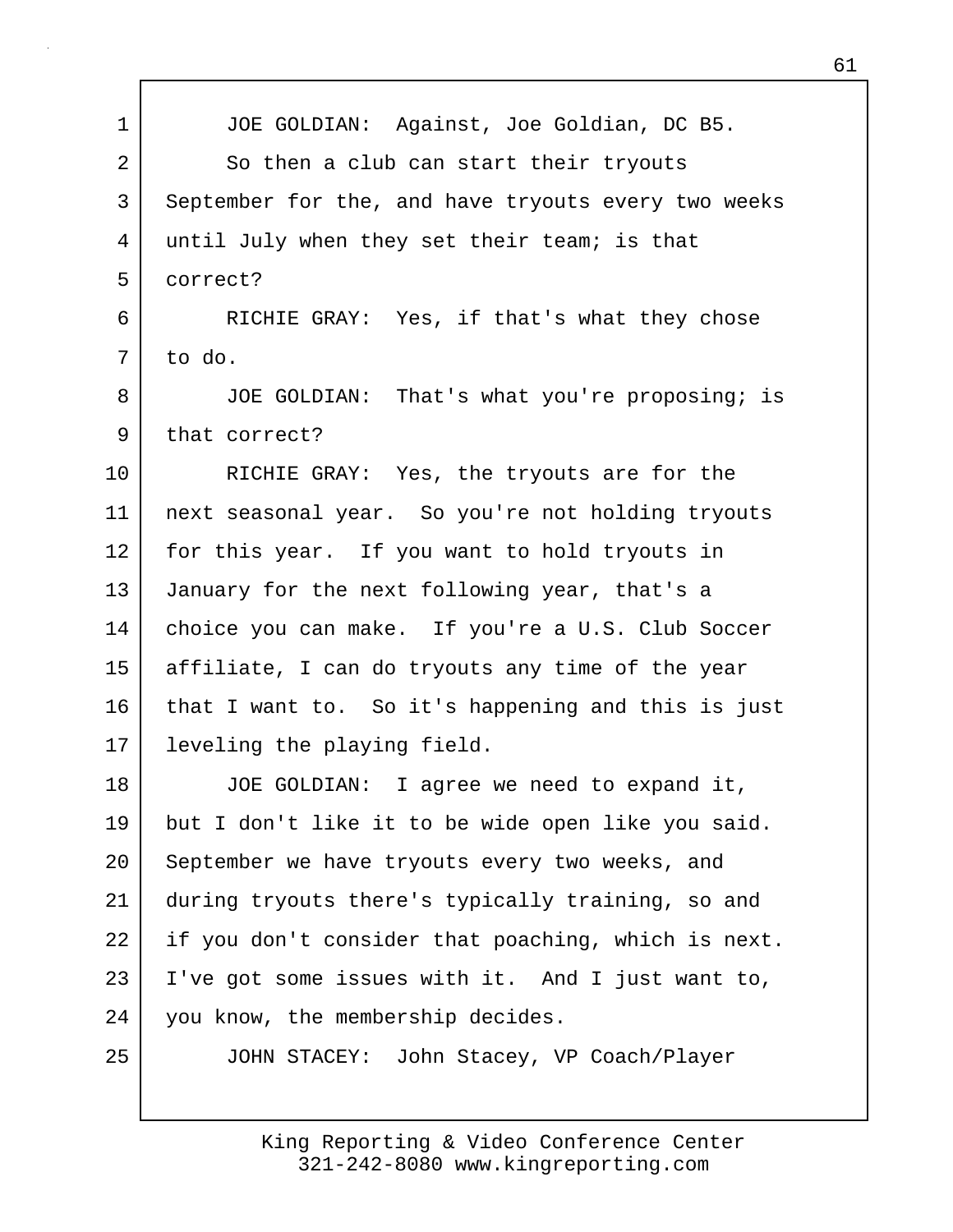| $\mathbf 1$    | JOE GOLDIAN: Against, Joe Goldian, DC B5.           |
|----------------|-----------------------------------------------------|
| $\overline{2}$ |                                                     |
|                | So then a club can start their tryouts              |
| 3              | September for the, and have tryouts every two weeks |
| 4              | until July when they set their team; is that        |
| 5              | correct?                                            |
| 6              | RICHIE GRAY: Yes, if that's what they chose         |
| 7              | to do.                                              |
| 8              | JOE GOLDIAN: That's what you're proposing; is       |
| 9              | that correct?                                       |
| 10             | RICHIE GRAY: Yes, the tryouts are for the           |
| 11             | next seasonal year. So you're not holding tryouts   |
| 12             | for this year. If you want to hold tryouts in       |
| 13             | January for the next following year, that's a       |
| 14             | choice you can make. If you're a U.S. Club Soccer   |
| 15             | affiliate, I can do tryouts any time of the year    |
| 16             | that I want to. So it's happening and this is just  |
| 17             | leveling the playing field.                         |
| 18             | JOE GOLDIAN: I agree we need to expand it,          |
| 19             | but I don't like it to be wide open like you said.  |
| 20             | September we have tryouts every two weeks, and      |
| 21             | during tryouts there's typically training, so and   |
| 22             | if you don't consider that poaching, which is next. |
| 23             | I've got some issues with it. And I just want to,   |
| 24             | you know, the membership decides.                   |
| 25             | JOHN STACEY: John Stacey, VP Coach/Player           |
|                |                                                     |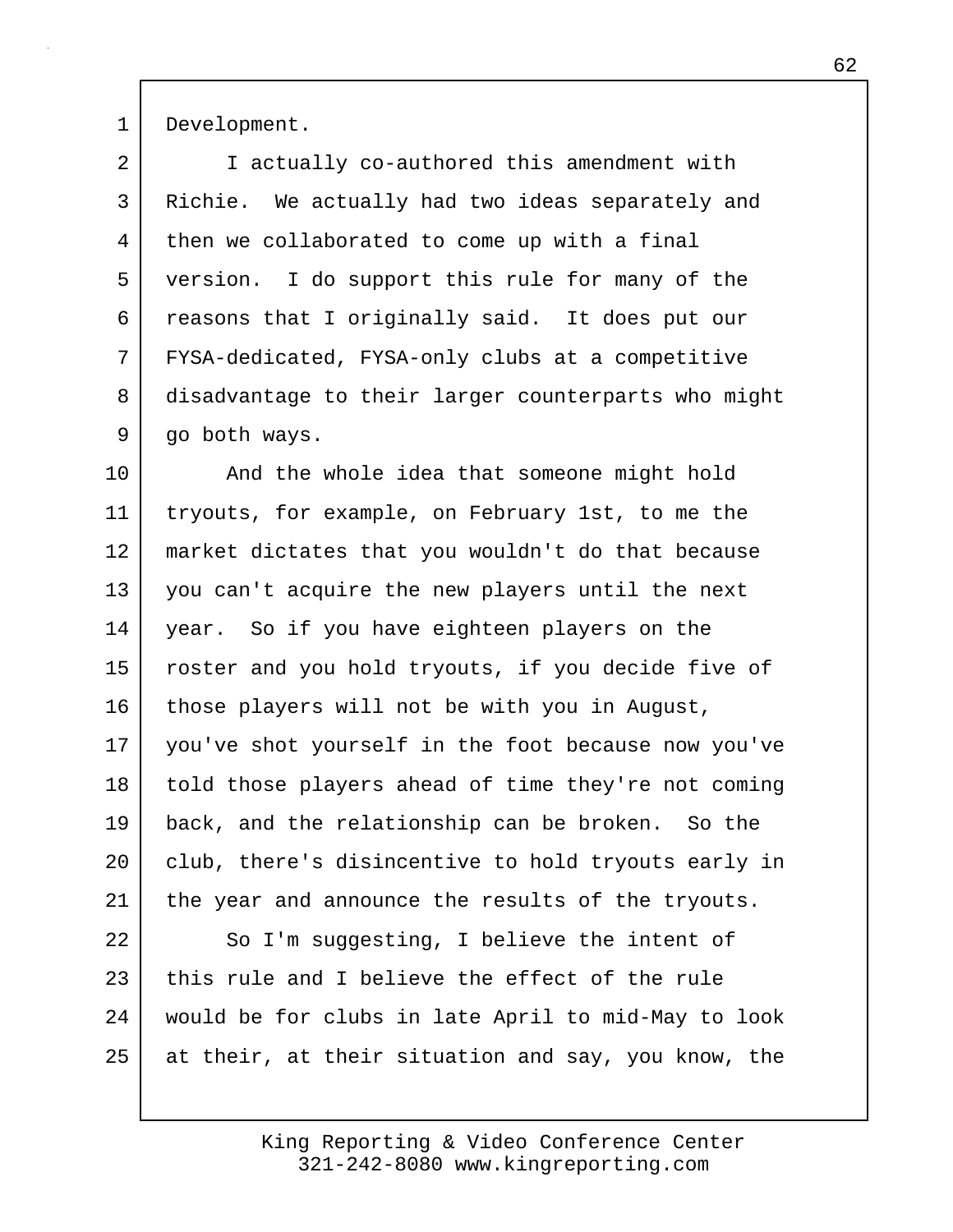1 Development.

| $\overline{a}$ | I actually co-authored this amendment with          |
|----------------|-----------------------------------------------------|
| 3              | Richie. We actually had two ideas separately and    |
| 4              | then we collaborated to come up with a final        |
| 5              | version. I do support this rule for many of the     |
| 6              | reasons that I originally said. It does put our     |
| 7              | FYSA-dedicated, FYSA-only clubs at a competitive    |
| 8              | disadvantage to their larger counterparts who might |
| 9              | go both ways.                                       |
| $10 \,$        | And the whole idea that someone might hold          |
| 11             | tryouts, for example, on February 1st, to me the    |
| 12             | market dictates that you wouldn't do that because   |
| 13             | you can't acquire the new players until the next    |
| 14             | year. So if you have eighteen players on the        |
| 15             | roster and you hold tryouts, if you decide five of  |
| 16             | those players will not be with you in August,       |
| 17             | you've shot yourself in the foot because now you've |
| 18             | told those players ahead of time they're not coming |
| 19             | back, and the relationship can be broken. So the    |
| 20             | club, there's disincentive to hold tryouts early in |
| 21             | the year and announce the results of the tryouts.   |
| 22             | So I'm suggesting, I believe the intent of          |
| 23             | this rule and I believe the effect of the rule      |
| 24             | would be for clubs in late April to mid-May to look |

25 at their, at their situation and say, you know, the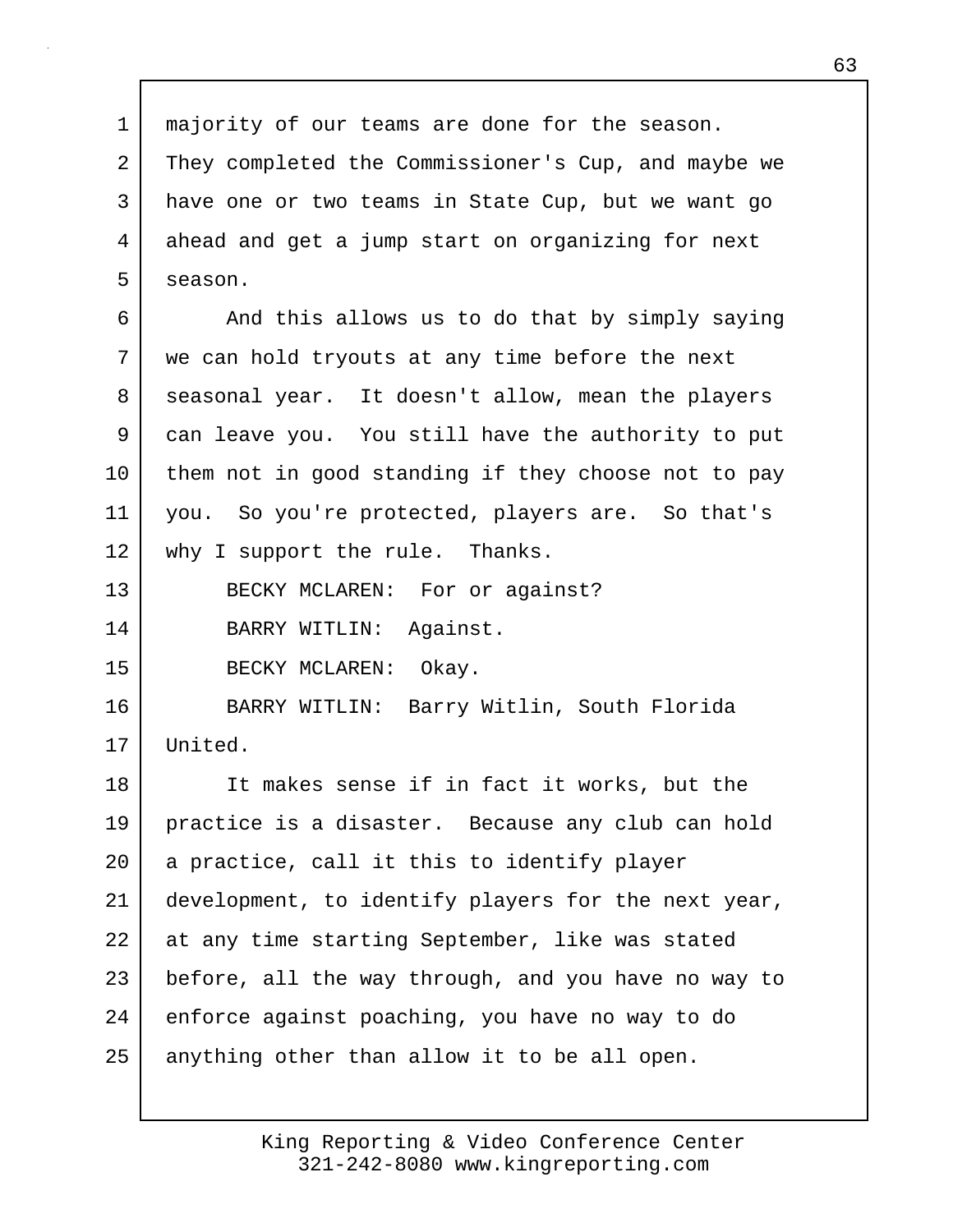1 majority of our teams are done for the season. 2 They completed the Commissioner's Cup, and maybe we 3 have one or two teams in State Cup, but we want go 4 ahead and get a jump start on organizing for next 5 season. 6 And this allows us to do that by simply saying 7 we can hold tryouts at any time before the next 8 seasonal year. It doesn't allow, mean the players 9 can leave you. You still have the authority to put 10 them not in good standing if they choose not to pay 11 you. So you're protected, players are. So that's 12 | why I support the rule. Thanks. 13 BECKY MCLAREN: For or against? 14 BARRY WITLIN: Against. 15 BECKY MCLAREN: Okay. 16 BARRY WITLIN: Barry Witlin, South Florida 17 United. 18 It makes sense if in fact it works, but the 19 practice is a disaster. Because any club can hold 20 a practice, call it this to identify player 21 development, to identify players for the next year, 22 at any time starting September, like was stated 23 before, all the way through, and you have no way to 24 enforce against poaching, you have no way to do 25 anything other than allow it to be all open.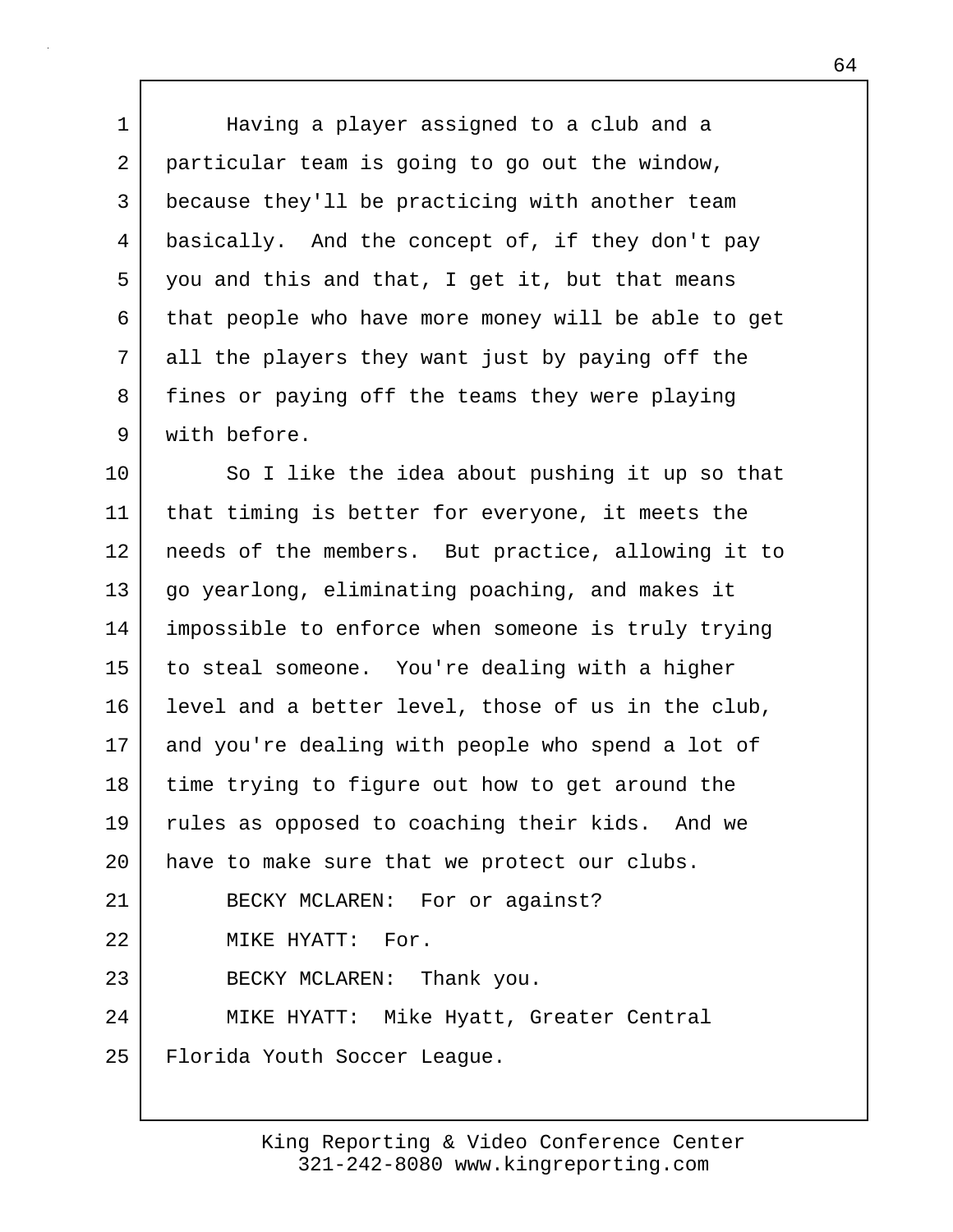1 | Having a player assigned to a club and a 2 particular team is going to go out the window, 3 because they'll be practicing with another team 4 basically. And the concept of, if they don't pay 5 you and this and that, I get it, but that means 6 that people who have more money will be able to get 7 all the players they want just by paying off the 8 fines or paying off the teams they were playing 9 with before.

10 So I like the idea about pushing it up so that 11 that timing is better for everyone, it meets the 12 needs of the members. But practice, allowing it to 13 | go yearlong, eliminating poaching, and makes it 14 impossible to enforce when someone is truly trying 15 to steal someone. You're dealing with a higher 16 level and a better level, those of us in the club, 17 and you're dealing with people who spend a lot of 18 time trying to figure out how to get around the 19 rules as opposed to coaching their kids. And we 20 | have to make sure that we protect our clubs. 21 BECKY MCLAREN: For or against? 22 MIKE HYATT: For. 23 BECKY MCLAREN: Thank you. 24 MIKE HYATT: Mike Hyatt, Greater Central 25 Florida Youth Soccer League.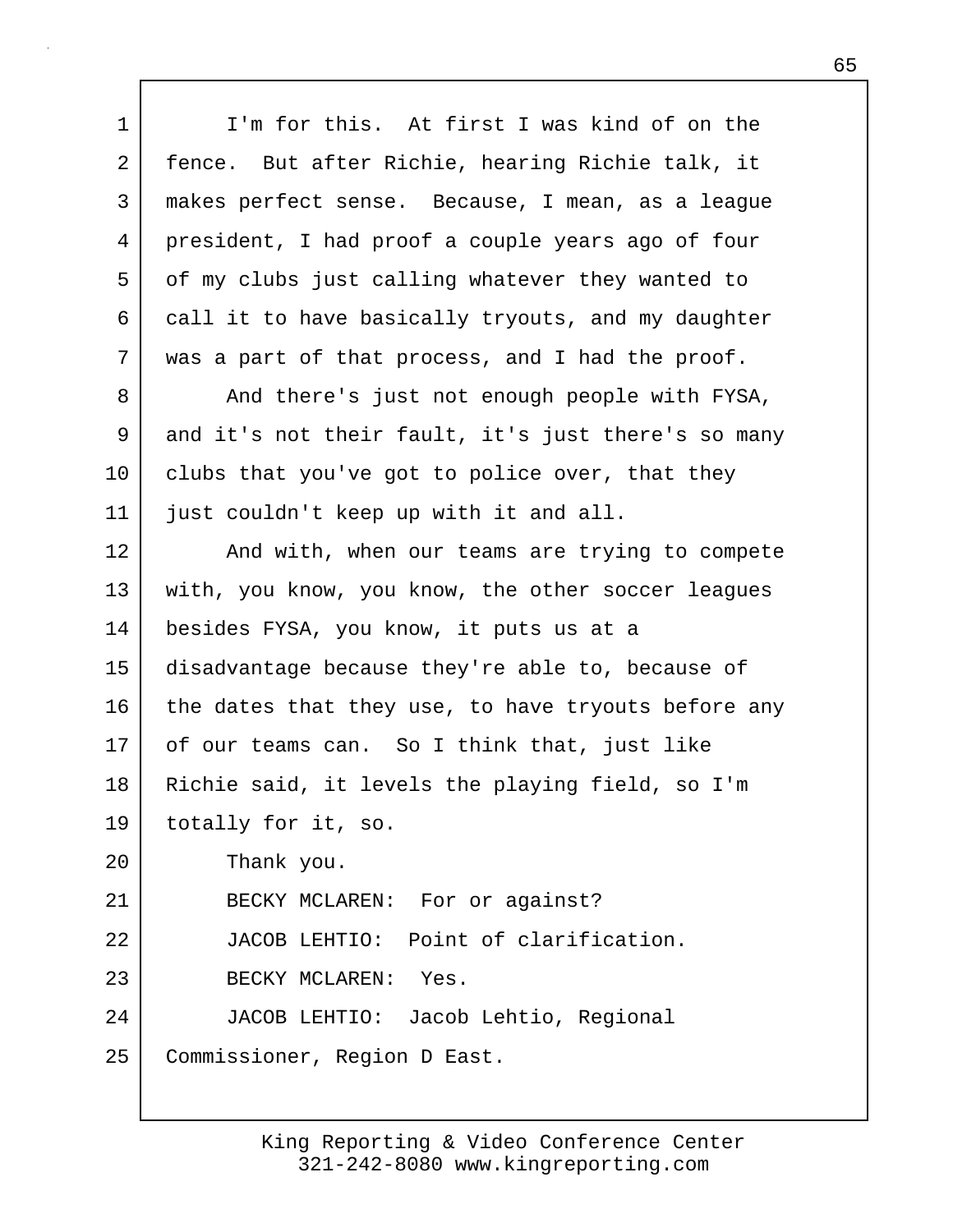| $\mathbf 1$ | I'm for this. At first I was kind of on the         |
|-------------|-----------------------------------------------------|
| 2           | fence. But after Richie, hearing Richie talk, it    |
| 3           | makes perfect sense. Because, I mean, as a league   |
| 4           | president, I had proof a couple years ago of four   |
| 5           | of my clubs just calling whatever they wanted to    |
| 6           | call it to have basically tryouts, and my daughter  |
| 7           | was a part of that process, and I had the proof.    |
| 8           | And there's just not enough people with FYSA,       |
| 9           | and it's not their fault, it's just there's so many |
| 10          | clubs that you've got to police over, that they     |
| 11          | just couldn't keep up with it and all.              |
| 12          | And with, when our teams are trying to compete      |
| 13          | with, you know, you know, the other soccer leagues  |
| 14          | besides FYSA, you know, it puts us at a             |
| 15          | disadvantage because they're able to, because of    |
| 16          | the dates that they use, to have tryouts before any |
| 17          | of our teams can. So I think that, just like        |
| 18          | Richie said, it levels the playing field, so I'm    |
| 19          | totally for it, so.                                 |
| 20          | Thank you.                                          |
| 21          | BECKY MCLAREN: For or against?                      |
| 22          | JACOB LEHTIO: Point of clarification.               |
| 23          | BECKY MCLAREN: Yes.                                 |
| 24          | JACOB LEHTIO: Jacob Lehtio, Regional                |
| 25          | Commissioner, Region D East.                        |

 $\mathbf{I}$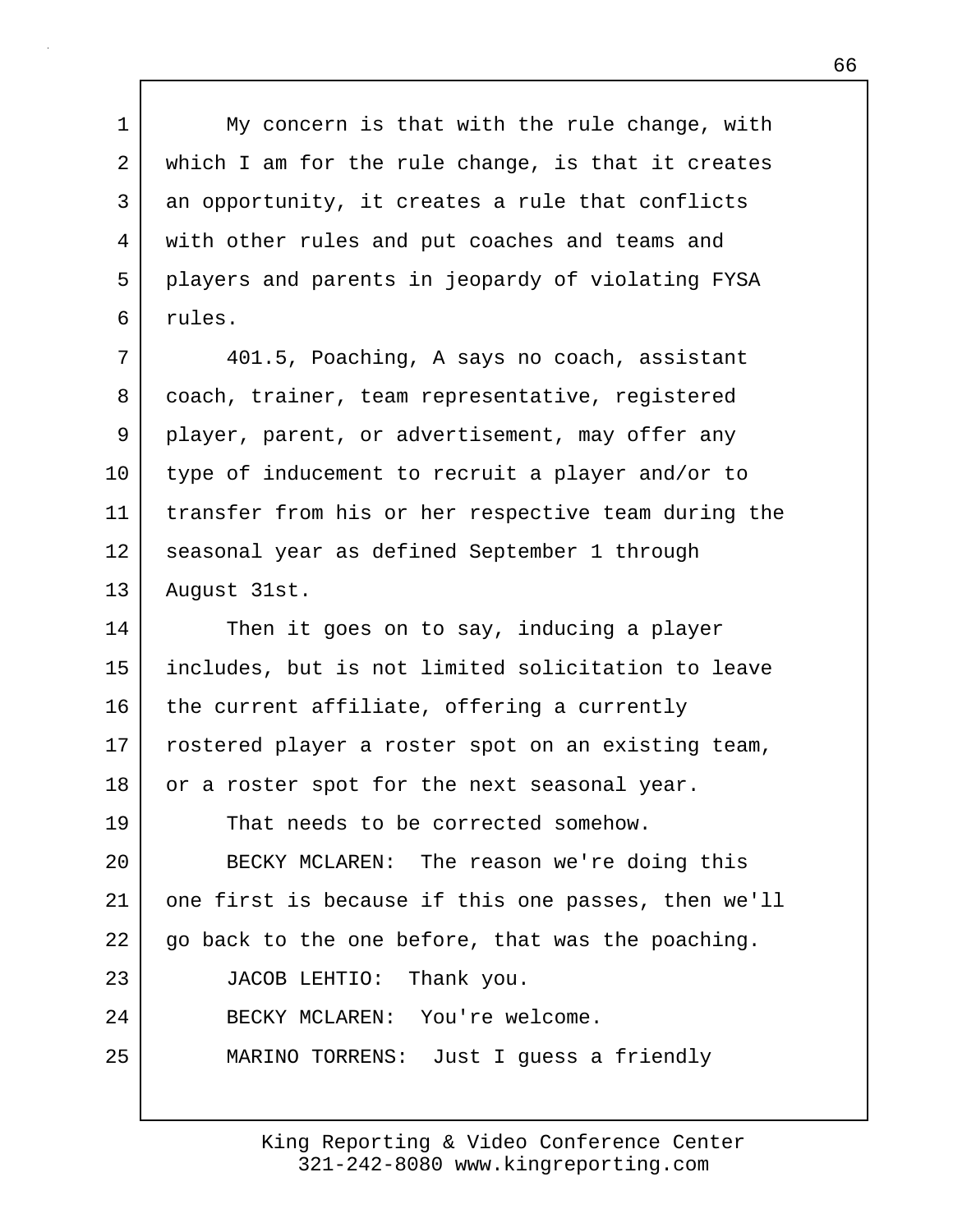1 My concern is that with the rule change, with 2 which I am for the rule change, is that it creates 3 an opportunity, it creates a rule that conflicts 4 with other rules and put coaches and teams and 5 players and parents in jeopardy of violating FYSA 6 rules.

7 401.5, Poaching, A says no coach, assistant 8 coach, trainer, team representative, registered 9 player, parent, or advertisement, may offer any 10 type of inducement to recruit a player and/or to 11 transfer from his or her respective team during the 12 seasonal year as defined September 1 through 13 August 31st.

14 Then it goes on to say, inducing a player 15 includes, but is not limited solicitation to leave  $16$  the current affiliate, offering a currently 17 rostered player a roster spot on an existing team, 18 or a roster spot for the next seasonal year. 19 That needs to be corrected somehow. 20 BECKY MCLAREN: The reason we're doing this 21 one first is because if this one passes, then we'll  $22$  go back to the one before, that was the poaching. 23 JACOB LEHTIO: Thank you. 24 BECKY MCLAREN: You're welcome. 25 MARINO TORRENS: Just I guess a friendly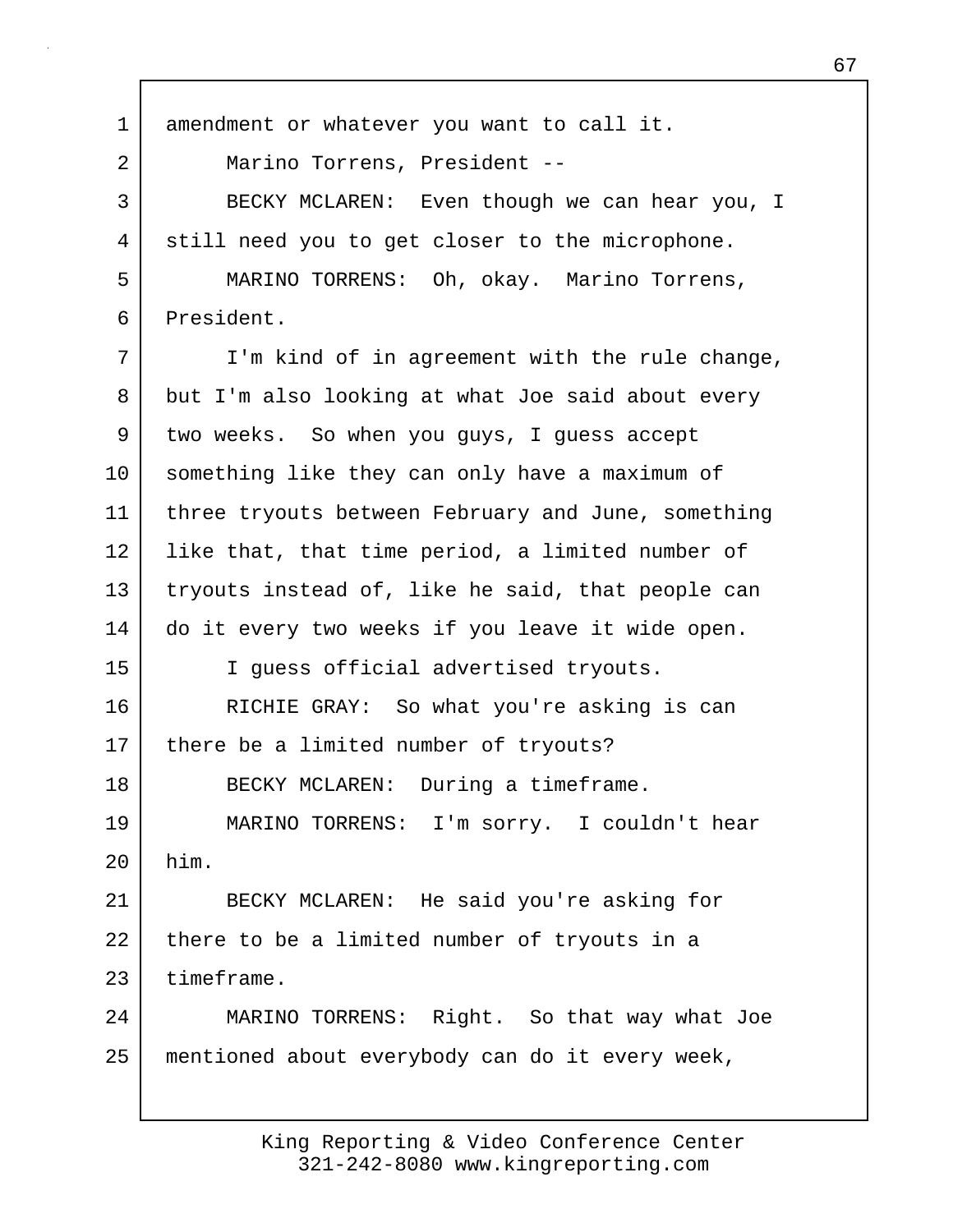1 amendment or whatever you want to call it. 2 Marino Torrens, President -- 3 BECKY MCLAREN: Even though we can hear you, I 4 still need you to get closer to the microphone. 5 MARINO TORRENS: Oh, okay. Marino Torrens, 6 President. 7 I'm kind of in agreement with the rule change, 8 but I'm also looking at what Joe said about every 9 two weeks. So when you guys, I guess accept 10 something like they can only have a maximum of 11 | three tryouts between February and June, something 12 like that, that time period, a limited number of 13 tryouts instead of, like he said, that people can 14 do it every two weeks if you leave it wide open. 15 I guess official advertised tryouts. 16 RICHIE GRAY: So what you're asking is can 17 | there be a limited number of tryouts? 18 BECKY MCLAREN: During a timeframe. 19 MARINO TORRENS: I'm sorry. I couldn't hear 20 him. 21 BECKY MCLAREN: He said you're asking for  $22$  there to be a limited number of tryouts in a 23 timeframe. 24 MARINO TORRENS: Right. So that way what Joe 25 mentioned about everybody can do it every week,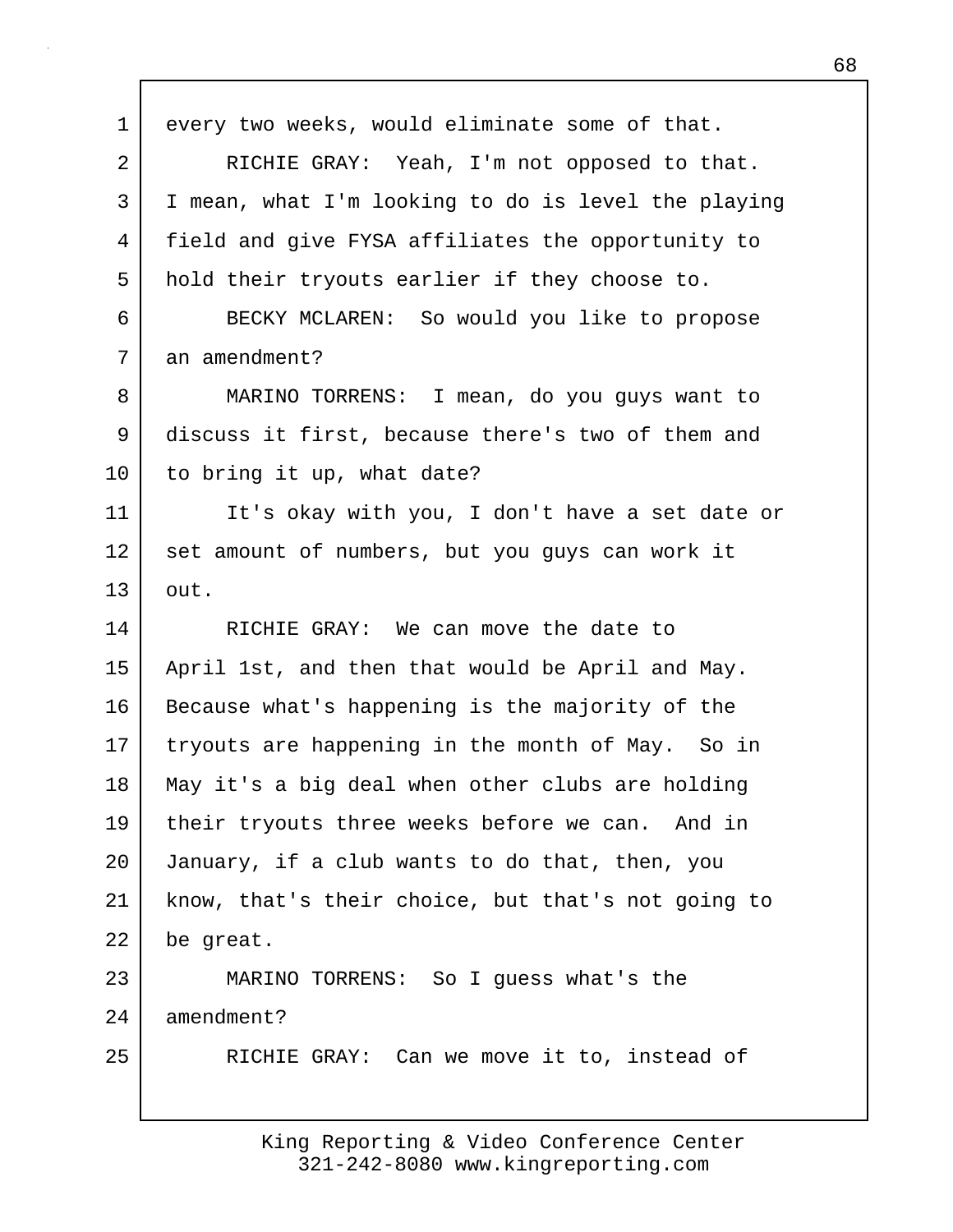| $\mathbf 1$    | every two weeks, would eliminate some of that.      |
|----------------|-----------------------------------------------------|
| $\overline{a}$ | RICHIE GRAY: Yeah, I'm not opposed to that.         |
| 3              | I mean, what I'm looking to do is level the playing |
| 4              | field and give FYSA affiliates the opportunity to   |
| 5              | hold their tryouts earlier if they choose to.       |
| 6              | BECKY MCLAREN: So would you like to propose         |
| 7              | an amendment?                                       |
| 8              | MARINO TORRENS: I mean, do you guys want to         |
| 9              | discuss it first, because there's two of them and   |
| 10             | to bring it up, what date?                          |
| 11             | It's okay with you, I don't have a set date or      |
| 12             | set amount of numbers, but you guys can work it     |
| 13             | out.                                                |
| 14             | RICHIE GRAY: We can move the date to                |
| 15             | April 1st, and then that would be April and May.    |
| 16             | Because what's happening is the majority of the     |
| 17             | tryouts are happening in the month of May. So in    |
| 18             | May it's a big deal when other clubs are holding    |
| 19             | their tryouts three weeks before we can. And in     |
| 20             | January, if a club wants to do that, then, you      |
| 21             | know, that's their choice, but that's not going to  |
| 22             | be great.                                           |
| 23             | MARINO TORRENS: So I guess what's the               |
| 24             | amendment?                                          |
| 25             | RICHIE GRAY: Can we move it to, instead of          |
|                |                                                     |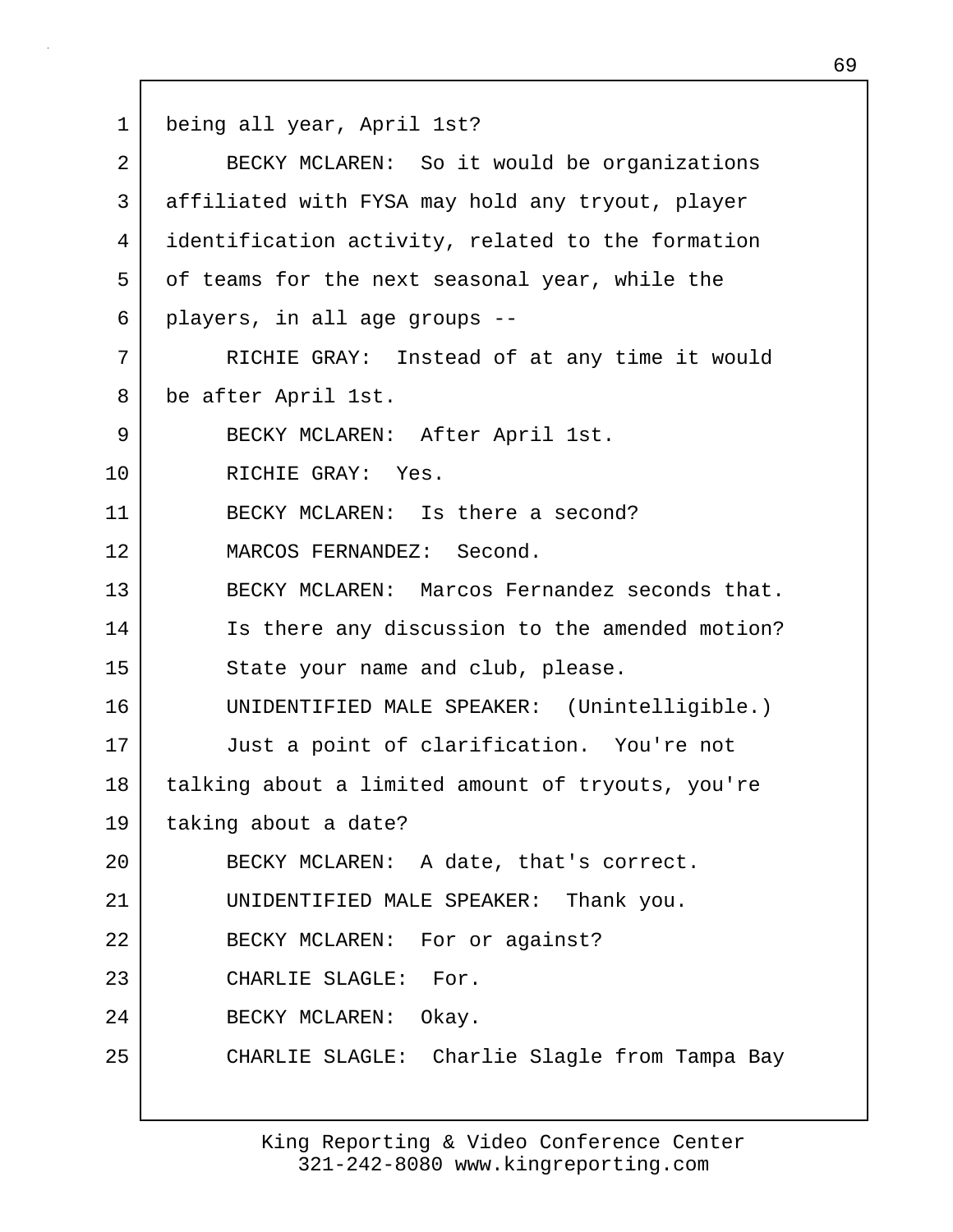1 being all year, April 1st?

| $\overline{2}$ | BECKY MCLAREN: So it would be organizations       |
|----------------|---------------------------------------------------|
| 3              | affiliated with FYSA may hold any tryout, player  |
| 4              | identification activity, related to the formation |
| 5              | of teams for the next seasonal year, while the    |
| 6              | players, in all age groups --                     |
| 7              | RICHIE GRAY: Instead of at any time it would      |
| 8              | be after April 1st.                               |
| 9              | BECKY MCLAREN: After April 1st.                   |
| 10             | RICHIE GRAY: Yes.                                 |
| 11             | BECKY MCLAREN: Is there a second?                 |
| 12             | MARCOS FERNANDEZ: Second.                         |
| 13             | BECKY MCLAREN: Marcos Fernandez seconds that.     |
| 14             | Is there any discussion to the amended motion?    |
| 15             | State your name and club, please.                 |
| 16             | UNIDENTIFIED MALE SPEAKER: (Unintelligible.)      |
| 17             | Just a point of clarification. You're not         |
| 18             | talking about a limited amount of tryouts, you're |
| 19             | taking about a date?                              |
| 20             | BECKY MCLAREN: A date, that's correct.            |
| 21             | UNIDENTIFIED MALE SPEAKER: Thank you.             |
| 22             | BECKY MCLAREN: For or against?                    |
| 23             | CHARLIE SLAGLE: For.                              |
| 24             | BECKY MCLAREN: Okay.                              |
| 25             | CHARLIE SLAGLE: Charlie Slagle from Tampa Bay     |
|                |                                                   |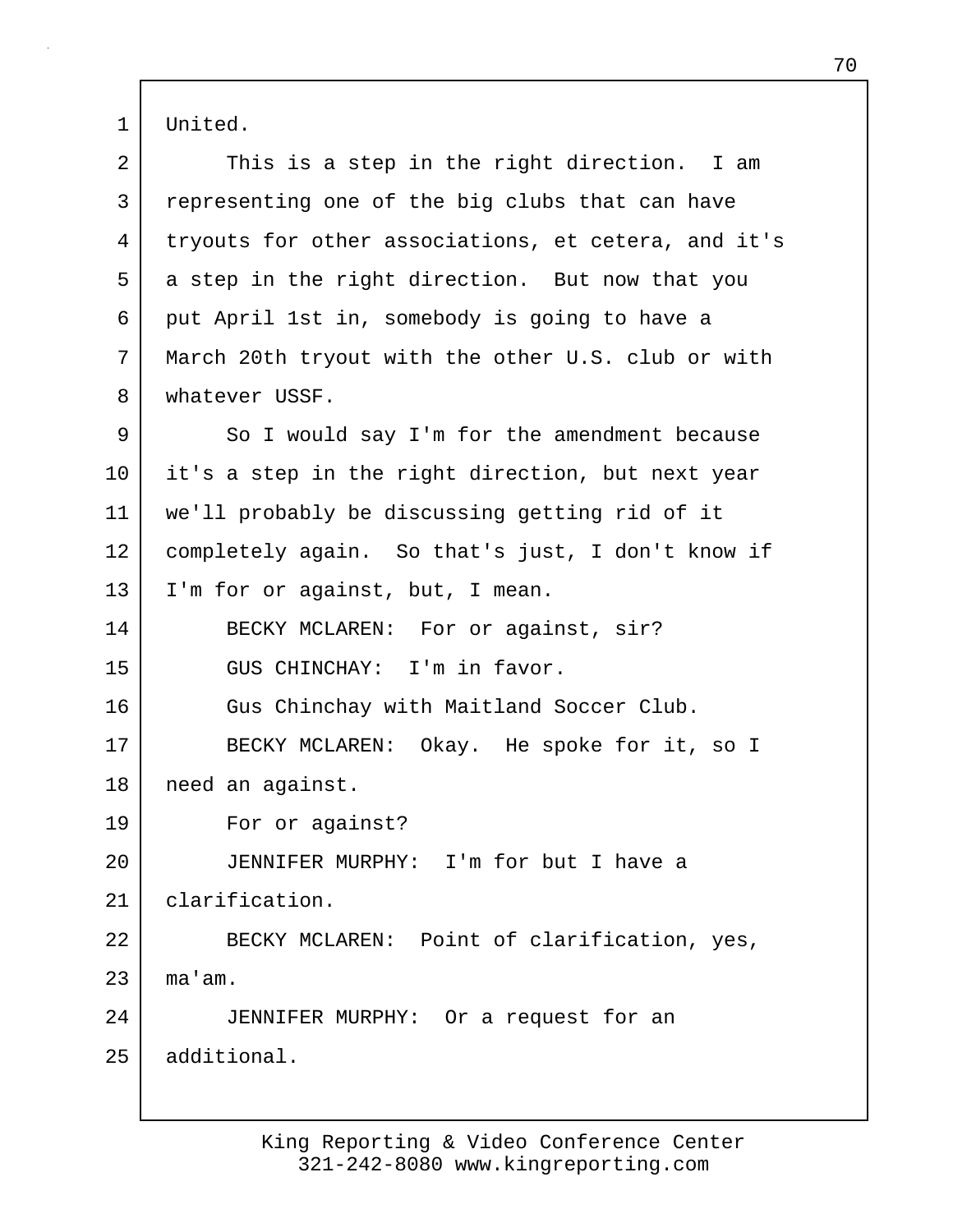1 United.

| $\overline{2}$ | This is a step in the right direction. I am         |
|----------------|-----------------------------------------------------|
| 3              | representing one of the big clubs that can have     |
| 4              | tryouts for other associations, et cetera, and it's |
| 5              | a step in the right direction. But now that you     |
| 6              | put April 1st in, somebody is going to have a       |
| 7              | March 20th tryout with the other U.S. club or with  |
| 8              | whatever USSF.                                      |
| 9              | So I would say I'm for the amendment because        |
| 10             | it's a step in the right direction, but next year   |
| 11             | we'll probably be discussing getting rid of it      |
| 12             | completely again. So that's just, I don't know if   |
| 13             | I'm for or against, but, I mean.                    |
| 14             | BECKY MCLAREN: For or against, sir?                 |
| 15             | GUS CHINCHAY: I'm in favor.                         |
| 16             | Gus Chinchay with Maitland Soccer Club.             |
| 17             | BECKY MCLAREN: Okay. He spoke for it, so I          |
| 18             | need an against.                                    |
| 19             | For or against?                                     |
| 20             | JENNIFER MURPHY: I'm for but I have a               |
| 21             | clarification.                                      |
| 22             | BECKY MCLAREN: Point of clarification, yes,         |
| 23             | ma'am.                                              |
| 24             | JENNIFER MURPHY: Or a request for an                |
| 25             | additional.                                         |
|                |                                                     |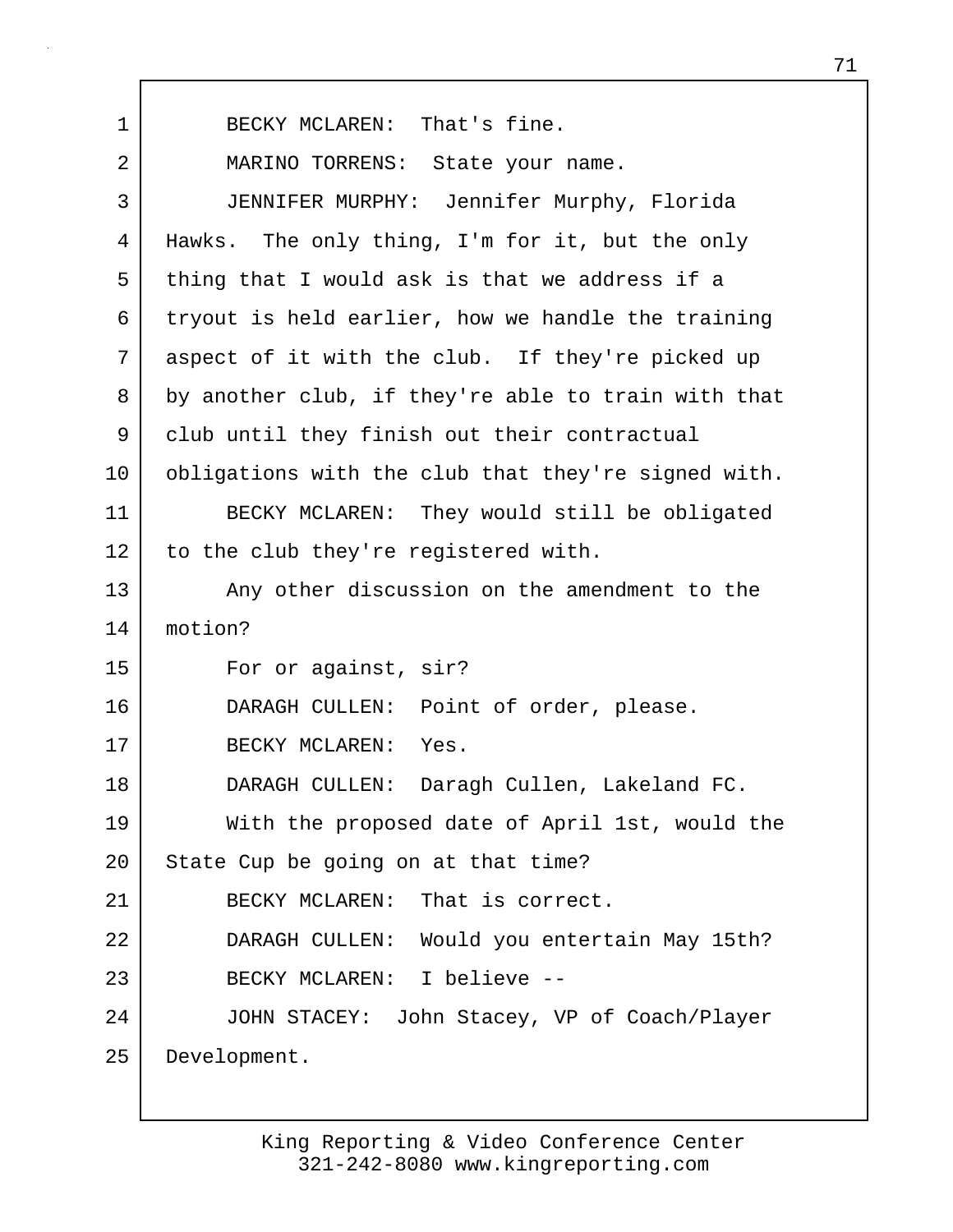1 BECKY MCLAREN: That's fine. 2 | MARINO TORRENS: State your name. 3 JENNIFER MURPHY: Jennifer Murphy, Florida 4 Hawks. The only thing, I'm for it, but the only 5 thing that I would ask is that we address if a 6 tryout is held earlier, how we handle the training 7 aspect of it with the club. If they're picked up 8 by another club, if they're able to train with that 9 club until they finish out their contractual 10 obligations with the club that they're signed with. 11 BECKY MCLAREN: They would still be obligated 12 to the club they're registered with. 13 Any other discussion on the amendment to the 14 motion? 15 For or against, sir? 16 DARAGH CULLEN: Point of order, please. 17 BECKY MCLAREN: Yes. 18 DARAGH CULLEN: Daragh Cullen, Lakeland FC. 19 With the proposed date of April 1st, would the 20 | State Cup be going on at that time? 21 BECKY MCLAREN: That is correct. 22 DARAGH CULLEN: Would you entertain May 15th? 23 BECKY MCLAREN: I believe -- 24 JOHN STACEY: John Stacey, VP of Coach/Player 25 Development.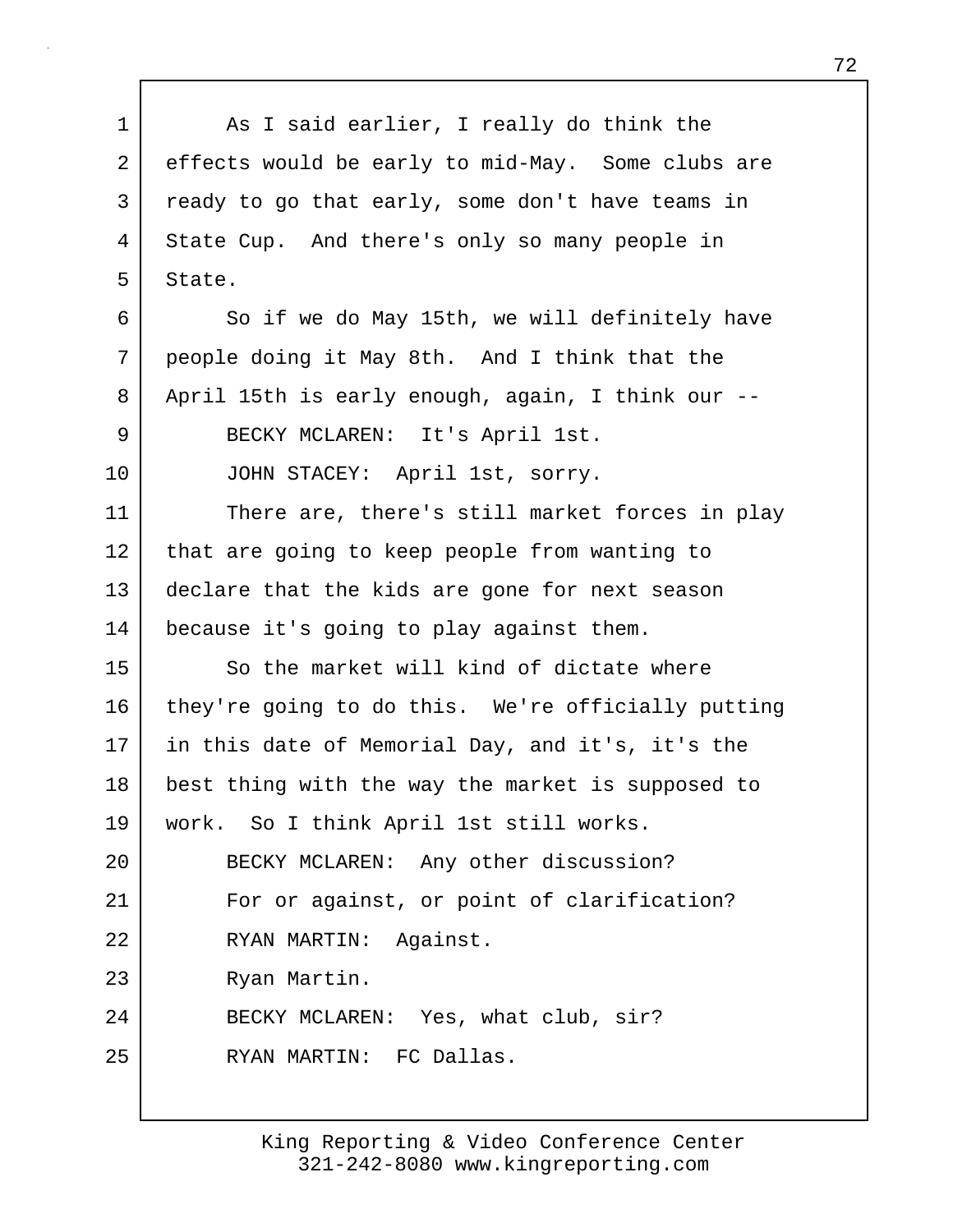1 As I said earlier, I really do think the 2 effects would be early to mid-May. Some clubs are 3 ready to go that early, some don't have teams in 4 State Cup. And there's only so many people in 5 State. 6 So if we do May 15th, we will definitely have 7 people doing it May 8th. And I think that the 8 April 15th is early enough, again, I think our -- 9 BECKY MCLAREN: It's April 1st. 10 JOHN STACEY: April 1st, sorry. 11 There are, there's still market forces in play 12 that are going to keep people from wanting to 13 declare that the kids are gone for next season 14 because it's going to play against them. 15 So the market will kind of dictate where 16 | they're going to do this. We're officially putting 17 in this date of Memorial Day, and it's, it's the 18 best thing with the way the market is supposed to 19 work. So I think April 1st still works. 20 BECKY MCLAREN: Any other discussion? 21 | For or against, or point of clarification? 22 RYAN MARTIN: Against. 23 Ryan Martin. 24 BECKY MCLAREN: Yes, what club, sir? 25 RYAN MARTIN: FC Dallas.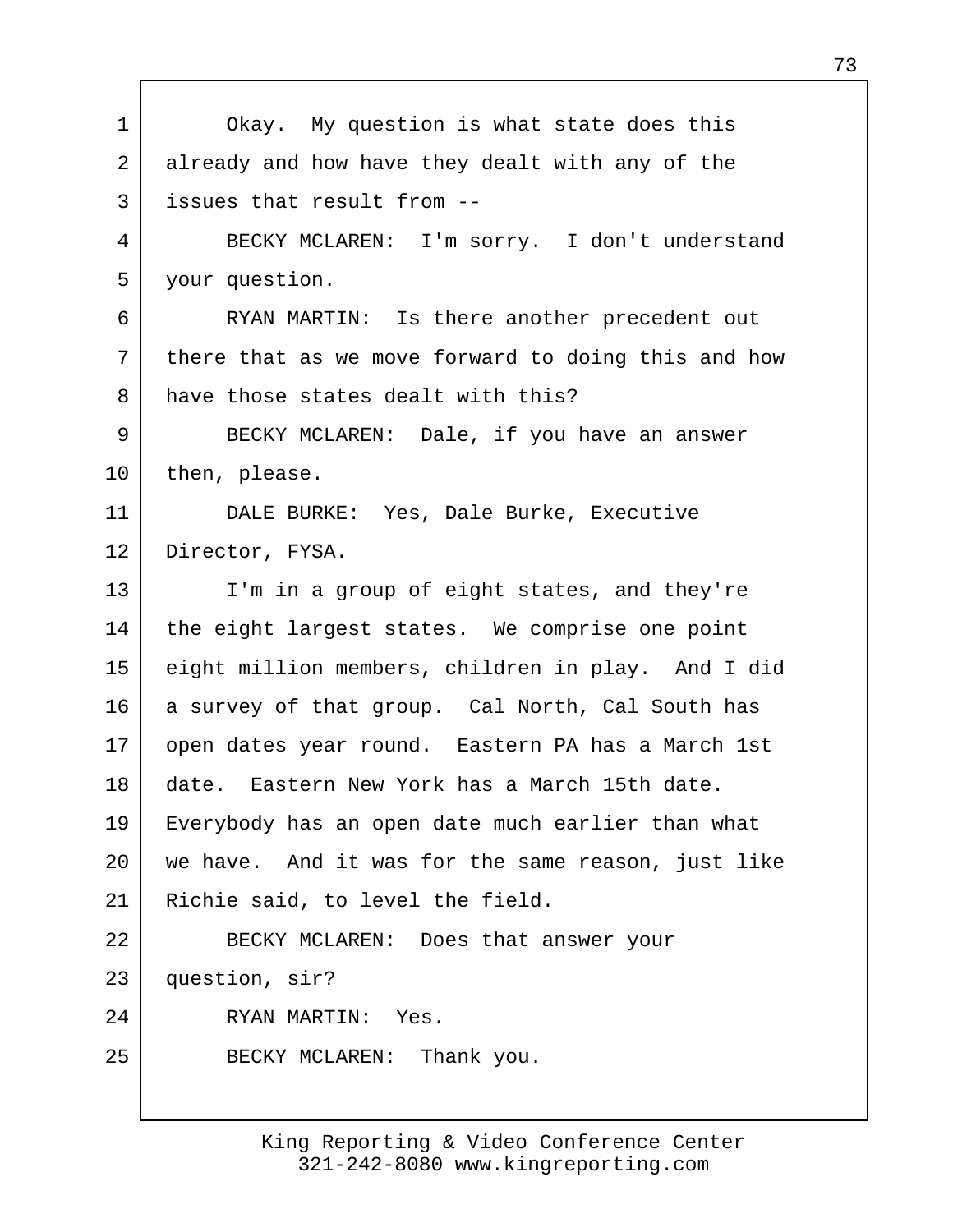| $\mathbf 1$ | Okay. My question is what state does this           |
|-------------|-----------------------------------------------------|
| 2           | already and how have they dealt with any of the     |
| 3           | issues that result from --                          |
| 4           | BECKY MCLAREN: I'm sorry. I don't understand        |
| 5           | your question.                                      |
| 6           | RYAN MARTIN: Is there another precedent out         |
| 7           | there that as we move forward to doing this and how |
| 8           | have those states dealt with this?                  |
| 9           | BECKY MCLAREN: Dale, if you have an answer          |
| 10          | then, please.                                       |
| 11          | DALE BURKE: Yes, Dale Burke, Executive              |
| 12          | Director, FYSA.                                     |
| 13          | I'm in a group of eight states, and they're         |
| 14          | the eight largest states. We comprise one point     |
| 15          | eight million members, children in play. And I did  |
| 16          | a survey of that group. Cal North, Cal South has    |
| 17          | open dates year round. Eastern PA has a March 1st   |
| 18          | date. Eastern New York has a March 15th date.       |
| 19          | Everybody has an open date much earlier than what   |
| 20          | we have. And it was for the same reason, just like  |
| 21          | Richie said, to level the field.                    |
| 22          | BECKY MCLAREN: Does that answer your                |
| 23          | question, sir?                                      |
| 24          | RYAN MARTIN: Yes.                                   |
| 25          | BECKY MCLAREN: Thank you.                           |
|             |                                                     |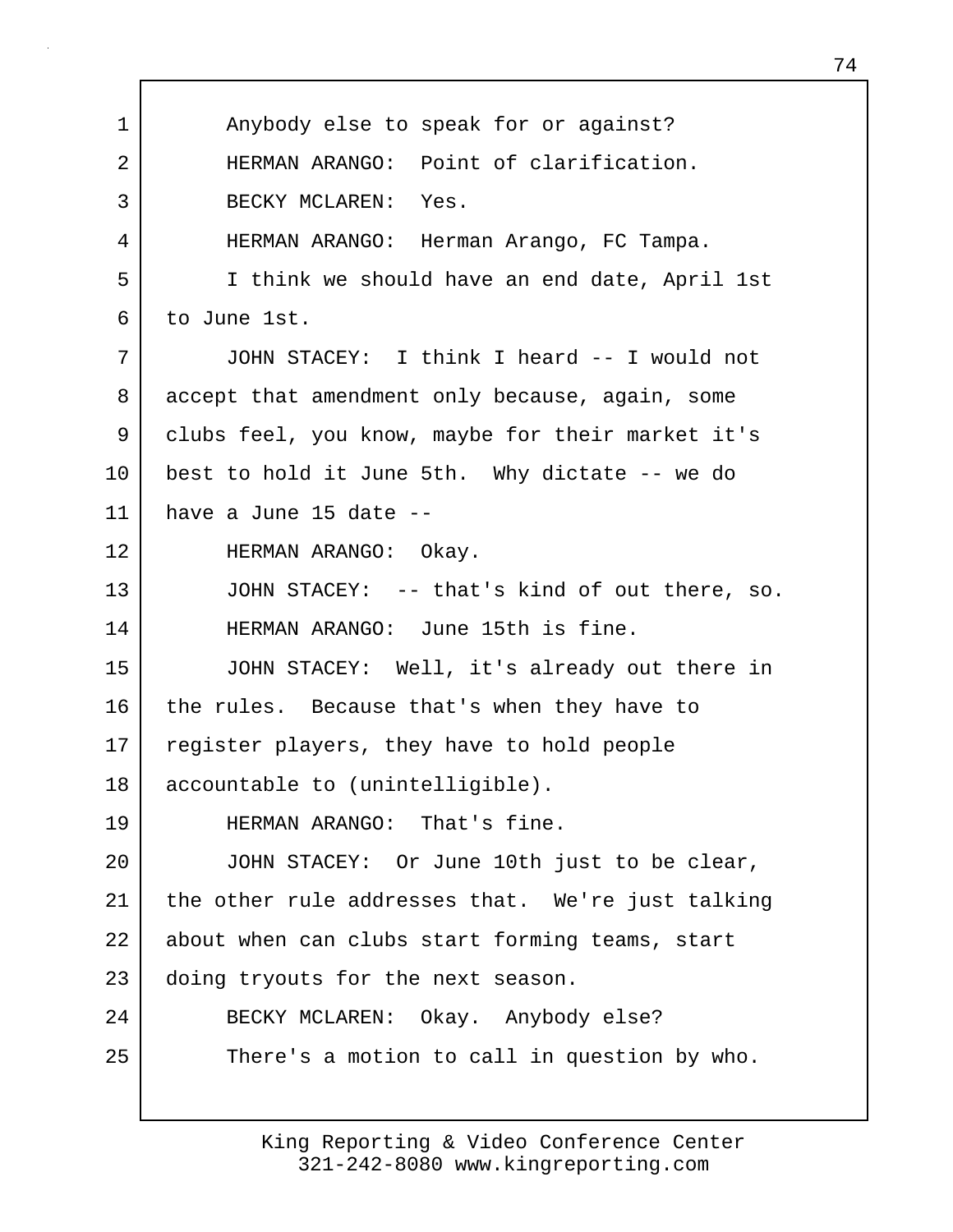1 | Anybody else to speak for or against? 2 HERMAN ARANGO: Point of clarification. 3 BECKY MCLAREN: Yes. 4 HERMAN ARANGO: Herman Arango, FC Tampa. 5 I think we should have an end date, April 1st 6 to June 1st. 7 JOHN STACEY: I think I heard -- I would not 8 accept that amendment only because, again, some 9 clubs feel, you know, maybe for their market it's 10 best to hold it June 5th. Why dictate -- we do 11 have a June 15 date -- 12 HERMAN ARANGO: Okay. 13 JOHN STACEY: -- that's kind of out there, so. 14 HERMAN ARANGO: June 15th is fine. 15 JOHN STACEY: Well, it's already out there in 16 the rules. Because that's when they have to 17 | register players, they have to hold people 18 accountable to (unintelligible). 19 HERMAN ARANGO: That's fine. 20 JOHN STACEY: Or June 10th just to be clear, 21 the other rule addresses that. We're just talking 22 about when can clubs start forming teams, start 23 doing tryouts for the next season. 24 BECKY MCLAREN: Okay. Anybody else? 25 There's a motion to call in question by who.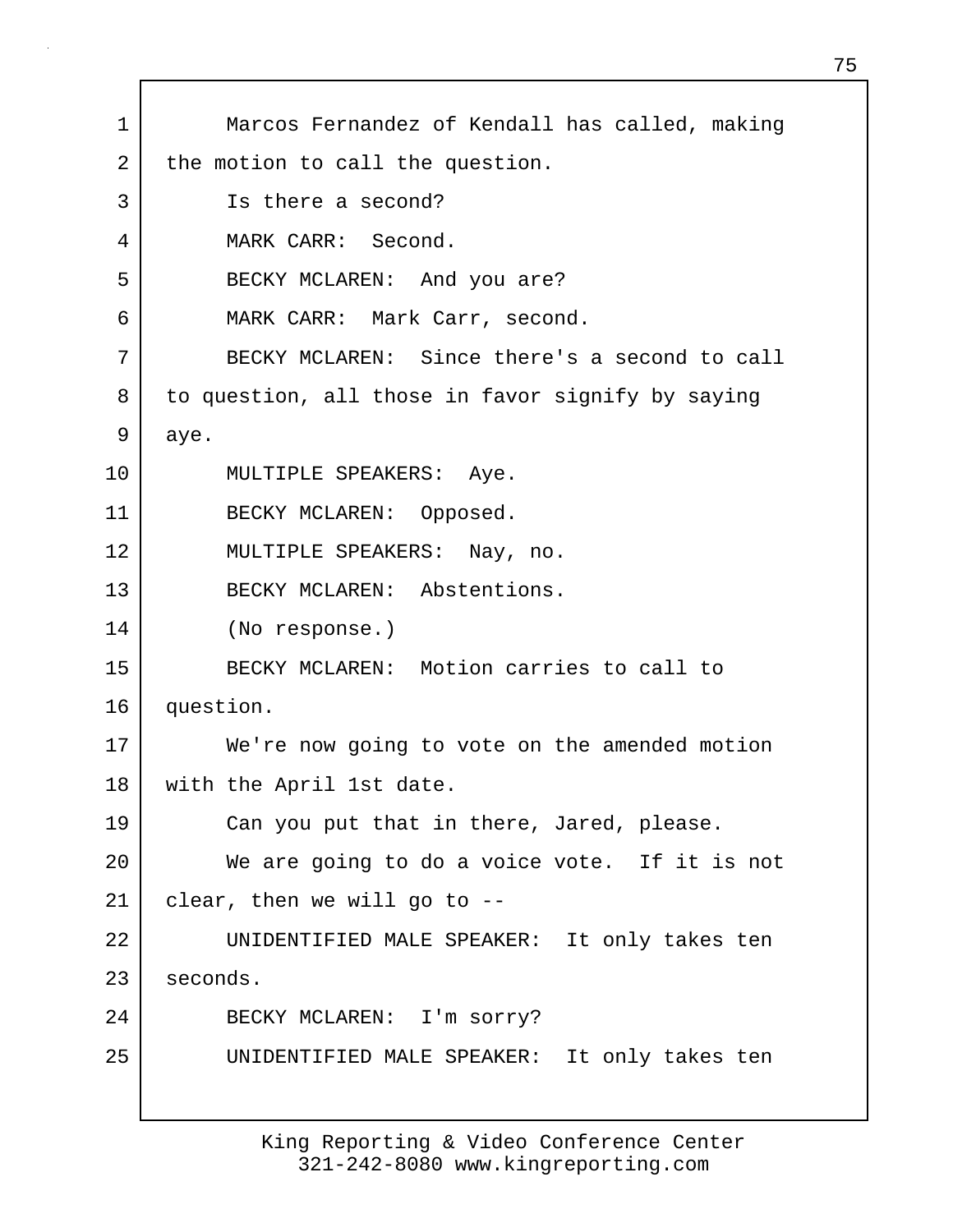1 Marcos Fernandez of Kendall has called, making 2 the motion to call the question. 3 Is there a second? 4 MARK CARR: Second. 5 BECKY MCLAREN: And you are? 6 MARK CARR: Mark Carr, second. 7 BECKY MCLAREN: Since there's a second to call 8 to question, all those in favor signify by saying 9 aye. 10 | MULTIPLE SPEAKERS: Aye. 11 BECKY MCLAREN: Opposed. 12 MULTIPLE SPEAKERS: Nay, no. 13 BECKY MCLAREN: Abstentions. 14 (No response.) 15 BECKY MCLAREN: Motion carries to call to 16 question. 17 We're now going to vote on the amended motion 18 with the April 1st date. 19 Can you put that in there, Jared, please. 20 We are going to do a voice vote. If it is not  $21$  clear, then we will go to  $-$ 22 UNIDENTIFIED MALE SPEAKER: It only takes ten 23 seconds. 24 BECKY MCLAREN: I'm sorry? 25 UNIDENTIFIED MALE SPEAKER: It only takes ten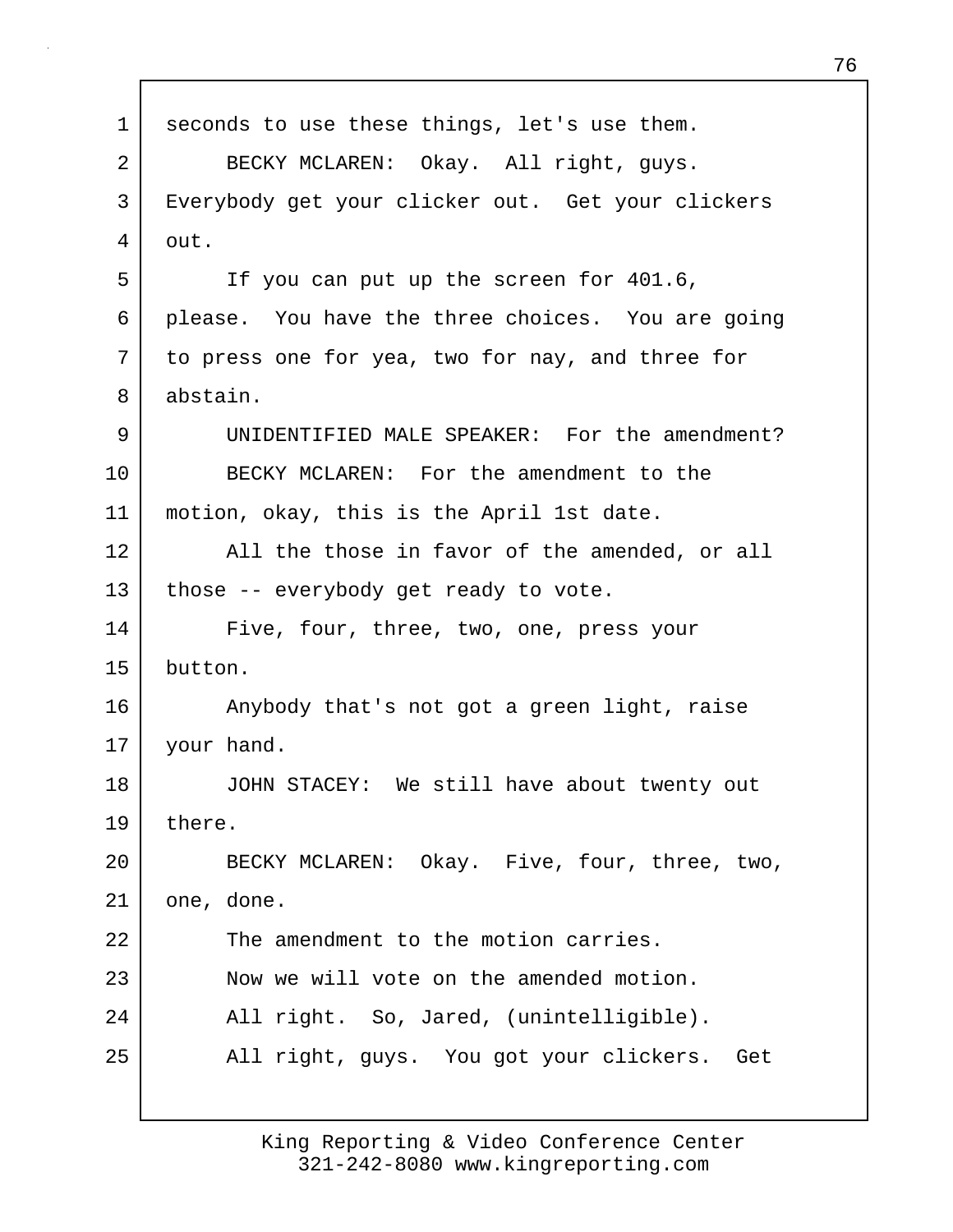| $\mathbf 1$ | seconds to use these things, let's use them.      |
|-------------|---------------------------------------------------|
| 2           | BECKY MCLAREN: Okay. All right, guys.             |
| 3           | Everybody get your clicker out. Get your clickers |
| 4           | out.                                              |
| 5           | If you can put up the screen for 401.6,           |
| 6           | please. You have the three choices. You are going |
| 7           | to press one for yea, two for nay, and three for  |
| 8           | abstain.                                          |
| 9           | UNIDENTIFIED MALE SPEAKER: For the amendment?     |
| 10          | BECKY MCLAREN: For the amendment to the           |
| 11          | motion, okay, this is the April 1st date.         |
| 12          | All the those in favor of the amended, or all     |
| 13          | those -- everybody get ready to vote.             |
| 14          | Five, four, three, two, one, press your           |
| 15          | button.                                           |
| 16          | Anybody that's not got a green light, raise       |
| 17          | your hand.                                        |
| 18          | JOHN STACEY: We still have about twenty out       |
| 19          | there.                                            |
| 20          | BECKY MCLAREN: Okay. Five, four, three, two,      |
| 21          | one, done.                                        |
| 22          | The amendment to the motion carries.              |
| 23          | Now we will vote on the amended motion.           |
| 24          | All right. So, Jared, (unintelligible).           |
| 25          | All right, guys. You got your clickers. Get       |
|             |                                                   |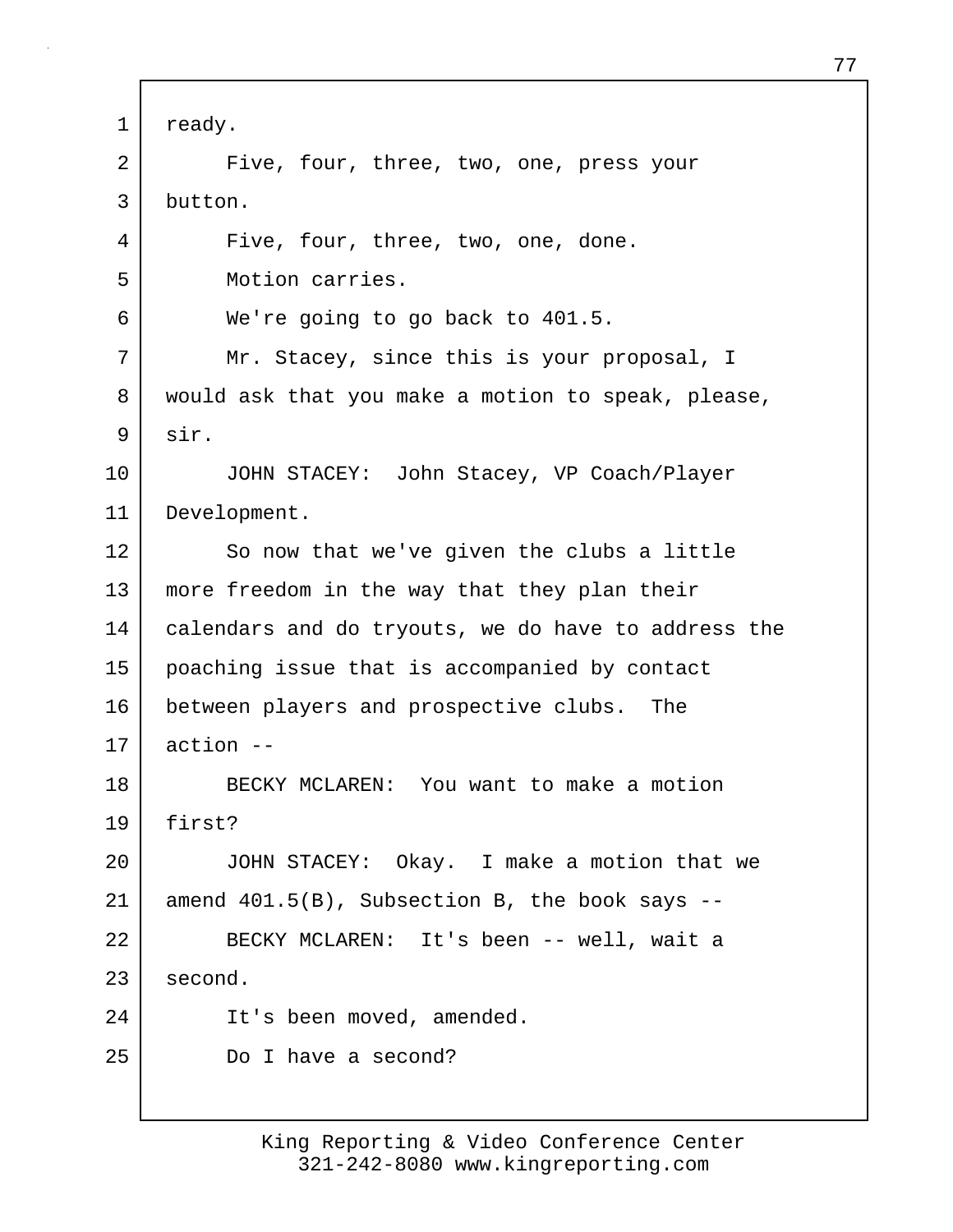1 ready. 2 Five, four, three, two, one, press your 3 button. 4 Five, four, three, two, one, done. 5 Motion carries. 6 We're going to go back to 401.5. 7 Mr. Stacey, since this is your proposal, I 8 | would ask that you make a motion to speak, please, 9 sir. 10 JOHN STACEY: John Stacey, VP Coach/Player 11 Development. 12 So now that we've given the clubs a little 13 more freedom in the way that they plan their 14 | calendars and do tryouts, we do have to address the 15 poaching issue that is accompanied by contact 16 between players and prospective clubs. The  $17$  action  $-$ 18 BECKY MCLAREN: You want to make a motion 19 first? 20 JOHN STACEY: Okay. I make a motion that we  $21$  amend  $401.5(B)$ , Subsection B, the book says  $-$ 22 BECKY MCLAREN: It's been -- well, wait a 23 second. 24 It's been moved, amended. 25 Do I have a second?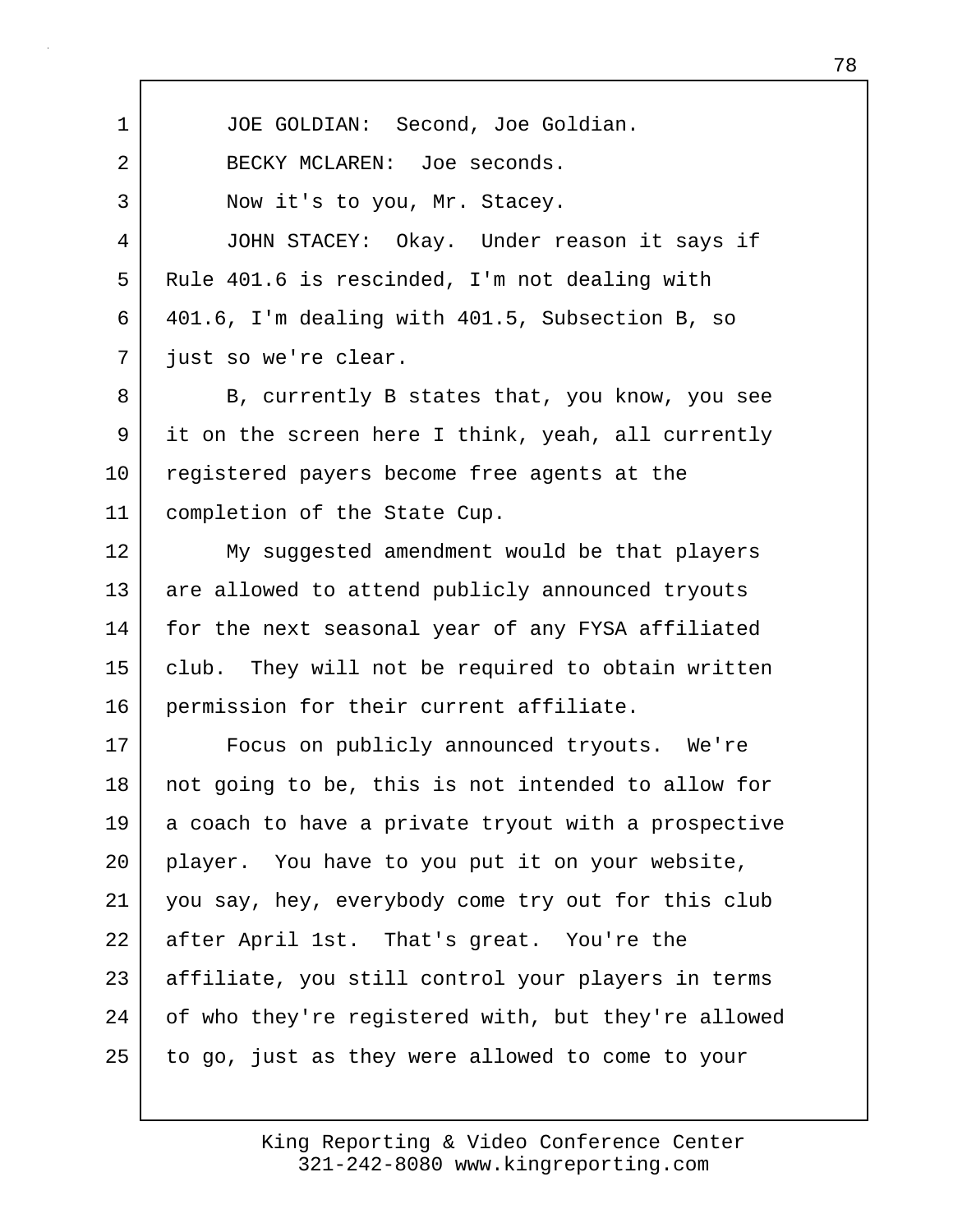1 JOE GOLDIAN: Second, Joe Goldian. 2 BECKY MCLAREN: Joe seconds. 3 Now it's to you, Mr. Stacey. 4 JOHN STACEY: Okay. Under reason it says if 5 Rule 401.6 is rescinded, I'm not dealing with 6 401.6, I'm dealing with 401.5, Subsection B, so 7 just so we're clear. 8 B, currently B states that, you know, you see 9 it on the screen here I think, yeah, all currently 10 registered payers become free agents at the 11 completion of the State Cup. 12 My suggested amendment would be that players 13 are allowed to attend publicly announced tryouts 14 for the next seasonal year of any FYSA affiliated 15 club. They will not be required to obtain written 16 permission for their current affiliate. 17 Focus on publicly announced tryouts. We're 18 | not going to be, this is not intended to allow for 19 a coach to have a private tryout with a prospective 20 player. You have to you put it on your website, 21 you say, hey, everybody come try out for this club 22 after April 1st. That's great. You're the 23 affiliate, you still control your players in terms 24 | of who they're registered with, but they're allowed 25 to go, just as they were allowed to come to your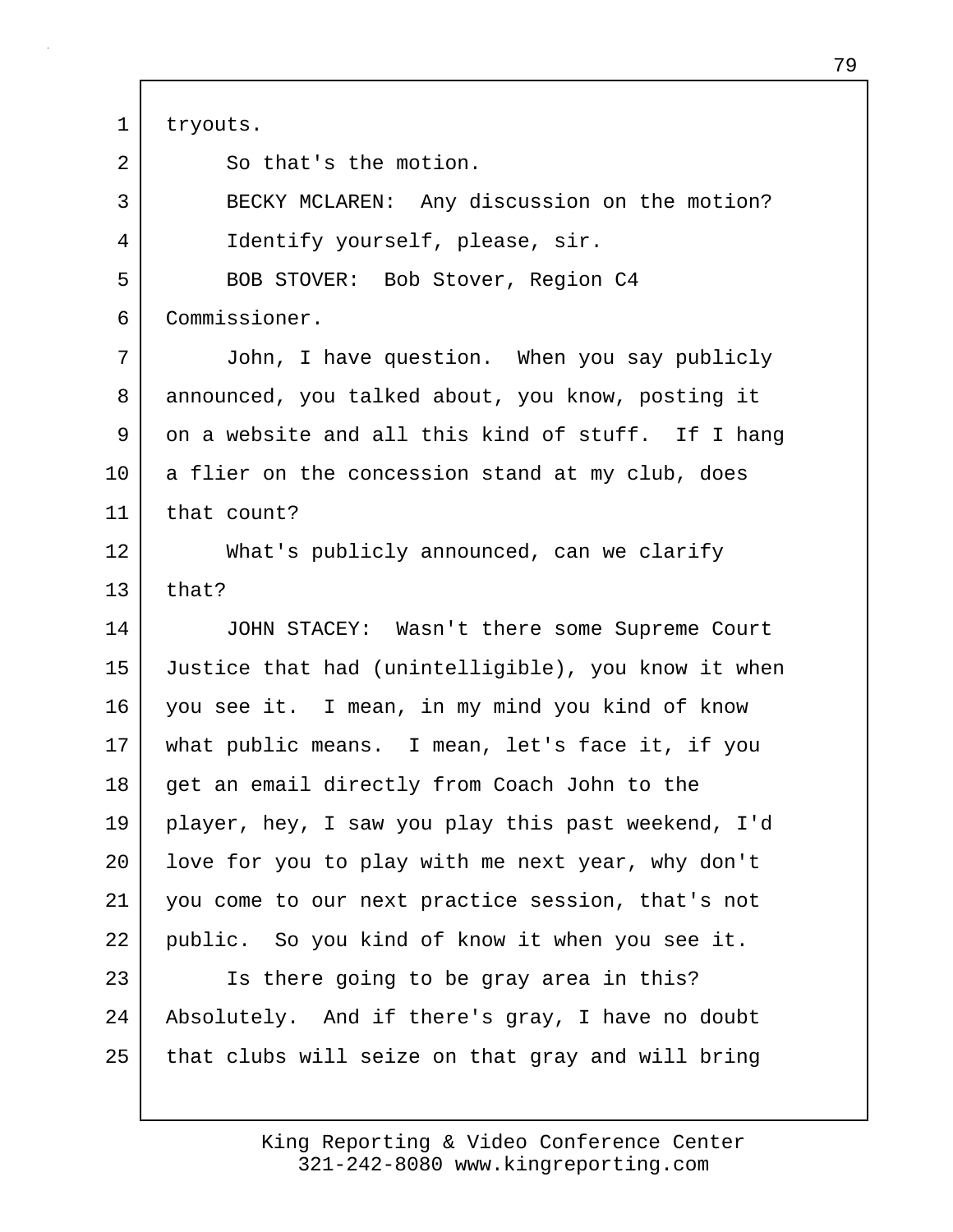1 tryouts.

2 So that's the motion. 3 BECKY MCLAREN: Any discussion on the motion? 4 Identify yourself, please, sir. 5 BOB STOVER: Bob Stover, Region C4 6 Commissioner. 7 John, I have question. When you say publicly 8 announced, you talked about, you know, posting it 9 on a website and all this kind of stuff. If I hang 10 a flier on the concession stand at my club, does 11 that count? 12 What's publicly announced, can we clarify  $13$  that? 14 JOHN STACEY: Wasn't there some Supreme Court 15 Justice that had (unintelligible), you know it when 16 you see it. I mean, in my mind you kind of know 17 what public means. I mean, let's face it, if you 18 | get an email directly from Coach John to the 19 player, hey, I saw you play this past weekend, I'd 20 | love for you to play with me next year, why don't 21 you come to our next practice session, that's not 22 public. So you kind of know it when you see it. 23 Is there going to be gray area in this? 24 Absolutely. And if there's gray, I have no doubt 25 that clubs will seize on that gray and will bring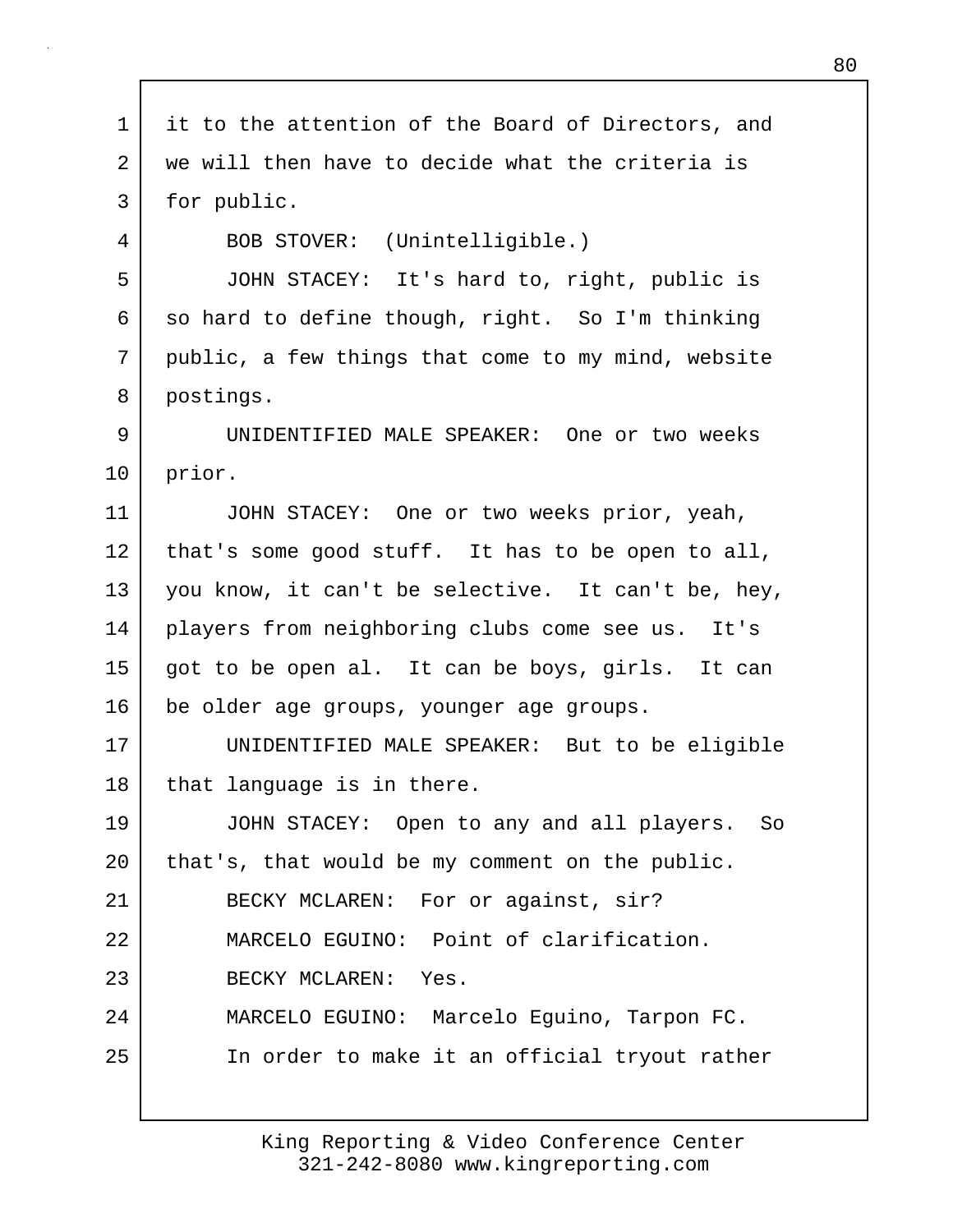| 1  | it to the attention of the Board of Directors, and |
|----|----------------------------------------------------|
| 2  | we will then have to decide what the criteria is   |
| 3  | for public.                                        |
| 4  | BOB STOVER: (Unintelligible.)                      |
| 5  | JOHN STACEY: It's hard to, right, public is        |
| 6  | so hard to define though, right. So I'm thinking   |
| 7  | public, a few things that come to my mind, website |
| 8  | postings.                                          |
| 9  | UNIDENTIFIED MALE SPEAKER: One or two weeks        |
| 10 | prior.                                             |
| 11 | JOHN STACEY: One or two weeks prior, yeah,         |
| 12 | that's some good stuff. It has to be open to all,  |
| 13 | you know, it can't be selective. It can't be, hey, |
| 14 | players from neighboring clubs come see us. It's   |
| 15 | got to be open al. It can be boys, girls. It can   |
| 16 | be older age groups, younger age groups.           |
| 17 | UNIDENTIFIED MALE SPEAKER: But to be eligible      |
| 18 | that language is in there.                         |
| 19 | JOHN STACEY: Open to any and all players. So       |
| 20 | that's, that would be my comment on the public.    |
| 21 | BECKY MCLAREN: For or against, sir?                |
| 22 | MARCELO EGUINO: Point of clarification.            |
| 23 | BECKY MCLAREN: Yes.                                |
| 24 | MARCELO EGUINO: Marcelo Eguino, Tarpon FC.         |
| 25 | In order to make it an official tryout rather      |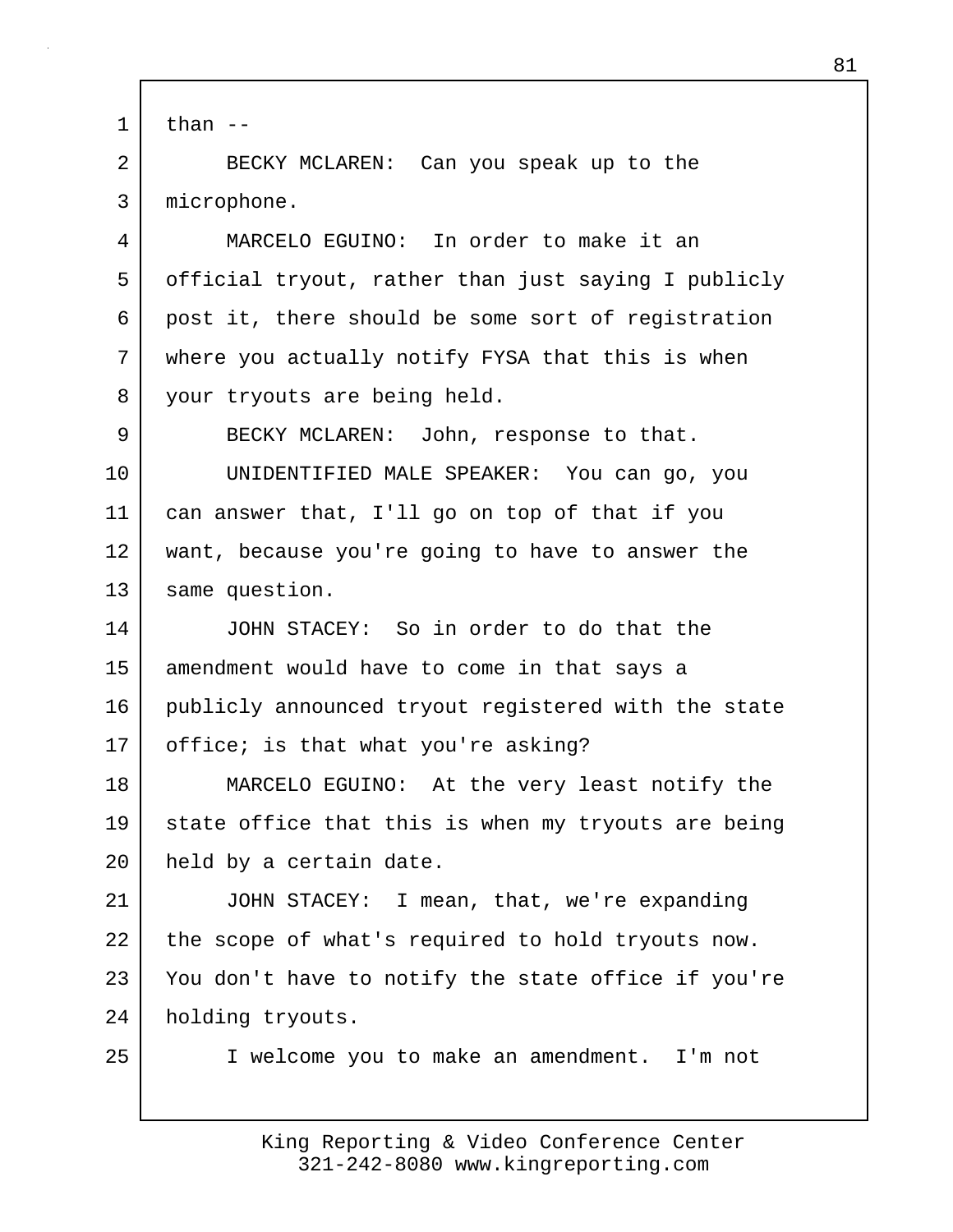```
1 than -
```
2 BECKY MCLAREN: Can you speak up to the 3 microphone.

4 MARCELO EGUINO: In order to make it an 5 official tryout, rather than just saying I publicly 6 post it, there should be some sort of registration 7 where you actually notify FYSA that this is when 8 your tryouts are being held.

9 BECKY MCLAREN: John, response to that. 10 UNIDENTIFIED MALE SPEAKER: You can go, you 11 can answer that, I'll go on top of that if you 12 want, because you're going to have to answer the 13 same question.

14 JOHN STACEY: So in order to do that the 15 amendment would have to come in that says a 16 publicly announced tryout registered with the state 17 | office; is that what you're asking?

18 MARCELO EGUINO: At the very least notify the 19 state office that this is when my tryouts are being 20 held by a certain date.

21 JOHN STACEY: I mean, that, we're expanding 22 the scope of what's required to hold tryouts now. 23 You don't have to notify the state office if you're 24 holding tryouts.

25 I welcome you to make an amendment. I'm not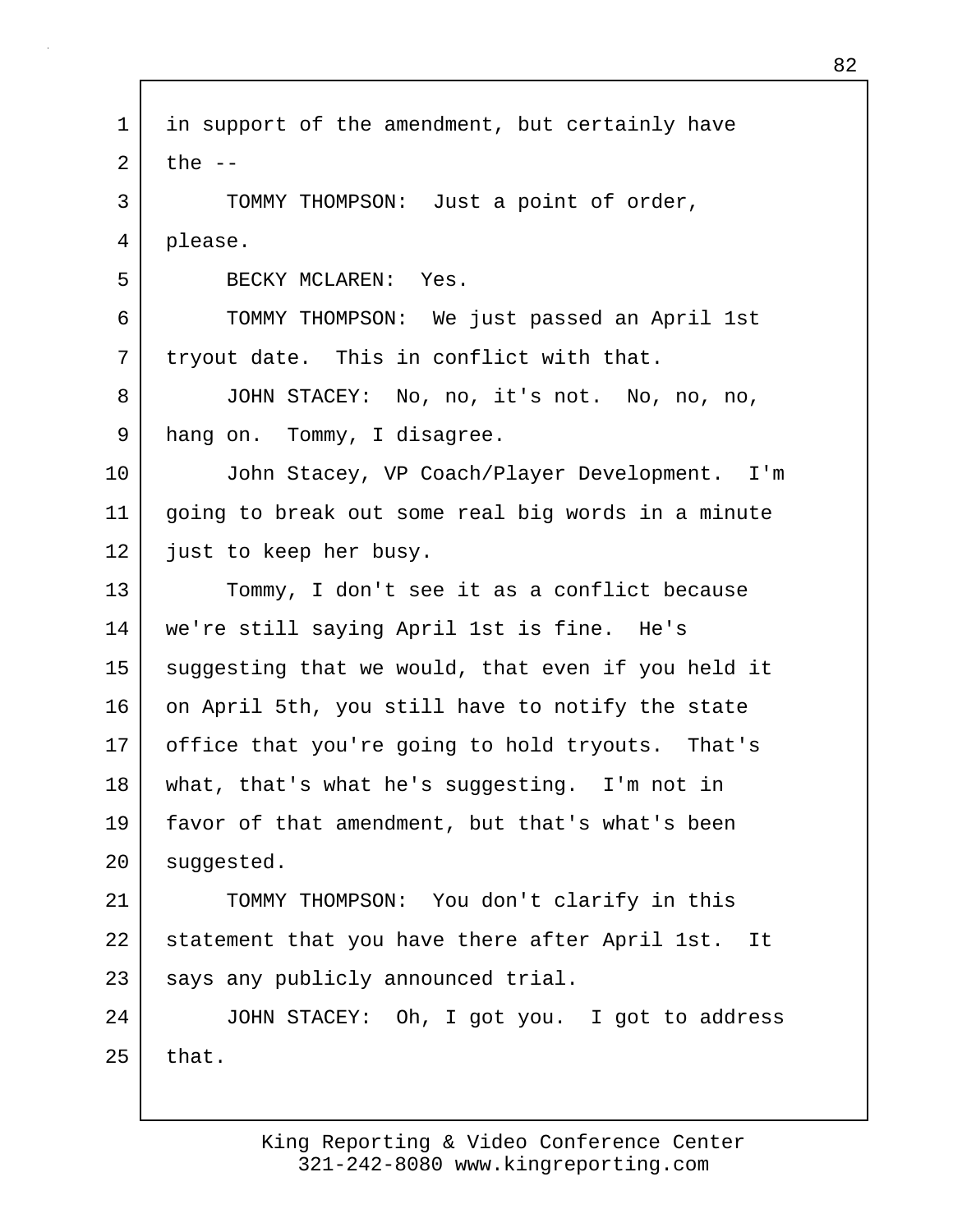1 in support of the amendment, but certainly have  $2$  the  $-$ 3 TOMMY THOMPSON: Just a point of order, 4 please. 5 BECKY MCLAREN: Yes. 6 TOMMY THOMPSON: We just passed an April 1st 7 tryout date. This in conflict with that. 8 JOHN STACEY: No, no, it's not. No, no, no, 9 hang on. Tommy, I disagree. 10 John Stacey, VP Coach/Player Development. I'm 11 going to break out some real big words in a minute 12 just to keep her busy. 13 Tommy, I don't see it as a conflict because 14 we're still saying April 1st is fine. He's 15 suggesting that we would, that even if you held it 16 on April 5th, you still have to notify the state 17 office that you're going to hold tryouts. That's 18 what, that's what he's suggesting. I'm not in 19 favor of that amendment, but that's what's been 20 suggested. 21 TOMMY THOMPSON: You don't clarify in this 22 statement that you have there after April 1st. It 23 says any publicly announced trial. 24 JOHN STACEY: Oh, I got you. I got to address  $25$  that.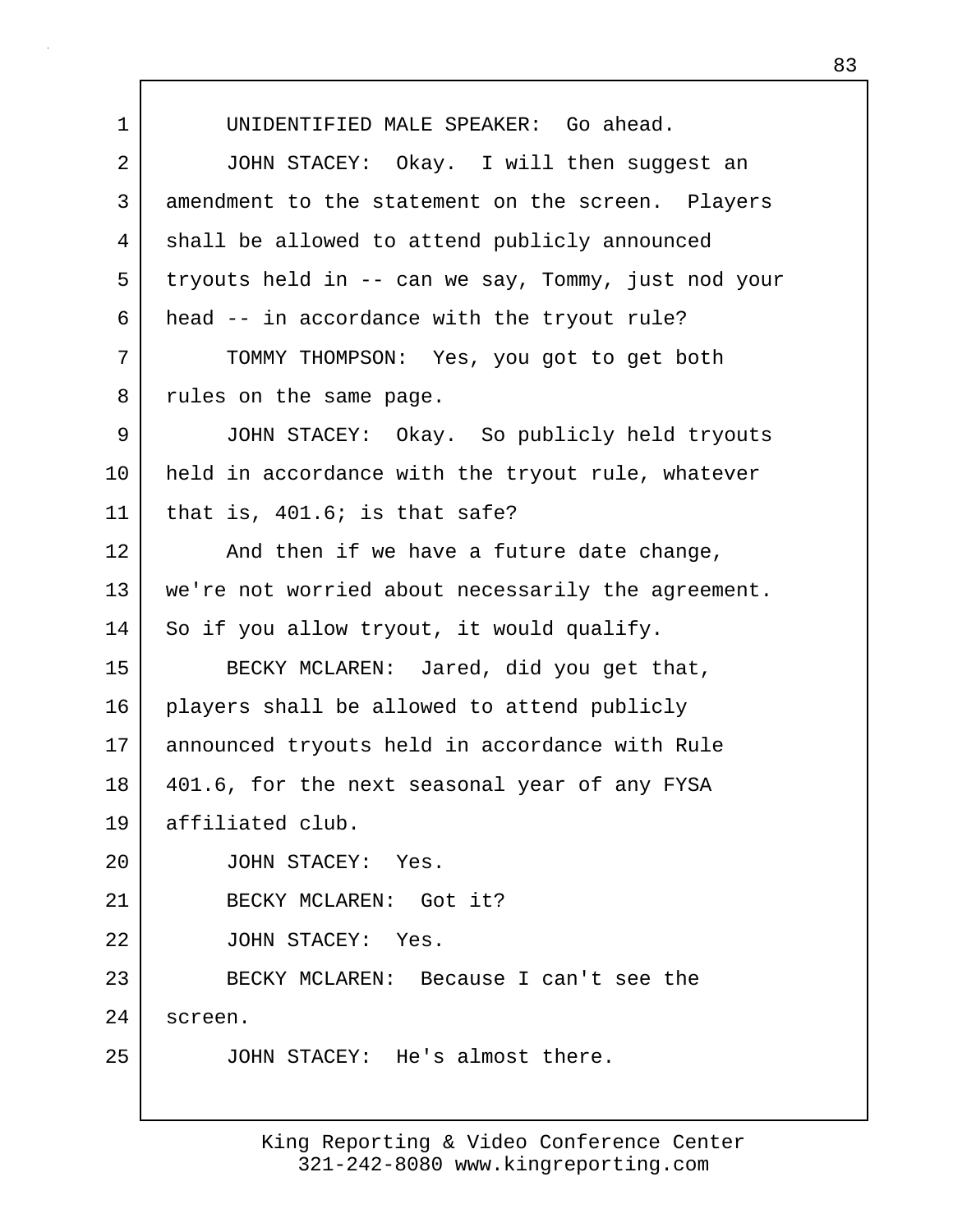1 UNIDENTIFIED MALE SPEAKER: Go ahead. 2 JOHN STACEY: Okay. I will then suggest an 3 amendment to the statement on the screen. Players 4 shall be allowed to attend publicly announced 5 tryouts held in -- can we say, Tommy, just nod your 6 head -- in accordance with the tryout rule? 7 TOMMY THOMPSON: Yes, you got to get both 8 | rules on the same page. 9 JOHN STACEY: Okay. So publicly held tryouts 10 held in accordance with the tryout rule, whatever  $11$  that is,  $401.6$ ; is that safe? 12 And then if we have a future date change, 13 we're not worried about necessarily the agreement. 14 So if you allow tryout, it would qualify. 15 BECKY MCLAREN: Jared, did you get that, 16 | players shall be allowed to attend publicly 17 announced tryouts held in accordance with Rule 18 401.6, for the next seasonal year of any FYSA 19 affiliated club. 20 JOHN STACEY: Yes. 21 BECKY MCLAREN: Got it? 22 JOHN STACEY: Yes. 23 BECKY MCLAREN: Because I can't see the 24 screen. 25 JOHN STACEY: He's almost there.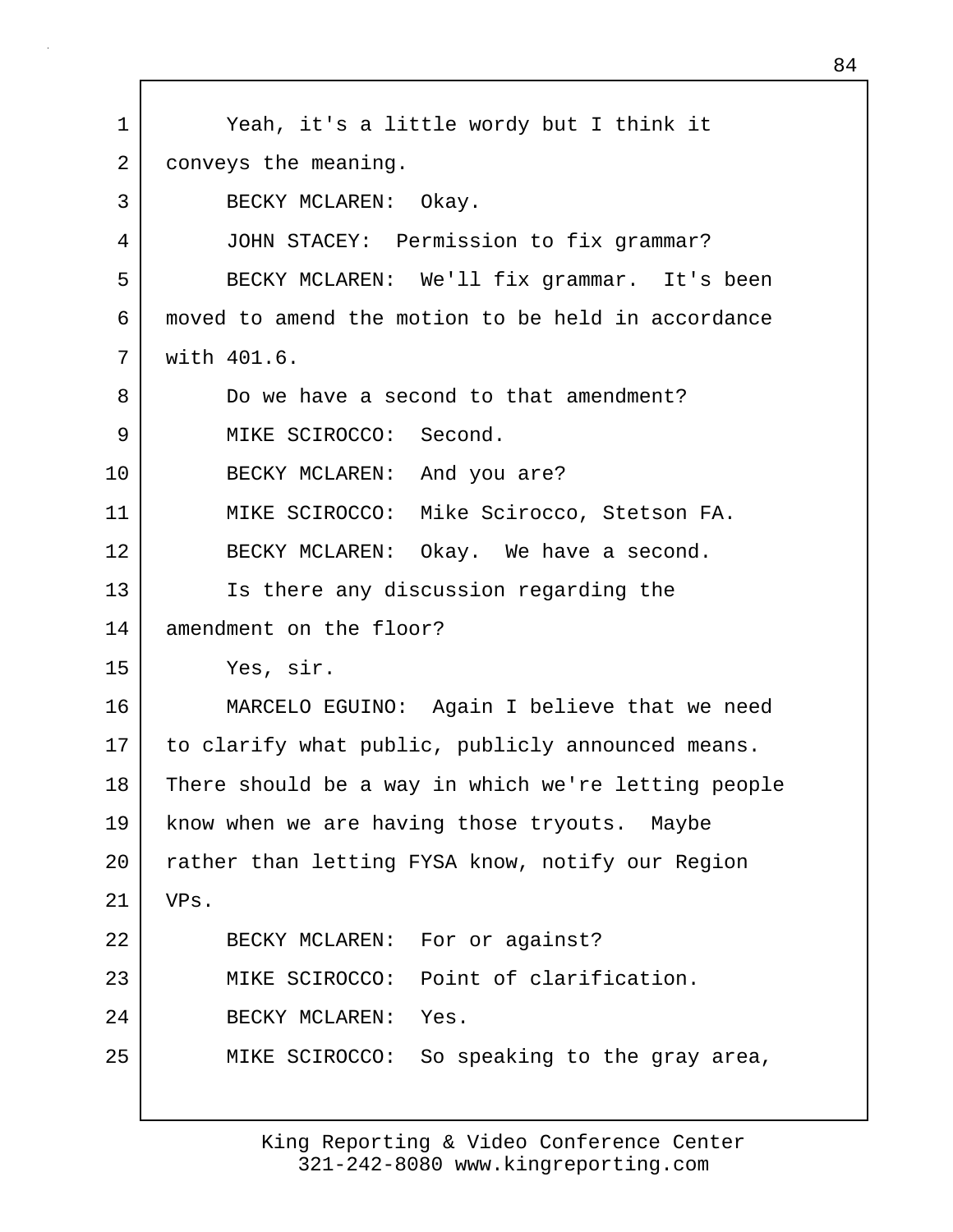1 Yeah, it's a little wordy but I think it 2 conveys the meaning. 3 BECKY MCLAREN: Okay. 4 JOHN STACEY: Permission to fix grammar? 5 BECKY MCLAREN: We'll fix grammar. It's been 6 moved to amend the motion to be held in accordance 7 with 401.6. 8 Do we have a second to that amendment? 9 MIKE SCIROCCO: Second. 10 BECKY MCLAREN: And you are? 11 MIKE SCIROCCO: Mike Scirocco, Stetson FA. 12 BECKY MCLAREN: Okay. We have a second. 13 Is there any discussion regarding the 14 amendment on the floor? 15 Yes, sir. 16 MARCELO EGUINO: Again I believe that we need 17 | to clarify what public, publicly announced means. 18 There should be a way in which we're letting people 19 | know when we are having those tryouts. Maybe 20 | rather than letting FYSA know, notify our Region 21 VPs. 22 BECKY MCLAREN: For or against? 23 MIKE SCIROCCO: Point of clarification. 24 BECKY MCLAREN: Yes. 25 MIKE SCIROCCO: So speaking to the gray area,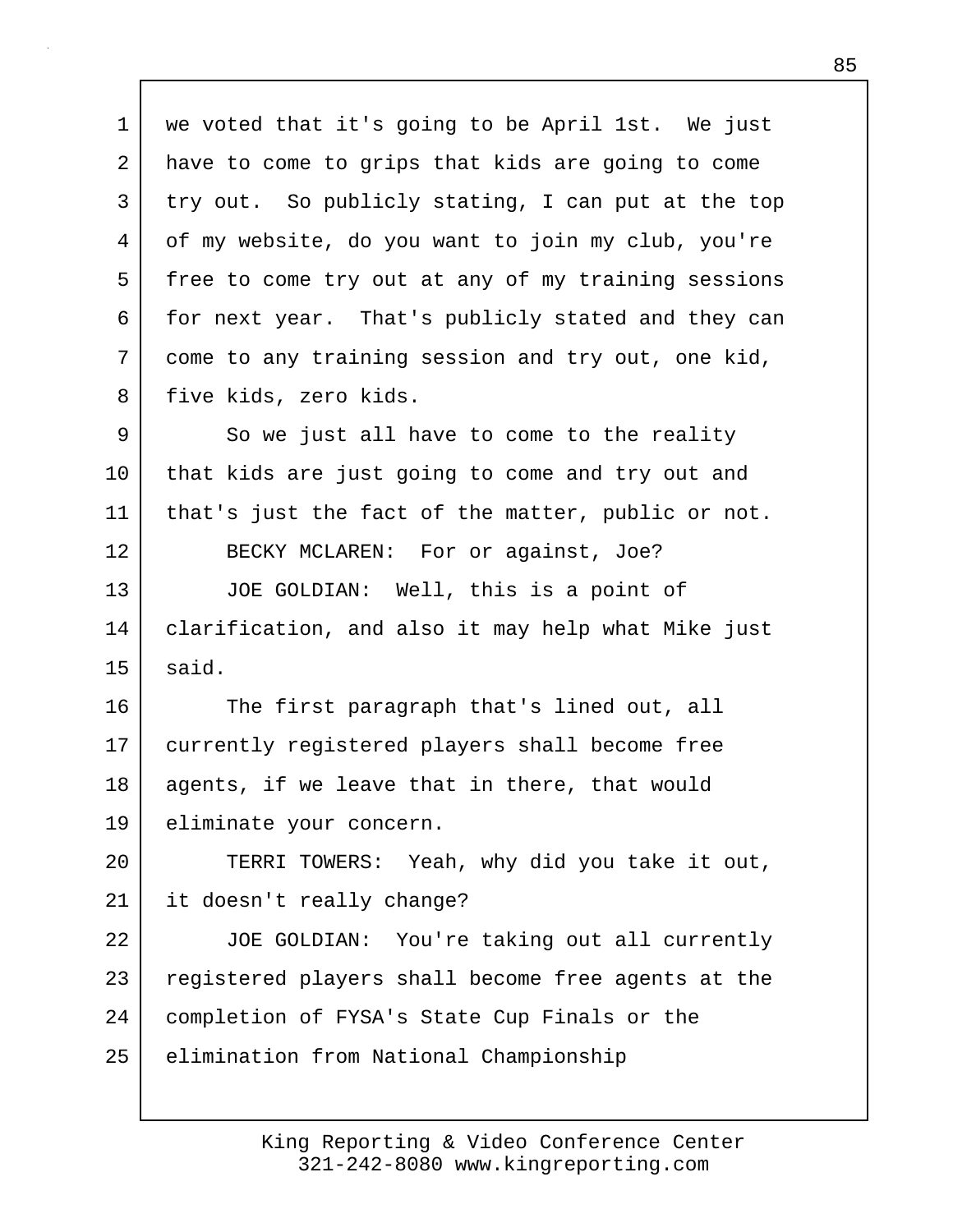1 we voted that it's going to be April 1st. We just 2 have to come to grips that kids are going to come 3 try out. So publicly stating, I can put at the top 4 of my website, do you want to join my club, you're 5 free to come try out at any of my training sessions 6 for next year. That's publicly stated and they can 7 come to any training session and try out, one kid, 8 five kids, zero kids. 9 So we just all have to come to the reality 10 that kids are just going to come and try out and 11 that's just the fact of the matter, public or not. 12 BECKY MCLAREN: For or against, Joe? 13 JOE GOLDIAN: Well, this is a point of 14 clarification, and also it may help what Mike just  $15$  said. 16 The first paragraph that's lined out, all 17 currently registered players shall become free 18 agents, if we leave that in there, that would 19 eliminate your concern. 20 TERRI TOWERS: Yeah, why did you take it out, 21 it doesn't really change? 22 JOE GOLDIAN: You're taking out all currently 23 registered players shall become free agents at the 24 completion of FYSA's State Cup Finals or the 25 | elimination from National Championship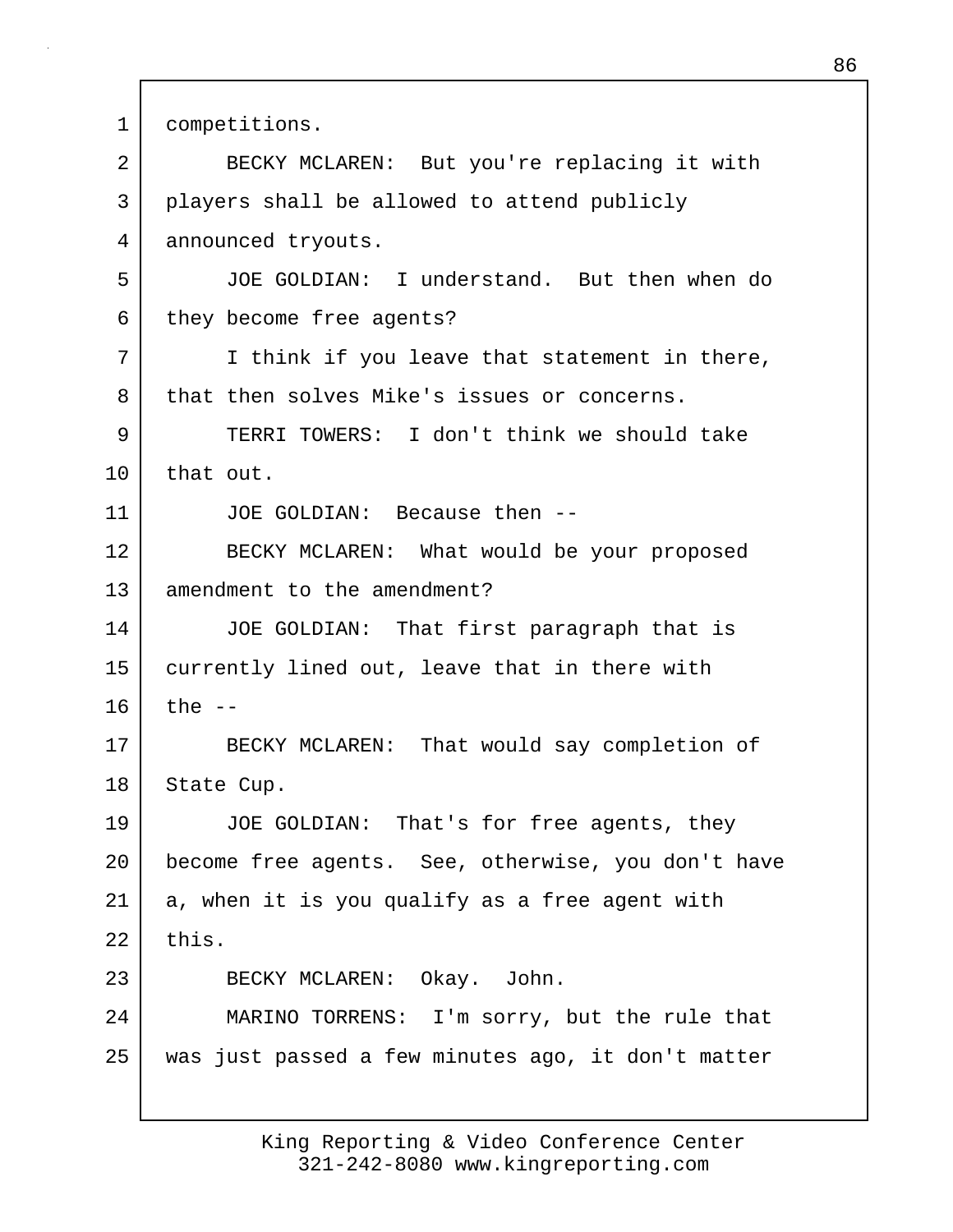1 competitions.

2 BECKY MCLAREN: But you're replacing it with 3 players shall be allowed to attend publicly 4 announced tryouts. 5 JOE GOLDIAN: I understand. But then when do 6 they become free agents? 7 I think if you leave that statement in there, 8 that then solves Mike's issues or concerns. 9 TERRI TOWERS: I don't think we should take 10 | that out. 11 JOE GOLDIAN: Because then -- 12 BECKY MCLAREN: What would be your proposed 13 amendment to the amendment? 14 JOE GOLDIAN: That first paragraph that is 15 currently lined out, leave that in there with  $16$  the  $-$ 17 BECKY MCLAREN: That would say completion of 18 State Cup. 19 JOE GOLDIAN: That's for free agents, they 20 become free agents. See, otherwise, you don't have 21 | a, when it is you qualify as a free agent with  $22$  this. 23 BECKY MCLAREN: Okay. John. 24 MARINO TORRENS: I'm sorry, but the rule that 25 was just passed a few minutes ago, it don't matter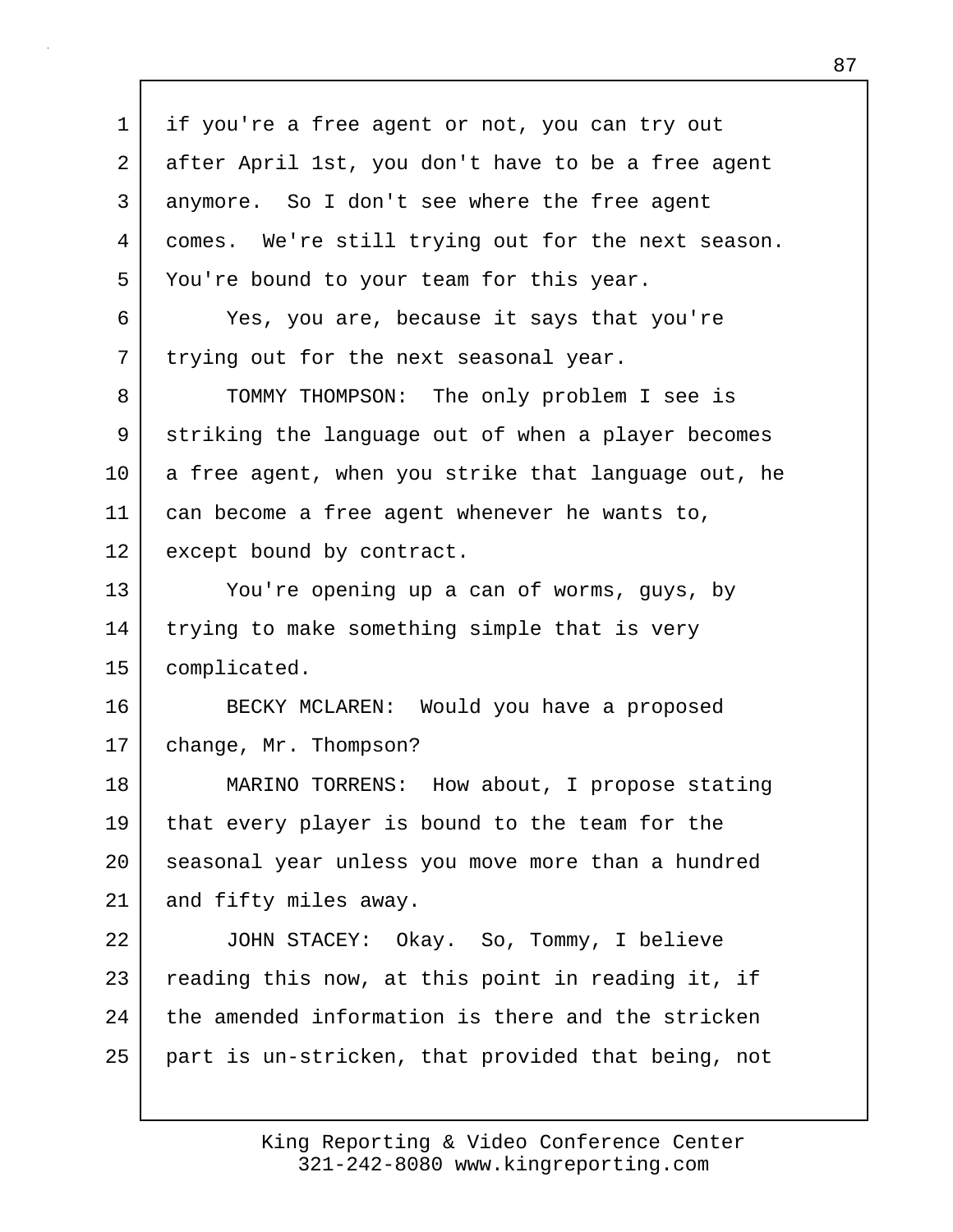| $\mathbf 1$    | if you're a free agent or not, you can try out      |
|----------------|-----------------------------------------------------|
| $\overline{2}$ | after April 1st, you don't have to be a free agent  |
| $\mathsf{3}$   | anymore. So I don't see where the free agent        |
| 4              | comes. We're still trying out for the next season.  |
| 5              | You're bound to your team for this year.            |
| 6              | Yes, you are, because it says that you're           |
| 7              | trying out for the next seasonal year.              |
| 8              | TOMMY THOMPSON: The only problem I see is           |
| 9              | striking the language out of when a player becomes  |
| 10             | a free agent, when you strike that language out, he |
| 11             | can become a free agent whenever he wants to,       |
| 12             | except bound by contract.                           |
| 13             | You're opening up a can of worms, guys, by          |
| 14             | trying to make something simple that is very        |
| 15             | complicated.                                        |
| 16             | BECKY MCLAREN: Would you have a proposed            |
| 17             | change, Mr. Thompson?                               |
| 18             | How about, I propose stating<br>MARINO TORRENS:     |
| 19             | that every player is bound to the team for the      |
| 20             | seasonal year unless you move more than a hundred   |
| 21             | and fifty miles away.                               |
| 22             | JOHN STACEY: Okay. So, Tommy, I believe             |
| 23             | reading this now, at this point in reading it, if   |
| 24             | the amended information is there and the stricken   |
| 25             | part is un-stricken, that provided that being, not  |
|                |                                                     |

 $\Gamma$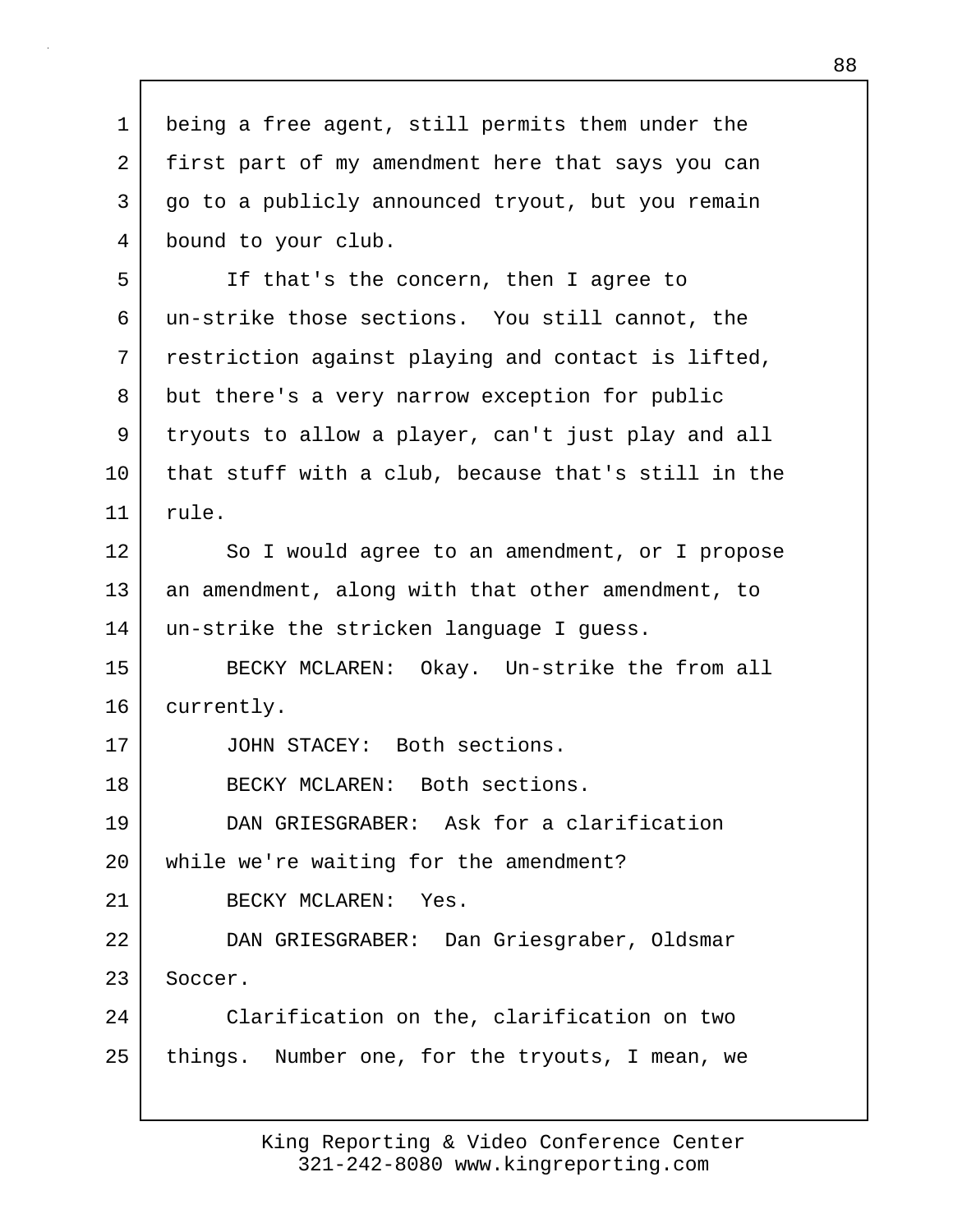1 being a free agent, still permits them under the 2 first part of my amendment here that says you can 3 go to a publicly announced tryout, but you remain 4 bound to your club. 5 If that's the concern, then I agree to 6 un-strike those sections. You still cannot, the 7 restriction against playing and contact is lifted, 8 but there's a very narrow exception for public 9 tryouts to allow a player, can't just play and all 10 that stuff with a club, because that's still in the 11 rule. 12 So I would agree to an amendment, or I propose 13 an amendment, along with that other amendment, to 14 un-strike the stricken language I guess. 15 BECKY MCLAREN: Okay. Un-strike the from all 16 currently. 17 JOHN STACEY: Both sections. 18 | BECKY MCLAREN: Both sections. 19 DAN GRIESGRABER: Ask for a clarification 20 while we're waiting for the amendment? 21 BECKY MCLAREN: Yes. 22 DAN GRIESGRABER: Dan Griesgraber, Oldsmar 23 Soccer. 24 Clarification on the, clarification on two 25 things. Number one, for the tryouts, I mean, we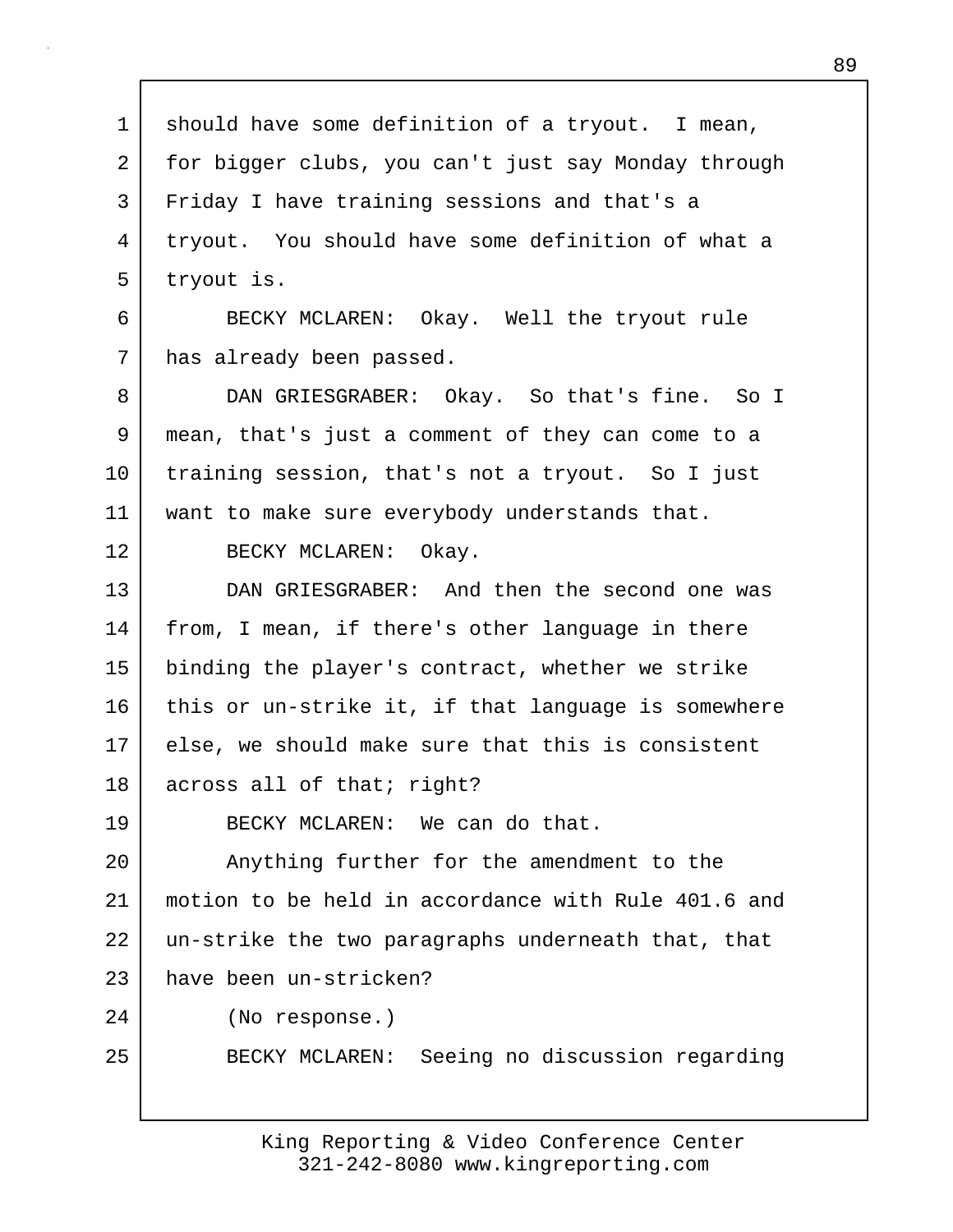1 | should have some definition of a tryout. I mean, 2 for bigger clubs, you can't just say Monday through 3 Friday I have training sessions and that's a 4 tryout. You should have some definition of what a 5 tryout is. 6 BECKY MCLAREN: Okay. Well the tryout rule 7 | has already been passed. 8 DAN GRIESGRABER: Okay. So that's fine. So I 9 mean, that's just a comment of they can come to a 10 training session, that's not a tryout. So I just 11 | want to make sure everybody understands that. 12 BECKY MCLAREN: Okay. 13 DAN GRIESGRABER: And then the second one was 14 from, I mean, if there's other language in there 15 binding the player's contract, whether we strike 16 this or un-strike it, if that language is somewhere 17 else, we should make sure that this is consistent 18 across all of that; right? 19 BECKY MCLAREN: We can do that. 20 Anything further for the amendment to the 21 motion to be held in accordance with Rule 401.6 and 22 un-strike the two paragraphs underneath that, that 23 have been un-stricken? 24 (No response.) 25 BECKY MCLAREN: Seeing no discussion regarding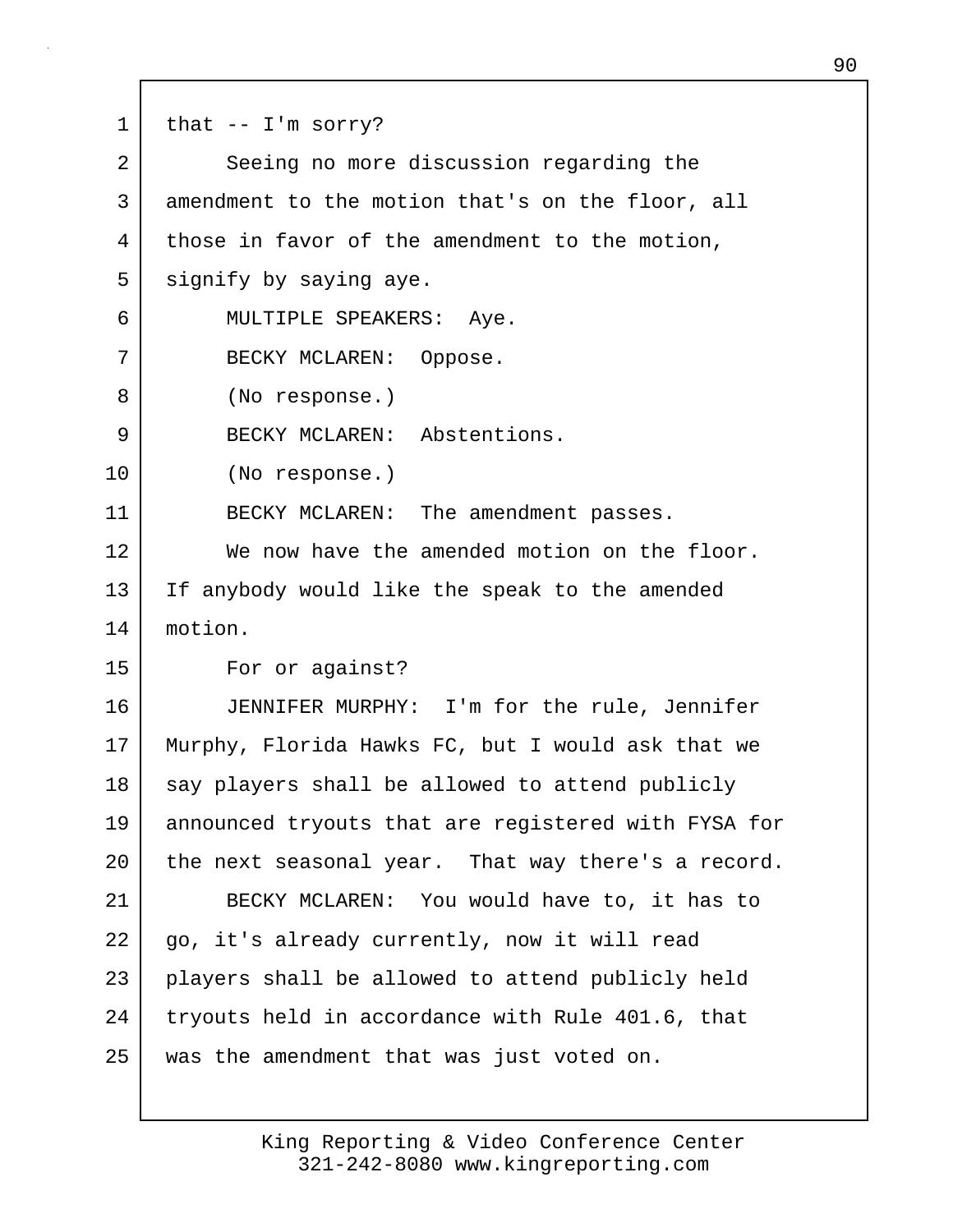$1$  that  $-$  I'm sorry? 2 Seeing no more discussion regarding the 3 amendment to the motion that's on the floor, all 4 | those in favor of the amendment to the motion, 5 signify by saying aye. 6 MULTIPLE SPEAKERS: Aye. 7 BECKY MCLAREN: Oppose. 8 (No response.) 9 BECKY MCLAREN: Abstentions. 10 (No response.) 11 | BECKY MCLAREN: The amendment passes. 12 We now have the amended motion on the floor. 13 If anybody would like the speak to the amended 14 motion. 15 For or against? 16 JENNIFER MURPHY: I'm for the rule, Jennifer 17 Murphy, Florida Hawks FC, but I would ask that we 18 say players shall be allowed to attend publicly 19 announced tryouts that are registered with FYSA for 20 the next seasonal year. That way there's a record. 21 BECKY MCLAREN: You would have to, it has to 22 | go, it's already currently, now it will read 23 players shall be allowed to attend publicly held 24 tryouts held in accordance with Rule 401.6, that 25 was the amendment that was just voted on.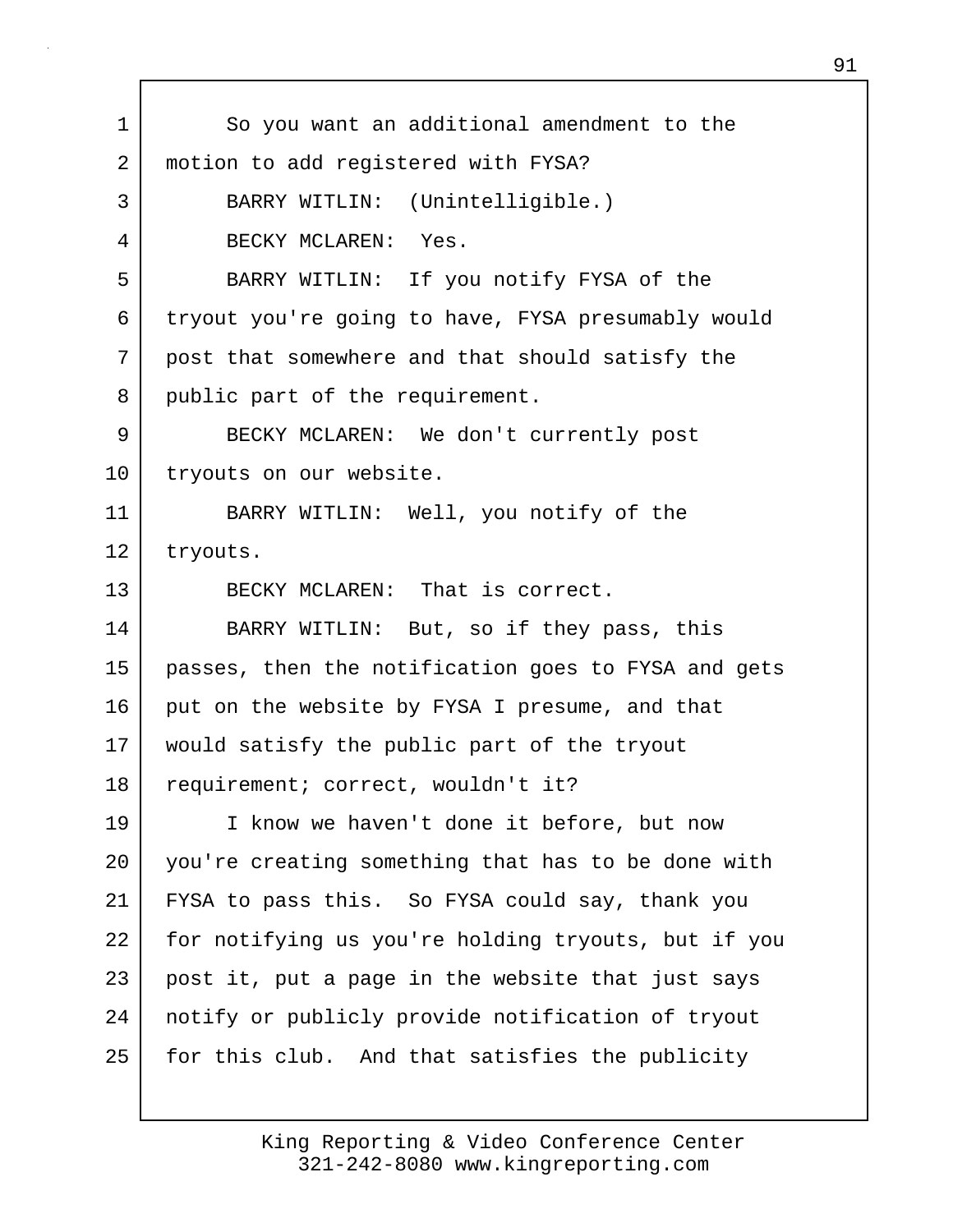| $\mathbf 1$ | So you want an additional amendment to the          |
|-------------|-----------------------------------------------------|
| 2           | motion to add registered with FYSA?                 |
| 3           | BARRY WITLIN: (Unintelligible.)                     |
| 4           | BECKY MCLAREN: Yes.                                 |
| 5           | BARRY WITLIN: If you notify FYSA of the             |
| 6           | tryout you're going to have, FYSA presumably would  |
| 7           | post that somewhere and that should satisfy the     |
| 8           | public part of the requirement.                     |
| 9           | BECKY MCLAREN: We don't currently post              |
| $10 \,$     | tryouts on our website.                             |
| 11          | BARRY WITLIN: Well, you notify of the               |
| 12          | tryouts.                                            |
| 13          | BECKY MCLAREN: That is correct.                     |
| 14          | BARRY WITLIN: But, so if they pass, this            |
| 15          | passes, then the notification goes to FYSA and gets |
| 16          | put on the website by FYSA I presume, and that      |
| 17          | would satisfy the public part of the tryout         |
| 18          | requirement; correct, wouldn't it?                  |
| 19          | I know we haven't done it before, but now           |
| 20          | you're creating something that has to be done with  |
| 21          | FYSA to pass this. So FYSA could say, thank you     |
| 22          | for notifying us you're holding tryouts, but if you |
| 23          | post it, put a page in the website that just says   |
| 24          | notify or publicly provide notification of tryout   |
| 25          | for this club. And that satisfies the publicity     |
|             |                                                     |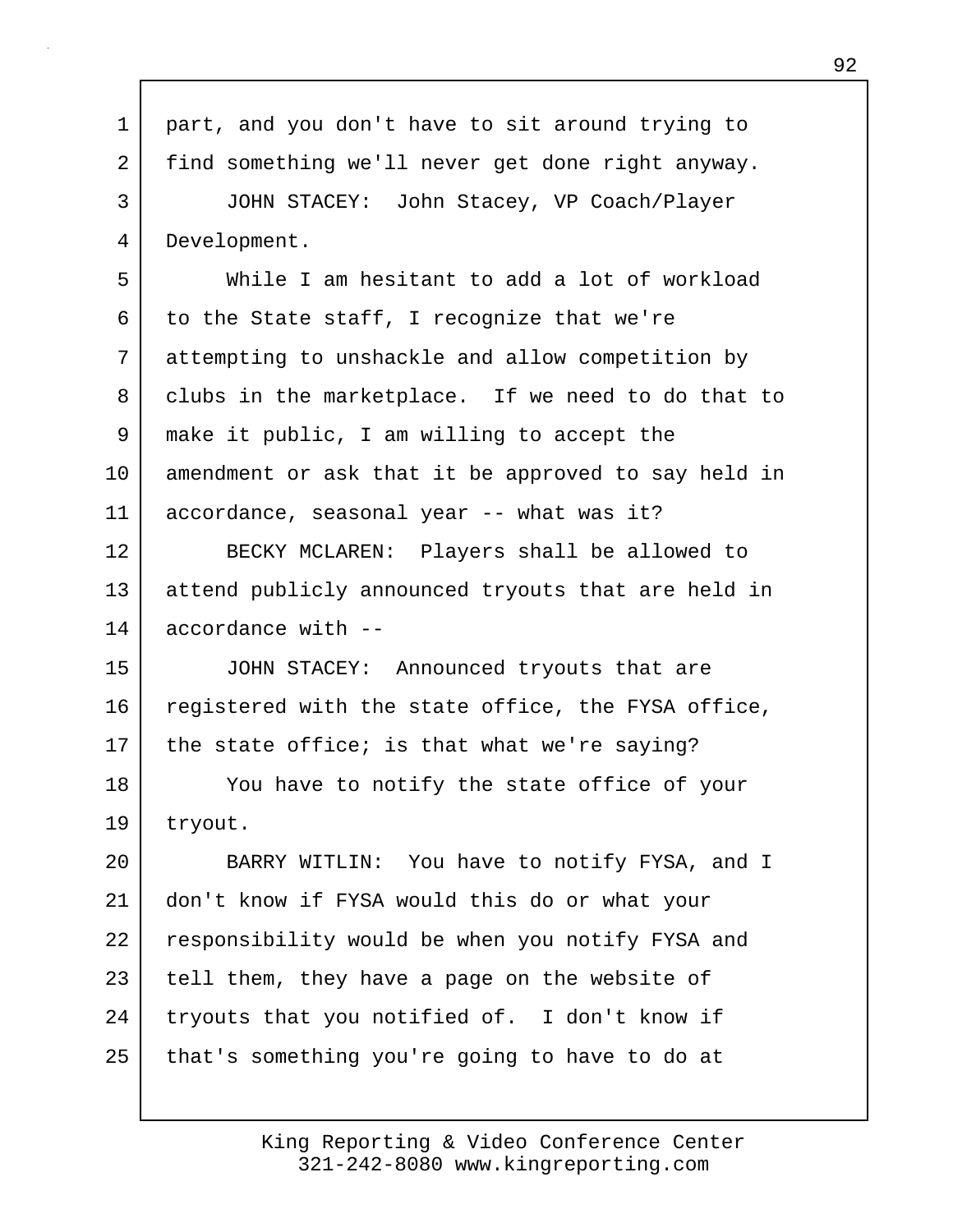| $\mathbf 1$ | part, and you don't have to sit around trying to    |
|-------------|-----------------------------------------------------|
| 2           | find something we'll never get done right anyway.   |
| 3           | JOHN STACEY: John Stacey, VP Coach/Player           |
| 4           | Development.                                        |
| 5           | While I am hesitant to add a lot of workload        |
| 6           | to the State staff, I recognize that we're          |
| 7           | attempting to unshackle and allow competition by    |
| 8           | clubs in the marketplace. If we need to do that to  |
| 9           | make it public, I am willing to accept the          |
| 10          | amendment or ask that it be approved to say held in |
| 11          | accordance, seasonal year -- what was it?           |
| 12          | BECKY MCLAREN: Players shall be allowed to          |
| 13          | attend publicly announced tryouts that are held in  |
| 14          | accordance with --                                  |
| 15          | JOHN STACEY: Announced tryouts that are             |
| 16          | registered with the state office, the FYSA office,  |
| 17          | the state office; is that what we're saying?        |
| 18          | You have to notify the state office of your         |
| 19          | tryout.                                             |
| 20          | BARRY WITLIN: You have to notify FYSA, and I        |
| 21          | don't know if FYSA would this do or what your       |
| 22          | responsibility would be when you notify FYSA and    |
| 23          | tell them, they have a page on the website of       |
| 24          | tryouts that you notified of. I don't know if       |
| 25          | that's something you're going to have to do at      |
|             |                                                     |

Г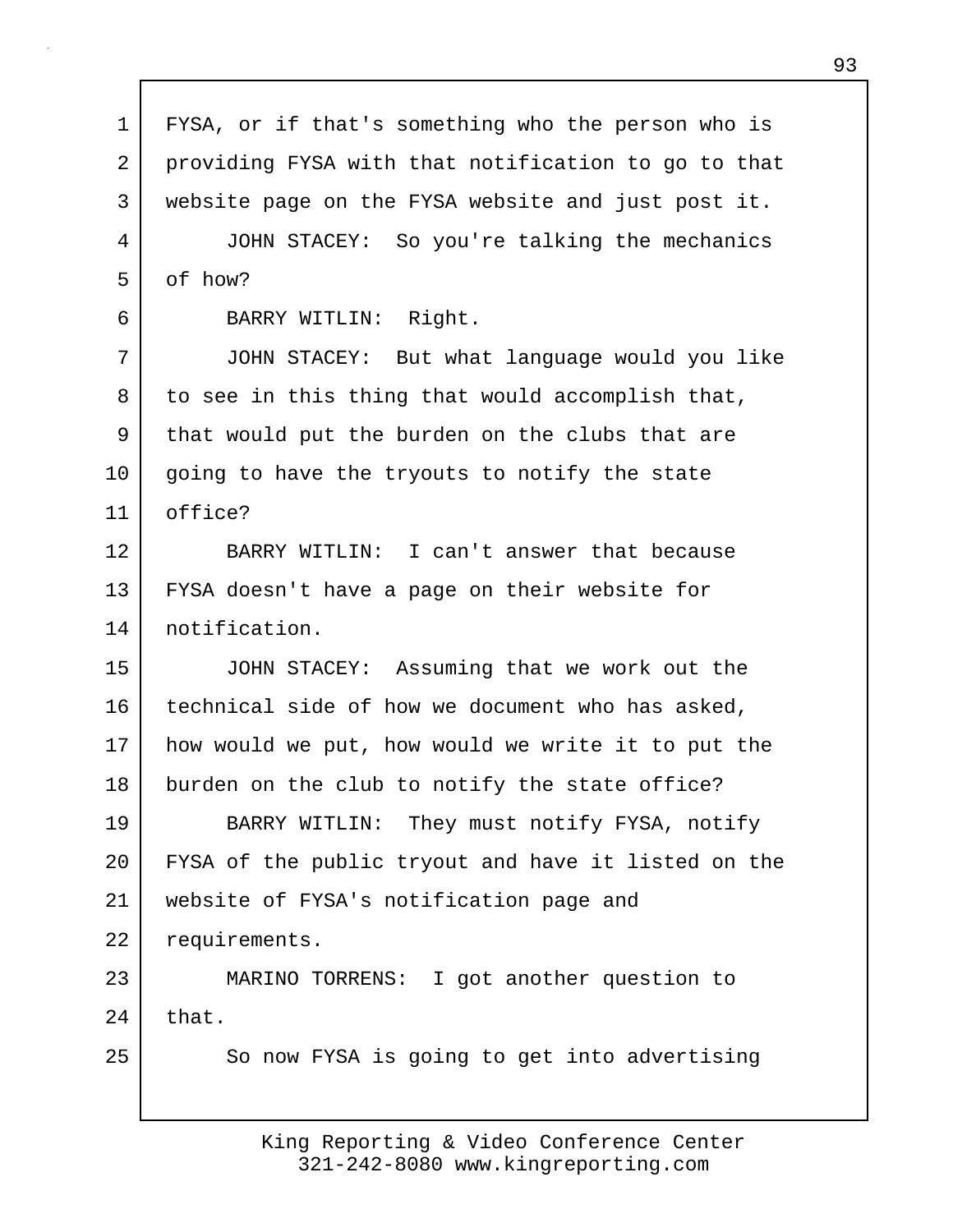1 FYSA, or if that's something who the person who is 2 providing FYSA with that notification to go to that 3 website page on the FYSA website and just post it. 4 JOHN STACEY: So you're talking the mechanics 5 of how? 6 BARRY WITLIN: Right. 7 JOHN STACEY: But what language would you like 8 to see in this thing that would accomplish that, 9 that would put the burden on the clubs that are 10 going to have the tryouts to notify the state 11 office? 12 BARRY WITLIN: I can't answer that because 13 FYSA doesn't have a page on their website for 14 notification. 15 JOHN STACEY: Assuming that we work out the 16 technical side of how we document who has asked, 17 how would we put, how would we write it to put the 18 burden on the club to notify the state office? 19 BARRY WITLIN: They must notify FYSA, notify 20 FYSA of the public tryout and have it listed on the 21 website of FYSA's notification page and 22 requirements. 23 MARINO TORRENS: I got another question to  $24$  that. 25 So now FYSA is going to get into advertising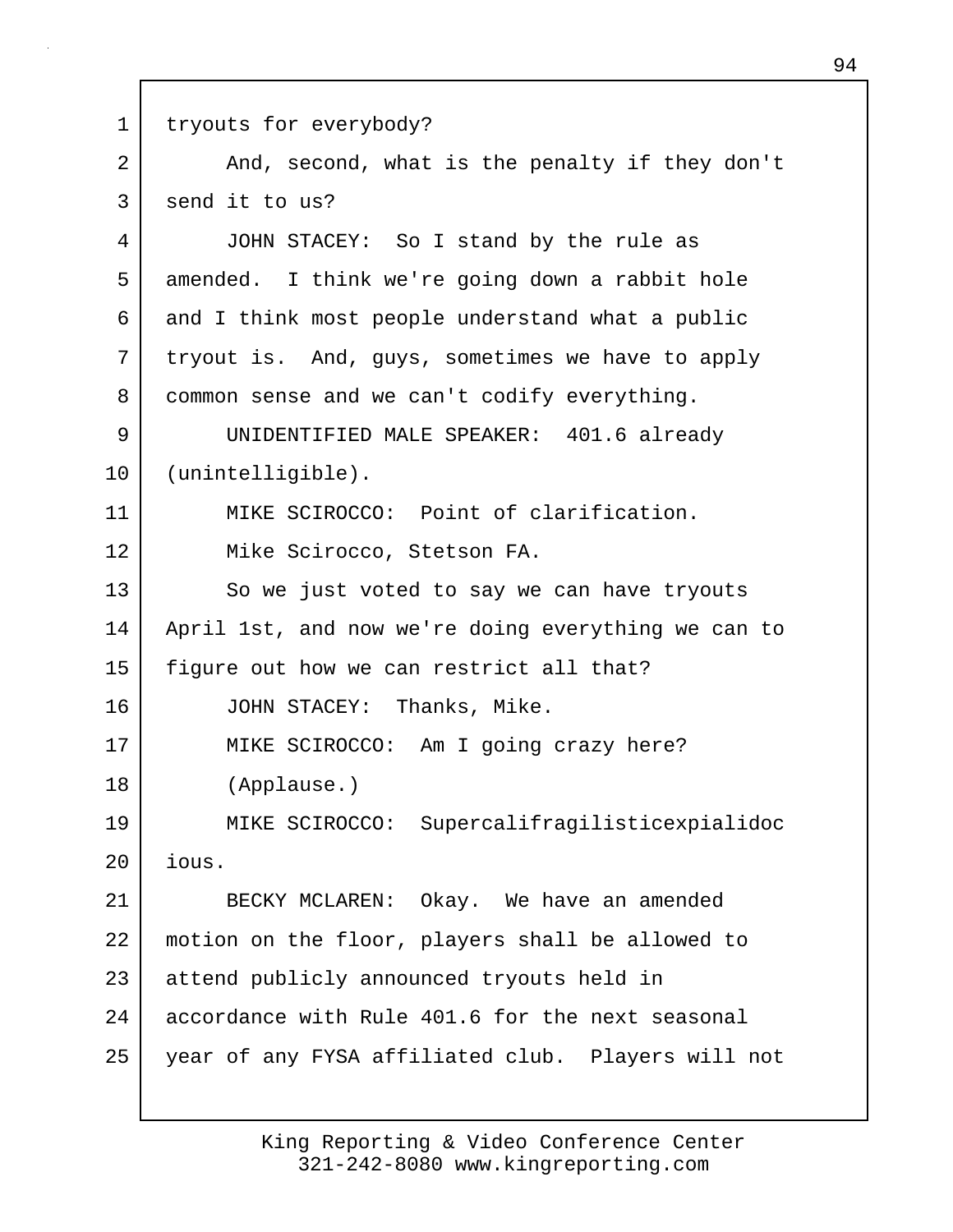1 tryouts for everybody? 2 And, second, what is the penalty if they don't 3 send it to us? 4 JOHN STACEY: So I stand by the rule as 5 amended. I think we're going down a rabbit hole 6 and I think most people understand what a public 7 tryout is. And, guys, sometimes we have to apply 8 common sense and we can't codify everything. 9 UNIDENTIFIED MALE SPEAKER: 401.6 already 10 (unintelligible). 11 MIKE SCIROCCO: Point of clarification. 12 Mike Scirocco, Stetson FA. 13 So we just voted to say we can have tryouts 14 April 1st, and now we're doing everything we can to 15 | figure out how we can restrict all that? 16 JOHN STACEY: Thanks, Mike. 17 MIKE SCIROCCO: Am I going crazy here? 18 (Applause.) 19 MIKE SCIROCCO: Supercalifragilisticexpialidoc 20 ious. 21 BECKY MCLAREN: Okay. We have an amended 22 motion on the floor, players shall be allowed to 23 attend publicly announced tryouts held in 24 accordance with Rule 401.6 for the next seasonal 25 year of any FYSA affiliated club. Players will not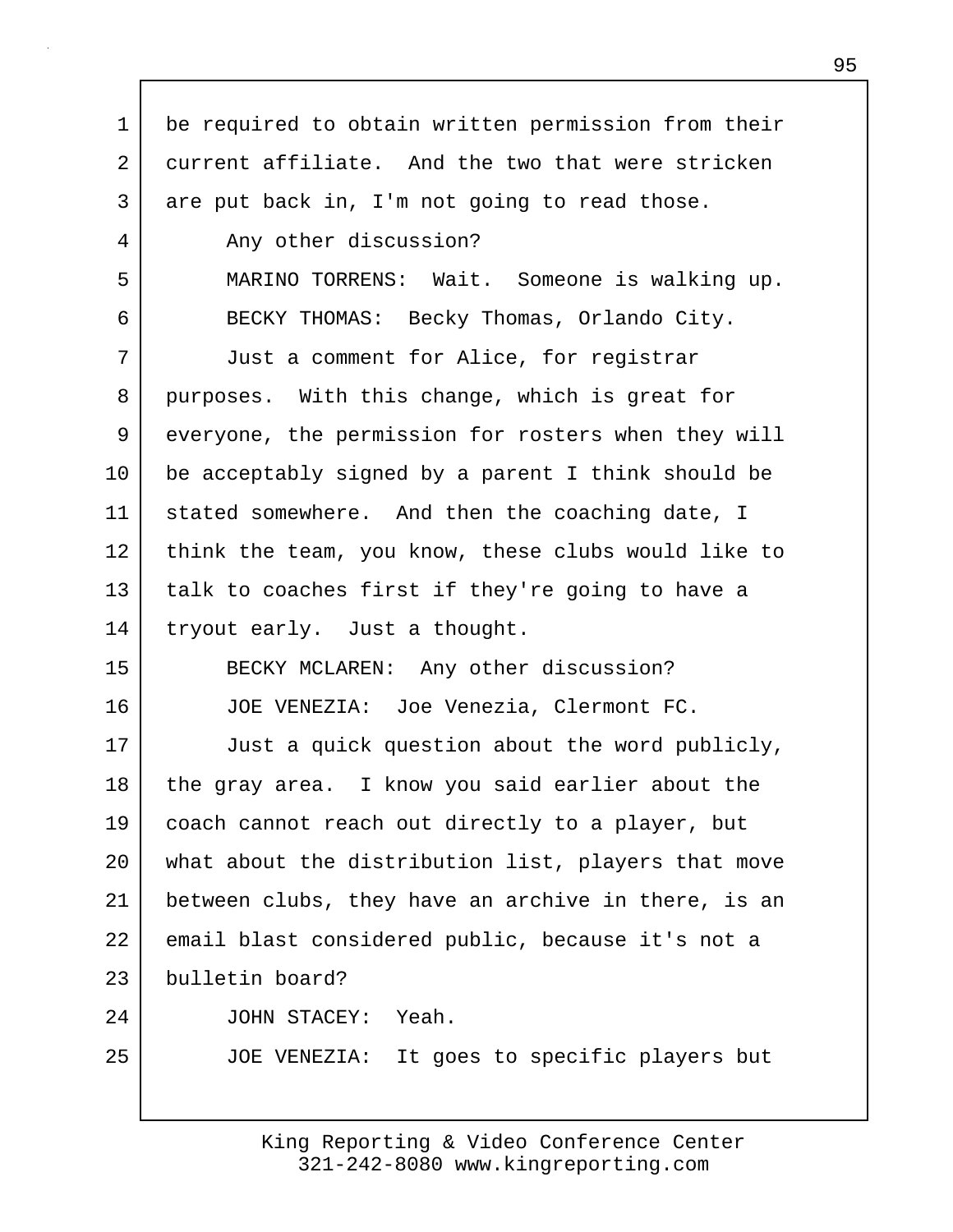| $\mathbf 1$ | be required to obtain written permission from their |
|-------------|-----------------------------------------------------|
| 2           | current affiliate. And the two that were stricken   |
| 3           | are put back in, I'm not going to read those.       |
| 4           | Any other discussion?                               |
| 5           | MARINO TORRENS: Wait. Someone is walking up.        |
| 6           | BECKY THOMAS: Becky Thomas, Orlando City.           |
| 7           | Just a comment for Alice, for registrar             |
| 8           | purposes. With this change, which is great for      |
| 9           | everyone, the permission for rosters when they will |
| 10          | be acceptably signed by a parent I think should be  |
| 11          | stated somewhere. And then the coaching date, I     |
| 12          | think the team, you know, these clubs would like to |
| 13          | talk to coaches first if they're going to have a    |
| 14          | tryout early. Just a thought.                       |
| 15          | BECKY MCLAREN: Any other discussion?                |
| 16          | JOE VENEZIA: Joe Venezia, Clermont FC.              |
| 17          | Just a quick question about the word publicly,      |
| 18          | the gray area. I know you said earlier about the    |
| 19          | coach cannot reach out directly to a player, but    |
| 20          | what about the distribution list, players that move |
| 21          | between clubs, they have an archive in there, is an |
| 22          | email blast considered public, because it's not a   |
| 23          | bulletin board?                                     |
| 24          | Yeah.<br>JOHN STACEY:                               |
| 25          | JOE VENEZIA: It goes to specific players but        |
|             |                                                     |

Г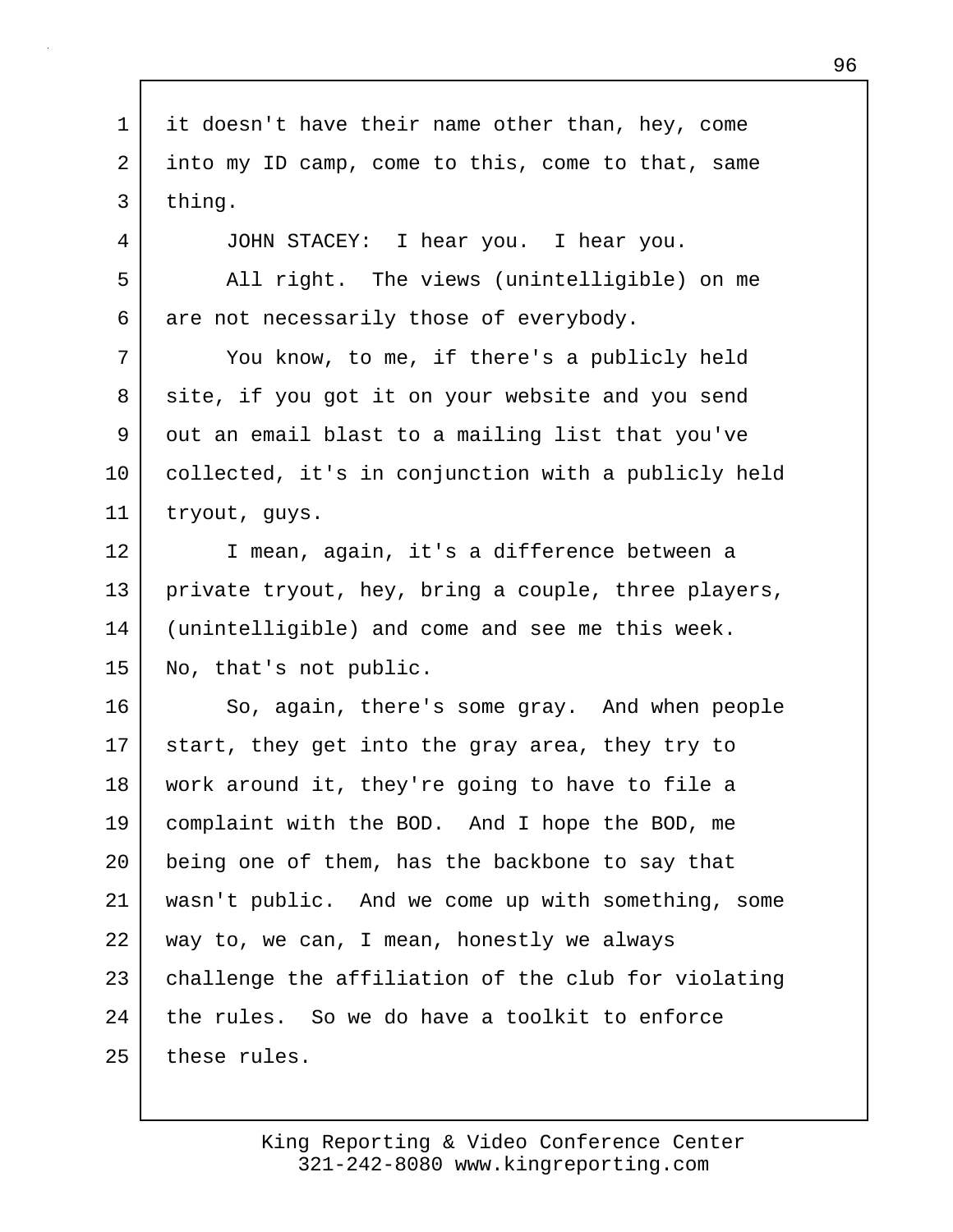1 it doesn't have their name other than, hey, come 2 into my ID camp, come to this, come to that, same 3 thing. 4 JOHN STACEY: I hear you. I hear you. 5 All right. The views (unintelligible) on me 6 are not necessarily those of everybody. 7 You know, to me, if there's a publicly held 8 site, if you got it on your website and you send 9 out an email blast to a mailing list that you've 10 collected, it's in conjunction with a publicly held 11 tryout, guys. 12 I mean, again, it's a difference between a 13 private tryout, hey, bring a couple, three players, 14 (unintelligible) and come and see me this week. 15 No, that's not public. 16 So, again, there's some gray. And when people 17 start, they get into the gray area, they try to 18 work around it, they're going to have to file a 19 complaint with the BOD. And I hope the BOD, me 20 | being one of them, has the backbone to say that 21 wasn't public. And we come up with something, some 22 way to, we can, I mean, honestly we always 23 challenge the affiliation of the club for violating 24 the rules. So we do have a toolkit to enforce 25 these rules.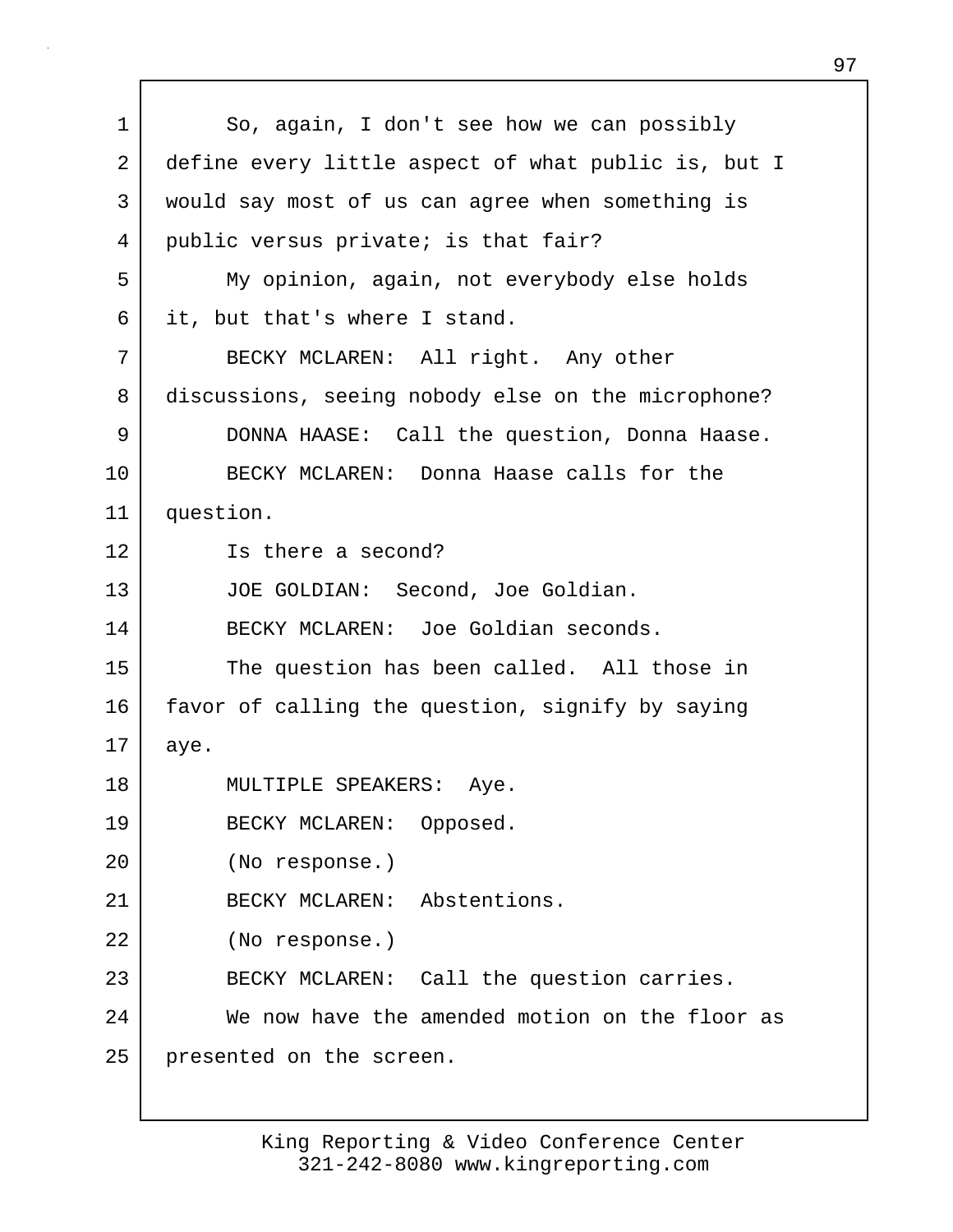1 So, again, I don't see how we can possibly 2 define every little aspect of what public is, but I 3 would say most of us can agree when something is 4 public versus private; is that fair? 5 My opinion, again, not everybody else holds 6 it, but that's where I stand. 7 | BECKY MCLAREN: All right. Any other 8 discussions, seeing nobody else on the microphone? 9 DONNA HAASE: Call the question, Donna Haase. 10 BECKY MCLAREN: Donna Haase calls for the 11 question. 12 Is there a second? 13 JOE GOLDIAN: Second, Joe Goldian. 14 BECKY MCLAREN: Joe Goldian seconds. 15 The question has been called. All those in 16 favor of calling the question, signify by saying  $17$  aye. 18 MULTIPLE SPEAKERS: Aye. 19 BECKY MCLAREN: Opposed. 20 (No response.) 21 BECKY MCLAREN: Abstentions. 22 (No response.) 23 BECKY MCLAREN: Call the question carries. 24 We now have the amended motion on the floor as 25 presented on the screen.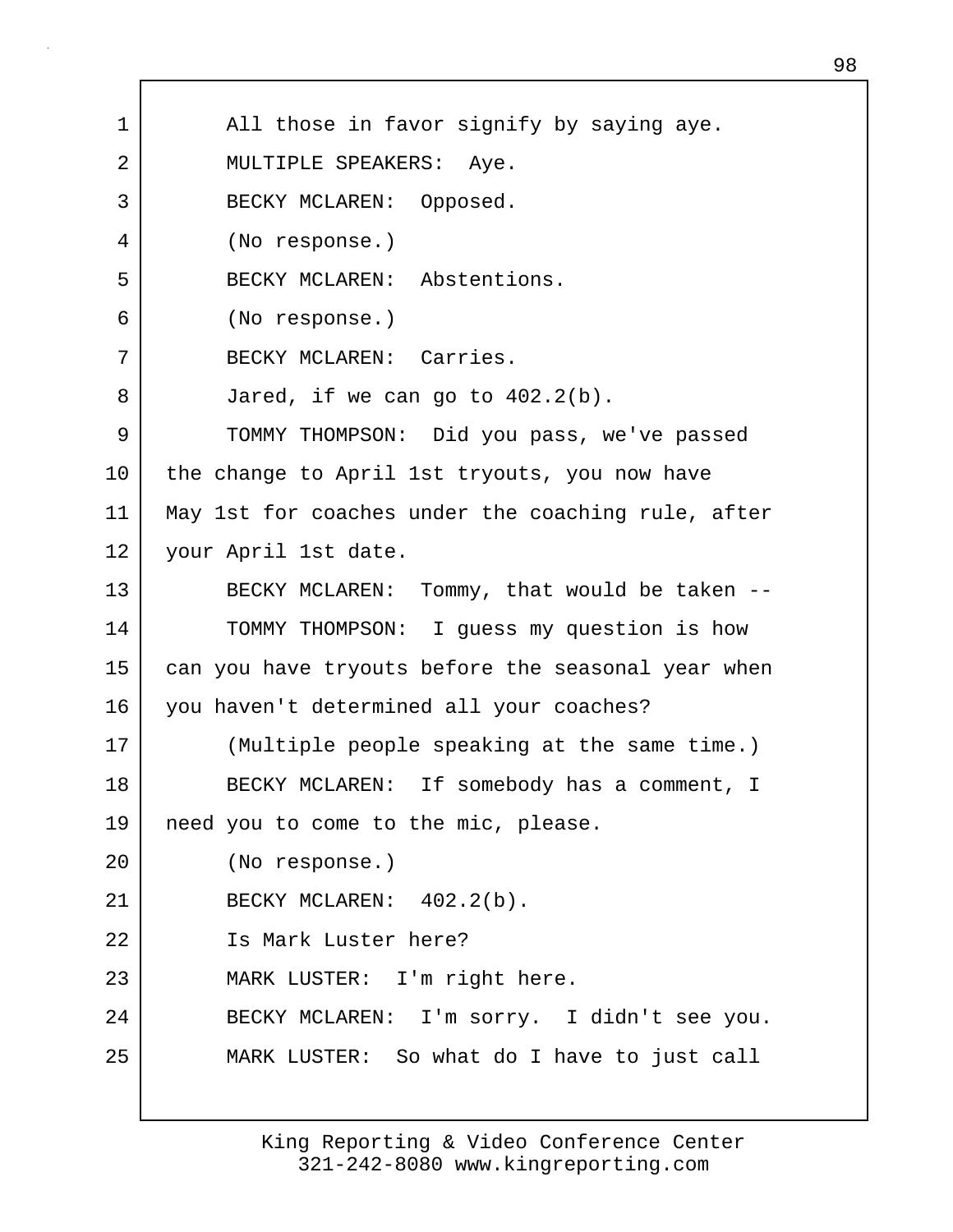1 | All those in favor signify by saying aye. 2 | MULTIPLE SPEAKERS: Aye. 3 BECKY MCLAREN: Opposed. 4 (No response.) 5 BECKY MCLAREN: Abstentions. 6 (No response.) 7 BECKY MCLAREN: Carries. 8 Jared, if we can go to 402.2(b). 9 TOMMY THOMPSON: Did you pass, we've passed 10 the change to April 1st tryouts, you now have 11 May 1st for coaches under the coaching rule, after 12 | your April 1st date. 13 BECKY MCLAREN: Tommy, that would be taken --14 TOMMY THOMPSON: I guess my question is how 15 can you have tryouts before the seasonal year when 16 you haven't determined all your coaches? 17 (Multiple people speaking at the same time.) 18 BECKY MCLAREN: If somebody has a comment, I 19 need you to come to the mic, please. 20 (No response.) 21 BECKY MCLAREN: 402.2(b). 22 Is Mark Luster here? 23 MARK LUSTER: I'm right here. 24 BECKY MCLAREN: I'm sorry. I didn't see you. 25 MARK LUSTER: So what do I have to just call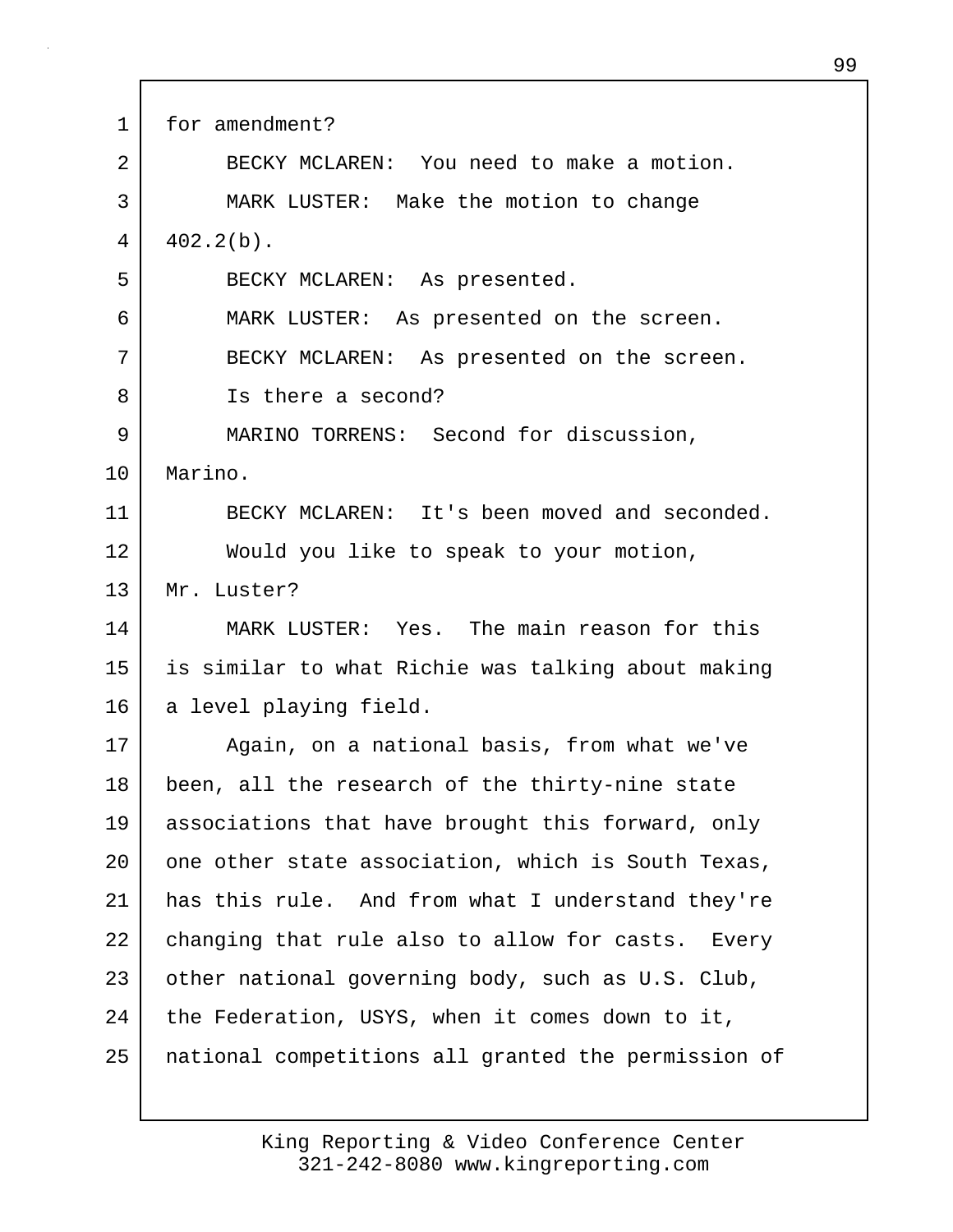| 1       | for amendment?                                      |
|---------|-----------------------------------------------------|
| 2       | BECKY MCLAREN: You need to make a motion.           |
| 3       | MARK LUSTER: Make the motion to change              |
| 4       | $402.2(b)$ .                                        |
| 5       | BECKY MCLAREN: As presented.                        |
| 6       | MARK LUSTER: As presented on the screen.            |
| 7       | BECKY MCLAREN: As presented on the screen.          |
| 8       | Is there a second?                                  |
| 9       | MARINO TORRENS: Second for discussion,              |
| $10 \,$ | Marino.                                             |
| 11      | BECKY MCLAREN: It's been moved and seconded.        |
| 12      | Would you like to speak to your motion,             |
| 13      | Mr. Luster?                                         |
| 14      | MARK LUSTER: Yes. The main reason for this          |
| 15      | is similar to what Richie was talking about making  |
| 16      | a level playing field.                              |
| 17      | Again, on a national basis, from what we've         |
| 18      | been, all the research of the thirty-nine state     |
| 19      | associations that have brought this forward, only   |
| 20      | one other state association, which is South Texas,  |
| 21      | has this rule. And from what I understand they're   |
| 22      | changing that rule also to allow for casts. Every   |
| 23      | other national governing body, such as U.S. Club,   |
| 24      | the Federation, USYS, when it comes down to it,     |
| 25      | national competitions all granted the permission of |
|         |                                                     |

Г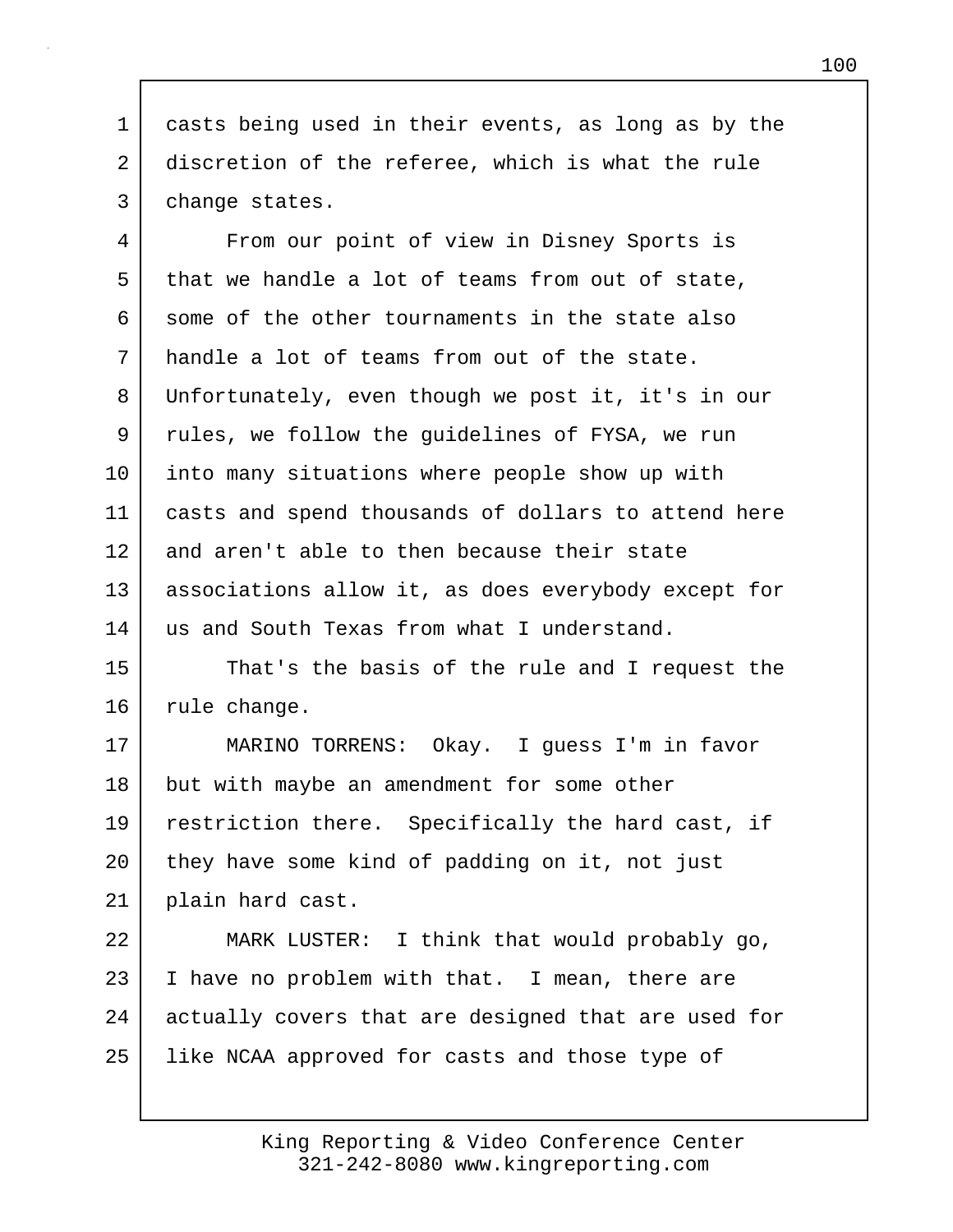1 casts being used in their events, as long as by the 2 discretion of the referee, which is what the rule 3 change states.

4 From our point of view in Disney Sports is 5 that we handle a lot of teams from out of state, 6 some of the other tournaments in the state also 7 handle a lot of teams from out of the state. 8 Unfortunately, even though we post it, it's in our 9 rules, we follow the guidelines of FYSA, we run 10 into many situations where people show up with 11 casts and spend thousands of dollars to attend here 12 and aren't able to then because their state 13 associations allow it, as does everybody except for 14 us and South Texas from what I understand.

15 That's the basis of the rule and I request the 16 | rule change.

17 MARINO TORRENS: Okay. I guess I'm in favor 18 but with maybe an amendment for some other 19 restriction there. Specifically the hard cast, if 20 they have some kind of padding on it, not just 21 plain hard cast.

22 MARK LUSTER: I think that would probably go, 23 I I have no problem with that. I mean, there are 24 actually covers that are designed that are used for 25 | like NCAA approved for casts and those type of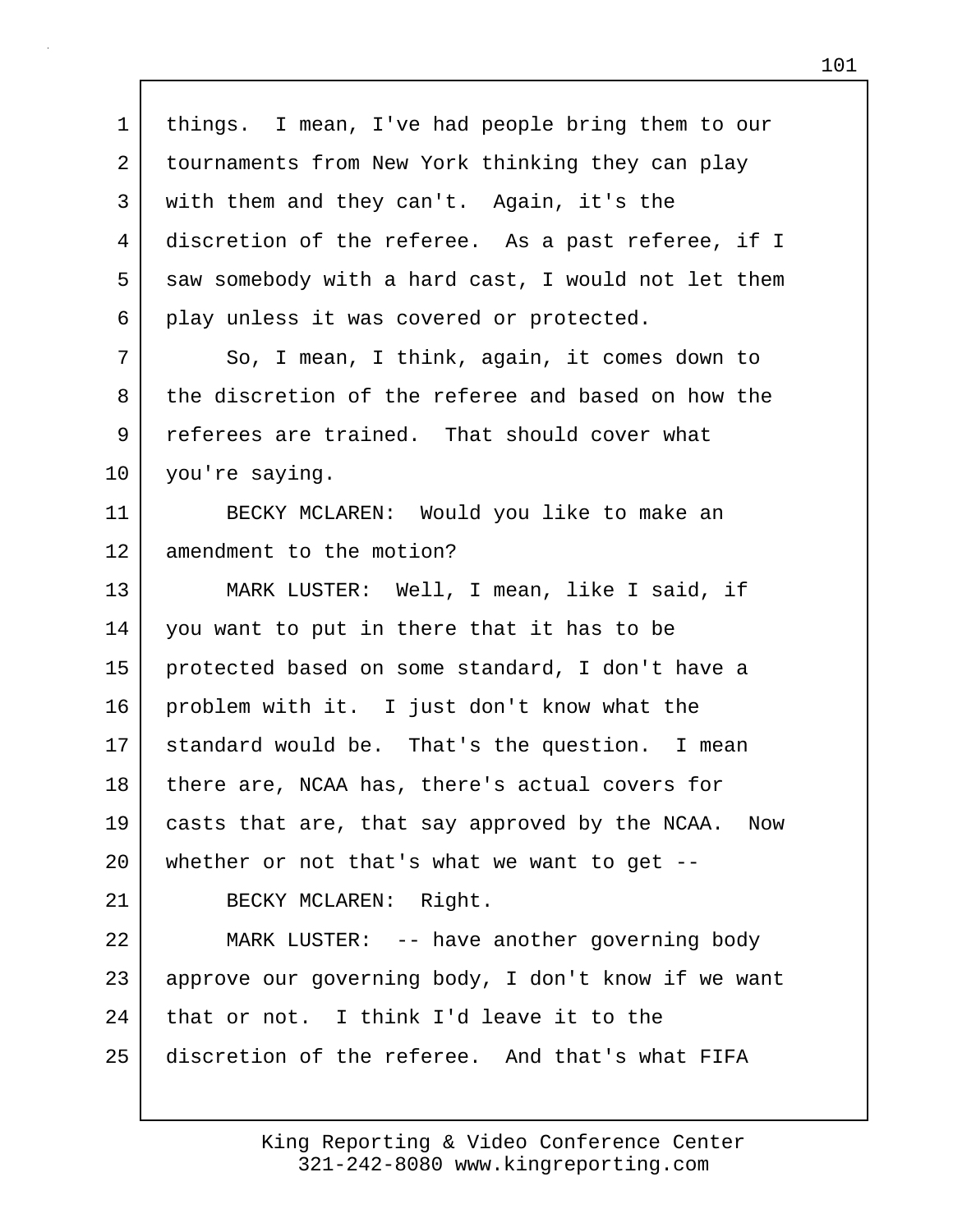1 things. I mean, I've had people bring them to our 2 tournaments from New York thinking they can play 3 with them and they can't. Again, it's the 4 discretion of the referee. As a past referee, if I 5 saw somebody with a hard cast, I would not let them 6 play unless it was covered or protected. 7 So, I mean, I think, again, it comes down to 8 the discretion of the referee and based on how the 9 referees are trained. That should cover what 10 you're saying. 11 BECKY MCLAREN: Would you like to make an 12 amendment to the motion? 13 MARK LUSTER: Well, I mean, like I said, if 14 you want to put in there that it has to be 15 protected based on some standard, I don't have a 16 problem with it. I just don't know what the 17 standard would be. That's the question. I mean 18 there are, NCAA has, there's actual covers for 19 casts that are, that say approved by the NCAA. Now 20 whether or not that's what we want to get -- 21 BECKY MCLAREN: Right. 22 MARK LUSTER: -- have another governing body 23 approve our governing body, I don't know if we want  $24$  that or not. I think I'd leave it to the 25 discretion of the referee. And that's what FIFA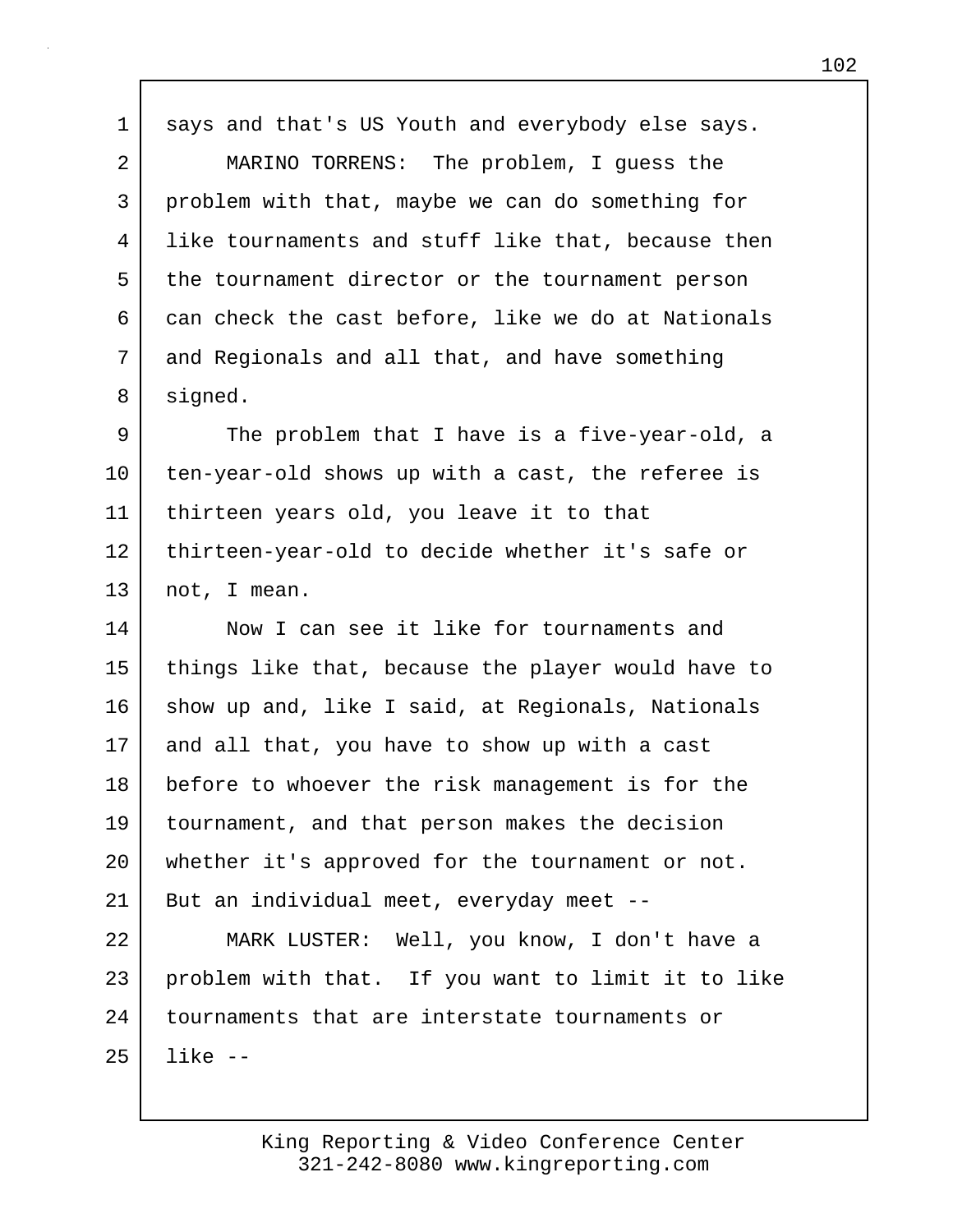1 says and that's US Youth and everybody else says.

2 MARINO TORRENS: The problem, I guess the 3 problem with that, maybe we can do something for 4 like tournaments and stuff like that, because then 5 the tournament director or the tournament person 6 can check the cast before, like we do at Nationals 7 and Regionals and all that, and have something 8 signed.

9 The problem that I have is a five-year-old, a 10 ten-year-old shows up with a cast, the referee is 11 thirteen years old, you leave it to that 12 thirteen-year-old to decide whether it's safe or 13 not, I mean.

14 Now I can see it like for tournaments and 15 things like that, because the player would have to 16 show up and, like I said, at Regionals, Nationals 17 and all that, you have to show up with a cast 18 before to whoever the risk management is for the 19 tournament, and that person makes the decision 20 whether it's approved for the tournament or not. 21 | But an individual meet, everyday meet --

22 MARK LUSTER: Well, you know, I don't have a 23 problem with that. If you want to limit it to like 24 tournaments that are interstate tournaments or 25 like --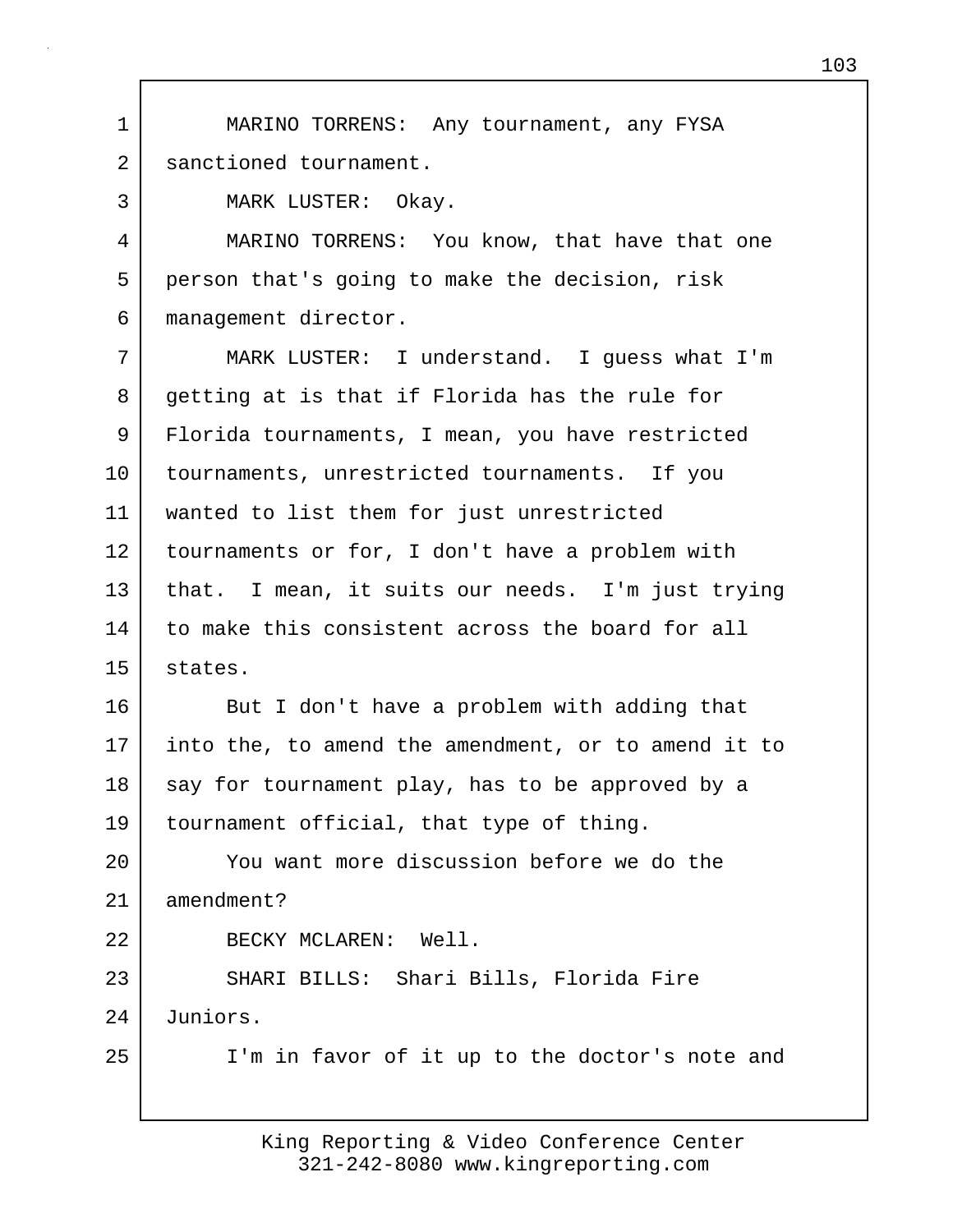3 MARK LUSTER: Okay. 4 MARINO TORRENS: You know, that have that one 5 person that's going to make the decision, risk 6 management director. 7 MARK LUSTER: I understand. I guess what I'm 8 getting at is that if Florida has the rule for 9 Florida tournaments, I mean, you have restricted 10 tournaments, unrestricted tournaments. If you 11 wanted to list them for just unrestricted 12 tournaments or for, I don't have a problem with 13 that. I mean, it suits our needs. I'm just trying 14 to make this consistent across the board for all 15 states.

1 MARINO TORRENS: Any tournament, any FYSA

2 sanctioned tournament.

16 But I don't have a problem with adding that 17 into the, to amend the amendment, or to amend it to 18 say for tournament play, has to be approved by a 19 tournament official, that type of thing.

20 You want more discussion before we do the 21 amendment?

22 BECKY MCLAREN: Well.

23 SHARI BILLS: Shari Bills, Florida Fire 24 Juniors.

25 | I'm in favor of it up to the doctor's note and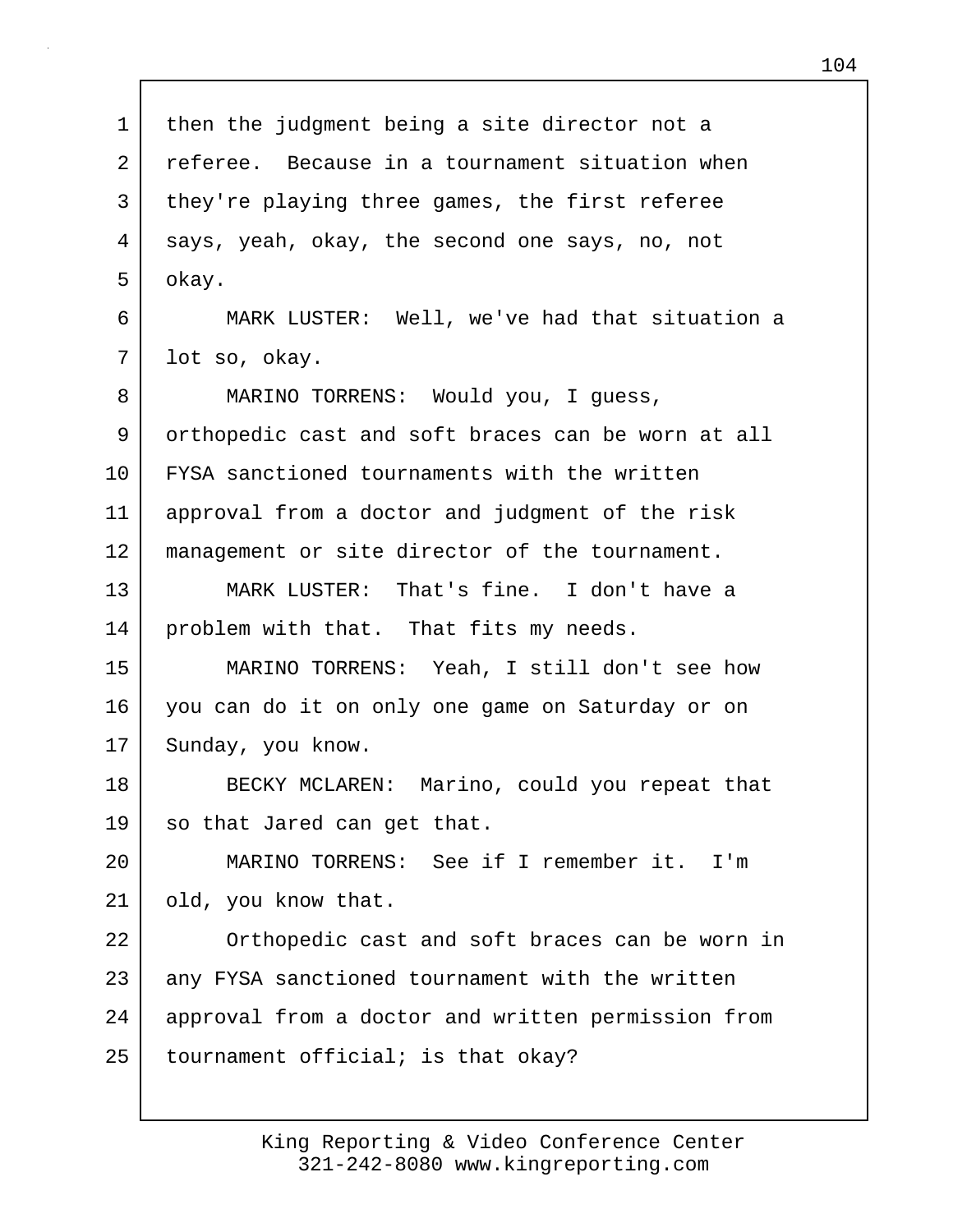1 then the judgment being a site director not a 2 referee. Because in a tournament situation when 3 they're playing three games, the first referee 4 says, yeah, okay, the second one says, no, not 5 okay. 6 MARK LUSTER: Well, we've had that situation a 7 lot so, okay. 8 MARINO TORRENS: Would you, I quess, 9 orthopedic cast and soft braces can be worn at all 10 FYSA sanctioned tournaments with the written 11 approval from a doctor and judgment of the risk 12 management or site director of the tournament. 13 MARK LUSTER: That's fine. I don't have a 14 | problem with that. That fits my needs. 15 MARINO TORRENS: Yeah, I still don't see how 16 you can do it on only one game on Saturday or on 17 Sunday, you know. 18 BECKY MCLAREN: Marino, could you repeat that 19 so that Jared can get that. 20 MARINO TORRENS: See if I remember it. I'm 21 | old, you know that. 22 Orthopedic cast and soft braces can be worn in 23 any FYSA sanctioned tournament with the written 24 approval from a doctor and written permission from  $25$  tournament official; is that okay?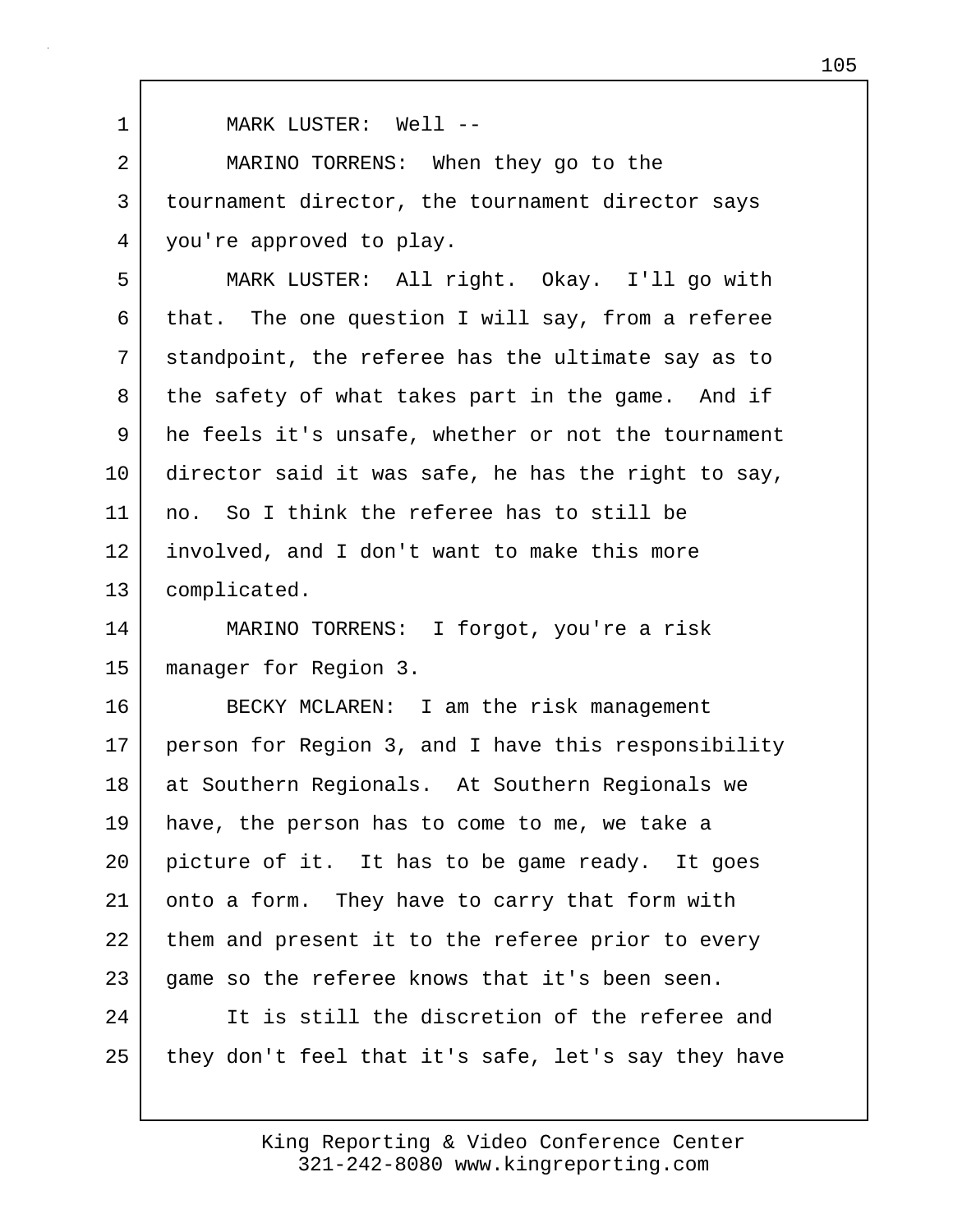1 MARK LUSTER: Well -- 2 MARINO TORRENS: When they go to the 3 | tournament director, the tournament director says 4 you're approved to play. 5 MARK LUSTER: All right. Okay. I'll go with 6 that. The one question I will say, from a referee 7 standpoint, the referee has the ultimate say as to 8 the safety of what takes part in the game. And if 9 he feels it's unsafe, whether or not the tournament 10 director said it was safe, he has the right to say, 11 no. So I think the referee has to still be 12 involved, and I don't want to make this more 13 complicated. 14 MARINO TORRENS: I forgot, you're a risk 15 manager for Region 3. 16 BECKY MCLAREN: I am the risk management 17 person for Region 3, and I have this responsibility 18 at Southern Regionals. At Southern Regionals we 19 have, the person has to come to me, we take a 20 picture of it. It has to be game ready. It goes 21 onto a form. They have to carry that form with 22 them and present it to the referee prior to every 23 game so the referee knows that it's been seen. 24 It is still the discretion of the referee and 25 they don't feel that it's safe, let's say they have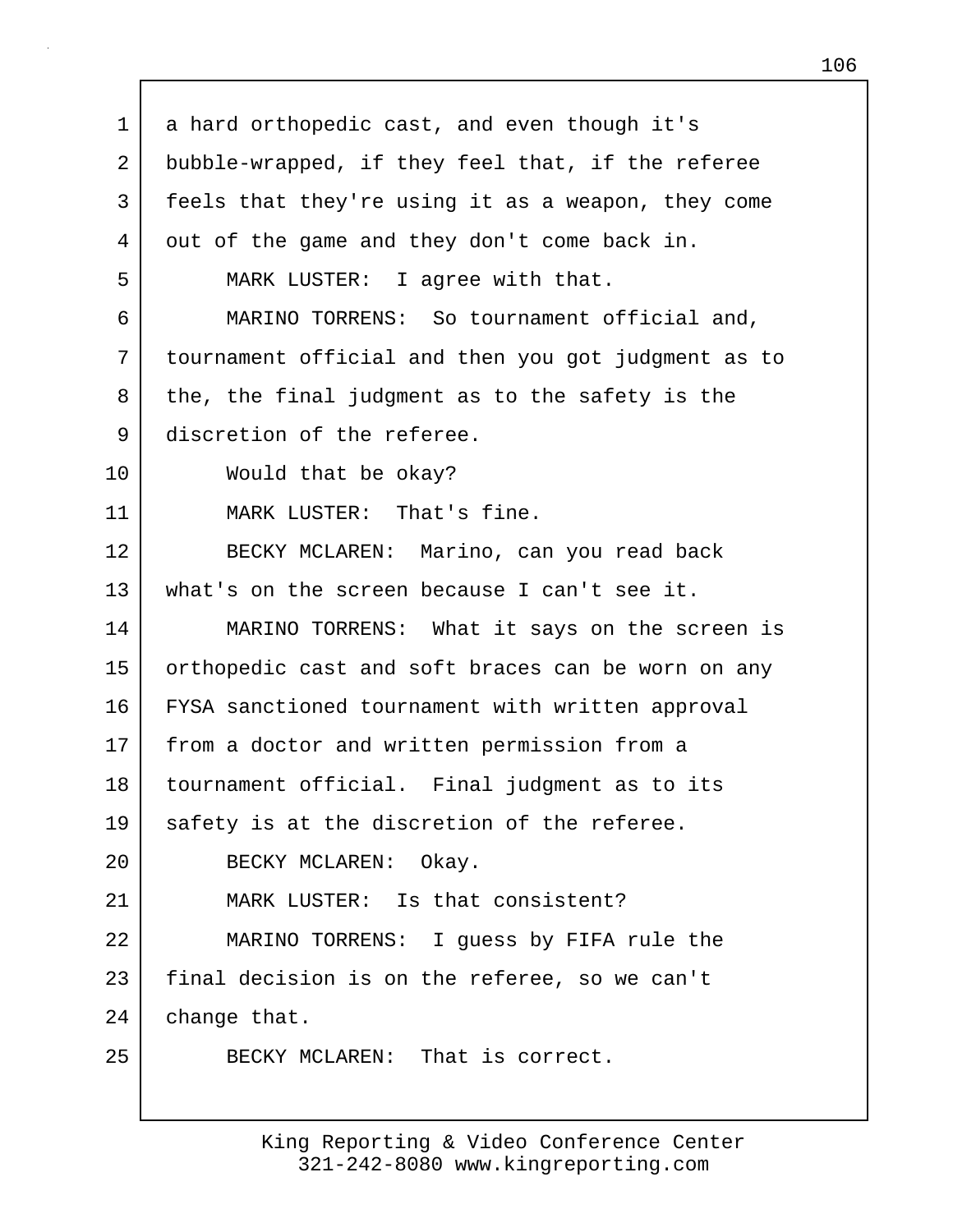1 a hard orthopedic cast, and even though it's 2 bubble-wrapped, if they feel that, if the referee 3 feels that they're using it as a weapon, they come 4 out of the game and they don't come back in. 5 MARK LUSTER: I agree with that. 6 MARINO TORRENS: So tournament official and, 7 tournament official and then you got judgment as to  $8$  the, the final judgment as to the safety is the 9 discretion of the referee. 10 Would that be okay? 11 MARK LUSTER: That's fine. 12 BECKY MCLAREN: Marino, can you read back 13 what's on the screen because I can't see it. 14 MARINO TORRENS: What it says on the screen is 15 orthopedic cast and soft braces can be worn on any 16 FYSA sanctioned tournament with written approval 17 | from a doctor and written permission from a 18 tournament official. Final judgment as to its 19 safety is at the discretion of the referee. 20 BECKY MCLAREN: Okay. 21 MARK LUSTER: Is that consistent? 22 MARINO TORRENS: I guess by FIFA rule the 23 final decision is on the referee, so we can't 24 change that. 25 BECKY MCLAREN: That is correct.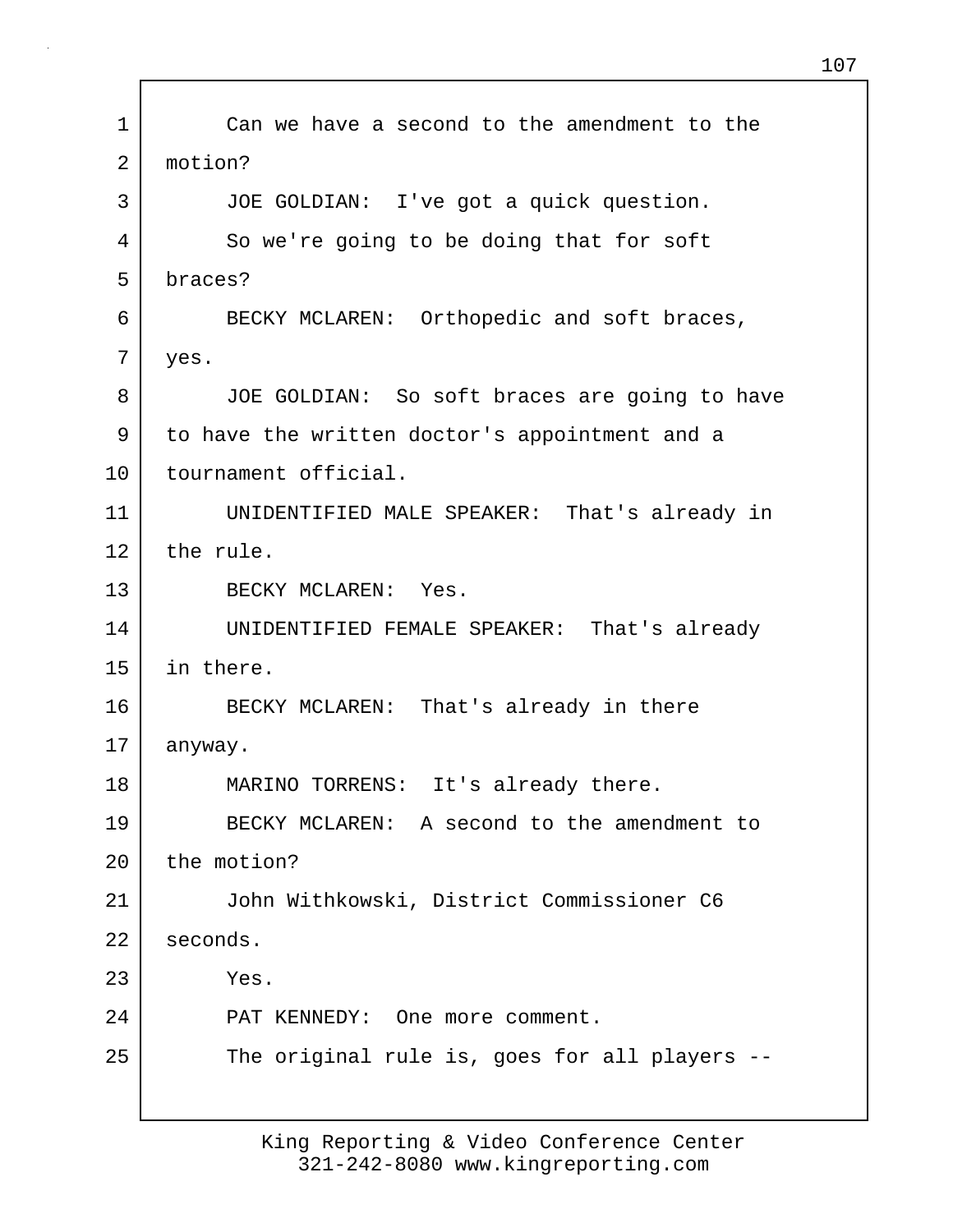| 1  | Can we have a second to the amendment to the   |
|----|------------------------------------------------|
| 2  | motion?                                        |
| 3  | JOE GOLDIAN: I've got a quick question.        |
| 4  | So we're going to be doing that for soft       |
| 5  | braces?                                        |
| 6  | BECKY MCLAREN: Orthopedic and soft braces,     |
| 7  | yes.                                           |
| 8  | JOE GOLDIAN: So soft braces are going to have  |
| 9  | to have the written doctor's appointment and a |
| 10 | tournament official.                           |
| 11 | UNIDENTIFIED MALE SPEAKER: That's already in   |
| 12 | the rule.                                      |
| 13 | BECKY MCLAREN: Yes.                            |
| 14 | UNIDENTIFIED FEMALE SPEAKER: That's already    |
| 15 | in there.                                      |
| 16 | BECKY MCLAREN: That's already in there         |
| 17 | anyway.                                        |
| 18 | MARINO TORRENS: It's already there             |
| 19 | BECKY MCLAREN: A second to the amendment to    |
| 20 | the motion?                                    |
| 21 | John Withkowski, District Commissioner C6      |
| 22 | seconds.                                       |
| 23 | Yes.                                           |
| 24 | PAT KENNEDY: One more comment.                 |
| 25 | The original rule is, goes for all players --  |
|    |                                                |

Г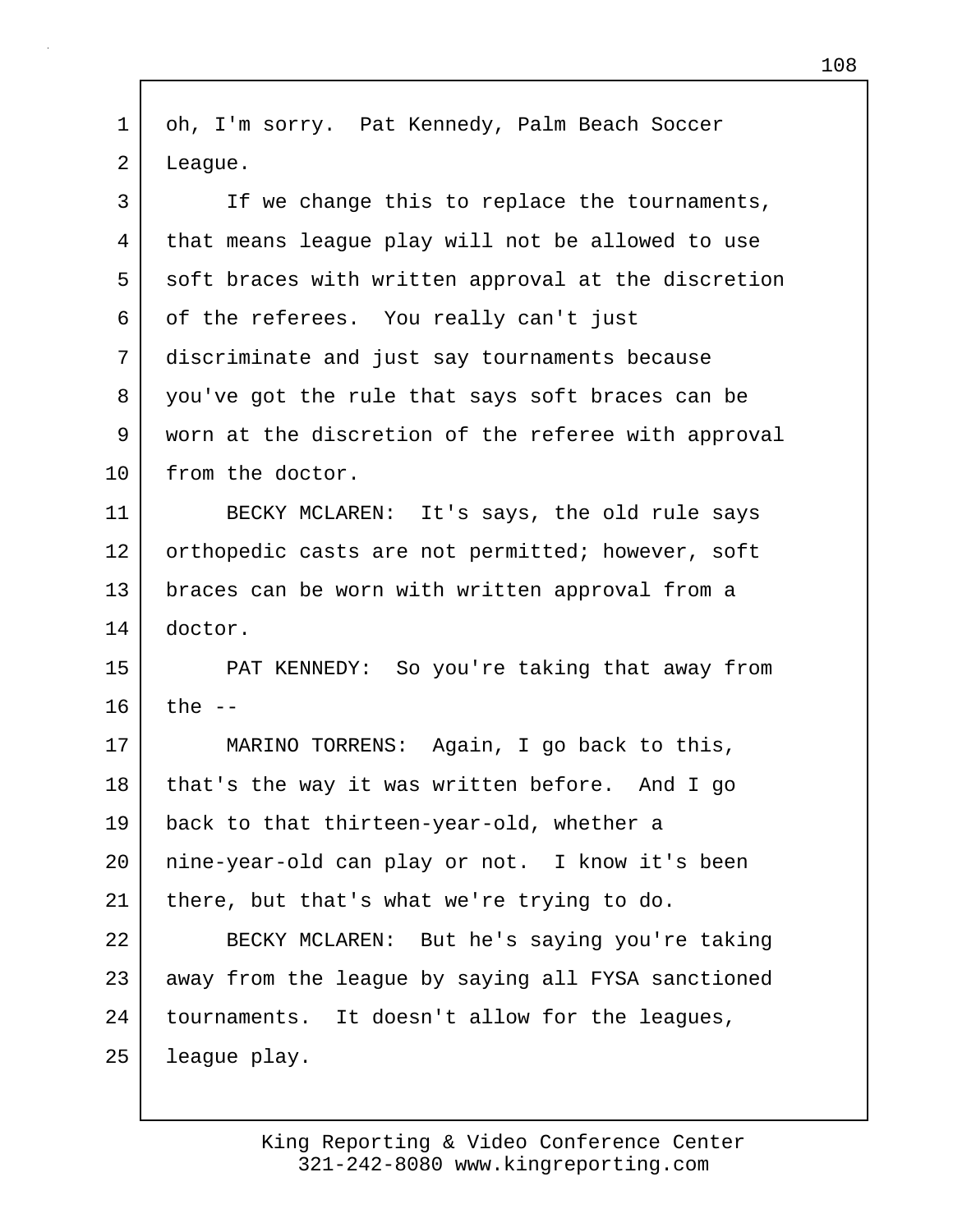1 oh, I'm sorry. Pat Kennedy, Palm Beach Soccer 2 League.

3 I If we change this to replace the tournaments, 4 that means league play will not be allowed to use 5 soft braces with written approval at the discretion 6 of the referees. You really can't just 7 discriminate and just say tournaments because 8 you've got the rule that says soft braces can be 9 worn at the discretion of the referee with approval 10 | from the doctor. 11 BECKY MCLAREN: It's says, the old rule says 12 orthopedic casts are not permitted; however, soft 13 braces can be worn with written approval from a 14 doctor. 15 PAT KENNEDY: So you're taking that away from  $16$  the  $-$ 17 MARINO TORRENS: Again, I go back to this, 18 | that's the way it was written before. And I go 19 back to that thirteen-year-old, whether a 20 nine-year-old can play or not. I know it's been 21 | there, but that's what we're trying to do. 22 BECKY MCLAREN: But he's saying you're taking 23 away from the league by saying all FYSA sanctioned 24 | tournaments. It doesn't allow for the leagues, 25 league play.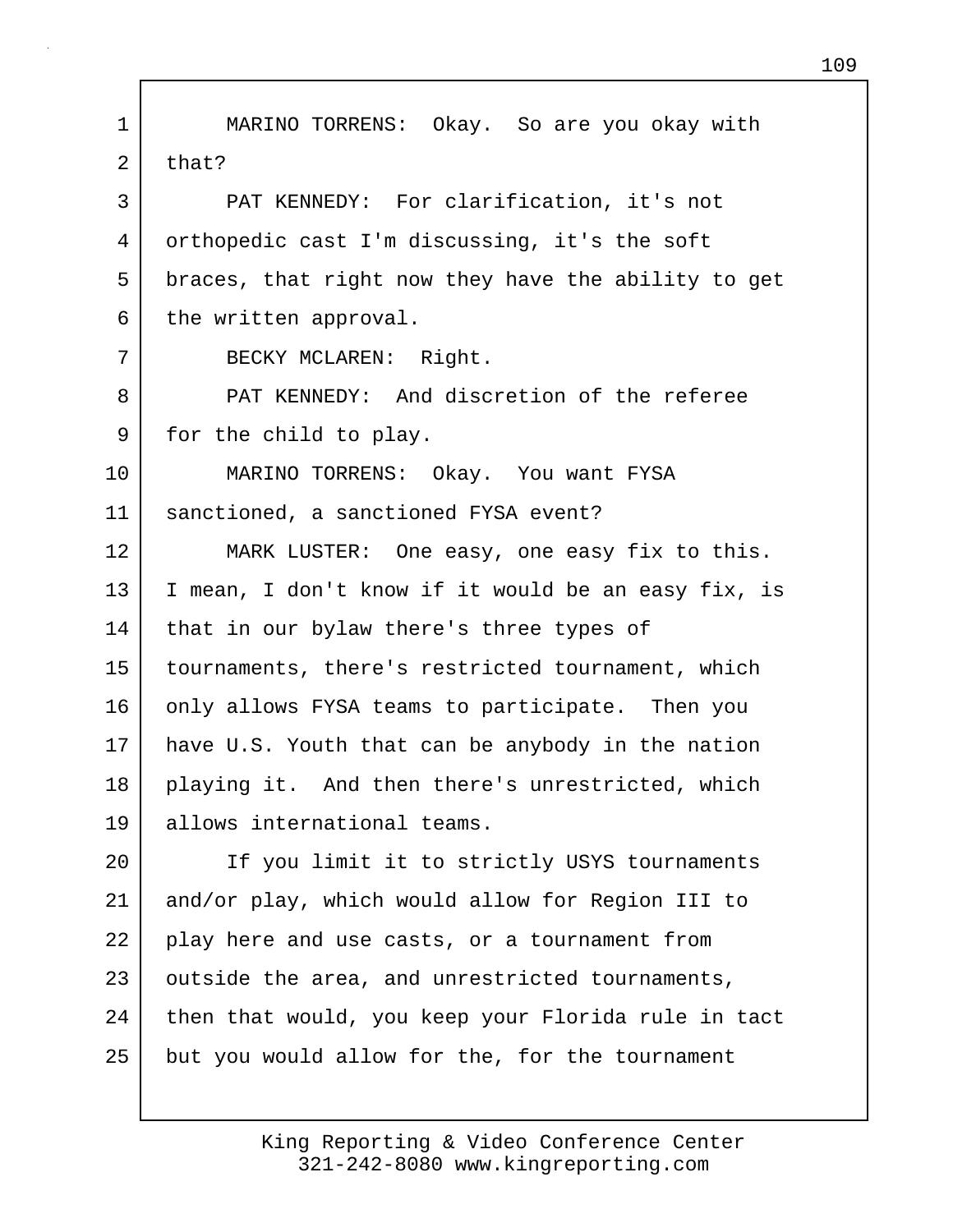1 MARINO TORRENS: Okay. So are you okay with  $2$  that? 3 PAT KENNEDY: For clarification, it's not 4 orthopedic cast I'm discussing, it's the soft 5 braces, that right now they have the ability to get  $6$  the written approval. 7 BECKY MCLAREN: Right. 8 PAT KENNEDY: And discretion of the referee 9 for the child to play. 10 MARINO TORRENS: Okay. You want FYSA 11 sanctioned, a sanctioned FYSA event? 12 MARK LUSTER: One easy, one easy fix to this. 13 I mean, I don't know if it would be an easy fix, is 14 | that in our bylaw there's three types of 15 tournaments, there's restricted tournament, which 16 only allows FYSA teams to participate. Then you 17 have U.S. Youth that can be anybody in the nation 18 playing it. And then there's unrestricted, which 19 allows international teams. 20 | If you limit it to strictly USYS tournaments 21 and/or play, which would allow for Region III to 22 play here and use casts, or a tournament from 23 outside the area, and unrestricted tournaments, 24 then that would, you keep your Florida rule in tact 25 but you would allow for the, for the tournament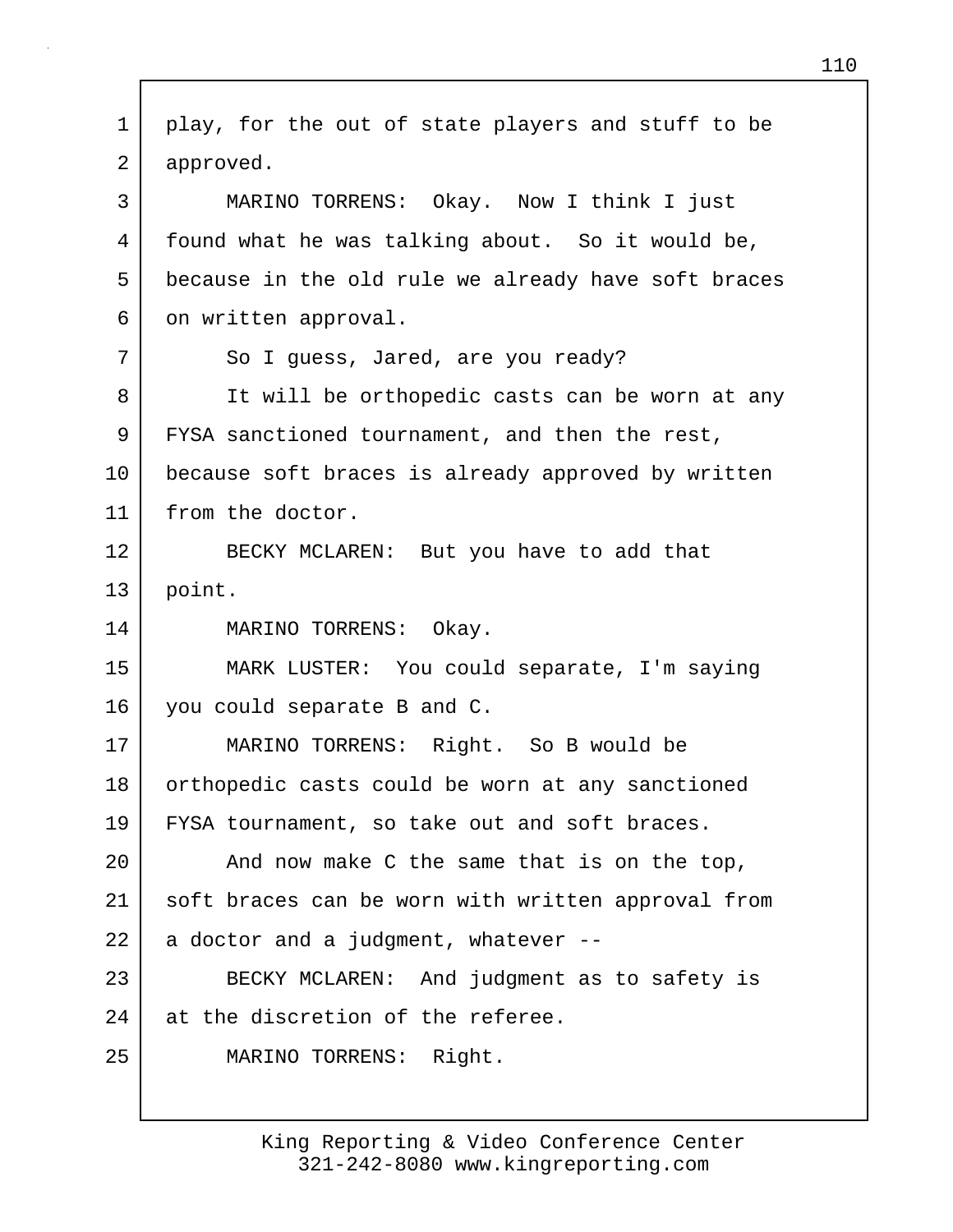1 play, for the out of state players and stuff to be 2 approved. 3 MARINO TORRENS: Okay. Now I think I just 4 found what he was talking about. So it would be, 5 because in the old rule we already have soft braces 6 on written approval. 7 So I guess, Jared, are you ready? 8 It will be orthopedic casts can be worn at any 9 FYSA sanctioned tournament, and then the rest, 10 because soft braces is already approved by written 11 from the doctor. 12 BECKY MCLAREN: But you have to add that 13 point. 14 | MARINO TORRENS: Okay. 15 MARK LUSTER: You could separate, I'm saying 16 you could separate B and C. 17 MARINO TORRENS: Right. So B would be 18 | orthopedic casts could be worn at any sanctioned 19 FYSA tournament, so take out and soft braces. 20 | And now make C the same that is on the top, 21 soft braces can be worn with written approval from  $22$  a doctor and a judgment, whatever  $-$ 23 BECKY MCLAREN: And judgment as to safety is 24 at the discretion of the referee. 25 MARINO TORRENS: Right.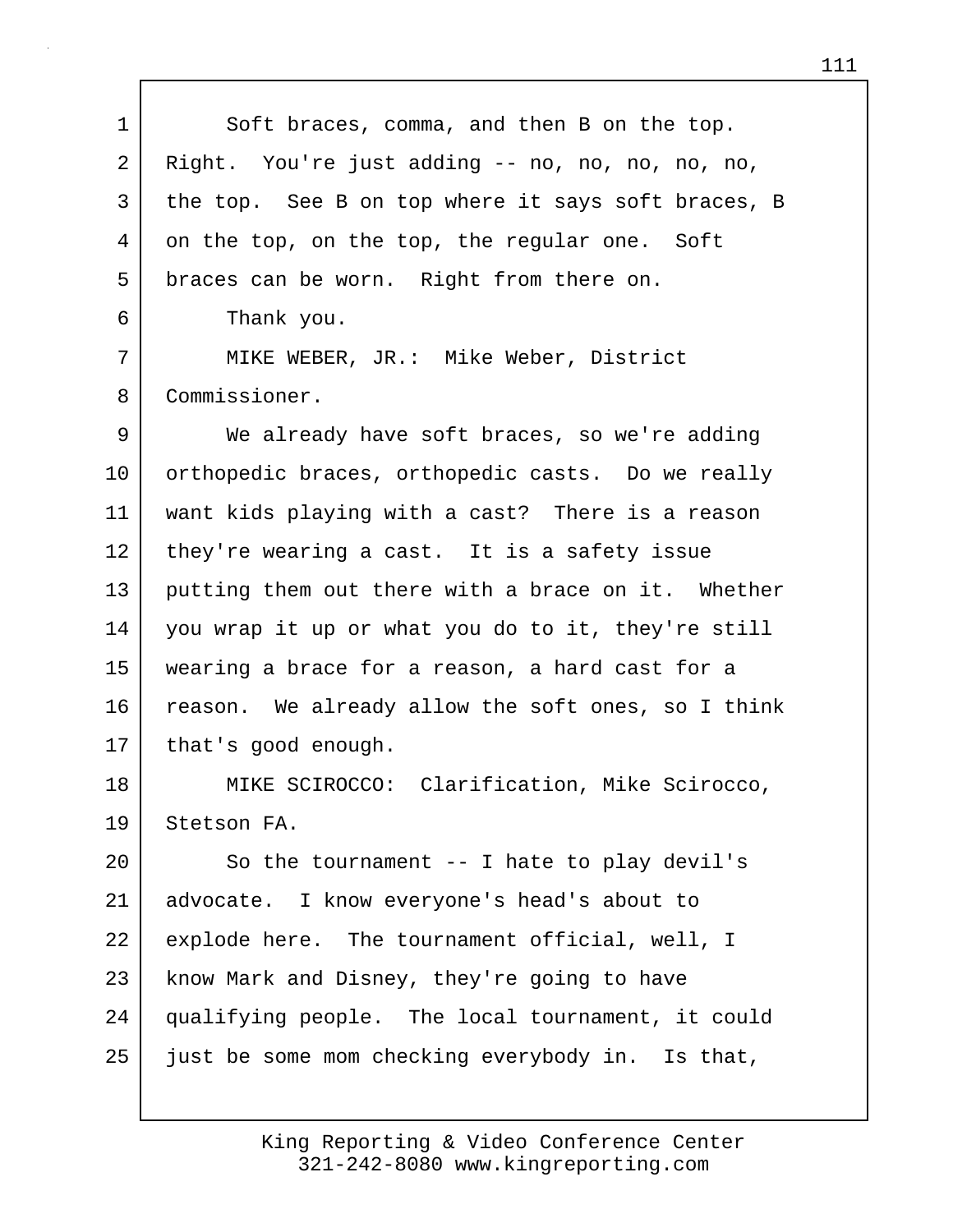1 Soft braces, comma, and then B on the top. 2 Right. You're just adding -- no, no, no, no, no, 3 the top. See B on top where it says soft braces, B 4 on the top, on the top, the regular one. Soft 5 braces can be worn. Right from there on. 6 Thank you. 7 MIKE WEBER, JR.: Mike Weber, District 8 Commissioner. 9 We already have soft braces, so we're adding 10 orthopedic braces, orthopedic casts. Do we really 11 want kids playing with a cast? There is a reason 12 they're wearing a cast. It is a safety issue 13 putting them out there with a brace on it. Whether 14 you wrap it up or what you do to it, they're still 15 wearing a brace for a reason, a hard cast for a 16 reason. We already allow the soft ones, so I think 17 | that's good enough. 18 | MIKE SCIROCCO: Clarification, Mike Scirocco, 19 Stetson FA. 20 So the tournament -- I hate to play devil's 21 advocate. I know everyone's head's about to 22 explode here. The tournament official, well, I 23 know Mark and Disney, they're going to have 24 qualifying people. The local tournament, it could 25 just be some mom checking everybody in. Is that,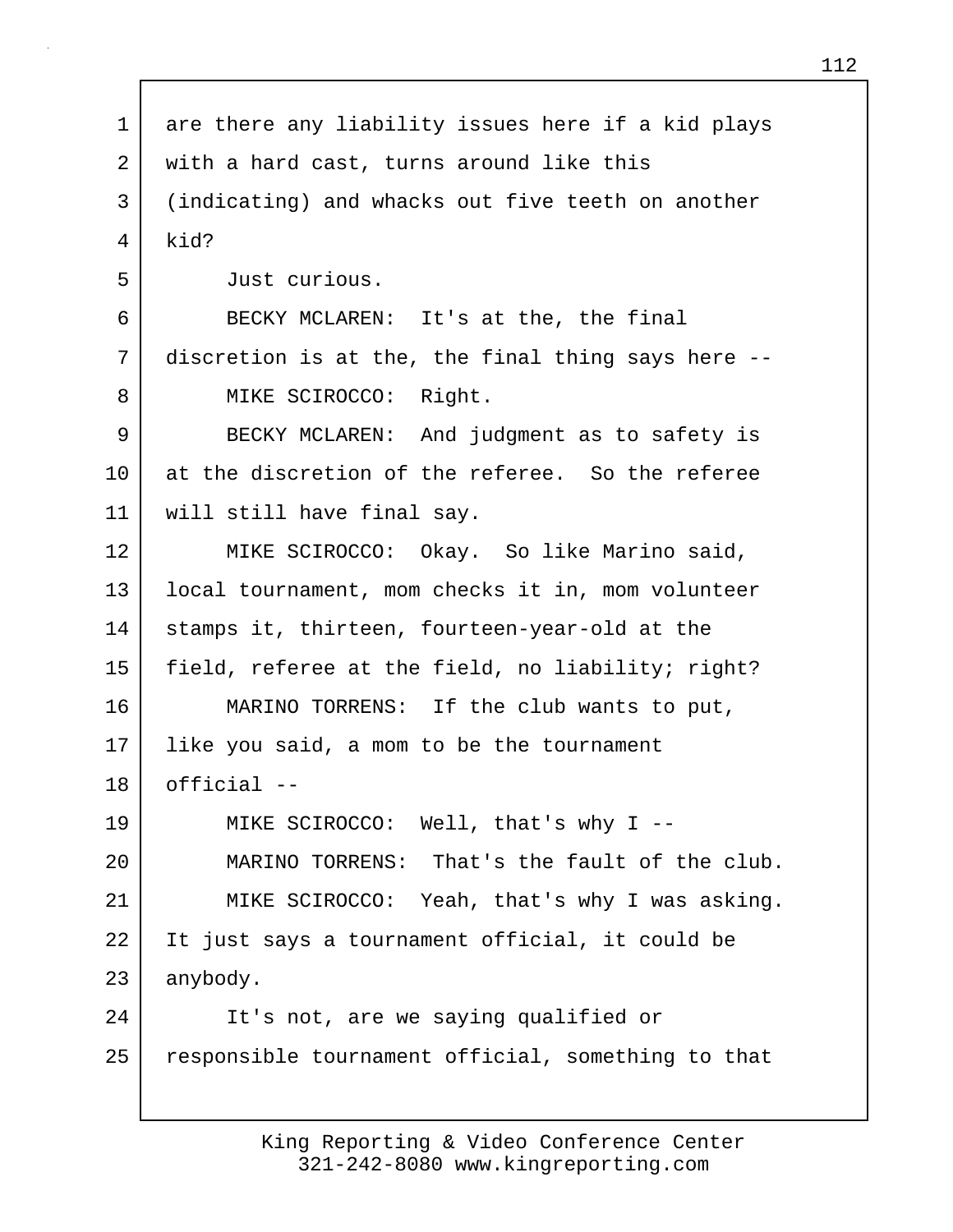| 1       | are there any liability issues here if a kid plays |
|---------|----------------------------------------------------|
| 2       | with a hard cast, turns around like this           |
| 3       | (indicating) and whacks out five teeth on another  |
| 4       | kid?                                               |
| 5       | Just curious.                                      |
| 6       | BECKY MCLAREN: It's at the, the final              |
| 7       | discretion is at the, the final thing says here -- |
| 8       | MIKE SCIROCCO: Right.                              |
| 9       | BECKY MCLAREN: And judgment as to safety is        |
| $10 \,$ | at the discretion of the referee. So the referee   |
| 11      | will still have final say.                         |
| 12      | MIKE SCIROCCO: Okay. So like Marino said,          |
| 13      | local tournament, mom checks it in, mom volunteer  |
| 14      | stamps it, thirteen, fourteen-year-old at the      |
| 15      | field, referee at the field, no liability; right?  |
| 16      | MARINO TORRENS: If the club wants to put,          |
| 17      | like you said, a mom to be the tournament          |
| 18      | official --                                        |
| 19      | MIKE SCIROCCO: Well, that's why I --               |
| 20      | MARINO TORRENS: That's the fault of the club.      |
| 21      | MIKE SCIROCCO: Yeah, that's why I was asking.      |
| 22      | It just says a tournament official, it could be    |
| 23      | anybody.                                           |
| 24      | It's not, are we saying qualified or               |
| 25      | responsible tournament official, something to that |
|         |                                                    |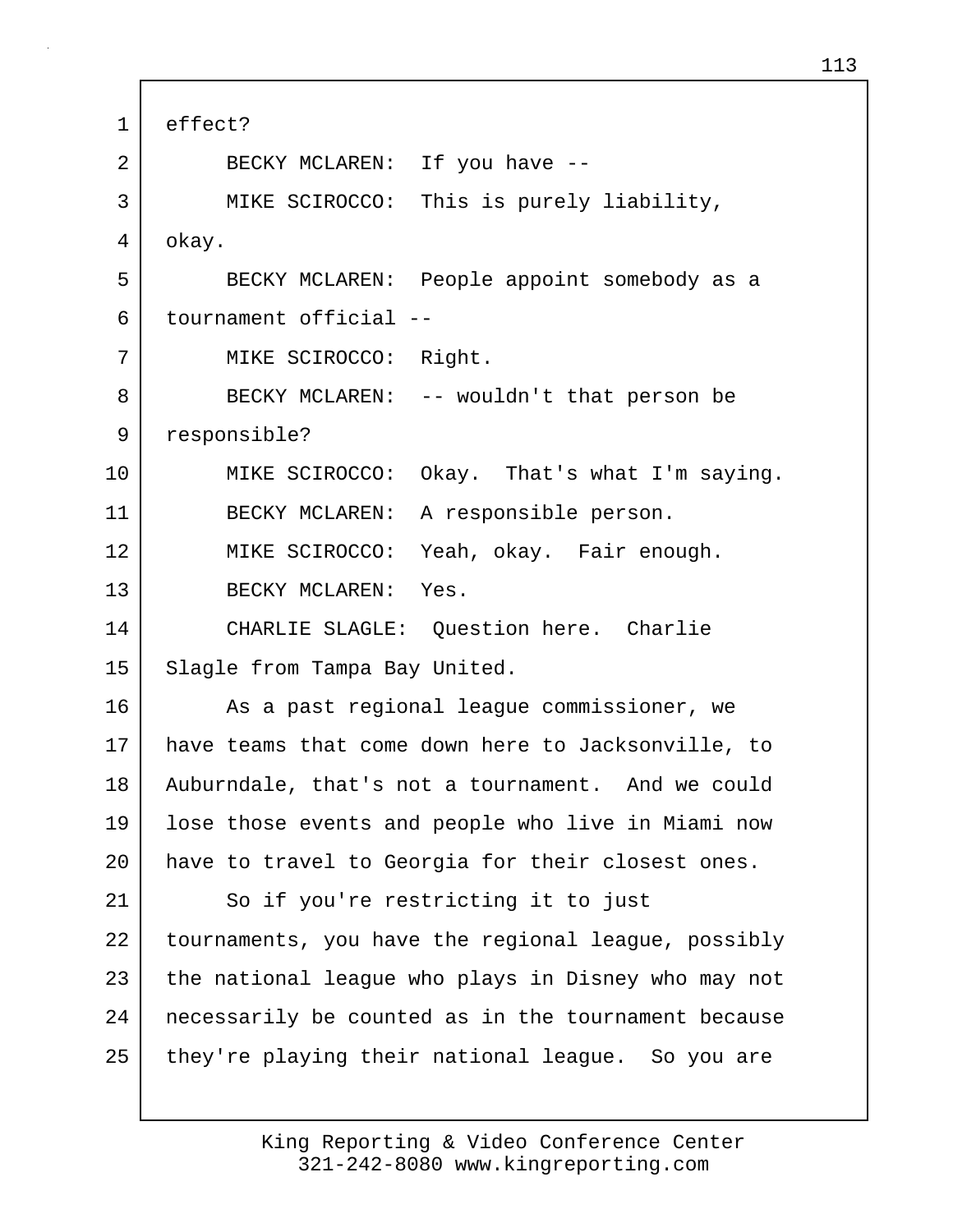| $\mathbf 1$ | effect?                                             |
|-------------|-----------------------------------------------------|
| 2           | BECKY MCLAREN: If you have --                       |
| 3           | MIKE SCIROCCO: This is purely liability,            |
| 4           | okay.                                               |
| 5           | BECKY MCLAREN: People appoint somebody as a         |
| 6           | tournament official --                              |
| 7           | MIKE SCIROCCO: Right.                               |
| 8           | BECKY MCLAREN: -- wouldn't that person be           |
| 9           | responsible?                                        |
| 10          | MIKE SCIROCCO: Okay. That's what I'm saying.        |
| 11          | BECKY MCLAREN: A responsible person.                |
| 12          | MIKE SCIROCCO: Yeah, okay. Fair enough.             |
| 13          | BECKY MCLAREN: Yes.                                 |
| 14          | CHARLIE SLAGLE: Question here. Charlie              |
| 15          | Slagle from Tampa Bay United.                       |
| 16          | As a past regional league commissioner, we          |
| 17          | have teams that come down here to Jacksonville, to  |
| 18          | Auburndale, that's not a tournament. And we could   |
| 19          | lose those events and people who live in Miami now  |
| 20          | have to travel to Georgia for their closest ones.   |
| 21          | So if you're restricting it to just                 |
| 22          | tournaments, you have the regional league, possibly |
| 23          | the national league who plays in Disney who may not |
| 24          | necessarily be counted as in the tournament because |
| 25          | they're playing their national league. So you are   |

Г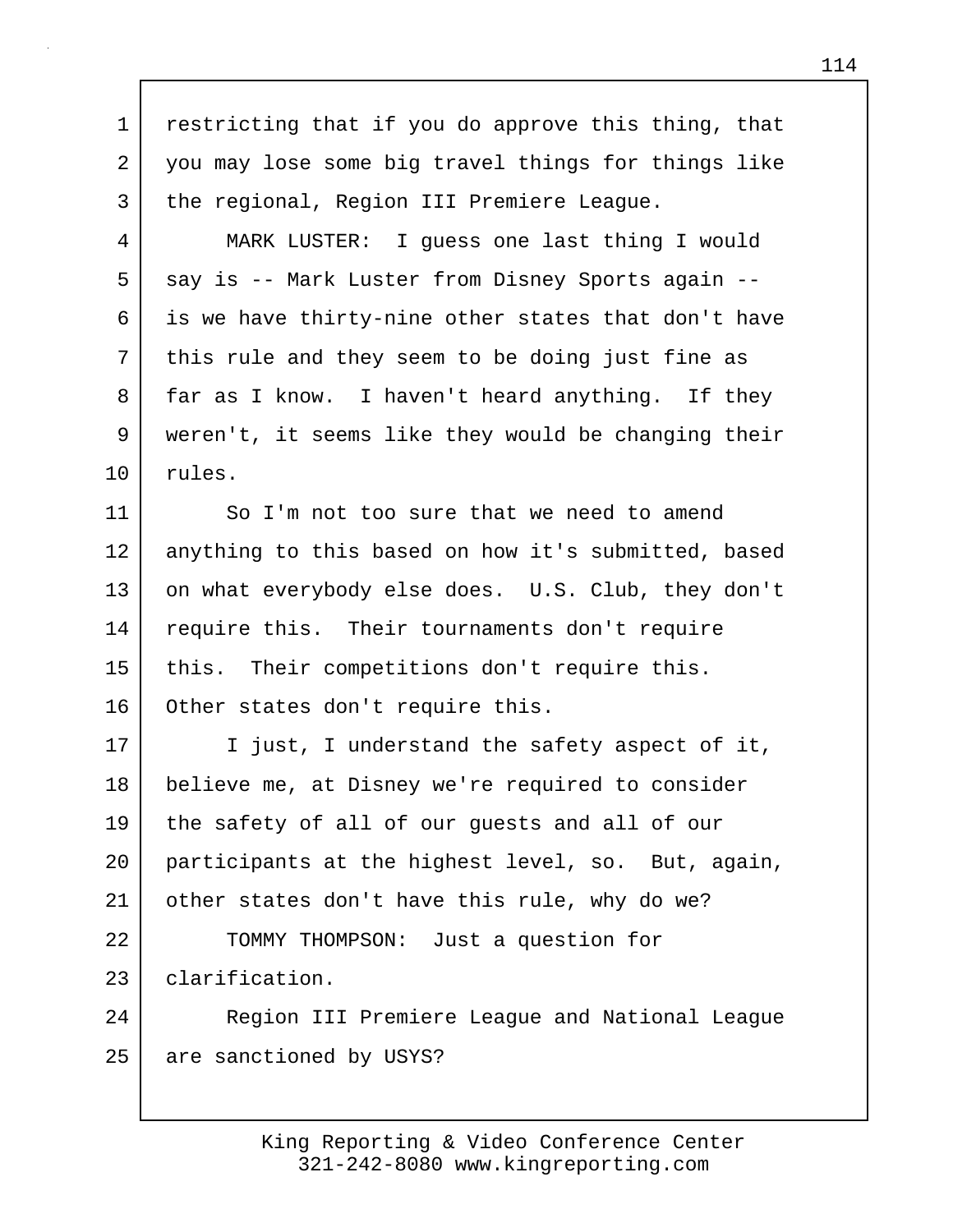1 restricting that if you do approve this thing, that 2 you may lose some big travel things for things like 3 the regional, Region III Premiere League. 4 MARK LUSTER: I guess one last thing I would 5 say is -- Mark Luster from Disney Sports again --6 is we have thirty-nine other states that don't have 7 | this rule and they seem to be doing just fine as 8 far as I know. I haven't heard anything. If they 9 weren't, it seems like they would be changing their 10 rules. 11 So I'm not too sure that we need to amend 12 anything to this based on how it's submitted, based 13 on what everybody else does. U.S. Club, they don't 14 | require this. Their tournaments don't require 15 this. Their competitions don't require this. 16 Other states don't require this. 17 I just, I understand the safety aspect of it, 18 believe me, at Disney we're required to consider 19 the safety of all of our guests and all of our 20 participants at the highest level, so. But, again, 21 other states don't have this rule, why do we? 22 | TOMMY THOMPSON: Just a question for 23 clarification. 24 Region III Premiere League and National League 25 are sanctioned by USYS?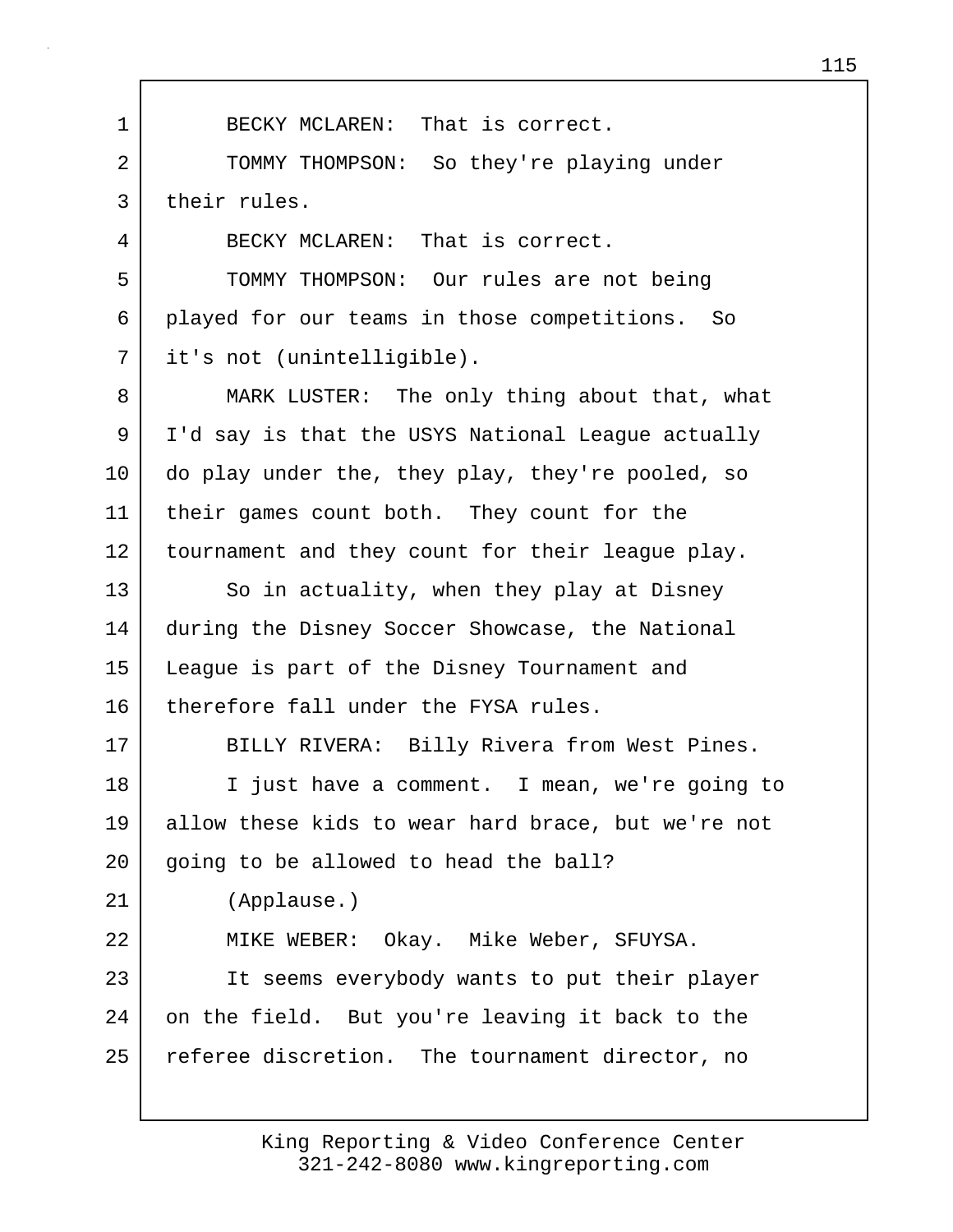1 BECKY MCLAREN: That is correct. 2 TOMMY THOMPSON: So they're playing under 3 their rules. 4 BECKY MCLAREN: That is correct. 5 TOMMY THOMPSON: Our rules are not being 6 played for our teams in those competitions. So 7 it's not (unintelligible). 8 MARK LUSTER: The only thing about that, what 9 I'd say is that the USYS National League actually 10 do play under the, they play, they're pooled, so 11 their games count both. They count for the 12 tournament and they count for their league play. 13 So in actuality, when they play at Disney 14 | during the Disney Soccer Showcase, the National 15 League is part of the Disney Tournament and 16 therefore fall under the FYSA rules. 17 | BILLY RIVERA: Billy Rivera from West Pines. 18 I just have a comment. I mean, we're going to 19 allow these kids to wear hard brace, but we're not 20 going to be allowed to head the ball? 21 (Applause.) 22 MIKE WEBER: Okay. Mike Weber, SFUYSA. 23 | It seems everybody wants to put their player 24 on the field. But you're leaving it back to the 25 referee discretion. The tournament director, no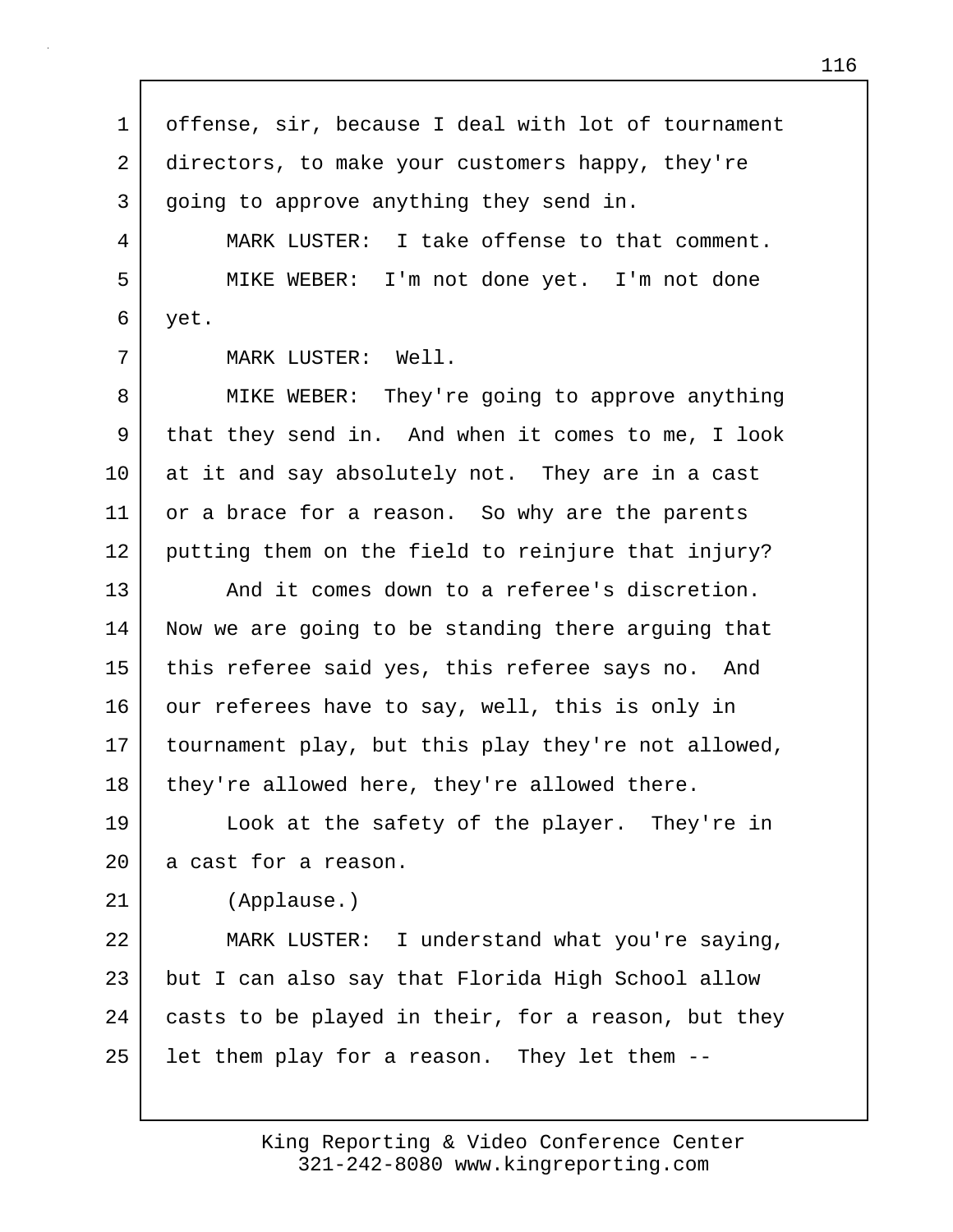1 offense, sir, because I deal with lot of tournament 2 directors, to make your customers happy, they're 3 going to approve anything they send in. 4 MARK LUSTER: I take offense to that comment. 5 MIKE WEBER: I'm not done yet. I'm not done 6 yet. 7 MARK LUSTER: Well. 8 MIKE WEBER: They're going to approve anything 9 that they send in. And when it comes to me, I look 10 at it and say absolutely not. They are in a cast 11 or a brace for a reason. So why are the parents 12 putting them on the field to reinjure that injury? 13 And it comes down to a referee's discretion. 14 Now we are going to be standing there arguing that 15 this referee said yes, this referee says no. And 16 our referees have to say, well, this is only in 17 tournament play, but this play they're not allowed, 18 | they're allowed here, they're allowed there. 19 Look at the safety of the player. They're in 20 a cast for a reason. 21 (Applause.) 22 MARK LUSTER: I understand what you're saying, 23 but I can also say that Florida High School allow 24 casts to be played in their, for a reason, but they 25 | let them play for a reason. They let them --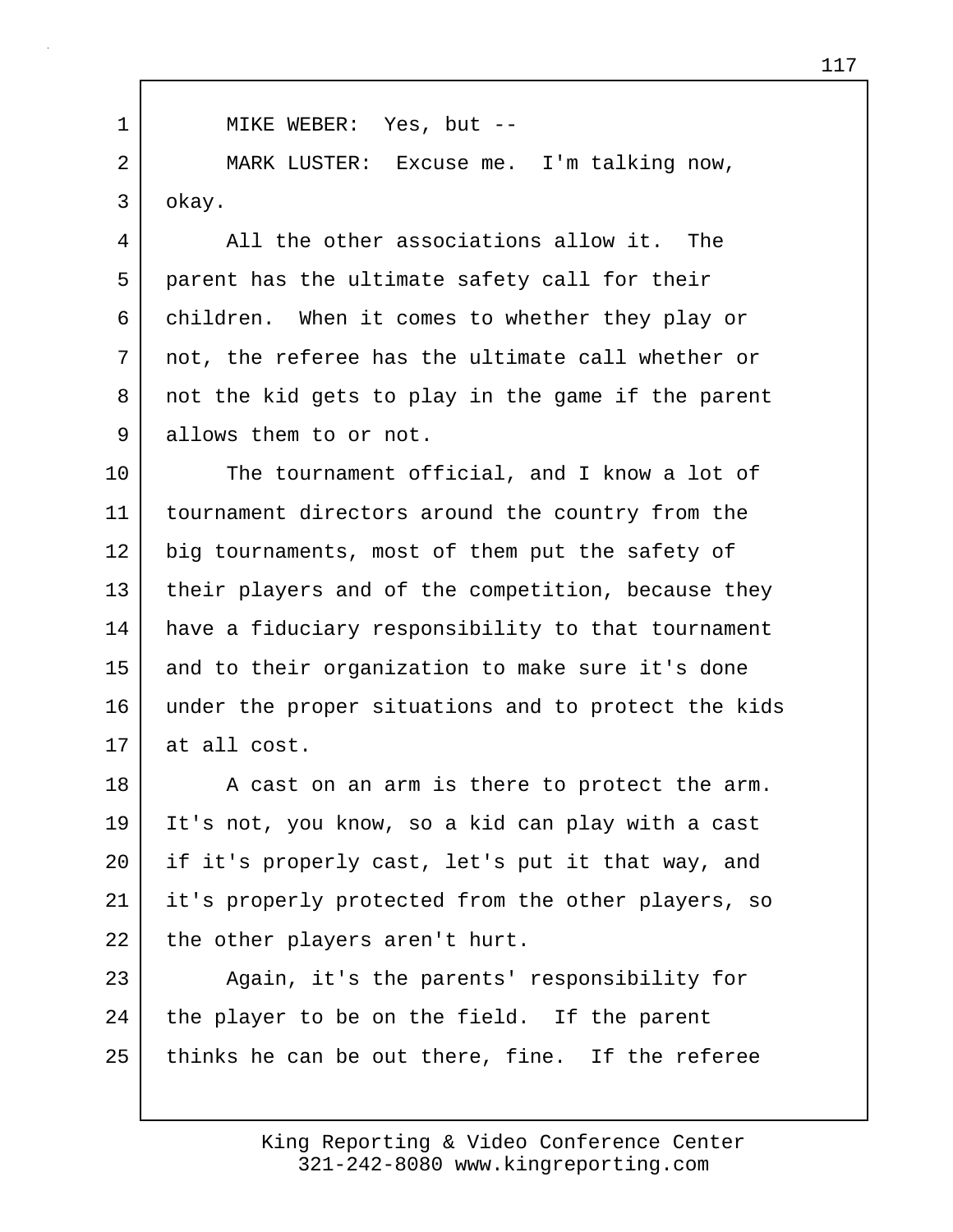1 | MIKE WEBER: Yes, but --2 MARK LUSTER: Excuse me. I'm talking now, 3 okay.

4 All the other associations allow it. The 5 parent has the ultimate safety call for their 6 children. When it comes to whether they play or 7 not, the referee has the ultimate call whether or 8 not the kid gets to play in the game if the parent 9 allows them to or not.

10 The tournament official, and I know a lot of 11 tournament directors around the country from the 12 big tournaments, most of them put the safety of 13 their players and of the competition, because they 14 have a fiduciary responsibility to that tournament 15 and to their organization to make sure it's done 16 under the proper situations and to protect the kids 17 at all cost.

18 A cast on an arm is there to protect the arm. 19 It's not, you know, so a kid can play with a cast 20 if it's properly cast, let's put it that way, and 21 it's properly protected from the other players, so 22 the other players aren't hurt.

23 Again, it's the parents' responsibility for 24 the player to be on the field. If the parent 25 thinks he can be out there, fine. If the referee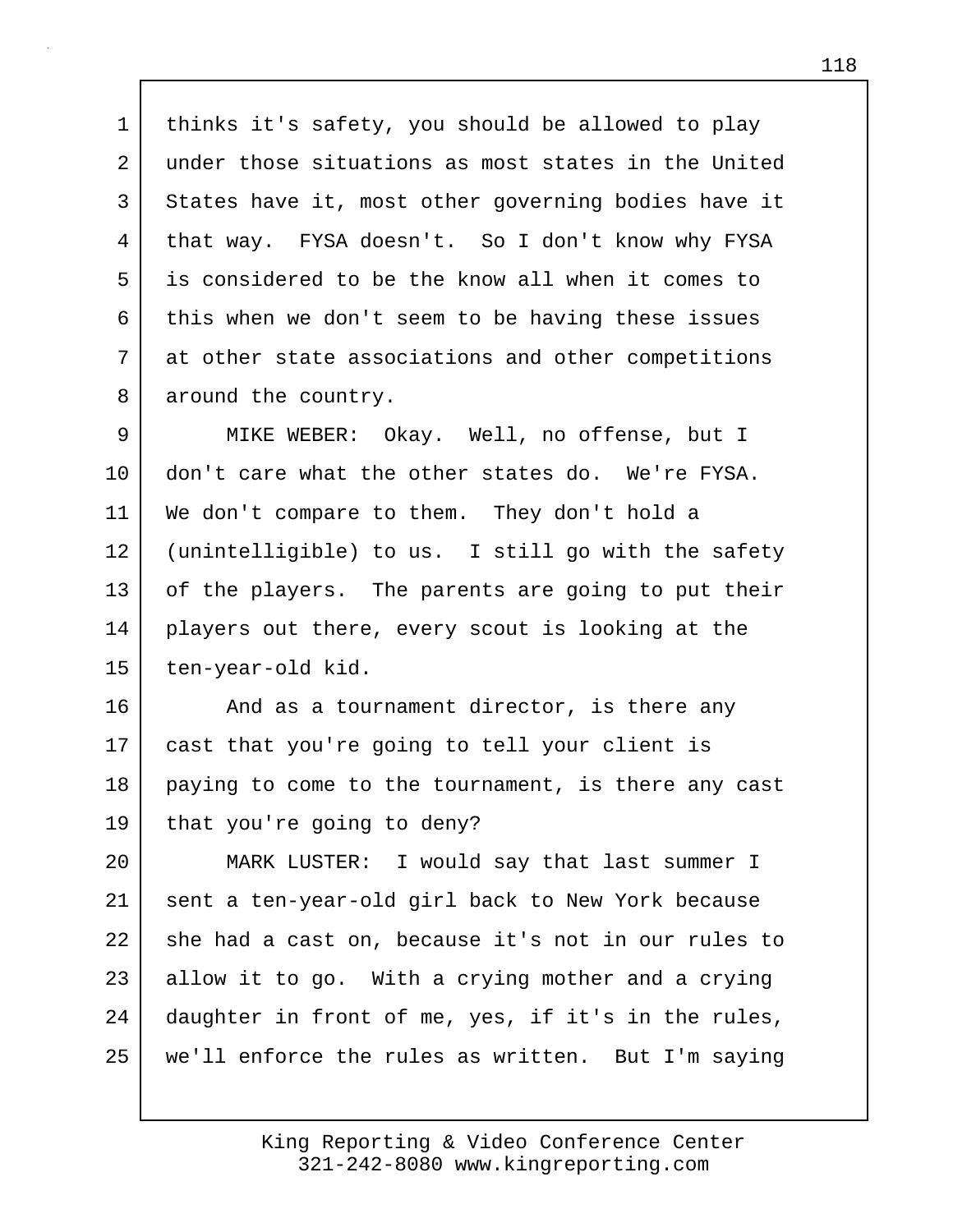1 thinks it's safety, you should be allowed to play 2 under those situations as most states in the United 3 States have it, most other governing bodies have it 4 that way. FYSA doesn't. So I don't know why FYSA 5 is considered to be the know all when it comes to 6 this when we don't seem to be having these issues 7 at other state associations and other competitions 8 around the country.

9 MIKE WEBER: Okay. Well, no offense, but I 10 don't care what the other states do. We're FYSA. 11 We don't compare to them. They don't hold a 12 (unintelligible) to us. I still go with the safety 13 of the players. The parents are going to put their 14 players out there, every scout is looking at the 15 | ten-year-old kid.

16 and as a tournament director, is there any 17 cast that you're going to tell your client is 18 | paying to come to the tournament, is there any cast 19 that you're going to deny?

20 MARK LUSTER: I would say that last summer I 21 sent a ten-year-old girl back to New York because 22 she had a cast on, because it's not in our rules to 23 allow it to go. With a crying mother and a crying 24 daughter in front of me, yes, if it's in the rules, 25 we'll enforce the rules as written. But I'm saying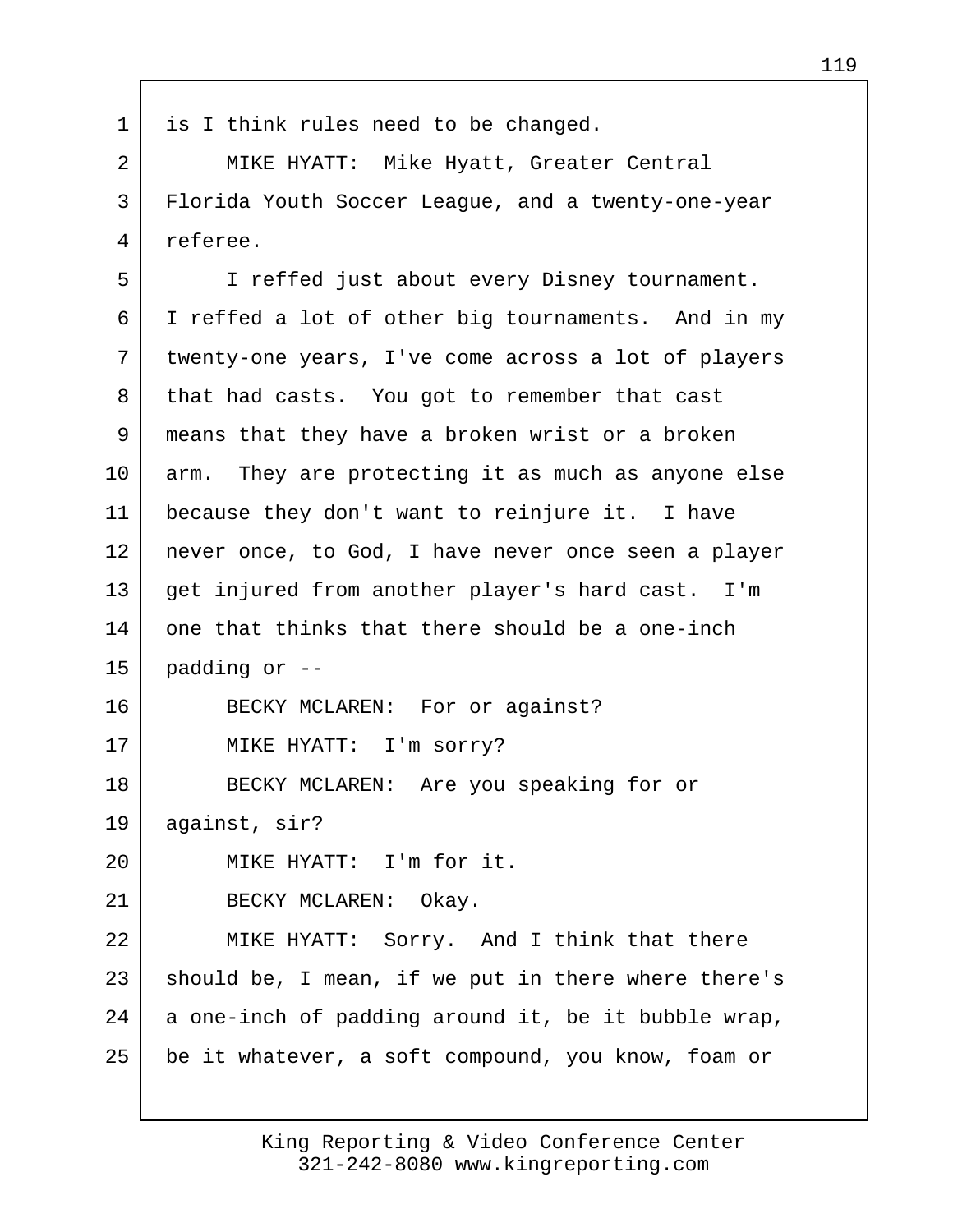1 is I think rules need to be changed. 2 MIKE HYATT: Mike Hyatt, Greater Central 3 Florida Youth Soccer League, and a twenty-one-year 4 referee. 5 I reffed just about every Disney tournament. 6 I reffed a lot of other big tournaments. And in my 7 twenty-one years, I've come across a lot of players 8 that had casts. You got to remember that cast 9 means that they have a broken wrist or a broken 10 arm. They are protecting it as much as anyone else 11 because they don't want to reinjure it. I have 12 never once, to God, I have never once seen a player 13 get injured from another player's hard cast. I'm 14 one that thinks that there should be a one-inch  $15$  padding or  $-$ 16 BECKY MCLAREN: For or against? 17 MIKE HYATT: I'm sorry? 18 BECKY MCLAREN: Are you speaking for or 19 against, sir? 20 MIKE HYATT: I'm for it. 21 BECKY MCLAREN: Okay. 22 MIKE HYATT: Sorry. And I think that there 23 should be, I mean, if we put in there where there's 24 a one-inch of padding around it, be it bubble wrap, 25 be it whatever, a soft compound, you know, foam or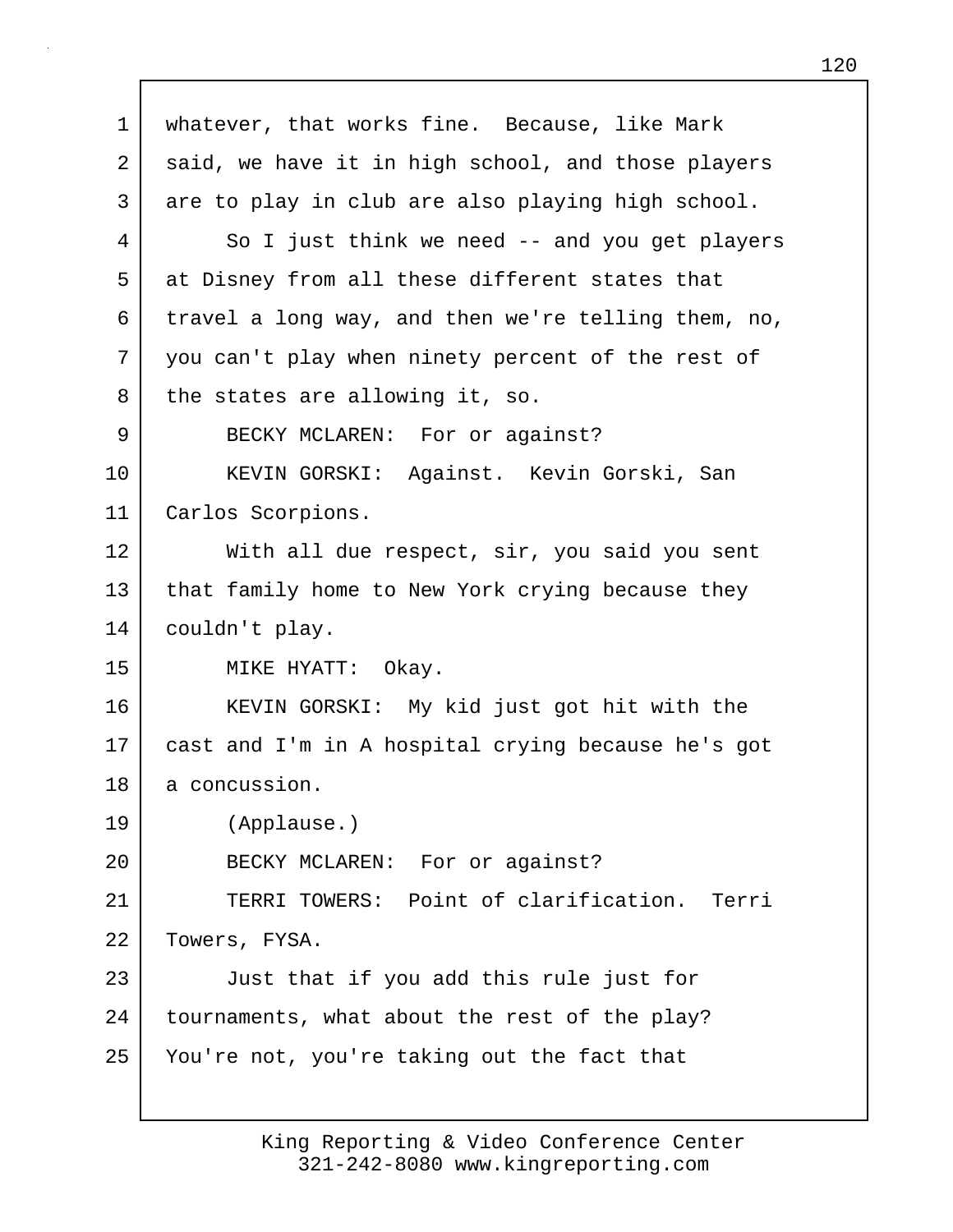| 1  | whatever, that works fine. Because, like Mark       |
|----|-----------------------------------------------------|
| 2  | said, we have it in high school, and those players  |
| 3  | are to play in club are also playing high school.   |
| 4  | So I just think we need -- and you get players      |
| 5  | at Disney from all these different states that      |
| 6  | travel a long way, and then we're telling them, no, |
| 7  | you can't play when ninety percent of the rest of   |
| 8  | the states are allowing it, so.                     |
| 9  | BECKY MCLAREN: For or against?                      |
| 10 | KEVIN GORSKI: Against. Kevin Gorski, San            |
| 11 | Carlos Scorpions.                                   |
| 12 | With all due respect, sir, you said you sent        |
| 13 | that family home to New York crying because they    |
| 14 | couldn't play.                                      |
| 15 | MIKE HYATT: Okay.                                   |
| 16 | KEVIN GORSKI: My kid just got hit with the          |
| 17 | cast and I'm in A hospital crying because he's got  |
| 18 | a concussion.                                       |
| 19 | (Applause.)                                         |
| 20 | BECKY MCLAREN: For or against?                      |
| 21 | TERRI TOWERS: Point of clarification. Terri         |
| 22 | Towers, FYSA.                                       |
| 23 | Just that if you add this rule just for             |
| 24 | tournaments, what about the rest of the play?       |
| 25 | You're not, you're taking out the fact that         |
|    |                                                     |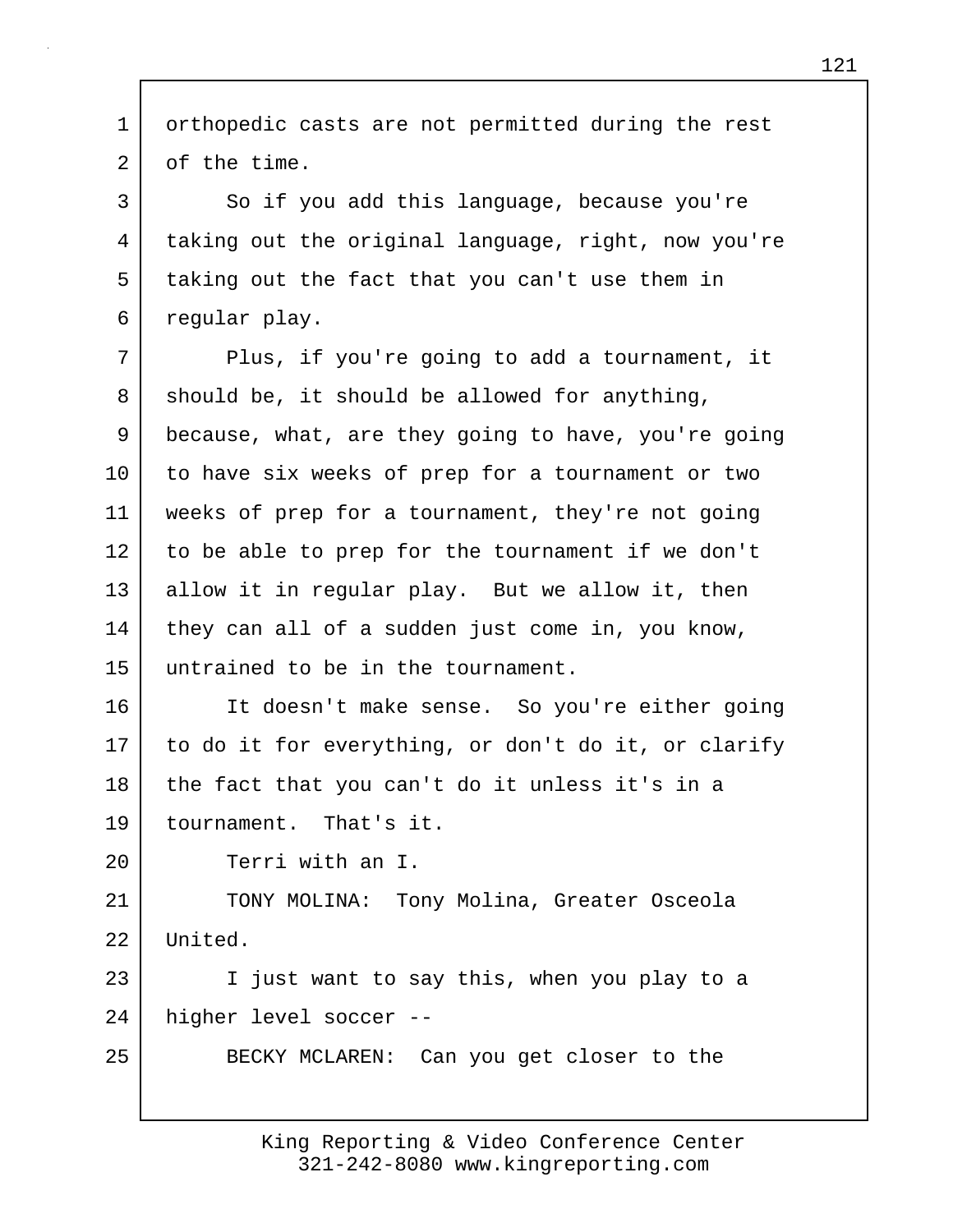1 orthopedic casts are not permitted during the rest 2 of the time. 3 | So if you add this language, because you're 4 taking out the original language, right, now you're 5 taking out the fact that you can't use them in 6 regular play. 7 Plus, if you're going to add a tournament, it  $8$  should be, it should be allowed for anything, 9 because, what, are they going to have, you're going 10 to have six weeks of prep for a tournament or two 11 weeks of prep for a tournament, they're not going 12 to be able to prep for the tournament if we don't 13 allow it in regular play. But we allow it, then 14 | they can all of a sudden just come in, you know, 15 untrained to be in the tournament. 16 It doesn't make sense. So you're either going 17 to do it for everything, or don't do it, or clarify 18 the fact that you can't do it unless it's in a 19 tournament. That's it. 20 Terri with an I. 21 TONY MOLINA: Tony Molina, Greater Osceola 22 United. 23 I just want to say this, when you play to a 24 higher level soccer -- 25 BECKY MCLAREN: Can you get closer to the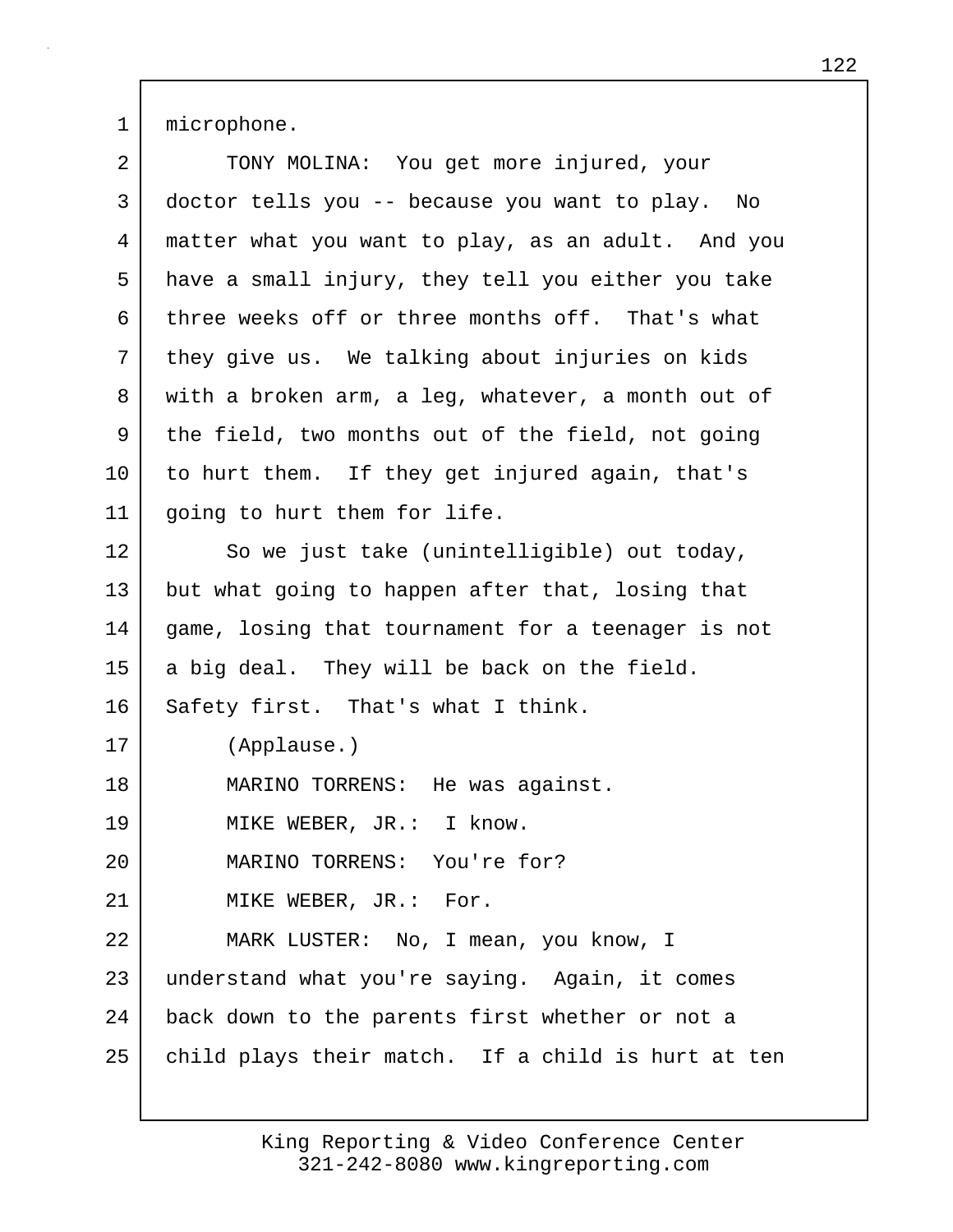1 microphone.

| 2  | TONY MOLINA: You get more injured, your            |
|----|----------------------------------------------------|
| 3  | doctor tells you -- because you want to play. No   |
| 4  | matter what you want to play, as an adult. And you |
| 5  | have a small injury, they tell you either you take |
| 6  | three weeks off or three months off. That's what   |
| 7  | they give us. We talking about injuries on kids    |
| 8  | with a broken arm, a leg, whatever, a month out of |
| 9  | the field, two months out of the field, not going  |
| 10 | to hurt them. If they get injured again, that's    |
| 11 | going to hurt them for life.                       |
| 12 | So we just take (unintelligible) out today,        |
| 13 | but what going to happen after that, losing that   |
| 14 | game, losing that tournament for a teenager is not |
| 15 | a big deal. They will be back on the field.        |
| 16 | Safety first. That's what I think.                 |
| 17 | (Applause.)                                        |
| 18 | MARINO TORRENS: He was against.                    |
| 19 | MIKE WEBER, JR.: I know.                           |
| 20 | MARINO TORRENS: You're for?                        |
| 21 | MIKE WEBER, JR.: For.                              |
| 22 | MARK LUSTER: No, I mean, you know, I               |
| 23 | understand what you're saying. Again, it comes     |
| 24 | back down to the parents first whether or not a    |
| 25 | child plays their match. If a child is hurt at ten |
|    |                                                    |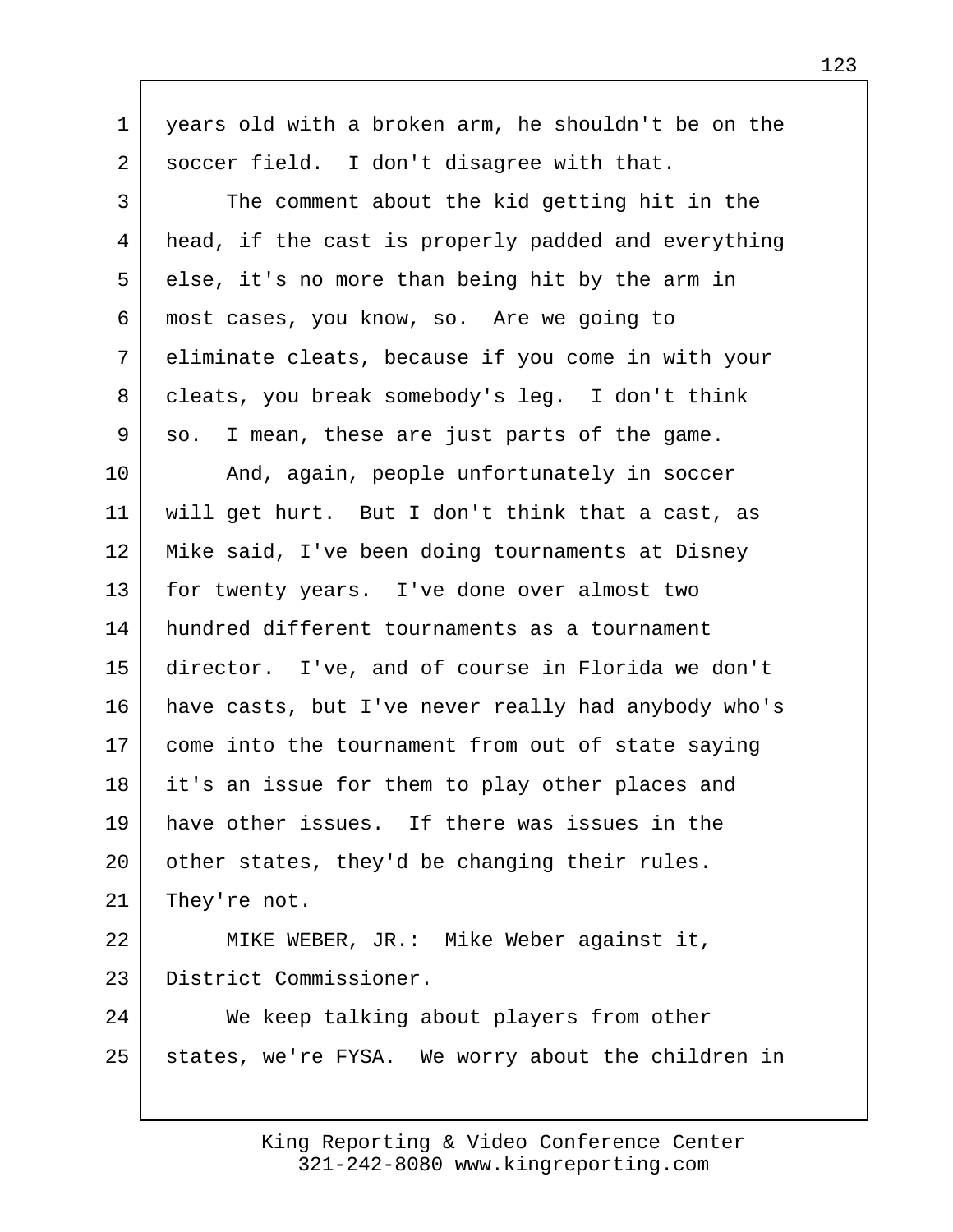| 1       | years old with a broken arm, he shouldn't be on the |
|---------|-----------------------------------------------------|
| 2       | soccer field. I don't disagree with that.           |
| 3       | The comment about the kid getting hit in the        |
| 4       | head, if the cast is properly padded and everything |
| 5       | else, it's no more than being hit by the arm in     |
| 6       | most cases, you know, so. Are we going to           |
| 7       | eliminate cleats, because if you come in with your  |
| 8       | cleats, you break somebody's leg. I don't think     |
| 9       | I mean, these are just parts of the game.<br>SO.    |
| $10 \,$ | And, again, people unfortunately in soccer          |
| 11      | will get hurt. But I don't think that a cast, as    |
| 12      | Mike said, I've been doing tournaments at Disney    |
| 13      | for twenty years. I've done over almost two         |
| 14      | hundred different tournaments as a tournament       |
| 15      | director. I've, and of course in Florida we don't   |
| 16      | have casts, but I've never really had anybody who's |
| 17      | come into the tournament from out of state saying   |
| 18      | it's an issue for them to play other places and     |
| 19      | have other issues. If there was issues in the       |
| 20      | other states, they'd be changing their rules.       |
| 21      | They're not.                                        |
| 22      | MIKE WEBER, JR.: Mike Weber against it,             |
| 23      | District Commissioner.                              |
| 24      | We keep talking about players from other            |
| 25      | states, we're FYSA. We worry about the children in  |
|         |                                                     |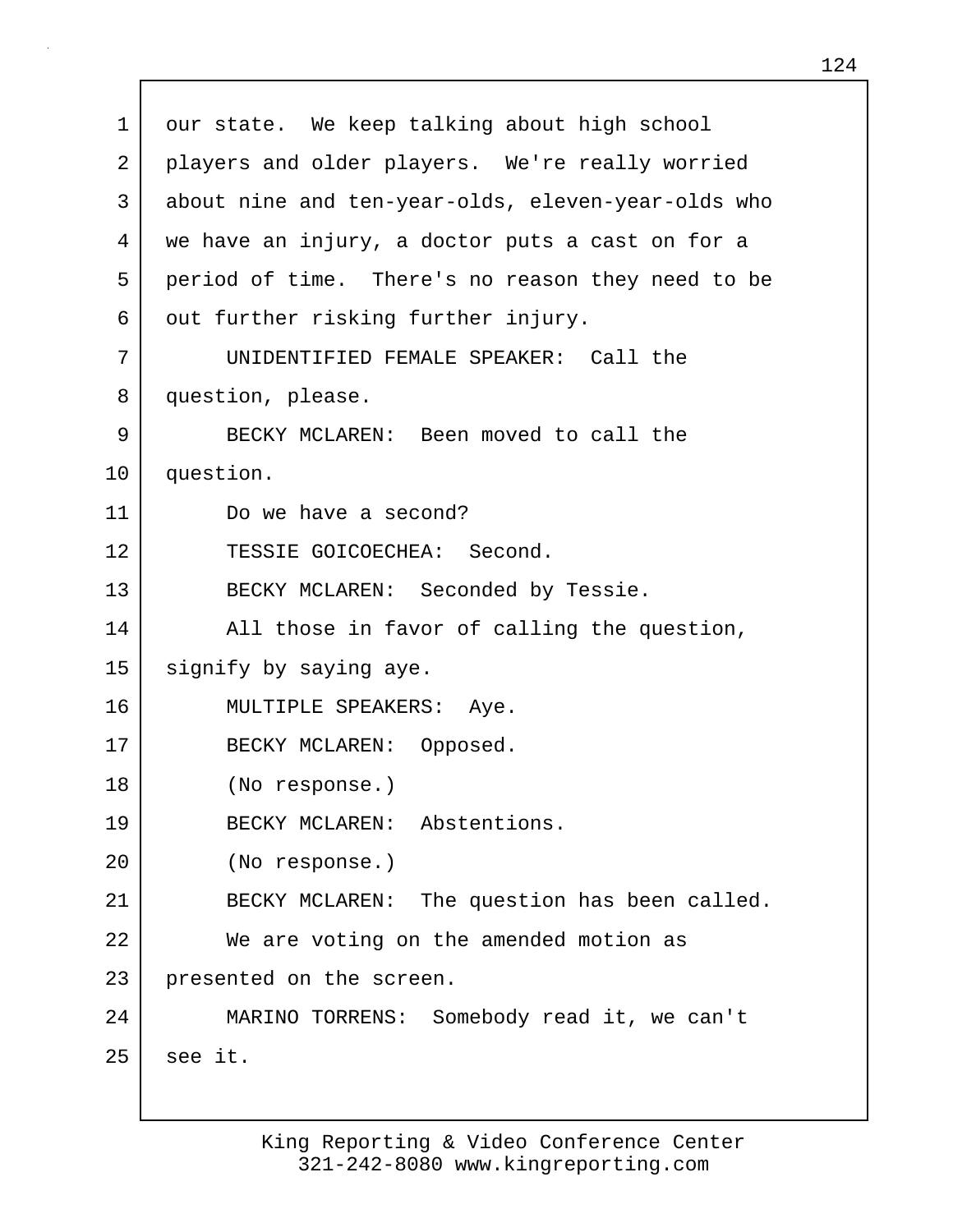1 our state. We keep talking about high school 2 | players and older players. We're really worried 3 about nine and ten-year-olds, eleven-year-olds who 4 we have an injury, a doctor puts a cast on for a 5 period of time. There's no reason they need to be 6 out further risking further injury. 7 UNIDENTIFIED FEMALE SPEAKER: Call the 8 question, please. 9 BECKY MCLAREN: Been moved to call the 10 question. 11 Do we have a second? 12 TESSIE GOICOECHEA: Second. 13 BECKY MCLAREN: Seconded by Tessie. 14 All those in favor of calling the question, 15 signify by saying aye. 16 MULTIPLE SPEAKERS: Aye. 17 BECKY MCLAREN: Opposed. 18 (No response.) 19 BECKY MCLAREN: Abstentions. 20 (No response.) 21 BECKY MCLAREN: The question has been called. 22 We are voting on the amended motion as 23 presented on the screen. 24 MARINO TORRENS: Somebody read it, we can't  $25$  see it.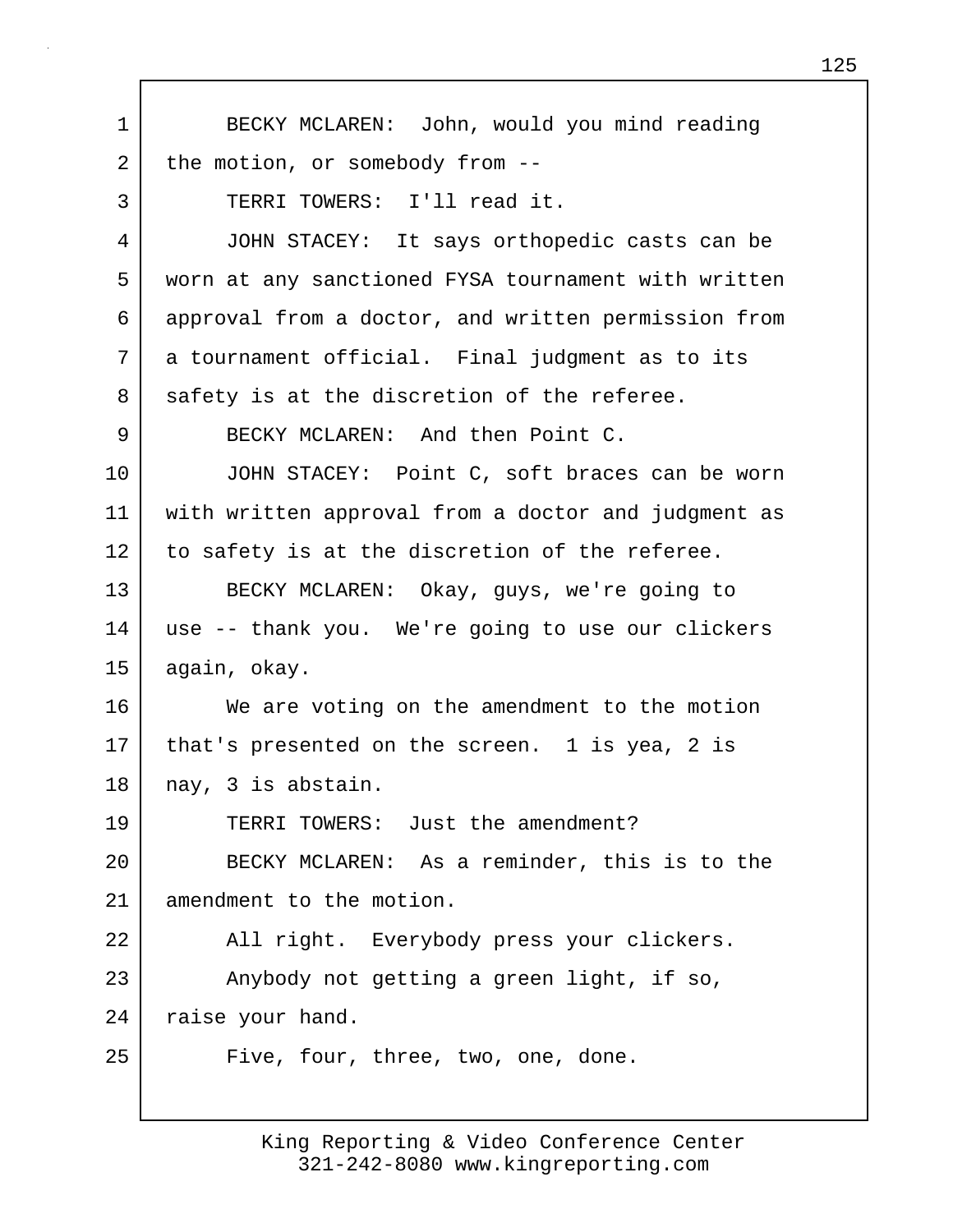| $\mathbf 1$ | BECKY MCLAREN: John, would you mind reading         |
|-------------|-----------------------------------------------------|
| 2           | the motion, or somebody from --                     |
| 3           | TERRI TOWERS: I'll read it.                         |
| 4           | JOHN STACEY: It says orthopedic casts can be        |
| 5           | worn at any sanctioned FYSA tournament with written |
| 6           | approval from a doctor, and written permission from |
| 7           | a tournament official. Final judgment as to its     |
| 8           | safety is at the discretion of the referee.         |
| 9           | BECKY MCLAREN: And then Point C.                    |
| 10          | JOHN STACEY: Point C, soft braces can be worn       |
| 11          | with written approval from a doctor and judgment as |
| 12          | to safety is at the discretion of the referee.      |
| 13          | BECKY MCLAREN: Okay, guys, we're going to           |
| 14          | use -- thank you. We're going to use our clickers   |
| 15          | again, okay.                                        |
| 16          | We are voting on the amendment to the motion        |
| 17          | that's presented on the screen. 1 is yea, 2 is      |
| 18          | nay, 3 is abstain.                                  |
| 19          | TERRI TOWERS: Just the amendment?                   |
| 20          | BECKY MCLAREN: As a reminder, this is to the        |
| 21          | amendment to the motion.                            |
| 22          | All right. Everybody press your clickers.           |
| 23          | Anybody not getting a green light, if so,           |
| 24          | raise your hand.                                    |
| 25          | Five, four, three, two, one, done.                  |
|             |                                                     |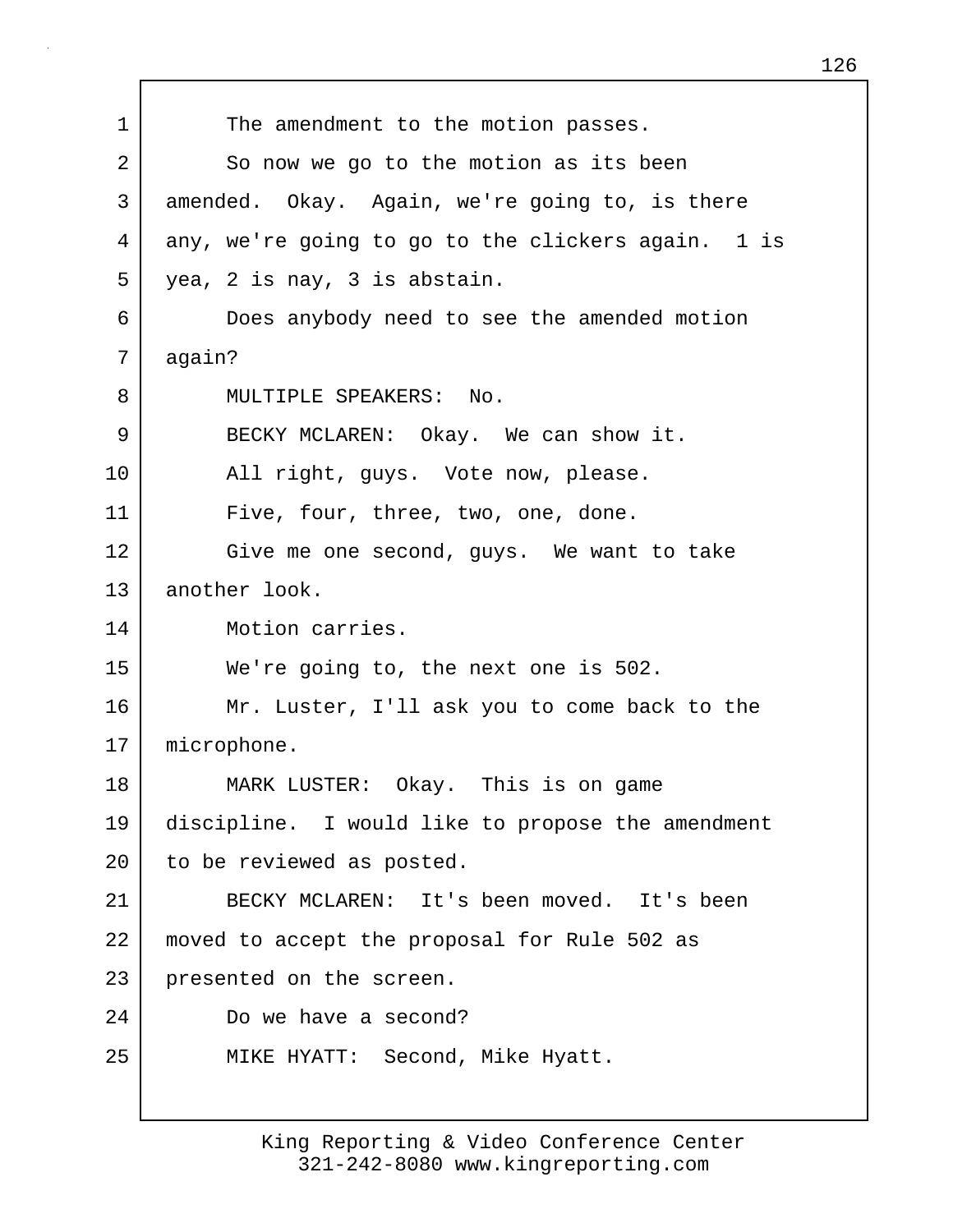1 The amendment to the motion passes. 2 So now we go to the motion as its been 3 amended. Okay. Again, we're going to, is there 4 any, we're going to go to the clickers again. 1 is 5 yea, 2 is nay, 3 is abstain. 6 Does anybody need to see the amended motion 7 again? 8 MULTIPLE SPEAKERS: No. 9 BECKY MCLAREN: Okay. We can show it. 10 | All right, guys. Vote now, please. 11 Five, four, three, two, one, done. 12 Give me one second, guys. We want to take 13 another look. 14 Motion carries. 15 We're going to, the next one is 502. 16 Mr. Luster, I'll ask you to come back to the 17 microphone. 18 MARK LUSTER: Okay. This is on game 19 discipline. I would like to propose the amendment 20 | to be reviewed as posted. 21 BECKY MCLAREN: It's been moved. It's been 22 moved to accept the proposal for Rule 502 as 23 presented on the screen. 24 Do we have a second? 25 | MIKE HYATT: Second, Mike Hyatt.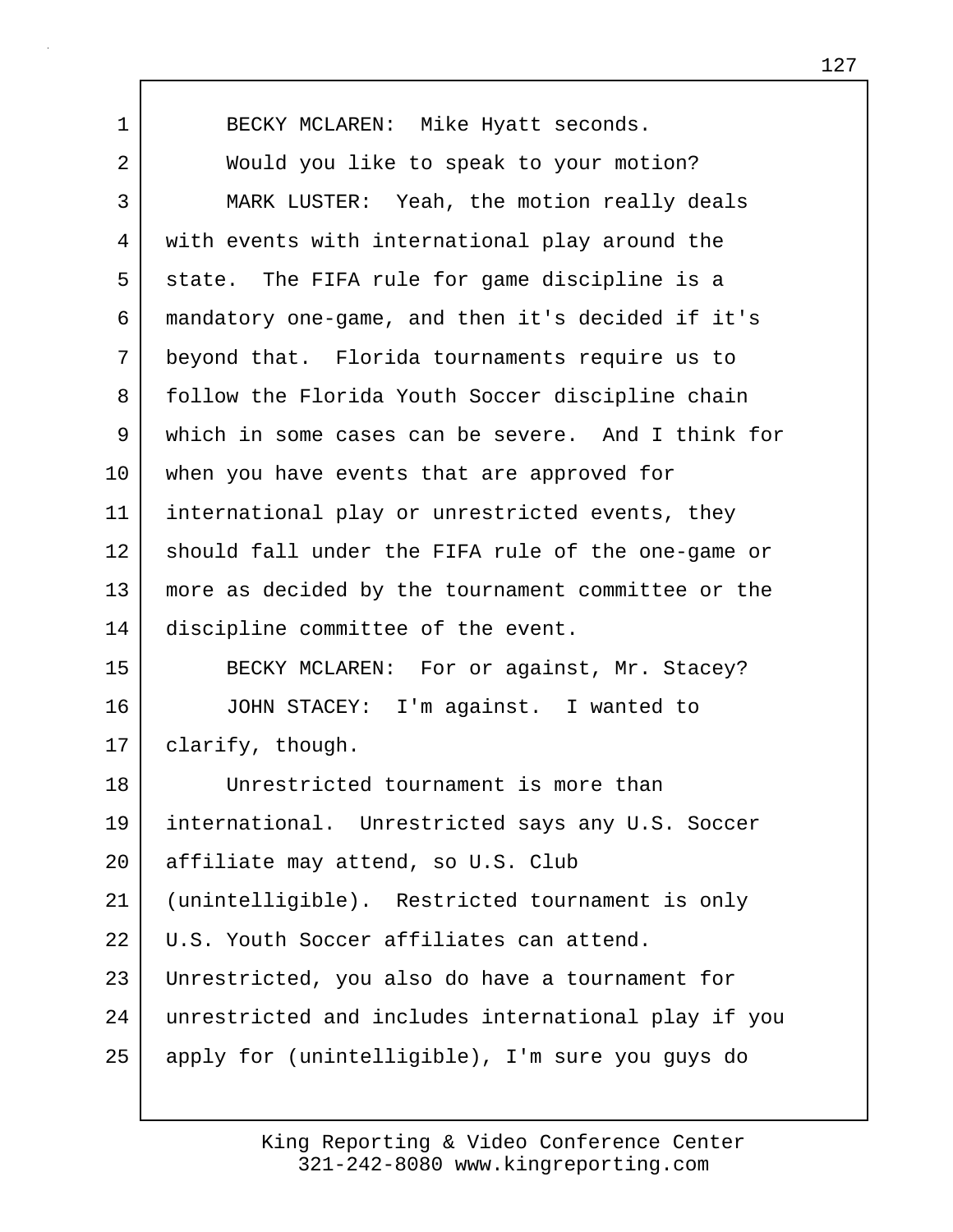| $\mathbf 1$ | BECKY MCLAREN: Mike Hyatt seconds.                  |
|-------------|-----------------------------------------------------|
| 2           | Would you like to speak to your motion?             |
| 3           | MARK LUSTER: Yeah, the motion really deals          |
| 4           | with events with international play around the      |
| 5           | state. The FIFA rule for game discipline is a       |
| 6           | mandatory one-game, and then it's decided if it's   |
| 7           | beyond that. Florida tournaments require us to      |
| 8           | follow the Florida Youth Soccer discipline chain    |
| 9           | which in some cases can be severe. And I think for  |
| 10          | when you have events that are approved for          |
| 11          | international play or unrestricted events, they     |
| 12          | should fall under the FIFA rule of the one-game or  |
| 13          | more as decided by the tournament committee or the  |
| 14          | discipline committee of the event.                  |
| 15          | BECKY MCLAREN: For or against, Mr. Stacey?          |
| 16          | JOHN STACEY: I'm against. I wanted to               |
| 17          | clarify, though.                                    |
| 18          | Unrestricted tournament is more than                |
| 19          | international. Unrestricted says any U.S. Soccer    |
| 20          | affiliate may attend, so U.S. Club                  |
| 21          | (unintelligible). Restricted tournament is only     |
| 22          | U.S. Youth Soccer affiliates can attend.            |
| 23          | Unrestricted, you also do have a tournament for     |
| 24          | unrestricted and includes international play if you |
| 25          | apply for (unintelligible), I'm sure you guys do    |
|             |                                                     |

 $\Gamma$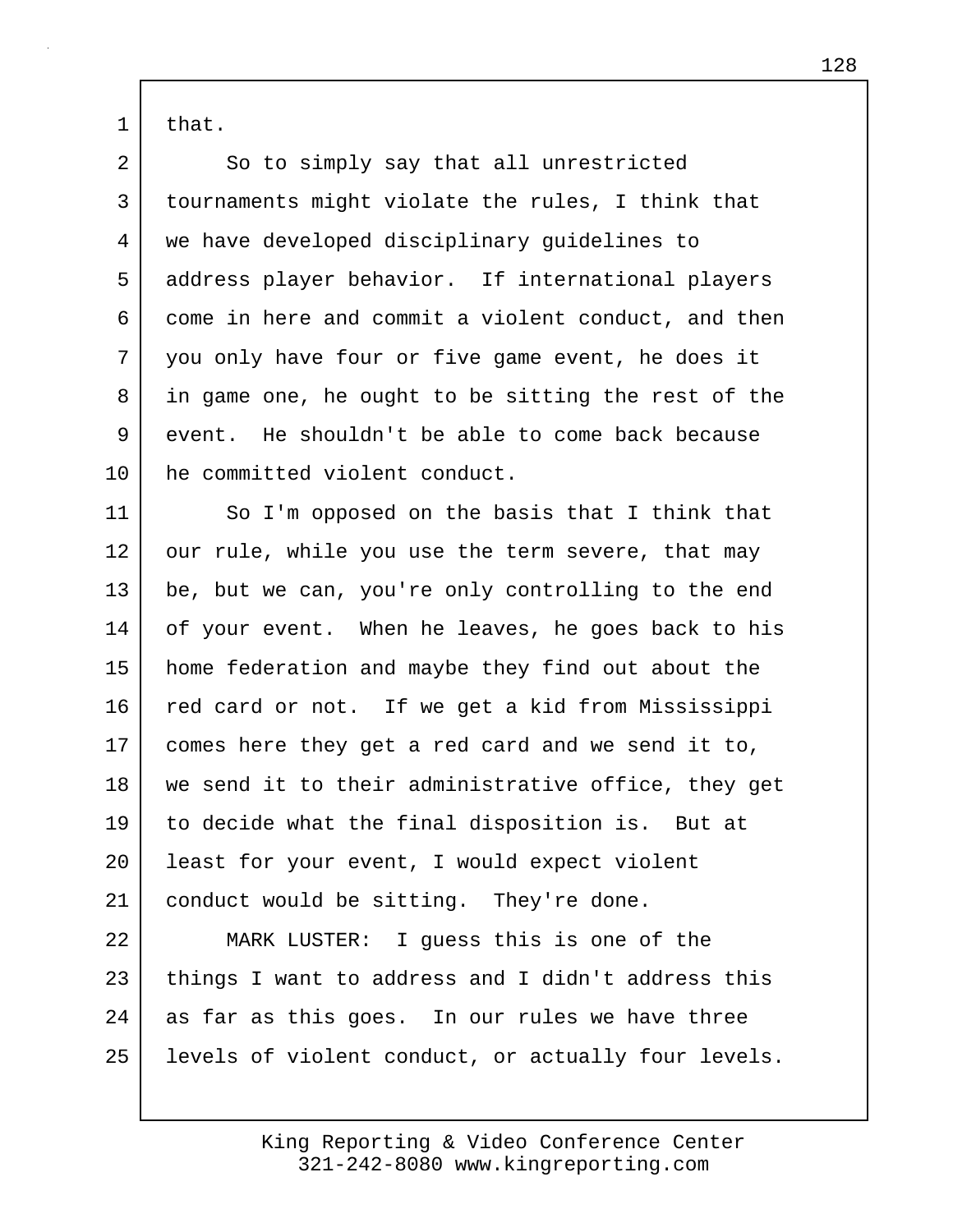1 that.

2 So to simply say that all unrestricted 3 tournaments might violate the rules, I think that 4 we have developed disciplinary guidelines to 5 address player behavior. If international players 6 come in here and commit a violent conduct, and then 7 you only have four or five game event, he does it 8 in game one, he ought to be sitting the rest of the 9 event. He shouldn't be able to come back because 10 he committed violent conduct.

11 So I'm opposed on the basis that I think that 12 our rule, while you use the term severe, that may 13 be, but we can, you're only controlling to the end 14 of your event. When he leaves, he goes back to his 15 home federation and maybe they find out about the 16 red card or not. If we get a kid from Mississippi 17 comes here they get a red card and we send it to, 18 we send it to their administrative office, they get 19 to decide what the final disposition is. But at 20 | least for your event, I would expect violent 21 conduct would be sitting. They're done.

22 MARK LUSTER: I guess this is one of the 23 things I want to address and I didn't address this 24 as far as this goes. In our rules we have three 25 | levels of violent conduct, or actually four levels.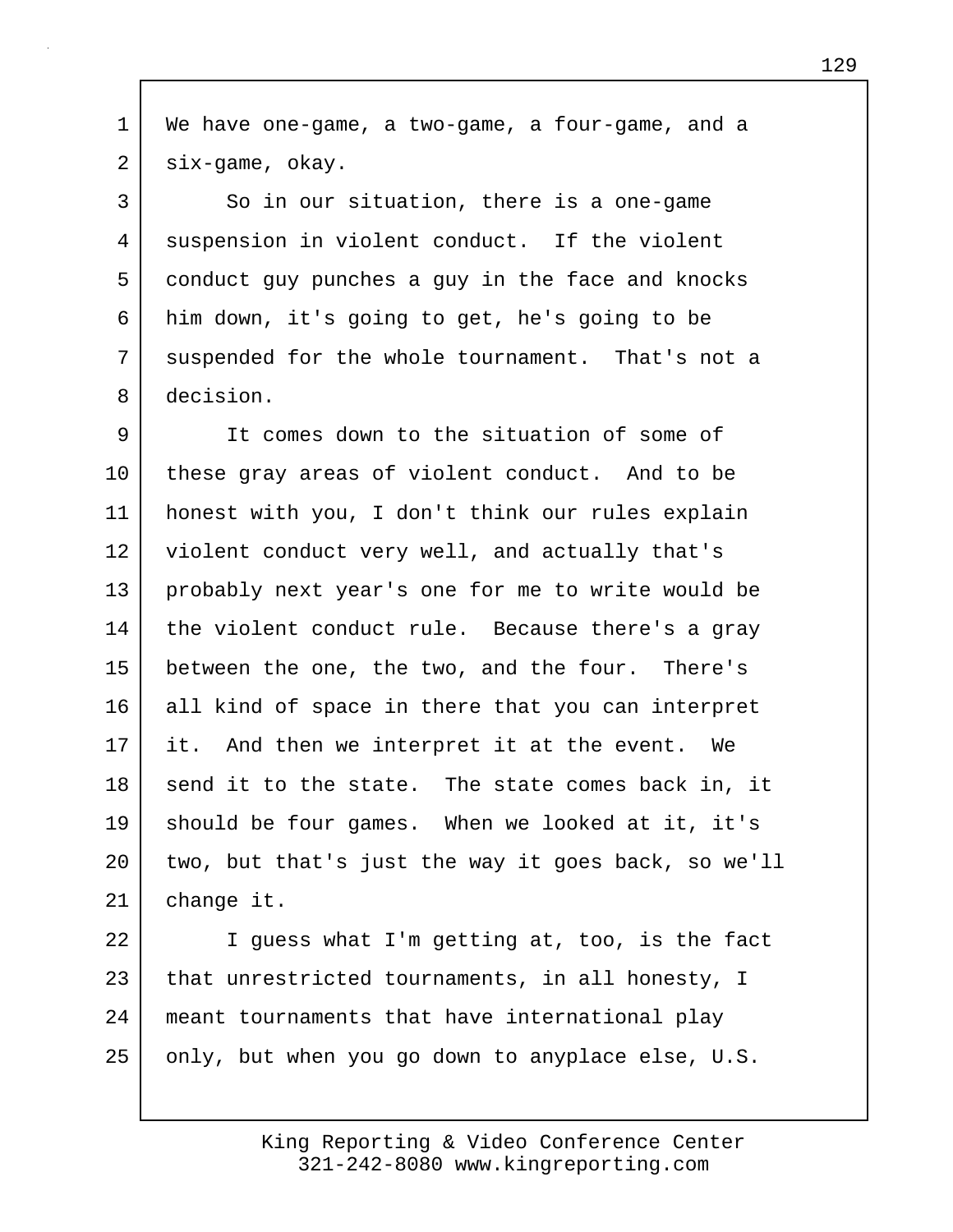1 We have one-game, a two-game, a four-game, and a 2 six-game, okay.

3 So in our situation, there is a one-game 4 suspension in violent conduct. If the violent 5 conduct guy punches a guy in the face and knocks 6 him down, it's going to get, he's going to be 7 suspended for the whole tournament. That's not a 8 decision.

9 It comes down to the situation of some of 10 these gray areas of violent conduct. And to be 11 honest with you, I don't think our rules explain 12 violent conduct very well, and actually that's 13 probably next year's one for me to write would be 14 the violent conduct rule. Because there's a gray 15 | between the one, the two, and the four. There's 16 all kind of space in there that you can interpret 17 it. And then we interpret it at the event. We 18 send it to the state. The state comes back in, it 19 should be four games. When we looked at it, it's 20 two, but that's just the way it goes back, so we'll 21 change it.

22 I guess what I'm getting at, too, is the fact 23 that unrestricted tournaments, in all honesty, I 24 meant tournaments that have international play  $25$  only, but when you go down to anyplace else, U.S.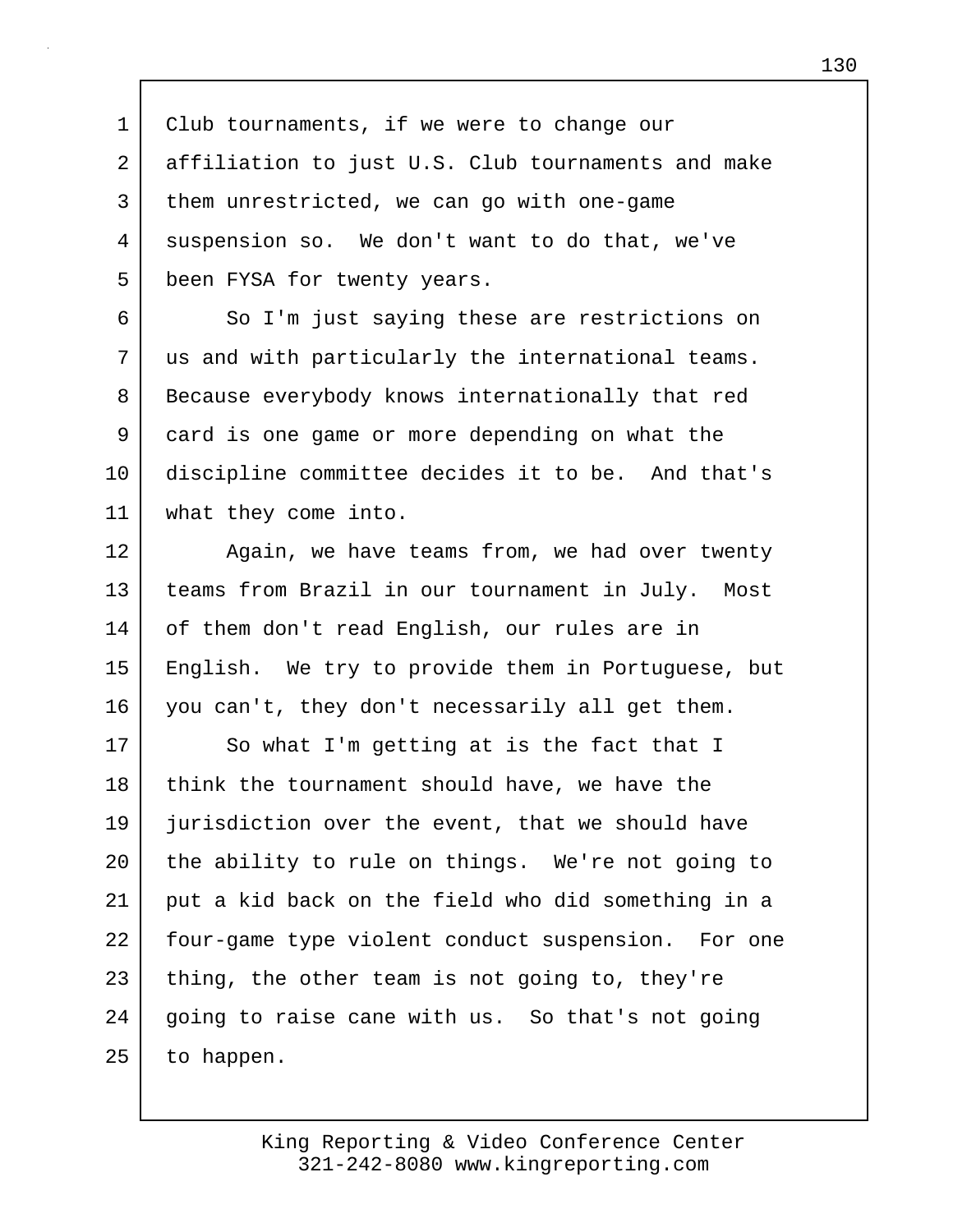1 Club tournaments, if we were to change our 2 affiliation to just U.S. Club tournaments and make 3 them unrestricted, we can go with one-game 4 suspension so. We don't want to do that, we've 5 | been FYSA for twenty years.

6 So I'm just saying these are restrictions on 7 us and with particularly the international teams. 8 Because everybody knows internationally that red 9 card is one game or more depending on what the 10 discipline committee decides it to be. And that's 11 what they come into.

12 Again, we have teams from, we had over twenty 13 teams from Brazil in our tournament in July. Most 14 of them don't read English, our rules are in 15 English. We try to provide them in Portuguese, but 16 you can't, they don't necessarily all get them.

17 So what I'm getting at is the fact that I 18 think the tournament should have, we have the 19 jurisdiction over the event, that we should have 20 the ability to rule on things. We're not going to 21 put a kid back on the field who did something in a 22 | four-game type violent conduct suspension. For one  $23$  thing, the other team is not going to, they're 24 | going to raise cane with us. So that's not going  $25$  to happen.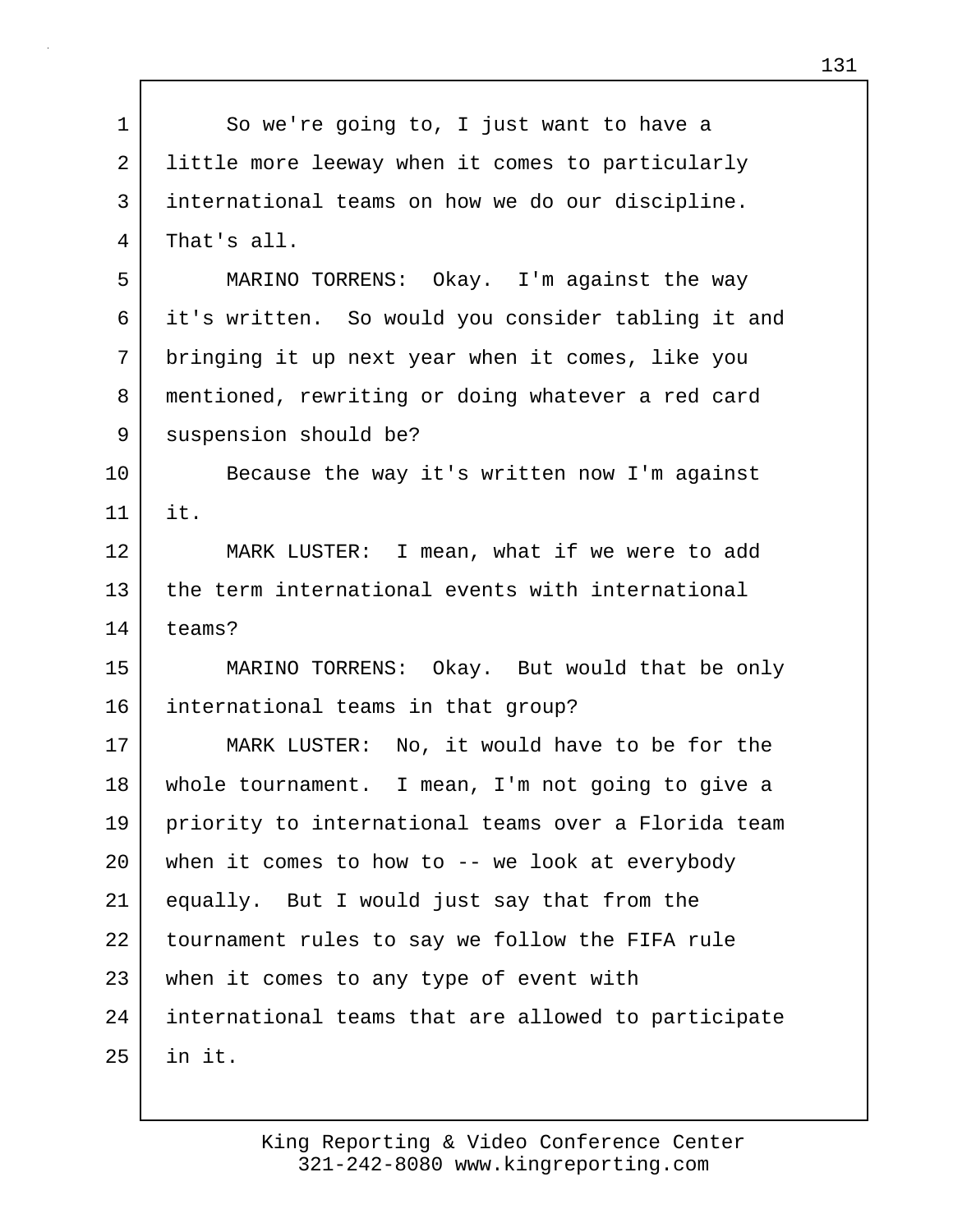| $\mathbf 1$ | So we're going to, I just want to have a            |
|-------------|-----------------------------------------------------|
| 2           | little more leeway when it comes to particularly    |
| 3           | international teams on how we do our discipline.    |
| 4           | That's all.                                         |
| 5           | MARINO TORRENS: Okay. I'm against the way           |
| 6           | it's written. So would you consider tabling it and  |
| 7           | bringing it up next year when it comes, like you    |
| 8           | mentioned, rewriting or doing whatever a red card   |
| 9           | suspension should be?                               |
| 10          | Because the way it's written now I'm against        |
| 11          | it.                                                 |
| 12          | MARK LUSTER: I mean, what if we were to add         |
| 13          | the term international events with international    |
| 14          | teams?                                              |
| 15          | MARINO TORRENS: Okay. But would that be only        |
| 16          | international teams in that group?                  |
| 17          | MARK LUSTER: No, it would have to be for the        |
| 18          | whole tournament. I mean, I'm not going to give a   |
| 19          | priority to international teams over a Florida team |
| 20          | when it comes to how to $-$ - we look at everybody  |
| 21          | equally. But I would just say that from the         |
| 22          | tournament rules to say we follow the FIFA rule     |
| 23          | when it comes to any type of event with             |
| 24          | international teams that are allowed to participate |
| 25          | in it.                                              |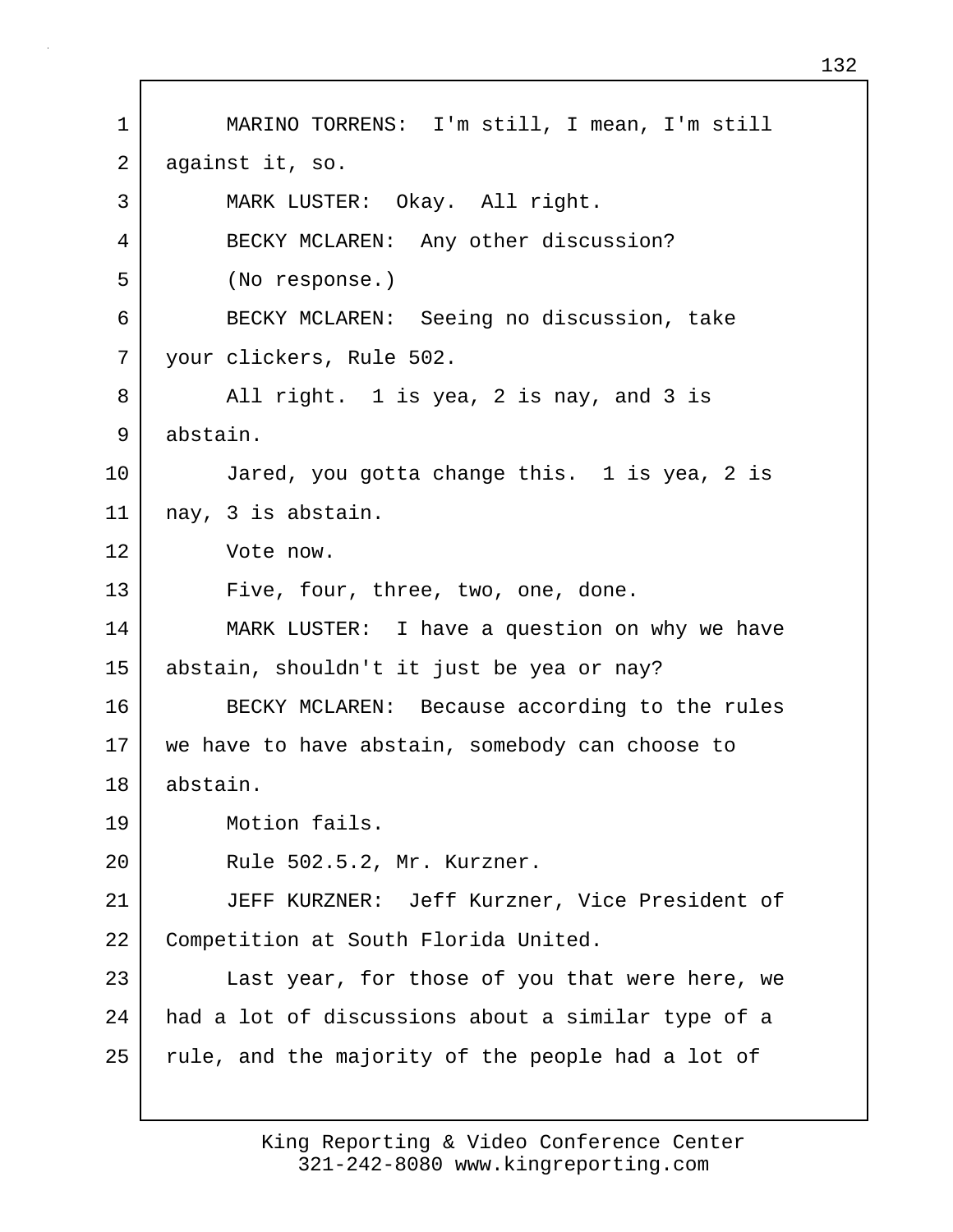1 MARINO TORRENS: I'm still, I mean, I'm still 2 against it, so. 3 MARK LUSTER: Okay. All right. 4 BECKY MCLAREN: Any other discussion? 5 (No response.) 6 BECKY MCLAREN: Seeing no discussion, take 7 your clickers, Rule 502. 8 All right. 1 is yea, 2 is nay, and 3 is 9 abstain. 10 Jared, you gotta change this. 1 is yea, 2 is 11 nay, 3 is abstain. 12 Vote now. 13 Five, four, three, two, one, done. 14 MARK LUSTER: I have a question on why we have 15 abstain, shouldn't it just be yea or nay? 16 BECKY MCLAREN: Because according to the rules 17 we have to have abstain, somebody can choose to 18 abstain. 19 Motion fails. 20 Rule 502.5.2, Mr. Kurzner. 21 JEFF KURZNER: Jeff Kurzner, Vice President of 22 Competition at South Florida United. 23 | Last year, for those of you that were here, we 24 had a lot of discussions about a similar type of a 25 | rule, and the majority of the people had a lot of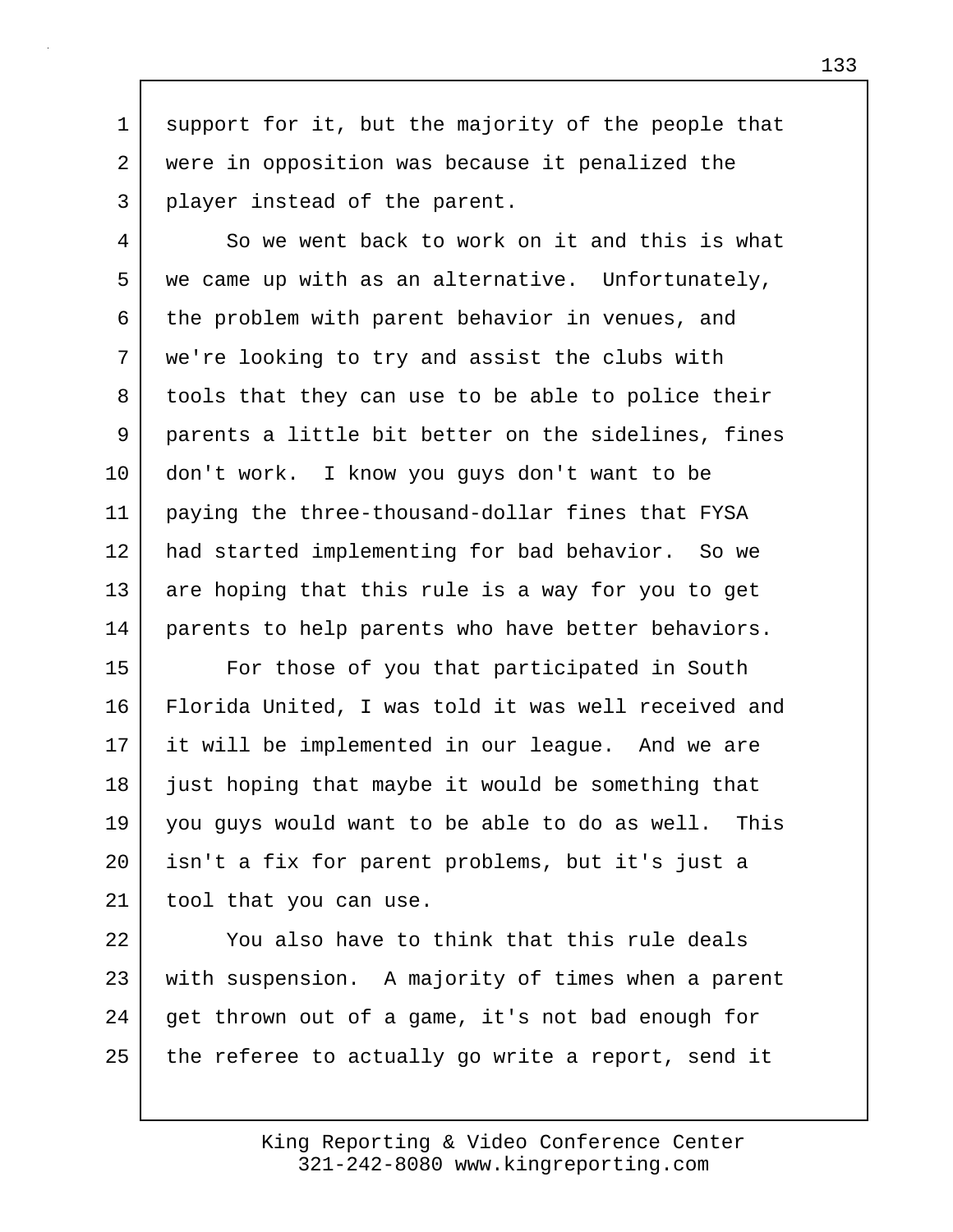1 support for it, but the majority of the people that 2 were in opposition was because it penalized the 3 player instead of the parent.

4 So we went back to work on it and this is what 5 we came up with as an alternative. Unfortunately, 6 the problem with parent behavior in venues, and 7 we're looking to try and assist the clubs with 8 tools that they can use to be able to police their 9 parents a little bit better on the sidelines, fines 10 don't work. I know you guys don't want to be 11 paying the three-thousand-dollar fines that FYSA 12 had started implementing for bad behavior. So we 13 are hoping that this rule is a way for you to get 14 parents to help parents who have better behaviors.

15 For those of you that participated in South 16 Florida United, I was told it was well received and 17 it will be implemented in our league. And we are 18 | just hoping that maybe it would be something that 19 you guys would want to be able to do as well. This 20 isn't a fix for parent problems, but it's just a 21 | tool that you can use.

22 You also have to think that this rule deals 23 with suspension. A majority of times when a parent 24 get thrown out of a game, it's not bad enough for 25 the referee to actually go write a report, send it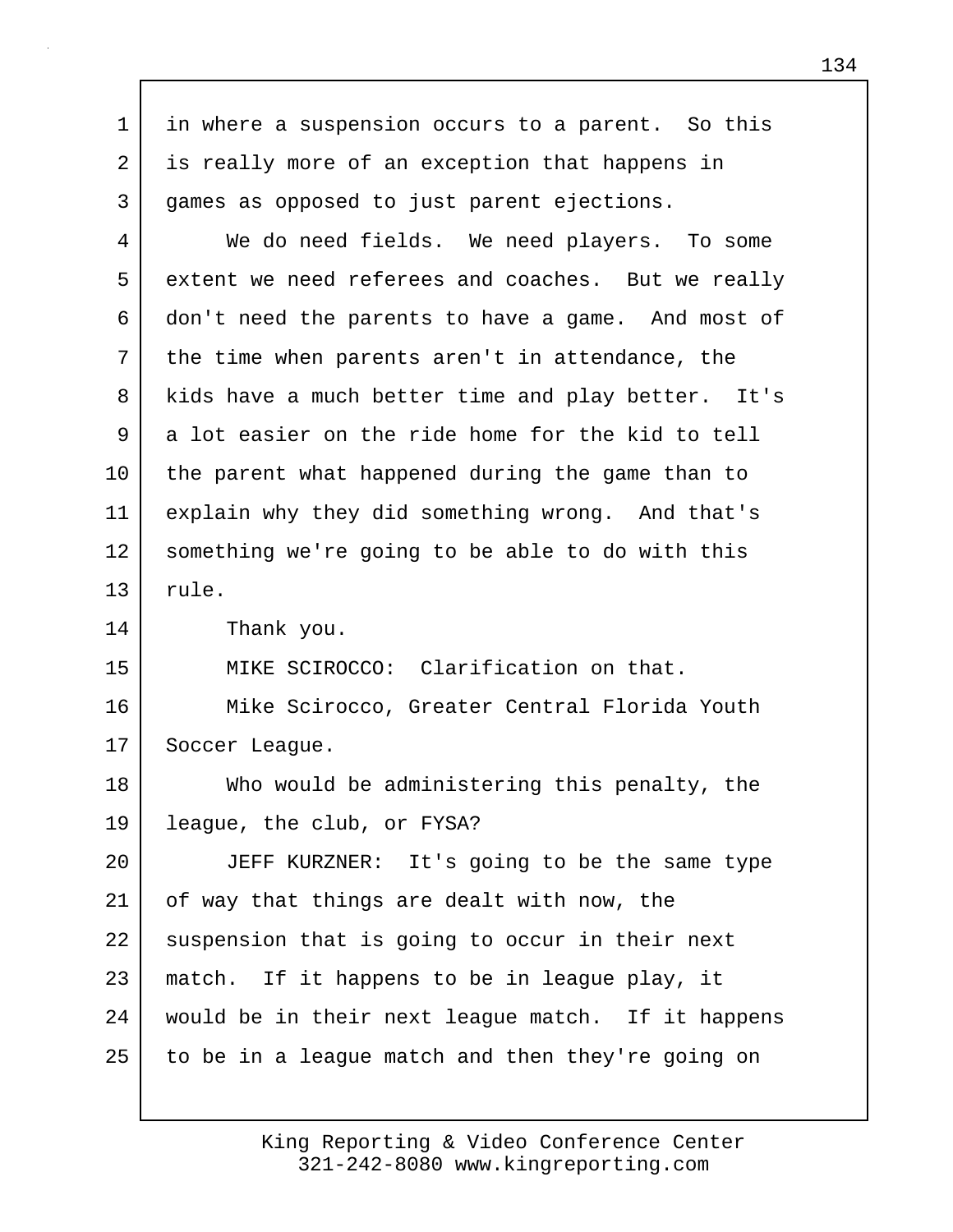| 1       | in where a suspension occurs to a parent. So this  |
|---------|----------------------------------------------------|
| 2       | is really more of an exception that happens in     |
| 3       | games as opposed to just parent ejections.         |
| 4       | We do need fields. We need players. To some        |
| 5       | extent we need referees and coaches. But we really |
| 6       | don't need the parents to have a game. And most of |
| 7       | the time when parents aren't in attendance, the    |
| 8       | kids have a much better time and play better. It's |
| 9       | a lot easier on the ride home for the kid to tell  |
| $10 \,$ | the parent what happened during the game than to   |
| 11      | explain why they did something wrong. And that's   |
| 12      | something we're going to be able to do with this   |
| 13      | rule.                                              |
| 14      | Thank you.                                         |
| 15      | MIKE SCIROCCO: Clarification on that.              |
| 16      | Mike Scirocco, Greater Central Florida Youth       |
| 17      | Soccer League.                                     |
| 18      | Who would be administering this penalty, the       |
| 19      | league, the club, or FYSA?                         |
| 20      | JEFF KURZNER: It's going to be the same type       |
| 21      | of way that things are dealt with now, the         |
| 22      | suspension that is going to occur in their next    |
| 23      | match. If it happens to be in league play, it      |
| 24      | would be in their next league match. If it happens |
| 25      | to be in a league match and then they're going on  |

Г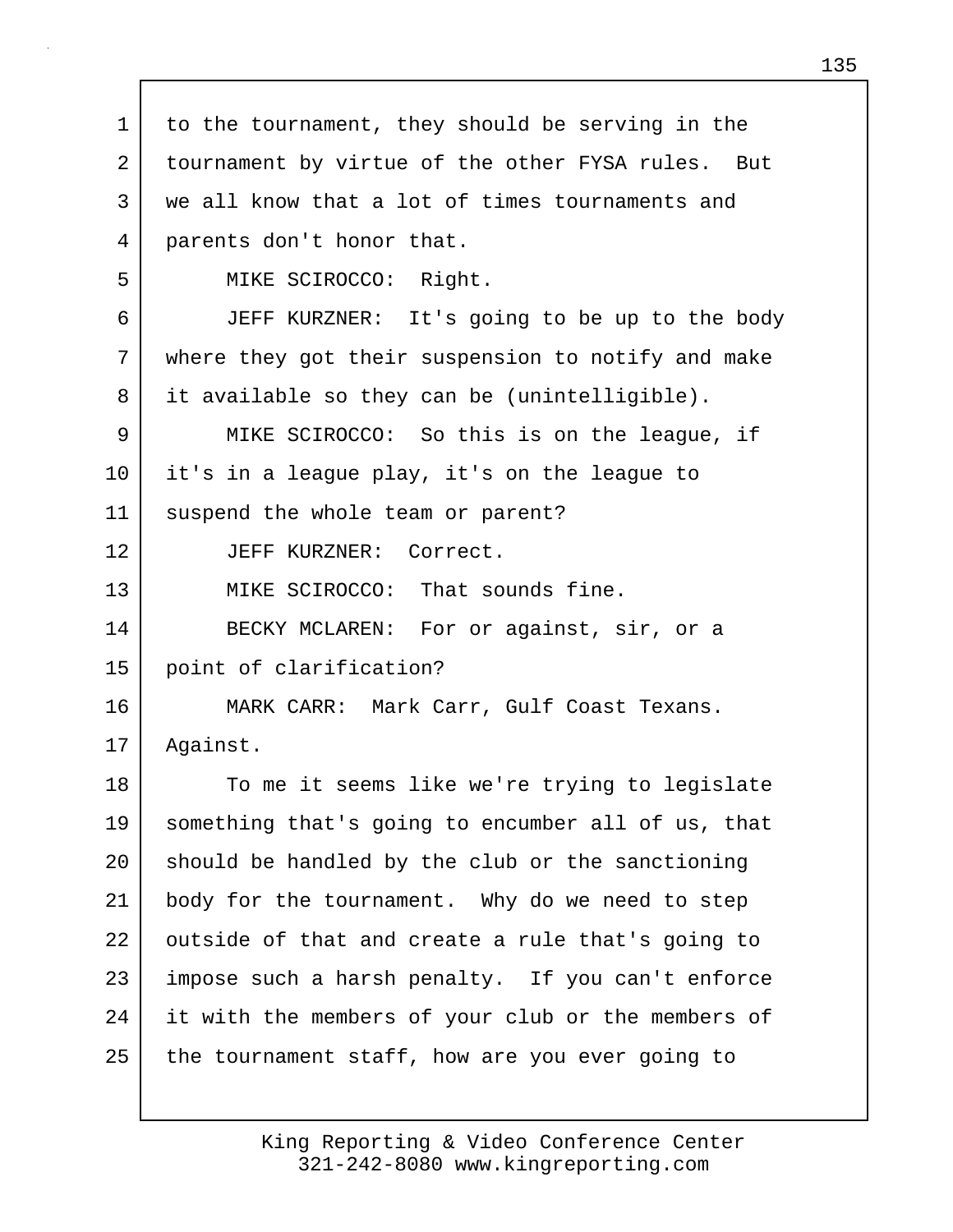| $\mathbf 1$ | to the tournament, they should be serving in the   |
|-------------|----------------------------------------------------|
| 2           | tournament by virtue of the other FYSA rules. But  |
| 3           | we all know that a lot of times tournaments and    |
| 4           | parents don't honor that.                          |
| 5           | MIKE SCIROCCO: Right.                              |
| 6           | JEFF KURZNER: It's going to be up to the body      |
| 7           | where they got their suspension to notify and make |
| 8           | it available so they can be (unintelligible).      |
| 9           | MIKE SCIROCCO: So this is on the league, if        |
| 10          | it's in a league play, it's on the league to       |
| 11          | suspend the whole team or parent?                  |
| 12          | JEFF KURZNER: Correct.                             |
| 13          | MIKE SCIROCCO: That sounds fine.                   |
| 14          | BECKY MCLAREN: For or against, sir, or a           |
| 15          | point of clarification?                            |
| 16          | MARK CARR: Mark Carr, Gulf Coast Texans.           |
| 17          | Against.                                           |
| 18          | To me it seems like we're trying to legislate      |
| 19          | something that's going to encumber all of us, that |
| 20          | should be handled by the club or the sanctioning   |
| 21          | body for the tournament. Why do we need to step    |
| 22          | outside of that and create a rule that's going to  |
| 23          | impose such a harsh penalty. If you can't enforce  |
| 24          | it with the members of your club or the members of |
| 25          | the tournament staff, how are you ever going to    |
|             |                                                    |

Г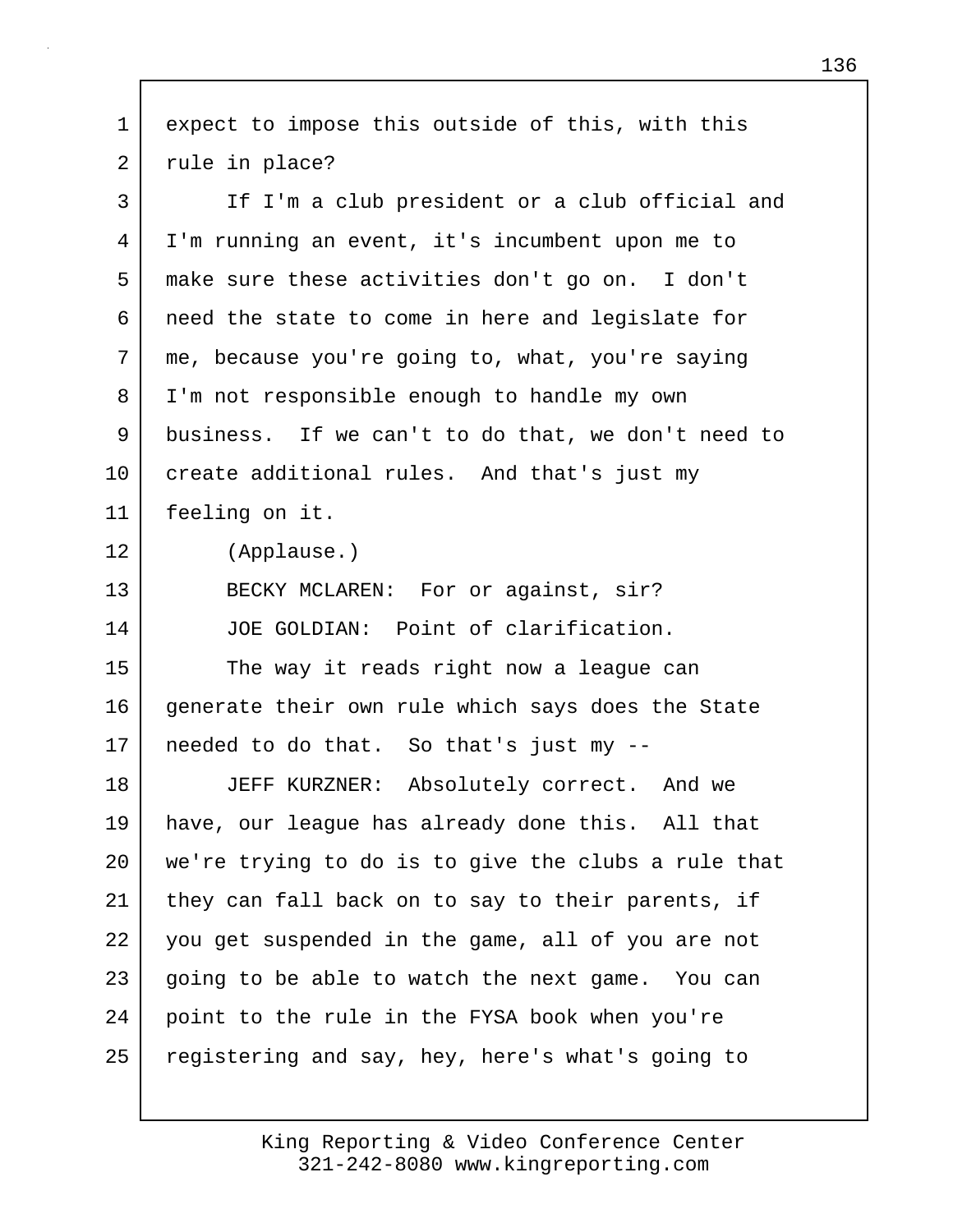| $\mathbf 1$ | expect to impose this outside of this, with this    |
|-------------|-----------------------------------------------------|
| 2           | rule in place?                                      |
| 3           | If I'm a club president or a club official and      |
| 4           | I'm running an event, it's incumbent upon me to     |
| 5           | make sure these activities don't go on. I don't     |
| 6           | need the state to come in here and legislate for    |
| 7           | me, because you're going to, what, you're saying    |
| 8           | I'm not responsible enough to handle my own         |
| 9           | business. If we can't to do that, we don't need to  |
| 10          | create additional rules. And that's just my         |
| 11          | feeling on it.                                      |
| 12          | (Applause.)                                         |
| 13          | BECKY MCLAREN: For or against, sir?                 |
| 14          | JOE GOLDIAN: Point of clarification.                |
| 15          | The way it reads right now a league can             |
| 16          | generate their own rule which says does the State   |
| 17          | needed to do that. So that's just my --             |
| 18          | JEFF KURZNER: Absolutely correct. And we            |
| 19          | have, our league has already done this. All that    |
| 20          | we're trying to do is to give the clubs a rule that |
| 21          | they can fall back on to say to their parents, if   |
| 22          | you get suspended in the game, all of you are not   |
| 23          | going to be able to watch the next game. You can    |
| 24          | point to the rule in the FYSA book when you're      |
| 25          | registering and say, hey, here's what's going to    |

 $\mathsf{I}$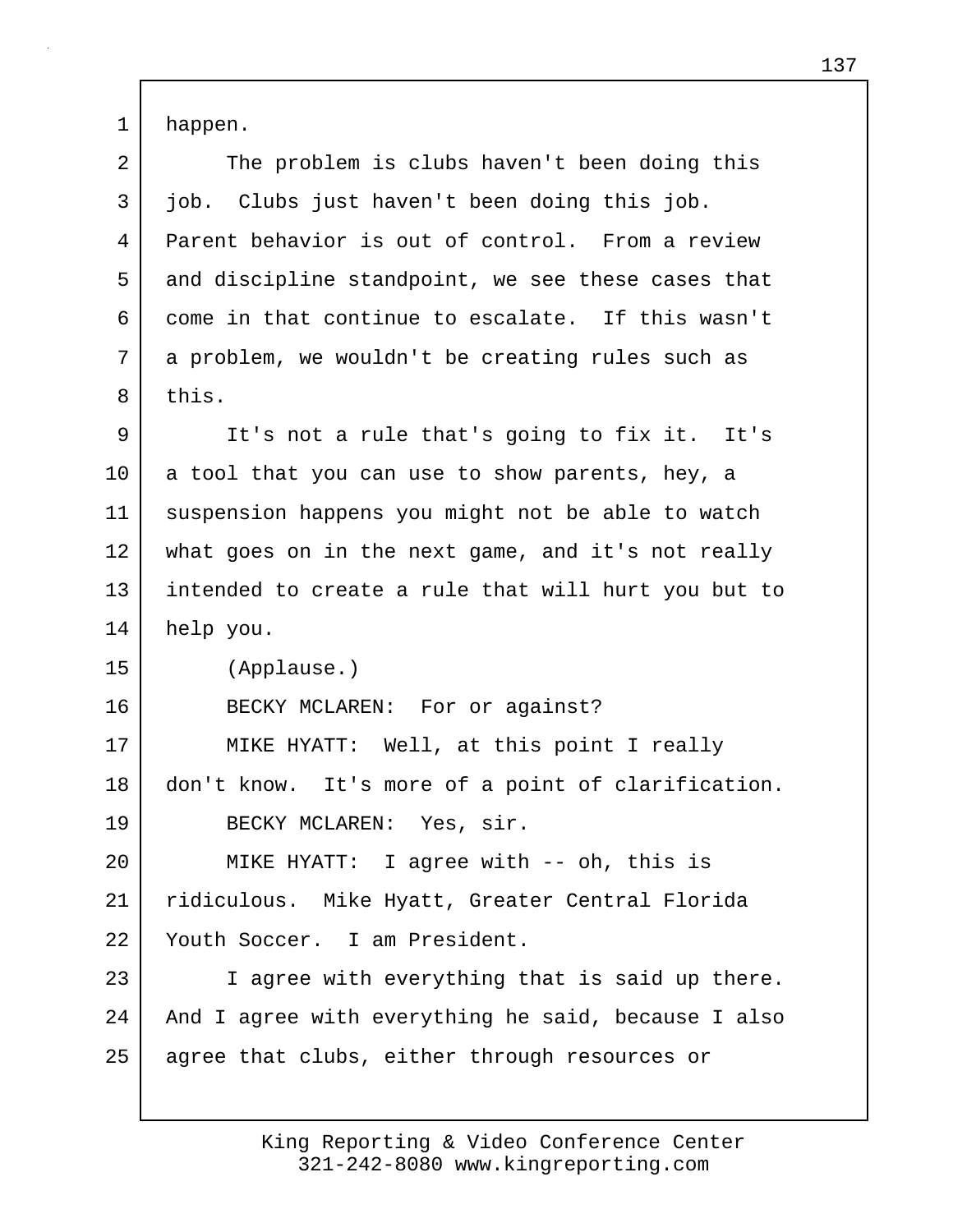1 happen.

| 2  | The problem is clubs haven't been doing this        |
|----|-----------------------------------------------------|
| 3  | job. Clubs just haven't been doing this job.        |
| 4  | Parent behavior is out of control. From a review    |
| 5  | and discipline standpoint, we see these cases that  |
| 6  | come in that continue to escalate. If this wasn't   |
| 7  | a problem, we wouldn't be creating rules such as    |
| 8  | this.                                               |
| 9  | It's not a rule that's going to fix it. It's        |
| 10 | a tool that you can use to show parents, hey, a     |
| 11 | suspension happens you might not be able to watch   |
| 12 | what goes on in the next game, and it's not really  |
| 13 | intended to create a rule that will hurt you but to |
| 14 | help you.                                           |
| 15 | (Applause.)                                         |
| 16 | BECKY MCLAREN: For or against?                      |
| 17 | MIKE HYATT: Well, at this point I really            |
| 18 | don't know. It's more of a point of clarification.  |
| 19 | BECKY MCLAREN: Yes, sir.                            |
| 20 | MIKE HYATT: I agree with -- oh, this is             |
| 21 | ridiculous. Mike Hyatt, Greater Central Florida     |
| 22 | Youth Soccer. I am President.                       |
| 23 | I agree with everything that is said up there.      |
|    |                                                     |
| 24 | And I agree with everything he said, because I also |
| 25 | agree that clubs, either through resources or       |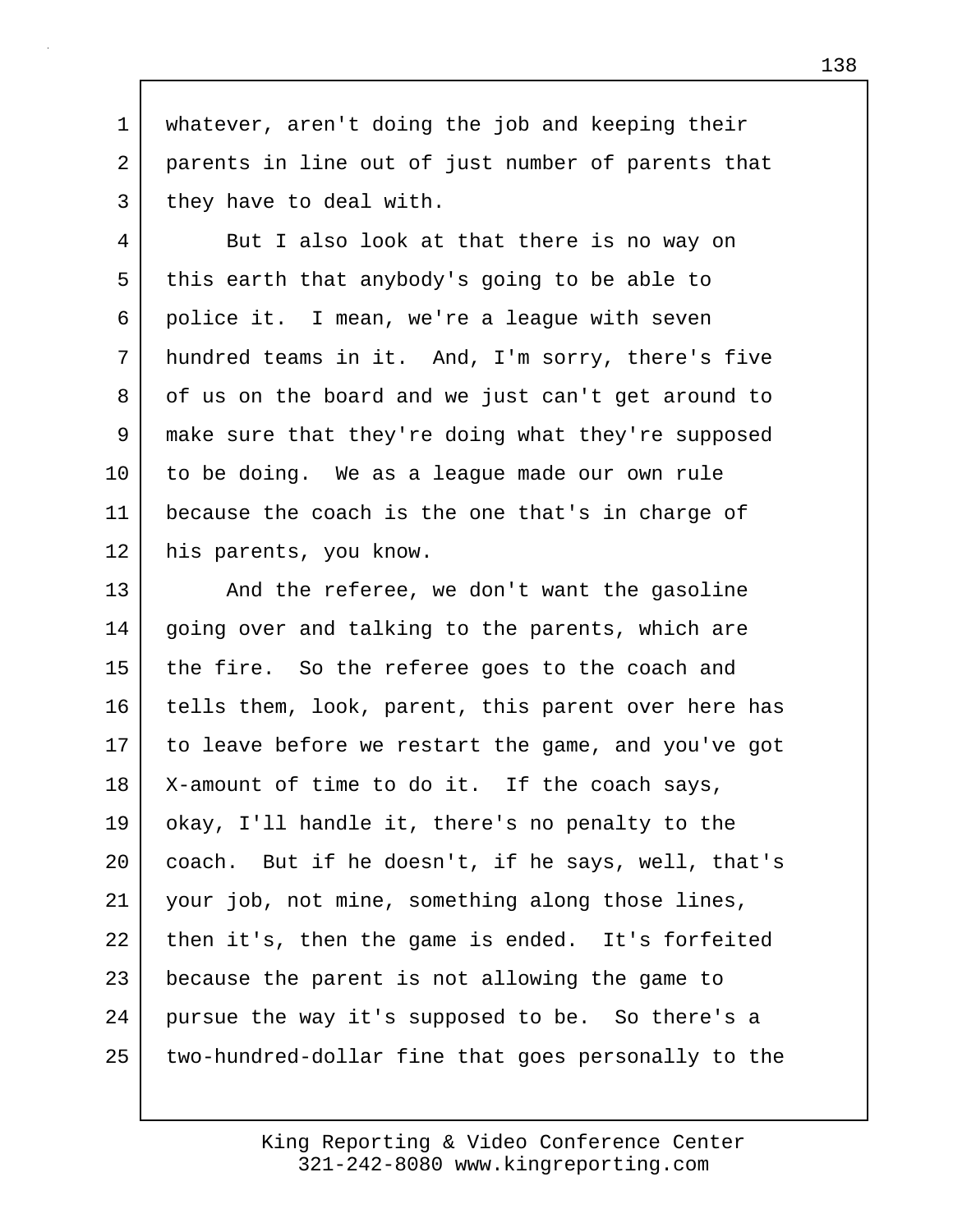1 whatever, aren't doing the job and keeping their 2 parents in line out of just number of parents that 3 they have to deal with.

4 But I also look at that there is no way on 5 this earth that anybody's going to be able to 6 police it. I mean, we're a league with seven 7 hundred teams in it. And, I'm sorry, there's five 8 of us on the board and we just can't get around to 9 make sure that they're doing what they're supposed 10 to be doing. We as a league made our own rule 11 because the coach is the one that's in charge of 12 his parents, you know.

13 And the referee, we don't want the gasoline 14 | going over and talking to the parents, which are 15 the fire. So the referee goes to the coach and 16 tells them, look, parent, this parent over here has 17 to leave before we restart the game, and you've got 18 | X-amount of time to do it. If the coach says, 19 okay, I'll handle it, there's no penalty to the 20 coach. But if he doesn't, if he says, well, that's 21 your job, not mine, something along those lines, 22 then it's, then the game is ended. It's forfeited 23 because the parent is not allowing the game to 24 pursue the way it's supposed to be. So there's a 25 two-hundred-dollar fine that goes personally to the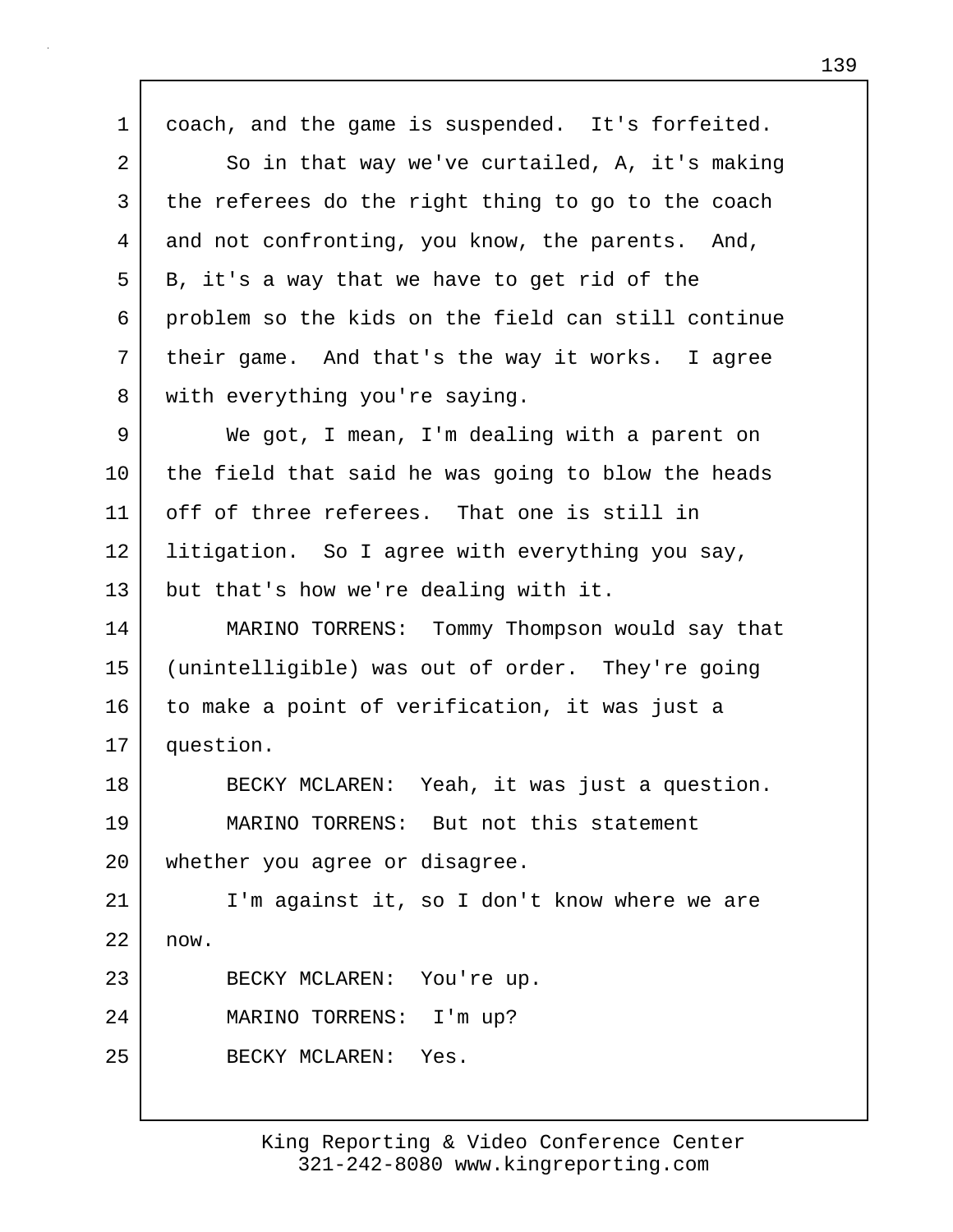1 coach, and the game is suspended. It's forfeited. 2 So in that way we've curtailed, A, it's making 3 the referees do the right thing to go to the coach 4 and not confronting, you know, the parents. And, 5 B, it's a way that we have to get rid of the 6 problem so the kids on the field can still continue 7 | their game. And that's the way it works. I agree 8 | with everything you're saying. 9 We got, I mean, I'm dealing with a parent on 10 the field that said he was going to blow the heads 11 off of three referees. That one is still in 12 | litigation. So I agree with everything you say, 13 but that's how we're dealing with it. 14 MARINO TORRENS: Tommy Thompson would say that 15 (unintelligible) was out of order. They're going 16 to make a point of verification, it was just a 17 question. 18 BECKY MCLAREN: Yeah, it was just a question. 19 MARINO TORRENS: But not this statement 20 whether you agree or disagree. 21 I'm against it, so I don't know where we are 22 now. 23 BECKY MCLAREN: You're up. 24 MARINO TORRENS: I'm up? 25 BECKY MCLAREN: Yes.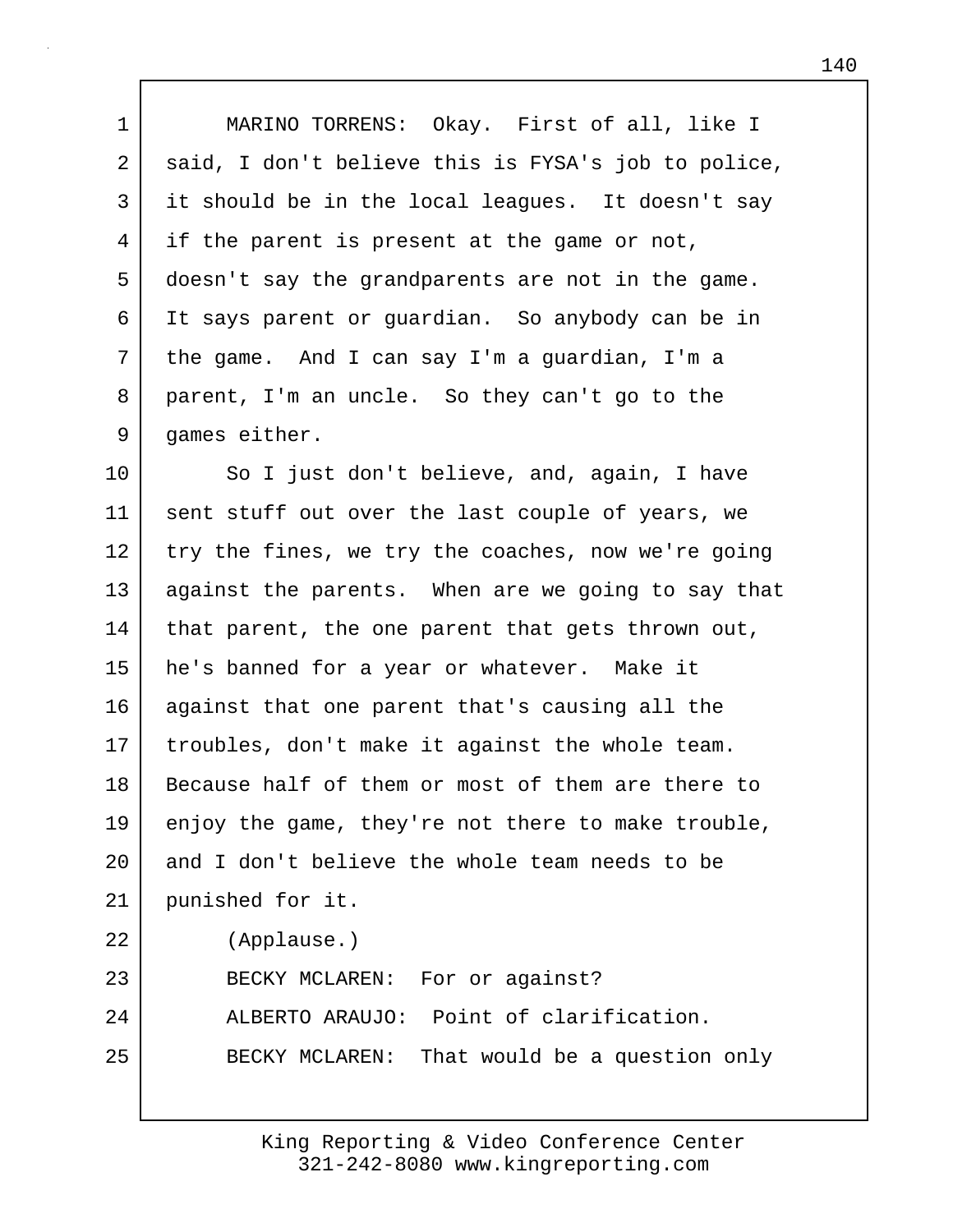1 MARINO TORRENS: Okay. First of all, like I 2 said, I don't believe this is FYSA's job to police, 3 it should be in the local leagues. It doesn't say 4 if the parent is present at the game or not, 5 doesn't say the grandparents are not in the game. 6 It says parent or guardian. So anybody can be in 7 the game. And I can say I'm a guardian, I'm a 8 parent, I'm an uncle. So they can't go to the 9 games either.

10 So I just don't believe, and, again, I have 11 sent stuff out over the last couple of years, we  $12$  try the fines, we try the coaches, now we're going 13 against the parents. When are we going to say that 14 | that parent, the one parent that gets thrown out, 15 he's banned for a year or whatever. Make it 16 against that one parent that's causing all the 17 troubles, don't make it against the whole team. 18 Because half of them or most of them are there to 19 enjoy the game, they're not there to make trouble, 20 and I don't believe the whole team needs to be 21 punished for it. 22 (Applause.) 23 BECKY MCLAREN: For or against? 24 ALBERTO ARAUJO: Point of clarification. 25 BECKY MCLAREN: That would be a question only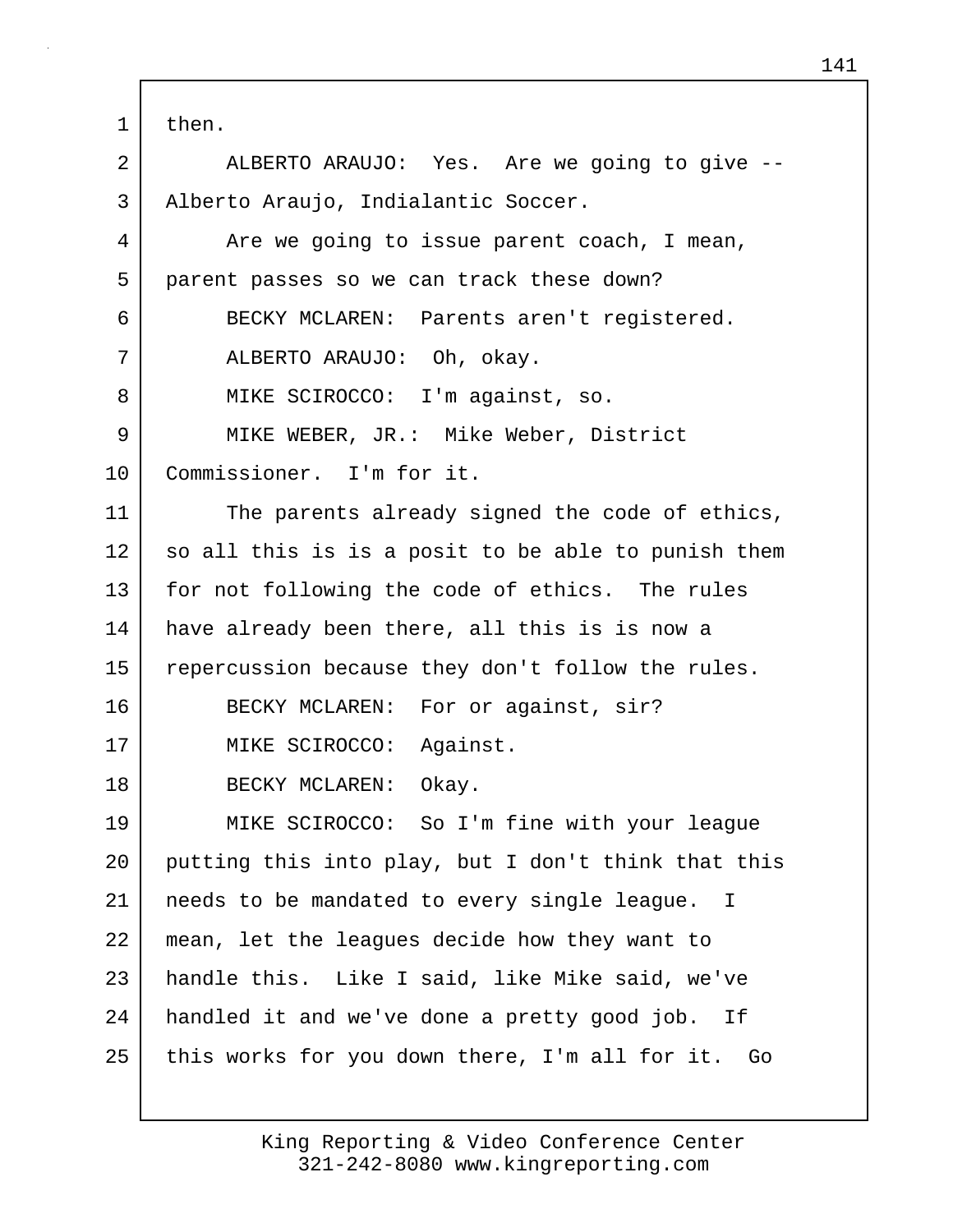1 then.

2 ALBERTO ARAUJO: Yes. Are we going to give -- 3 | Alberto Araujo, Indialantic Soccer. 4 Are we going to issue parent coach, I mean, 5 parent passes so we can track these down? 6 BECKY MCLAREN: Parents aren't registered. 7 ALBERTO ARAUJO: Oh, okay. 8 | MIKE SCIROCCO: I'm against, so. 9 MIKE WEBER, JR.: Mike Weber, District 10 Commissioner. I'm for it. 11 The parents already signed the code of ethics, 12 so all this is is a posit to be able to punish them 13 for not following the code of ethics. The rules 14 have already been there, all this is is now a 15 repercussion because they don't follow the rules. 16 BECKY MCLAREN: For or against, sir? 17 | MIKE SCIROCCO: Against. 18 BECKY MCLAREN: Okay. 19 MIKE SCIROCCO: So I'm fine with your league 20 putting this into play, but I don't think that this 21 needs to be mandated to every single league. I 22 mean, let the leagues decide how they want to 23 handle this. Like I said, like Mike said, we've 24 handled it and we've done a pretty good job. If 25 this works for you down there, I'm all for it. Go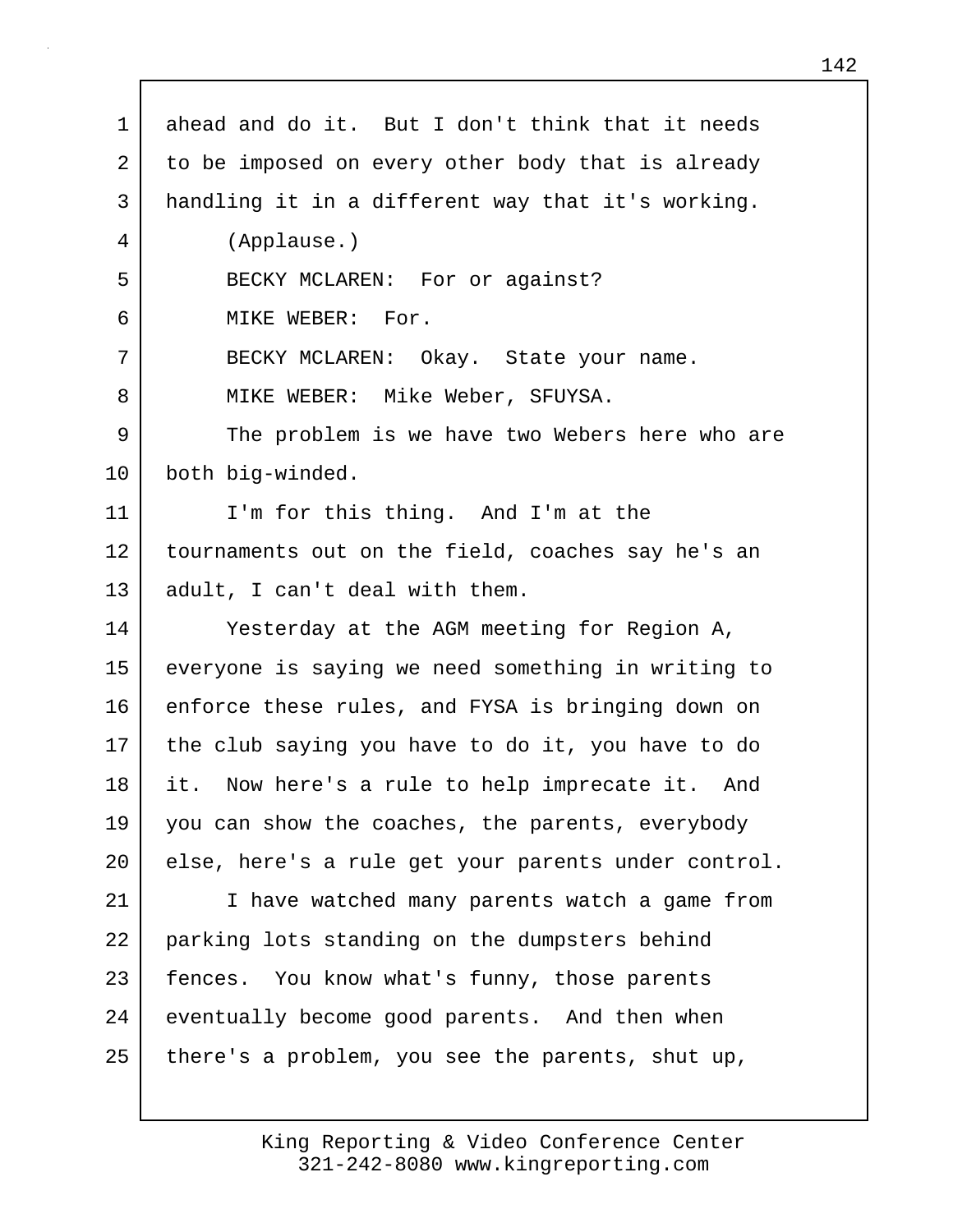| $\mathbf 1$    | ahead and do it. But I don't think that it needs    |
|----------------|-----------------------------------------------------|
| $\overline{2}$ | to be imposed on every other body that is already   |
| $\mathsf{3}$   | handling it in a different way that it's working.   |
| 4              | (Applause.)                                         |
| 5              | BECKY MCLAREN: For or against?                      |
| 6              | MIKE WEBER: For.                                    |
| 7              | BECKY MCLAREN: Okay. State your name.               |
| 8              | MIKE WEBER: Mike Weber, SFUYSA.                     |
| 9              | The problem is we have two Webers here who are      |
| 10             | both big-winded.                                    |
| 11             | I'm for this thing. And I'm at the                  |
| 12             | tournaments out on the field, coaches say he's an   |
| 13             | adult, I can't deal with them.                      |
| 14             | Yesterday at the AGM meeting for Region A,          |
| 15             | everyone is saying we need something in writing to  |
| 16             | enforce these rules, and FYSA is bringing down on   |
| 17             | the club saying you have to do it, you have to do   |
| 18             | it. Now here's a rule to help imprecate it. And     |
| 19             | you can show the coaches, the parents, everybody    |
| 20             | else, here's a rule get your parents under control. |
| 21             | I have watched many parents watch a game from       |
| 22             | parking lots standing on the dumpsters behind       |
| 23             | fences. You know what's funny, those parents        |
| 24             | eventually become good parents. And then when       |
| 25             | there's a problem, you see the parents, shut up,    |
|                |                                                     |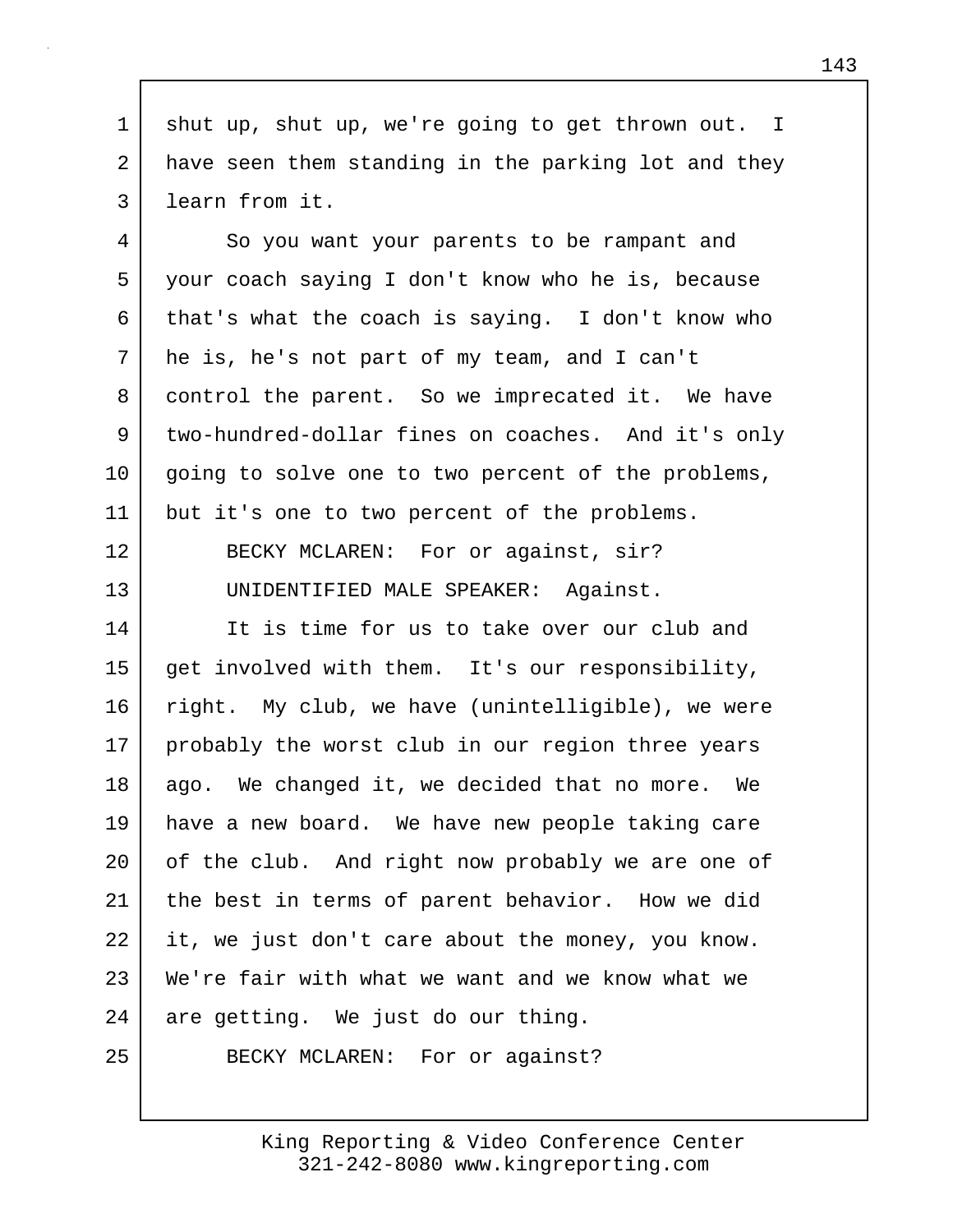1 shut up, shut up, we're going to get thrown out. I 2 have seen them standing in the parking lot and they 3 learn from it.

4 So you want your parents to be rampant and 5 your coach saying I don't know who he is, because 6 that's what the coach is saying. I don't know who 7 he is, he's not part of my team, and I can't 8 control the parent. So we imprecated it. We have 9 two-hundred-dollar fines on coaches. And it's only 10 going to solve one to two percent of the problems, 11 | but it's one to two percent of the problems.

12 BECKY MCLAREN: For or against, sir? 13 UNIDENTIFIED MALE SPEAKER: Against.

14 It is time for us to take over our club and 15 get involved with them. It's our responsibility, 16 right. My club, we have (unintelligible), we were 17 probably the worst club in our region three years 18 ago. We changed it, we decided that no more. We 19 have a new board. We have new people taking care 20 of the club. And right now probably we are one of 21 the best in terms of parent behavior. How we did 22 it, we just don't care about the money, you know. 23 We're fair with what we want and we know what we 24 are getting. We just do our thing.

25 BECKY MCLAREN: For or against?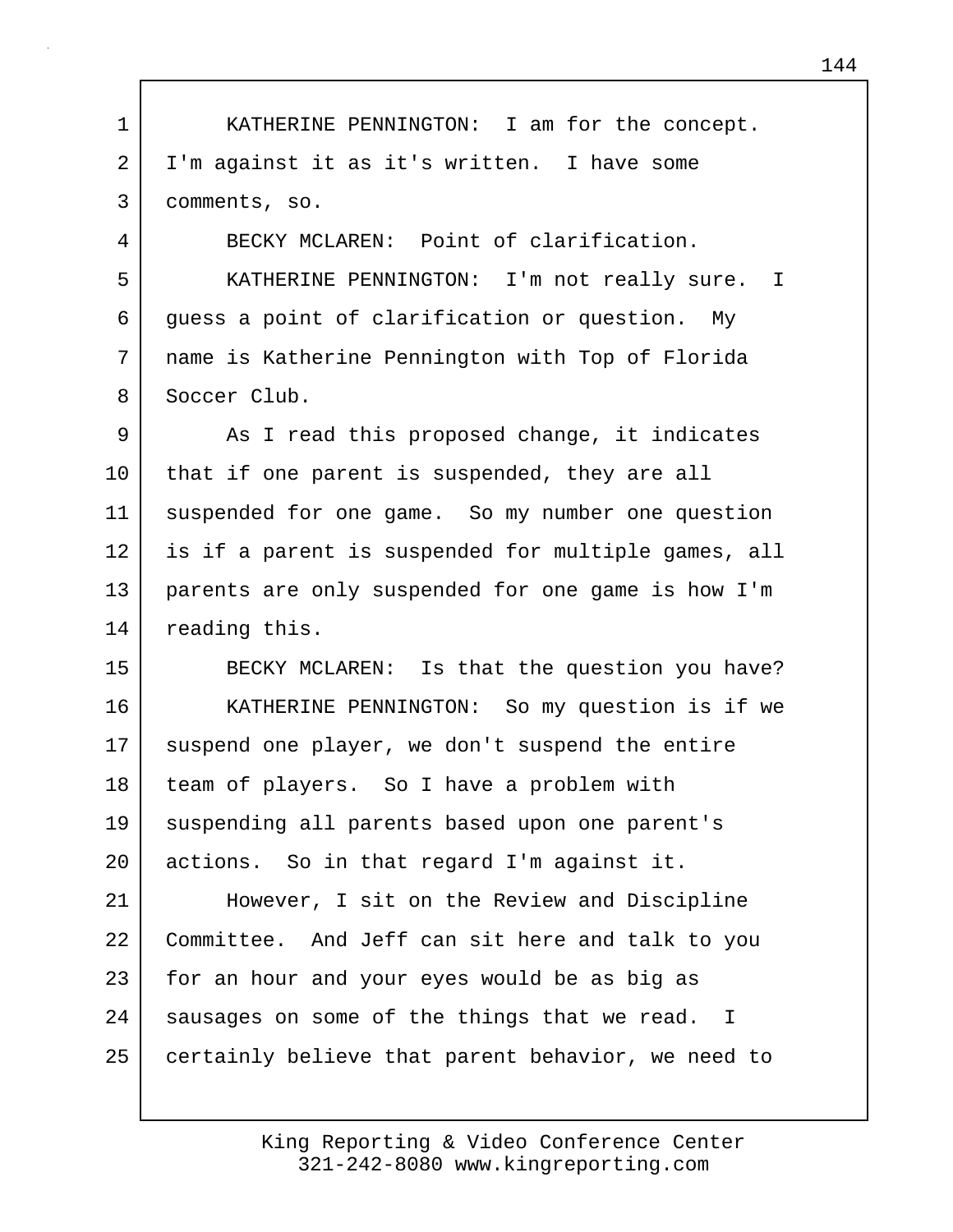1 KATHERINE PENNINGTON: I am for the concept. 2 I'm against it as it's written. I have some 3 comments, so. 4 BECKY MCLAREN: Point of clarification. 5 KATHERINE PENNINGTON: I'm not really sure. I 6 guess a point of clarification or question. My 7 name is Katherine Pennington with Top of Florida 8 Soccer Club. 9 As I read this proposed change, it indicates 10 that if one parent is suspended, they are all 11 | suspended for one game. So my number one question 12 is if a parent is suspended for multiple games, all 13 parents are only suspended for one game is how I'm 14 reading this. 15 BECKY MCLAREN: Is that the question you have? 16 | KATHERINE PENNINGTON: So my question is if we 17 suspend one player, we don't suspend the entire 18 | team of players. So I have a problem with 19 | suspending all parents based upon one parent's 20 actions. So in that regard I'm against it. 21 However, I sit on the Review and Discipline 22 Committee. And Jeff can sit here and talk to you 23 for an hour and your eyes would be as big as 24 | sausages on some of the things that we read. I 25 certainly believe that parent behavior, we need to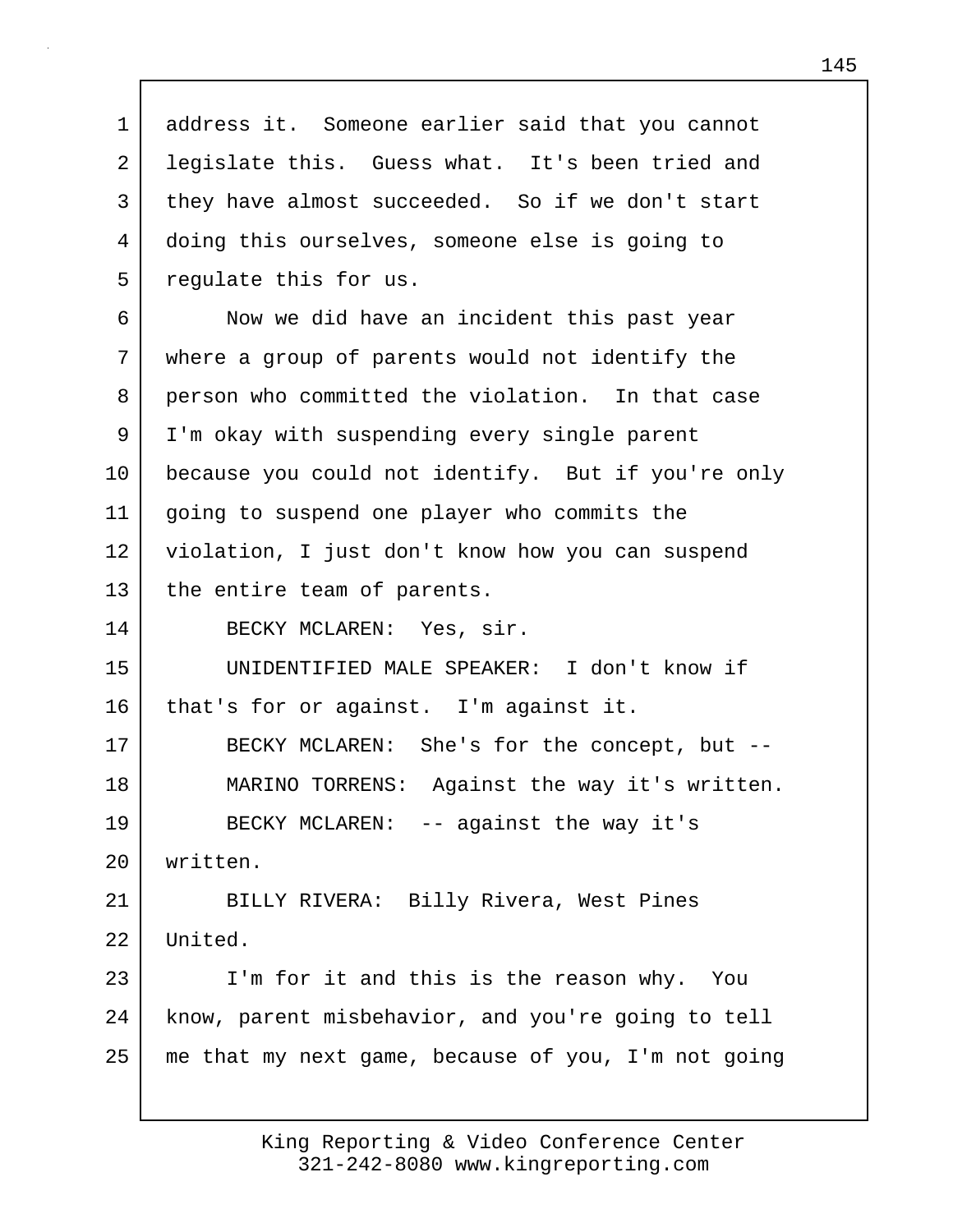1 address it. Someone earlier said that you cannot 2 legislate this. Guess what. It's been tried and 3 they have almost succeeded. So if we don't start 4 doing this ourselves, someone else is going to 5 requlate this for us. 6 Now we did have an incident this past year 7 where a group of parents would not identify the 8 person who committed the violation. In that case 9 I'm okay with suspending every single parent 10 because you could not identify. But if you're only 11 going to suspend one player who commits the 12 violation, I just don't know how you can suspend 13 | the entire team of parents. 14 BECKY MCLAREN: Yes, sir. 15 UNIDENTIFIED MALE SPEAKER: I don't know if 16 | that's for or against. I'm against it. 17 BECKY MCLAREN: She's for the concept, but -- 18 MARINO TORRENS: Against the way it's written. 19 BECKY MCLAREN: -- against the way it's 20 written. 21 BILLY RIVERA: Billy Rivera, West Pines 22 United. 23 I'm for it and this is the reason why. You 24 know, parent misbehavior, and you're going to tell 25 me that my next game, because of you, I'm not going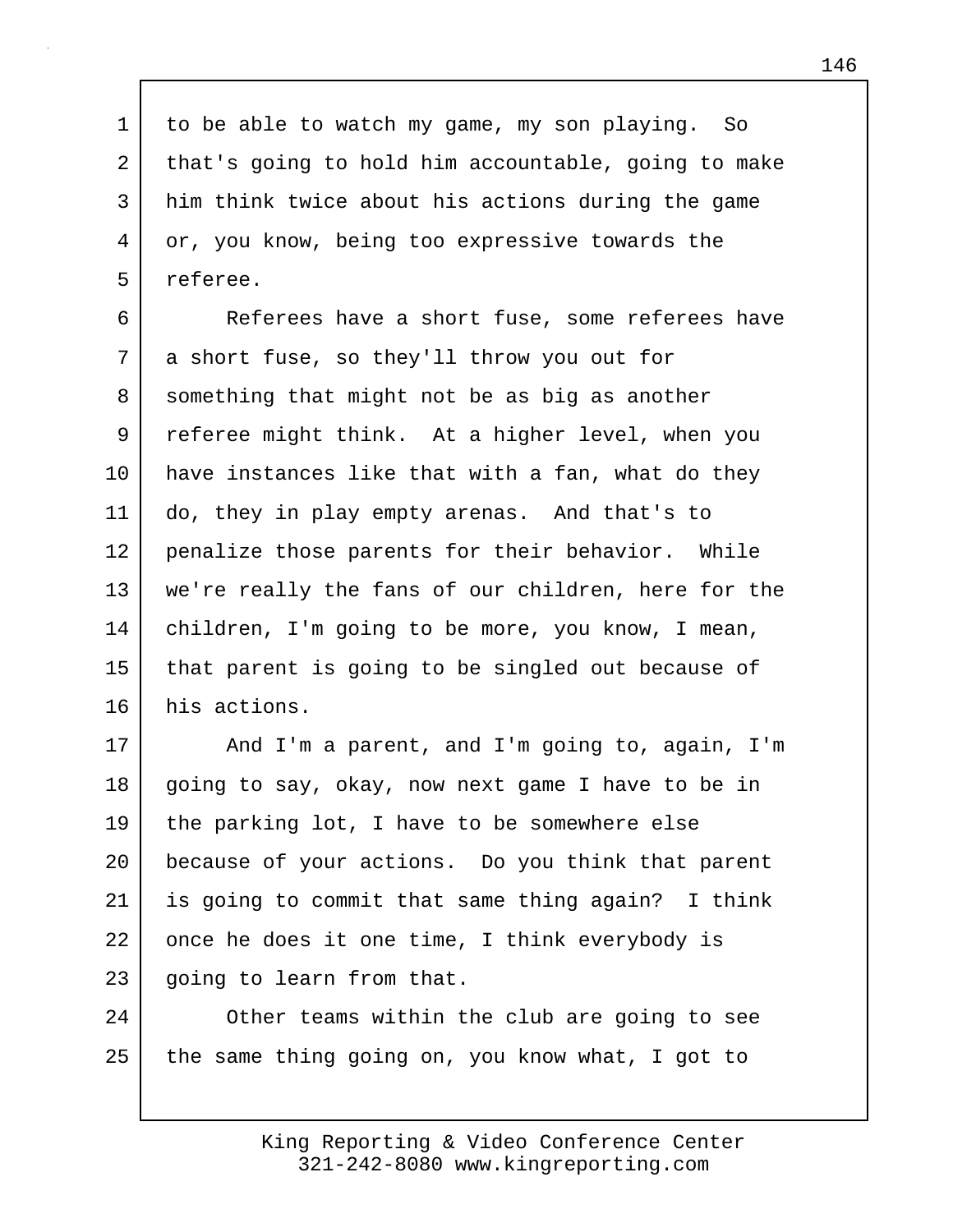1 to be able to watch my game, my son playing. So 2 that's going to hold him accountable, going to make 3 him think twice about his actions during the game 4 or, you know, being too expressive towards the 5 referee.

6 Referees have a short fuse, some referees have 7 a short fuse, so they'll throw you out for 8 something that might not be as big as another 9 referee might think. At a higher level, when you 10 have instances like that with a fan, what do they 11 do, they in play empty arenas. And that's to 12 penalize those parents for their behavior. While 13 we're really the fans of our children, here for the 14 children, I'm going to be more, you know, I mean, 15 that parent is going to be singled out because of 16 his actions.

17 | And I'm a parent, and I'm going to, again, I'm 18 going to say, okay, now next game I have to be in 19 the parking lot, I have to be somewhere else 20 because of your actions. Do you think that parent 21 is going to commit that same thing again? I think 22 once he does it one time, I think everybody is 23 going to learn from that.

24 Other teams within the club are going to see  $25$  the same thing going on, you know what, I got to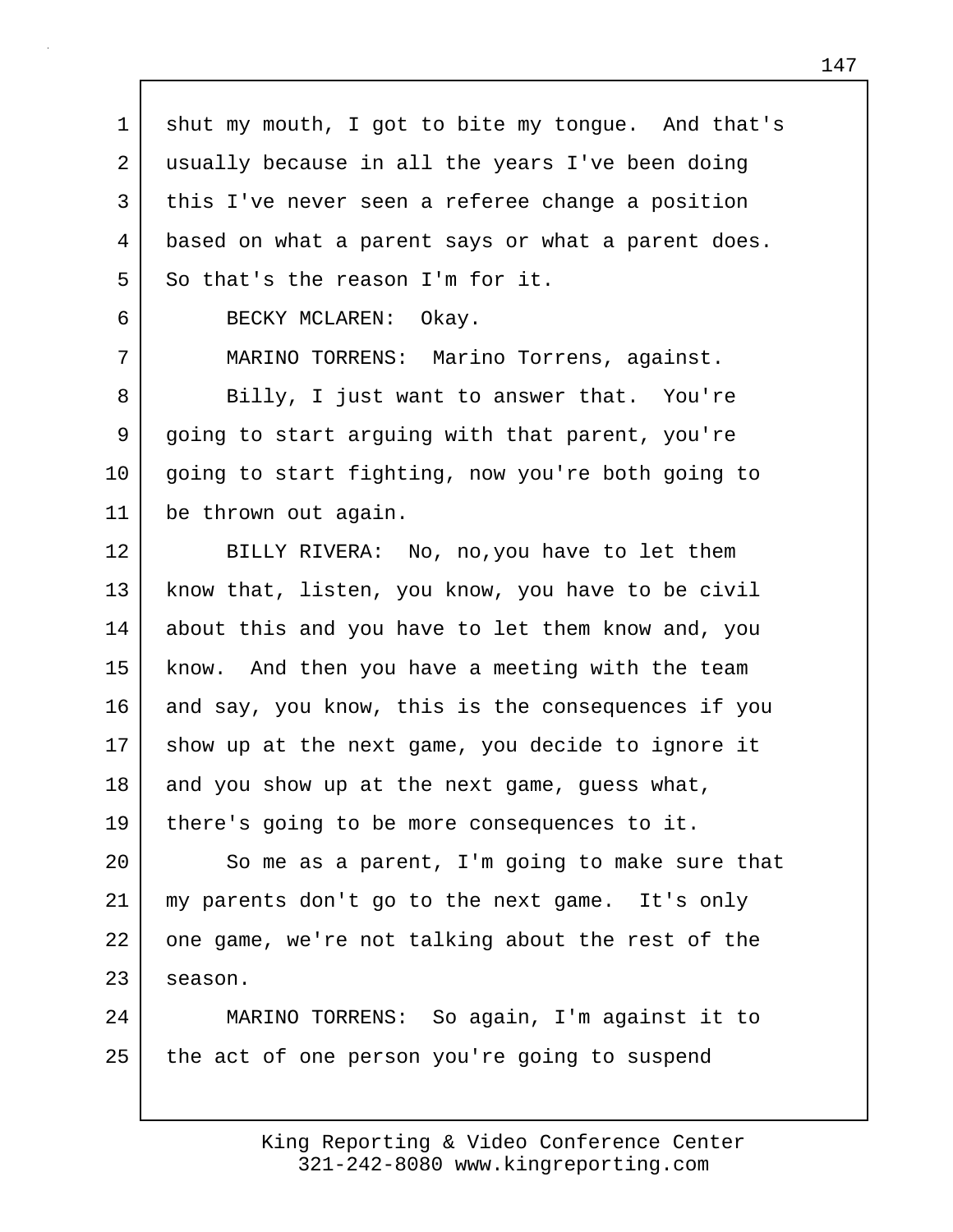1 | shut my mouth, I got to bite my tongue. And that's 2 usually because in all the years I've been doing 3 this I've never seen a referee change a position 4 based on what a parent says or what a parent does. 5 So that's the reason I'm for it.

6 BECKY MCLAREN: Okay.

7 MARINO TORRENS: Marino Torrens, against.

8 Billy, I just want to answer that. You're 9 going to start arguing with that parent, you're 10 | going to start fighting, now you're both going to 11 be thrown out again.

12 BILLY RIVERA: No, no,you have to let them 13 know that, listen, you know, you have to be civil 14 about this and you have to let them know and, you 15 know. And then you have a meeting with the team 16 and say, you know, this is the consequences if you 17 show up at the next game, you decide to ignore it 18 and you show up at the next game, guess what, 19 there's going to be more consequences to it.

20 So me as a parent, I'm going to make sure that 21 my parents don't go to the next game. It's only 22 one game, we're not talking about the rest of the  $23$  season.

24 MARINO TORRENS: So again, I'm against it to 25 the act of one person you're going to suspend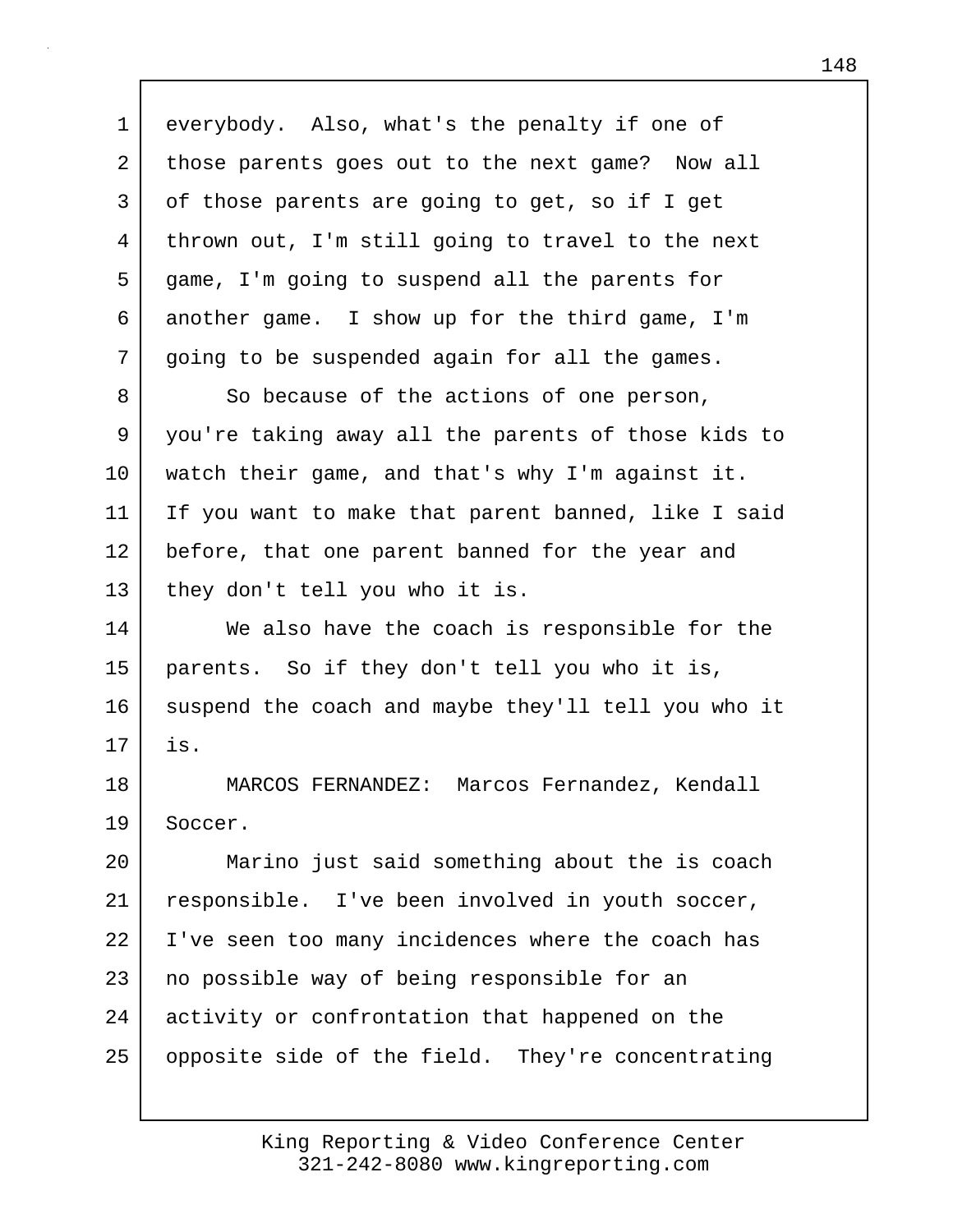1 everybody. Also, what's the penalty if one of 2 those parents goes out to the next game? Now all 3 of those parents are going to get, so if I get 4 thrown out, I'm still going to travel to the next 5 game, I'm going to suspend all the parents for 6 another game. I show up for the third game, I'm 7 going to be suspended again for all the games. 8 So because of the actions of one person, 9 you're taking away all the parents of those kids to 10 watch their game, and that's why I'm against it. 11 If you want to make that parent banned, like I said 12 before, that one parent banned for the year and 13 | they don't tell you who it is. 14 We also have the coach is responsible for the 15 parents. So if they don't tell you who it is, 16 suspend the coach and maybe they'll tell you who it 17 is. 18 MARCOS FERNANDEZ: Marcos Fernandez, Kendall 19 Soccer. 20 Marino just said something about the is coach 21 responsible. I've been involved in youth soccer, 22 I've seen too many incidences where the coach has 23 | no possible way of being responsible for an 24 activity or confrontation that happened on the 25 | opposite side of the field. They're concentrating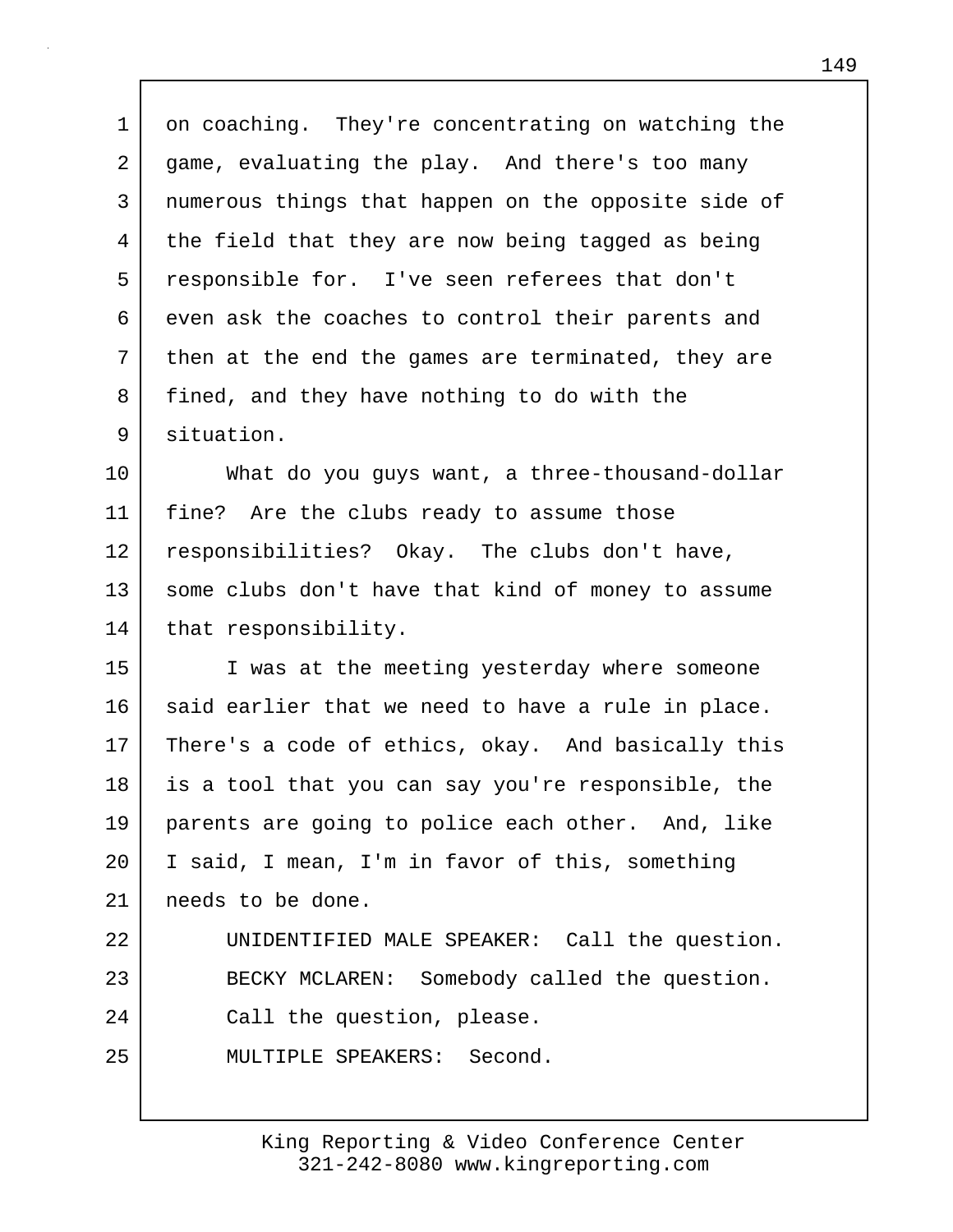1 on coaching. They're concentrating on watching the 2 game, evaluating the play. And there's too many 3 numerous things that happen on the opposite side of 4 the field that they are now being tagged as being 5 responsible for. I've seen referees that don't 6 even ask the coaches to control their parents and 7 then at the end the games are terminated, they are 8 fined, and they have nothing to do with the 9 situation.

10 What do you guys want, a three-thousand-dollar 11 fine? Are the clubs ready to assume those 12 responsibilities? Okay. The clubs don't have, 13 | some clubs don't have that kind of money to assume 14 that responsibility.

15 I was at the meeting yesterday where someone 16 said earlier that we need to have a rule in place. 17 There's a code of ethics, okay. And basically this 18 is a tool that you can say you're responsible, the 19 parents are going to police each other. And, like 20 I said, I mean, I'm in favor of this, something 21 needs to be done. 22 UNIDENTIFIED MALE SPEAKER: Call the question. 23 BECKY MCLAREN: Somebody called the question. 24 Call the question, please. 25 MULTIPLE SPEAKERS: Second.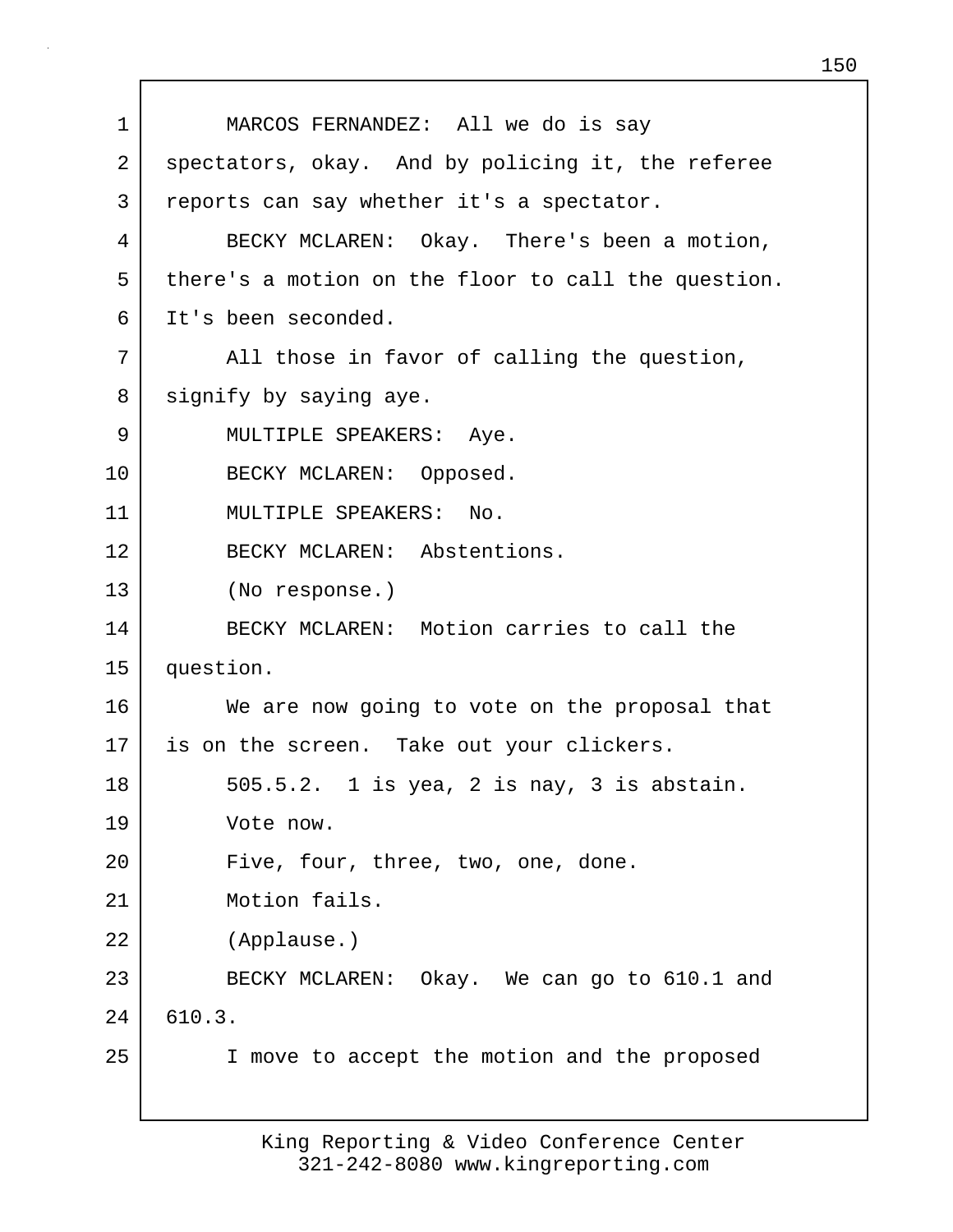1 MARCOS FERNANDEZ: All we do is say 2 spectators, okay. And by policing it, the referee 3 reports can say whether it's a spectator. 4 BECKY MCLAREN: Okay. There's been a motion, 5 there's a motion on the floor to call the question. 6 It's been seconded. 7 | All those in favor of calling the question, 8 signify by saying aye. 9 | MULTIPLE SPEAKERS: Aye. 10 BECKY MCLAREN: Opposed. 11 MULTIPLE SPEAKERS: No. 12 BECKY MCLAREN: Abstentions. 13 (No response.) 14 BECKY MCLAREN: Motion carries to call the 15 question. 16 We are now going to vote on the proposal that 17 is on the screen. Take out your clickers. 18 505.5.2. 1 is yea, 2 is nay, 3 is abstain. 19 Vote now. 20 Five, four, three, two, one, done. 21 Motion fails. 22 (Applause.) 23 BECKY MCLAREN: Okay. We can go to 610.1 and 24 610.3. 25 | I move to accept the motion and the proposed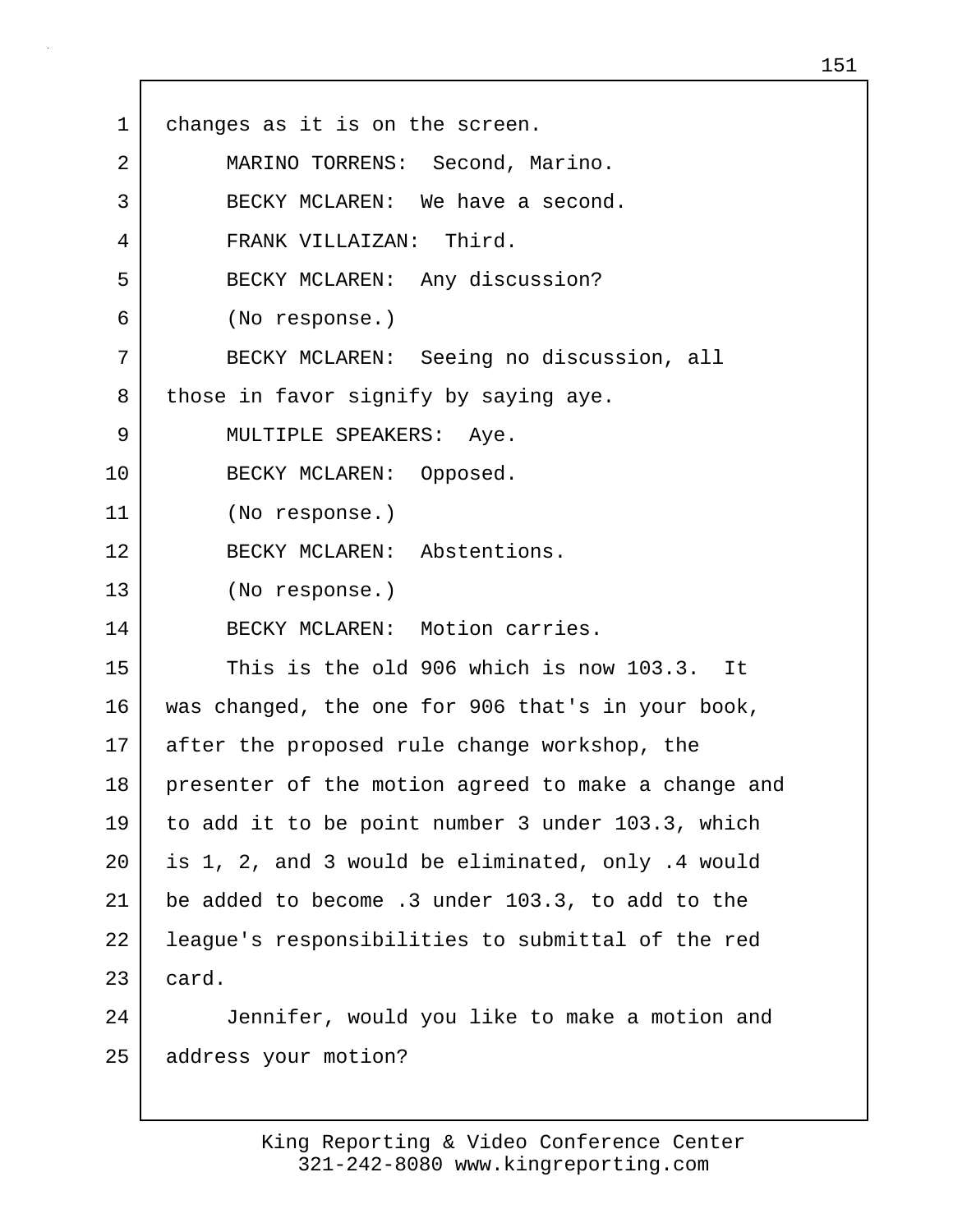| $\mathbf{1}$ | changes as it is on the screen.                     |
|--------------|-----------------------------------------------------|
| 2            | MARINO TORRENS: Second, Marino.                     |
| 3            | BECKY MCLAREN: We have a second.                    |
| 4            | FRANK VILLAIZAN: Third.                             |
| 5            | BECKY MCLAREN: Any discussion?                      |
| 6            | (No response.)                                      |
| 7            | BECKY MCLAREN: Seeing no discussion, all            |
| 8            | those in favor signify by saying aye.               |
| 9            | MULTIPLE SPEAKERS: Aye.                             |
| 10           | BECKY MCLAREN: Opposed.                             |
| 11           | (No response.)                                      |
| 12           | BECKY MCLAREN: Abstentions.                         |
| 13           | (No response.)                                      |
| 14           | BECKY MCLAREN: Motion carries.                      |
| 15           | This is the old 906 which is now 103.3. It          |
| 16           | was changed, the one for 906 that's in your book,   |
| 17           | after the proposed rule change workshop, the        |
| 18           | presenter of the motion agreed to make a change and |
| 19           | to add it to be point number 3 under 103.3, which   |
| 20           | is 1, 2, and 3 would be eliminated, only .4 would   |
| 21           | be added to become .3 under 103.3, to add to the    |
| 22           | league's responsibilities to submittal of the red   |
| 23           | card.                                               |
| 24           | Jennifer, would you like to make a motion and       |
| 25           | address your motion?                                |

 $\mathsf{I}$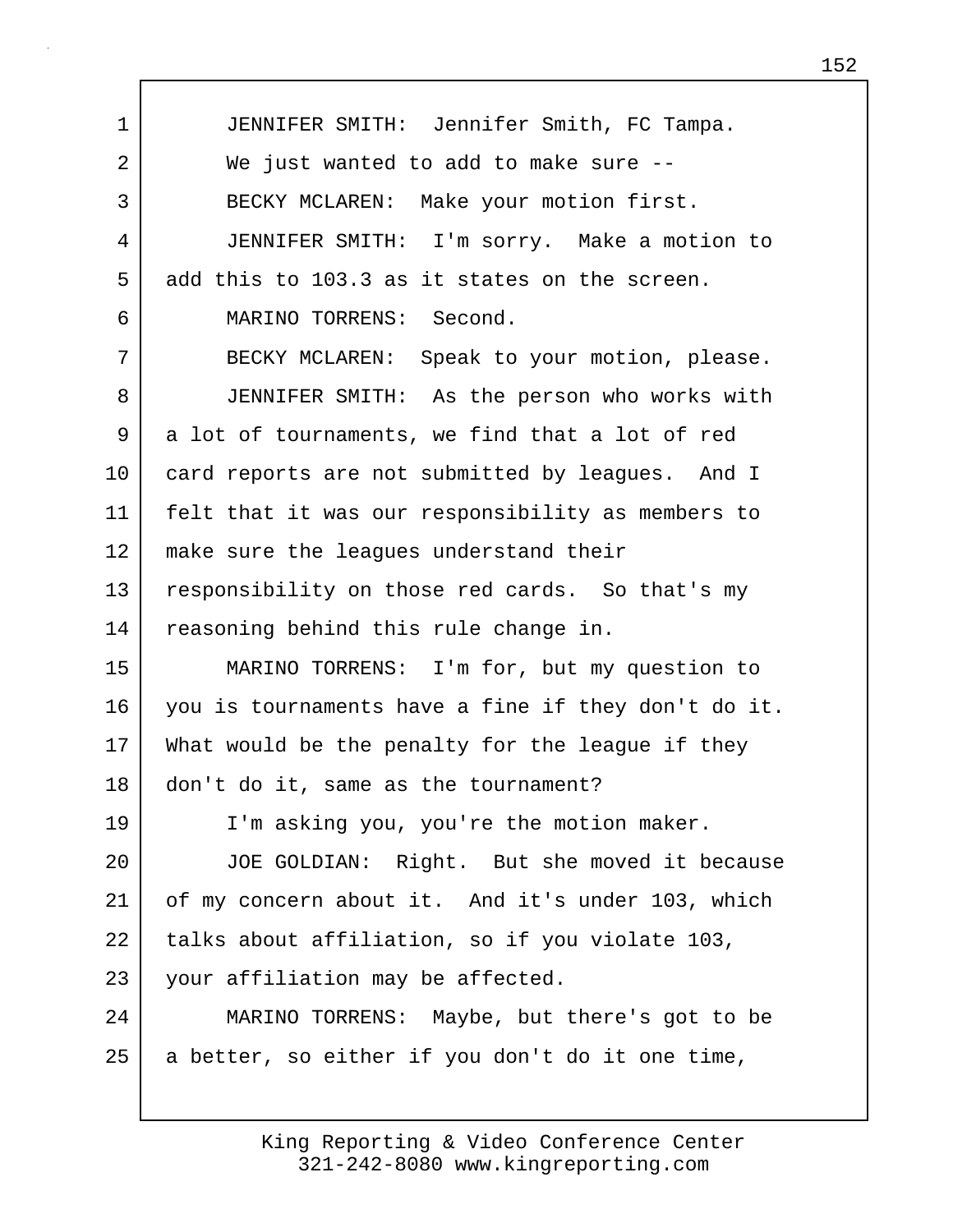1 JENNIFER SMITH: Jennifer Smith, FC Tampa. 2 We just wanted to add to make sure --3 BECKY MCLAREN: Make your motion first. 4 JENNIFER SMITH: I'm sorry. Make a motion to 5 add this to 103.3 as it states on the screen. 6 MARINO TORRENS: Second. 7 BECKY MCLAREN: Speak to your motion, please. 8 JENNIFER SMITH: As the person who works with 9 a lot of tournaments, we find that a lot of red 10 card reports are not submitted by leagues. And I 11 felt that it was our responsibility as members to 12 make sure the leagues understand their 13 responsibility on those red cards. So that's my 14 reasoning behind this rule change in. 15 MARINO TORRENS: I'm for, but my question to 16 you is tournaments have a fine if they don't do it. 17 What would be the penalty for the league if they 18 don't do it, same as the tournament? 19 I'm asking you, you're the motion maker. 20 JOE GOLDIAN: Right. But she moved it because 21 of my concern about it. And it's under 103, which 22 | talks about affiliation, so if you violate 103, 23 your affiliation may be affected. 24 MARINO TORRENS: Maybe, but there's got to be  $25$  a better, so either if you don't do it one time,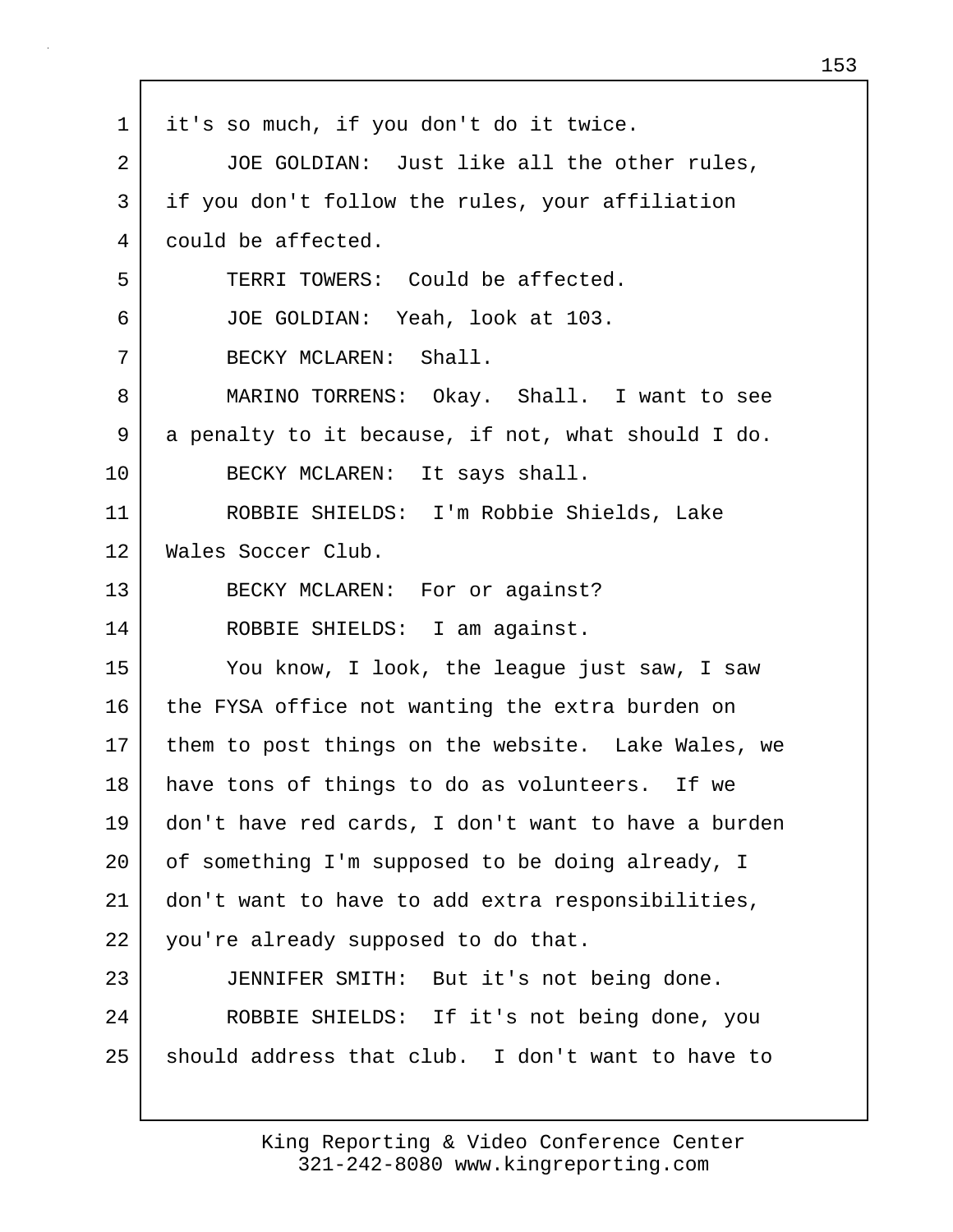1 it's so much, if you don't do it twice. 2 JOE GOLDIAN: Just like all the other rules, 3 if you don't follow the rules, your affiliation 4 could be affected. 5 TERRI TOWERS: Could be affected. 6 JOE GOLDIAN: Yeah, look at 103. 7 BECKY MCLAREN: Shall. 8 MARINO TORRENS: Okay. Shall. I want to see 9 a penalty to it because, if not, what should I do. 10 BECKY MCLAREN: It says shall. 11 ROBBIE SHIELDS: I'm Robbie Shields, Lake 12 Wales Soccer Club. 13 BECKY MCLAREN: For or against? 14 ROBBIE SHIELDS: I am against. 15 You know, I look, the league just saw, I saw 16 the FYSA office not wanting the extra burden on 17 them to post things on the website. Lake Wales, we 18 have tons of things to do as volunteers. If we 19 don't have red cards, I don't want to have a burden 20 | of something I'm supposed to be doing already, I 21 don't want to have to add extra responsibilities, 22 you're already supposed to do that. 23 JENNIFER SMITH: But it's not being done. 24 ROBBIE SHIELDS: If it's not being done, you 25 should address that club. I don't want to have to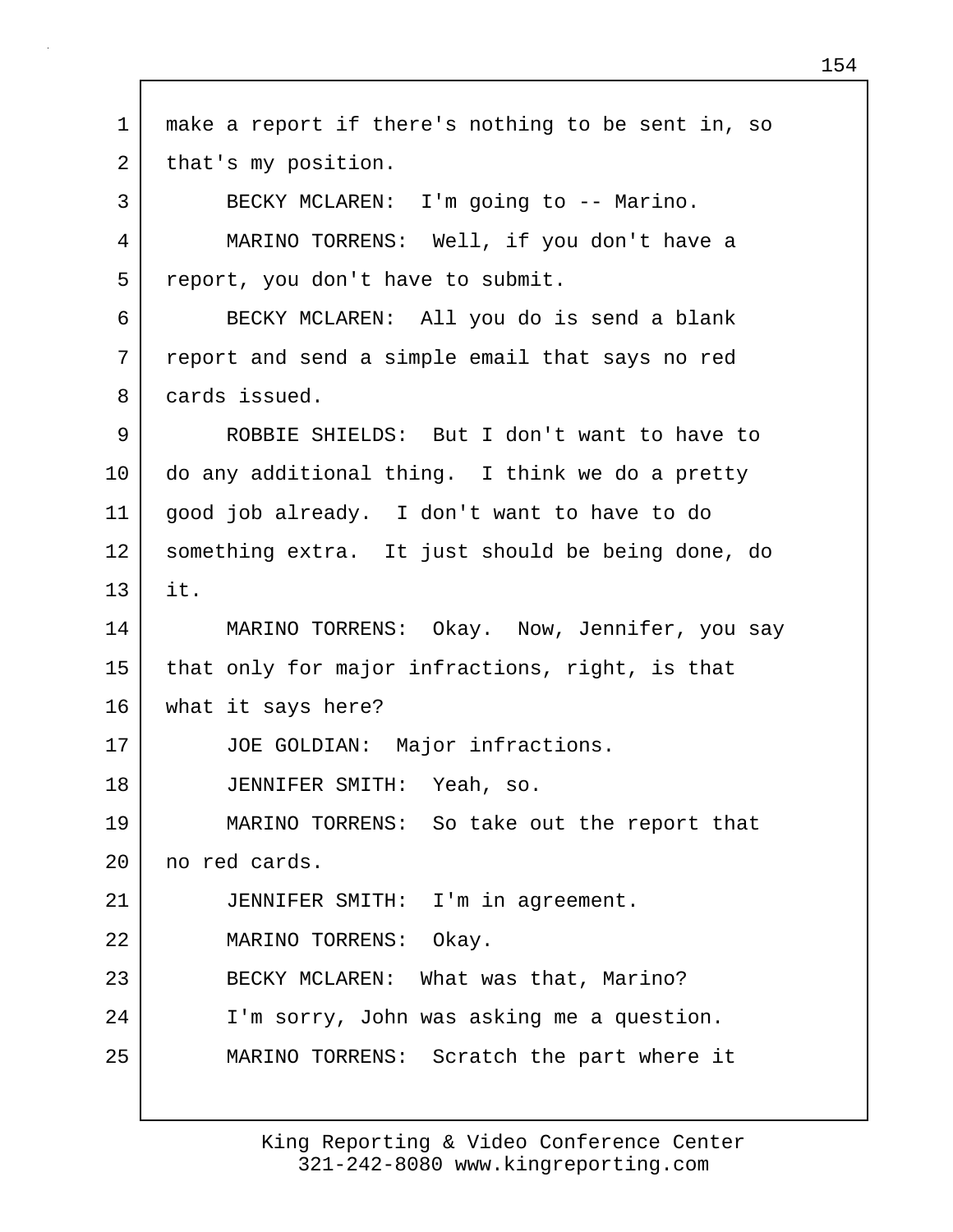1 make a report if there's nothing to be sent in, so 2 | that's my position. 3 BECKY MCLAREN: I'm going to -- Marino. 4 MARINO TORRENS: Well, if you don't have a 5 report, you don't have to submit. 6 BECKY MCLAREN: All you do is send a blank 7 report and send a simple email that says no red 8 cards issued. 9 ROBBIE SHIELDS: But I don't want to have to 10 do any additional thing. I think we do a pretty 11 good job already. I don't want to have to do 12 something extra. It just should be being done, do 13 it. 14 | MARINO TORRENS: Okay. Now, Jennifer, you say 15 that only for major infractions, right, is that 16 what it says here? 17 JOE GOLDIAN: Major infractions. 18 JENNIFER SMITH: Yeah, so. 19 MARINO TORRENS: So take out the report that 20 no red cards. 21 JENNIFER SMITH: I'm in agreement. 22 MARINO TORRENS: Okay. 23 BECKY MCLAREN: What was that, Marino? 24 I'm sorry, John was asking me a question. 25 MARINO TORRENS: Scratch the part where it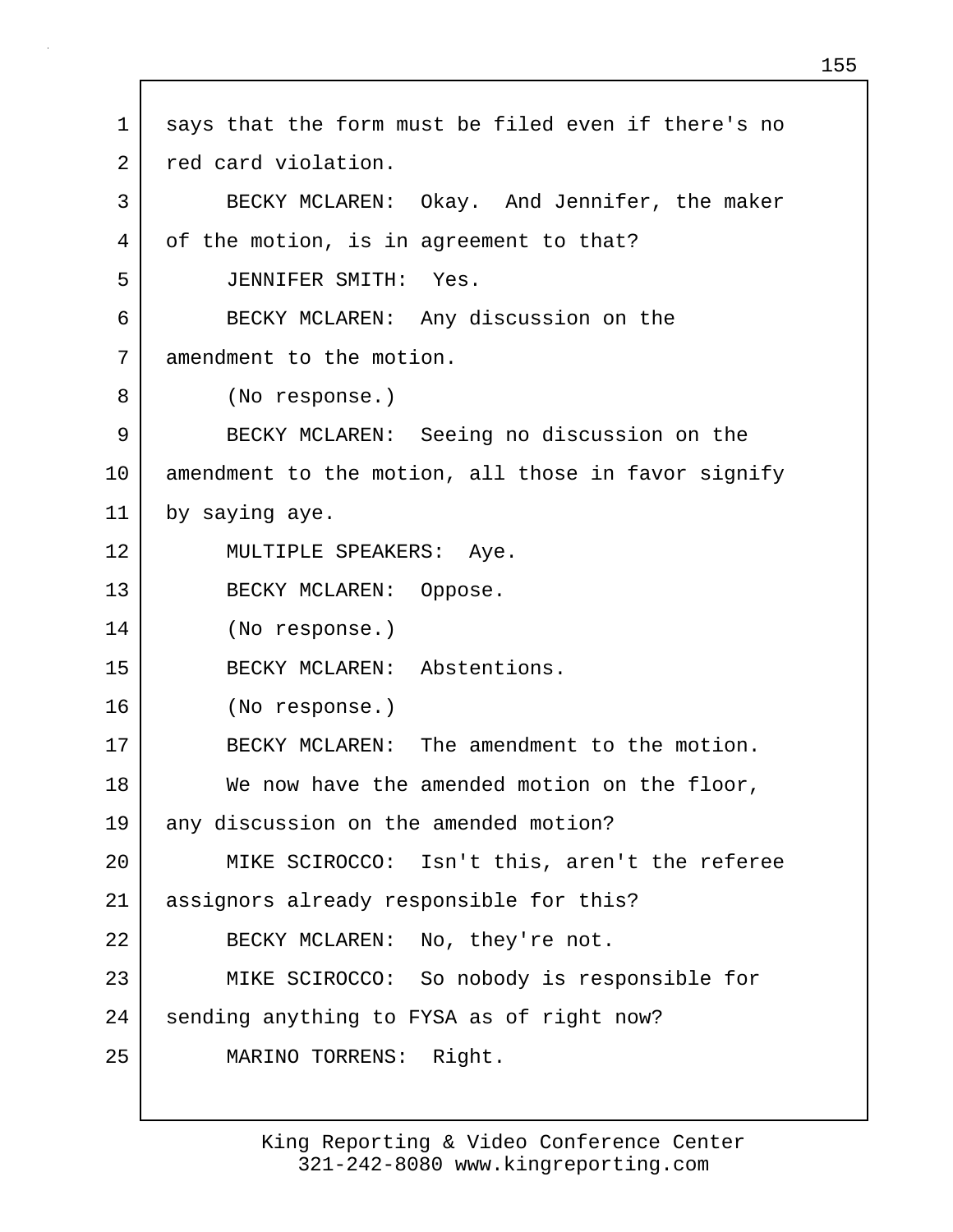1 says that the form must be filed even if there's no 2 red card violation. 3 BECKY MCLAREN: Okay. And Jennifer, the maker 4 of the motion, is in agreement to that? 5 JENNIFER SMITH: Yes. 6 BECKY MCLAREN: Any discussion on the 7 amendment to the motion. 8 (No response.) 9 BECKY MCLAREN: Seeing no discussion on the 10 amendment to the motion, all those in favor signify 11 by saying aye. 12 MULTIPLE SPEAKERS: Aye. 13 BECKY MCLAREN: Oppose. 14 (No response.) 15 BECKY MCLAREN: Abstentions. 16 (No response.) 17 BECKY MCLAREN: The amendment to the motion. 18 We now have the amended motion on the floor, 19 any discussion on the amended motion? 20 MIKE SCIROCCO: Isn't this, aren't the referee 21 assignors already responsible for this? 22 BECKY MCLAREN: No, they're not. 23 MIKE SCIROCCO: So nobody is responsible for 24 sending anything to FYSA as of right now? 25 MARINO TORRENS: Right.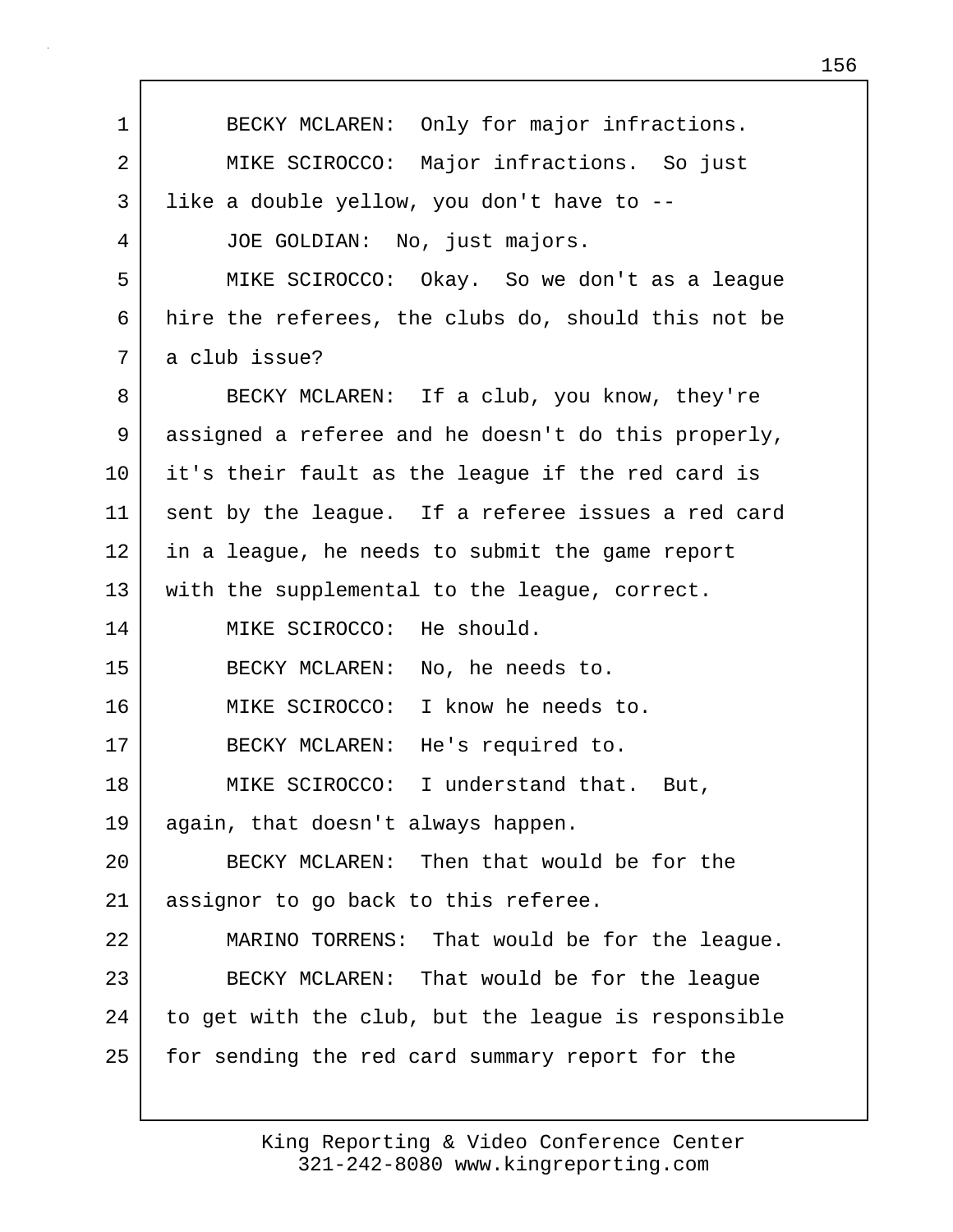1 BECKY MCLAREN: Only for major infractions. 2 MIKE SCIROCCO: Major infractions. So just 3 like a double yellow, you don't have to -- 4 JOE GOLDIAN: No, just majors. 5 MIKE SCIROCCO: Okay. So we don't as a league 6 hire the referees, the clubs do, should this not be 7 a club issue? 8 BECKY MCLAREN: If a club, you know, they're 9 assigned a referee and he doesn't do this properly, 10 it's their fault as the league if the red card is 11 sent by the league. If a referee issues a red card 12 in a league, he needs to submit the game report 13 with the supplemental to the league, correct. 14 MIKE SCIROCCO: He should. 15 BECKY MCLAREN: No, he needs to. 16 MIKE SCIROCCO: I know he needs to. 17 BECKY MCLAREN: He's required to. 18 | MIKE SCIROCCO: I understand that. But, 19 again, that doesn't always happen. 20 BECKY MCLAREN: Then that would be for the 21 assignor to go back to this referee. 22 MARINO TORRENS: That would be for the league. 23 BECKY MCLAREN: That would be for the league 24 to get with the club, but the league is responsible 25 for sending the red card summary report for the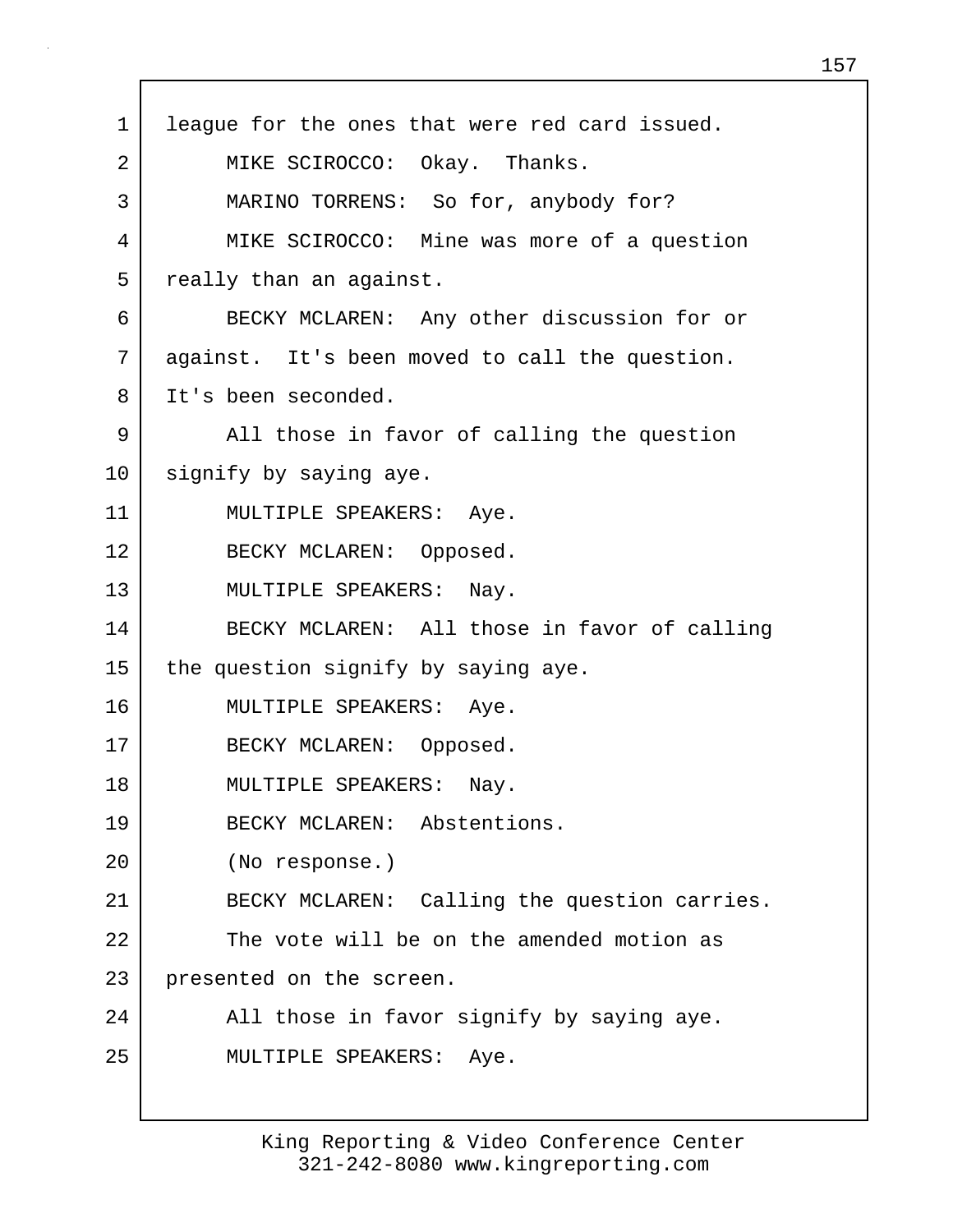| $\mathbf 1$ | league for the ones that were red card issued. |
|-------------|------------------------------------------------|
| 2           | MIKE SCIROCCO: Okay. Thanks.                   |
| 3           | MARINO TORRENS: So for, anybody for?           |
| 4           | MIKE SCIROCCO: Mine was more of a question     |
| 5           | really than an against.                        |
| 6           | BECKY MCLAREN: Any other discussion for or     |
| 7           | against. It's been moved to call the question. |
| 8           | It's been seconded.                            |
| 9           | All those in favor of calling the question     |
| 10          | signify by saying aye.                         |
| 11          | MULTIPLE SPEAKERS: Aye.                        |
| 12          | BECKY MCLAREN: Opposed.                        |
| 13          | MULTIPLE SPEAKERS: Nay.                        |
| 14          | BECKY MCLAREN: All those in favor of calling   |
| 15          | the question signify by saying aye.            |
| 16          | MULTIPLE SPEAKERS: Aye.                        |
| 17          | BECKY MCLAREN: Opposed.                        |
| 18          | MULTIPLE SPEAKERS: Nay.                        |
| 19          | BECKY MCLAREN: Abstentions.                    |
| 20          | (No response.)                                 |
| 21          | BECKY MCLAREN: Calling the question carries.   |
| 22          | The vote will be on the amended motion as      |
| 23          | presented on the screen.                       |
| 24          | All those in favor signify by saying aye.      |
| 25          | MULTIPLE SPEAKERS: Aye.                        |
|             |                                                |

г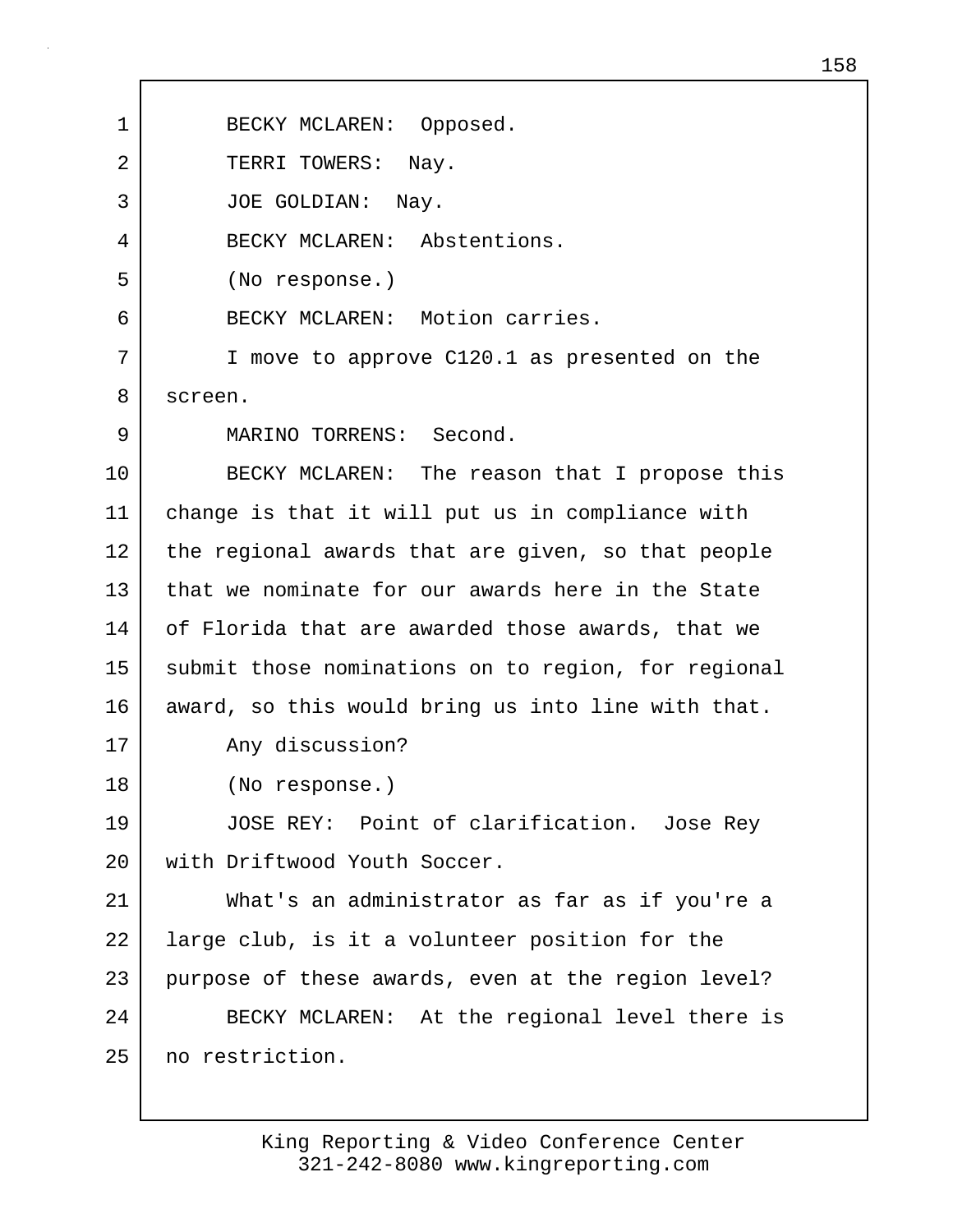1 BECKY MCLAREN: Opposed. 2 TERRI TOWERS: Nay. 3 JOE GOLDIAN: Nay. 4 BECKY MCLAREN: Abstentions. 5 (No response.) 6 BECKY MCLAREN: Motion carries. 7 I move to approve C120.1 as presented on the 8 screen. 9 MARINO TORRENS: Second. 10 BECKY MCLAREN: The reason that I propose this 11 change is that it will put us in compliance with 12 the regional awards that are given, so that people 13 that we nominate for our awards here in the State 14 of Florida that are awarded those awards, that we 15 submit those nominations on to region, for regional 16 award, so this would bring us into line with that. 17 Any discussion? 18 (No response.) 19 JOSE REY: Point of clarification. Jose Rey 20 | with Driftwood Youth Soccer. 21 What's an administrator as far as if you're a 22 | large club, is it a volunteer position for the 23 purpose of these awards, even at the region level? 24 BECKY MCLAREN: At the regional level there is 25 no restriction.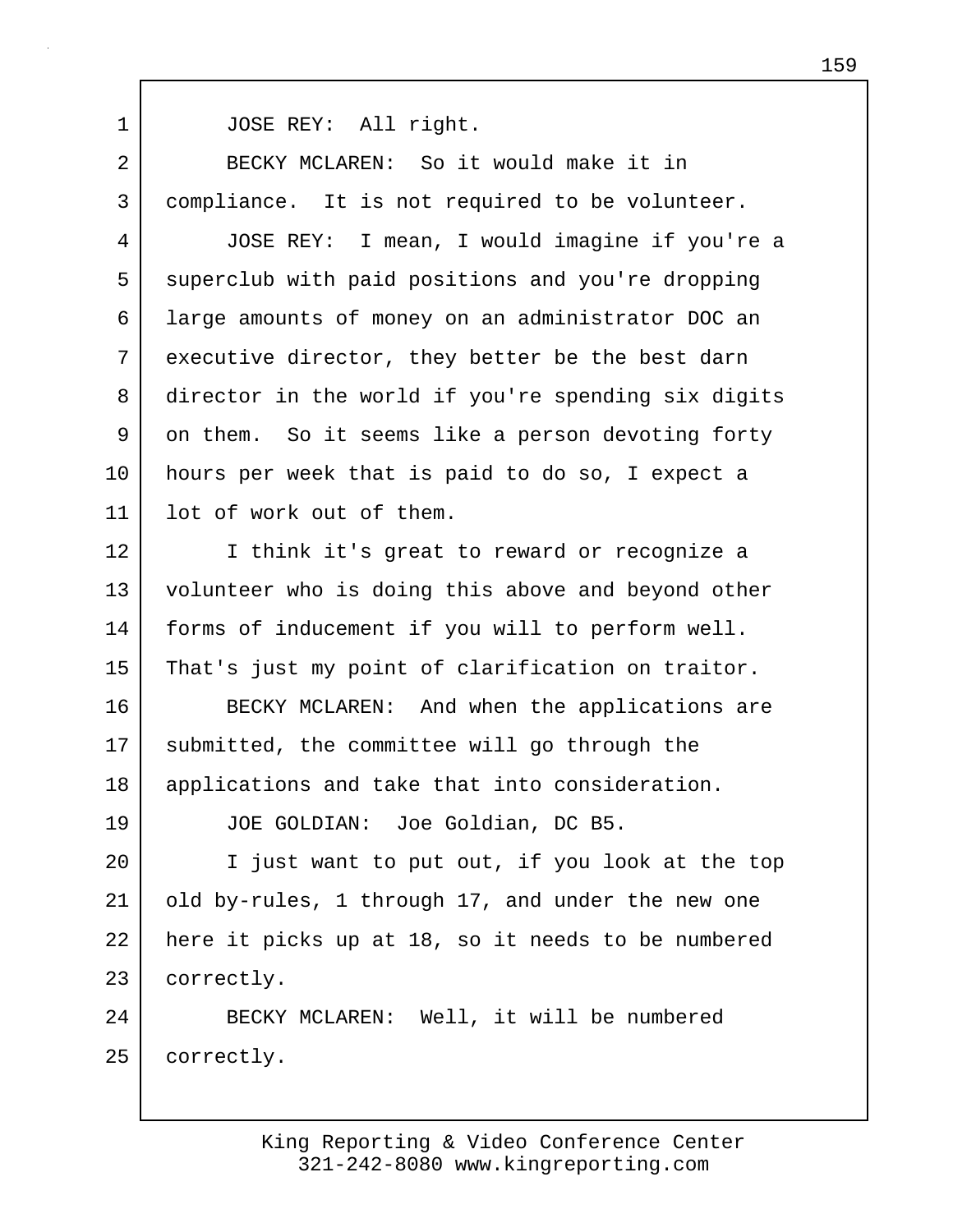1 JOSE REY: All right.

2 BECKY MCLAREN: So it would make it in 3 compliance. It is not required to be volunteer.

4 JOSE REY: I mean, I would imagine if you're a 5 superclub with paid positions and you're dropping 6 large amounts of money on an administrator DOC an 7 executive director, they better be the best darn 8 director in the world if you're spending six digits 9 on them. So it seems like a person devoting forty 10 hours per week that is paid to do so, I expect a 11 lot of work out of them.

12 I think it's great to reward or recognize a 13 volunteer who is doing this above and beyond other 14 forms of inducement if you will to perform well. 15 That's just my point of clarification on traitor.

16 BECKY MCLAREN: And when the applications are 17 | submitted, the committee will go through the 18 | applications and take that into consideration.

19 JOE GOLDIAN: Joe Goldian, DC B5.

20 I just want to put out, if you look at the top 21 old by-rules, 1 through 17, and under the new one 22 here it picks up at 18, so it needs to be numbered 23 correctly.

24 | BECKY MCLAREN: Well, it will be numbered 25 correctly.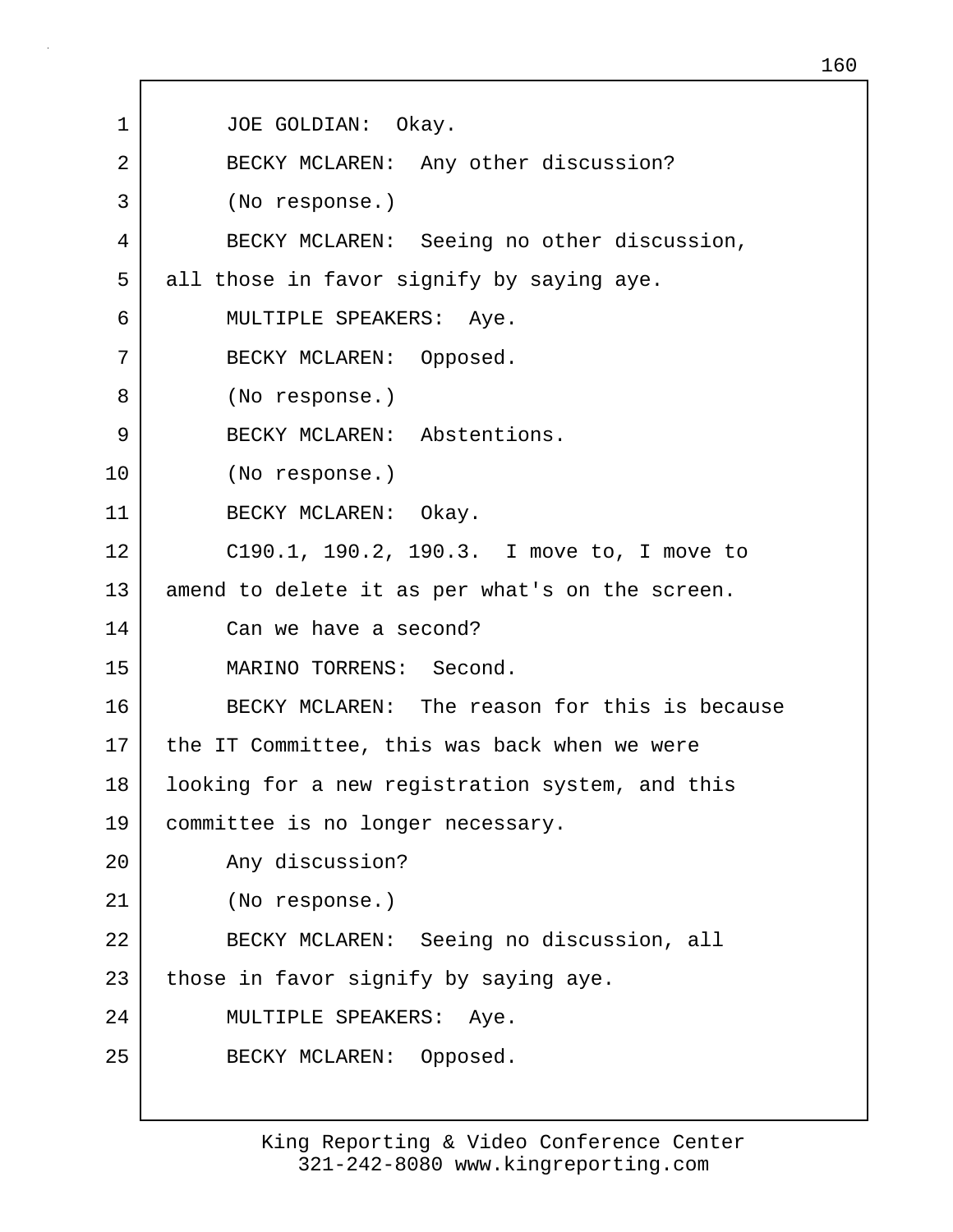1 JOE GOLDIAN: Okay. 2 BECKY MCLAREN: Any other discussion? 3 (No response.) 4 BECKY MCLAREN: Seeing no other discussion, 5 all those in favor signify by saying aye. 6 MULTIPLE SPEAKERS: Aye. 7 BECKY MCLAREN: Opposed. 8 (No response.) 9 BECKY MCLAREN: Abstentions. 10 (No response.) 11 BECKY MCLAREN: Okay. 12 C190.1, 190.2, 190.3. I move to, I move to 13 amend to delete it as per what's on the screen. 14 Can we have a second? 15 MARINO TORRENS: Second. 16 BECKY MCLAREN: The reason for this is because 17 | the IT Committee, this was back when we were 18 looking for a new registration system, and this 19 | committee is no longer necessary. 20 Any discussion? 21 (No response.) 22 BECKY MCLAREN: Seeing no discussion, all  $23$  those in favor signify by saying aye. 24 MULTIPLE SPEAKERS: Aye. 25 BECKY MCLAREN: Opposed.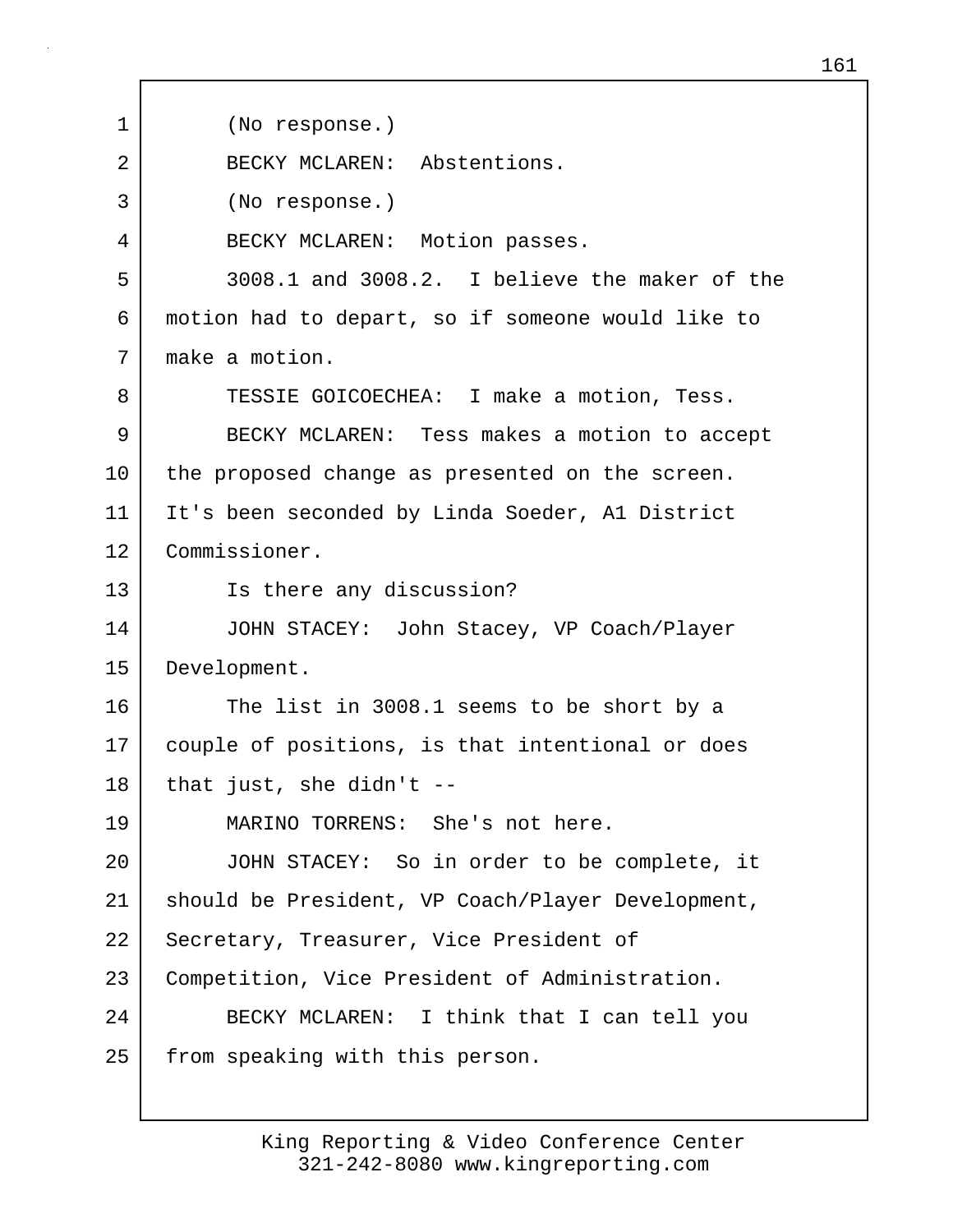1 (No response.) 2 BECKY MCLAREN: Abstentions. 3 (No response.) 4 BECKY MCLAREN: Motion passes. 5 3008.1 and 3008.2. I believe the maker of the 6 motion had to depart, so if someone would like to 7 make a motion. 8 TESSIE GOICOECHEA: I make a motion, Tess. 9 BECKY MCLAREN: Tess makes a motion to accept 10 | the proposed change as presented on the screen. 11 It's been seconded by Linda Soeder, A1 District 12 Commissioner. 13 Is there any discussion? 14 JOHN STACEY: John Stacey, VP Coach/Player 15 Development. 16 The list in 3008.1 seems to be short by a 17 couple of positions, is that intentional or does  $18$  that just, she didn't  $-$ 19 MARINO TORRENS: She's not here. 20 JOHN STACEY: So in order to be complete, it 21 should be President, VP Coach/Player Development, 22 | Secretary, Treasurer, Vice President of 23 Competition, Vice President of Administration. 24 BECKY MCLAREN: I think that I can tell you 25 | from speaking with this person.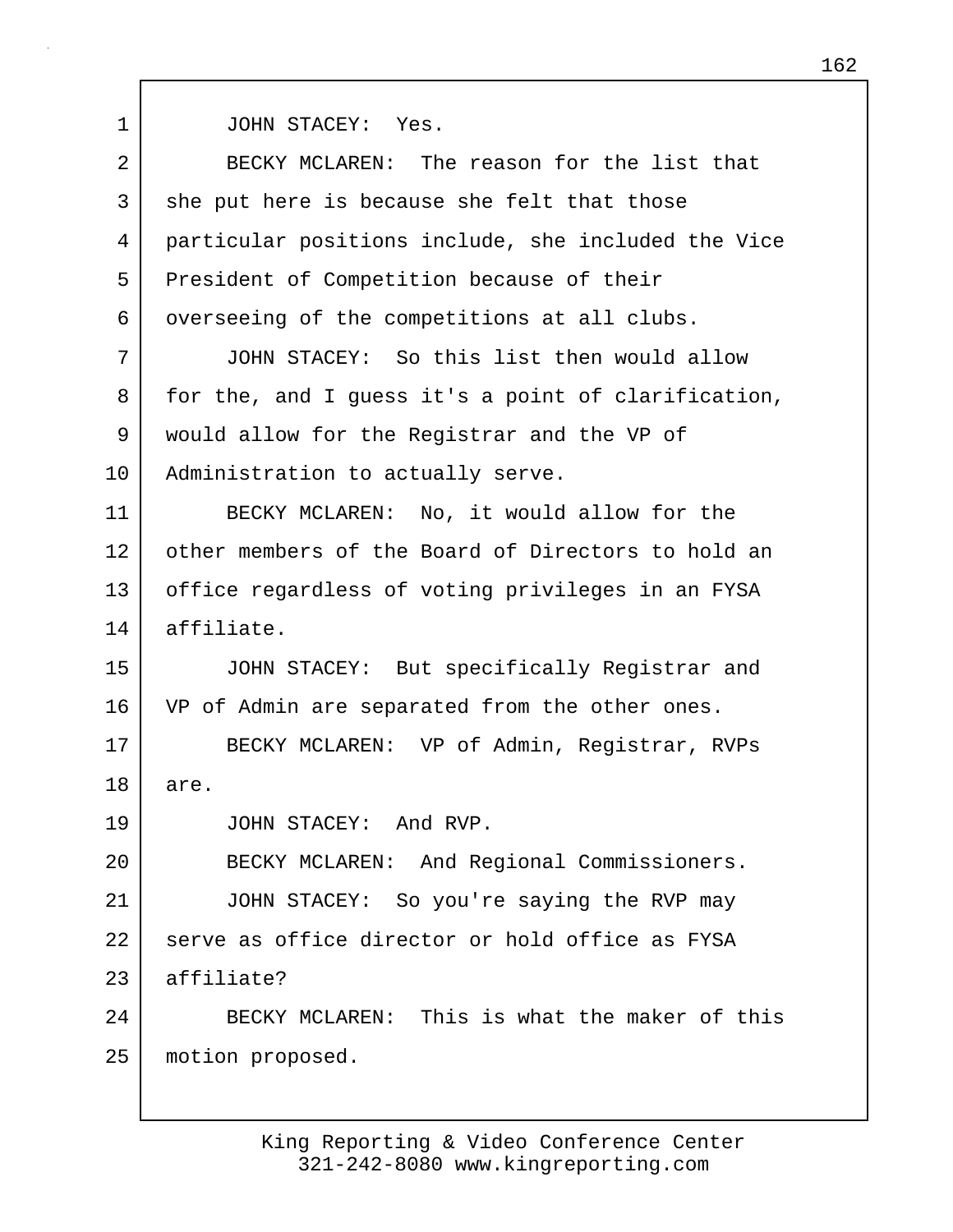1 JOHN STACEY: Yes.

| 2  | BECKY MCLAREN: The reason for the list that         |
|----|-----------------------------------------------------|
| 3  | she put here is because she felt that those         |
| 4  | particular positions include, she included the Vice |
| 5  | President of Competition because of their           |
| 6  | overseeing of the competitions at all clubs.        |
| 7  | JOHN STACEY: So this list then would allow          |
| 8  | for the, and I guess it's a point of clarification, |
| 9  | would allow for the Registrar and the VP of         |
| 10 | Administration to actually serve.                   |
| 11 | BECKY MCLAREN: No, it would allow for the           |
| 12 | other members of the Board of Directors to hold an  |
| 13 | office regardless of voting privileges in an FYSA   |
| 14 | affiliate.                                          |
| 15 | JOHN STACEY: But specifically Registrar and         |
| 16 | VP of Admin are separated from the other ones.      |
| 17 | BECKY MCLAREN: VP of Admin, Registrar, RVPs         |
| 18 | are.                                                |
| 19 | JOHN STACEY:<br>And RVP.                            |
| 20 | BECKY MCLAREN: And Regional Commissioners.          |
| 21 | JOHN STACEY: So you're saying the RVP may           |
| 22 | serve as office director or hold office as FYSA     |
| 23 | affiliate?                                          |
| 24 | BECKY MCLAREN: This is what the maker of this       |
| 25 | motion proposed.                                    |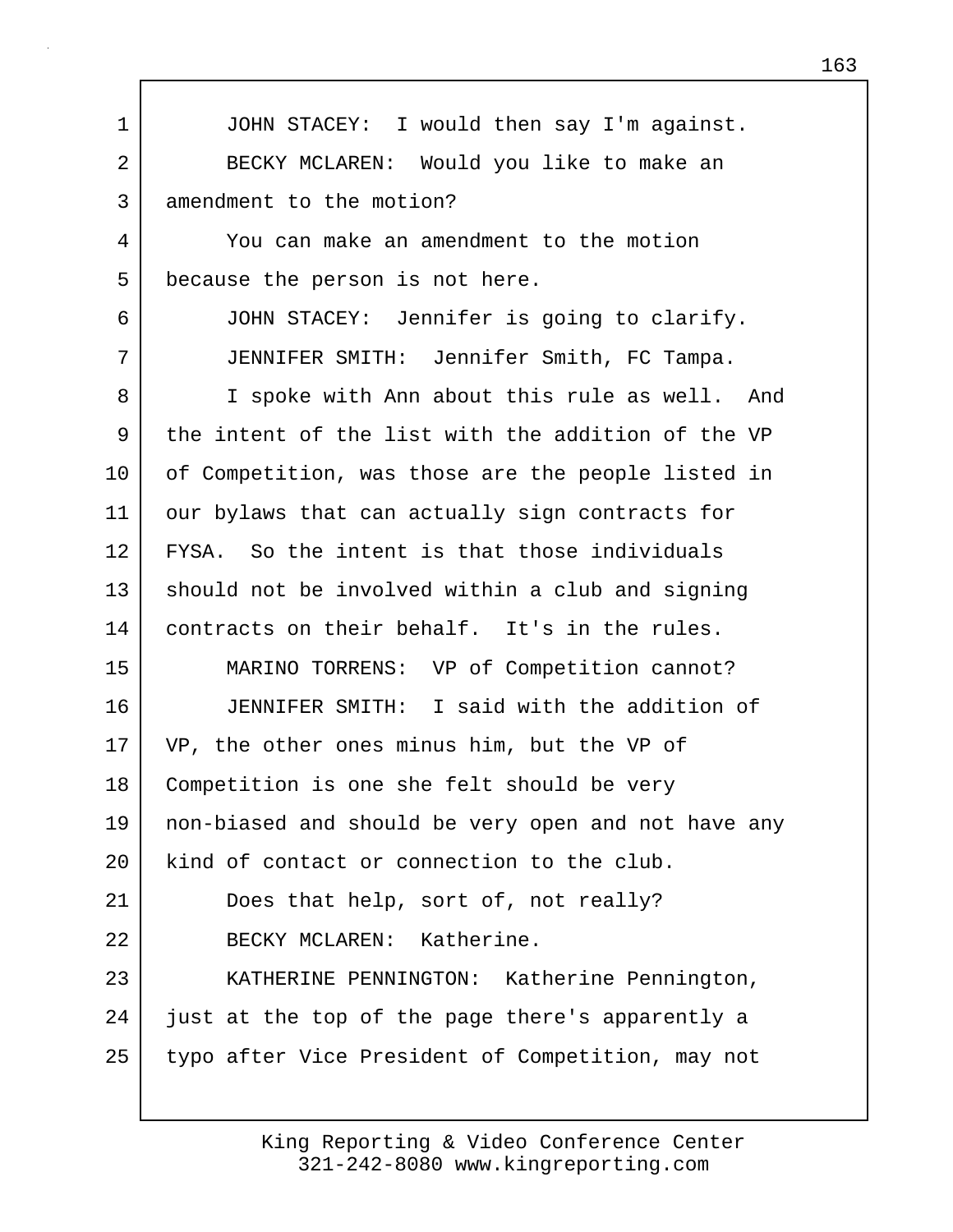1 JOHN STACEY: I would then say I'm against. 2 BECKY MCLAREN: Would you like to make an 3 amendment to the motion? 4 You can make an amendment to the motion 5 because the person is not here. 6 JOHN STACEY: Jennifer is going to clarify. 7 JENNIFER SMITH: Jennifer Smith, FC Tampa. 8 I spoke with Ann about this rule as well. And 9 the intent of the list with the addition of the VP 10 | of Competition, was those are the people listed in 11 | our bylaws that can actually sign contracts for 12 FYSA. So the intent is that those individuals 13 should not be involved within a club and signing 14 contracts on their behalf. It's in the rules. 15 MARINO TORRENS: VP of Competition cannot? 16 JENNIFER SMITH: I said with the addition of 17 VP, the other ones minus him, but the VP of 18 Competition is one she felt should be very 19 non-biased and should be very open and not have any 20 kind of contact or connection to the club. 21 Does that help, sort of, not really? 22 BECKY MCLAREN: Katherine. 23 KATHERINE PENNINGTON: Katherine Pennington, 24 just at the top of the page there's apparently a 25 typo after Vice President of Competition, may not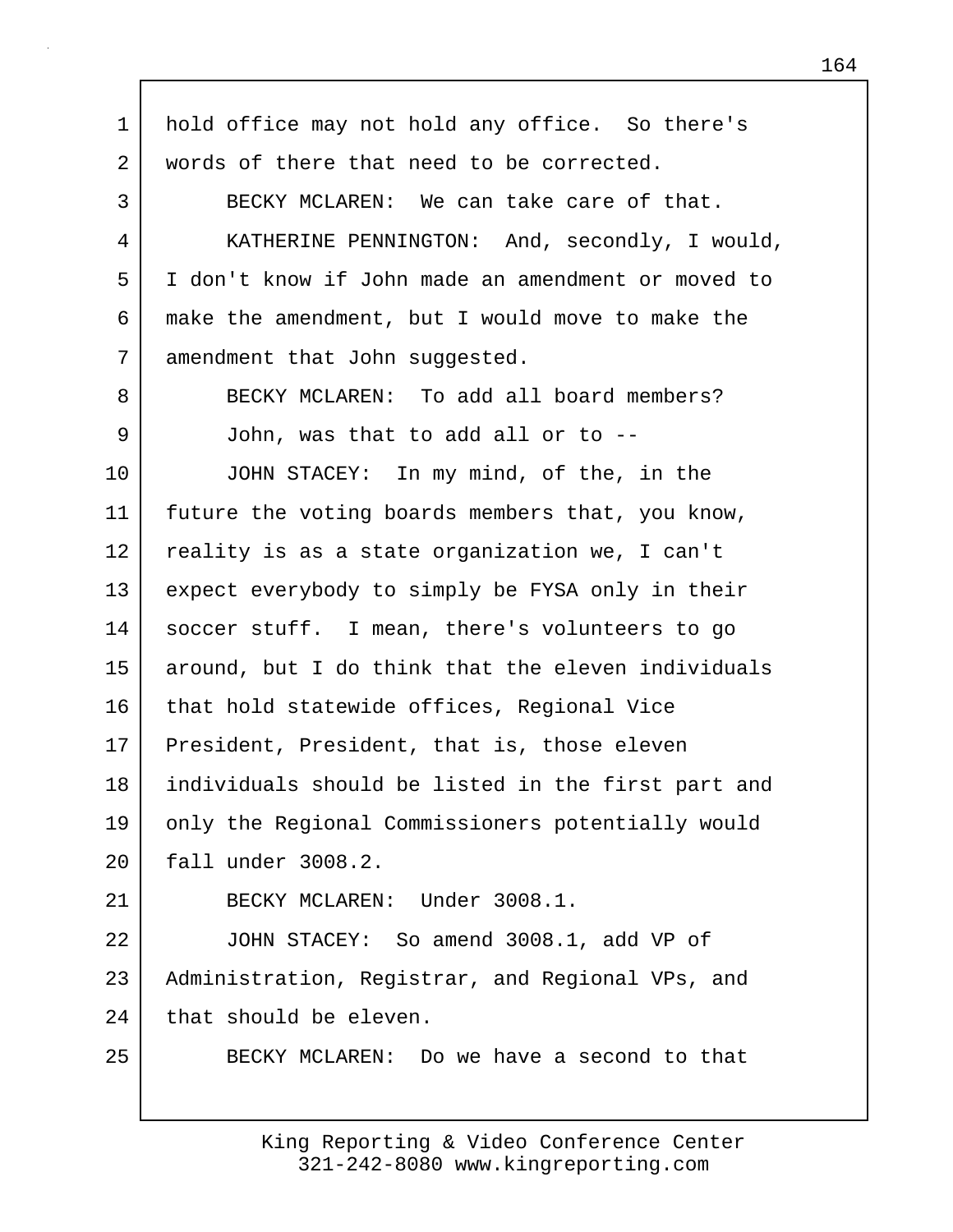1 hold office may not hold any office. So there's 2 words of there that need to be corrected. 3 BECKY MCLAREN: We can take care of that. 4 KATHERINE PENNINGTON: And, secondly, I would, 5 I don't know if John made an amendment or moved to 6 make the amendment, but I would move to make the 7 amendment that John suggested. 8 BECKY MCLAREN: To add all board members? 9 John, was that to add all or to --10 JOHN STACEY: In my mind, of the, in the 11 future the voting boards members that, you know, 12 reality is as a state organization we, I can't 13 expect everybody to simply be FYSA only in their 14 soccer stuff. I mean, there's volunteers to go 15 | around, but I do think that the eleven individuals 16 that hold statewide offices, Regional Vice 17 President, President, that is, those eleven 18 individuals should be listed in the first part and 19 only the Regional Commissioners potentially would 20 fall under 3008.2. 21 BECKY MCLAREN: Under 3008.1. 22 JOHN STACEY: So amend 3008.1, add VP of 23 | Administration, Registrar, and Regional VPs, and 24 that should be eleven. 25 BECKY MCLAREN: Do we have a second to that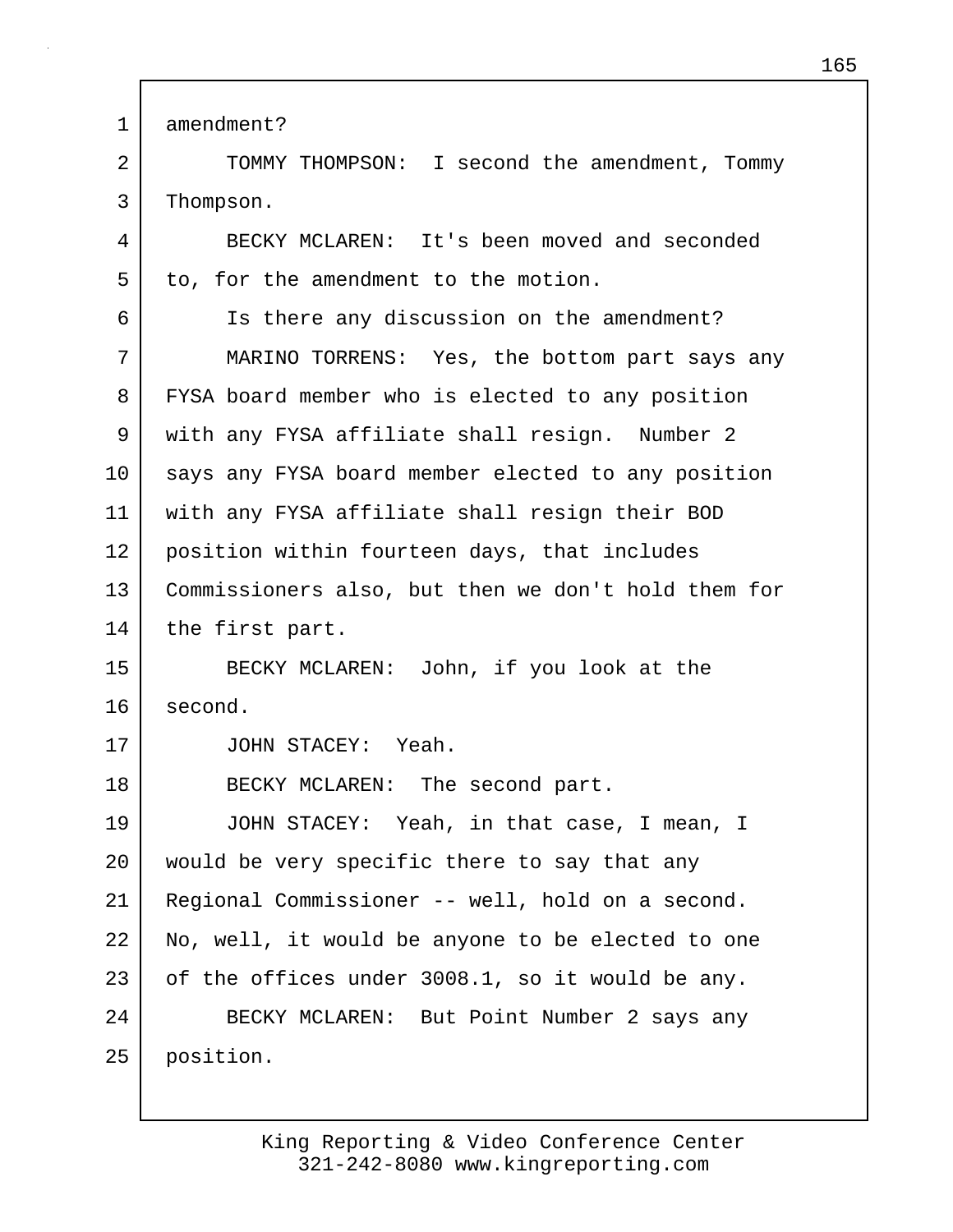1 amendment?

2 TOMMY THOMPSON: I second the amendment, Tommy 3 Thompson.

4 BECKY MCLAREN: It's been moved and seconded 5 to, for the amendment to the motion.

6 Is there any discussion on the amendment? 7 MARINO TORRENS: Yes, the bottom part says any 8 FYSA board member who is elected to any position 9 | with any FYSA affiliate shall resign. Number 2 10 | says any FYSA board member elected to any position 11 with any FYSA affiliate shall resign their BOD 12 position within fourteen days, that includes 13 Commissioners also, but then we don't hold them for 14 | the first part.

15 BECKY MCLAREN: John, if you look at the 16 second.

17 JOHN STACEY: Yeah.

18 BECKY MCLAREN: The second part.

19 JOHN STACEY: Yeah, in that case, I mean, I 20 would be very specific there to say that any 21 Regional Commissioner -- well, hold on a second. 22 No, well, it would be anyone to be elected to one 23 of the offices under 3008.1, so it would be any. 24 BECKY MCLAREN: But Point Number 2 says any 25 position.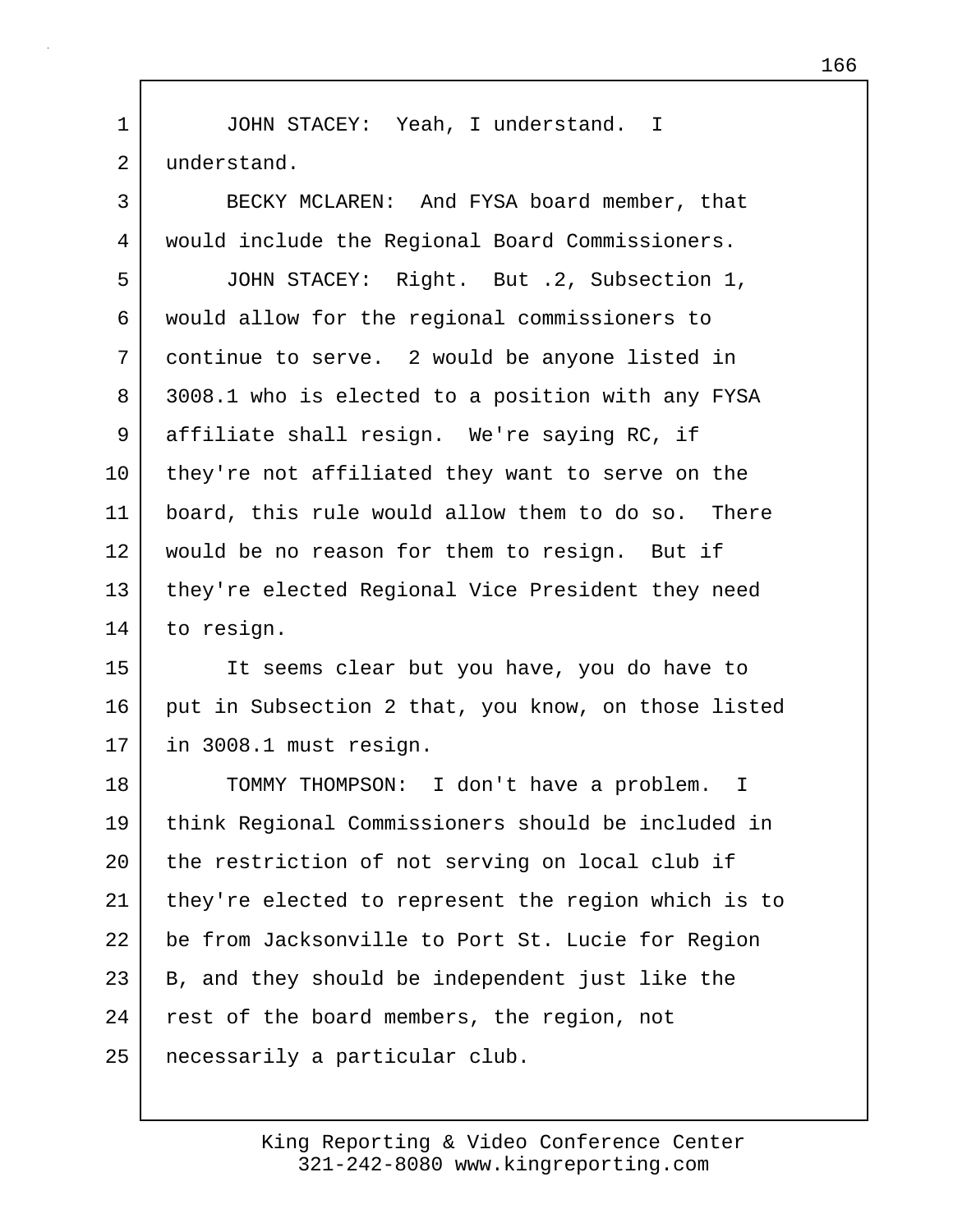1 JOHN STACEY: Yeah, I understand. I 2 understand.

3 BECKY MCLAREN: And FYSA board member, that 4 would include the Regional Board Commissioners. 5 JOHN STACEY: Right. But .2, Subsection 1, 6 would allow for the regional commissioners to 7 continue to serve. 2 would be anyone listed in 8 3008.1 who is elected to a position with any FYSA 9 affiliate shall resign. We're saying RC, if 10 they're not affiliated they want to serve on the 11 board, this rule would allow them to do so. There 12 | would be no reason for them to resign. But if 13 they're elected Regional Vice President they need 14 to resign.

15 It seems clear but you have, you do have to 16 put in Subsection 2 that, you know, on those listed 17 in 3008.1 must resign.

18 TOMMY THOMPSON: I don't have a problem. I 19 think Regional Commissioners should be included in 20 the restriction of not serving on local club if 21 they're elected to represent the region which is to 22 be from Jacksonville to Port St. Lucie for Region 23 B, and they should be independent just like the 24 rest of the board members, the region, not 25 necessarily a particular club.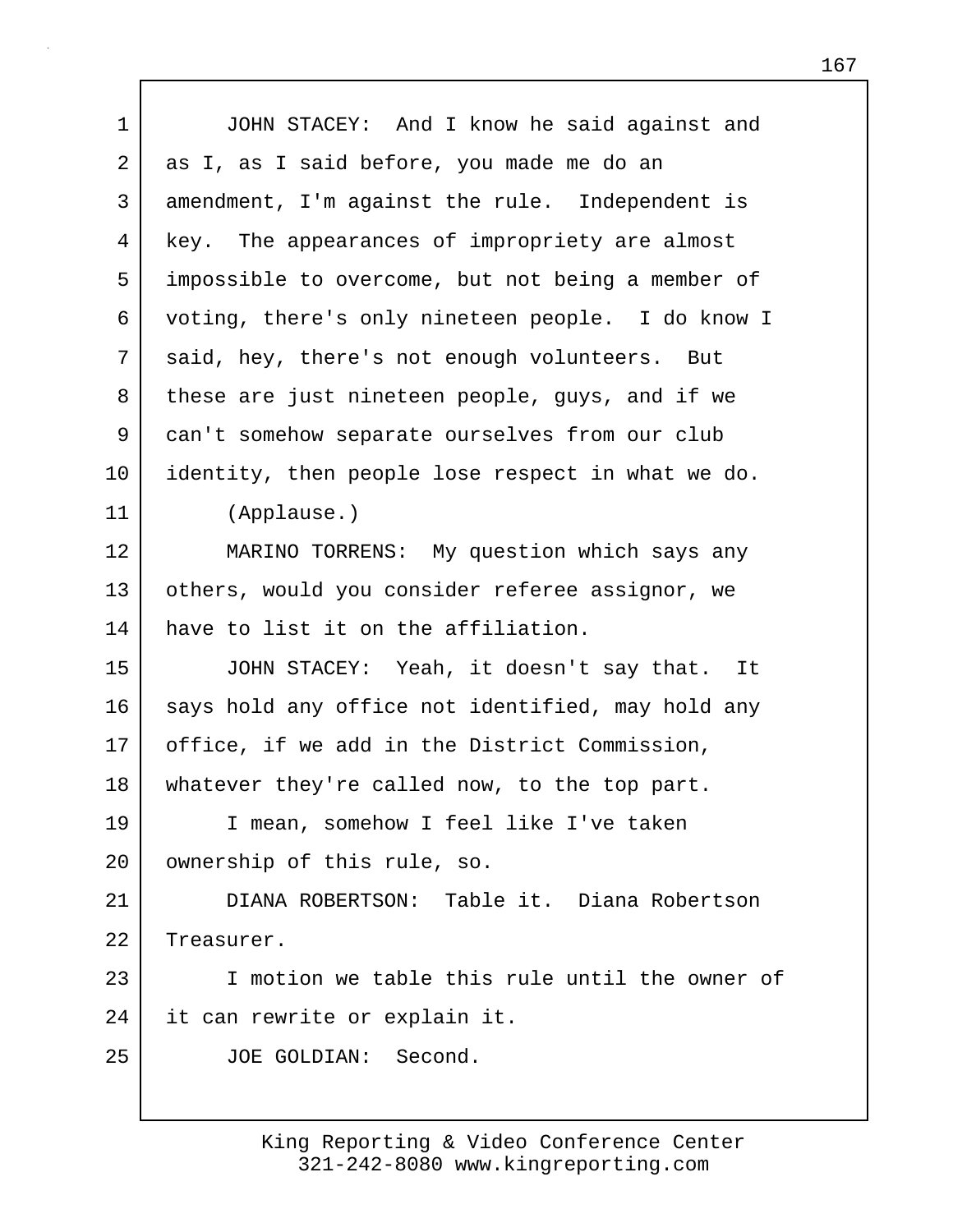| 1       | JOHN STACEY: And I know he said against and       |
|---------|---------------------------------------------------|
| 2       | as I, as I said before, you made me do an         |
| 3       | amendment, I'm against the rule. Independent is   |
| 4       | key. The appearances of impropriety are almost    |
| 5       | impossible to overcome, but not being a member of |
| 6       | voting, there's only nineteen people. I do know I |
| 7       | said, hey, there's not enough volunteers. But     |
| 8       | these are just nineteen people, guys, and if we   |
| 9       | can't somehow separate ourselves from our club    |
| $10 \,$ | identity, then people lose respect in what we do. |
| 11      | (Applause.)                                       |
| 12      | MARINO TORRENS: My question which says any        |
| 13      | others, would you consider referee assignor, we   |
| 14      | have to list it on the affiliation.               |
| 15      | JOHN STACEY: Yeah, it doesn't say that. It        |
| 16      | says hold any office not identified, may hold any |
| 17      | office, if we add in the District Commission,     |
| 18      | whatever they're called now, to the top part.     |
| 19      | I mean, somehow I feel like I've taken            |
| 20      | ownership of this rule, so.                       |
| 21      | DIANA ROBERTSON: Table it. Diana Robertson        |
| 22      | Treasurer.                                        |
| 23      | I motion we table this rule until the owner of    |
| 24      | it can rewrite or explain it.                     |
| 25      | JOE GOLDIAN: Second.                              |
|         |                                                   |

 $\mathbf{I}$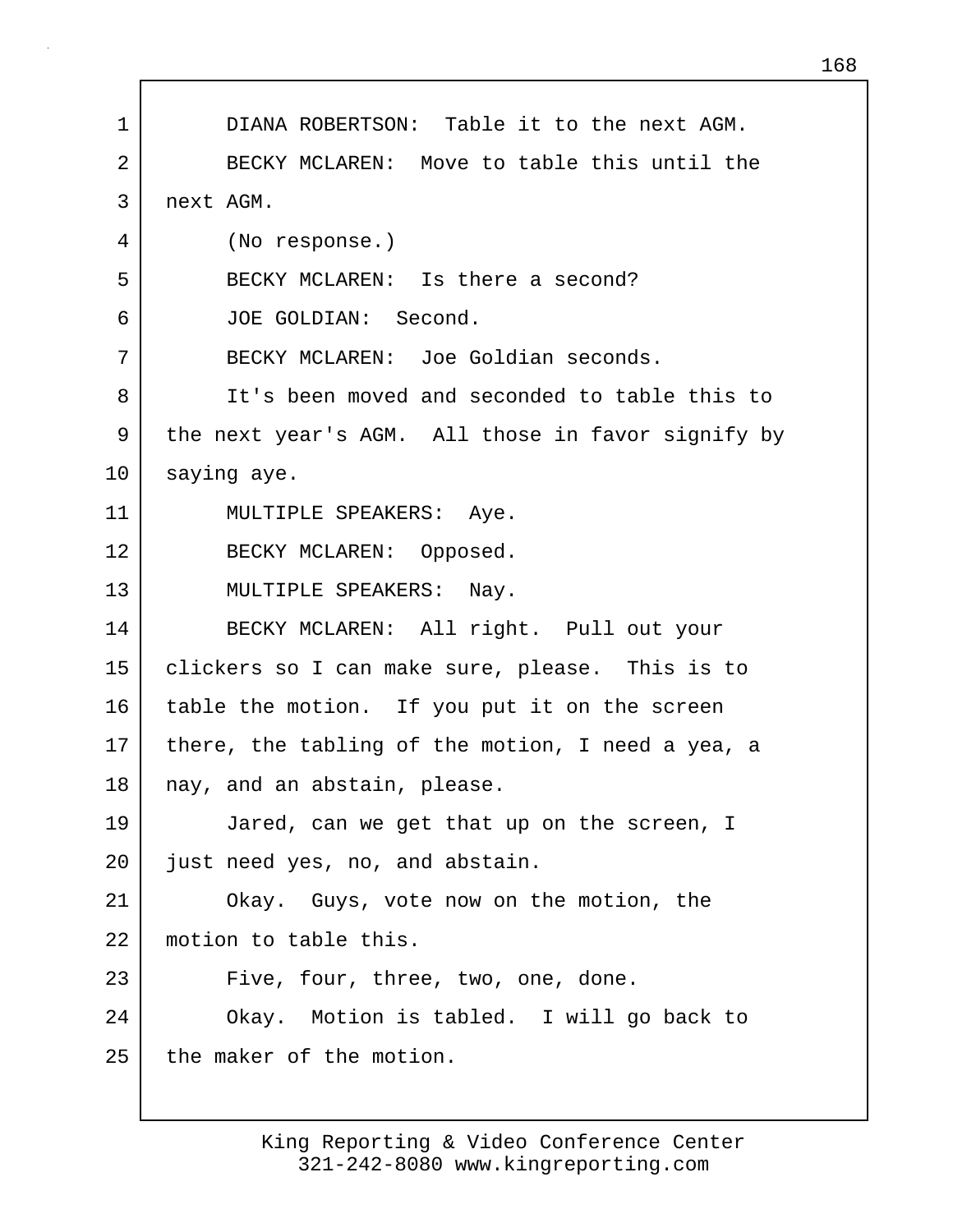1 DIANA ROBERTSON: Table it to the next AGM. 2 BECKY MCLAREN: Move to table this until the 3 next AGM. 4 (No response.) 5 BECKY MCLAREN: Is there a second? 6 JOE GOLDIAN: Second. 7 BECKY MCLAREN: Joe Goldian seconds. 8 It's been moved and seconded to table this to 9 the next year's AGM. All those in favor signify by 10 saying aye. 11 MULTIPLE SPEAKERS: Aye. 12 BECKY MCLAREN: Opposed. 13 MULTIPLE SPEAKERS: Nay. 14 BECKY MCLAREN: All right. Pull out your 15 clickers so I can make sure, please. This is to 16 table the motion. If you put it on the screen 17 there, the tabling of the motion, I need a yea, a 18 | nay, and an abstain, please. 19 Jared, can we get that up on the screen, I 20 just need yes, no, and abstain. 21 Okay. Guys, vote now on the motion, the 22 motion to table this. 23 Five, four, three, two, one, done. 24 Okay. Motion is tabled. I will go back to 25 the maker of the motion.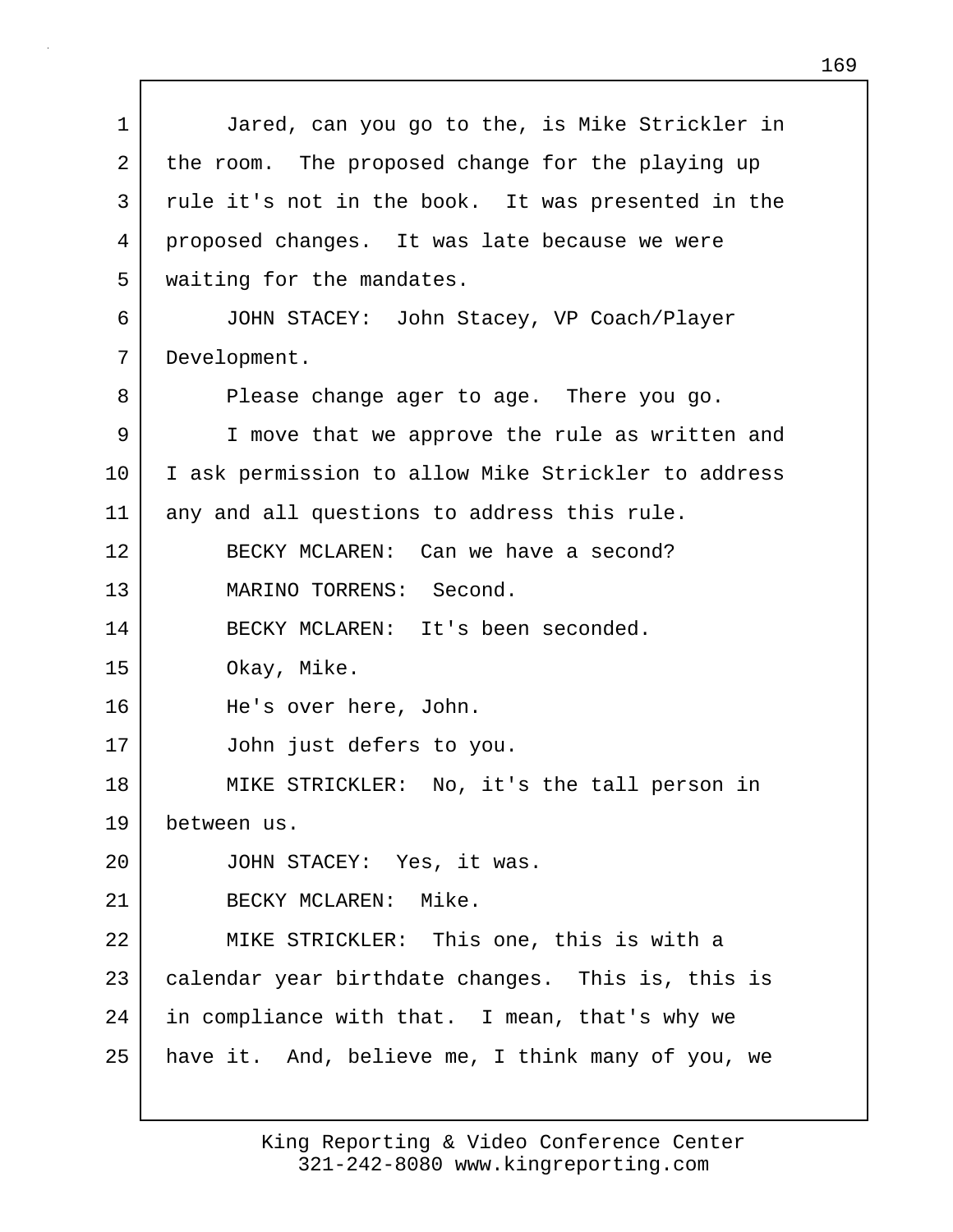1 Jared, can you go to the, is Mike Strickler in 2 the room. The proposed change for the playing up 3 rule it's not in the book. It was presented in the 4 proposed changes. It was late because we were 5 | waiting for the mandates. 6 JOHN STACEY: John Stacey, VP Coach/Player 7 Development. 8 Please change ager to age. There you go. 9 I move that we approve the rule as written and 10 | I ask permission to allow Mike Strickler to address 11 any and all questions to address this rule. 12 BECKY MCLAREN: Can we have a second? 13 MARINO TORRENS: Second. 14 BECKY MCLAREN: It's been seconded. 15 Okay, Mike. 16 He's over here, John. 17 John just defers to you. 18 | MIKE STRICKLER: No, it's the tall person in 19 between us. 20 JOHN STACEY: Yes, it was. 21 BECKY MCLAREN: Mike. 22 MIKE STRICKLER: This one, this is with a 23 calendar year birthdate changes. This is, this is 24 | in compliance with that. I mean, that's why we 25 | have it. And, believe me, I think many of you, we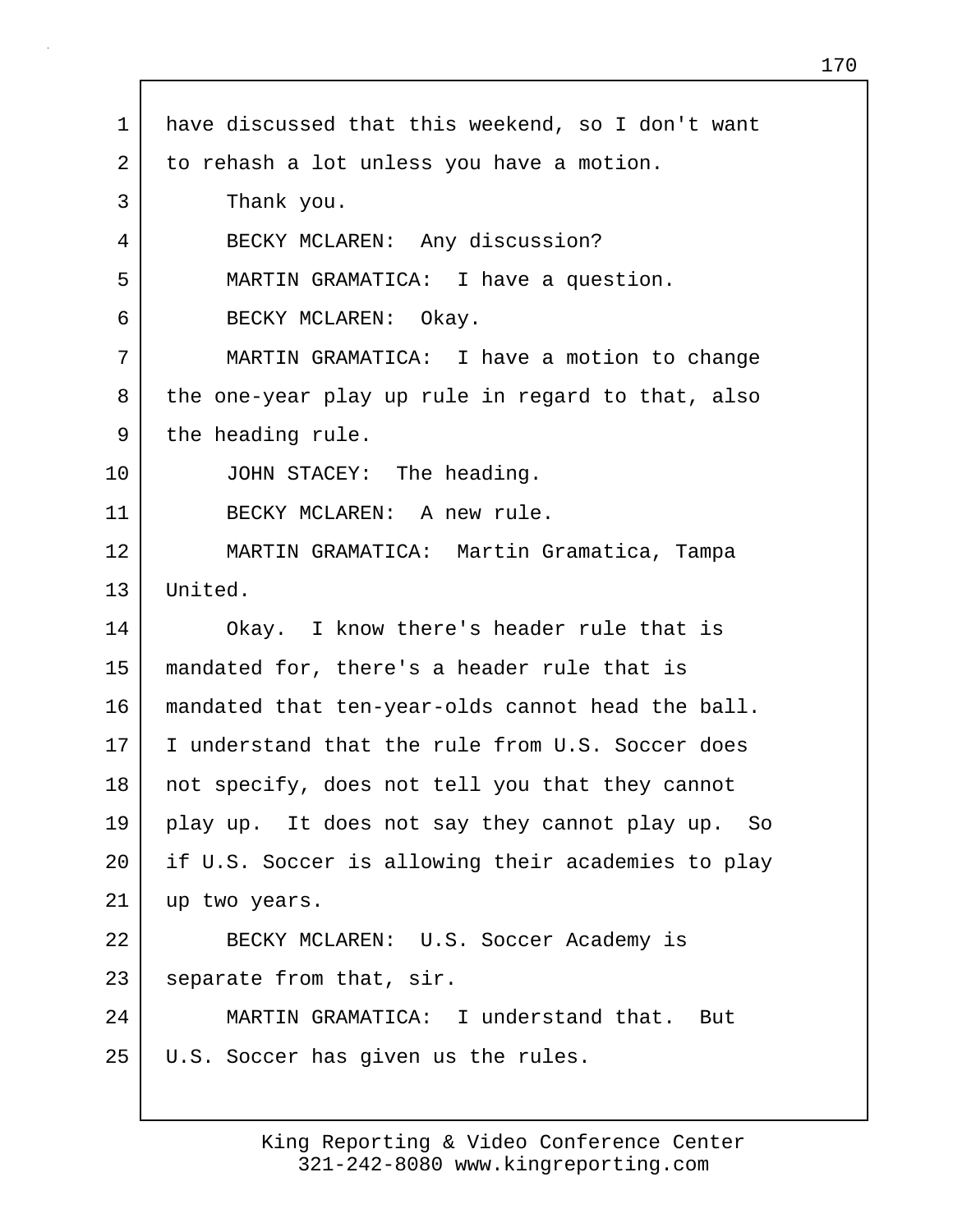| $\mathbf 1$ | have discussed that this weekend, so I don't want  |
|-------------|----------------------------------------------------|
| 2           | to rehash a lot unless you have a motion.          |
| 3           | Thank you.                                         |
| 4           | BECKY MCLAREN: Any discussion?                     |
| 5           | MARTIN GRAMATICA: I have a question.               |
| 6           | BECKY MCLAREN: Okay.                               |
| 7           | MARTIN GRAMATICA: I have a motion to change        |
| 8           | the one-year play up rule in regard to that, also  |
| 9           | the heading rule.                                  |
| $10 \,$     | JOHN STACEY: The heading.                          |
| 11          | BECKY MCLAREN: A new rule.                         |
| 12          | MARTIN GRAMATICA: Martin Gramatica, Tampa          |
| 13          | United.                                            |
| 14          | Okay. I know there's header rule that is           |
| 15          | mandated for, there's a header rule that is        |
| 16          | mandated that ten-year-olds cannot head the ball.  |
| 17          | I understand that the rule from U.S. Soccer does   |
| 18          | not specify, does not tell you that they cannot    |
| 19          | play up. It does not say they cannot play up. So   |
| $20 \,$     | if U.S. Soccer is allowing their academies to play |
| 21          | up two years.                                      |
| 22          | BECKY MCLAREN: U.S. Soccer Academy is              |
| 23          | separate from that, sir.                           |
| 24          | MARTIN GRAMATICA: I understand that. But           |
| 25          | U.S. Soccer has given us the rules.                |
|             |                                                    |

Г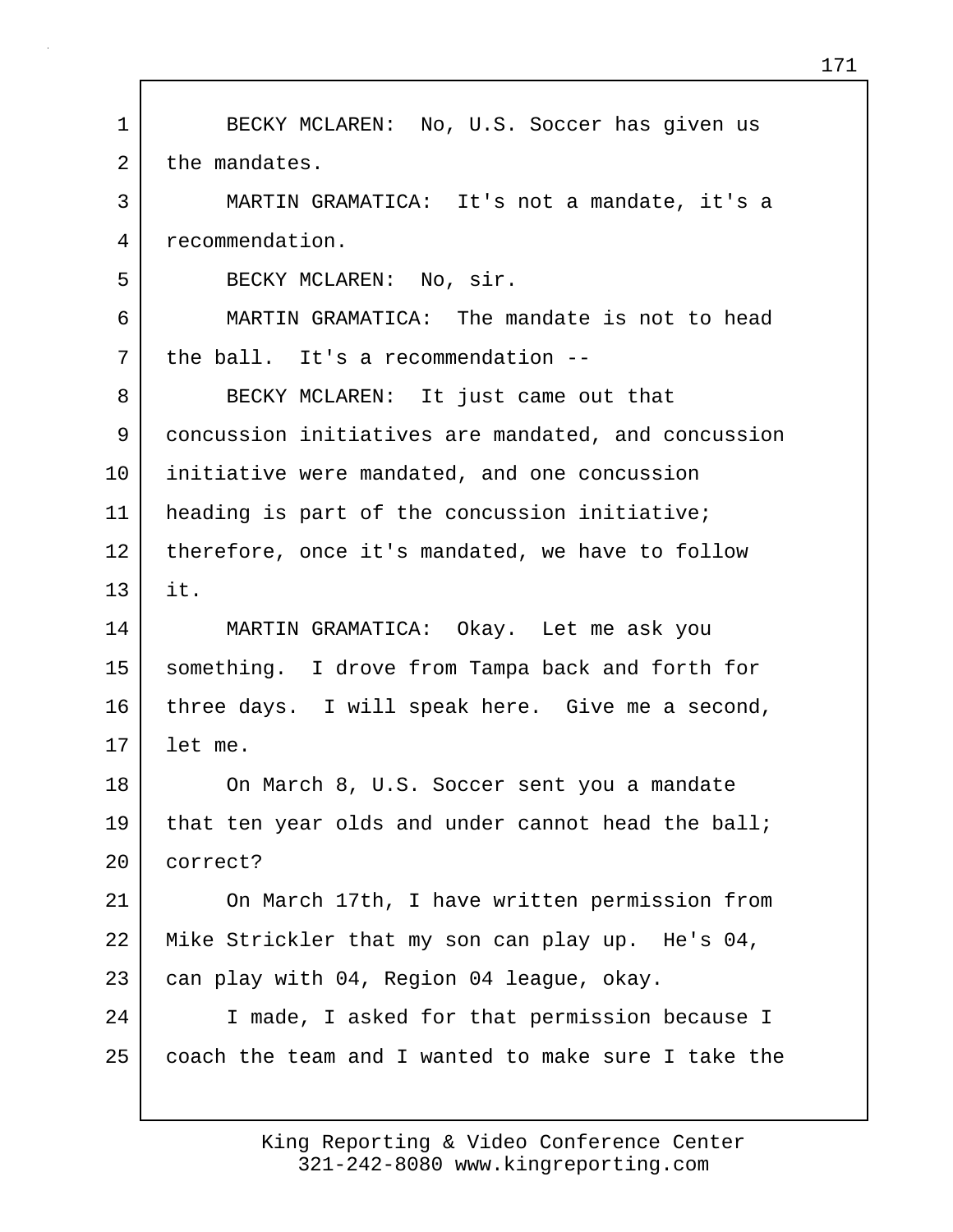1 BECKY MCLAREN: No, U.S. Soccer has given us 2 the mandates. 3 MARTIN GRAMATICA: It's not a mandate, it's a 4 recommendation. 5 BECKY MCLAREN: No, sir. 6 MARTIN GRAMATICA: The mandate is not to head 7 the ball. It's a recommendation --8 BECKY MCLAREN: It just came out that 9 concussion initiatives are mandated, and concussion 10 initiative were mandated, and one concussion 11 heading is part of the concussion initiative; 12 therefore, once it's mandated, we have to follow 13 it. 14 MARTIN GRAMATICA: Okay. Let me ask you 15 something. I drove from Tampa back and forth for 16 three days. I will speak here. Give me a second, 17 let me. 18 On March 8, U.S. Soccer sent you a mandate 19 that ten year olds and under cannot head the ball; 20 correct? 21 On March 17th, I have written permission from 22 Mike Strickler that my son can play up. He's 04, 23 can play with 04, Region 04 league, okay. 24 I made, I asked for that permission because I 25 coach the team and I wanted to make sure I take the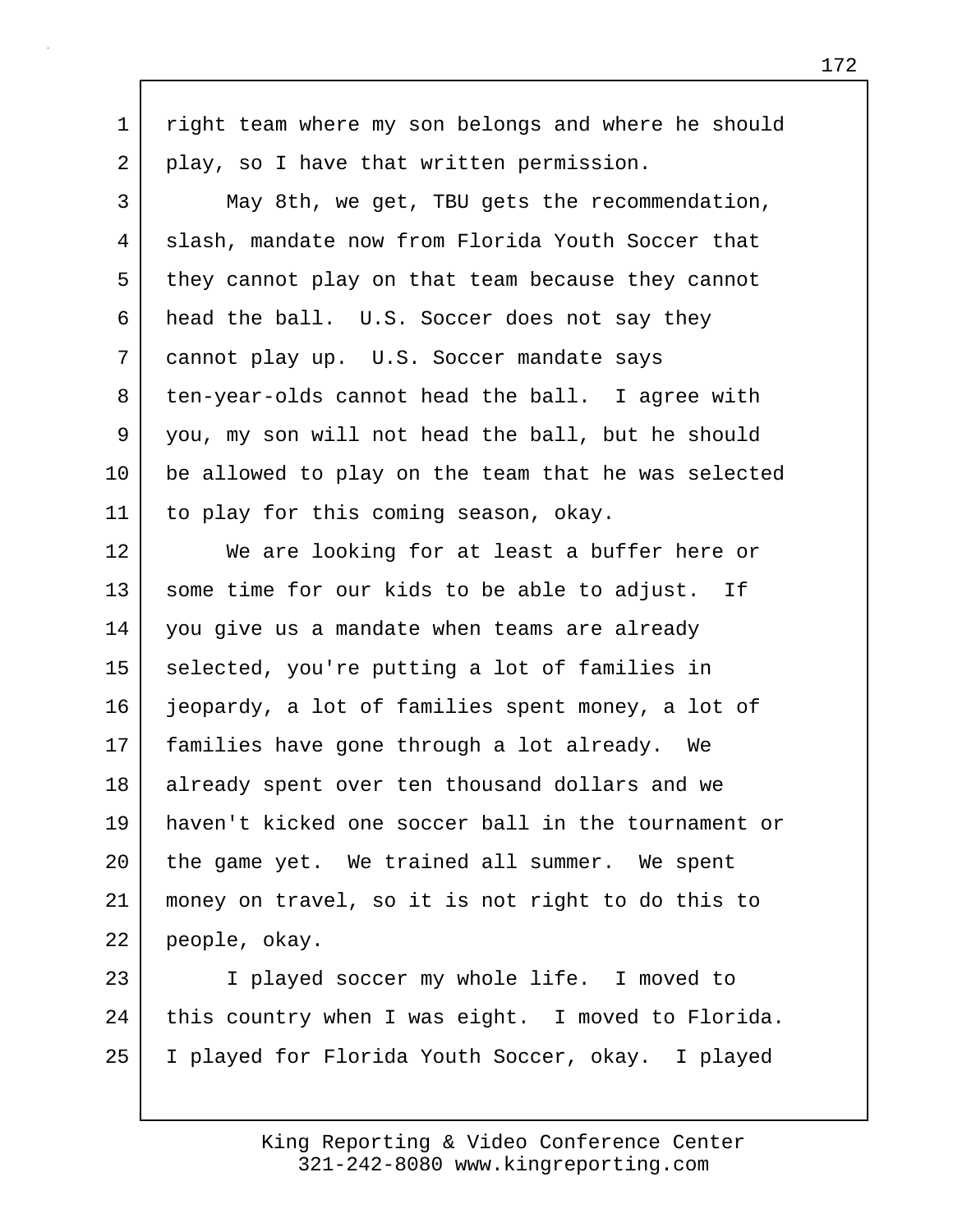1 | right team where my son belongs and where he should 2 play, so I have that written permission.

3 May 8th, we get, TBU gets the recommendation, 4 slash, mandate now from Florida Youth Soccer that 5 they cannot play on that team because they cannot 6 head the ball. U.S. Soccer does not say they 7 cannot play up. U.S. Soccer mandate says 8 ten-year-olds cannot head the ball. I agree with 9 you, my son will not head the ball, but he should 10 be allowed to play on the team that he was selected 11 to play for this coming season, okay.

12 We are looking for at least a buffer here or 13 some time for our kids to be able to adjust. If 14 you give us a mandate when teams are already 15 selected, you're putting a lot of families in 16 jeopardy, a lot of families spent money, a lot of 17 families have gone through a lot already. We 18 already spent over ten thousand dollars and we 19 haven't kicked one soccer ball in the tournament or 20 the game yet. We trained all summer. We spent 21 money on travel, so it is not right to do this to 22 people, okay.

23 I played soccer my whole life. I moved to 24 this country when I was eight. I moved to Florida. 25 I played for Florida Youth Soccer, okay. I played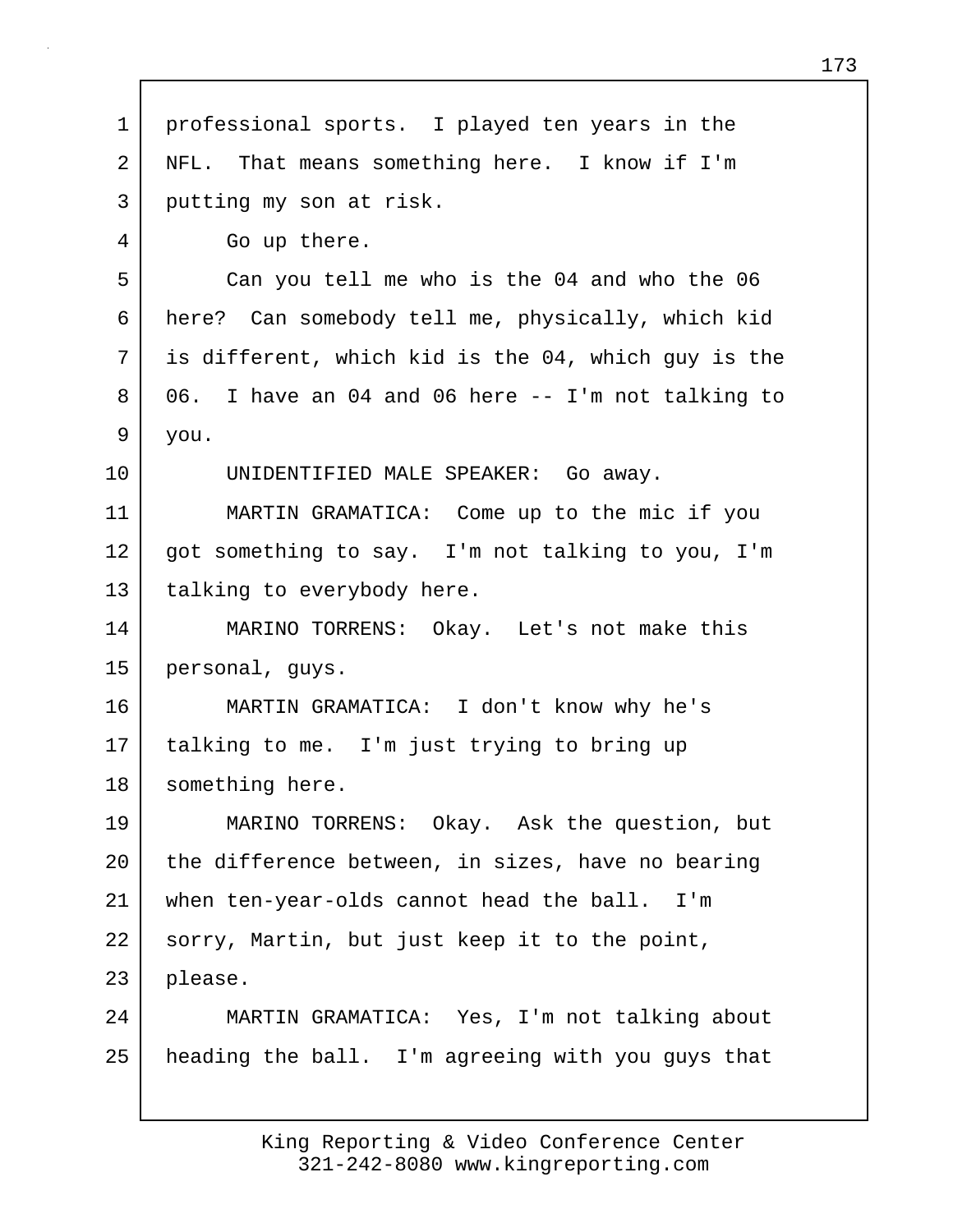| 1  | professional sports. I played ten years in the      |
|----|-----------------------------------------------------|
| 2  | NFL. That means something here. I know if I'm       |
| 3  | putting my son at risk.                             |
| 4  | Go up there.                                        |
| 5  | Can you tell me who is the 04 and who the 06        |
| 6  | here? Can somebody tell me, physically, which kid   |
| 7  | is different, which kid is the 04, which guy is the |
| 8  | 06. I have an 04 and 06 here -- I'm not talking to  |
| 9  | you.                                                |
| 10 | UNIDENTIFIED MALE SPEAKER: Go away.                 |
| 11 | MARTIN GRAMATICA: Come up to the mic if you         |
| 12 | got something to say. I'm not talking to you, I'm   |
| 13 | talking to everybody here.                          |
| 14 | MARINO TORRENS: Okay. Let's not make this           |
| 15 | personal, guys.                                     |
| 16 | MARTIN GRAMATICA: I don't know why he's             |
| 17 | talking to me. I'm just trying to bring up          |
| 18 | something here.                                     |
| 19 | MARINO TORRENS: Okay. Ask the question, but         |
| 20 | the difference between, in sizes, have no bearing   |
| 21 | when ten-year-olds cannot head the ball.<br>I'm     |
| 22 | sorry, Martin, but just keep it to the point,       |
| 23 | please.                                             |
| 24 | MARTIN GRAMATICA: Yes, I'm not talking about        |
| 25 | heading the ball. I'm agreeing with you guys that   |
|    |                                                     |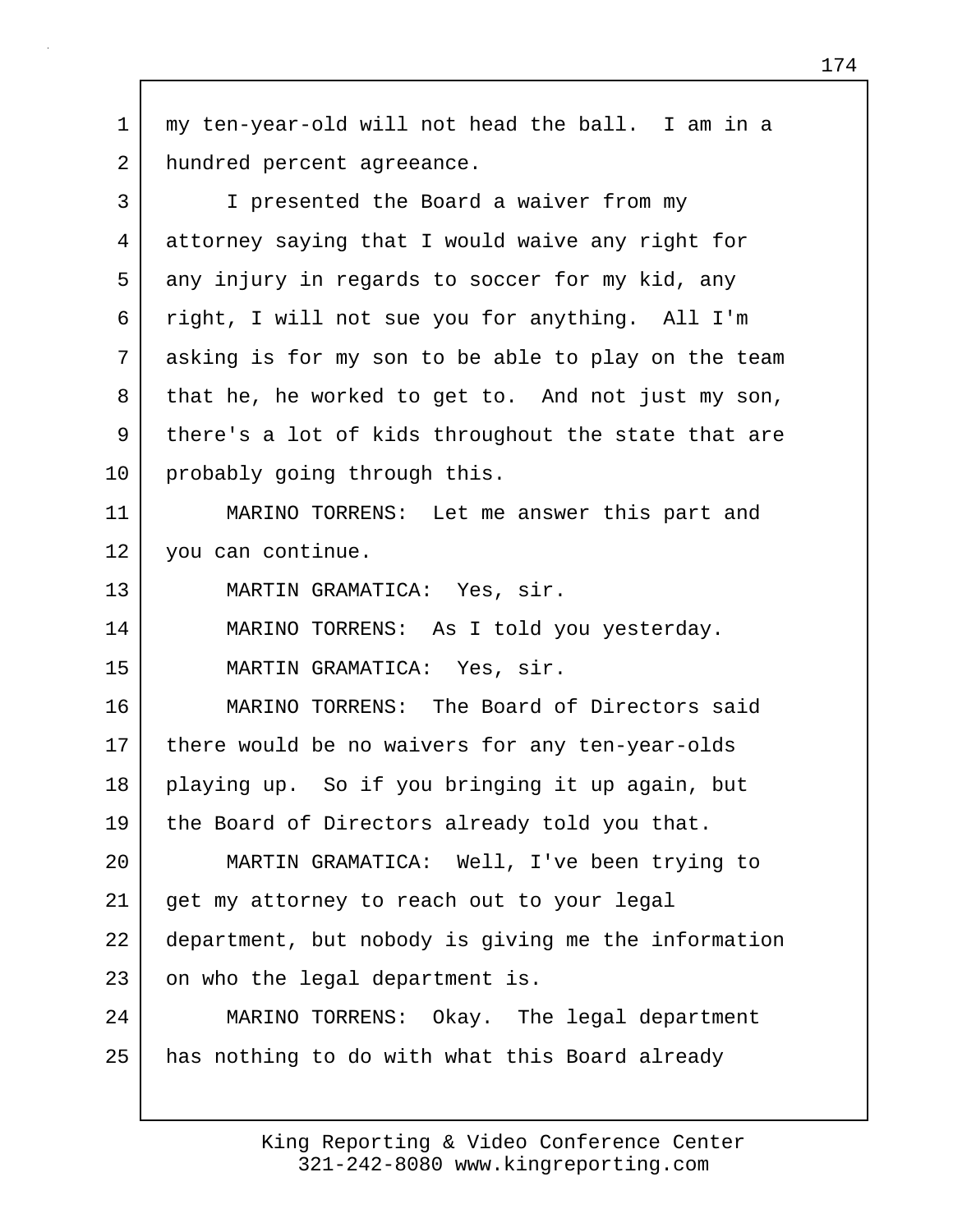1 my ten-year-old will not head the ball. I am in a 2 hundred percent agreeance. 3 I presented the Board a waiver from my 4 attorney saying that I would waive any right for 5 any injury in regards to soccer for my kid, any 6 right, I will not sue you for anything. All I'm 7 asking is for my son to be able to play on the team 8 that he, he worked to get to. And not just my son, 9 there's a lot of kids throughout the state that are 10 probably going through this. 11 MARINO TORRENS: Let me answer this part and 12 you can continue. 13 MARTIN GRAMATICA: Yes, sir. 14 MARINO TORRENS: As I told you yesterday. 15 MARTIN GRAMATICA: Yes, sir. 16 MARINO TORRENS: The Board of Directors said 17 there would be no waivers for any ten-year-olds 18 playing up. So if you bringing it up again, but 19 the Board of Directors already told you that. 20 MARTIN GRAMATICA: Well, I've been trying to 21 get my attorney to reach out to your legal 22 department, but nobody is giving me the information 23 on who the legal department is. 24 MARINO TORRENS: Okay. The legal department 25 | has nothing to do with what this Board already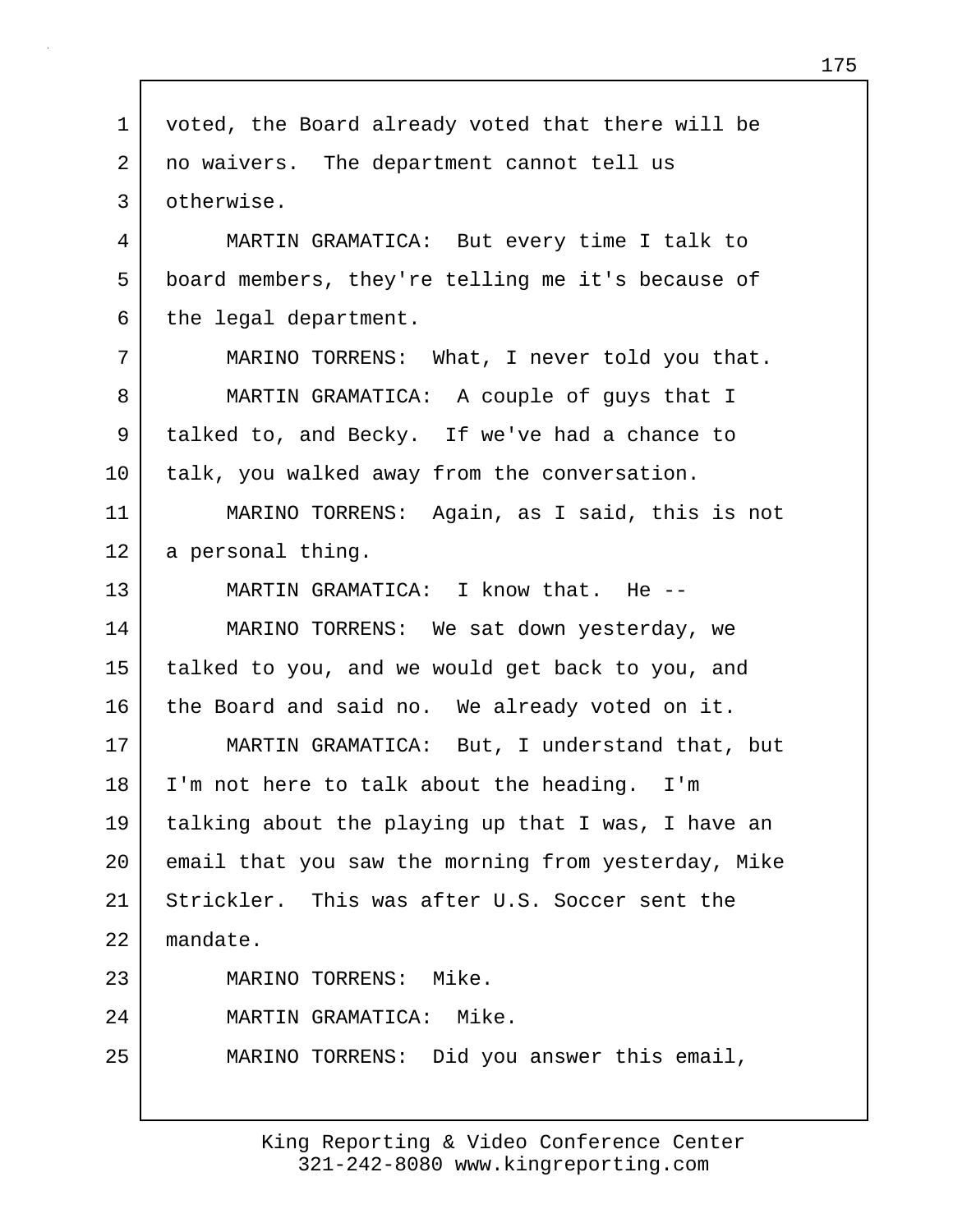| $\mathbf 1$ | voted, the Board already voted that there will be   |
|-------------|-----------------------------------------------------|
| 2           | no waivers. The department cannot tell us           |
| 3           | otherwise.                                          |
| 4           | MARTIN GRAMATICA: But every time I talk to          |
| 5           | board members, they're telling me it's because of   |
| 6           | the legal department.                               |
| 7           | MARINO TORRENS: What, I never told you that.        |
| 8           | MARTIN GRAMATICA: A couple of guys that I           |
| 9           | talked to, and Becky. If we've had a chance to      |
| $10 \,$     | talk, you walked away from the conversation.        |
| 11          | MARINO TORRENS: Again, as I said, this is not       |
| 12          | a personal thing.                                   |
| 13          | MARTIN GRAMATICA: I know that. He --                |
| 14          | MARINO TORRENS: We sat down yesterday, we           |
| 15          | talked to you, and we would get back to you, and    |
| 16          | the Board and said no. We already voted on it.      |
| 17          | MARTIN GRAMATICA: But, I understand that, but       |
| 18          | I'm not here to talk about the heading. I'm         |
| 19          | talking about the playing up that I was, I have an  |
| 20          | email that you saw the morning from yesterday, Mike |
| 21          | Strickler. This was after U.S. Soccer sent the      |
| 22          | mandate.                                            |
| 23          | MARINO TORRENS: Mike.                               |
| 24          | MARTIN GRAMATICA: Mike.                             |
| 25          | MARINO TORRENS: Did you answer this email,          |
|             |                                                     |

г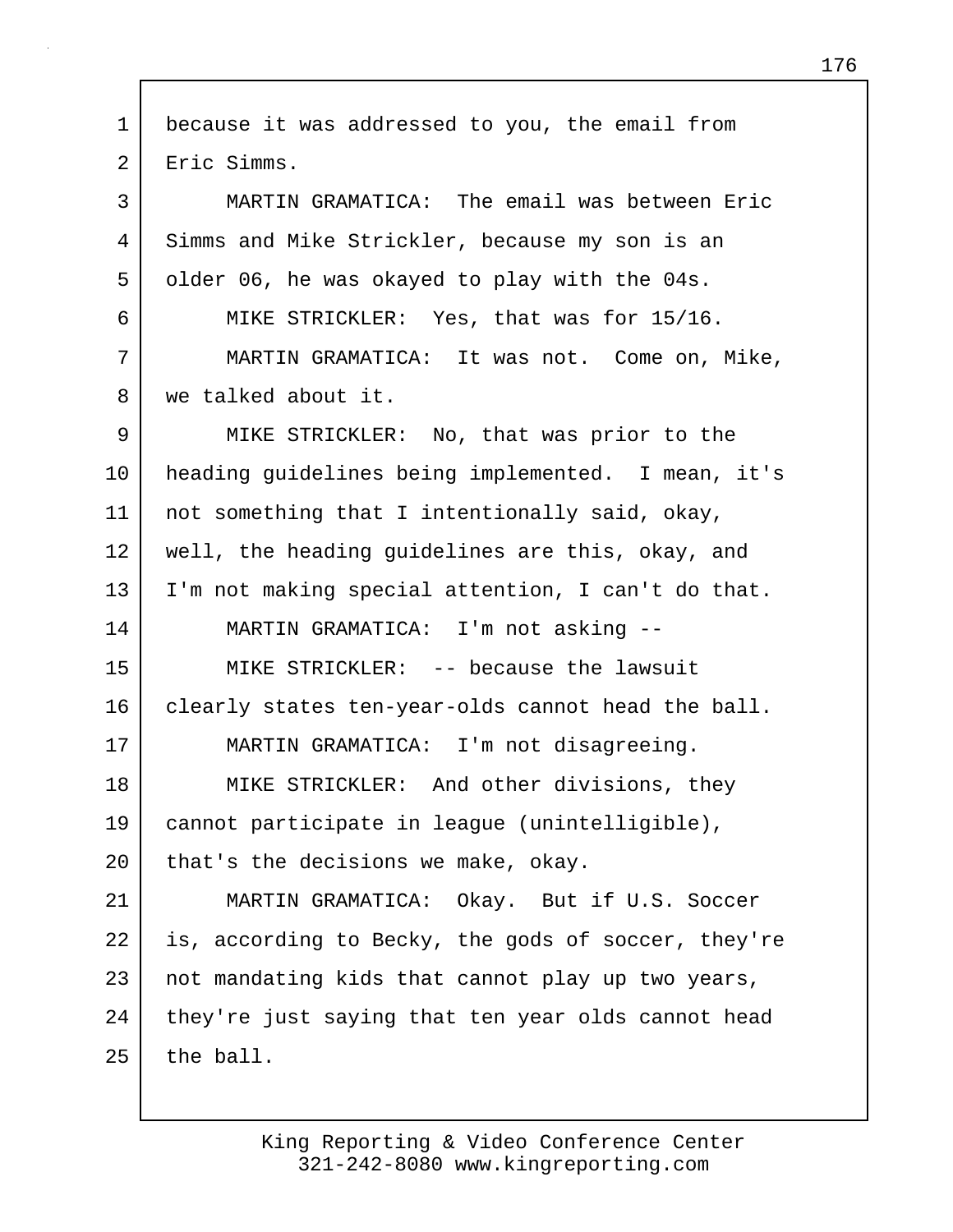1 because it was addressed to you, the email from 2 Eric Simms. 3 MARTIN GRAMATICA: The email was between Eric 4 Simms and Mike Strickler, because my son is an 5 older 06, he was okayed to play with the 04s. 6 MIKE STRICKLER: Yes, that was for 15/16. 7 MARTIN GRAMATICA: It was not. Come on, Mike, 8 we talked about it. 9 MIKE STRICKLER: No, that was prior to the 10 heading guidelines being implemented. I mean, it's 11 | not something that I intentionally said, okay, 12 well, the heading guidelines are this, okay, and 13 I'm not making special attention, I can't do that. 14 MARTIN GRAMATICA: I'm not asking -- 15 MIKE STRICKLER: -- because the lawsuit 16 clearly states ten-year-olds cannot head the ball. 17 MARTIN GRAMATICA: I'm not disagreeing. 18 MIKE STRICKLER: And other divisions, they 19 cannot participate in league (unintelligible), 20 | that's the decisions we make, okay. 21 MARTIN GRAMATICA: Okay. But if U.S. Soccer 22 is, according to Becky, the gods of soccer, they're 23 not mandating kids that cannot play up two years, 24 they're just saying that ten year olds cannot head  $25$  the ball.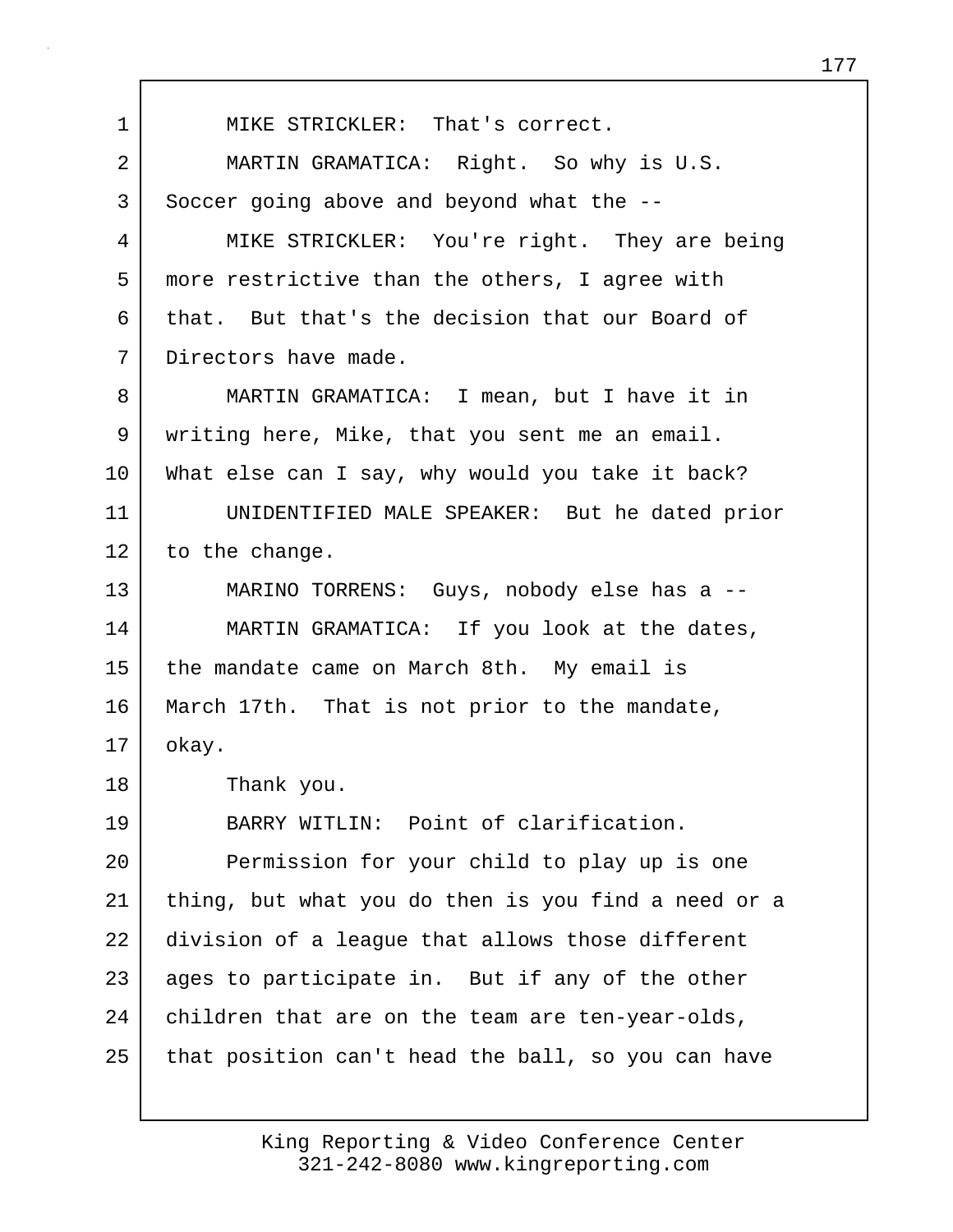1 | MIKE STRICKLER: That's correct. 2 MARTIN GRAMATICA: Right. So why is U.S. 3 Soccer going above and beyond what the --4 MIKE STRICKLER: You're right. They are being 5 more restrictive than the others, I agree with 6 that. But that's the decision that our Board of 7 Directors have made. 8 MARTIN GRAMATICA: I mean, but I have it in 9 writing here, Mike, that you sent me an email. 10 What else can I say, why would you take it back? 11 UNIDENTIFIED MALE SPEAKER: But he dated prior 12 to the change. 13 MARINO TORRENS: Guys, nobody else has a -- 14 MARTIN GRAMATICA: If you look at the dates, 15 the mandate came on March 8th. My email is 16 March 17th. That is not prior to the mandate,  $17$  okay. 18 Thank you. 19 BARRY WITLIN: Point of clarification. 20 Permission for your child to play up is one 21 thing, but what you do then is you find a need or a 22 division of a league that allows those different 23 ages to participate in. But if any of the other 24 children that are on the team are ten-year-olds,  $25$  that position can't head the ball, so you can have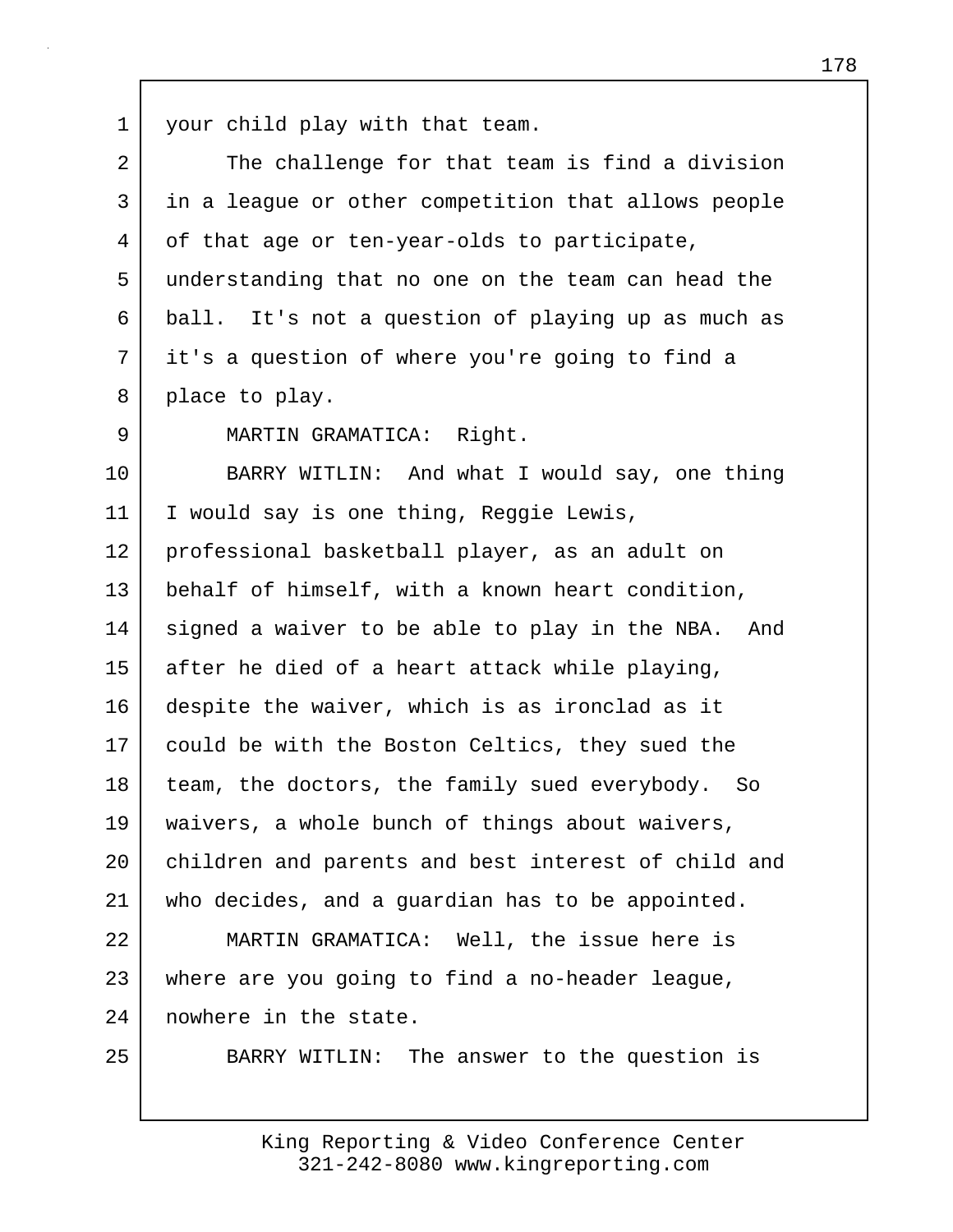1 your child play with that team.

| $\overline{2}$ | The challenge for that team is find a division      |
|----------------|-----------------------------------------------------|
| 3              | in a league or other competition that allows people |
| 4              | of that age or ten-year-olds to participate,        |
| 5              | understanding that no one on the team can head the  |
| 6              | ball. It's not a question of playing up as much as  |
| 7              | it's a question of where you're going to find a     |
| 8              | place to play.                                      |
| 9              | MARTIN GRAMATICA: Right.                            |
| 10             | BARRY WITLIN: And what I would say, one thing       |
| 11             | I would say is one thing, Reggie Lewis,             |
| 12             | professional basketball player, as an adult on      |
| 13             | behalf of himself, with a known heart condition,    |
| 14             | signed a waiver to be able to play in the NBA. And  |
| 15             | after he died of a heart attack while playing,      |
| 16             | despite the waiver, which is as ironclad as it      |
| 17             | could be with the Boston Celtics, they sued the     |
| 18             | team, the doctors, the family sued everybody. So    |
| 19             | waivers, a whole bunch of things about waivers,     |
| $20 \,$        | children and parents and best interest of child and |
| 21             | who decides, and a guardian has to be appointed.    |
| 22             | MARTIN GRAMATICA: Well, the issue here is           |
| 23             | where are you going to find a no-header league,     |
| 24             | nowhere in the state.                               |
| 25             | BARRY WITLIN: The answer to the question is         |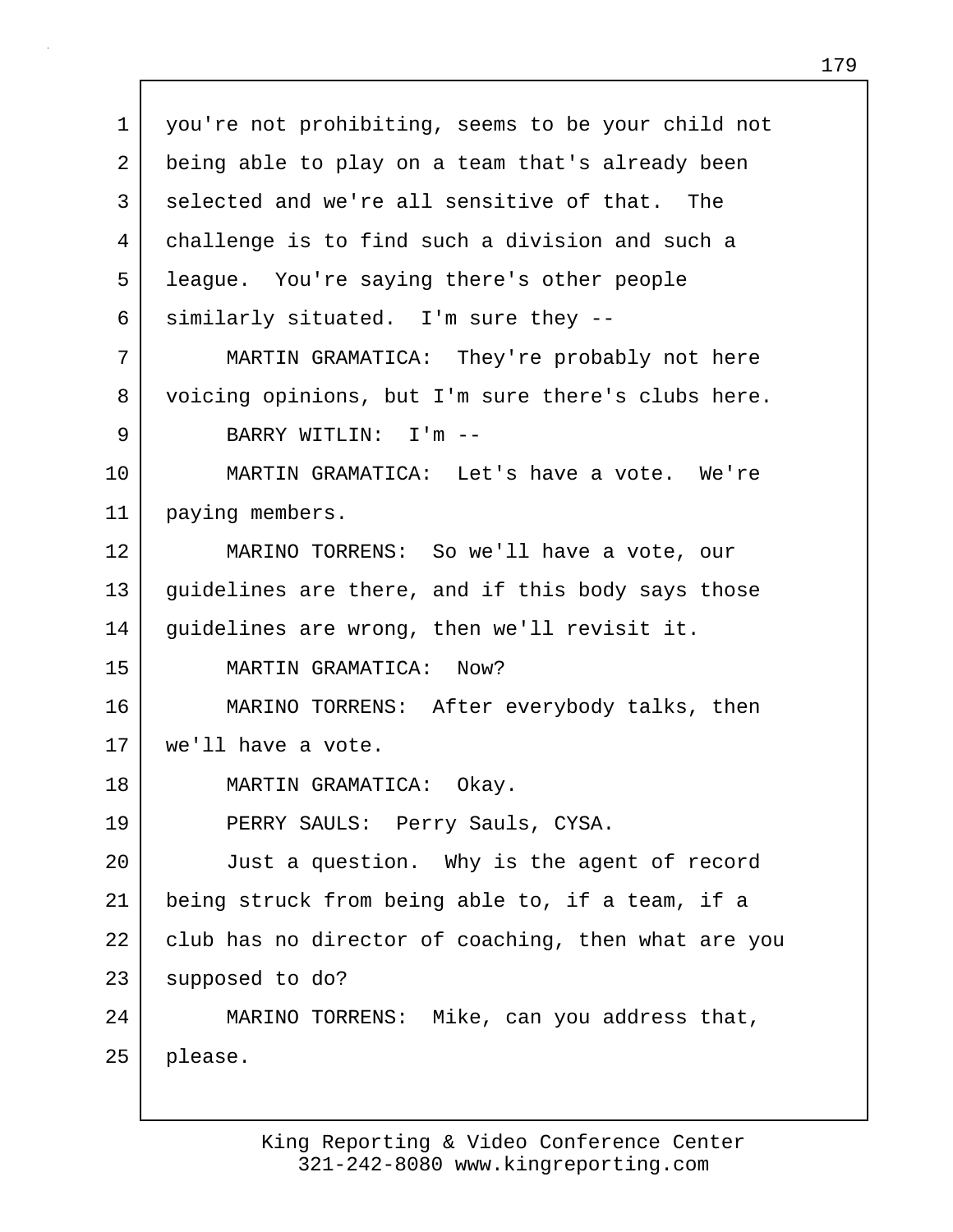1 you're not prohibiting, seems to be your child not 2 being able to play on a team that's already been 3 selected and we're all sensitive of that. The 4 challenge is to find such a division and such a 5 league. You're saying there's other people  $6$  similarly situated. I'm sure they  $-$ 7 MARTIN GRAMATICA: They're probably not here 8 voicing opinions, but I'm sure there's clubs here. 9 BARRY WITLIN: I'm -- 10 MARTIN GRAMATICA: Let's have a vote. We're 11 paying members. 12 MARINO TORRENS: So we'll have a vote, our 13 quidelines are there, and if this body says those 14 guidelines are wrong, then we'll revisit it. 15 MARTIN GRAMATICA: Now? 16 MARINO TORRENS: After everybody talks, then 17 we'll have a vote. 18 MARTIN GRAMATICA: Okay. 19 PERRY SAULS: Perry Sauls, CYSA. 20 Just a question. Why is the agent of record 21 being struck from being able to, if a team, if a 22 club has no director of coaching, then what are you 23 supposed to do? 24 MARINO TORRENS: Mike, can you address that, 25 please.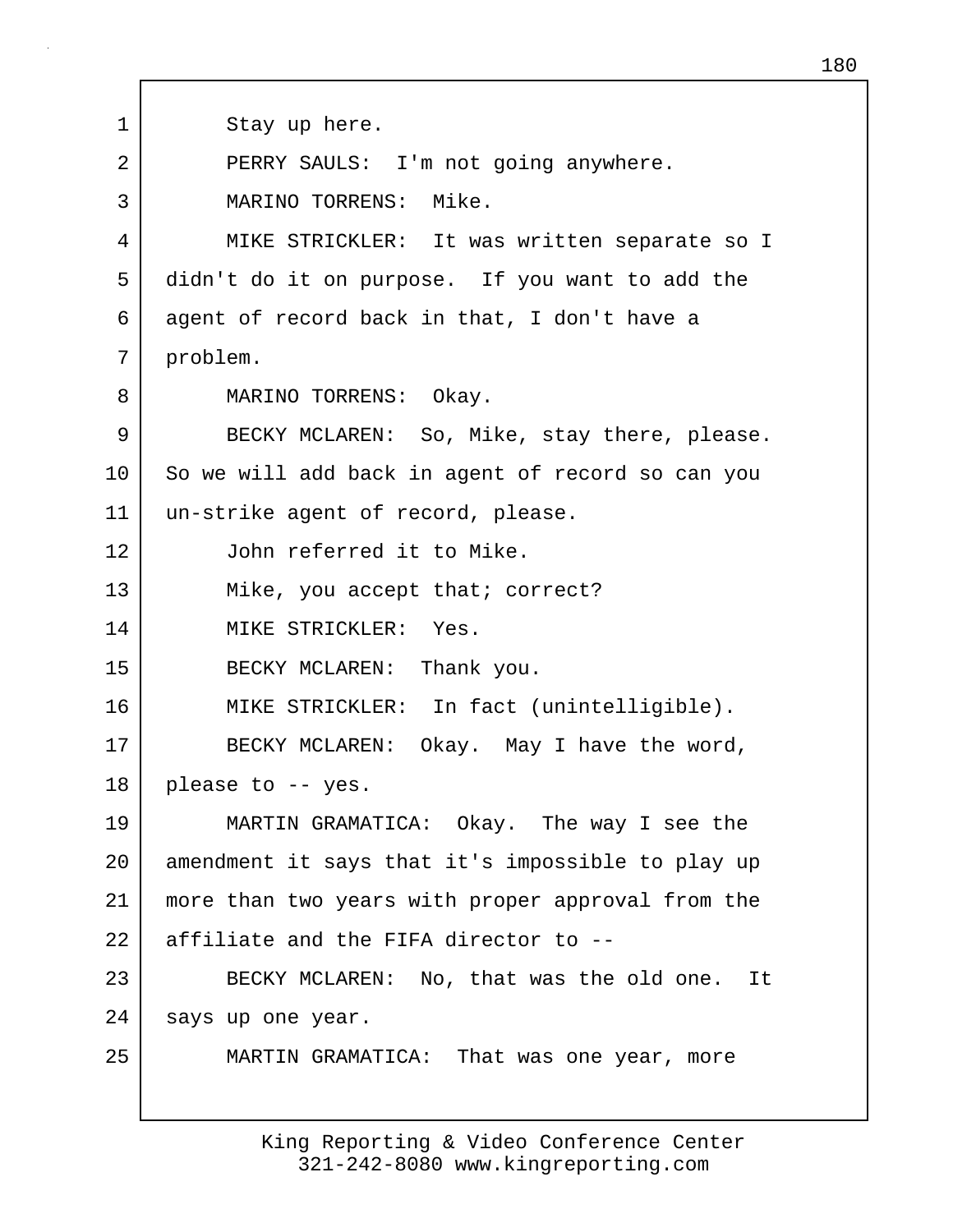1 Stay up here. 2 PERRY SAULS: I'm not going anywhere. 3 MARINO TORRENS: Mike. 4 MIKE STRICKLER: It was written separate so I 5 didn't do it on purpose. If you want to add the 6 agent of record back in that, I don't have a 7 problem. 8 | MARINO TORRENS: Okay. 9 BECKY MCLAREN: So, Mike, stay there, please. 10 So we will add back in agent of record so can you 11 un-strike agent of record, please. 12 John referred it to Mike. 13 Mike, you accept that; correct? 14 MIKE STRICKLER: Yes. 15 BECKY MCLAREN: Thank you. 16 | MIKE STRICKLER: In fact (unintelligible). 17 BECKY MCLAREN: Okay. May I have the word, 18 please to -- yes. 19 MARTIN GRAMATICA: Okay. The way I see the 20 amendment it says that it's impossible to play up 21 more than two years with proper approval from the 22 affiliate and the FIFA director to -- 23 BECKY MCLAREN: No, that was the old one. It 24 | says up one year. 25 MARTIN GRAMATICA: That was one year, more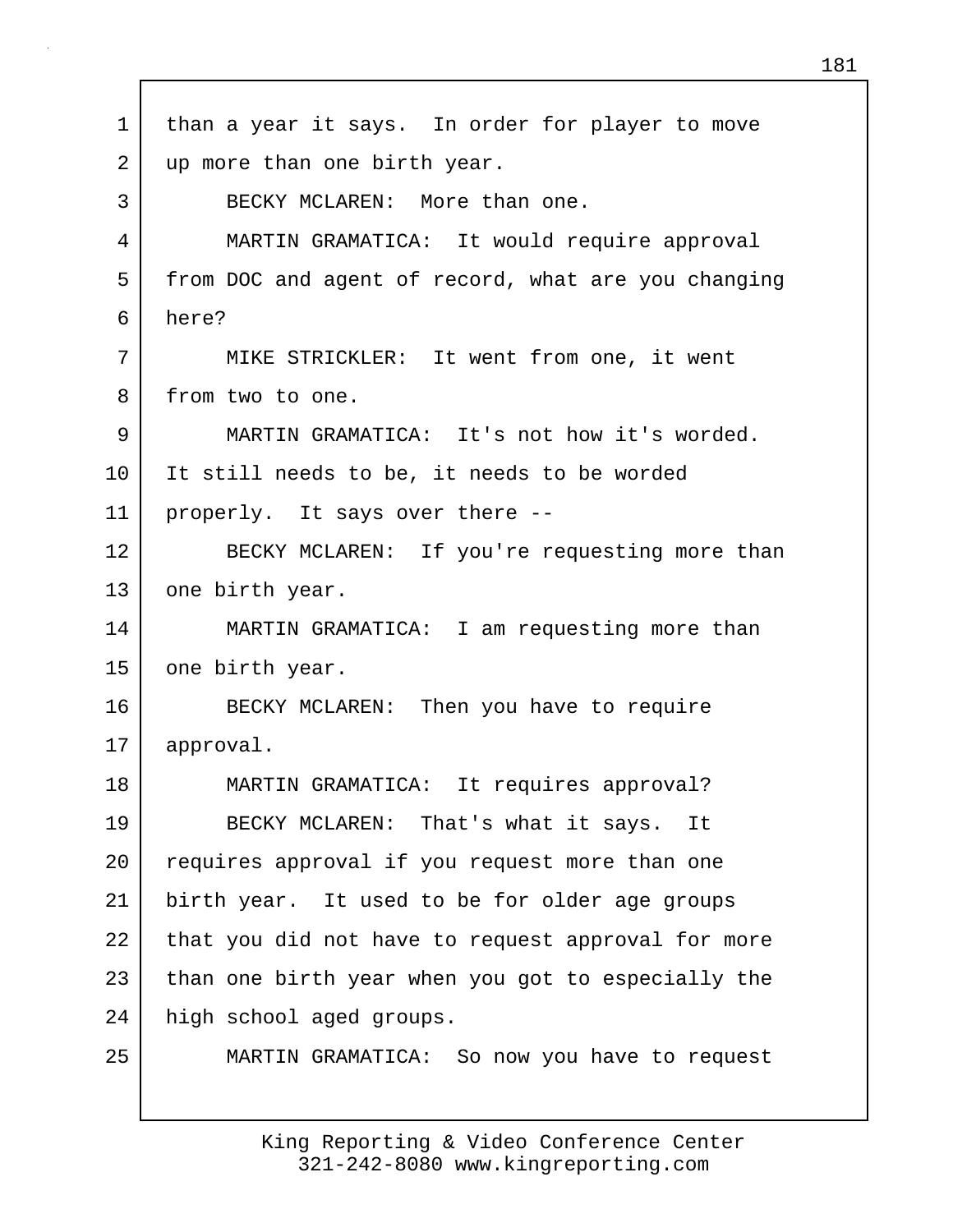| $\mathbf 1$ | than a year it says. In order for player to move    |
|-------------|-----------------------------------------------------|
| 2           | up more than one birth year.                        |
| 3           | BECKY MCLAREN: More than one.                       |
| 4           | MARTIN GRAMATICA: It would require approval         |
| 5           | from DOC and agent of record, what are you changing |
| 6           | here?                                               |
| 7           | MIKE STRICKLER: It went from one, it went           |
| 8           | from two to one.                                    |
| 9           | MARTIN GRAMATICA: It's not how it's worded.         |
| 10          | It still needs to be, it needs to be worded         |
| 11          | properly. It says over there --                     |
| 12          | BECKY MCLAREN: If you're requesting more than       |
| 13          | one birth year.                                     |
| 14          | MARTIN GRAMATICA: I am requesting more than         |
| 15          | one birth year.                                     |
| 16          | BECKY MCLAREN: Then you have to require             |
| 17          | approval.                                           |
| 18          | MARTIN GRAMATICA: It requires approval?             |
| 19          | BECKY MCLAREN: That's what it says. It              |
| 20          | requires approval if you request more than one      |
| 21          | birth year. It used to be for older age groups      |
| 22          | that you did not have to request approval for more  |
| 23          | than one birth year when you got to especially the  |
| 24          | high school aged groups.                            |
| 25          | MARTIN GRAMATICA: So now you have to request        |

 $\Gamma$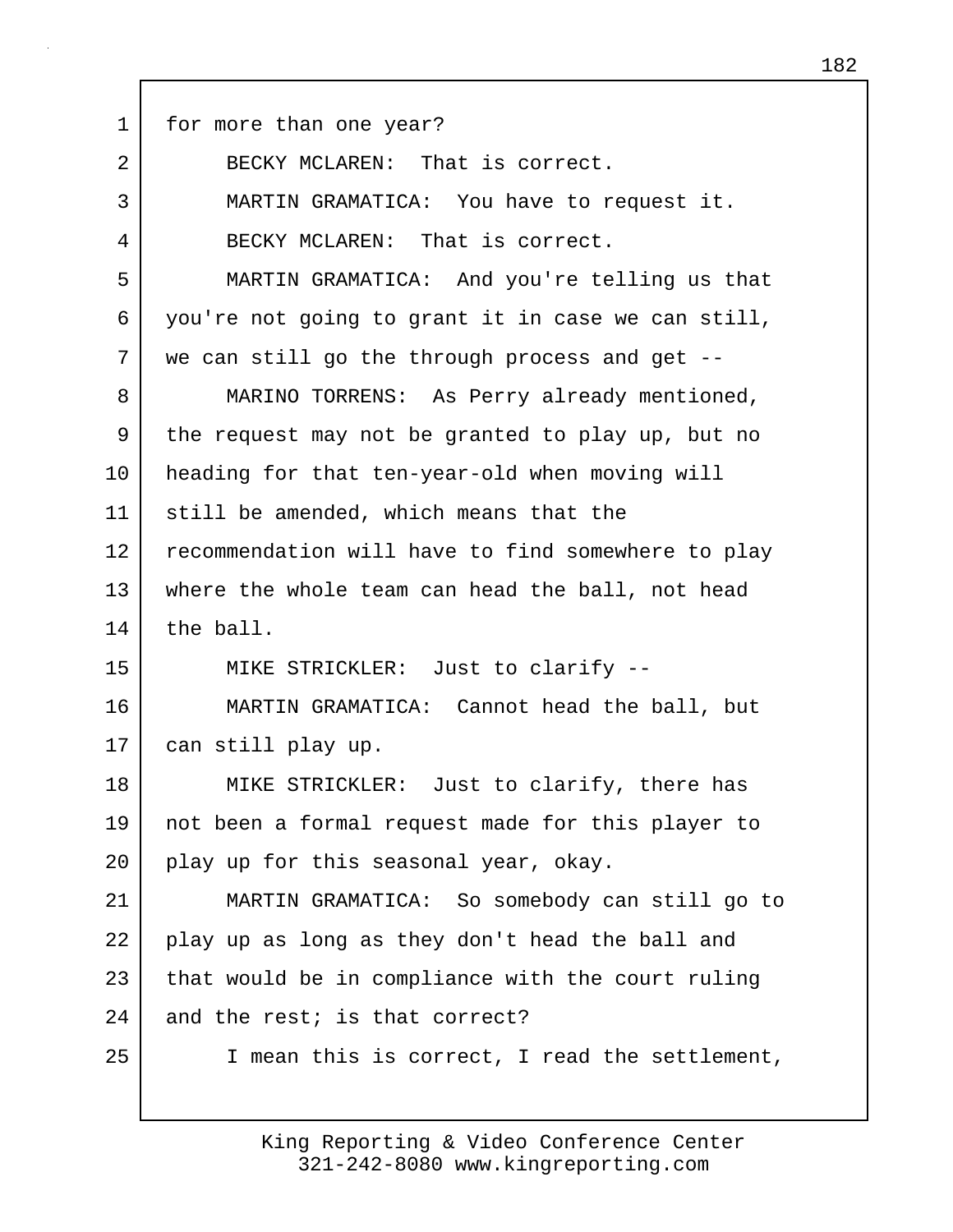1 for more than one year?

2 BECKY MCLAREN: That is correct.

3 MARTIN GRAMATICA: You have to request it. 4 BECKY MCLAREN: That is correct. 5 MARTIN GRAMATICA: And you're telling us that 6 you're not going to grant it in case we can still, 7 we can still go the through process and get -- 8 MARINO TORRENS: As Perry already mentioned, 9 the request may not be granted to play up, but no 10 heading for that ten-year-old when moving will 11 still be amended, which means that the 12 recommendation will have to find somewhere to play 13 where the whole team can head the ball, not head 14 the ball. 15 MIKE STRICKLER: Just to clarify -- 16 MARTIN GRAMATICA: Cannot head the ball, but 17 can still play up. 18 | MIKE STRICKLER: Just to clarify, there has 19 not been a formal request made for this player to 20 play up for this seasonal year, okay. 21 MARTIN GRAMATICA: So somebody can still go to 22 play up as long as they don't head the ball and  $23$  that would be in compliance with the court ruling  $24$  and the rest; is that correct? 25 | I mean this is correct, I read the settlement,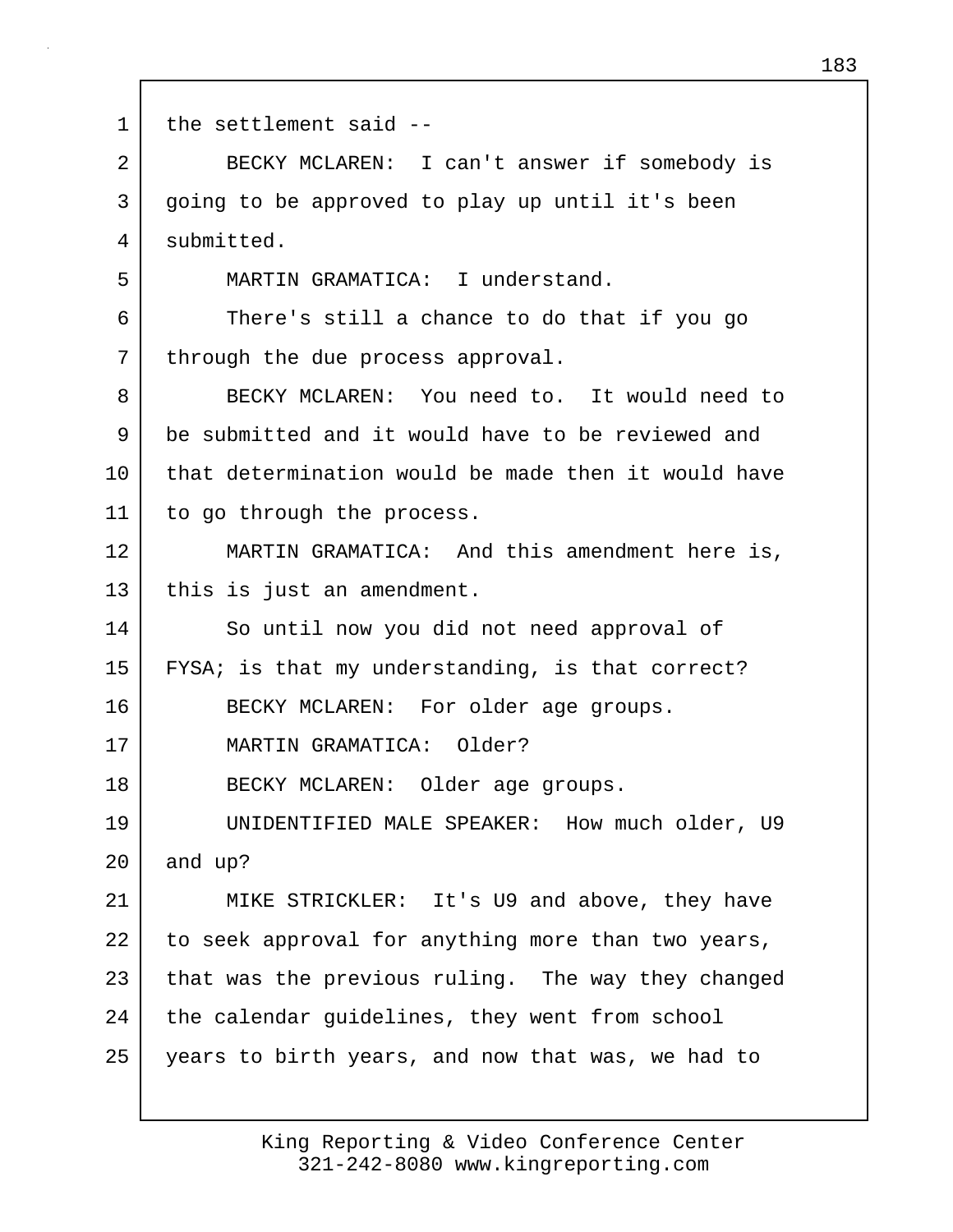1 | the settlement said --2 BECKY MCLAREN: I can't answer if somebody is 3 going to be approved to play up until it's been 4 submitted. 5 MARTIN GRAMATICA: I understand. 6 There's still a chance to do that if you go 7 through the due process approval. 8 BECKY MCLAREN: You need to. It would need to 9 be submitted and it would have to be reviewed and 10 that determination would be made then it would have 11 to go through the process. 12 MARTIN GRAMATICA: And this amendment here is, 13 | this is just an amendment. 14 So until now you did not need approval of 15 FYSA; is that my understanding, is that correct? 16 BECKY MCLAREN: For older age groups. 17 MARTIN GRAMATICA: Older? 18 BECKY MCLAREN: Older age groups. 19 UNIDENTIFIED MALE SPEAKER: How much older, U9 20 and up? 21 MIKE STRICKLER: It's U9 and above, they have 22 to seek approval for anything more than two years, 23 that was the previous ruling. The way they changed 24 the calendar guidelines, they went from school 25 years to birth years, and now that was, we had to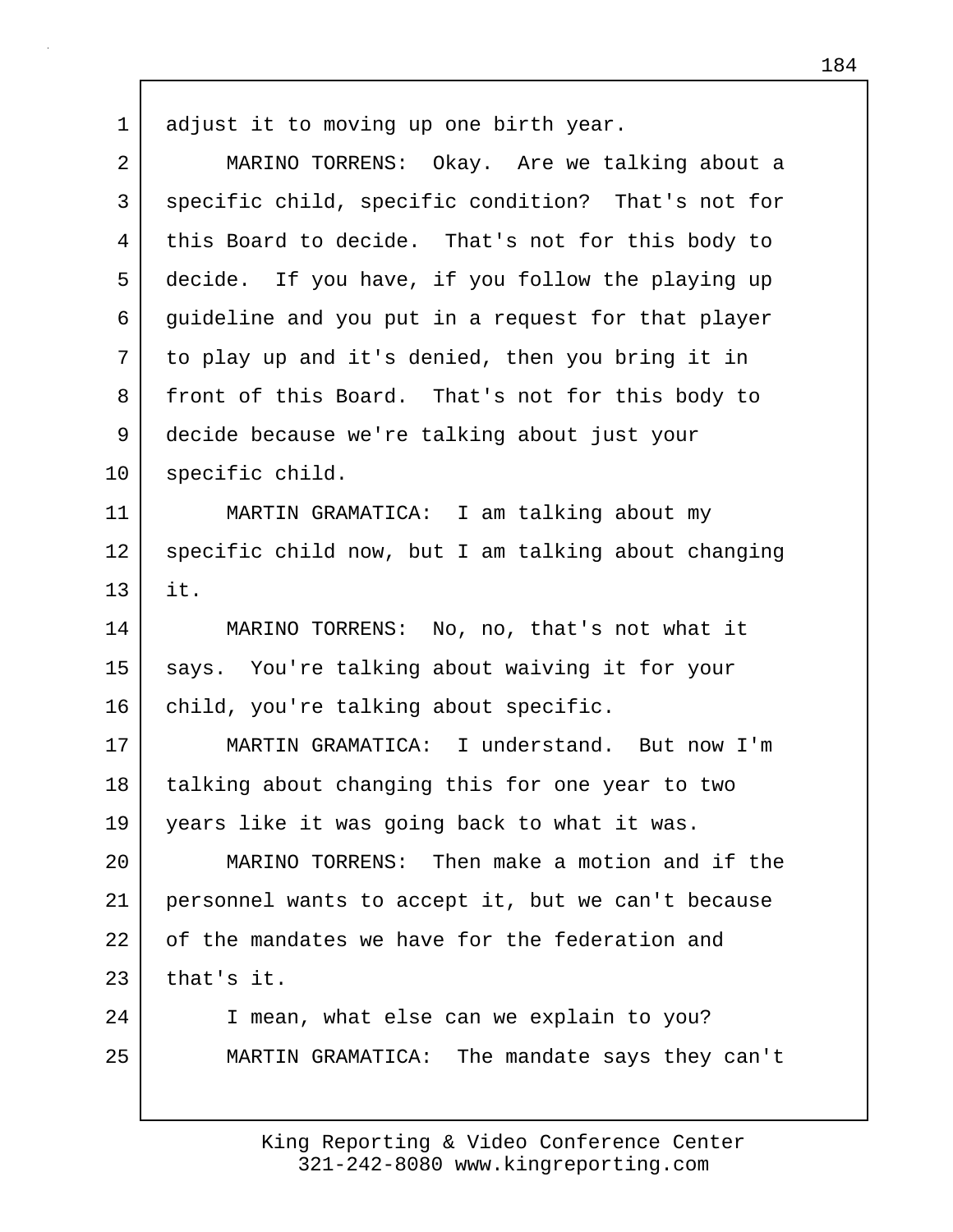1 adjust it to moving up one birth year.

| $\overline{2}$ | MARINO TORRENS: Okay. Are we talking about a        |
|----------------|-----------------------------------------------------|
| 3              | specific child, specific condition? That's not for  |
| 4              | this Board to decide. That's not for this body to   |
| 5              | decide. If you have, if you follow the playing up   |
| 6              | guideline and you put in a request for that player  |
| 7              | to play up and it's denied, then you bring it in    |
| 8              | front of this Board. That's not for this body to    |
| 9              | decide because we're talking about just your        |
| 10             | specific child.                                     |
| 11             | MARTIN GRAMATICA: I am talking about my             |
| 12             | specific child now, but I am talking about changing |
| 13             | it.                                                 |
| 14             | MARINO TORRENS: No, no, that's not what it          |
| 15             | says. You're talking about waiving it for your      |
| 16             | child, you're talking about specific.               |
| 17             | MARTIN GRAMATICA: I understand. But now I'm         |
| 18             | talking about changing this for one year to two     |
| 19             | years like it was going back to what it was.        |
| 20             | MARINO TORRENS: Then make a motion and if the       |
| 21             | personnel wants to accept it, but we can't because  |
| 22             | of the mandates we have for the federation and      |
| 23             | that's it.                                          |
| 24             | I mean, what else can we explain to you?            |
| 25             | MARTIN GRAMATICA: The mandate says they can't       |
|                |                                                     |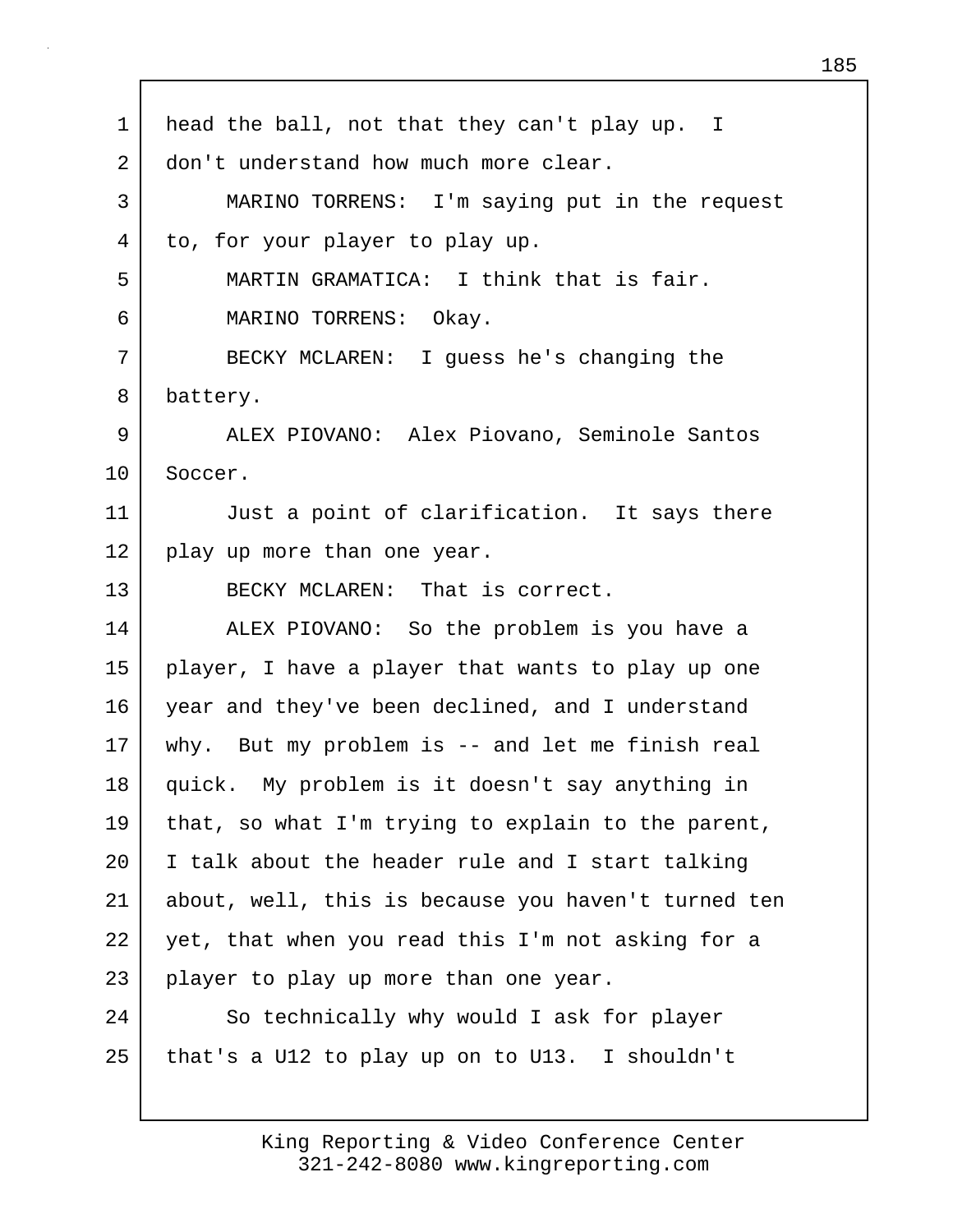| $\mathbf 1$ | head the ball, not that they can't play up. I       |
|-------------|-----------------------------------------------------|
| 2           | don't understand how much more clear.               |
| 3           | MARINO TORRENS: I'm saying put in the request       |
| 4           | to, for your player to play up.                     |
| 5           | MARTIN GRAMATICA: I think that is fair.             |
| 6           | MARINO TORRENS: Okay.                               |
| 7           | BECKY MCLAREN: I guess he's changing the            |
| 8           | battery.                                            |
| 9           | ALEX PIOVANO: Alex Piovano, Seminole Santos         |
| 10          | Soccer.                                             |
| 11          | Just a point of clarification. It says there        |
| 12          | play up more than one year.                         |
| 13          | BECKY MCLAREN: That is correct.                     |
| 14          | ALEX PIOVANO: So the problem is you have a          |
| 15          | player, I have a player that wants to play up one   |
| 16          | year and they've been declined, and I understand    |
| 17          | why. But my problem is -- and let me finish real    |
| 18          | quick. My problem is it doesn't say anything in     |
| 19          | that, so what I'm trying to explain to the parent,  |
| 20          | I talk about the header rule and I start talking    |
| 21          | about, well, this is because you haven't turned ten |
| 22          | yet, that when you read this I'm not asking for a   |
| 23          | player to play up more than one year.               |
| 24          | So technically why would I ask for player           |
| 25          | that's a U12 to play up on to U13. I shouldn't      |
|             |                                                     |

 $\Gamma$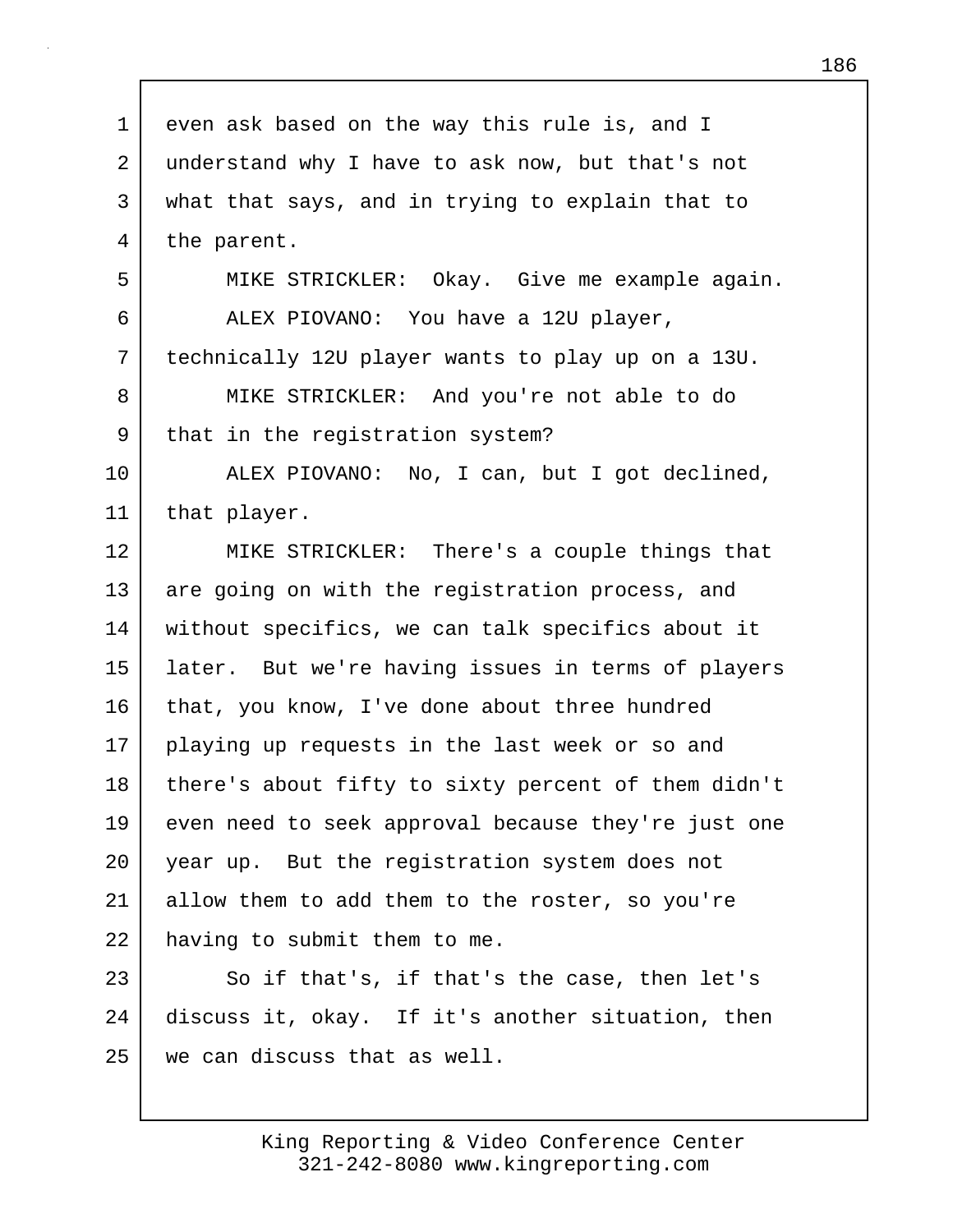1 even ask based on the way this rule is, and I 2 understand why I have to ask now, but that's not 3 what that says, and in trying to explain that to 4 the parent. 5 MIKE STRICKLER: Okay. Give me example again. 6 ALEX PIOVANO: You have a 12U player, 7 technically 12U player wants to play up on a 13U. 8 MIKE STRICKLER: And you're not able to do 9 that in the registration system? 10 ALEX PIOVANO: No, I can, but I got declined, 11 that player. 12 MIKE STRICKLER: There's a couple things that 13 are going on with the registration process, and 14 without specifics, we can talk specifics about it 15 later. But we're having issues in terms of players 16 that, you know, I've done about three hundred 17 playing up requests in the last week or so and 18 there's about fifty to sixty percent of them didn't 19 even need to seek approval because they're just one 20 year up. But the registration system does not 21 allow them to add them to the roster, so you're 22 having to submit them to me. 23 So if that's, if that's the case, then let's 24 discuss it, okay. If it's another situation, then 25 we can discuss that as well.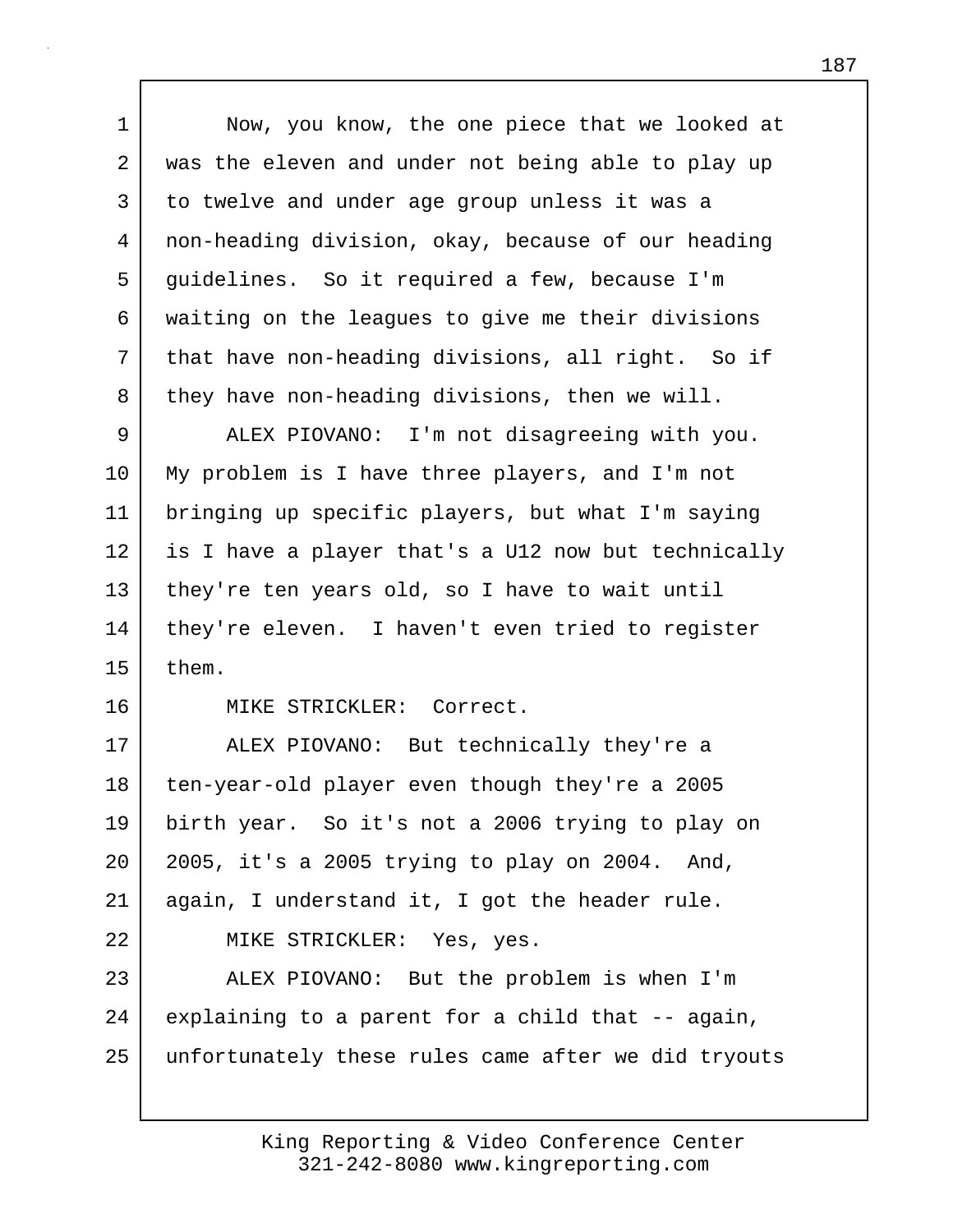1 | Now, you know, the one piece that we looked at 2 was the eleven and under not being able to play up 3 to twelve and under age group unless it was a 4 non-heading division, okay, because of our heading 5 guidelines. So it required a few, because I'm 6 waiting on the leagues to give me their divisions 7 | that have non-heading divisions, all right. So if 8 they have non-heading divisions, then we will. 9 ALEX PIOVANO: I'm not disagreeing with you. 10 My problem is I have three players, and I'm not 11 bringing up specific players, but what I'm saying 12 is I have a player that's a U12 now but technically 13 they're ten years old, so I have to wait until 14 | they're eleven. I haven't even tried to register  $15$  them. 16 MIKE STRICKLER: Correct. 17 ALEX PIOVANO: But technically they're a 18 ten-year-old player even though they're a 2005 19 birth year. So it's not a 2006 trying to play on 20 2005, it's a 2005 trying to play on 2004. And, 21 again, I understand it, I got the header rule. 22 MIKE STRICKLER: Yes, yes. 23 ALEX PIOVANO: But the problem is when I'm 24 explaining to a parent for a child that -- again, 25 unfortunately these rules came after we did tryouts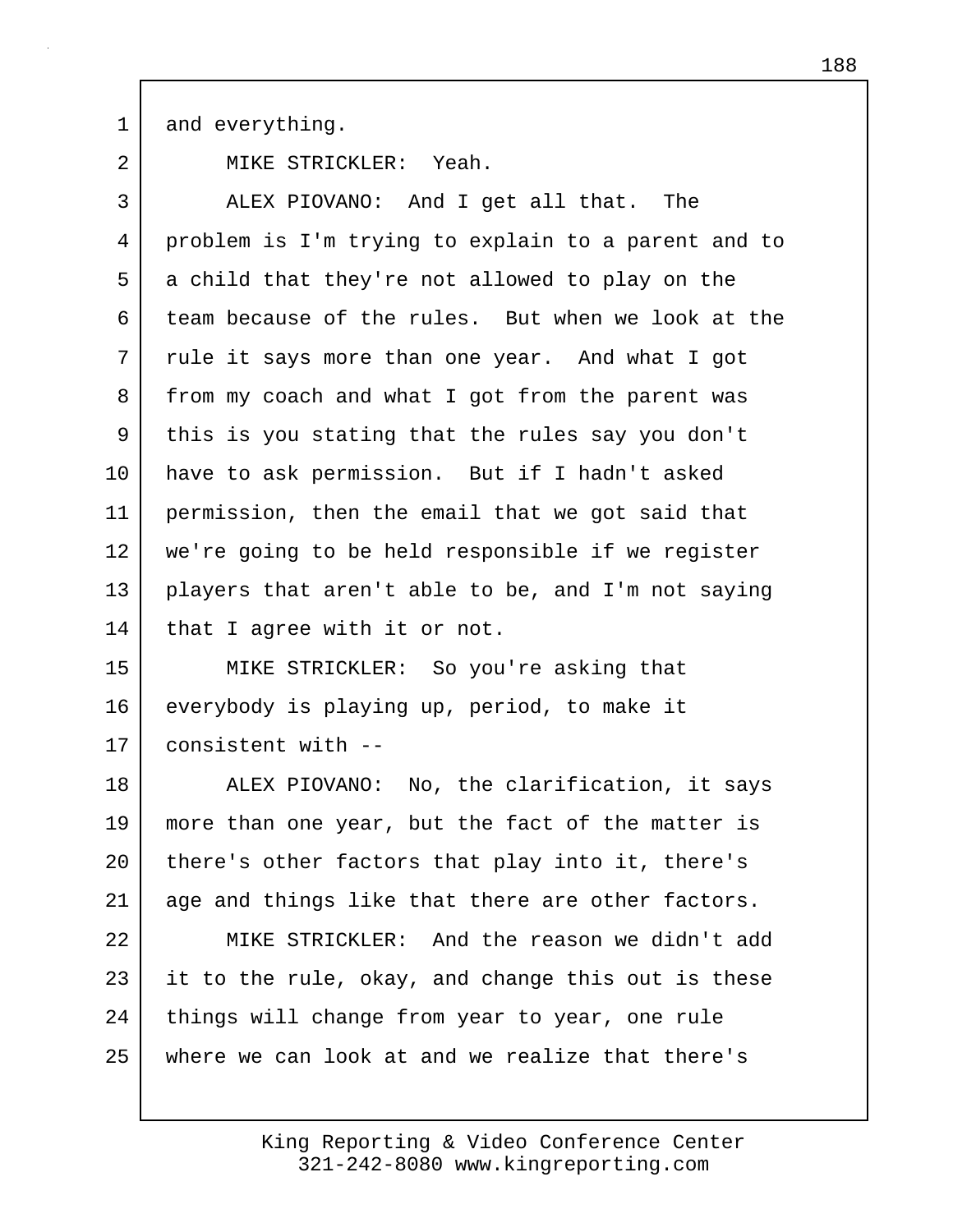1 and everything.

2 MIKE STRICKLER: Yeah.

3 ALEX PIOVANO: And I get all that. The 4 problem is I'm trying to explain to a parent and to 5 a child that they're not allowed to play on the 6 team because of the rules. But when we look at the 7 rule it says more than one year. And what I got 8 from my coach and what I got from the parent was 9 this is you stating that the rules say you don't 10 have to ask permission. But if I hadn't asked 11 permission, then the email that we got said that 12 we're going to be held responsible if we register 13 players that aren't able to be, and I'm not saying 14 that I agree with it or not.

15 MIKE STRICKLER: So you're asking that 16 everybody is playing up, period, to make it 17 consistent with --

18 ALEX PIOVANO: No, the clarification, it says 19 more than one year, but the fact of the matter is 20 | there's other factors that play into it, there's 21 age and things like that there are other factors.

22 MIKE STRICKLER: And the reason we didn't add  $23$  it to the rule, okay, and change this out is these 24 | things will change from year to year, one rule 25 where we can look at and we realize that there's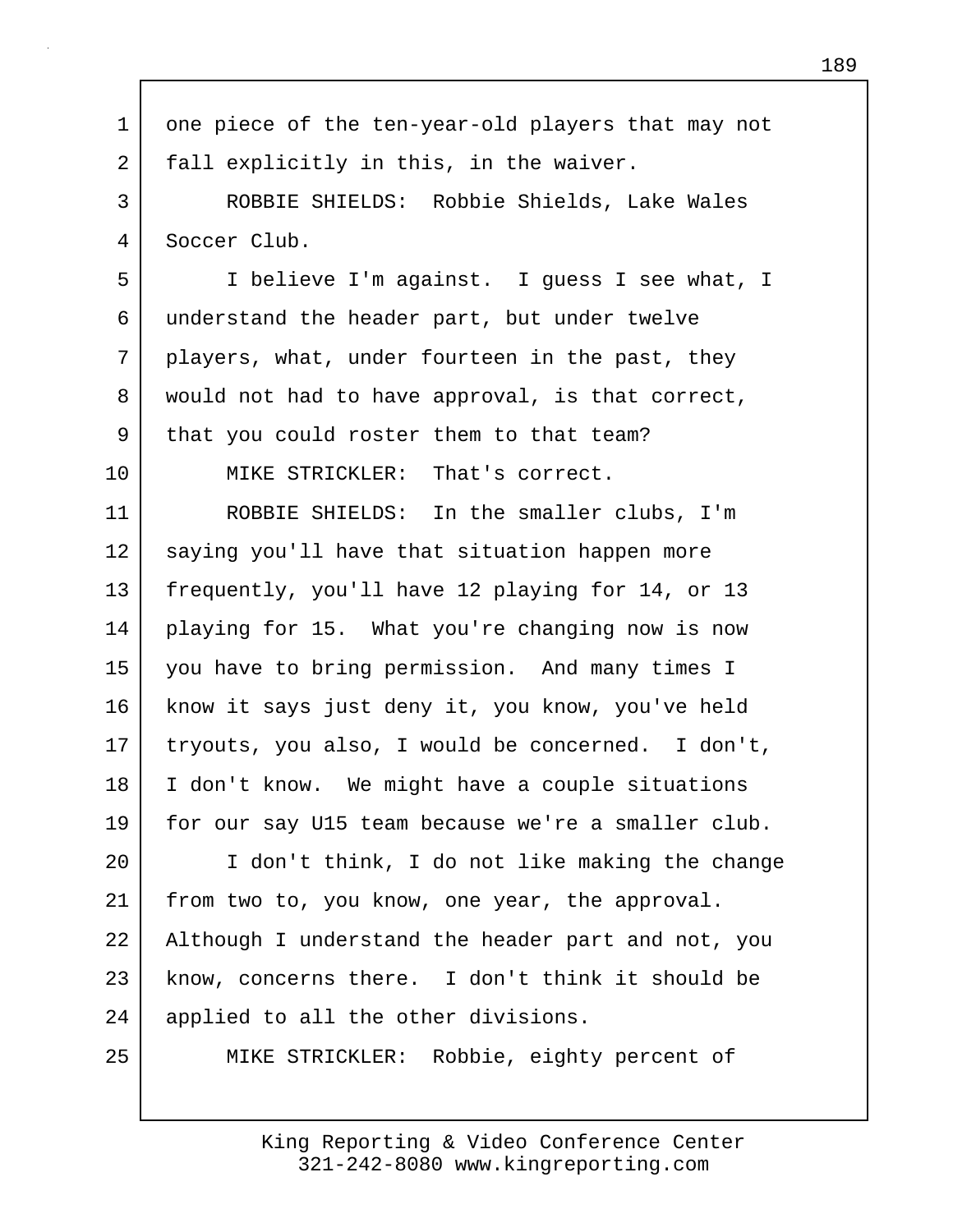| 1       | one piece of the ten-year-old players that may not |
|---------|----------------------------------------------------|
| 2       | fall explicitly in this, in the waiver.            |
| 3       | ROBBIE SHIELDS: Robbie Shields, Lake Wales         |
| 4       | Soccer Club.                                       |
| 5       | I believe I'm against. I guess I see what, I       |
| 6       | understand the header part, but under twelve       |
| 7       | players, what, under fourteen in the past, they    |
| 8       | would not had to have approval, is that correct,   |
| 9       | that you could roster them to that team?           |
| $10 \,$ | MIKE STRICKLER: That's correct.                    |
| 11      | ROBBIE SHIELDS: In the smaller clubs, I'm          |
| 12      | saying you'll have that situation happen more      |
| 13      | frequently, you'll have 12 playing for 14, or 13   |
| 14      | playing for 15. What you're changing now is now    |
| 15      | you have to bring permission. And many times I     |
| 16      | know it says just deny it, you know, you've held   |
| $17 \,$ | tryouts, you also, I would be concerned. I don't,  |
| 18      | I don't know. We might have a couple situations    |
| 19      | for our say U15 team because we're a smaller club. |
| 20      | I don't think, I do not like making the change     |
| 21      | from two to, you know, one year, the approval.     |
| 22      | Although I understand the header part and not, you |
| 23      | know, concerns there. I don't think it should be   |
| 24      | applied to all the other divisions.                |
| 25      | Robbie, eighty percent of<br>MIKE STRICKLER:       |
|         |                                                    |

Г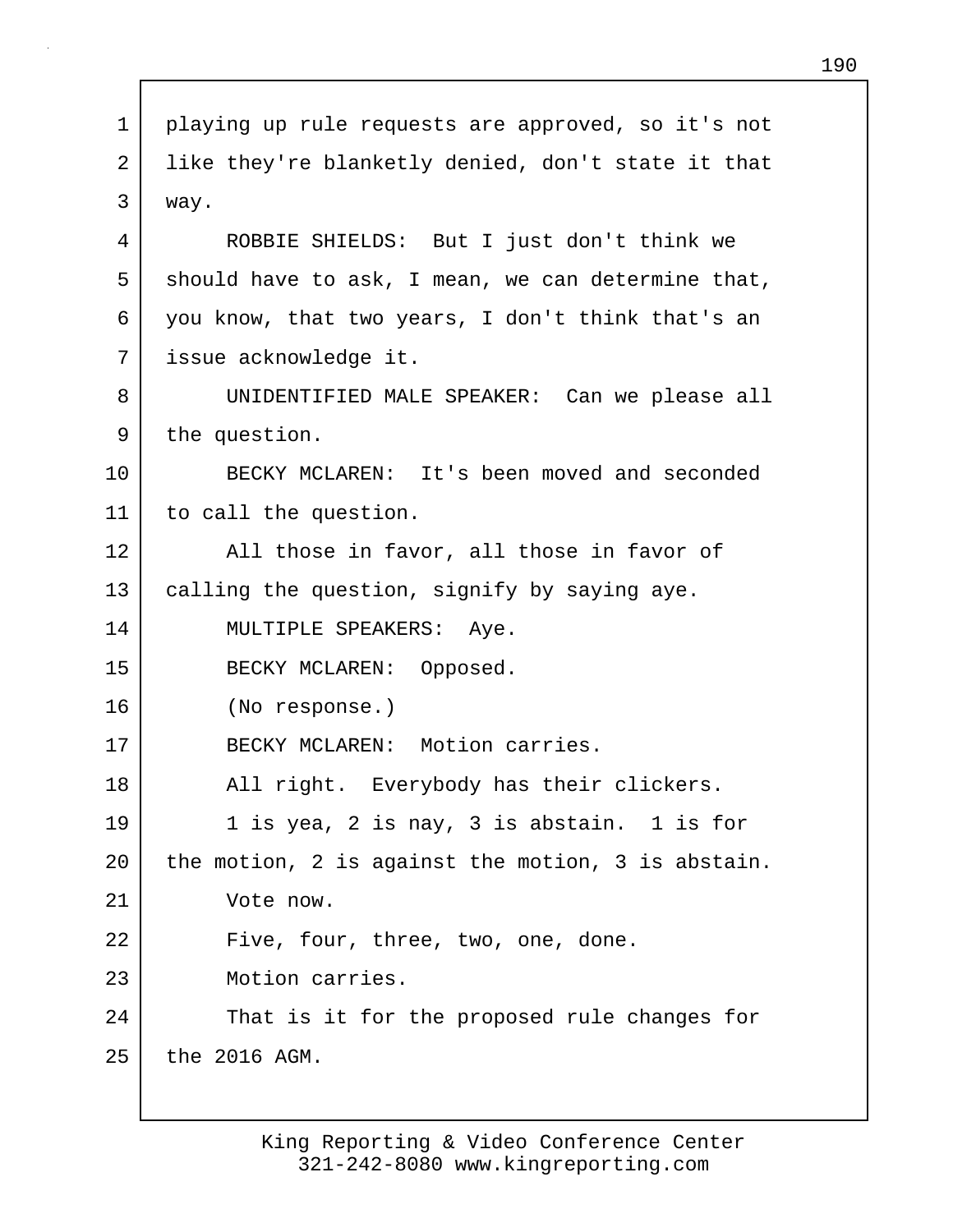| $\mathbf 1$ | playing up rule requests are approved, so it's not |
|-------------|----------------------------------------------------|
| 2           | like they're blanketly denied, don't state it that |
| 3           | way.                                               |
| 4           | ROBBIE SHIELDS: But I just don't think we          |
| 5           | should have to ask, I mean, we can determine that, |
| 6           | you know, that two years, I don't think that's an  |
| 7           | issue acknowledge it.                              |
| 8           | UNIDENTIFIED MALE SPEAKER: Can we please all       |
| 9           | the question.                                      |
| 10          | BECKY MCLAREN: It's been moved and seconded        |
| 11          | to call the question.                              |
| 12          | All those in favor, all those in favor of          |
| 13          | calling the question, signify by saying aye.       |
| 14          | MULTIPLE SPEAKERS: Aye.                            |
| 15          | BECKY MCLAREN: Opposed.                            |
| 16          | (No response.)                                     |
| 17          | BECKY MCLAREN: Motion carries.                     |
| 18          | All right. Everybody has their clickers.           |
| 19          | 1 is yea, 2 is nay, 3 is abstain. 1 is for         |
| 20          | the motion, 2 is against the motion, 3 is abstain. |
| 21          | Vote now.                                          |
| 22          | Five, four, three, two, one, done.                 |
| 23          | Motion carries.                                    |
| 24          | That is it for the proposed rule changes for       |
| 25          | the 2016 AGM.                                      |
|             |                                                    |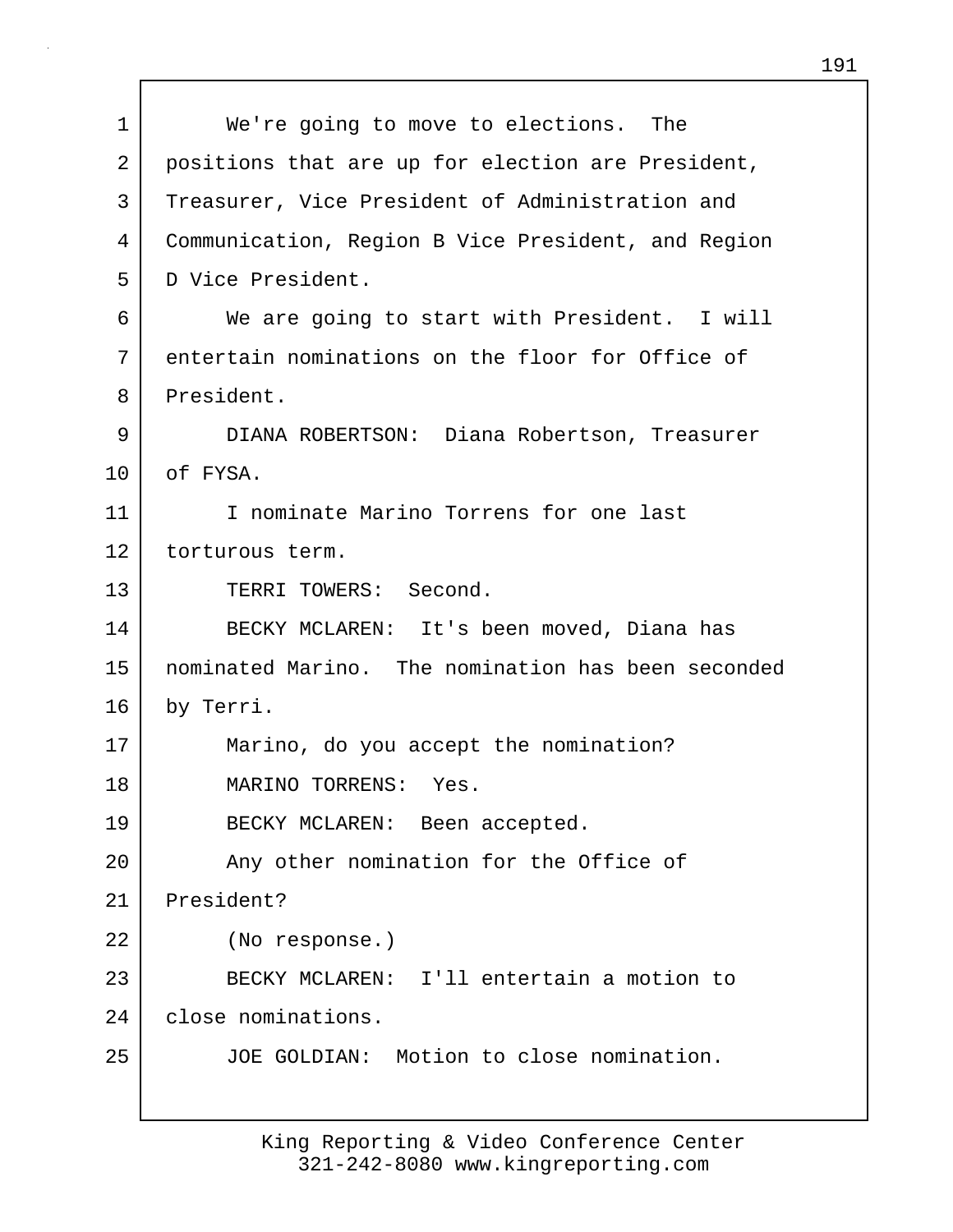1 We're going to move to elections. The 2 positions that are up for election are President, 3 Treasurer, Vice President of Administration and 4 Communication, Region B Vice President, and Region 5 D Vice President. 6 We are going to start with President. I will 7 entertain nominations on the floor for Office of 8 President. 9 DIANA ROBERTSON: Diana Robertson, Treasurer 10 of FYSA. 11 I nominate Marino Torrens for one last 12 torturous term. 13 TERRI TOWERS: Second. 14 BECKY MCLAREN: It's been moved, Diana has 15 nominated Marino. The nomination has been seconded 16 by Terri. 17 Marino, do you accept the nomination? 18 MARINO TORRENS: Yes. 19 BECKY MCLAREN: Been accepted. 20 | Any other nomination for the Office of 21 President? 22 (No response.) 23 BECKY MCLAREN: I'll entertain a motion to 24 close nominations. 25 JOE GOLDIAN: Motion to close nomination.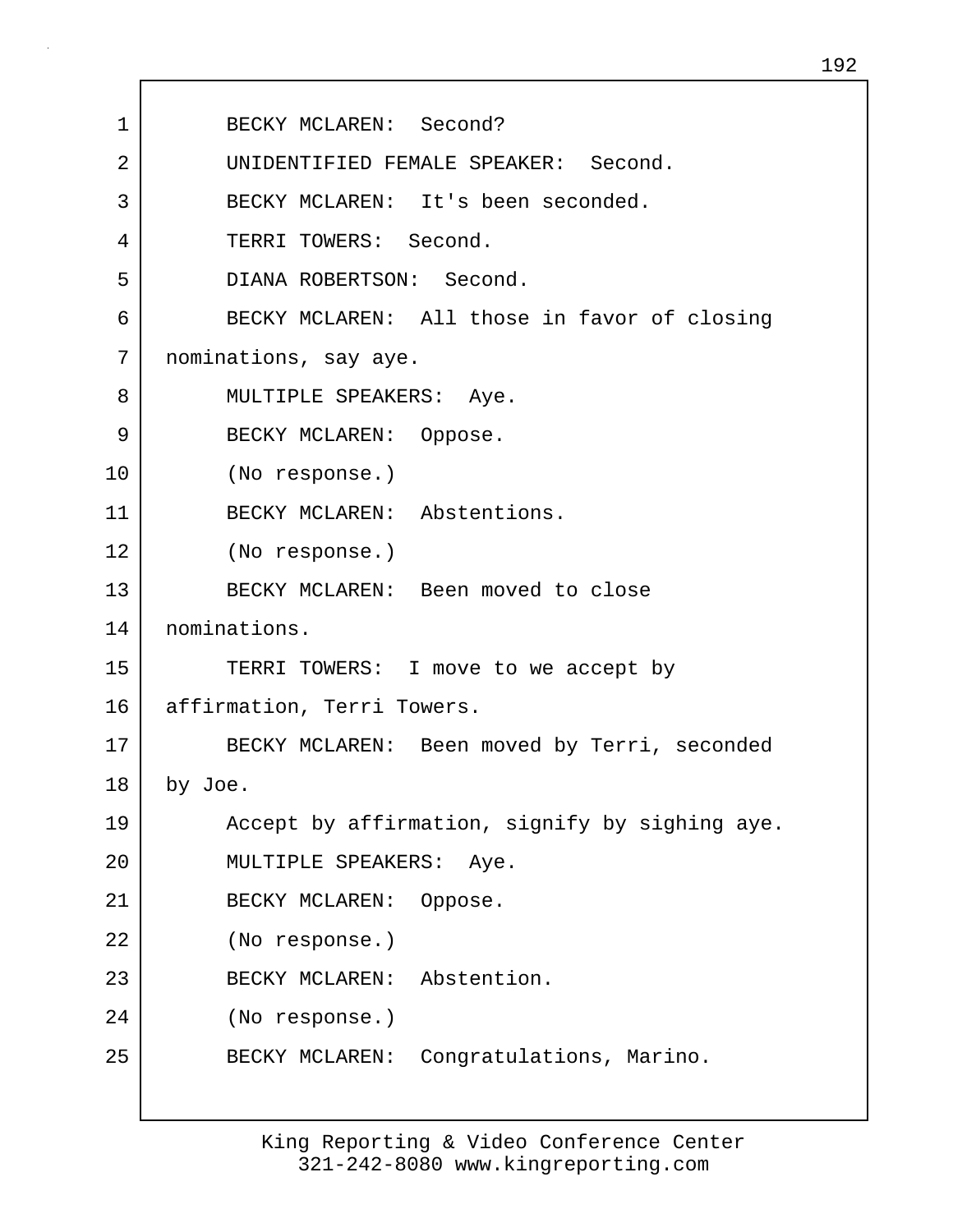| 1  | BECKY MCLAREN: Second?                         |
|----|------------------------------------------------|
| 2  | UNIDENTIFIED FEMALE SPEAKER: Second.           |
| 3  | BECKY MCLAREN: It's been seconded.             |
| 4  | TERRI TOWERS: Second.                          |
| 5  | DIANA ROBERTSON: Second.                       |
| 6  | BECKY MCLAREN: All those in favor of closing   |
| 7  | nominations, say aye.                          |
| 8  | MULTIPLE SPEAKERS: Aye.                        |
| 9  | BECKY MCLAREN: Oppose.                         |
| 10 | (No response.)                                 |
| 11 | BECKY MCLAREN: Abstentions.                    |
| 12 | (No response.)                                 |
| 13 | BECKY MCLAREN: Been moved to close             |
| 14 | nominations.                                   |
| 15 | TERRI TOWERS: I move to we accept by           |
| 16 | affirmation, Terri Towers.                     |
| 17 | BECKY MCLAREN: Been moved by Terri, seconded   |
| 18 | by Joe.                                        |
| 19 | Accept by affirmation, signify by sighing aye. |
| 20 | MULTIPLE SPEAKERS:<br>Aye.                     |
| 21 | BECKY MCLAREN:<br>Oppose.                      |
| 22 | (No response.)                                 |
| 23 | Abstention.<br>BECKY MCLAREN:                  |
| 24 | (No response.)                                 |
| 25 | Congratulations, Marino.<br>BECKY MCLAREN:     |
|    |                                                |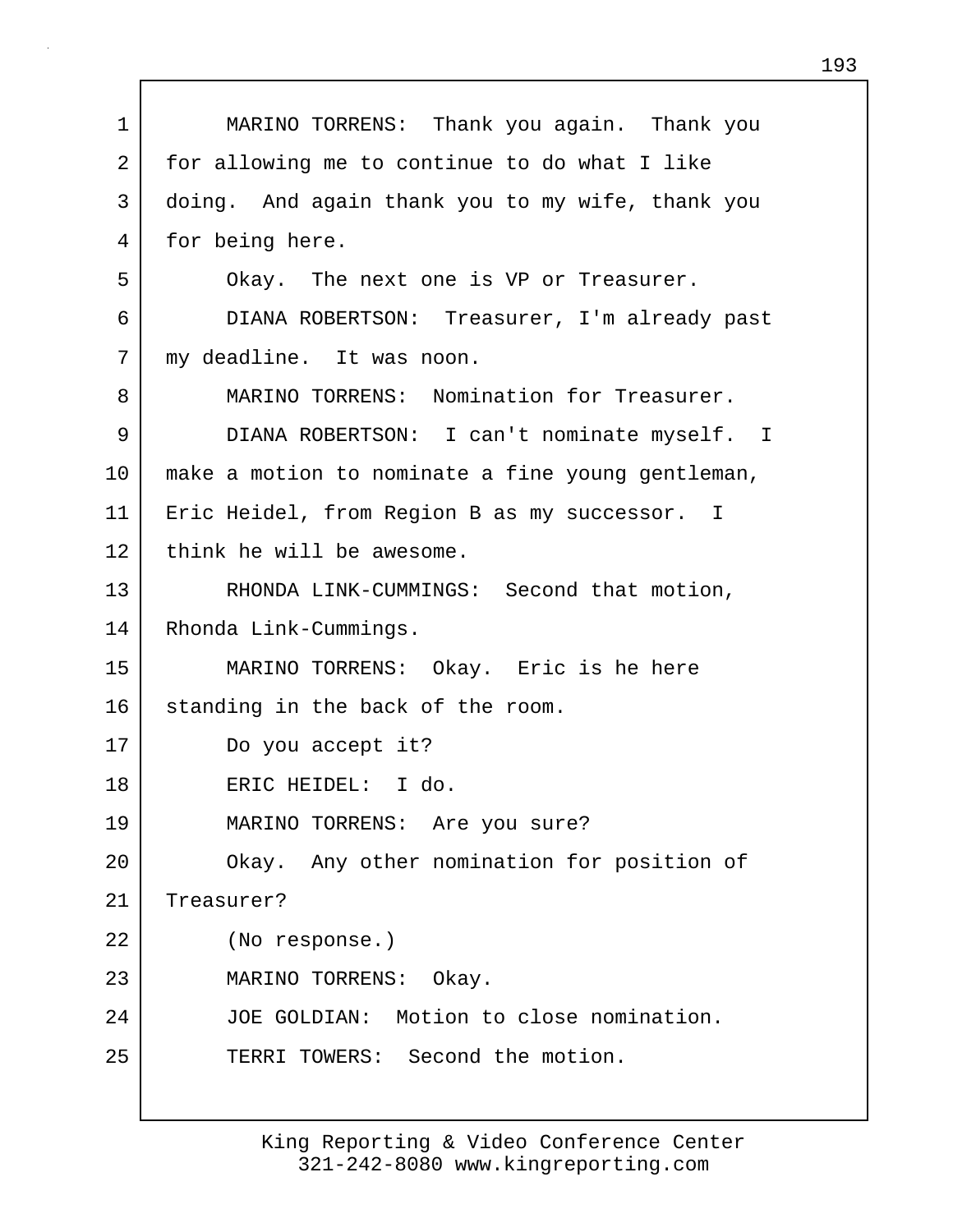1 MARINO TORRENS: Thank you again. Thank you 2 for allowing me to continue to do what I like 3 doing. And again thank you to my wife, thank you 4 for being here. 5 Okay. The next one is VP or Treasurer. 6 DIANA ROBERTSON: Treasurer, I'm already past 7 | my deadline. It was noon. 8 MARINO TORRENS: Nomination for Treasurer. 9 DIANA ROBERTSON: I can't nominate myself. I 10 make a motion to nominate a fine young gentleman, 11 | Eric Heidel, from Region B as my successor. I 12 think he will be awesome. 13 | RHONDA LINK-CUMMINGS: Second that motion, 14 Rhonda Link-Cummings. 15 MARINO TORRENS: Okay. Eric is he here 16 standing in the back of the room. 17 Do you accept it? 18 ERIC HEIDEL: I do. 19 MARINO TORRENS: Are you sure? 20 Okay. Any other nomination for position of 21 Treasurer? 22 (No response.) 23 MARINO TORRENS: Okay. 24 JOE GOLDIAN: Motion to close nomination. 25 TERRI TOWERS: Second the motion.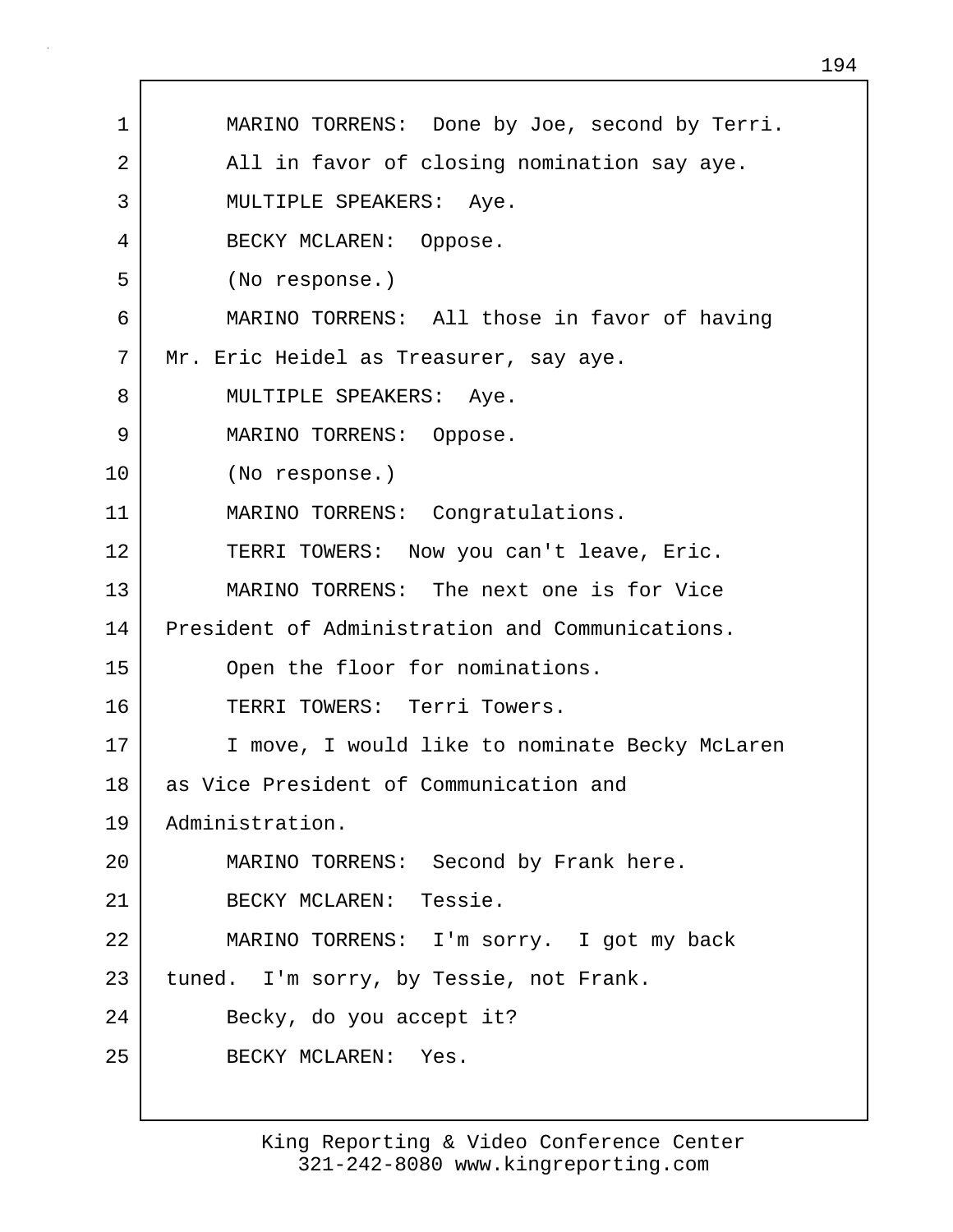| 1  | MARINO TORRENS: Done by Joe, second by Terri.   |
|----|-------------------------------------------------|
| 2  | All in favor of closing nomination say aye.     |
| 3  | MULTIPLE SPEAKERS: Aye.                         |
| 4  | BECKY MCLAREN: Oppose.                          |
| 5  | (No response.)                                  |
| 6  | MARINO TORRENS: All those in favor of having    |
| 7  | Mr. Eric Heidel as Treasurer, say aye.          |
| 8  | MULTIPLE SPEAKERS: Aye.                         |
| 9  | MARINO TORRENS: Oppose.                         |
| 10 | (No response.)                                  |
| 11 | MARINO TORRENS: Congratulations.                |
| 12 | TERRI TOWERS: Now you can't leave, Eric.        |
| 13 | MARINO TORRENS: The next one is for Vice        |
| 14 | President of Administration and Communications. |
| 15 | Open the floor for nominations.                 |
| 16 | TERRI TOWERS: Terri Towers.                     |
| 17 | I move, I would like to nominate Becky McLaren  |
| 18 | as Vice President of Communication and          |
| 19 | Administration.                                 |
| 20 | MARINO TORRENS: Second by Frank here.           |
| 21 | BECKY MCLAREN: Tessie.                          |
| 22 | MARINO TORRENS: I'm sorry. I got my back        |
| 23 | tuned. I'm sorry, by Tessie, not Frank.         |
| 24 | Becky, do you accept it?                        |
| 25 | BECKY MCLAREN: Yes.                             |
|    |                                                 |

Г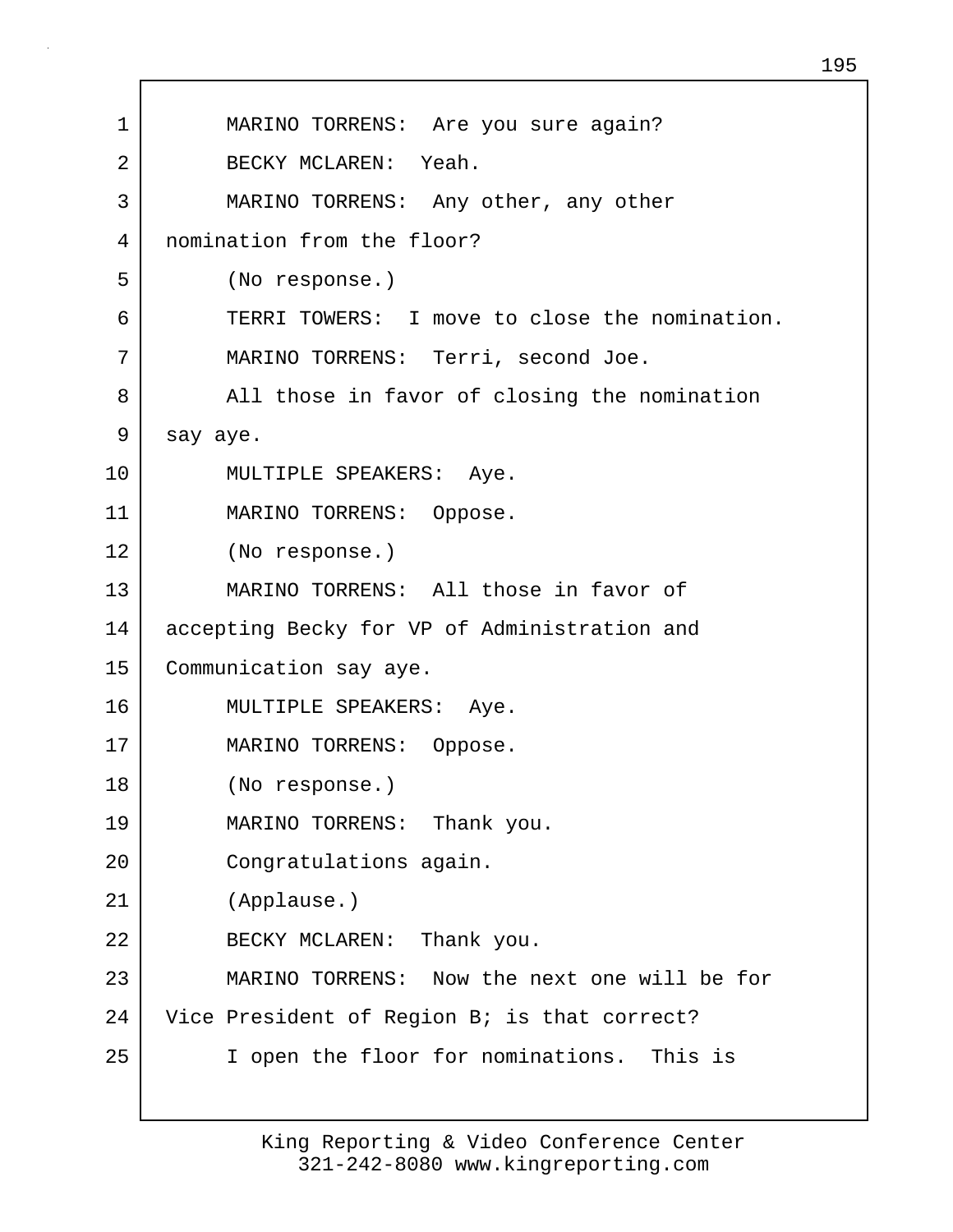| $\mathbf 1$ | MARINO TORRENS: Are you sure again?           |
|-------------|-----------------------------------------------|
| 2           | BECKY MCLAREN: Yeah.                          |
| 3           | MARINO TORRENS: Any other, any other          |
| 4           | nomination from the floor?                    |
| 5           | (No response.)                                |
| 6           | TERRI TOWERS: I move to close the nomination. |
| 7           | MARINO TORRENS: Terri, second Joe.            |
| 8           | All those in favor of closing the nomination  |
| 9           | say aye.                                      |
| 10          | MULTIPLE SPEAKERS: Aye.                       |
| 11          | MARINO TORRENS: Oppose.                       |
| 12          | (No response.)                                |
| 13          | MARINO TORRENS: All those in favor of         |
| 14          | accepting Becky for VP of Administration and  |
| 15          | Communication say aye.                        |
| 16          | MULTIPLE SPEAKERS: Aye.                       |
| 17          | MARINO TORRENS: Oppose.                       |
| 18          | (No response.)                                |
| 19          | MARINO TORRENS: Thank you.                    |
| 20          | Congratulations again.                        |
| 21          | (Applause.)                                   |
| 22          | BECKY MCLAREN: Thank you.                     |
| 23          | MARINO TORRENS: Now the next one will be for  |
| 24          | Vice President of Region B; is that correct?  |
| 25          | I open the floor for nominations. This is     |
|             |                                               |

Г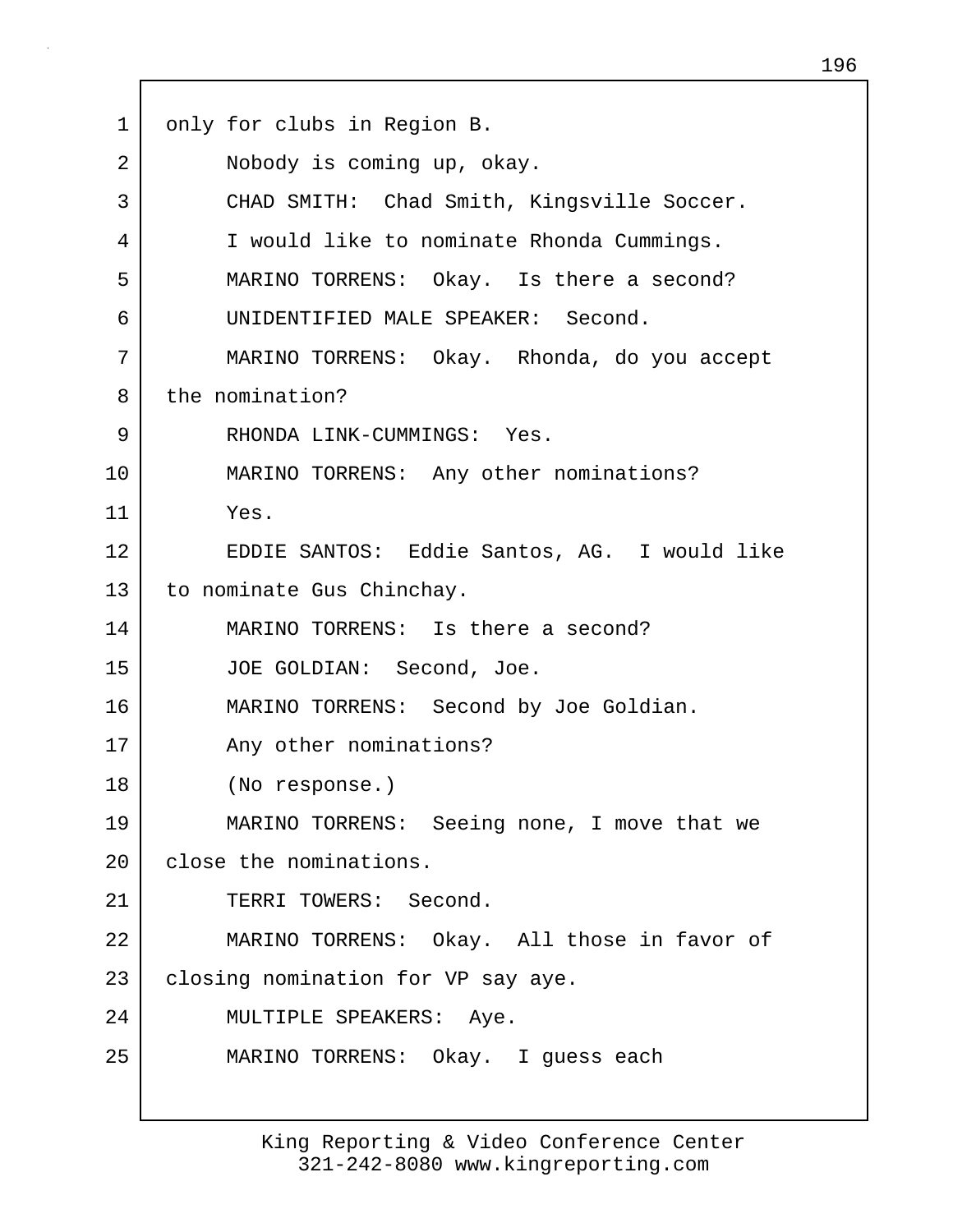1 only for clubs in Region B. 2 Nobody is coming up, okay. 3 CHAD SMITH: Chad Smith, Kingsville Soccer. 4 I would like to nominate Rhonda Cummings. 5 MARINO TORRENS: Okay. Is there a second? 6 UNIDENTIFIED MALE SPEAKER: Second. 7 MARINO TORRENS: Okay. Rhonda, do you accept 8 the nomination? 9 RHONDA LINK-CUMMINGS: Yes. 10 | MARINO TORRENS: Any other nominations? 11 Yes. 12 EDDIE SANTOS: Eddie Santos, AG. I would like 13 to nominate Gus Chinchay. 14 MARINO TORRENS: Is there a second? 15 JOE GOLDIAN: Second, Joe. 16 MARINO TORRENS: Second by Joe Goldian. 17 Any other nominations? 18 (No response.) 19 MARINO TORRENS: Seeing none, I move that we 20 close the nominations. 21 TERRI TOWERS: Second. 22 MARINO TORRENS: Okay. All those in favor of 23 | closing nomination for VP say aye. 24 MULTIPLE SPEAKERS: Aye. 25 MARINO TORRENS: Okay. I guess each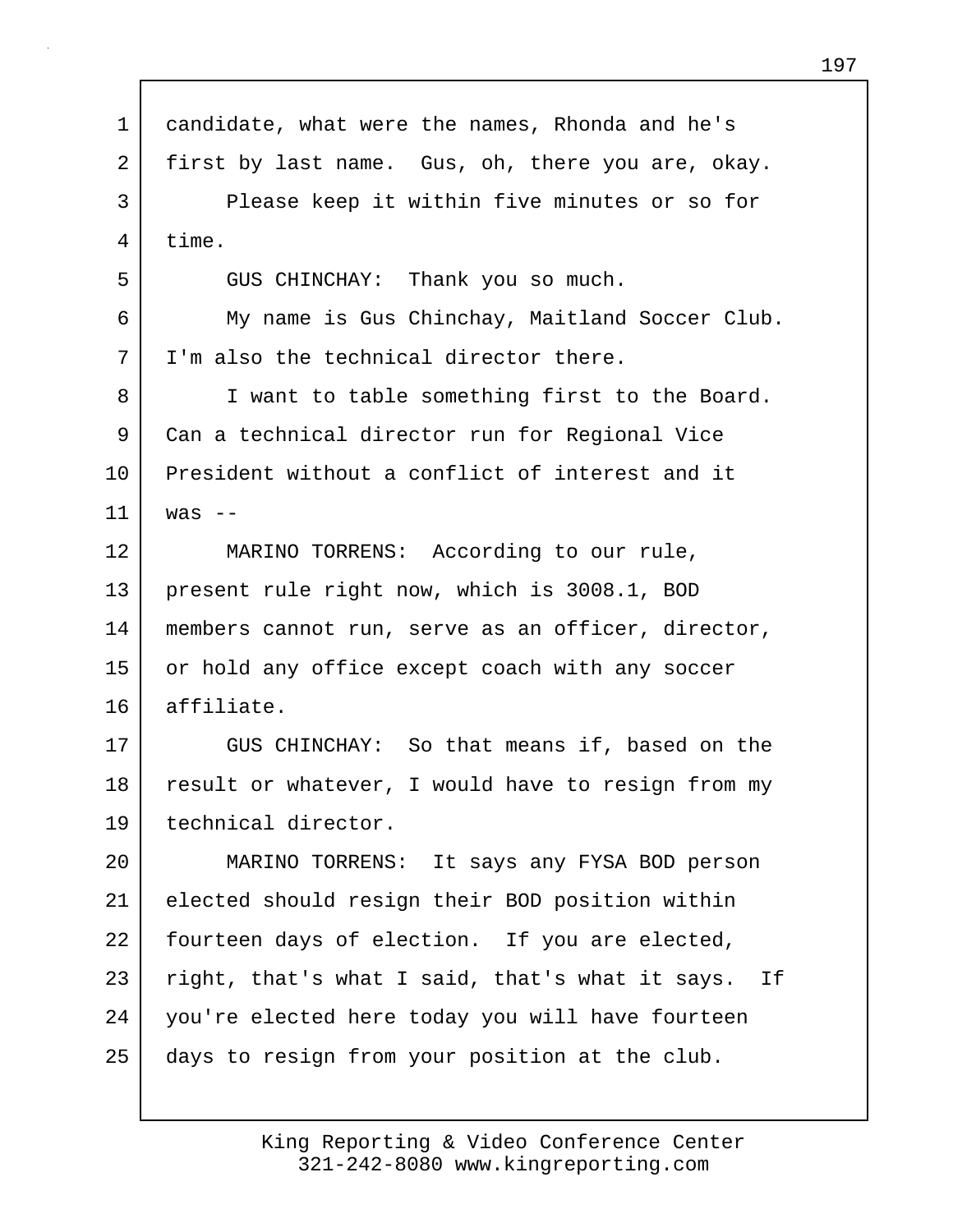| $\mathbf 1$ | candidate, what were the names, Rhonda and he's    |
|-------------|----------------------------------------------------|
| 2           | first by last name. Gus, oh, there you are, okay.  |
| 3           | Please keep it within five minutes or so for       |
| 4           | time.                                              |
| 5           | GUS CHINCHAY: Thank you so much.                   |
| 6           | My name is Gus Chinchay, Maitland Soccer Club.     |
| 7           | I'm also the technical director there.             |
| 8           | I want to table something first to the Board.      |
| 9           | Can a technical director run for Regional Vice     |
| 10          | President without a conflict of interest and it    |
| 11          | was $--$                                           |
| 12          | MARINO TORRENS: According to our rule,             |
| 13          | present rule right now, which is 3008.1, BOD       |
| 14          | members cannot run, serve as an officer, director, |
| 15          | or hold any office except coach with any soccer    |
| 16          | affiliate.                                         |
| 17          | GUS CHINCHAY: So that means if, based on the       |
| 18          | result or whatever, I would have to resign from my |
| 19          | technical director.                                |
| 20          | MARINO TORRENS: It says any FYSA BOD person        |
| 21          | elected should resign their BOD position within    |
| 22          | fourteen days of election. If you are elected,     |
| 23          | right, that's what I said, that's what it says. If |
| 24          | you're elected here today you will have fourteen   |
| 25          | days to resign from your position at the club.     |
|             |                                                    |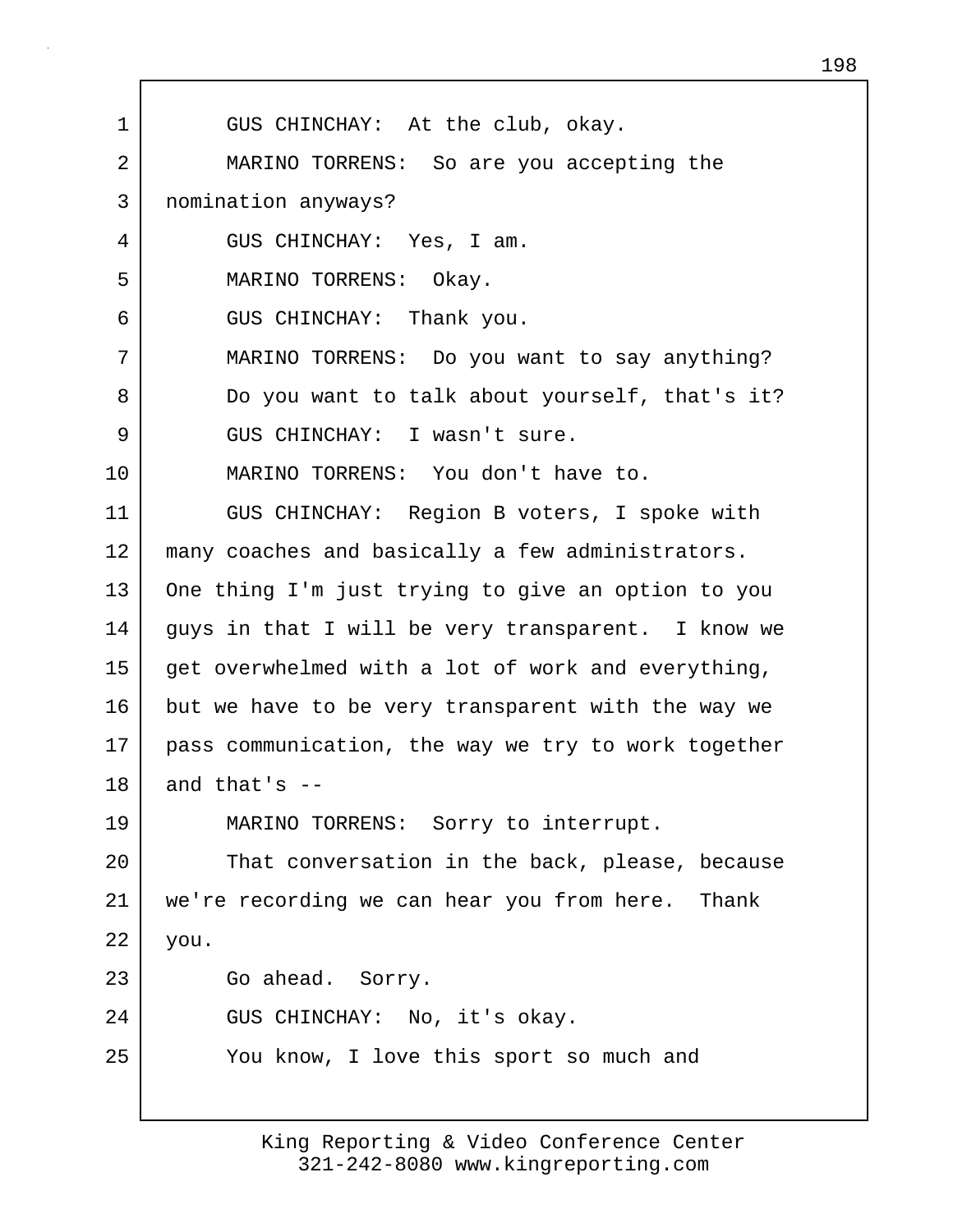1 GUS CHINCHAY: At the club, okay. 2 MARINO TORRENS: So are you accepting the 3 nomination anyways? 4 GUS CHINCHAY: Yes, I am. 5 MARINO TORRENS: Okay. 6 GUS CHINCHAY: Thank you. 7 MARINO TORRENS: Do you want to say anything? 8 Do you want to talk about yourself, that's it? 9 GUS CHINCHAY: I wasn't sure. 10 MARINO TORRENS: You don't have to. 11 GUS CHINCHAY: Region B voters, I spoke with 12 | many coaches and basically a few administrators. 13 One thing I'm just trying to give an option to you 14 guys in that I will be very transparent. I know we  $15$  get overwhelmed with a lot of work and everything, 16 but we have to be very transparent with the way we 17 pass communication, the way we try to work together 18 and that's  $-$ 19 MARINO TORRENS: Sorry to interrupt. 20 That conversation in the back, please, because 21 we're recording we can hear you from here. Thank 22 you. 23 Go ahead. Sorry. 24 GUS CHINCHAY: No, it's okay. 25 You know, I love this sport so much and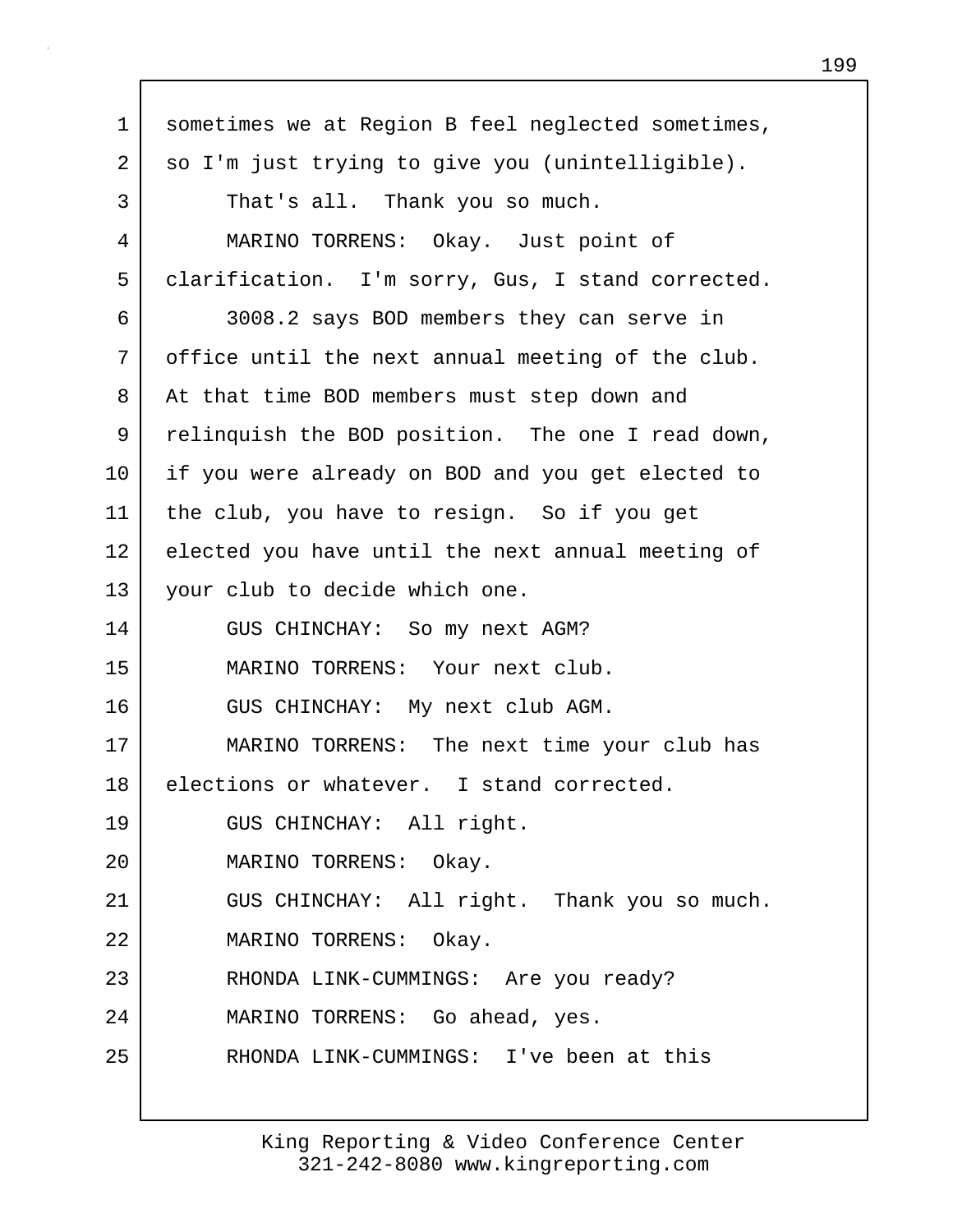1 Sometimes we at Region B feel neglected sometimes, 2 so I'm just trying to give you (unintelligible). 3 That's all. Thank you so much. 4 MARINO TORRENS: Okay. Just point of 5 clarification. I'm sorry, Gus, I stand corrected. 6 3008.2 says BOD members they can serve in 7 | office until the next annual meeting of the club. 8 At that time BOD members must step down and 9 relinquish the BOD position. The one I read down, 10 if you were already on BOD and you get elected to 11 the club, you have to resign. So if you get 12 elected you have until the next annual meeting of 13 your club to decide which one. 14 GUS CHINCHAY: So my next AGM? 15 MARINO TORRENS: Your next club. 16 GUS CHINCHAY: My next club AGM. 17 MARINO TORRENS: The next time your club has 18 elections or whatever. I stand corrected. 19 GUS CHINCHAY: All right. 20 MARINO TORRENS: Okay. 21 GUS CHINCHAY: All right. Thank you so much. 22 MARINO TORRENS: Okay. 23 RHONDA LINK-CUMMINGS: Are you ready? 24 MARINO TORRENS: Go ahead, yes. 25 | RHONDA LINK-CUMMINGS: I've been at this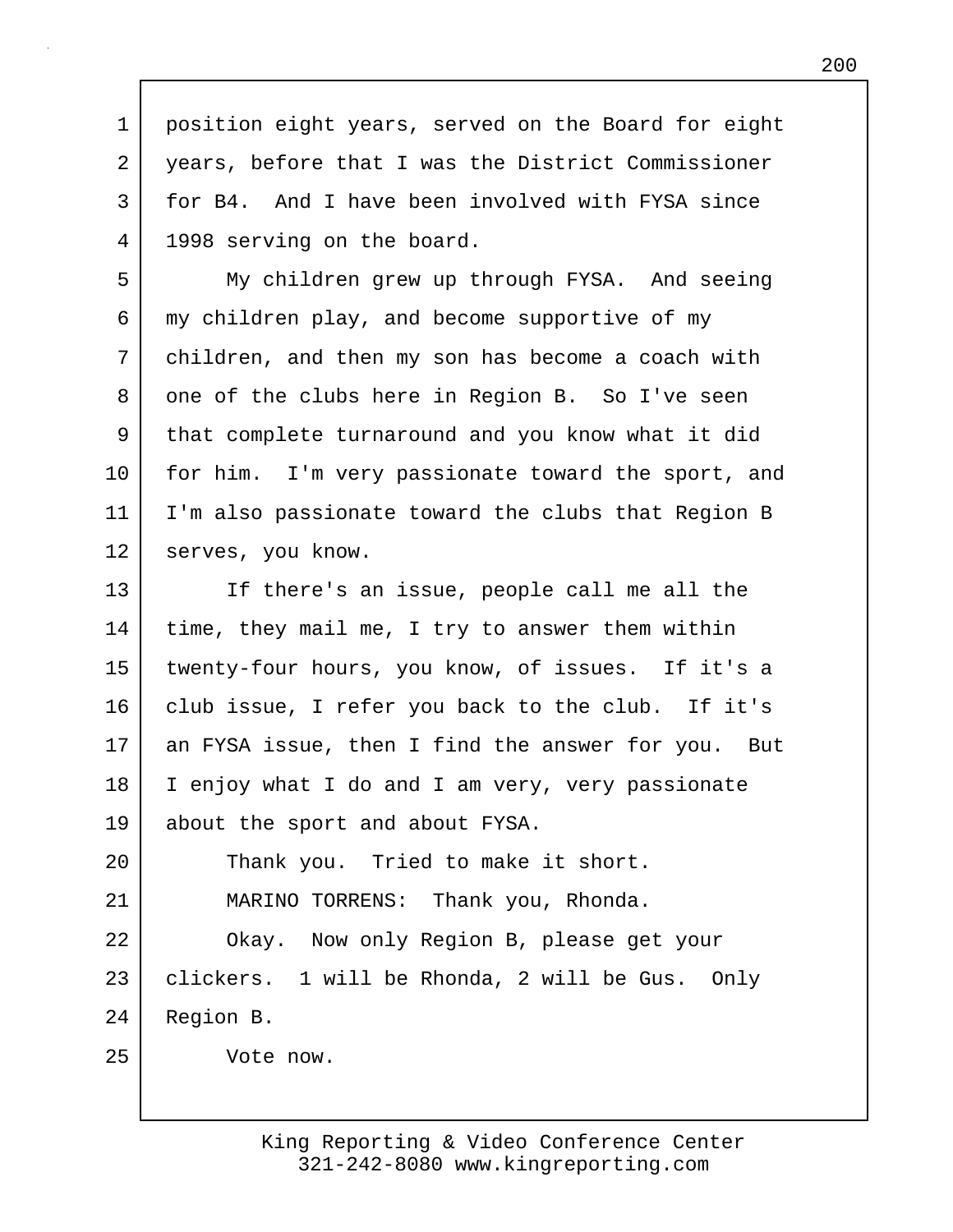1 position eight years, served on the Board for eight 2 years, before that I was the District Commissioner 3 for B4. And I have been involved with FYSA since 4 1998 serving on the board.

5 My children grew up through FYSA. And seeing 6 my children play, and become supportive of my 7 children, and then my son has become a coach with 8 one of the clubs here in Region B. So I've seen 9 that complete turnaround and you know what it did 10 | for him. I'm very passionate toward the sport, and 11 I'm also passionate toward the clubs that Region B 12 | serves, you know.

13 If there's an issue, people call me all the 14 | time, they mail me, I try to answer them within 15 twenty-four hours, you know, of issues. If it's a 16 club issue, I refer you back to the club. If it's 17 an FYSA issue, then I find the answer for you. But 18 I enjoy what I do and I am very, very passionate 19 about the sport and about FYSA.

20 Thank you. Tried to make it short. 21 MARINO TORRENS: Thank you, Rhonda. 22 Okay. Now only Region B, please get your

23 clickers. 1 will be Rhonda, 2 will be Gus. Only 24 Region B.

25 Vote now.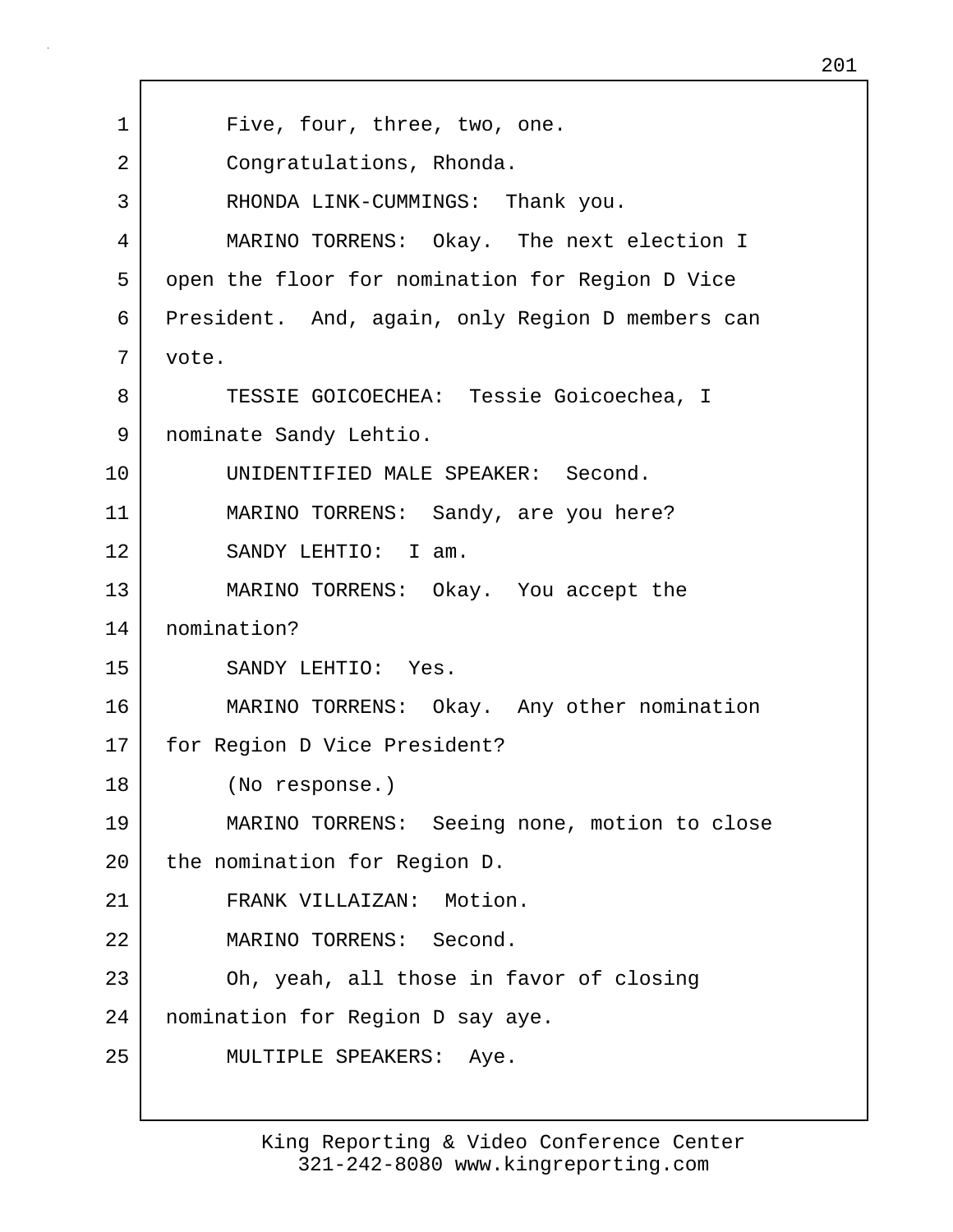| 1  | Five, four, three, two, one.                     |
|----|--------------------------------------------------|
| 2  | Congratulations, Rhonda.                         |
| 3  | RHONDA LINK-CUMMINGS: Thank you.                 |
| 4  | MARINO TORRENS: Okay. The next election I        |
| 5  | open the floor for nomination for Region D Vice  |
| 6  | President. And, again, only Region D members can |
| 7  | vote.                                            |
| 8  | TESSIE GOICOECHEA: Tessie Goicoechea, I          |
| 9  | nominate Sandy Lehtio.                           |
| 10 | UNIDENTIFIED MALE SPEAKER: Second.               |
| 11 | MARINO TORRENS: Sandy, are you here?             |
| 12 | SANDY LEHTIO: I am.                              |
| 13 | MARINO TORRENS: Okay. You accept the             |
| 14 | nomination?                                      |
| 15 | SANDY LEHTIO: Yes.                               |
| 16 | MARINO TORRENS: Okay. Any other nomination       |
| 17 | for Region D Vice President?                     |
| 18 | (No response.)                                   |
| 19 | MARINO TORRENS: Seeing none, motion to close     |
| 20 | the nomination for Region D.                     |
| 21 | FRANK VILLAIZAN: Motion.                         |
| 22 | MARINO TORRENS: Second.                          |
| 23 | Oh, yeah, all those in favor of closing          |
| 24 | nomination for Region D say aye.                 |
| 25 | MULTIPLE SPEAKERS: Aye.                          |
|    |                                                  |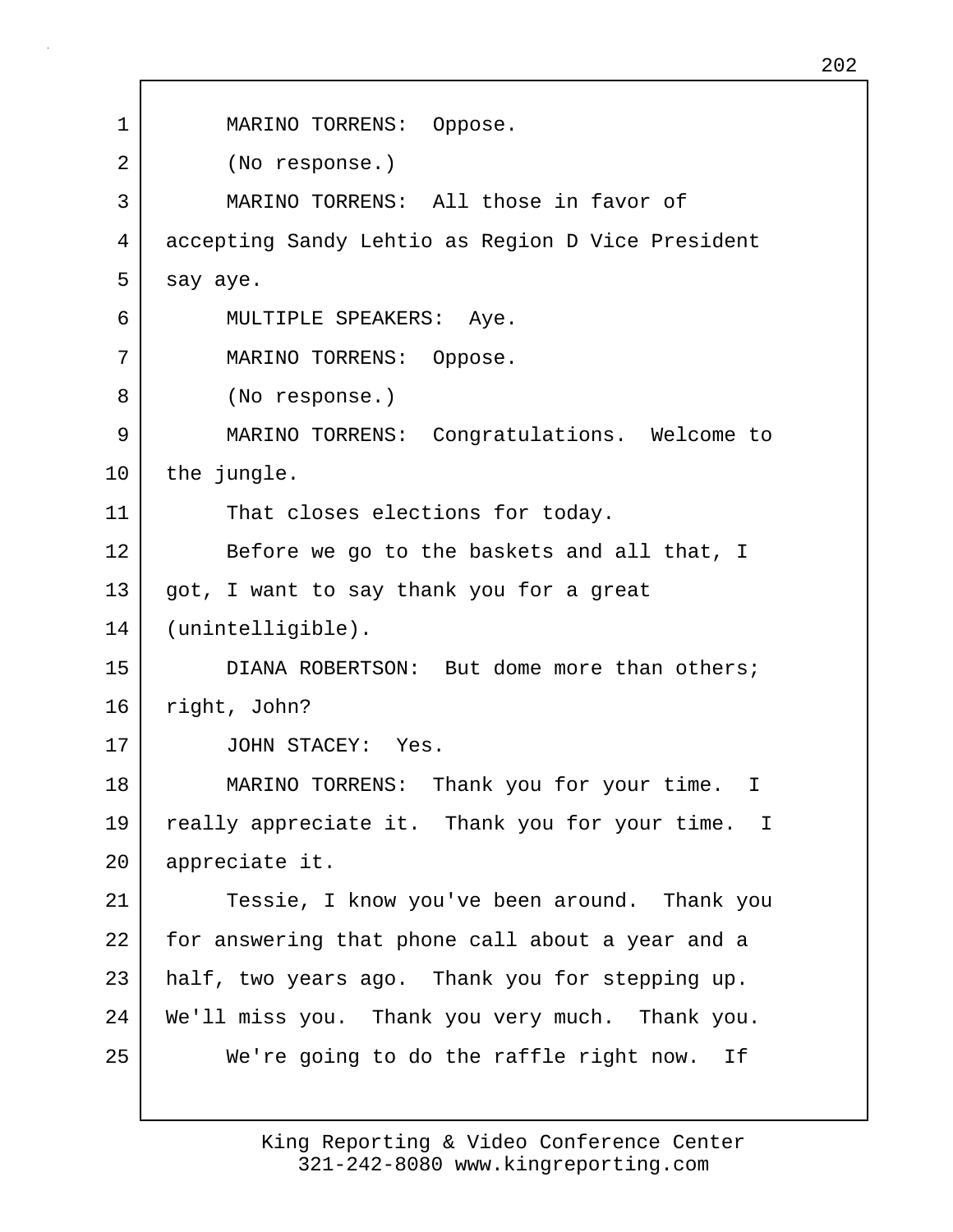1 MARINO TORRENS: Oppose. 2 (No response.) 3 MARINO TORRENS: All those in favor of 4 accepting Sandy Lehtio as Region D Vice President  $5$  say aye. 6 MULTIPLE SPEAKERS: Aye. 7 MARINO TORRENS: Oppose. 8 (No response.) 9 MARINO TORRENS: Congratulations. Welcome to 10 | the jungle. 11 That closes elections for today. 12 Before we go to the baskets and all that, I  $13$  got, I want to say thank you for a great 14 (unintelligible). 15 DIANA ROBERTSON: But dome more than others; 16 right, John? 17 JOHN STACEY: Yes. 18 MARINO TORRENS: Thank you for your time. I 19 really appreciate it. Thank you for your time. I 20 appreciate it. 21 Tessie, I know you've been around. Thank you 22 for answering that phone call about a year and a 23 half, two years ago. Thank you for stepping up. 24 We'll miss you. Thank you very much. Thank you. 25 We're going to do the raffle right now. If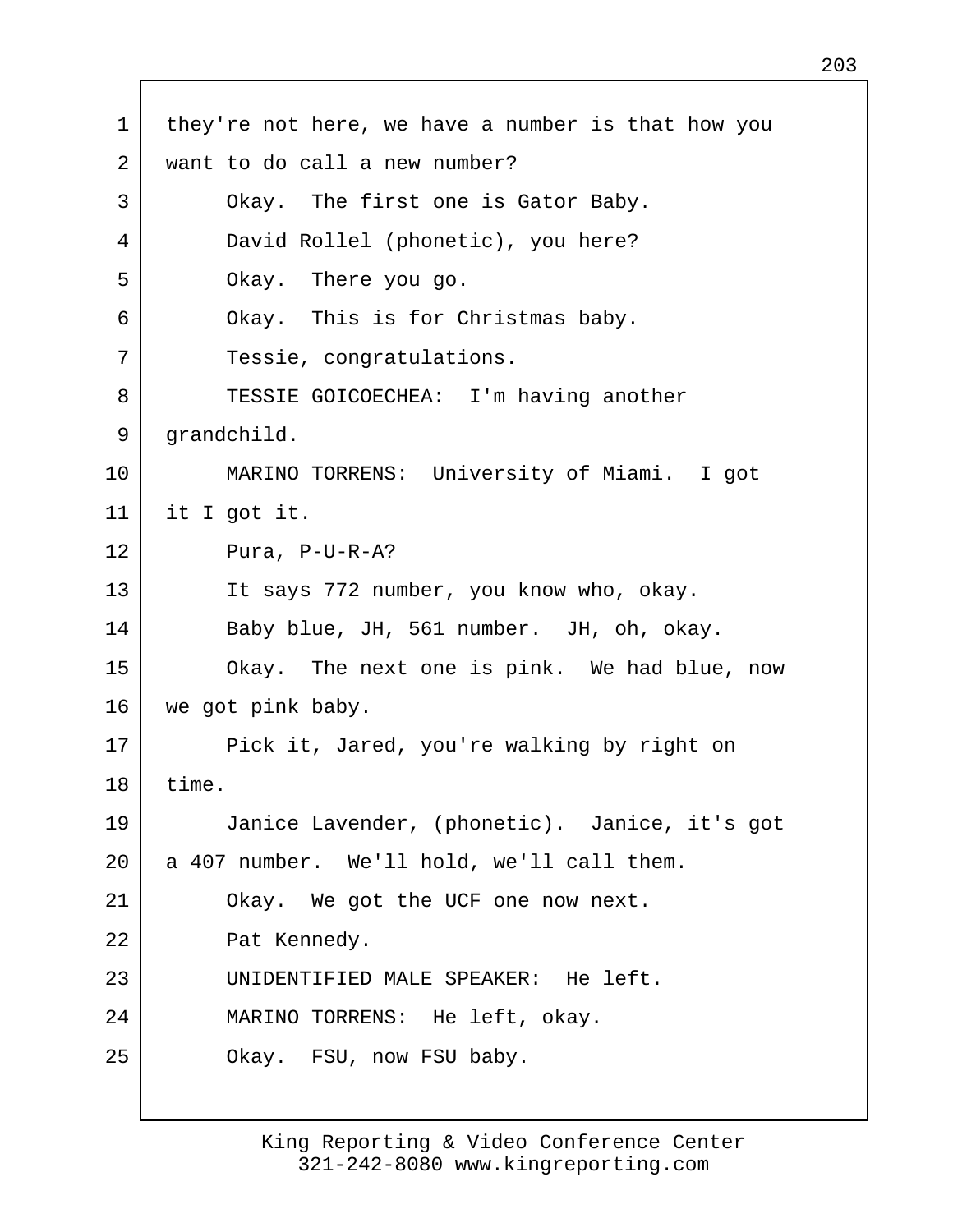1 | they're not here, we have a number is that how you 2 want to do call a new number? 3 Okay. The first one is Gator Baby. 4 David Rollel (phonetic), you here? 5 Okay. There you go. 6 Okay. This is for Christmas baby. 7 Tessie, congratulations. 8 TESSIE GOICOECHEA: I'm having another 9 grandchild. 10 MARINO TORRENS: University of Miami. I got 11 it I got it. 12 Pura, P-U-R-A? 13 It says 772 number, you know who, okay. 14 Baby blue, JH, 561 number. JH, oh, okay. 15 Okay. The next one is pink. We had blue, now 16 we got pink baby. 17 Pick it, Jared, you're walking by right on 18 time. 19 Janice Lavender, (phonetic). Janice, it's got 20 a 407 number. We'll hold, we'll call them. 21 Okay. We got the UCF one now next. 22 Pat Kennedy. 23 UNIDENTIFIED MALE SPEAKER: He left. 24 MARINO TORRENS: He left, okay. 25 Okay. FSU, now FSU baby.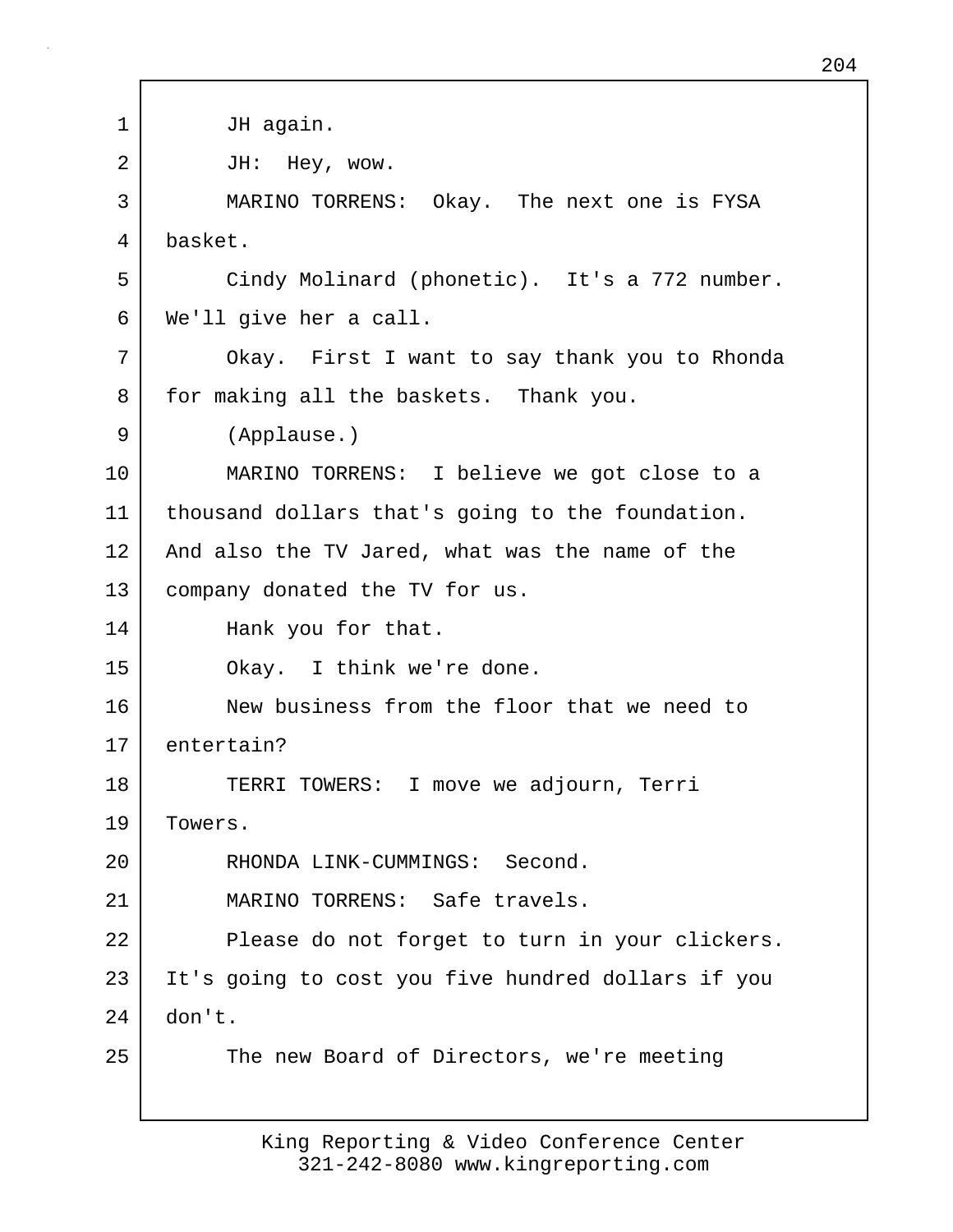| 1  | JH again.                                          |
|----|----------------------------------------------------|
| 2  | JH: Hey, wow.                                      |
| 3  | MARINO TORRENS: Okay. The next one is FYSA         |
| 4  | basket.                                            |
| 5  | Cindy Molinard (phonetic). It's a 772 number.      |
| 6  | We'll give her a call.                             |
| 7  | Okay. First I want to say thank you to Rhonda      |
| 8  | for making all the baskets. Thank you.             |
| 9  | (Applause.)                                        |
| 10 | MARINO TORRENS: I believe we got close to a        |
| 11 | thousand dollars that's going to the foundation.   |
| 12 | And also the TV Jared, what was the name of the    |
| 13 | company donated the TV for us.                     |
| 14 | Hank you for that.                                 |
| 15 | Okay. I think we're done.                          |
| 16 | New business from the floor that we need to        |
| 17 | entertain?                                         |
| 18 | TERRI TOWERS: I move we adjourn, Terri             |
| 19 | Towers.                                            |
| 20 | RHONDA LINK-CUMMINGS: Second.                      |
| 21 | MARINO TORRENS: Safe travels.                      |
| 22 | Please do not forget to turn in your clickers.     |
| 23 | It's going to cost you five hundred dollars if you |
| 24 | don't.                                             |
| 25 | The new Board of Directors, we're meeting          |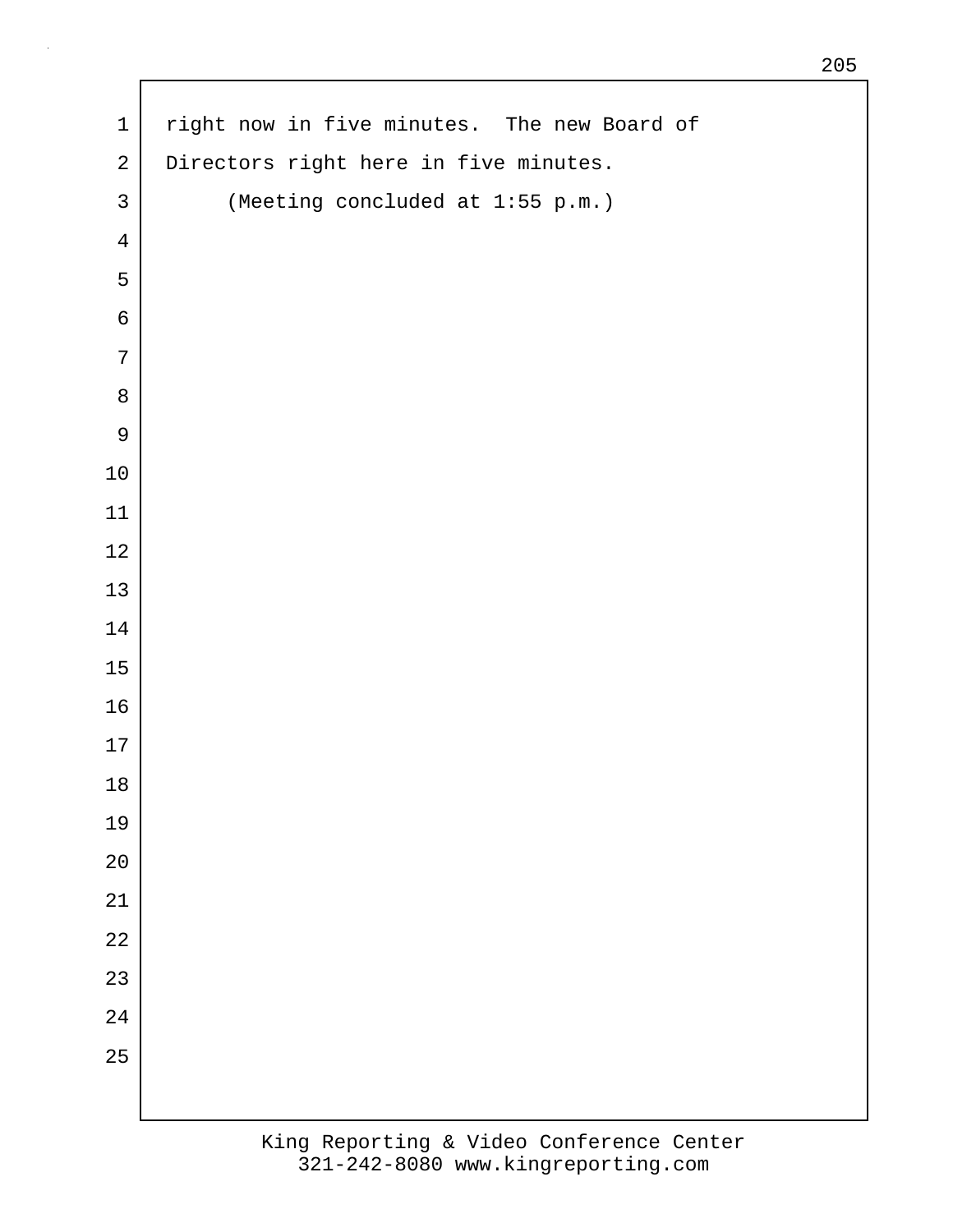| $\mathbf 1$    | right now in five minutes. The new Board of |
|----------------|---------------------------------------------|
| $\overline{a}$ | Directors right here in five minutes.       |
| $\mathsf{3}$   | (Meeting concluded at 1:55 p.m.)            |
| $\overline{4}$ |                                             |
| 5              |                                             |
| $\epsilon$     |                                             |
| $\overline{7}$ |                                             |
| $\,8\,$        |                                             |
| $\mathsf 9$    |                                             |
| 10             |                                             |
| 11             |                                             |
| $12$           |                                             |
| 13             |                                             |
| 14             |                                             |
| 15             |                                             |
| 16             |                                             |
| $17\,$         |                                             |
| 18             |                                             |
| 19             |                                             |
| 20             |                                             |
| 21             |                                             |
| $2\sqrt{2}$    |                                             |
| 23             |                                             |
| 24             |                                             |
| 25             |                                             |
|                |                                             |

 $\Gamma$